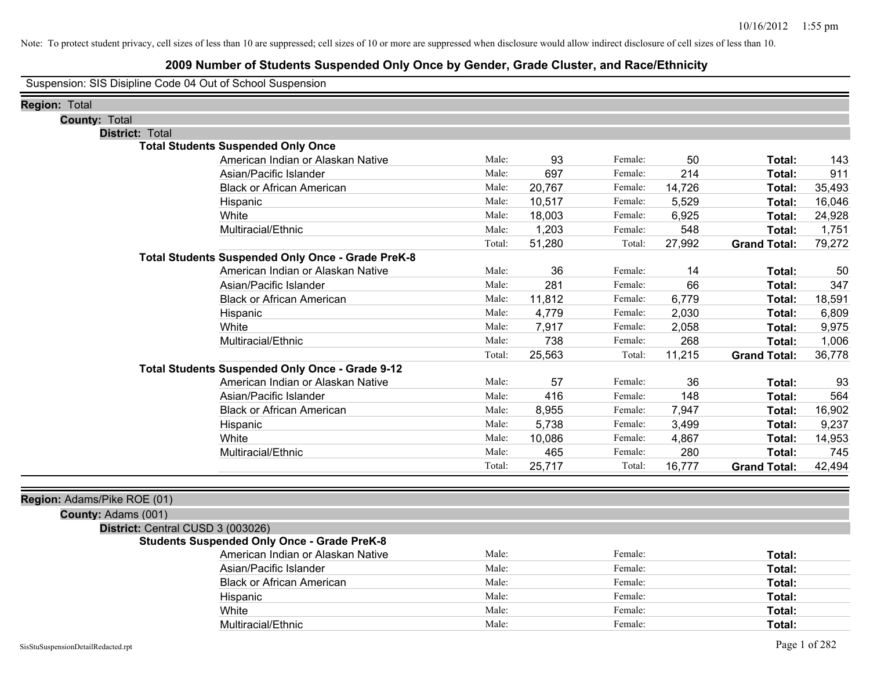### **2009 Number of Students Suspended Only Once by Gender, Grade Cluster, and Race/Ethnicity**

Suspension: SIS Disipline Code 04 Out of School Suspension

| <b>Region: Total</b>              |                                                          |        |        |         |        |                     |        |
|-----------------------------------|----------------------------------------------------------|--------|--------|---------|--------|---------------------|--------|
| <b>County: Total</b>              |                                                          |        |        |         |        |                     |        |
| District: Total                   |                                                          |        |        |         |        |                     |        |
|                                   | <b>Total Students Suspended Only Once</b>                |        |        |         |        |                     |        |
|                                   | American Indian or Alaskan Native                        | Male:  | 93     | Female: | 50     | Total:              | 143    |
|                                   | Asian/Pacific Islander                                   | Male:  | 697    | Female: | 214    | Total:              | 911    |
|                                   | <b>Black or African American</b>                         | Male:  | 20,767 | Female: | 14,726 | Total:              | 35,493 |
|                                   | Hispanic                                                 | Male:  | 10,517 | Female: | 5,529  | Total:              | 16,046 |
|                                   | White                                                    | Male:  | 18,003 | Female: | 6,925  | Total:              | 24,928 |
|                                   | Multiracial/Ethnic                                       | Male:  | 1,203  | Female: | 548    | Total:              | 1,751  |
|                                   |                                                          | Total: | 51,280 | Total:  | 27,992 | <b>Grand Total:</b> | 79,272 |
|                                   | <b>Total Students Suspended Only Once - Grade PreK-8</b> |        |        |         |        |                     |        |
|                                   | American Indian or Alaskan Native                        | Male:  | 36     | Female: | 14     | Total:              | 50     |
|                                   | Asian/Pacific Islander                                   | Male:  | 281    | Female: | 66     | Total:              | 347    |
|                                   | <b>Black or African American</b>                         | Male:  | 11,812 | Female: | 6,779  | Total:              | 18,591 |
|                                   | Hispanic                                                 | Male:  | 4,779  | Female: | 2,030  | Total:              | 6,809  |
|                                   | White                                                    | Male:  | 7,917  | Female: | 2,058  | Total:              | 9,975  |
|                                   | Multiracial/Ethnic                                       | Male:  | 738    | Female: | 268    | Total:              | 1,006  |
|                                   |                                                          | Total: | 25,563 | Total:  | 11,215 | <b>Grand Total:</b> | 36,778 |
|                                   | Total Students Suspended Only Once - Grade 9-12          |        |        |         |        |                     |        |
|                                   | American Indian or Alaskan Native                        | Male:  | 57     | Female: | 36     | Total:              | 93     |
|                                   | Asian/Pacific Islander                                   | Male:  | 416    | Female: | 148    | Total:              | 564    |
|                                   | <b>Black or African American</b>                         | Male:  | 8,955  | Female: | 7,947  | Total:              | 16,902 |
|                                   | Hispanic                                                 | Male:  | 5,738  | Female: | 3,499  | Total:              | 9,237  |
|                                   | White                                                    | Male:  | 10,086 | Female: | 4,867  | Total:              | 14,953 |
|                                   | Multiracial/Ethnic                                       | Male:  | 465    | Female: | 280    | Total:              | 745    |
|                                   |                                                          | Total: | 25,717 | Total:  | 16,777 | <b>Grand Total:</b> | 42,494 |
|                                   |                                                          |        |        |         |        |                     |        |
| Region: Adams/Pike ROE (01)       |                                                          |        |        |         |        |                     |        |
| County: Adams (001)               |                                                          |        |        |         |        |                     |        |
| District: Central CUSD 3 (003026) |                                                          |        |        |         |        |                     |        |

#### **Students Suspended Only Once - Grade PreK-8**

| American Indian or Alaskan Native | Male: | Female: | Total: |
|-----------------------------------|-------|---------|--------|
| Asian/Pacific Islander            | Male: | Female: | Total: |
| <b>Black or African American</b>  | Male: | Female: | Total: |
| Hispanic                          | Male: | Female: | Total: |
| White                             | Male: | Female: | Total: |
| Multiracial/Ethnic                | Male: | Female: | Total: |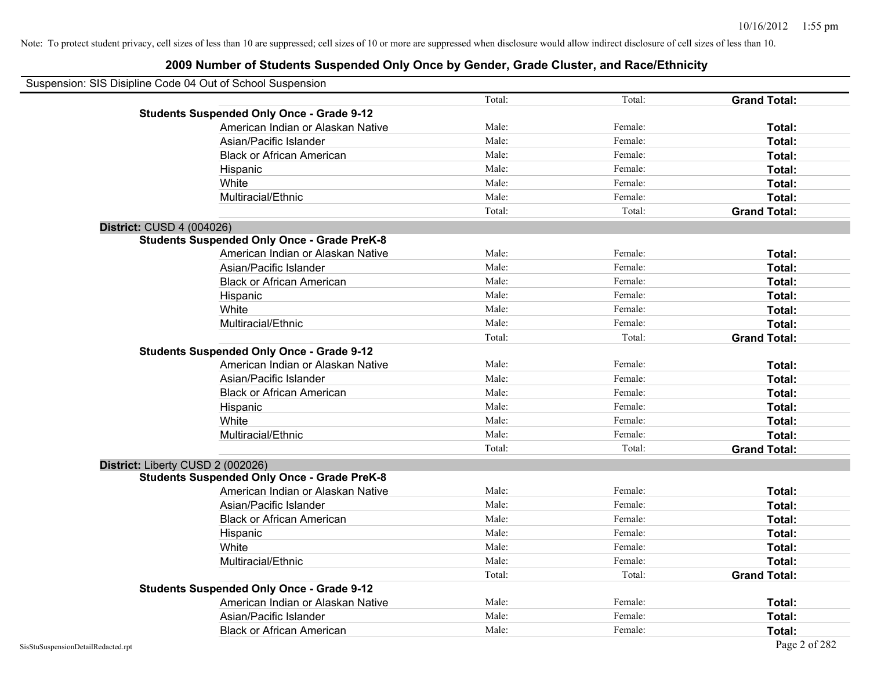| Suspension: SIS Disipline Code 04 Out of School Suspension |                                                    |        |         |                     |
|------------------------------------------------------------|----------------------------------------------------|--------|---------|---------------------|
|                                                            |                                                    | Total: | Total:  | <b>Grand Total:</b> |
|                                                            | <b>Students Suspended Only Once - Grade 9-12</b>   |        |         |                     |
|                                                            | American Indian or Alaskan Native                  | Male:  | Female: | Total:              |
|                                                            | Asian/Pacific Islander                             | Male:  | Female: | Total:              |
|                                                            | <b>Black or African American</b>                   | Male:  | Female: | Total:              |
|                                                            | Hispanic                                           | Male:  | Female: | Total:              |
|                                                            | White                                              | Male:  | Female: | Total:              |
|                                                            | Multiracial/Ethnic                                 | Male:  | Female: | Total:              |
|                                                            |                                                    | Total: | Total:  | <b>Grand Total:</b> |
| <b>District: CUSD 4 (004026)</b>                           |                                                    |        |         |                     |
|                                                            | <b>Students Suspended Only Once - Grade PreK-8</b> |        |         |                     |
|                                                            | American Indian or Alaskan Native                  | Male:  | Female: | Total:              |
|                                                            | Asian/Pacific Islander                             | Male:  | Female: | Total:              |
|                                                            | <b>Black or African American</b>                   | Male:  | Female: | Total:              |
|                                                            | Hispanic                                           | Male:  | Female: | Total:              |
|                                                            | White                                              | Male:  | Female: | Total:              |
|                                                            | Multiracial/Ethnic                                 | Male:  | Female: | Total:              |
|                                                            |                                                    | Total: | Total:  | <b>Grand Total:</b> |
|                                                            | <b>Students Suspended Only Once - Grade 9-12</b>   |        |         |                     |
|                                                            | American Indian or Alaskan Native                  | Male:  | Female: | Total:              |
|                                                            | Asian/Pacific Islander                             | Male:  | Female: | Total:              |
|                                                            | <b>Black or African American</b>                   | Male:  | Female: | Total:              |
|                                                            | Hispanic                                           | Male:  | Female: | Total:              |
|                                                            | White                                              | Male:  | Female: | Total:              |
|                                                            | Multiracial/Ethnic                                 | Male:  | Female: | Total:              |
|                                                            |                                                    | Total: | Total:  | <b>Grand Total:</b> |
| District: Liberty CUSD 2 (002026)                          |                                                    |        |         |                     |
|                                                            | <b>Students Suspended Only Once - Grade PreK-8</b> |        |         |                     |
|                                                            | American Indian or Alaskan Native                  | Male:  | Female: | Total:              |
|                                                            | Asian/Pacific Islander                             | Male:  | Female: | Total:              |
|                                                            | <b>Black or African American</b>                   | Male:  | Female: | Total:              |
|                                                            | Hispanic                                           | Male:  | Female: | Total:              |
|                                                            | White                                              | Male:  | Female: | Total:              |
|                                                            | Multiracial/Ethnic                                 | Male:  | Female: | Total:              |
|                                                            |                                                    | Total: | Total:  | <b>Grand Total:</b> |
|                                                            | <b>Students Suspended Only Once - Grade 9-12</b>   |        |         |                     |
|                                                            | American Indian or Alaskan Native                  | Male:  | Female: | Total:              |
|                                                            | Asian/Pacific Islander                             | Male:  | Female: | Total:              |
|                                                            | <b>Black or African American</b>                   | Male:  | Female: | Total:              |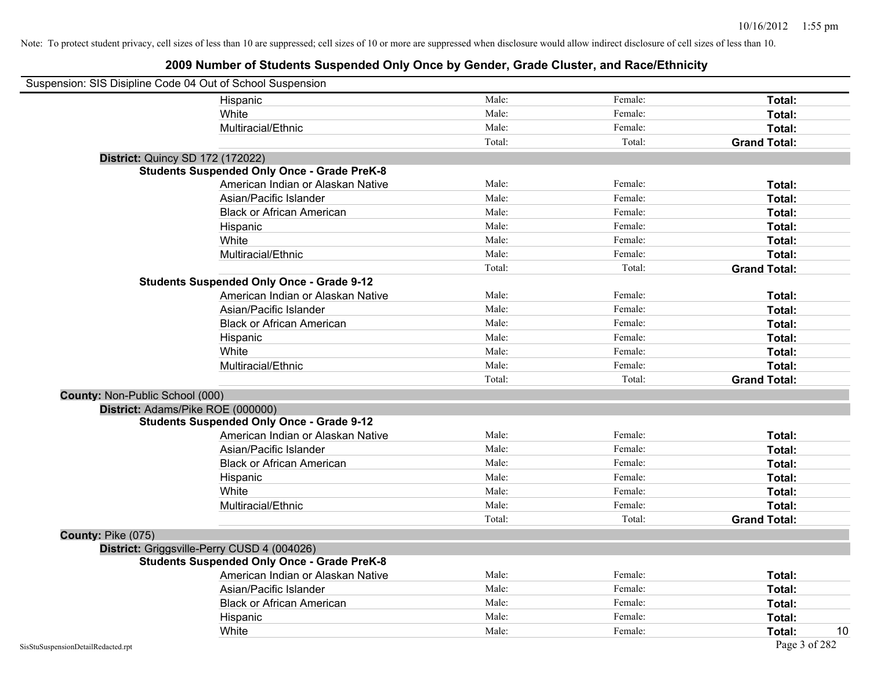|                                    | Suspension: SIS Disipline Code 04 Out of School Suspension |        |         |                     |
|------------------------------------|------------------------------------------------------------|--------|---------|---------------------|
|                                    | Hispanic                                                   | Male:  | Female: | Total:              |
|                                    | White                                                      | Male:  | Female: | Total:              |
|                                    | Multiracial/Ethnic                                         | Male:  | Female: | Total:              |
|                                    |                                                            | Total: | Total:  | <b>Grand Total:</b> |
|                                    | District: Quincy SD 172 (172022)                           |        |         |                     |
|                                    | <b>Students Suspended Only Once - Grade PreK-8</b>         |        |         |                     |
|                                    | American Indian or Alaskan Native                          | Male:  | Female: | Total:              |
|                                    | Asian/Pacific Islander                                     | Male:  | Female: | Total:              |
|                                    | <b>Black or African American</b>                           | Male:  | Female: | Total:              |
|                                    | Hispanic                                                   | Male:  | Female: | Total:              |
|                                    | White                                                      | Male:  | Female: | Total:              |
|                                    | Multiracial/Ethnic                                         | Male:  | Female: | Total:              |
|                                    |                                                            | Total: | Total:  | <b>Grand Total:</b> |
|                                    | <b>Students Suspended Only Once - Grade 9-12</b>           |        |         |                     |
|                                    | American Indian or Alaskan Native                          | Male:  | Female: | Total:              |
|                                    | Asian/Pacific Islander                                     | Male:  | Female: | Total:              |
|                                    | <b>Black or African American</b>                           | Male:  | Female: | Total:              |
|                                    | Hispanic                                                   | Male:  | Female: | Total:              |
|                                    | White                                                      | Male:  | Female: | Total:              |
|                                    | Multiracial/Ethnic                                         | Male:  | Female: | Total:              |
|                                    |                                                            | Total: | Total:  | <b>Grand Total:</b> |
| County: Non-Public School (000)    |                                                            |        |         |                     |
|                                    | District: Adams/Pike ROE (000000)                          |        |         |                     |
|                                    | <b>Students Suspended Only Once - Grade 9-12</b>           |        |         |                     |
|                                    | American Indian or Alaskan Native                          | Male:  | Female: | Total:              |
|                                    | Asian/Pacific Islander                                     | Male:  | Female: | Total:              |
|                                    | <b>Black or African American</b>                           | Male:  | Female: | Total:              |
|                                    | Hispanic                                                   | Male:  | Female: | Total:              |
|                                    | White                                                      | Male:  | Female: | Total:              |
|                                    | Multiracial/Ethnic                                         | Male:  | Female: | Total:              |
|                                    |                                                            | Total: | Total:  | <b>Grand Total:</b> |
| County: Pike (075)                 |                                                            |        |         |                     |
|                                    | District: Griggsville-Perry CUSD 4 (004026)                |        |         |                     |
|                                    | <b>Students Suspended Only Once - Grade PreK-8</b>         |        |         |                     |
|                                    | American Indian or Alaskan Native                          | Male:  | Female: | Total:              |
|                                    | Asian/Pacific Islander                                     | Male:  | Female: | <b>Total:</b>       |
|                                    | <b>Black or African American</b>                           | Male:  | Female: | Total:              |
|                                    | Hispanic                                                   | Male:  | Female: | Total:              |
|                                    | White                                                      | Male:  | Female: | Total:<br>10        |
| SisStuSuspensionDetailRedacted.rpt |                                                            |        |         | Page 3 of 282       |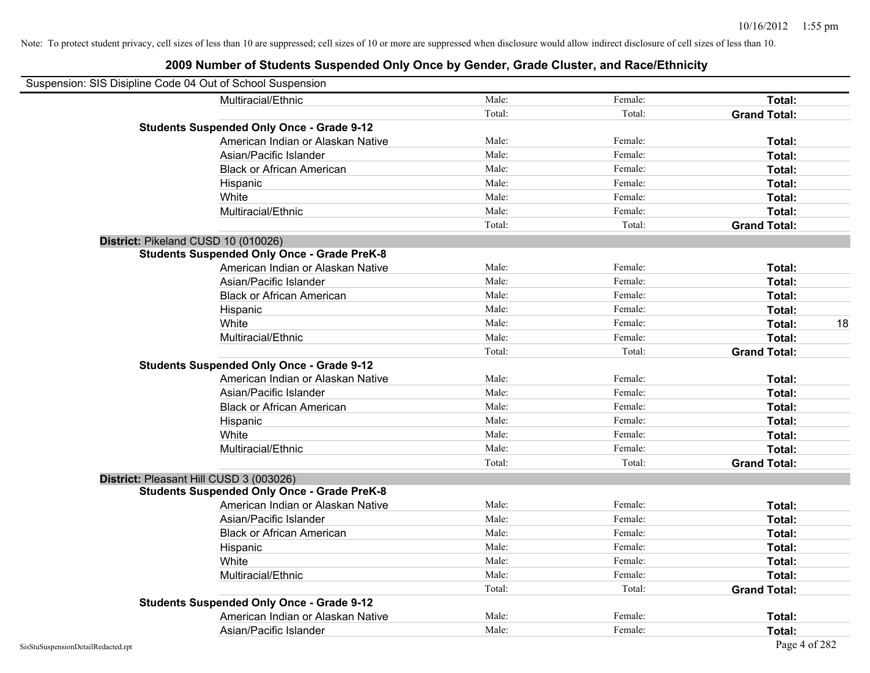| Suspension: SIS Disipline Code 04 Out of School Suspension |                                                    |        |         |                     |    |
|------------------------------------------------------------|----------------------------------------------------|--------|---------|---------------------|----|
|                                                            | Multiracial/Ethnic                                 | Male:  | Female: | Total:              |    |
|                                                            |                                                    | Total: | Total:  | <b>Grand Total:</b> |    |
|                                                            | <b>Students Suspended Only Once - Grade 9-12</b>   |        |         |                     |    |
|                                                            | American Indian or Alaskan Native                  | Male:  | Female: | Total:              |    |
|                                                            | Asian/Pacific Islander                             | Male:  | Female: | Total:              |    |
|                                                            | <b>Black or African American</b>                   | Male:  | Female: | Total:              |    |
|                                                            | Hispanic                                           | Male:  | Female: | Total:              |    |
|                                                            | White                                              | Male:  | Female: | Total:              |    |
|                                                            | Multiracial/Ethnic                                 | Male:  | Female: | Total:              |    |
|                                                            |                                                    | Total: | Total:  | <b>Grand Total:</b> |    |
| District: Pikeland CUSD 10 (010026)                        |                                                    |        |         |                     |    |
|                                                            | <b>Students Suspended Only Once - Grade PreK-8</b> |        |         |                     |    |
|                                                            | American Indian or Alaskan Native                  | Male:  | Female: | Total:              |    |
|                                                            | Asian/Pacific Islander                             | Male:  | Female: | Total:              |    |
|                                                            | <b>Black or African American</b>                   | Male:  | Female: | Total:              |    |
|                                                            | Hispanic                                           | Male:  | Female: | Total:              |    |
|                                                            | White                                              | Male:  | Female: | Total:              | 18 |
|                                                            | Multiracial/Ethnic                                 | Male:  | Female: | Total:              |    |
|                                                            |                                                    | Total: | Total:  | <b>Grand Total:</b> |    |
|                                                            | <b>Students Suspended Only Once - Grade 9-12</b>   |        |         |                     |    |
|                                                            | American Indian or Alaskan Native                  | Male:  | Female: | Total:              |    |
|                                                            | Asian/Pacific Islander                             | Male:  | Female: | Total:              |    |
|                                                            | <b>Black or African American</b>                   | Male:  | Female: | Total:              |    |
|                                                            | Hispanic                                           | Male:  | Female: | Total:              |    |
|                                                            | White                                              | Male:  | Female: | Total:              |    |
|                                                            | Multiracial/Ethnic                                 | Male:  | Female: | Total:              |    |
|                                                            |                                                    | Total: | Total:  | <b>Grand Total:</b> |    |
| District: Pleasant Hill CUSD 3 (003026)                    |                                                    |        |         |                     |    |
|                                                            | <b>Students Suspended Only Once - Grade PreK-8</b> |        |         |                     |    |
|                                                            | American Indian or Alaskan Native                  | Male:  | Female: | Total:              |    |
|                                                            | Asian/Pacific Islander                             | Male:  | Female: | Total:              |    |
|                                                            | <b>Black or African American</b>                   | Male:  | Female: | Total:              |    |
|                                                            | Hispanic                                           | Male:  | Female: | Total:              |    |
|                                                            | White                                              | Male:  | Female: | Total:              |    |
|                                                            | Multiracial/Ethnic                                 | Male:  | Female: | Total:              |    |
|                                                            |                                                    | Total: | Total:  | <b>Grand Total:</b> |    |
|                                                            | <b>Students Suspended Only Once - Grade 9-12</b>   |        |         |                     |    |
|                                                            | American Indian or Alaskan Native                  | Male:  | Female: | Total:              |    |
|                                                            | Asian/Pacific Islander                             | Male:  | Female: | Total:              |    |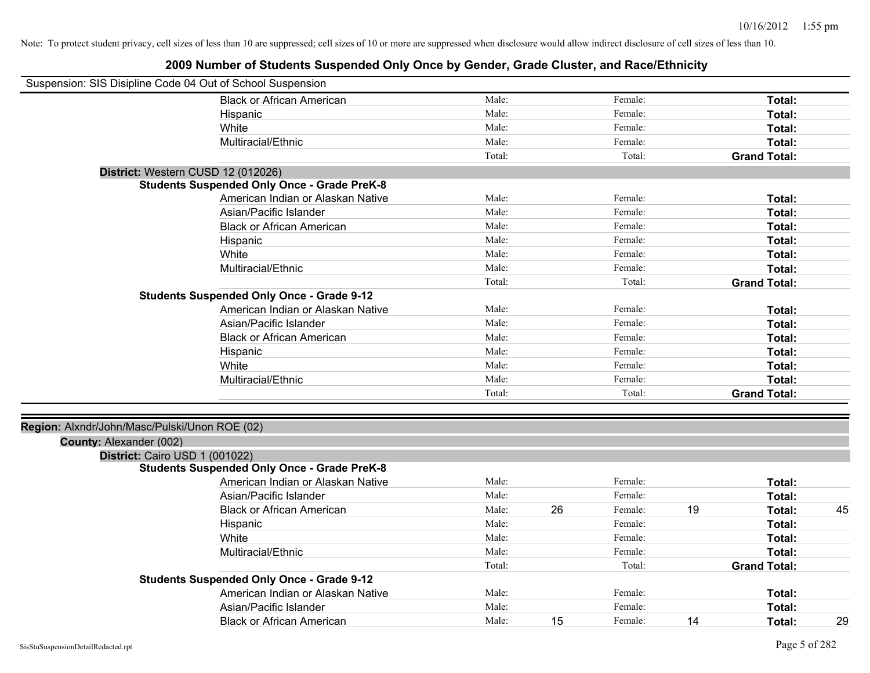| Suspension: SIS Disipline Code 04 Out of School Suspension |                                                    |        |    |         |    |                     |    |
|------------------------------------------------------------|----------------------------------------------------|--------|----|---------|----|---------------------|----|
|                                                            | <b>Black or African American</b>                   | Male:  |    | Female: |    | Total:              |    |
|                                                            | Hispanic                                           | Male:  |    | Female: |    | Total:              |    |
|                                                            | White                                              | Male:  |    | Female: |    | Total:              |    |
|                                                            | Multiracial/Ethnic                                 | Male:  |    | Female: |    | Total:              |    |
|                                                            |                                                    | Total: |    | Total:  |    | <b>Grand Total:</b> |    |
| District: Western CUSD 12 (012026)                         |                                                    |        |    |         |    |                     |    |
|                                                            | <b>Students Suspended Only Once - Grade PreK-8</b> |        |    |         |    |                     |    |
|                                                            | American Indian or Alaskan Native                  | Male:  |    | Female: |    | Total:              |    |
|                                                            | Asian/Pacific Islander                             | Male:  |    | Female: |    | Total:              |    |
|                                                            | <b>Black or African American</b>                   | Male:  |    | Female: |    | Total:              |    |
|                                                            | Hispanic                                           | Male:  |    | Female: |    | Total:              |    |
|                                                            | White                                              | Male:  |    | Female: |    | Total:              |    |
|                                                            | Multiracial/Ethnic                                 | Male:  |    | Female: |    | Total:              |    |
|                                                            |                                                    | Total: |    | Total:  |    | <b>Grand Total:</b> |    |
|                                                            | <b>Students Suspended Only Once - Grade 9-12</b>   |        |    |         |    |                     |    |
|                                                            | American Indian or Alaskan Native                  | Male:  |    | Female: |    | Total:              |    |
|                                                            | Asian/Pacific Islander                             | Male:  |    | Female: |    | Total:              |    |
|                                                            | <b>Black or African American</b>                   | Male:  |    | Female: |    | Total:              |    |
|                                                            | Hispanic                                           | Male:  |    | Female: |    | Total:              |    |
|                                                            | White                                              | Male:  |    | Female: |    | <b>Total:</b>       |    |
|                                                            | Multiracial/Ethnic                                 | Male:  |    | Female: |    | Total:              |    |
|                                                            |                                                    | Total: |    | Total:  |    | <b>Grand Total:</b> |    |
|                                                            |                                                    |        |    |         |    |                     |    |
| Region: Alxndr/John/Masc/Pulski/Unon ROE (02)              |                                                    |        |    |         |    |                     |    |
| County: Alexander (002)                                    |                                                    |        |    |         |    |                     |    |
| District: Cairo USD 1 (001022)                             |                                                    |        |    |         |    |                     |    |
|                                                            | <b>Students Suspended Only Once - Grade PreK-8</b> |        |    |         |    |                     |    |
|                                                            | American Indian or Alaskan Native                  | Male:  |    | Female: |    | Total:              |    |
|                                                            | Asian/Pacific Islander                             | Male:  |    | Female: |    | Total:              |    |
|                                                            | <b>Black or African American</b>                   | Male:  | 26 | Female: | 19 | Total:              | 45 |
|                                                            | Hispanic                                           | Male:  |    | Female: |    | Total:              |    |
|                                                            | White                                              | Male:  |    | Female: |    | Total:              |    |
|                                                            | Multiracial/Ethnic                                 | Male:  |    | Female: |    | Total:              |    |
|                                                            |                                                    | Total: |    | Total:  |    | <b>Grand Total:</b> |    |
|                                                            | <b>Students Suspended Only Once - Grade 9-12</b>   |        |    |         |    |                     |    |
|                                                            | American Indian or Alaskan Native                  | Male:  |    | Female: |    | Total:              |    |
|                                                            | Asian/Pacific Islander                             | Male:  |    | Female: |    | Total:              |    |
|                                                            | <b>Black or African American</b>                   | Male:  | 15 | Female: | 14 | Total:              | 29 |
|                                                            |                                                    |        |    |         |    |                     |    |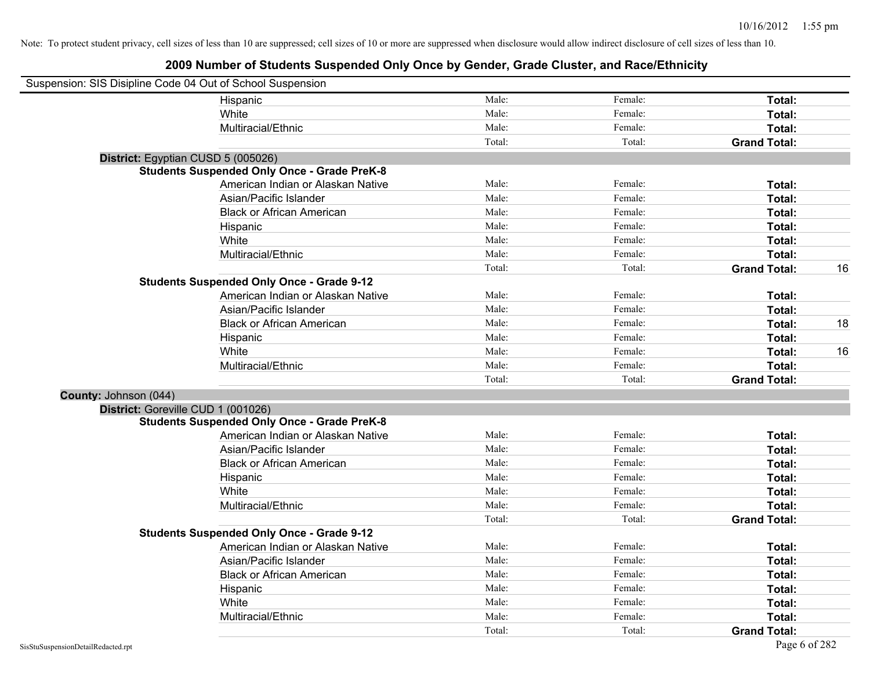| Suspension: SIS Disipline Code 04 Out of School Suspension |                                                    |        |         |                     |    |
|------------------------------------------------------------|----------------------------------------------------|--------|---------|---------------------|----|
|                                                            | Hispanic                                           | Male:  | Female: | Total:              |    |
|                                                            | White                                              | Male:  | Female: | Total:              |    |
|                                                            | Multiracial/Ethnic                                 | Male:  | Female: | Total:              |    |
|                                                            |                                                    | Total: | Total:  | <b>Grand Total:</b> |    |
| District: Egyptian CUSD 5 (005026)                         |                                                    |        |         |                     |    |
|                                                            | <b>Students Suspended Only Once - Grade PreK-8</b> |        |         |                     |    |
|                                                            | American Indian or Alaskan Native                  | Male:  | Female: | Total:              |    |
|                                                            | Asian/Pacific Islander                             | Male:  | Female: | Total:              |    |
|                                                            | <b>Black or African American</b>                   | Male:  | Female: | Total:              |    |
|                                                            | Hispanic                                           | Male:  | Female: | Total:              |    |
|                                                            | White                                              | Male:  | Female: | Total:              |    |
|                                                            | Multiracial/Ethnic                                 | Male:  | Female: | Total:              |    |
|                                                            |                                                    | Total: | Total:  | <b>Grand Total:</b> | 16 |
|                                                            | <b>Students Suspended Only Once - Grade 9-12</b>   |        |         |                     |    |
|                                                            | American Indian or Alaskan Native                  | Male:  | Female: | Total:              |    |
|                                                            | Asian/Pacific Islander                             | Male:  | Female: | Total:              |    |
|                                                            | <b>Black or African American</b>                   | Male:  | Female: | Total:              | 18 |
|                                                            | Hispanic                                           | Male:  | Female: | Total:              |    |
|                                                            | White                                              | Male:  | Female: | Total:              | 16 |
|                                                            | Multiracial/Ethnic                                 | Male:  | Female: | Total:              |    |
|                                                            |                                                    | Total: | Total:  | <b>Grand Total:</b> |    |
| County: Johnson (044)                                      |                                                    |        |         |                     |    |
| District: Goreville CUD 1 (001026)                         |                                                    |        |         |                     |    |
|                                                            | <b>Students Suspended Only Once - Grade PreK-8</b> |        |         |                     |    |
|                                                            | American Indian or Alaskan Native                  | Male:  | Female: | Total:              |    |
|                                                            | Asian/Pacific Islander                             | Male:  | Female: | Total:              |    |
|                                                            | <b>Black or African American</b>                   | Male:  | Female: | Total:              |    |
|                                                            | Hispanic                                           | Male:  | Female: | Total:              |    |
|                                                            | White                                              | Male:  | Female: | Total:              |    |
|                                                            | Multiracial/Ethnic                                 | Male:  | Female: | Total:              |    |
|                                                            |                                                    | Total: | Total:  | <b>Grand Total:</b> |    |
|                                                            | <b>Students Suspended Only Once - Grade 9-12</b>   |        |         |                     |    |
|                                                            | American Indian or Alaskan Native                  | Male:  | Female: | Total:              |    |
|                                                            | Asian/Pacific Islander                             | Male:  | Female: | Total:              |    |
|                                                            | <b>Black or African American</b>                   | Male:  | Female: | Total:              |    |
|                                                            | Hispanic                                           | Male:  | Female: | Total:              |    |
|                                                            | White                                              | Male:  | Female: | Total:              |    |
|                                                            | Multiracial/Ethnic                                 | Male:  | Female: | Total:              |    |
|                                                            |                                                    | Total: | Total:  | <b>Grand Total:</b> |    |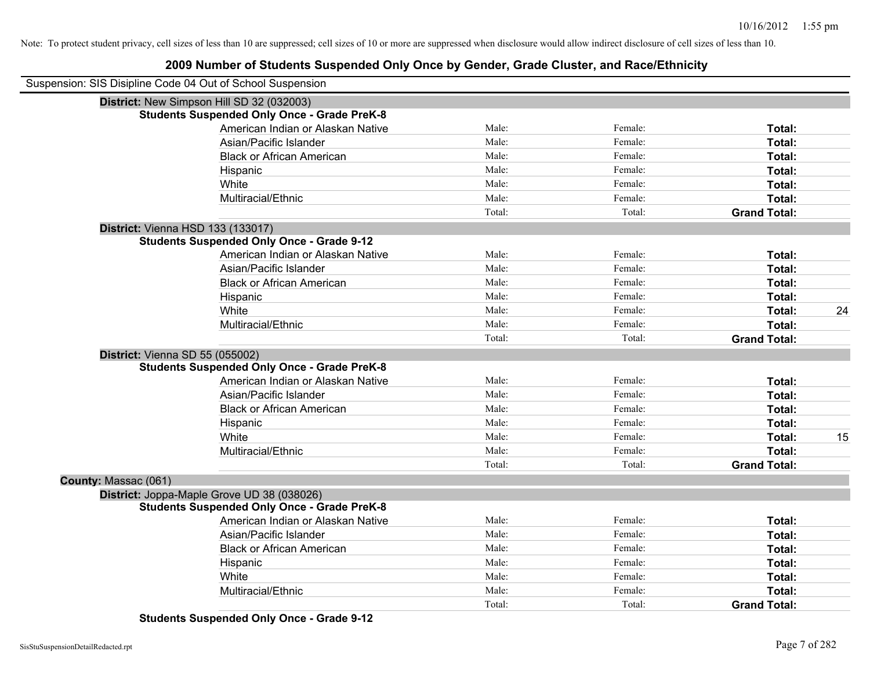### **2009 Number of Students Suspended Only Once by Gender, Grade Cluster, and Race/Ethnicity**

|                      | Suspension: SIS Disipline Code 04 Out of School Suspension |        |         |                     |    |
|----------------------|------------------------------------------------------------|--------|---------|---------------------|----|
|                      | District: New Simpson Hill SD 32 (032003)                  |        |         |                     |    |
|                      | <b>Students Suspended Only Once - Grade PreK-8</b>         |        |         |                     |    |
|                      | American Indian or Alaskan Native                          | Male:  | Female: | Total:              |    |
|                      | Asian/Pacific Islander                                     | Male:  | Female: | Total:              |    |
|                      | <b>Black or African American</b>                           | Male:  | Female: | Total:              |    |
|                      | Hispanic                                                   | Male:  | Female: | Total:              |    |
|                      | White                                                      | Male:  | Female: | Total:              |    |
|                      | Multiracial/Ethnic                                         | Male:  | Female: | Total:              |    |
|                      |                                                            | Total: | Total:  | <b>Grand Total:</b> |    |
|                      | <b>District: Vienna HSD 133 (133017)</b>                   |        |         |                     |    |
|                      | <b>Students Suspended Only Once - Grade 9-12</b>           |        |         |                     |    |
|                      | American Indian or Alaskan Native                          | Male:  | Female: | Total:              |    |
|                      | Asian/Pacific Islander                                     | Male:  | Female: | Total:              |    |
|                      | <b>Black or African American</b>                           | Male:  | Female: | Total:              |    |
|                      | Hispanic                                                   | Male:  | Female: | Total:              |    |
|                      | White                                                      | Male:  | Female: | Total:              | 24 |
|                      | Multiracial/Ethnic                                         | Male:  | Female: | Total:              |    |
|                      |                                                            | Total: | Total:  | <b>Grand Total:</b> |    |
|                      | District: Vienna SD 55 (055002)                            |        |         |                     |    |
|                      | <b>Students Suspended Only Once - Grade PreK-8</b>         |        |         |                     |    |
|                      | American Indian or Alaskan Native                          | Male:  | Female: | Total:              |    |
|                      | Asian/Pacific Islander                                     | Male:  | Female: | Total:              |    |
|                      | <b>Black or African American</b>                           | Male:  | Female: | Total:              |    |
|                      | Hispanic                                                   | Male:  | Female: | Total:              |    |
|                      | White                                                      | Male:  | Female: | Total:              | 15 |
|                      | Multiracial/Ethnic                                         | Male:  | Female: | Total:              |    |
|                      |                                                            | Total: | Total:  | <b>Grand Total:</b> |    |
| County: Massac (061) |                                                            |        |         |                     |    |
|                      | District: Joppa-Maple Grove UD 38 (038026)                 |        |         |                     |    |
|                      | <b>Students Suspended Only Once - Grade PreK-8</b>         |        |         |                     |    |
|                      | American Indian or Alaskan Native                          | Male:  | Female: | Total:              |    |
|                      | Asian/Pacific Islander                                     | Male:  | Female: | Total:              |    |
|                      | <b>Black or African American</b>                           | Male:  | Female: | Total:              |    |
|                      | Hispanic                                                   | Male:  | Female: | Total:              |    |
|                      | White                                                      | Male:  | Female: | Total:              |    |
|                      | Multiracial/Ethnic                                         | Male:  | Female: | Total:              |    |
|                      |                                                            | Total: | Total:  | <b>Grand Total:</b> |    |

**Students Suspended Only Once - Grade 9-12**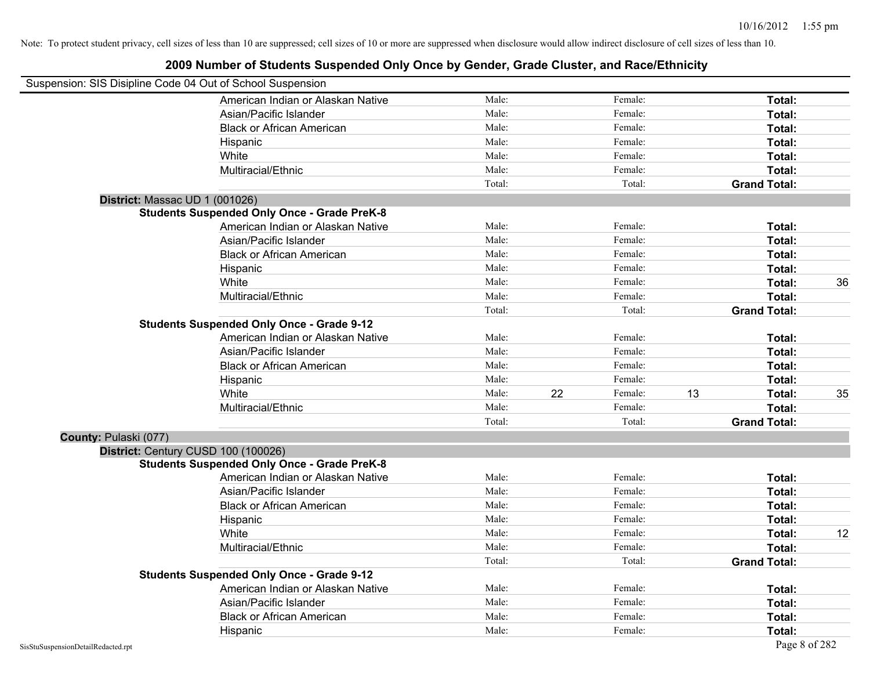|                       | Suspension: SIS Disipline Code 04 Out of School Suspension |        |    |         |    |                     |    |
|-----------------------|------------------------------------------------------------|--------|----|---------|----|---------------------|----|
|                       | American Indian or Alaskan Native                          | Male:  |    | Female: |    | Total:              |    |
|                       | Asian/Pacific Islander                                     | Male:  |    | Female: |    | Total:              |    |
|                       | <b>Black or African American</b>                           | Male:  |    | Female: |    | Total:              |    |
|                       | Hispanic                                                   | Male:  |    | Female: |    | Total:              |    |
|                       | White                                                      | Male:  |    | Female: |    | Total:              |    |
|                       | Multiracial/Ethnic                                         | Male:  |    | Female: |    | Total:              |    |
|                       |                                                            | Total: |    | Total:  |    | <b>Grand Total:</b> |    |
|                       | District: Massac UD 1 (001026)                             |        |    |         |    |                     |    |
|                       | <b>Students Suspended Only Once - Grade PreK-8</b>         |        |    |         |    |                     |    |
|                       | American Indian or Alaskan Native                          | Male:  |    | Female: |    | Total:              |    |
|                       | Asian/Pacific Islander                                     | Male:  |    | Female: |    | Total:              |    |
|                       | <b>Black or African American</b>                           | Male:  |    | Female: |    | Total:              |    |
|                       | Hispanic                                                   | Male:  |    | Female: |    | Total:              |    |
|                       | White                                                      | Male:  |    | Female: |    | Total:              | 36 |
|                       | Multiracial/Ethnic                                         | Male:  |    | Female: |    | Total:              |    |
|                       |                                                            | Total: |    | Total:  |    | <b>Grand Total:</b> |    |
|                       | <b>Students Suspended Only Once - Grade 9-12</b>           |        |    |         |    |                     |    |
|                       | American Indian or Alaskan Native                          | Male:  |    | Female: |    | Total:              |    |
|                       | Asian/Pacific Islander                                     | Male:  |    | Female: |    | Total:              |    |
|                       | <b>Black or African American</b>                           | Male:  |    | Female: |    | Total:              |    |
|                       | Hispanic                                                   | Male:  |    | Female: |    | Total:              |    |
|                       | White                                                      | Male:  | 22 | Female: | 13 | Total:              | 35 |
|                       | Multiracial/Ethnic                                         | Male:  |    | Female: |    | Total:              |    |
|                       |                                                            | Total: |    | Total:  |    | <b>Grand Total:</b> |    |
| County: Pulaski (077) |                                                            |        |    |         |    |                     |    |
|                       | District: Century CUSD 100 (100026)                        |        |    |         |    |                     |    |
|                       | <b>Students Suspended Only Once - Grade PreK-8</b>         |        |    |         |    |                     |    |
|                       | American Indian or Alaskan Native                          | Male:  |    | Female: |    | Total:              |    |
|                       | Asian/Pacific Islander                                     | Male:  |    | Female: |    | Total:              |    |
|                       | <b>Black or African American</b>                           | Male:  |    | Female: |    | Total:              |    |
|                       | Hispanic                                                   | Male:  |    | Female: |    | Total:              |    |
|                       | White                                                      | Male:  |    | Female: |    | Total:              | 12 |
|                       | Multiracial/Ethnic                                         | Male:  |    | Female: |    | Total:              |    |
|                       |                                                            | Total: |    | Total:  |    | <b>Grand Total:</b> |    |
|                       | <b>Students Suspended Only Once - Grade 9-12</b>           |        |    |         |    |                     |    |
|                       | American Indian or Alaskan Native                          | Male:  |    | Female: |    | Total:              |    |
|                       | Asian/Pacific Islander                                     | Male:  |    | Female: |    | Total:              |    |
|                       | <b>Black or African American</b>                           | Male:  |    | Female: |    | Total:              |    |
|                       | Hispanic                                                   | Male:  |    | Female: |    | Total:              |    |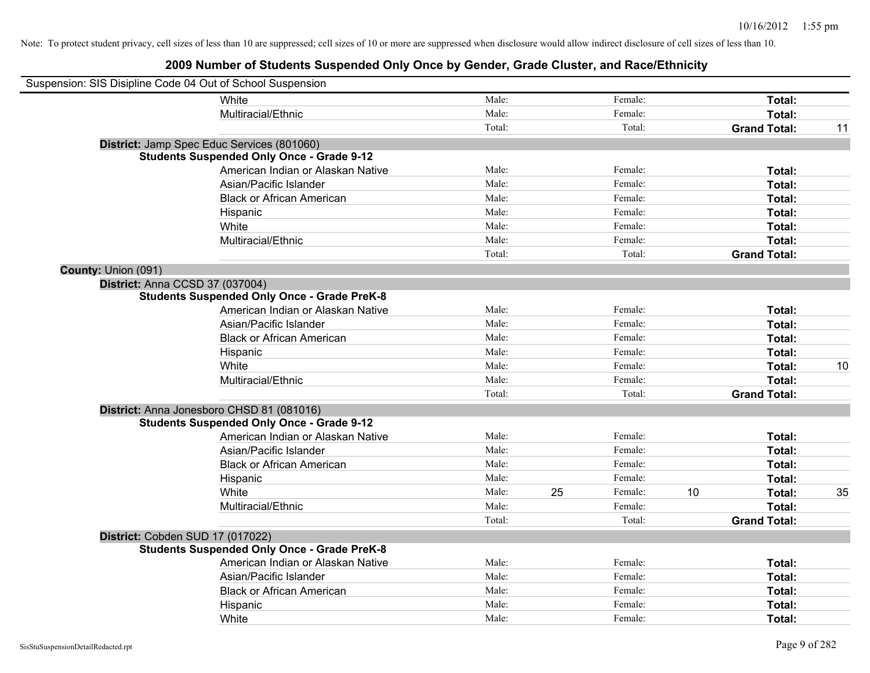| Suspension: SIS Disipline Code 04 Out of School Suspension |                                                    |        |    |         |    |                     |    |
|------------------------------------------------------------|----------------------------------------------------|--------|----|---------|----|---------------------|----|
|                                                            | <b>White</b>                                       | Male:  |    | Female: |    | Total:              |    |
|                                                            | Multiracial/Ethnic                                 | Male:  |    | Female: |    | Total:              |    |
|                                                            |                                                    | Total: |    | Total:  |    | <b>Grand Total:</b> | 11 |
|                                                            | District: Jamp Spec Educ Services (801060)         |        |    |         |    |                     |    |
|                                                            | <b>Students Suspended Only Once - Grade 9-12</b>   |        |    |         |    |                     |    |
|                                                            | American Indian or Alaskan Native                  | Male:  |    | Female: |    | Total:              |    |
|                                                            | Asian/Pacific Islander                             | Male:  |    | Female: |    | Total:              |    |
|                                                            | <b>Black or African American</b>                   | Male:  |    | Female: |    | Total:              |    |
|                                                            | Hispanic                                           | Male:  |    | Female: |    | Total:              |    |
|                                                            | White                                              | Male:  |    | Female: |    | Total:              |    |
|                                                            | Multiracial/Ethnic                                 | Male:  |    | Female: |    | Total:              |    |
|                                                            |                                                    | Total: |    | Total:  |    | <b>Grand Total:</b> |    |
| County: Union (091)                                        |                                                    |        |    |         |    |                     |    |
| District: Anna CCSD 37 (037004)                            |                                                    |        |    |         |    |                     |    |
|                                                            | <b>Students Suspended Only Once - Grade PreK-8</b> |        |    |         |    |                     |    |
|                                                            | American Indian or Alaskan Native                  | Male:  |    | Female: |    | Total:              |    |
|                                                            | Asian/Pacific Islander                             | Male:  |    | Female: |    | Total:              |    |
|                                                            | <b>Black or African American</b>                   | Male:  |    | Female: |    | Total:              |    |
|                                                            | Hispanic                                           | Male:  |    | Female: |    | Total:              |    |
|                                                            | White                                              | Male:  |    | Female: |    | Total:              | 10 |
|                                                            | Multiracial/Ethnic                                 | Male:  |    | Female: |    | Total:              |    |
|                                                            |                                                    | Total: |    | Total:  |    | <b>Grand Total:</b> |    |
|                                                            | District: Anna Jonesboro CHSD 81 (081016)          |        |    |         |    |                     |    |
|                                                            | <b>Students Suspended Only Once - Grade 9-12</b>   |        |    |         |    |                     |    |
|                                                            | American Indian or Alaskan Native                  | Male:  |    | Female: |    | Total:              |    |
|                                                            | Asian/Pacific Islander                             | Male:  |    | Female: |    | Total:              |    |
|                                                            | <b>Black or African American</b>                   | Male:  |    | Female: |    | Total:              |    |
|                                                            | Hispanic                                           | Male:  |    | Female: |    | Total:              |    |
|                                                            | White                                              | Male:  | 25 | Female: | 10 | Total:              | 35 |
|                                                            | Multiracial/Ethnic                                 | Male:  |    | Female: |    | Total:              |    |
|                                                            |                                                    | Total: |    | Total:  |    | <b>Grand Total:</b> |    |
| District: Cobden SUD 17 (017022)                           |                                                    |        |    |         |    |                     |    |
|                                                            | <b>Students Suspended Only Once - Grade PreK-8</b> |        |    |         |    |                     |    |
|                                                            | American Indian or Alaskan Native                  | Male:  |    | Female: |    | Total:              |    |
|                                                            | Asian/Pacific Islander                             | Male:  |    | Female: |    | Total:              |    |
|                                                            | <b>Black or African American</b>                   | Male:  |    | Female: |    | Total:              |    |
|                                                            | Hispanic                                           | Male:  |    | Female: |    | Total:              |    |
|                                                            | White                                              | Male:  |    | Female: |    | Total:              |    |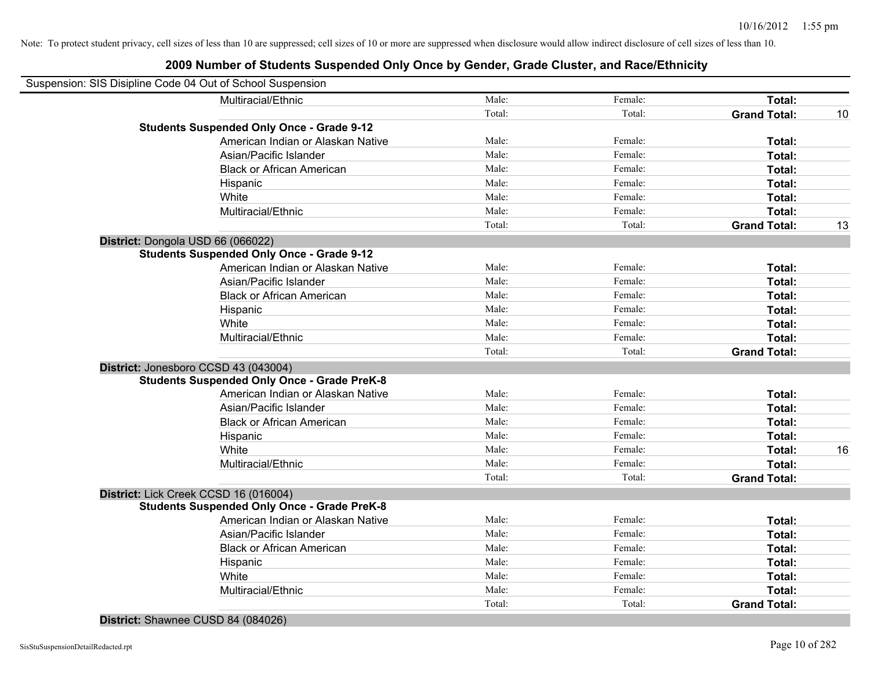| Suspension: SIS Disipline Code 04 Out of School Suspension |                                                    |        |         |                     |    |
|------------------------------------------------------------|----------------------------------------------------|--------|---------|---------------------|----|
|                                                            | Multiracial/Ethnic                                 | Male:  | Female: | Total:              |    |
|                                                            |                                                    | Total: | Total:  | <b>Grand Total:</b> | 10 |
|                                                            | <b>Students Suspended Only Once - Grade 9-12</b>   |        |         |                     |    |
|                                                            | American Indian or Alaskan Native                  | Male:  | Female: | Total:              |    |
|                                                            | Asian/Pacific Islander                             | Male:  | Female: | Total:              |    |
|                                                            | <b>Black or African American</b>                   | Male:  | Female: | Total:              |    |
|                                                            | Hispanic                                           | Male:  | Female: | Total:              |    |
|                                                            | White                                              | Male:  | Female: | Total:              |    |
|                                                            | Multiracial/Ethnic                                 | Male:  | Female: | Total:              |    |
|                                                            |                                                    | Total: | Total:  | <b>Grand Total:</b> | 13 |
|                                                            | District: Dongola USD 66 (066022)                  |        |         |                     |    |
|                                                            | <b>Students Suspended Only Once - Grade 9-12</b>   |        |         |                     |    |
|                                                            | American Indian or Alaskan Native                  | Male:  | Female: | Total:              |    |
|                                                            | Asian/Pacific Islander                             | Male:  | Female: | Total:              |    |
|                                                            | <b>Black or African American</b>                   | Male:  | Female: | Total:              |    |
|                                                            | Hispanic                                           | Male:  | Female: | Total:              |    |
|                                                            | White                                              | Male:  | Female: | Total:              |    |
|                                                            | Multiracial/Ethnic                                 | Male:  | Female: | Total:              |    |
|                                                            |                                                    | Total: | Total:  | <b>Grand Total:</b> |    |
|                                                            | District: Jonesboro CCSD 43 (043004)               |        |         |                     |    |
|                                                            | <b>Students Suspended Only Once - Grade PreK-8</b> |        |         |                     |    |
|                                                            | American Indian or Alaskan Native                  | Male:  | Female: | Total:              |    |
|                                                            | Asian/Pacific Islander                             | Male:  | Female: | Total:              |    |
|                                                            | <b>Black or African American</b>                   | Male:  | Female: | Total:              |    |
|                                                            | Hispanic                                           | Male:  | Female: | Total:              |    |
|                                                            | White                                              | Male:  | Female: | Total:              | 16 |
|                                                            | Multiracial/Ethnic                                 | Male:  | Female: | Total:              |    |
|                                                            |                                                    | Total: | Total:  | <b>Grand Total:</b> |    |
|                                                            | District: Lick Creek CCSD 16 (016004)              |        |         |                     |    |
|                                                            | <b>Students Suspended Only Once - Grade PreK-8</b> |        |         |                     |    |
|                                                            | American Indian or Alaskan Native                  | Male:  | Female: | Total:              |    |
|                                                            | Asian/Pacific Islander                             | Male:  | Female: | Total:              |    |
|                                                            | <b>Black or African American</b>                   | Male:  | Female: | Total:              |    |
|                                                            | Hispanic                                           | Male:  | Female: | Total:              |    |
|                                                            | White                                              | Male:  | Female: | Total:              |    |
|                                                            | Multiracial/Ethnic                                 | Male:  | Female: | Total:              |    |
|                                                            |                                                    | Total: | Total:  | <b>Grand Total:</b> |    |
|                                                            |                                                    |        |         |                     |    |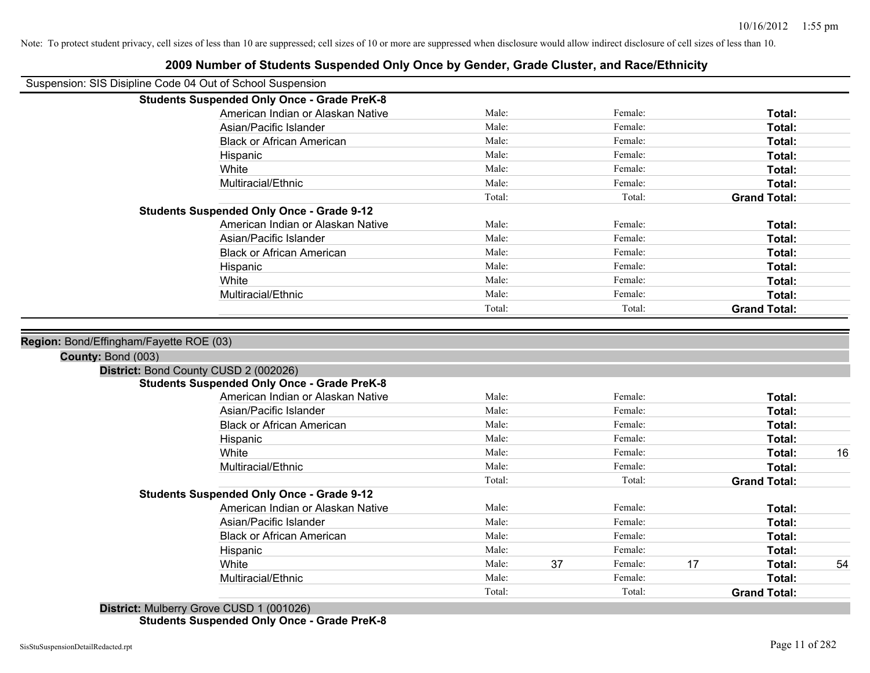|                    | Suspension: SIS Disipline Code 04 Out of School Suspension |        |    |         |    |                     |    |
|--------------------|------------------------------------------------------------|--------|----|---------|----|---------------------|----|
|                    | <b>Students Suspended Only Once - Grade PreK-8</b>         |        |    |         |    |                     |    |
|                    | American Indian or Alaskan Native                          | Male:  |    | Female: |    | Total:              |    |
|                    | Asian/Pacific Islander                                     | Male:  |    | Female: |    | Total:              |    |
|                    | <b>Black or African American</b>                           | Male:  |    | Female: |    | Total:              |    |
|                    | Hispanic                                                   | Male:  |    | Female: |    | Total:              |    |
|                    | White                                                      | Male:  |    | Female: |    | Total:              |    |
|                    | Multiracial/Ethnic                                         | Male:  |    | Female: |    | Total:              |    |
|                    |                                                            | Total: |    | Total:  |    | <b>Grand Total:</b> |    |
|                    | <b>Students Suspended Only Once - Grade 9-12</b>           |        |    |         |    |                     |    |
|                    | American Indian or Alaskan Native                          | Male:  |    | Female: |    | Total:              |    |
|                    | Asian/Pacific Islander                                     | Male:  |    | Female: |    | Total:              |    |
|                    | <b>Black or African American</b>                           | Male:  |    | Female: |    | Total:              |    |
|                    | Hispanic                                                   | Male:  |    | Female: |    | Total:              |    |
|                    | White                                                      | Male:  |    | Female: |    | Total:              |    |
|                    | Multiracial/Ethnic                                         | Male:  |    | Female: |    | Total:              |    |
|                    |                                                            | Total: |    | Total:  |    | <b>Grand Total:</b> |    |
| County: Bond (003) | District: Bond County CUSD 2 (002026)                      |        |    |         |    |                     |    |
|                    |                                                            |        |    |         |    |                     |    |
|                    | <b>Students Suspended Only Once - Grade PreK-8</b>         |        |    |         |    |                     |    |
|                    | American Indian or Alaskan Native                          | Male:  |    | Female: |    | Total:              |    |
|                    | Asian/Pacific Islander                                     | Male:  |    | Female: |    | Total:              |    |
|                    | <b>Black or African American</b>                           | Male:  |    | Female: |    | Total:              |    |
|                    | Hispanic                                                   | Male:  |    | Female: |    | Total:              |    |
|                    | White                                                      | Male:  |    | Female: |    | Total:              | 16 |
|                    | Multiracial/Ethnic                                         | Male:  |    | Female: |    | Total:              |    |
|                    |                                                            | Total: |    | Total:  |    | <b>Grand Total:</b> |    |
|                    | <b>Students Suspended Only Once - Grade 9-12</b>           |        |    |         |    |                     |    |
|                    | American Indian or Alaskan Native                          | Male:  |    | Female: |    | Total:              |    |
|                    | Asian/Pacific Islander                                     | Male:  |    | Female: |    | Total:              |    |
|                    | <b>Black or African American</b>                           | Male:  |    | Female: |    | Total:              |    |
|                    | Hispanic                                                   | Male:  |    | Female: |    | Total:              |    |
|                    | White                                                      | Male:  | 37 | Female: | 17 | Total:              | 54 |
|                    | Multiracial/Ethnic                                         | Male:  |    | Female: |    | Total:              |    |
|                    |                                                            | Total: |    | Total:  |    | <b>Grand Total:</b> |    |
|                    | District: Mulberry Grove CUSD 1 (001026)                   |        |    |         |    |                     |    |

### **2009 Number of Students Suspended Only Once by Gender, Grade Cluster, and Race/Ethnicity**

**Students Suspended Only Once - Grade PreK-8**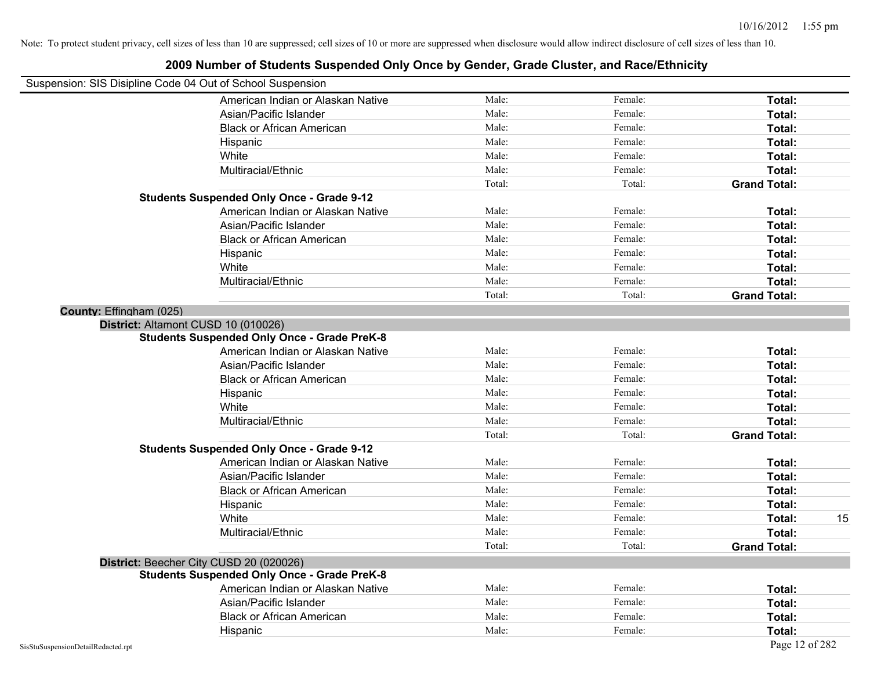| Suspension: SIS Disipline Code 04 Out of School Suspension |                                                    |        |         |                     |    |
|------------------------------------------------------------|----------------------------------------------------|--------|---------|---------------------|----|
|                                                            | American Indian or Alaskan Native                  | Male:  | Female: | Total:              |    |
|                                                            | Asian/Pacific Islander                             | Male:  | Female: | Total:              |    |
|                                                            | <b>Black or African American</b>                   | Male:  | Female: | Total:              |    |
|                                                            | Hispanic                                           | Male:  | Female: | Total:              |    |
|                                                            | White                                              | Male:  | Female: | Total:              |    |
|                                                            | Multiracial/Ethnic                                 | Male:  | Female: | Total:              |    |
|                                                            |                                                    | Total: | Total:  | <b>Grand Total:</b> |    |
|                                                            | <b>Students Suspended Only Once - Grade 9-12</b>   |        |         |                     |    |
|                                                            | American Indian or Alaskan Native                  | Male:  | Female: | Total:              |    |
|                                                            | Asian/Pacific Islander                             | Male:  | Female: | Total:              |    |
|                                                            | <b>Black or African American</b>                   | Male:  | Female: | Total:              |    |
|                                                            | Hispanic                                           | Male:  | Female: | Total:              |    |
|                                                            | White                                              | Male:  | Female: | Total:              |    |
|                                                            | Multiracial/Ethnic                                 | Male:  | Female: | Total:              |    |
|                                                            |                                                    | Total: | Total:  | <b>Grand Total:</b> |    |
| County: Effingham (025)                                    |                                                    |        |         |                     |    |
|                                                            | District: Altamont CUSD 10 (010026)                |        |         |                     |    |
|                                                            | <b>Students Suspended Only Once - Grade PreK-8</b> |        |         |                     |    |
|                                                            | American Indian or Alaskan Native                  | Male:  | Female: | Total:              |    |
|                                                            | Asian/Pacific Islander                             | Male:  | Female: | Total:              |    |
|                                                            | <b>Black or African American</b>                   | Male:  | Female: | Total:              |    |
|                                                            | Hispanic                                           | Male:  | Female: | Total:              |    |
|                                                            | White                                              | Male:  | Female: | Total:              |    |
|                                                            | Multiracial/Ethnic                                 | Male:  | Female: | Total:              |    |
|                                                            |                                                    | Total: | Total:  | <b>Grand Total:</b> |    |
|                                                            | <b>Students Suspended Only Once - Grade 9-12</b>   |        |         |                     |    |
|                                                            | American Indian or Alaskan Native                  | Male:  | Female: | Total:              |    |
|                                                            | Asian/Pacific Islander                             | Male:  | Female: | Total:              |    |
|                                                            | <b>Black or African American</b>                   | Male:  | Female: | Total:              |    |
|                                                            | Hispanic                                           | Male:  | Female: | Total:              |    |
|                                                            | White                                              | Male:  | Female: | Total:              | 15 |
|                                                            | Multiracial/Ethnic                                 | Male:  | Female: | Total:              |    |
|                                                            |                                                    | Total: | Total:  | <b>Grand Total:</b> |    |
|                                                            | District: Beecher City CUSD 20 (020026)            |        |         |                     |    |
|                                                            | <b>Students Suspended Only Once - Grade PreK-8</b> |        |         |                     |    |
|                                                            | American Indian or Alaskan Native                  | Male:  | Female: | Total:              |    |
|                                                            | Asian/Pacific Islander                             | Male:  | Female: | Total:              |    |
|                                                            | <b>Black or African American</b>                   | Male:  | Female: | Total:              |    |
|                                                            | Hispanic                                           | Male:  | Female: | Total:              |    |
| SisStuSuspensionDetailRedacted.rpt                         |                                                    |        |         | Page 12 of 282      |    |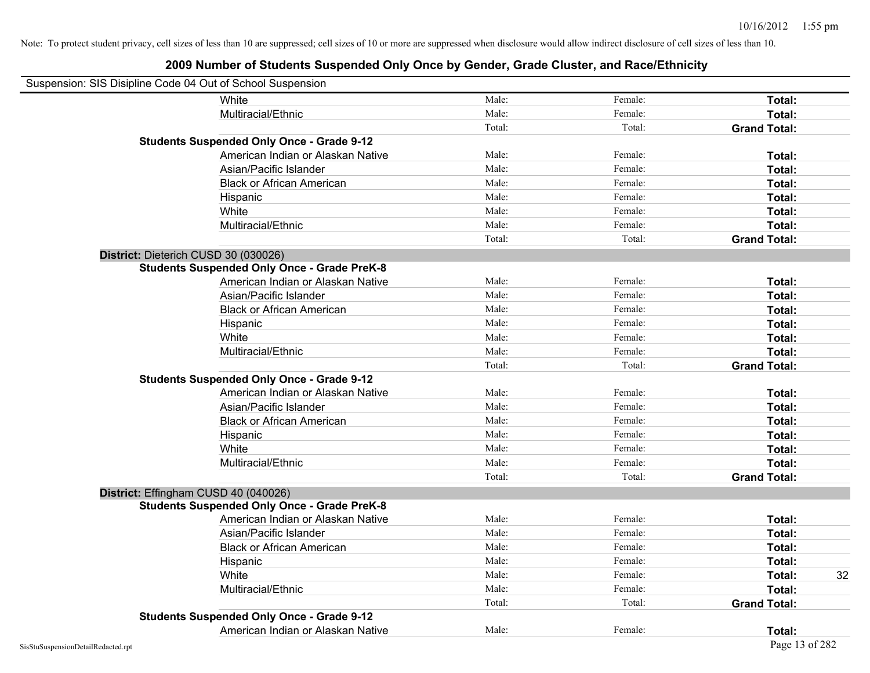| Suspension: SIS Disipline Code 04 Out of School Suspension |        |         |                     |    |
|------------------------------------------------------------|--------|---------|---------------------|----|
| White                                                      | Male:  | Female: | Total:              |    |
| Multiracial/Ethnic                                         | Male:  | Female: | Total:              |    |
|                                                            | Total: | Total:  | <b>Grand Total:</b> |    |
| <b>Students Suspended Only Once - Grade 9-12</b>           |        |         |                     |    |
| American Indian or Alaskan Native                          | Male:  | Female: | Total:              |    |
| Asian/Pacific Islander                                     | Male:  | Female: | Total:              |    |
| <b>Black or African American</b>                           | Male:  | Female: | Total:              |    |
| Hispanic                                                   | Male:  | Female: | Total:              |    |
| White                                                      | Male:  | Female: | Total:              |    |
| Multiracial/Ethnic                                         | Male:  | Female: | Total:              |    |
|                                                            | Total: | Total:  | <b>Grand Total:</b> |    |
| District: Dieterich CUSD 30 (030026)                       |        |         |                     |    |
| <b>Students Suspended Only Once - Grade PreK-8</b>         |        |         |                     |    |
| American Indian or Alaskan Native                          | Male:  | Female: | Total:              |    |
| Asian/Pacific Islander                                     | Male:  | Female: | Total:              |    |
| <b>Black or African American</b>                           | Male:  | Female: | Total:              |    |
| Hispanic                                                   | Male:  | Female: | Total:              |    |
| White                                                      | Male:  | Female: | Total:              |    |
| Multiracial/Ethnic                                         | Male:  | Female: | Total:              |    |
|                                                            | Total: | Total:  | <b>Grand Total:</b> |    |
| <b>Students Suspended Only Once - Grade 9-12</b>           |        |         |                     |    |
| American Indian or Alaskan Native                          | Male:  | Female: | Total:              |    |
| Asian/Pacific Islander                                     | Male:  | Female: | Total:              |    |
| <b>Black or African American</b>                           | Male:  | Female: | Total:              |    |
| Hispanic                                                   | Male:  | Female: | Total:              |    |
| White                                                      | Male:  | Female: | Total:              |    |
| Multiracial/Ethnic                                         | Male:  | Female: | Total:              |    |
|                                                            | Total: | Total:  | <b>Grand Total:</b> |    |
| District: Effingham CUSD 40 (040026)                       |        |         |                     |    |
| <b>Students Suspended Only Once - Grade PreK-8</b>         |        |         |                     |    |
| American Indian or Alaskan Native                          | Male:  | Female: | Total:              |    |
| Asian/Pacific Islander                                     | Male:  | Female: | Total:              |    |
| <b>Black or African American</b>                           | Male:  | Female: | Total:              |    |
| Hispanic                                                   | Male:  | Female: | Total:              |    |
| White                                                      | Male:  | Female: | Total:              | 32 |
| Multiracial/Ethnic                                         | Male:  | Female: | Total:              |    |
|                                                            | Total: | Total:  | <b>Grand Total:</b> |    |
| <b>Students Suspended Only Once - Grade 9-12</b>           |        |         |                     |    |
| American Indian or Alaskan Native                          | Male:  | Female: | Total:              |    |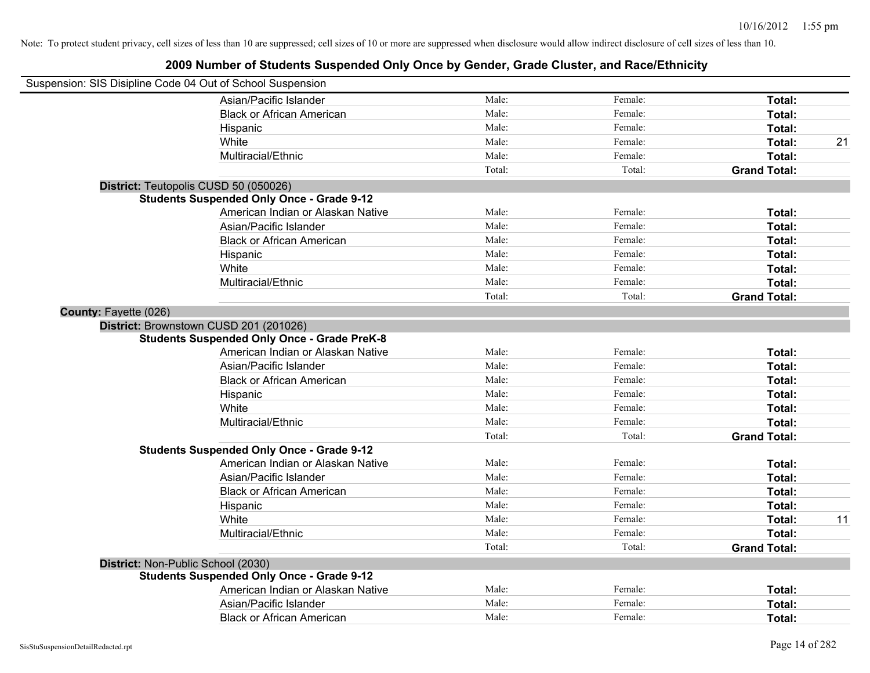| Suspension: SIS Disipline Code 04 Out of School Suspension |                                                    |        |         |                     |    |
|------------------------------------------------------------|----------------------------------------------------|--------|---------|---------------------|----|
|                                                            | Asian/Pacific Islander                             | Male:  | Female: | Total:              |    |
|                                                            | <b>Black or African American</b>                   | Male:  | Female: | Total:              |    |
|                                                            | Hispanic                                           | Male:  | Female: | Total:              |    |
|                                                            | White                                              | Male:  | Female: | Total:              | 21 |
|                                                            | Multiracial/Ethnic                                 | Male:  | Female: | Total:              |    |
|                                                            |                                                    | Total: | Total:  | <b>Grand Total:</b> |    |
| District: Teutopolis CUSD 50 (050026)                      |                                                    |        |         |                     |    |
|                                                            | <b>Students Suspended Only Once - Grade 9-12</b>   |        |         |                     |    |
|                                                            | American Indian or Alaskan Native                  | Male:  | Female: | Total:              |    |
|                                                            | Asian/Pacific Islander                             | Male:  | Female: | Total:              |    |
|                                                            | <b>Black or African American</b>                   | Male:  | Female: | Total:              |    |
|                                                            | Hispanic                                           | Male:  | Female: | Total:              |    |
|                                                            | White                                              | Male:  | Female: | Total:              |    |
|                                                            | Multiracial/Ethnic                                 | Male:  | Female: | Total:              |    |
|                                                            |                                                    | Total: | Total:  | <b>Grand Total:</b> |    |
| <b>County: Fayette (026)</b>                               |                                                    |        |         |                     |    |
| District: Brownstown CUSD 201 (201026)                     |                                                    |        |         |                     |    |
|                                                            | <b>Students Suspended Only Once - Grade PreK-8</b> |        |         |                     |    |
|                                                            | American Indian or Alaskan Native                  | Male:  | Female: | Total:              |    |
|                                                            | Asian/Pacific Islander                             | Male:  | Female: | Total:              |    |
|                                                            | <b>Black or African American</b>                   | Male:  | Female: | Total:              |    |
|                                                            | Hispanic                                           | Male:  | Female: | Total:              |    |
|                                                            | White                                              | Male:  | Female: | Total:              |    |
|                                                            | Multiracial/Ethnic                                 | Male:  | Female: | Total:              |    |
|                                                            |                                                    | Total: | Total:  | <b>Grand Total:</b> |    |
|                                                            | <b>Students Suspended Only Once - Grade 9-12</b>   |        |         |                     |    |
|                                                            | American Indian or Alaskan Native                  | Male:  | Female: | Total:              |    |
|                                                            | Asian/Pacific Islander                             | Male:  | Female: | Total:              |    |
|                                                            | <b>Black or African American</b>                   | Male:  | Female: | Total:              |    |
|                                                            | Hispanic                                           | Male:  | Female: | Total:              |    |
|                                                            | White                                              | Male:  | Female: | Total:              | 11 |
|                                                            | Multiracial/Ethnic                                 | Male:  | Female: | Total:              |    |
|                                                            |                                                    | Total: | Total:  | <b>Grand Total:</b> |    |
| District: Non-Public School (2030)                         |                                                    |        |         |                     |    |
|                                                            | <b>Students Suspended Only Once - Grade 9-12</b>   |        |         |                     |    |
|                                                            | American Indian or Alaskan Native                  | Male:  | Female: | Total:              |    |
|                                                            | Asian/Pacific Islander                             | Male:  | Female: | Total:              |    |
|                                                            | <b>Black or African American</b>                   | Male:  | Female: | Total:              |    |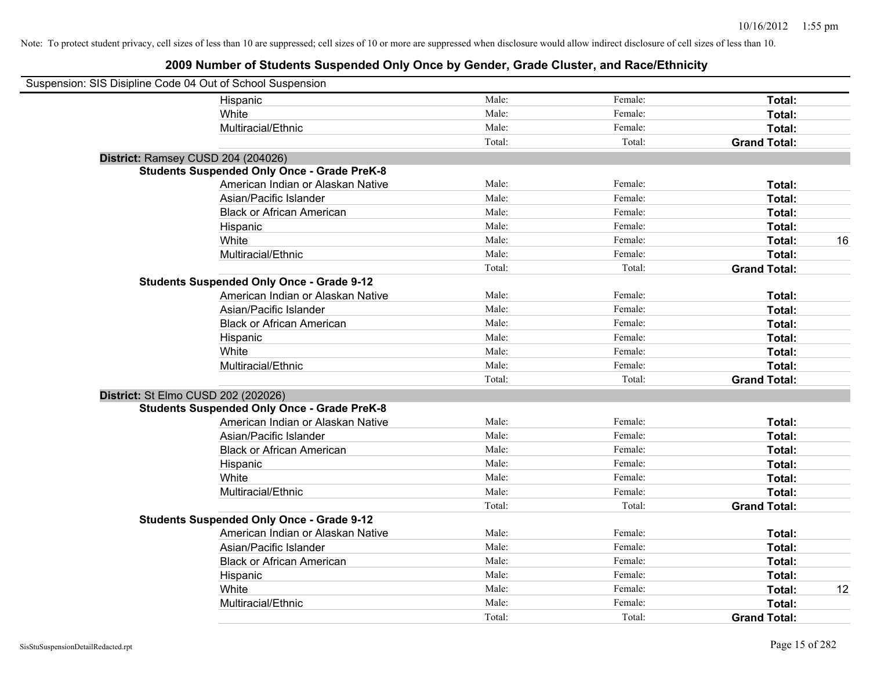| Suspension: SIS Disipline Code 04 Out of School Suspension |                                                    |        |         |                     |    |
|------------------------------------------------------------|----------------------------------------------------|--------|---------|---------------------|----|
|                                                            | Hispanic                                           | Male:  | Female: | Total:              |    |
|                                                            | White                                              | Male:  | Female: | Total:              |    |
|                                                            | Multiracial/Ethnic                                 | Male:  | Female: | Total:              |    |
|                                                            |                                                    | Total: | Total:  | <b>Grand Total:</b> |    |
|                                                            | District: Ramsey CUSD 204 (204026)                 |        |         |                     |    |
|                                                            | <b>Students Suspended Only Once - Grade PreK-8</b> |        |         |                     |    |
|                                                            | American Indian or Alaskan Native                  | Male:  | Female: | Total:              |    |
|                                                            | Asian/Pacific Islander                             | Male:  | Female: | Total:              |    |
|                                                            | <b>Black or African American</b>                   | Male:  | Female: | Total:              |    |
|                                                            | Hispanic                                           | Male:  | Female: | Total:              |    |
|                                                            | White                                              | Male:  | Female: | Total:              | 16 |
|                                                            | Multiracial/Ethnic                                 | Male:  | Female: | Total:              |    |
|                                                            |                                                    | Total: | Total:  | <b>Grand Total:</b> |    |
|                                                            | <b>Students Suspended Only Once - Grade 9-12</b>   |        |         |                     |    |
|                                                            | American Indian or Alaskan Native                  | Male:  | Female: | Total:              |    |
|                                                            | Asian/Pacific Islander                             | Male:  | Female: | Total:              |    |
|                                                            | <b>Black or African American</b>                   | Male:  | Female: | Total:              |    |
|                                                            | Hispanic                                           | Male:  | Female: | Total:              |    |
|                                                            | White                                              | Male:  | Female: | Total:              |    |
|                                                            | Multiracial/Ethnic                                 | Male:  | Female: | Total:              |    |
|                                                            |                                                    | Total: | Total:  | <b>Grand Total:</b> |    |
|                                                            | District: St Elmo CUSD 202 (202026)                |        |         |                     |    |
|                                                            | <b>Students Suspended Only Once - Grade PreK-8</b> |        |         |                     |    |
|                                                            | American Indian or Alaskan Native                  | Male:  | Female: | Total:              |    |
|                                                            | Asian/Pacific Islander                             | Male:  | Female: | Total:              |    |
|                                                            | <b>Black or African American</b>                   | Male:  | Female: | Total:              |    |
|                                                            | Hispanic                                           | Male:  | Female: | Total:              |    |
|                                                            | White                                              | Male:  | Female: | Total:              |    |
|                                                            | Multiracial/Ethnic                                 | Male:  | Female: | Total:              |    |
|                                                            |                                                    | Total: | Total:  | <b>Grand Total:</b> |    |
|                                                            | <b>Students Suspended Only Once - Grade 9-12</b>   |        |         |                     |    |
|                                                            | American Indian or Alaskan Native                  | Male:  | Female: | Total:              |    |
|                                                            | Asian/Pacific Islander                             | Male:  | Female: | Total:              |    |
|                                                            | <b>Black or African American</b>                   | Male:  | Female: | <b>Total:</b>       |    |
|                                                            | Hispanic                                           | Male:  | Female: | Total:              |    |
|                                                            | White                                              | Male:  | Female: | Total:              | 12 |
|                                                            | Multiracial/Ethnic                                 | Male:  | Female: | Total:              |    |
|                                                            |                                                    | Total: | Total:  | <b>Grand Total:</b> |    |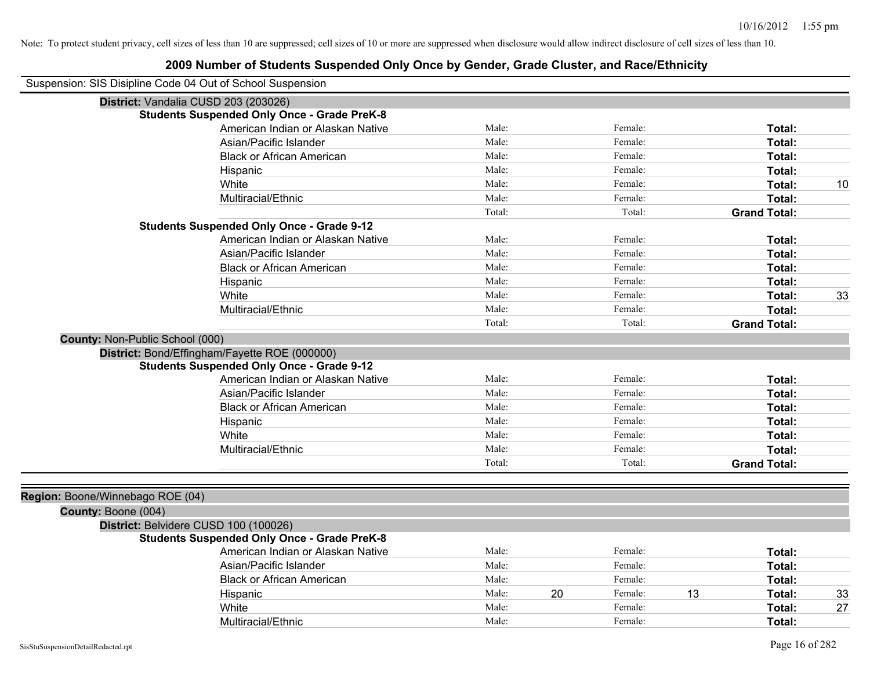| Suspension: SIS Disipline Code 04 Out of School Suspension |                                                    |        |    |         |    |                     |    |
|------------------------------------------------------------|----------------------------------------------------|--------|----|---------|----|---------------------|----|
| District: Vandalia CUSD 203 (203026)                       |                                                    |        |    |         |    |                     |    |
|                                                            | <b>Students Suspended Only Once - Grade PreK-8</b> |        |    |         |    |                     |    |
|                                                            | American Indian or Alaskan Native                  | Male:  |    | Female: |    | Total:              |    |
|                                                            | Asian/Pacific Islander                             | Male:  |    | Female: |    | Total:              |    |
|                                                            | <b>Black or African American</b>                   | Male:  |    | Female: |    | Total:              |    |
|                                                            | Hispanic                                           | Male:  |    | Female: |    | Total:              |    |
|                                                            | White                                              | Male:  |    | Female: |    | Total:              | 10 |
|                                                            | Multiracial/Ethnic                                 | Male:  |    | Female: |    | Total:              |    |
|                                                            |                                                    | Total: |    | Total:  |    | <b>Grand Total:</b> |    |
|                                                            | <b>Students Suspended Only Once - Grade 9-12</b>   |        |    |         |    |                     |    |
|                                                            | American Indian or Alaskan Native                  | Male:  |    | Female: |    | Total:              |    |
|                                                            | Asian/Pacific Islander                             | Male:  |    | Female: |    | Total:              |    |
|                                                            | <b>Black or African American</b>                   | Male:  |    | Female: |    | Total:              |    |
|                                                            | Hispanic                                           | Male:  |    | Female: |    | Total:              |    |
|                                                            | White                                              | Male:  |    | Female: |    | Total:              | 33 |
|                                                            | Multiracial/Ethnic                                 | Male:  |    | Female: |    | Total:              |    |
|                                                            |                                                    | Total: |    | Total:  |    | <b>Grand Total:</b> |    |
| County: Non-Public School (000)                            |                                                    |        |    |         |    |                     |    |
|                                                            | District: Bond/Effingham/Fayette ROE (000000)      |        |    |         |    |                     |    |
|                                                            | <b>Students Suspended Only Once - Grade 9-12</b>   |        |    |         |    |                     |    |
|                                                            | American Indian or Alaskan Native                  | Male:  |    | Female: |    | Total:              |    |
|                                                            | Asian/Pacific Islander                             | Male:  |    | Female: |    | Total:              |    |
|                                                            | <b>Black or African American</b>                   | Male:  |    | Female: |    | Total:              |    |
|                                                            | Hispanic                                           | Male:  |    | Female: |    | Total:              |    |
|                                                            | White                                              | Male:  |    | Female: |    | Total:              |    |
|                                                            | Multiracial/Ethnic                                 | Male:  |    | Female: |    | Total:              |    |
|                                                            |                                                    | Total: |    | Total:  |    | <b>Grand Total:</b> |    |
|                                                            |                                                    |        |    |         |    |                     |    |
| Region: Boone/Winnebago ROE (04)                           |                                                    |        |    |         |    |                     |    |
| County: Boone (004)                                        |                                                    |        |    |         |    |                     |    |
| District: Belvidere CUSD 100 (100026)                      |                                                    |        |    |         |    |                     |    |
|                                                            | <b>Students Suspended Only Once - Grade PreK-8</b> |        |    |         |    |                     |    |
|                                                            | American Indian or Alaskan Native                  | Male:  |    | Female: |    | Total:              |    |
|                                                            | Asian/Pacific Islander                             | Male:  |    | Female: |    | Total:              |    |
|                                                            | <b>Black or African American</b>                   | Male:  |    | Female: |    | Total:              |    |
|                                                            | Hispanic                                           | Male:  | 20 | Female: | 13 | Total:              | 33 |
|                                                            | White                                              | Male:  |    | Female: |    | Total:              | 27 |
|                                                            | Multiracial/Ethnic                                 | Male:  |    | Female: |    | Total:              |    |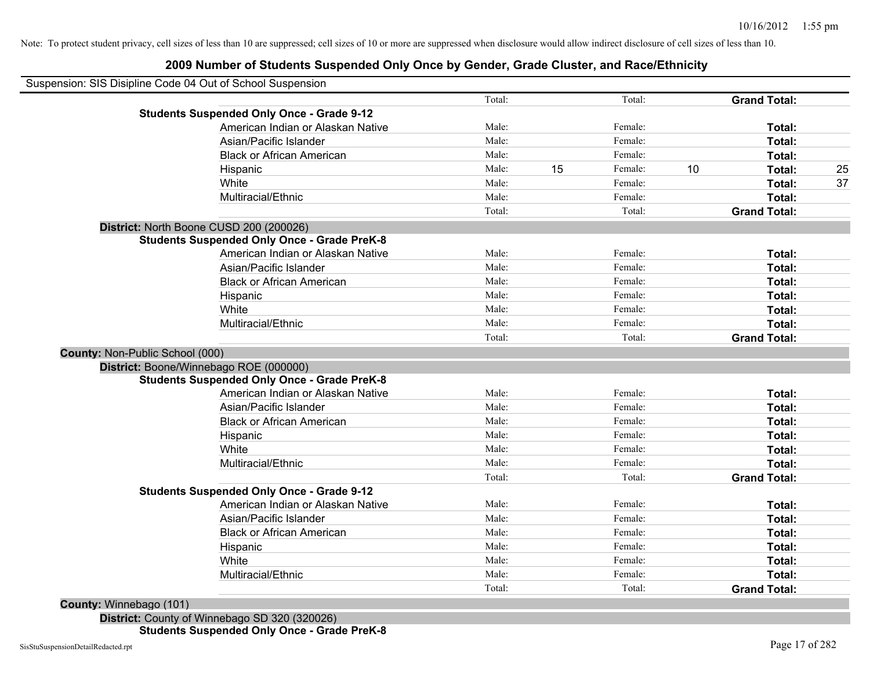### **2009 Number of Students Suspended Only Once by Gender, Grade Cluster, and Race/Ethnicity**

| Suspension: SIS Disipline Code 04 Out of School Suspension |        |    |         |    |                     |    |
|------------------------------------------------------------|--------|----|---------|----|---------------------|----|
|                                                            | Total: |    | Total:  |    | <b>Grand Total:</b> |    |
| <b>Students Suspended Only Once - Grade 9-12</b>           |        |    |         |    |                     |    |
| American Indian or Alaskan Native                          | Male:  |    | Female: |    | Total:              |    |
| Asian/Pacific Islander                                     | Male:  |    | Female: |    | Total:              |    |
| <b>Black or African American</b>                           | Male:  |    | Female: |    | Total:              |    |
| Hispanic                                                   | Male:  | 15 | Female: | 10 | Total:              | 25 |
| White                                                      | Male:  |    | Female: |    | Total:              | 37 |
| Multiracial/Ethnic                                         | Male:  |    | Female: |    | Total:              |    |
|                                                            | Total: |    | Total:  |    | <b>Grand Total:</b> |    |
| District: North Boone CUSD 200 (200026)                    |        |    |         |    |                     |    |
| <b>Students Suspended Only Once - Grade PreK-8</b>         |        |    |         |    |                     |    |
| American Indian or Alaskan Native                          | Male:  |    | Female: |    | Total:              |    |
| Asian/Pacific Islander                                     | Male:  |    | Female: |    | Total:              |    |
| <b>Black or African American</b>                           | Male:  |    | Female: |    | Total:              |    |
| Hispanic                                                   | Male:  |    | Female: |    | Total:              |    |
| White                                                      | Male:  |    | Female: |    | Total:              |    |
| Multiracial/Ethnic                                         | Male:  |    | Female: |    | Total:              |    |
|                                                            | Total: |    | Total:  |    | <b>Grand Total:</b> |    |
| County: Non-Public School (000)                            |        |    |         |    |                     |    |
| District: Boone/Winnebago ROE (000000)                     |        |    |         |    |                     |    |
| <b>Students Suspended Only Once - Grade PreK-8</b>         |        |    |         |    |                     |    |
| American Indian or Alaskan Native                          | Male:  |    | Female: |    | Total:              |    |
| Asian/Pacific Islander                                     | Male:  |    | Female: |    | Total:              |    |
| <b>Black or African American</b>                           | Male:  |    | Female: |    | Total:              |    |
| Hispanic                                                   | Male:  |    | Female: |    | Total:              |    |
| White                                                      | Male:  |    | Female: |    | Total:              |    |
| Multiracial/Ethnic                                         | Male:  |    | Female: |    | Total:              |    |
|                                                            | Total: |    | Total:  |    | <b>Grand Total:</b> |    |
| <b>Students Suspended Only Once - Grade 9-12</b>           |        |    |         |    |                     |    |
| American Indian or Alaskan Native                          | Male:  |    | Female: |    | Total:              |    |
| Asian/Pacific Islander                                     | Male:  |    | Female: |    | Total:              |    |
| <b>Black or African American</b>                           | Male:  |    | Female: |    | Total:              |    |
| Hispanic                                                   | Male:  |    | Female: |    | Total:              |    |
| White                                                      | Male:  |    | Female: |    | Total:              |    |
| Multiracial/Ethnic                                         | Male:  |    | Female: |    | Total:              |    |
|                                                            | Total: |    | Total:  |    | <b>Grand Total:</b> |    |

**County:** Winnebago (101)

**District:** County of Winnebago SD 320 (320026) **Students Suspended Only Once - Grade PreK-8**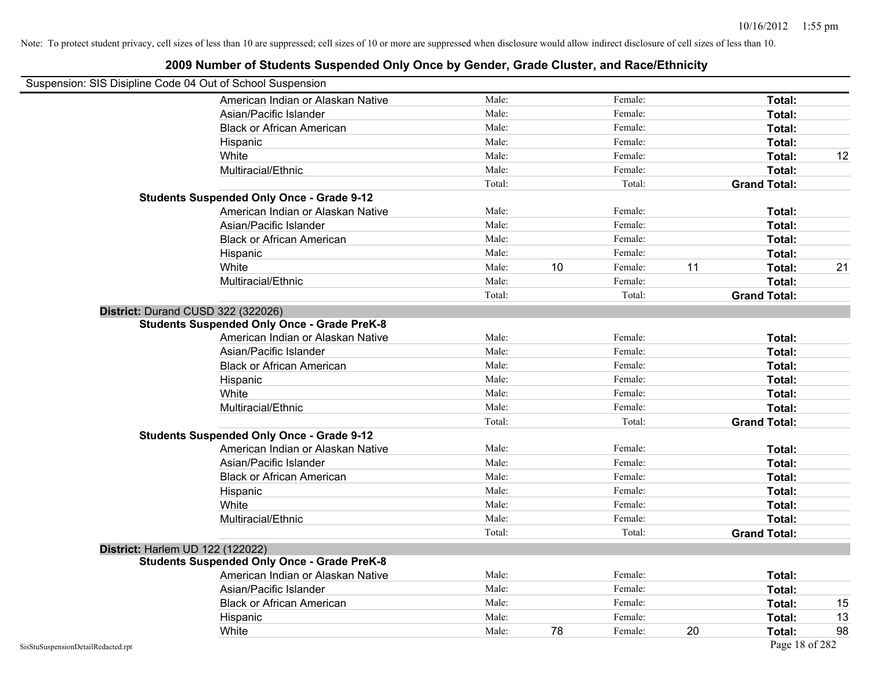### **2009 Number of Students Suspended Only Once by Gender, Grade Cluster, and Race/Ethnicity** Suspension: SIS Disipline Code 04 Out of School Suspension American Indian or Alaskan Native **Male:** Male: Female: Female: **Total:** Total: Asian/Pacific Islander **Figure 1.1 Contained Asian** Male: Female: **Female: Total: Total: Total: Total: Total: Total: Total: Total: Total: Total: Total: Total: Total: Total: Total: Total: T** Black or African American **American** Male: Male: Female: **Female: Total: Total: Total: Female: Total: Total: Total: Total: Total: Total: Total: Total: Total: Total: Total: Total: Total:** Hispanic **Total:** Male: Female: **Total:** Female: **Total:** Total: **Total:** Female: **Total:** Total: **Total:** Total: **Total:** Total: **Total:** Total: **Total:** Total: **Total:** Total: **Total:** Total: **Total:** Total: **Total:** Tot White **Male:** Male: **Total: 12** Male: **Total: 12** Male: **Total: 12** Multiracial/Ethnic **Total:** Male: Female: **Total:** Female: **Total:** Female: **Total:** Female: **Total:** Female: **Total:** Female: **Total:** Female: **Total:** Female: **Total:** Female: **Total:** Female: **Total:** Female: **Total:** F Total: Total: Total: **Grand Total: Students Suspended Only Once - Grade 9-12** American Indian or Alaskan Native **Male:** Male: Female: Female: **Total:** Total: Asian/Pacific Islander **Figure 1.1 Contact Contact Contact Contact Contact Contact Contact Contact Total: Total:** Black or African American **Figure 1.1 and Total:** Male: Female: Female: **Total: Total:** Total: Hispanic **Total:** Male: Female: **Total:** Female: **Total:** Total: **Total:** Female: **Total:** Total: **Total:** Total: **Total:** Total: **Total:** Total: **Total:** Total: **Total:** Total: **Total:** Total: **Total:** Total: **Total:** Tot White **Male:** 10 Female: 11 **Total:** 21 **Total:** 21 Multiracial/Ethnic **Total:** Male: Female: **Total:** Female: **Total:** Female: **Total:** Female: **Total:** Female: **Total:** Female: **Total:** Female: **Total:** Female: **Total:** Female: **Total:** Female: **Total:** Female: **Total:** F Total: Total: **Grand Total: District:** Durand CUSD 322 (322026) **Students Suspended Only Once - Grade PreK-8** American Indian or Alaskan Native **Male:** Male: Female: Female: **Total:** Total: Asian/Pacific Islander **Figure 1.1 Contact 1.1 Contact 1.1 Contact 1.1 Contact 1.1 Contact 1.1 Contact 1.1 Contact 1.1 Contact 1.1 Contact 1.1 Contact 1.1 Contact 1.1 Contact 1.1 Contact 1.1 Contact 1.1 Contact 1.1 Contact** Black or African American **American** Male: Male: Female: **Female: Total: Total: Total: Female: Total: Total: Total: Total: Total: Total: Total: Total: Total: Total: Total: Total: Total:** Hispanic **Total:** Male: Female: **Total:** Female: **Total:** Total: White **Total:** Male: Female: **Total:** Total: **Total:** Female: **Total:** Total: Multiracial/Ethnic **Total:** Male: Male: Female: **Total:** Female: **Total:** Total: Total: Total: **Grand Total: Students Suspended Only Once - Grade 9-12** American Indian or Alaskan Native **Male:** Male: Female: Female: **Total:** Total: Asian/Pacific Islander **Figure 1.1 Contained Asian/Pacific Islander Female:** Female: **Total: Total:** Total: Black or African American **Figure 1.1 and Total:** Male: Female: Female: **Total: Total:** Total: Hispanic **Total:** Male: Female: **Total:** Female: **Total:** Total: White **Total:** Male: Female: **Total:** Total: **Total:** Female: **Total:** Total: Multiracial/Ethnic **Total:** Male: Female: **Total:** Female: **Total:** Female: **Total:** Total: Total: Total: **Grand Total: District:** Harlem UD 122 (122022) **Students Suspended Only Once - Grade PreK-8** American Indian or Alaskan Native **Male:** Male: Female: Female: **Total:** Total: Asian/Pacific Islander **Figure 1.1 Contained Asian** Male: Female: **Female: Total: Total: Total: Total: Total: Total: Total: Total: Total: Total: Total: Total: Total: Total: Total: Total: T** Black or African American **Male:** Male: Female: Female: **Total:** 15 Hispanic Male: Female: **Total:** 13 White **Male:** 78 Female: 20 Total: 98 Male: 78 Female: 20 Total: 98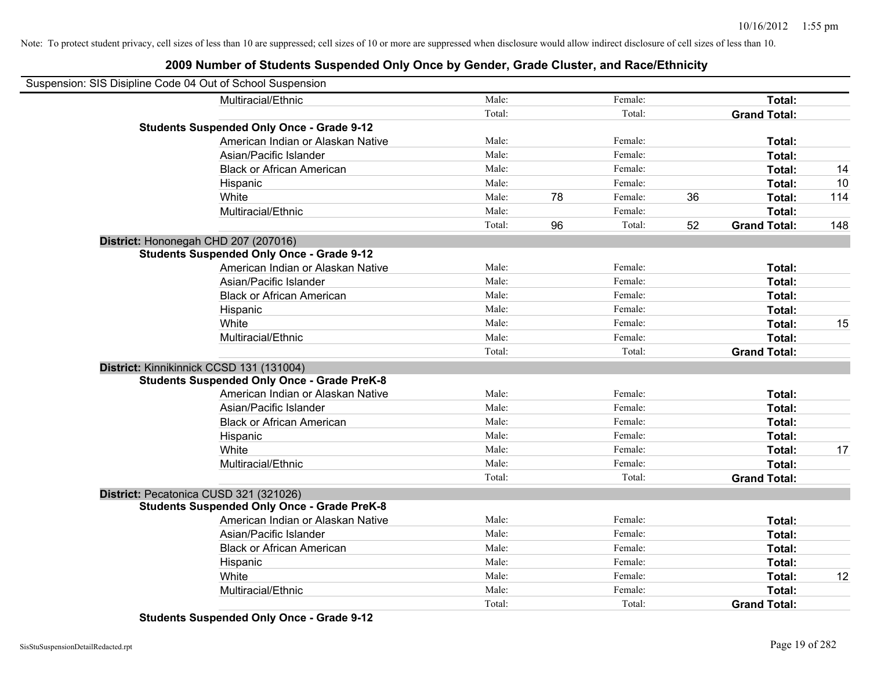### **2009 Number of Students Suspended Only Once by Gender, Grade Cluster, and Race/Ethnicity**

| Suspension: SIS Disipline Code 04 Out of School Suspension |        |               |    |                     |     |
|------------------------------------------------------------|--------|---------------|----|---------------------|-----|
| Multiracial/Ethnic                                         | Male:  | Female:       |    | Total:              |     |
|                                                            | Total: | Total:        |    | <b>Grand Total:</b> |     |
| <b>Students Suspended Only Once - Grade 9-12</b>           |        |               |    |                     |     |
| American Indian or Alaskan Native                          | Male:  | Female:       |    | Total:              |     |
| Asian/Pacific Islander                                     | Male:  | Female:       |    | Total:              |     |
| <b>Black or African American</b>                           | Male:  | Female:       |    | Total:              | 14  |
| Hispanic                                                   | Male:  | Female:       |    | Total:              | 10  |
| White                                                      | Male:  | 78<br>Female: | 36 | Total:              | 114 |
| Multiracial/Ethnic                                         | Male:  | Female:       |    | Total:              |     |
|                                                            | Total: | 96<br>Total:  | 52 | <b>Grand Total:</b> | 148 |
| District: Hononegah CHD 207 (207016)                       |        |               |    |                     |     |
| <b>Students Suspended Only Once - Grade 9-12</b>           |        |               |    |                     |     |
| American Indian or Alaskan Native                          | Male:  | Female:       |    | Total:              |     |
| Asian/Pacific Islander                                     | Male:  | Female:       |    | Total:              |     |
| <b>Black or African American</b>                           | Male:  | Female:       |    | Total:              |     |
| Hispanic                                                   | Male:  | Female:       |    | Total:              |     |
| White                                                      | Male:  | Female:       |    | Total:              | 15  |
| Multiracial/Ethnic                                         | Male:  | Female:       |    | Total:              |     |
|                                                            | Total: | Total:        |    | <b>Grand Total:</b> |     |
| District: Kinnikinnick CCSD 131 (131004)                   |        |               |    |                     |     |
| <b>Students Suspended Only Once - Grade PreK-8</b>         |        |               |    |                     |     |
| American Indian or Alaskan Native                          | Male:  | Female:       |    | Total:              |     |
| Asian/Pacific Islander                                     | Male:  | Female:       |    | Total:              |     |
| <b>Black or African American</b>                           | Male:  | Female:       |    | Total:              |     |
| Hispanic                                                   | Male:  | Female:       |    | Total:              |     |
| White                                                      | Male:  | Female:       |    | Total:              | 17  |
| Multiracial/Ethnic                                         | Male:  | Female:       |    | Total:              |     |
|                                                            | Total: | Total:        |    | <b>Grand Total:</b> |     |
| District: Pecatonica CUSD 321 (321026)                     |        |               |    |                     |     |
| <b>Students Suspended Only Once - Grade PreK-8</b>         |        |               |    |                     |     |
| American Indian or Alaskan Native                          | Male:  | Female:       |    | Total:              |     |
| Asian/Pacific Islander                                     | Male:  | Female:       |    | Total:              |     |
| <b>Black or African American</b>                           | Male:  | Female:       |    | Total:              |     |
| Hispanic                                                   | Male:  | Female:       |    | Total:              |     |
| White                                                      | Male:  | Female:       |    | Total:              | 12  |
| Multiracial/Ethnic                                         | Male:  | Female:       |    | Total:              |     |
|                                                            | Total: | Total:        |    | <b>Grand Total:</b> |     |

**Students Suspended Only Once - Grade 9-12**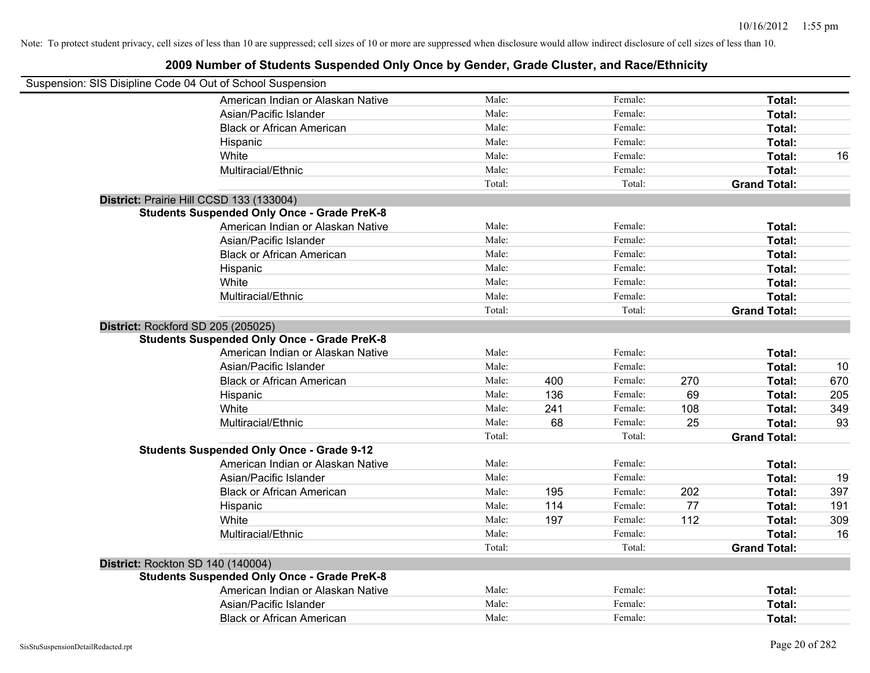| Male:<br>Female:<br>American Indian or Alaskan Native<br>Total:<br>Male:<br>Female:<br>Asian/Pacific Islander<br>Total:<br>Male:<br>Female:<br>Total:<br><b>Black or African American</b><br>Male:<br>Female:<br>Total:<br>Hispanic<br>Male:<br>Female:<br>White<br>Total:<br>16<br>Male:<br>Female:<br>Total:<br>Multiracial/Ethnic<br>Total:<br>Total:<br><b>Grand Total:</b><br>District: Prairie Hill CCSD 133 (133004)<br><b>Students Suspended Only Once - Grade PreK-8</b> |
|-----------------------------------------------------------------------------------------------------------------------------------------------------------------------------------------------------------------------------------------------------------------------------------------------------------------------------------------------------------------------------------------------------------------------------------------------------------------------------------|
|                                                                                                                                                                                                                                                                                                                                                                                                                                                                                   |
|                                                                                                                                                                                                                                                                                                                                                                                                                                                                                   |
|                                                                                                                                                                                                                                                                                                                                                                                                                                                                                   |
|                                                                                                                                                                                                                                                                                                                                                                                                                                                                                   |
|                                                                                                                                                                                                                                                                                                                                                                                                                                                                                   |
|                                                                                                                                                                                                                                                                                                                                                                                                                                                                                   |
|                                                                                                                                                                                                                                                                                                                                                                                                                                                                                   |
|                                                                                                                                                                                                                                                                                                                                                                                                                                                                                   |
|                                                                                                                                                                                                                                                                                                                                                                                                                                                                                   |
| American Indian or Alaskan Native<br>Male:<br>Female:<br>Total:                                                                                                                                                                                                                                                                                                                                                                                                                   |
| Asian/Pacific Islander<br>Male:<br>Female:<br>Total:                                                                                                                                                                                                                                                                                                                                                                                                                              |
| Male:<br>Female:<br><b>Black or African American</b><br>Total:                                                                                                                                                                                                                                                                                                                                                                                                                    |
| Male:<br>Female:<br>Total:<br>Hispanic                                                                                                                                                                                                                                                                                                                                                                                                                                            |
| White<br>Male:<br>Female:<br>Total:                                                                                                                                                                                                                                                                                                                                                                                                                                               |
| Male:<br>Multiracial/Ethnic<br>Female:<br>Total:                                                                                                                                                                                                                                                                                                                                                                                                                                  |
| Total:<br>Total:<br><b>Grand Total:</b>                                                                                                                                                                                                                                                                                                                                                                                                                                           |
| District: Rockford SD 205 (205025)                                                                                                                                                                                                                                                                                                                                                                                                                                                |
| <b>Students Suspended Only Once - Grade PreK-8</b>                                                                                                                                                                                                                                                                                                                                                                                                                                |
| Male:<br>Female:<br>American Indian or Alaskan Native<br>Total:                                                                                                                                                                                                                                                                                                                                                                                                                   |
| Male:<br>Female:<br>Total:<br>10<br>Asian/Pacific Islander                                                                                                                                                                                                                                                                                                                                                                                                                        |
| Male:<br>Female:<br>670<br>400<br>270<br>Total:<br><b>Black or African American</b>                                                                                                                                                                                                                                                                                                                                                                                               |
| Male:<br>Female:<br>69<br>136<br>Total:<br>205<br>Hispanic                                                                                                                                                                                                                                                                                                                                                                                                                        |
| Male:<br>Female:<br>White<br>241<br>108<br>Total:<br>349                                                                                                                                                                                                                                                                                                                                                                                                                          |
| Multiracial/Ethnic<br>Male:<br>68<br>Female:<br>25<br>Total:<br>93                                                                                                                                                                                                                                                                                                                                                                                                                |
| Total:<br>Total:<br><b>Grand Total:</b>                                                                                                                                                                                                                                                                                                                                                                                                                                           |
| <b>Students Suspended Only Once - Grade 9-12</b>                                                                                                                                                                                                                                                                                                                                                                                                                                  |
| American Indian or Alaskan Native<br>Male:<br>Female:<br>Total:                                                                                                                                                                                                                                                                                                                                                                                                                   |
| Male:<br>Female:<br>Total:<br>19<br>Asian/Pacific Islander<br>195<br>202<br>Male:<br>Female:<br>Total:<br>397                                                                                                                                                                                                                                                                                                                                                                     |
| <b>Black or African American</b><br>Male:<br>114<br>Female:<br>77<br>Total:                                                                                                                                                                                                                                                                                                                                                                                                       |
| 191<br>Hispanic<br>Female:<br>112<br>White<br>Male:<br>197<br>309<br>Total:                                                                                                                                                                                                                                                                                                                                                                                                       |
| Male:<br>Female:<br>Multiracial/Ethnic<br>Total:                                                                                                                                                                                                                                                                                                                                                                                                                                  |
| 16<br>Total:<br>Total:<br><b>Grand Total:</b>                                                                                                                                                                                                                                                                                                                                                                                                                                     |
|                                                                                                                                                                                                                                                                                                                                                                                                                                                                                   |
| <b>District: Rockton SD 140 (140004)</b><br><b>Students Suspended Only Once - Grade PreK-8</b>                                                                                                                                                                                                                                                                                                                                                                                    |
| American Indian or Alaskan Native<br>Male:<br>Female:<br>Total:                                                                                                                                                                                                                                                                                                                                                                                                                   |
| Asian/Pacific Islander<br>Male:<br>Female:<br>Total:                                                                                                                                                                                                                                                                                                                                                                                                                              |
| Male:<br><b>Black or African American</b><br>Female:<br>Total:                                                                                                                                                                                                                                                                                                                                                                                                                    |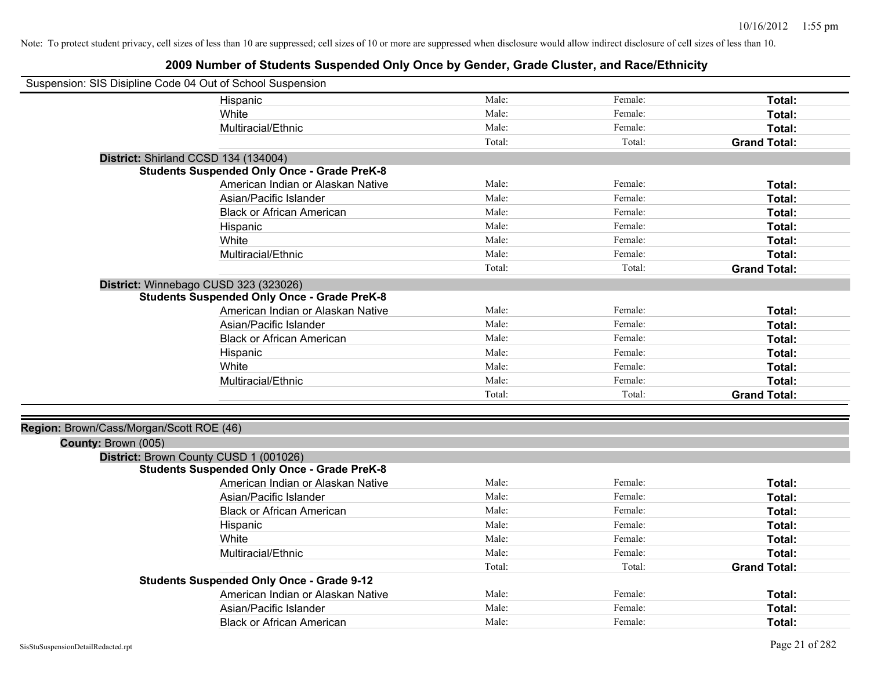| Suspension: SIS Disipline Code 04 Out of School Suspension |                                                    |        |         |                     |
|------------------------------------------------------------|----------------------------------------------------|--------|---------|---------------------|
|                                                            | Hispanic                                           | Male:  | Female: | Total:              |
|                                                            | White                                              | Male:  | Female: | Total:              |
|                                                            | Multiracial/Ethnic                                 | Male:  | Female: | Total:              |
|                                                            |                                                    | Total: | Total:  | <b>Grand Total:</b> |
| District: Shirland CCSD 134 (134004)                       |                                                    |        |         |                     |
|                                                            | <b>Students Suspended Only Once - Grade PreK-8</b> |        |         |                     |
|                                                            | American Indian or Alaskan Native                  | Male:  | Female: | Total:              |
|                                                            | Asian/Pacific Islander                             | Male:  | Female: | Total:              |
|                                                            | <b>Black or African American</b>                   | Male:  | Female: | Total:              |
|                                                            | Hispanic                                           | Male:  | Female: | Total:              |
|                                                            | White                                              | Male:  | Female: | Total:              |
|                                                            | Multiracial/Ethnic                                 | Male:  | Female: | Total:              |
|                                                            |                                                    | Total: | Total:  | <b>Grand Total:</b> |
| District: Winnebago CUSD 323 (323026)                      |                                                    |        |         |                     |
|                                                            | <b>Students Suspended Only Once - Grade PreK-8</b> |        |         |                     |
|                                                            | American Indian or Alaskan Native                  | Male:  | Female: | Total:              |
|                                                            | Asian/Pacific Islander                             | Male:  | Female: | Total:              |
|                                                            | <b>Black or African American</b>                   | Male:  | Female: | Total:              |
|                                                            | Hispanic                                           | Male:  | Female: | Total:              |
|                                                            | White                                              | Male:  | Female: | Total:              |
|                                                            | Multiracial/Ethnic                                 | Male:  | Female: | Total:              |
|                                                            |                                                    | Total: | Total:  | <b>Grand Total:</b> |
|                                                            |                                                    |        |         |                     |
| Region: Brown/Cass/Morgan/Scott ROE (46)                   |                                                    |        |         |                     |
| County: Brown (005)                                        |                                                    |        |         |                     |
| District: Brown County CUSD 1 (001026)                     |                                                    |        |         |                     |
|                                                            | <b>Students Suspended Only Once - Grade PreK-8</b> |        |         |                     |
|                                                            | American Indian or Alaskan Native                  | Male:  | Female: | Total:              |
|                                                            | Asian/Pacific Islander                             | Male:  | Female: | Total:              |
|                                                            | <b>Black or African American</b>                   | Male:  | Female: | Total:              |
|                                                            | Hispanic                                           | Male:  | Female: | Total:              |
|                                                            | White                                              | Male:  | Female: | Total:              |
|                                                            | Multiracial/Ethnic                                 | Male:  | Female: | Total:              |
|                                                            |                                                    | Total: | Total:  | <b>Grand Total:</b> |
|                                                            | <b>Students Suspended Only Once - Grade 9-12</b>   |        |         |                     |
|                                                            | American Indian or Alaskan Native                  | Male:  | Female: | Total:              |
|                                                            | Asian/Pacific Islander                             | Male:  | Female: | Total:              |
|                                                            | <b>Black or African American</b>                   | Male:  | Female: | Total:              |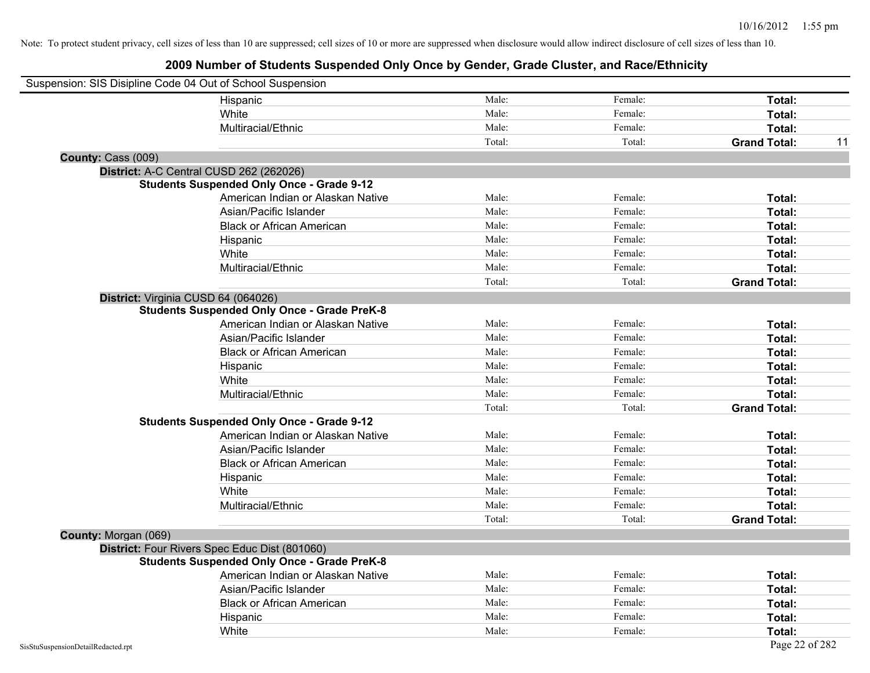|                                    | Suspension: SIS Disipline Code 04 Out of School Suspension |        |         |                     |    |
|------------------------------------|------------------------------------------------------------|--------|---------|---------------------|----|
|                                    | Hispanic                                                   | Male:  | Female: | Total:              |    |
|                                    | White                                                      | Male:  | Female: | Total:              |    |
|                                    | Multiracial/Ethnic                                         | Male:  | Female: | Total:              |    |
|                                    |                                                            | Total: | Total:  | <b>Grand Total:</b> | 11 |
| County: Cass (009)                 |                                                            |        |         |                     |    |
|                                    | District: A-C Central CUSD 262 (262026)                    |        |         |                     |    |
|                                    | <b>Students Suspended Only Once - Grade 9-12</b>           |        |         |                     |    |
|                                    | American Indian or Alaskan Native                          | Male:  | Female: | Total:              |    |
|                                    | Asian/Pacific Islander                                     | Male:  | Female: | Total:              |    |
|                                    | <b>Black or African American</b>                           | Male:  | Female: | Total:              |    |
|                                    | Hispanic                                                   | Male:  | Female: | Total:              |    |
|                                    | White                                                      | Male:  | Female: | Total:              |    |
|                                    | Multiracial/Ethnic                                         | Male:  | Female: | Total:              |    |
|                                    |                                                            | Total: | Total:  | <b>Grand Total:</b> |    |
|                                    | District: Virginia CUSD 64 (064026)                        |        |         |                     |    |
|                                    | <b>Students Suspended Only Once - Grade PreK-8</b>         |        |         |                     |    |
|                                    | American Indian or Alaskan Native                          | Male:  | Female: | Total:              |    |
|                                    | Asian/Pacific Islander                                     | Male:  | Female: | Total:              |    |
|                                    | <b>Black or African American</b>                           | Male:  | Female: | Total:              |    |
|                                    | Hispanic                                                   | Male:  | Female: | Total:              |    |
|                                    | White                                                      | Male:  | Female: | Total:              |    |
|                                    | Multiracial/Ethnic                                         | Male:  | Female: | Total:              |    |
|                                    |                                                            | Total: | Total:  | <b>Grand Total:</b> |    |
|                                    | <b>Students Suspended Only Once - Grade 9-12</b>           |        |         |                     |    |
|                                    | American Indian or Alaskan Native                          | Male:  | Female: | Total:              |    |
|                                    | Asian/Pacific Islander                                     | Male:  | Female: | Total:              |    |
|                                    | <b>Black or African American</b>                           | Male:  | Female: | Total:              |    |
|                                    | Hispanic                                                   | Male:  | Female: | Total:              |    |
|                                    | White                                                      | Male:  | Female: | Total:              |    |
|                                    | Multiracial/Ethnic                                         | Male:  | Female: | Total:              |    |
|                                    |                                                            | Total: | Total:  | <b>Grand Total:</b> |    |
| County: Morgan (069)               |                                                            |        |         |                     |    |
|                                    | District: Four Rivers Spec Educ Dist (801060)              |        |         |                     |    |
|                                    | <b>Students Suspended Only Once - Grade PreK-8</b>         |        |         |                     |    |
|                                    | American Indian or Alaskan Native                          | Male:  | Female: | Total:              |    |
|                                    | Asian/Pacific Islander                                     | Male:  | Female: | Total:              |    |
|                                    | <b>Black or African American</b>                           | Male:  | Female: | Total:              |    |
|                                    | Hispanic                                                   | Male:  | Female: | Total:              |    |
|                                    | White                                                      | Male:  | Female: | Total:              |    |
| SisStuSuspensionDetailRedacted.rpt |                                                            |        |         | Page 22 of 282      |    |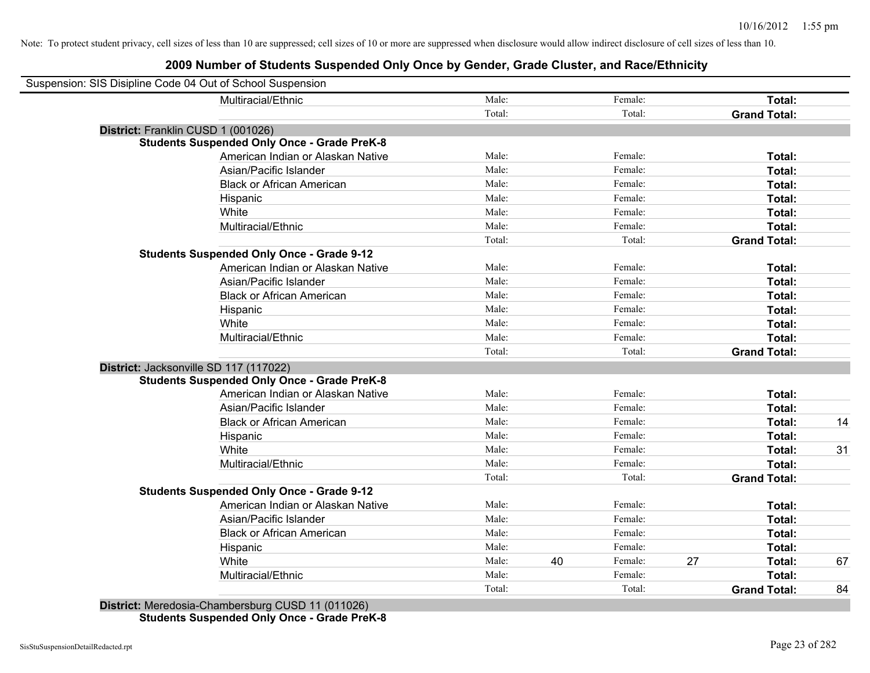### **2009 Number of Students Suspended Only Once by Gender, Grade Cluster, and Race/Ethnicity**

|                        | Suspension: SIS Disipline Code 04 Out of School Suspension |        |    |         |    |                     |    |
|------------------------|------------------------------------------------------------|--------|----|---------|----|---------------------|----|
|                        | Multiracial/Ethnic                                         | Male:  |    | Female: |    | Total:              |    |
|                        |                                                            | Total: |    | Total:  |    | <b>Grand Total:</b> |    |
|                        | District: Franklin CUSD 1 (001026)                         |        |    |         |    |                     |    |
|                        | <b>Students Suspended Only Once - Grade PreK-8</b>         |        |    |         |    |                     |    |
|                        | American Indian or Alaskan Native                          | Male:  |    | Female: |    | Total:              |    |
|                        | Asian/Pacific Islander                                     | Male:  |    | Female: |    | Total:              |    |
|                        | <b>Black or African American</b>                           | Male:  |    | Female: |    | Total:              |    |
|                        | Hispanic                                                   | Male:  |    | Female: |    | Total:              |    |
|                        | White                                                      | Male:  |    | Female: |    | Total:              |    |
|                        | Multiracial/Ethnic                                         | Male:  |    | Female: |    | Total:              |    |
|                        |                                                            | Total: |    | Total:  |    | <b>Grand Total:</b> |    |
|                        | <b>Students Suspended Only Once - Grade 9-12</b>           |        |    |         |    |                     |    |
|                        | American Indian or Alaskan Native                          | Male:  |    | Female: |    | Total:              |    |
|                        | Asian/Pacific Islander                                     | Male:  |    | Female: |    | Total:              |    |
|                        | <b>Black or African American</b>                           | Male:  |    | Female: |    | Total:              |    |
|                        | Hispanic                                                   | Male:  |    | Female: |    | Total:              |    |
|                        | White                                                      | Male:  |    | Female: |    | Total:              |    |
|                        | Multiracial/Ethnic                                         | Male:  |    | Female: |    | Total:              |    |
|                        |                                                            | Total: |    | Total:  |    | <b>Grand Total:</b> |    |
|                        | District: Jacksonville SD 117 (117022)                     |        |    |         |    |                     |    |
|                        | <b>Students Suspended Only Once - Grade PreK-8</b>         |        |    |         |    |                     |    |
|                        | American Indian or Alaskan Native                          | Male:  |    | Female: |    | Total:              |    |
|                        | Asian/Pacific Islander                                     | Male:  |    | Female: |    | Total:              |    |
|                        | <b>Black or African American</b>                           | Male:  |    | Female: |    | Total:              | 14 |
|                        | Hispanic                                                   | Male:  |    | Female: |    | Total:              |    |
|                        | White                                                      | Male:  |    | Female: |    | Total:              | 31 |
|                        | Multiracial/Ethnic                                         | Male:  |    | Female: |    | Total:              |    |
|                        |                                                            | Total: |    | Total:  |    | <b>Grand Total:</b> |    |
|                        | <b>Students Suspended Only Once - Grade 9-12</b>           |        |    |         |    |                     |    |
|                        | American Indian or Alaskan Native                          | Male:  |    | Female: |    | Total:              |    |
|                        | Asian/Pacific Islander                                     | Male:  |    | Female: |    | Total:              |    |
|                        | <b>Black or African American</b>                           | Male:  |    | Female: |    | Total:              |    |
|                        | Hispanic                                                   | Male:  |    | Female: |    | Total:              |    |
|                        | White                                                      | Male:  | 40 | Female: | 27 | Total:              | 67 |
|                        | Multiracial/Ethnic                                         | Male:  |    | Female: |    | Total:              |    |
|                        |                                                            | Total: |    | Total:  |    | <b>Grand Total:</b> | 84 |
| <b>Bistolick Masse</b> | 0.10044000                                                 |        |    |         |    |                     |    |

**District:** Meredosia-Chambersburg CUSD 11 (011026) **Students Suspended Only Once - Grade PreK-8**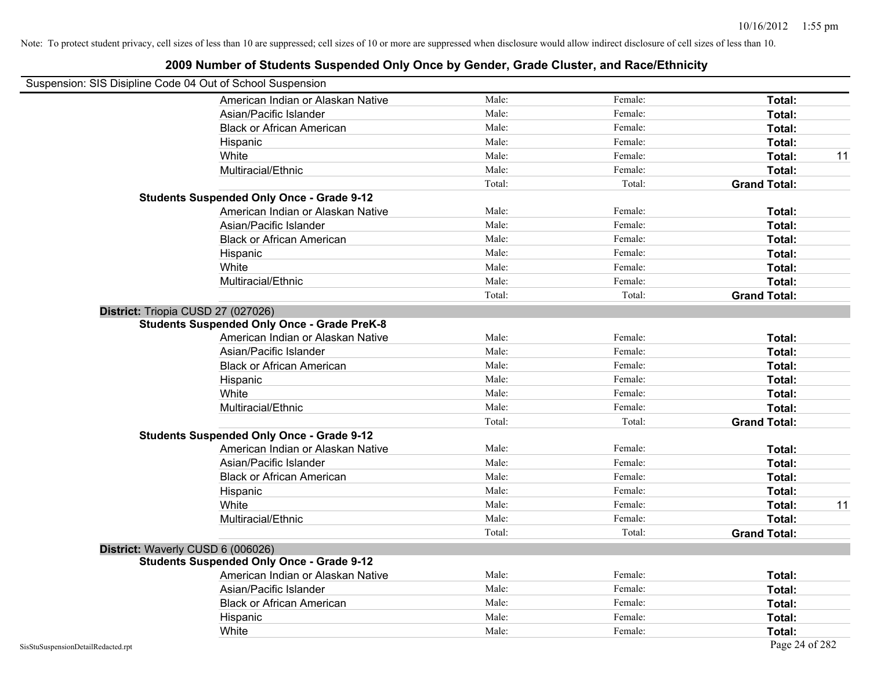## Suspension: SIS Disipline Code 04 Out of School Suspension American Indian or Alaskan Native **Male:** Male: Female: Female: **Total:** Total: Asian/Pacific Islander **Figure 1.1 Contained Asian** Male: Female: **Female: Total: Total: Total: Total: Total: Total: Total: Total: Total: Total: Total: Total: Total: Total: Total: Total: T** Black or African American **American** Male: Male: Female: **Female: Total: Total: Total: Female: Total: Total: Total: Total: Total: Total: Total: Total: Total: Total: Total: Total: Total:** Hispanic **Total:** Male: Female: **Total:** Female: **Total:** Total: **Total:** Female: **Total:** Total: **Total:** Total: **Total:** Total: **Total:** Total: **Total:** Total: **Total:** Total: **Total:** Total: **Total:** Total: **Total:** Tot White **Male:** Male: **Total: 11** Male: **Total: 11** Male: **Total: 11** Male: 11 Multiracial/Ethnic **Total:** Male: Female: **Total:** Female: **Total:** Female: **Total:** Female: **Total:** Female: **Total:** Female: **Total:** Female: **Total:** Female: **Total:** Female: **Total:** Female: **Total:** Female: **Total:** F Total: Total: Total: **Grand Total: Students Suspended Only Once - Grade 9-12** American Indian or Alaskan Native **Male:** Male: Female: Female: **Total:** Total: Asian/Pacific Islander **Figure 1.1 Contact Contact Contact Contact Contact Contact Contact Contact Total: Total:** Black or African American **Figure 1.1 and Total:** Male: Female: Female: **Total:** Total: Hispanic **Total:** Male: Female: **Total:** Female: **Total:** Total: **Total:** Female: **Total:** Total: **Total:** Total: **Total:** Total: **Total:** Total: **Total:** Total: **Total:** Total: **Total:** Total: **Total:** Total: **Total:** Tot White **Total:** Male: Female: **Total:** Female: **Total:** Total: Multiracial/Ethnic **Total:** Male: Female: **Total:** Female: **Total:** Female: **Total:** Female: **Total:** Female: **Total:** Female: **Total:** Female: **Total:** Female: **Total:** Female: **Total:** Female: **Total:** Female: **Total:** F Total: Total: **Grand Total: District:** Triopia CUSD 27 (027026) **Students Suspended Only Once - Grade PreK-8** American Indian or Alaskan Native **Male:** Male: Female: Female: **Total:** Total: Asian/Pacific Islander **Figure 1.1 Contact 1.1 Contact 1.1 Contact 1.1 Contact 1.1 Contact 1.1 Contact 1.1 Contact 1.1 Contact 1.1 Contact 1.1 Contact 1.1 Contact 1.1 Contact 1.1 Contact 1.1 Contact 1.1 Contact 1.1 Contact** Black or African American **American** Male: Male: Female: **Female: Total: Total: Total: Female: Total: Total: Total: Total: Total: Total: Total: Total: Total: Total: Total: Total: Total:** Hispanic **Total:** Male: Female: **Total:** Female: **Total:** Total: White **Total:** Male: Female: **Total:** Total: **Total:** Female: **Total:** Total: Multiracial/Ethnic **Total:** Male: Female: **Total:** Female: **Total:** Female: **Total:** Total: Total: Total: **Grand Total: Students Suspended Only Once - Grade 9-12** American Indian or Alaskan Native **Male:** Male: Female: Female: **Total:** Total: Asian/Pacific Islander **Figure 1.1 Contained Asian/Pacific Islander Female:** Female: **Total: Total:** Total: Black or African American **Figure 1.1 and Total:** Male: Female: Female: **Total: Total:** Total: Hispanic **Total:** Male: Female: **Total:** Female: **Total:** Total: White **Male:** Male: **Total: 11** Male: **Total: 11** Male: **Total: 11** Male: 11 Multiracial/Ethnic **Total:** Male: Female: **Total:** Female: **Total:** Female: **Total:** Total: Total: Total: **Grand Total: District:** Waverly CUSD 6 (006026) **Students Suspended Only Once - Grade 9-12** American Indian or Alaskan Native **Male:** Male: Female: Female: **Total:** Total: Asian/Pacific Islander **Figure 1.1 Contained Asian** Male: Female: **Female: Total: Total: Total: Total: Total: Total: Total: Total: Total: Total: Total: Total: Total: Total: Total: Total: T** Black or African American **Figure 1.1 and Total:** Male: Female: Female: **Total:** Total: Hispanic **Total:** Male: Female: **Total:** Female: **Total:** Total: **Total:** Female: **Total:** Total: **Total:** Total: **Total:** Total: **Total:** Total: **Total:** Total: **Total:** Total: **Total:** Total: **Total:** Total: **Total:** Tot White **Total:** Male: Female: **Total:** Female: **Total:** Total: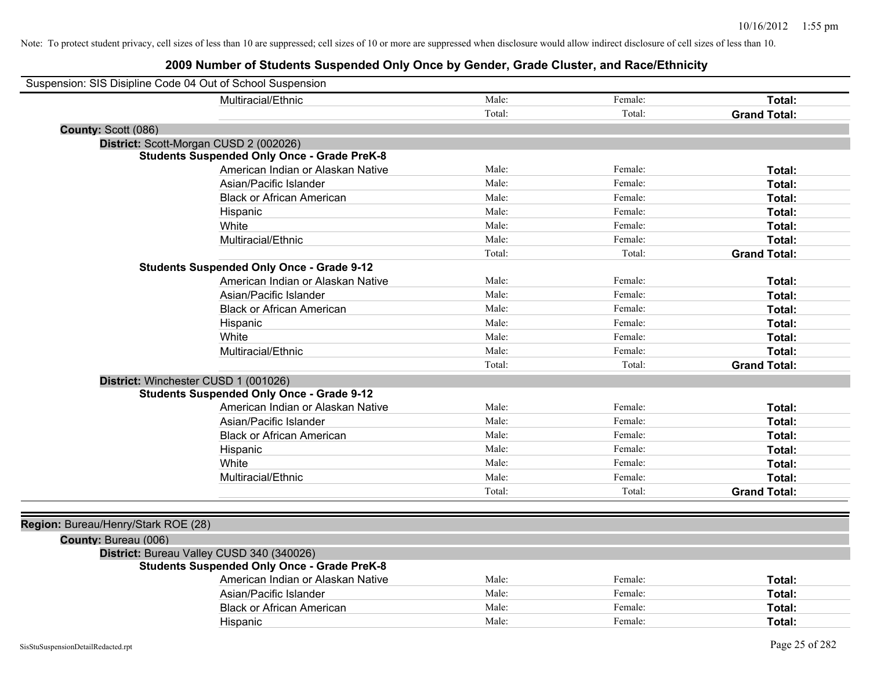| Suspension: SIS Disipline Code 04 Out of School Suspension |                                                    |        |         |                     |
|------------------------------------------------------------|----------------------------------------------------|--------|---------|---------------------|
|                                                            | Multiracial/Ethnic                                 | Male:  | Female: | Total:              |
|                                                            |                                                    | Total: | Total:  | <b>Grand Total:</b> |
| County: Scott (086)                                        |                                                    |        |         |                     |
|                                                            | District: Scott-Morgan CUSD 2 (002026)             |        |         |                     |
|                                                            | <b>Students Suspended Only Once - Grade PreK-8</b> |        |         |                     |
|                                                            | American Indian or Alaskan Native                  | Male:  | Female: | Total:              |
|                                                            | Asian/Pacific Islander                             | Male:  | Female: | Total:              |
|                                                            | <b>Black or African American</b>                   | Male:  | Female: | Total:              |
|                                                            | Hispanic                                           | Male:  | Female: | Total:              |
|                                                            | White                                              | Male:  | Female: | Total:              |
|                                                            | Multiracial/Ethnic                                 | Male:  | Female: | Total:              |
|                                                            |                                                    | Total: | Total:  | <b>Grand Total:</b> |
|                                                            | <b>Students Suspended Only Once - Grade 9-12</b>   |        |         |                     |
|                                                            | American Indian or Alaskan Native                  | Male:  | Female: | <b>Total:</b>       |
|                                                            | Asian/Pacific Islander                             | Male:  | Female: | <b>Total:</b>       |
|                                                            | <b>Black or African American</b>                   | Male:  | Female: | Total:              |
|                                                            | Hispanic                                           | Male:  | Female: | Total:              |
|                                                            | White                                              | Male:  | Female: | Total:              |
|                                                            | Multiracial/Ethnic                                 | Male:  | Female: | Total:              |
|                                                            |                                                    | Total: | Total:  | <b>Grand Total:</b> |
|                                                            | District: Winchester CUSD 1 (001026)               |        |         |                     |
|                                                            | <b>Students Suspended Only Once - Grade 9-12</b>   |        |         |                     |
|                                                            | American Indian or Alaskan Native                  | Male:  | Female: | Total:              |
|                                                            | Asian/Pacific Islander                             | Male:  | Female: | Total:              |
|                                                            | <b>Black or African American</b>                   | Male:  | Female: | Total:              |
|                                                            | Hispanic                                           | Male:  | Female: | Total:              |
|                                                            | White                                              | Male:  | Female: | Total:              |
|                                                            | Multiracial/Ethnic                                 | Male:  | Female: | Total:              |
|                                                            |                                                    | Total: | Total:  | <b>Grand Total:</b> |
|                                                            |                                                    |        |         |                     |
| Region: Bureau/Henry/Stark ROE (28)                        |                                                    |        |         |                     |
| County: Bureau (006)                                       |                                                    |        |         |                     |
|                                                            | District: Bureau Valley CUSD 340 (340026)          |        |         |                     |
|                                                            | <b>Students Suspended Only Once - Grade PreK-8</b> |        |         |                     |
|                                                            | American Indian or Alaskan Native                  | Male:  | Female: | Total:              |
|                                                            | Asian/Pacific Islander                             | Male:  | Female: | <b>Total:</b>       |
|                                                            | <b>Black or African American</b>                   | Male:  | Female: | <b>Total:</b>       |
|                                                            | Hispanic                                           | Male:  | Female: | <b>Total:</b>       |
|                                                            |                                                    |        |         |                     |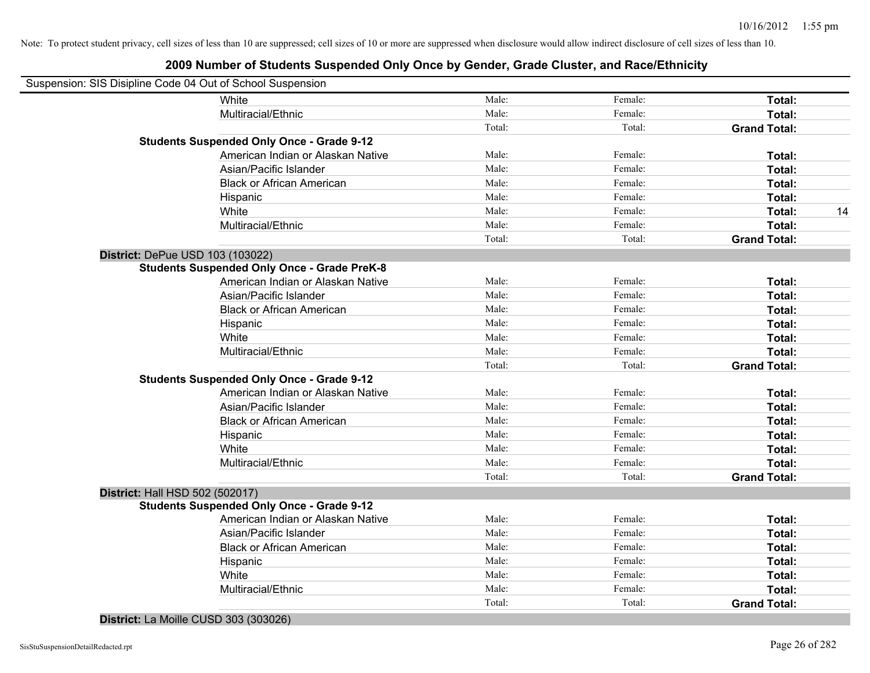| Suspension: SIS Disipline Code 04 Out of School Suspension |        |         |                     |    |
|------------------------------------------------------------|--------|---------|---------------------|----|
| White                                                      | Male:  | Female: | Total:              |    |
| Multiracial/Ethnic                                         | Male:  | Female: | Total:              |    |
|                                                            | Total: | Total:  | <b>Grand Total:</b> |    |
| <b>Students Suspended Only Once - Grade 9-12</b>           |        |         |                     |    |
| American Indian or Alaskan Native                          | Male:  | Female: | Total:              |    |
| Asian/Pacific Islander                                     | Male:  | Female: | Total:              |    |
| <b>Black or African American</b>                           | Male:  | Female: | Total:              |    |
| Hispanic                                                   | Male:  | Female: | Total:              |    |
| White                                                      | Male:  | Female: | Total:              | 14 |
| Multiracial/Ethnic                                         | Male:  | Female: | Total:              |    |
|                                                            | Total: | Total:  | <b>Grand Total:</b> |    |
| District: DePue USD 103 (103022)                           |        |         |                     |    |
| <b>Students Suspended Only Once - Grade PreK-8</b>         |        |         |                     |    |
| American Indian or Alaskan Native                          | Male:  | Female: | Total:              |    |
| Asian/Pacific Islander                                     | Male:  | Female: | Total:              |    |
| <b>Black or African American</b>                           | Male:  | Female: | Total:              |    |
| Hispanic                                                   | Male:  | Female: | Total:              |    |
| White                                                      | Male:  | Female: | Total:              |    |
| Multiracial/Ethnic                                         | Male:  | Female: | Total:              |    |
|                                                            | Total: | Total:  | <b>Grand Total:</b> |    |
| <b>Students Suspended Only Once - Grade 9-12</b>           |        |         |                     |    |
| American Indian or Alaskan Native                          | Male:  | Female: | Total:              |    |
| Asian/Pacific Islander                                     | Male:  | Female: | Total:              |    |
| <b>Black or African American</b>                           | Male:  | Female: | Total:              |    |
| Hispanic                                                   | Male:  | Female: | Total:              |    |
| White                                                      | Male:  | Female: | Total:              |    |
| Multiracial/Ethnic                                         | Male:  | Female: | Total:              |    |
|                                                            | Total: | Total:  | <b>Grand Total:</b> |    |
| District: Hall HSD 502 (502017)                            |        |         |                     |    |
| <b>Students Suspended Only Once - Grade 9-12</b>           |        |         |                     |    |
| American Indian or Alaskan Native                          | Male:  | Female: | Total:              |    |
| Asian/Pacific Islander                                     | Male:  | Female: | Total:              |    |
| <b>Black or African American</b>                           | Male:  | Female: | Total:              |    |
| Hispanic                                                   | Male:  | Female: | Total:              |    |
| White                                                      | Male:  | Female: | Total:              |    |
| Multiracial/Ethnic                                         | Male:  | Female: | Total:              |    |
|                                                            | Total: | Total:  | <b>Grand Total:</b> |    |
| District: La Moille CUSD 303 (303026)                      |        |         |                     |    |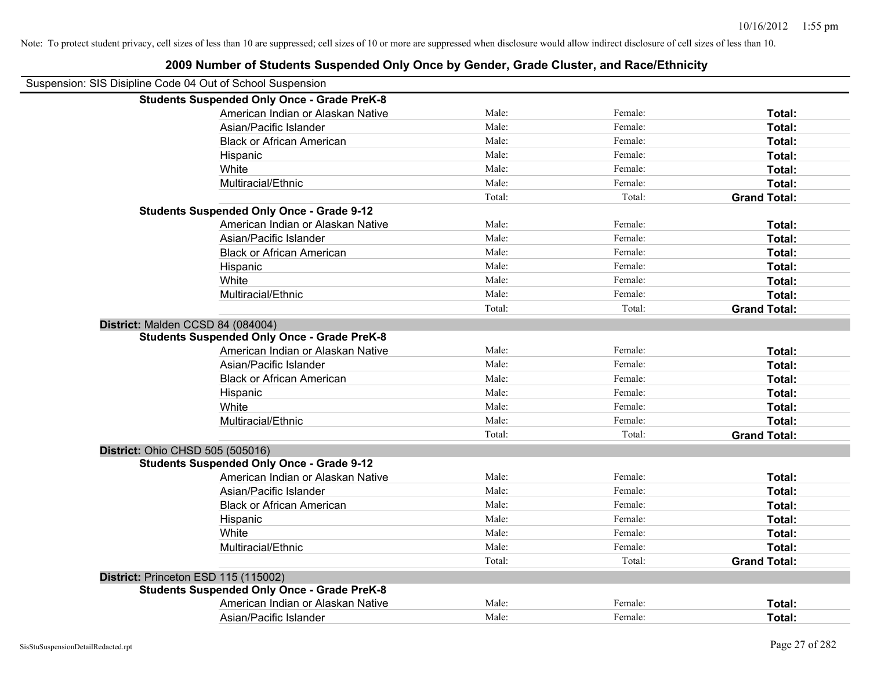| Suspension: SIS Disipline Code 04 Out of School Suspension |        |         |                     |
|------------------------------------------------------------|--------|---------|---------------------|
| <b>Students Suspended Only Once - Grade PreK-8</b>         |        |         |                     |
| American Indian or Alaskan Native                          | Male:  | Female: | Total:              |
| Asian/Pacific Islander                                     | Male:  | Female: | Total:              |
| <b>Black or African American</b>                           | Male:  | Female: | Total:              |
| Hispanic                                                   | Male:  | Female: | Total:              |
| White                                                      | Male:  | Female: | Total:              |
| Multiracial/Ethnic                                         | Male:  | Female: | Total:              |
|                                                            | Total: | Total:  | <b>Grand Total:</b> |
| <b>Students Suspended Only Once - Grade 9-12</b>           |        |         |                     |
| American Indian or Alaskan Native                          | Male:  | Female: | Total:              |
| Asian/Pacific Islander                                     | Male:  | Female: | Total:              |
| <b>Black or African American</b>                           | Male:  | Female: | Total:              |
| Hispanic                                                   | Male:  | Female: | Total:              |
| White                                                      | Male:  | Female: | Total:              |
| Multiracial/Ethnic                                         | Male:  | Female: | Total:              |
|                                                            | Total: | Total:  | <b>Grand Total:</b> |
| District: Malden CCSD 84 (084004)                          |        |         |                     |
| <b>Students Suspended Only Once - Grade PreK-8</b>         |        |         |                     |
| American Indian or Alaskan Native                          | Male:  | Female: | Total:              |
| Asian/Pacific Islander                                     | Male:  | Female: | Total:              |
| <b>Black or African American</b>                           | Male:  | Female: | Total:              |
| Hispanic                                                   | Male:  | Female: | Total:              |
| White                                                      | Male:  | Female: | Total:              |
| Multiracial/Ethnic                                         | Male:  | Female: | Total:              |
|                                                            | Total: | Total:  | <b>Grand Total:</b> |
| District: Ohio CHSD 505 (505016)                           |        |         |                     |
| <b>Students Suspended Only Once - Grade 9-12</b>           |        |         |                     |
| American Indian or Alaskan Native                          | Male:  | Female: | Total:              |
| Asian/Pacific Islander                                     | Male:  | Female: | Total:              |
| <b>Black or African American</b>                           | Male:  | Female: | Total:              |
| Hispanic                                                   | Male:  | Female: | Total:              |
| White                                                      | Male:  | Female: | Total:              |
| Multiracial/Ethnic                                         | Male:  | Female: | Total:              |
|                                                            | Total: | Total:  | <b>Grand Total:</b> |
| District: Princeton ESD 115 (115002)                       |        |         |                     |
| <b>Students Suspended Only Once - Grade PreK-8</b>         |        |         |                     |
| American Indian or Alaskan Native                          | Male:  | Female: | Total:              |
| Asian/Pacific Islander                                     | Male:  | Female: | Total:              |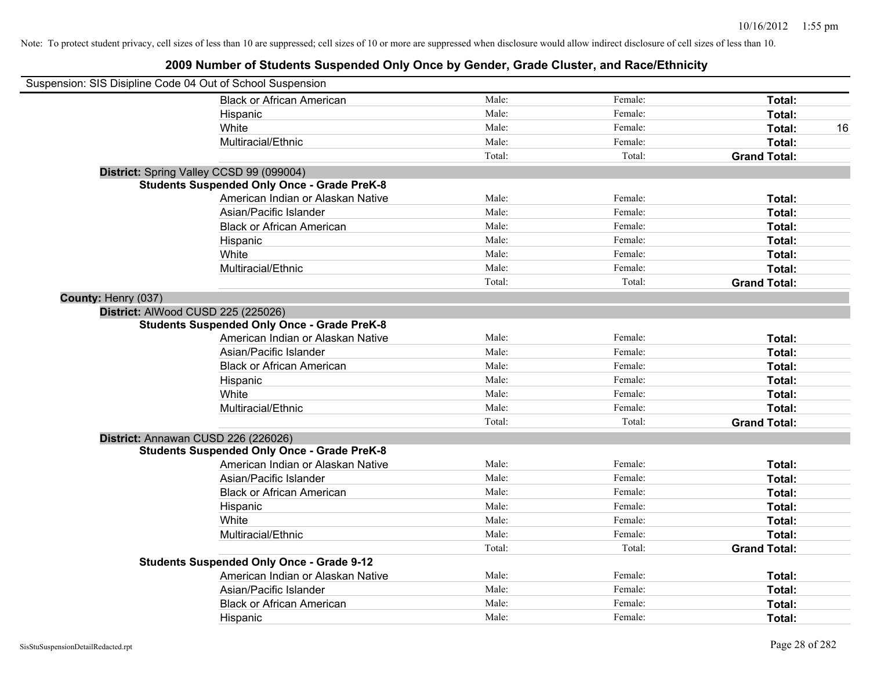| Suspension: SIS Disipline Code 04 Out of School Suspension |                                                    |        |         |                     |
|------------------------------------------------------------|----------------------------------------------------|--------|---------|---------------------|
|                                                            | <b>Black or African American</b>                   | Male:  | Female: | Total:              |
|                                                            | Hispanic                                           | Male:  | Female: | Total:              |
|                                                            | White                                              | Male:  | Female: | Total:<br>16        |
|                                                            | Multiracial/Ethnic                                 | Male:  | Female: | Total:              |
|                                                            |                                                    | Total: | Total:  | <b>Grand Total:</b> |
|                                                            | District: Spring Valley CCSD 99 (099004)           |        |         |                     |
|                                                            | <b>Students Suspended Only Once - Grade PreK-8</b> |        |         |                     |
|                                                            | American Indian or Alaskan Native                  | Male:  | Female: | Total:              |
|                                                            | Asian/Pacific Islander                             | Male:  | Female: | Total:              |
|                                                            | <b>Black or African American</b>                   | Male:  | Female: | Total:              |
|                                                            | Hispanic                                           | Male:  | Female: | Total:              |
|                                                            | White                                              | Male:  | Female: | Total:              |
|                                                            | Multiracial/Ethnic                                 | Male:  | Female: | Total:              |
|                                                            |                                                    | Total: | Total:  | <b>Grand Total:</b> |
| County: Henry (037)                                        |                                                    |        |         |                     |
|                                                            | District: AlWood CUSD 225 (225026)                 |        |         |                     |
|                                                            | <b>Students Suspended Only Once - Grade PreK-8</b> |        |         |                     |
|                                                            | American Indian or Alaskan Native                  | Male:  | Female: | Total:              |
|                                                            | Asian/Pacific Islander                             | Male:  | Female: | Total:              |
|                                                            | <b>Black or African American</b>                   | Male:  | Female: | Total:              |
|                                                            | Hispanic                                           | Male:  | Female: | Total:              |
|                                                            | White                                              | Male:  | Female: | Total:              |
|                                                            | Multiracial/Ethnic                                 | Male:  | Female: | Total:              |
|                                                            |                                                    | Total: | Total:  | <b>Grand Total:</b> |
|                                                            | District: Annawan CUSD 226 (226026)                |        |         |                     |
|                                                            | <b>Students Suspended Only Once - Grade PreK-8</b> |        |         |                     |
|                                                            | American Indian or Alaskan Native                  | Male:  | Female: | Total:              |
|                                                            | Asian/Pacific Islander                             | Male:  | Female: | Total:              |
|                                                            | <b>Black or African American</b>                   | Male:  | Female: | Total:              |
|                                                            | Hispanic                                           | Male:  | Female: | Total:              |
|                                                            | White                                              | Male:  | Female: | Total:              |
|                                                            | Multiracial/Ethnic                                 | Male:  | Female: | Total:              |
|                                                            |                                                    | Total: | Total:  | <b>Grand Total:</b> |
|                                                            | <b>Students Suspended Only Once - Grade 9-12</b>   |        |         |                     |
|                                                            | American Indian or Alaskan Native                  | Male:  | Female: | Total:              |
|                                                            | Asian/Pacific Islander                             | Male:  | Female: | Total:              |
|                                                            | <b>Black or African American</b>                   | Male:  | Female: | Total:              |
|                                                            | Hispanic                                           | Male:  | Female: | Total:              |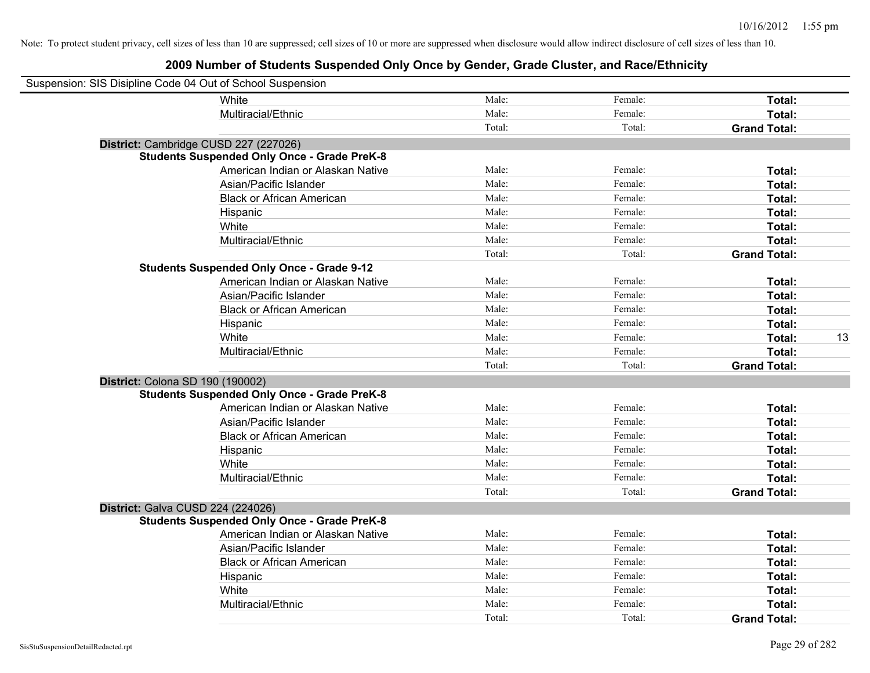| Suspension: SIS Disipline Code 04 Out of School Suspension |                                                    |        |         |                     |    |
|------------------------------------------------------------|----------------------------------------------------|--------|---------|---------------------|----|
|                                                            | White                                              | Male:  | Female: | Total:              |    |
|                                                            | Multiracial/Ethnic                                 | Male:  | Female: | Total:              |    |
|                                                            |                                                    | Total: | Total:  | <b>Grand Total:</b> |    |
| District: Cambridge CUSD 227 (227026)                      |                                                    |        |         |                     |    |
|                                                            | <b>Students Suspended Only Once - Grade PreK-8</b> |        |         |                     |    |
|                                                            | American Indian or Alaskan Native                  | Male:  | Female: | Total:              |    |
|                                                            | Asian/Pacific Islander                             | Male:  | Female: | Total:              |    |
|                                                            | <b>Black or African American</b>                   | Male:  | Female: | Total:              |    |
|                                                            | Hispanic                                           | Male:  | Female: | Total:              |    |
|                                                            | White                                              | Male:  | Female: | Total:              |    |
|                                                            | Multiracial/Ethnic                                 | Male:  | Female: | Total:              |    |
|                                                            |                                                    | Total: | Total:  | <b>Grand Total:</b> |    |
|                                                            | <b>Students Suspended Only Once - Grade 9-12</b>   |        |         |                     |    |
|                                                            | American Indian or Alaskan Native                  | Male:  | Female: | Total:              |    |
|                                                            | Asian/Pacific Islander                             | Male:  | Female: | Total:              |    |
|                                                            | <b>Black or African American</b>                   | Male:  | Female: | Total:              |    |
|                                                            | Hispanic                                           | Male:  | Female: | Total:              |    |
|                                                            | White                                              | Male:  | Female: | Total:              | 13 |
|                                                            | Multiracial/Ethnic                                 | Male:  | Female: | Total:              |    |
|                                                            |                                                    | Total: | Total:  | <b>Grand Total:</b> |    |
| District: Colona SD 190 (190002)                           |                                                    |        |         |                     |    |
|                                                            | <b>Students Suspended Only Once - Grade PreK-8</b> |        |         |                     |    |
|                                                            | American Indian or Alaskan Native                  | Male:  | Female: | Total:              |    |
|                                                            | Asian/Pacific Islander                             | Male:  | Female: | Total:              |    |
|                                                            | <b>Black or African American</b>                   | Male:  | Female: | Total:              |    |
|                                                            | Hispanic                                           | Male:  | Female: | Total:              |    |
|                                                            | White                                              | Male:  | Female: | Total:              |    |
|                                                            | Multiracial/Ethnic                                 | Male:  | Female: | Total:              |    |
|                                                            |                                                    | Total: | Total:  | <b>Grand Total:</b> |    |
| District: Galva CUSD 224 (224026)                          |                                                    |        |         |                     |    |
|                                                            | <b>Students Suspended Only Once - Grade PreK-8</b> |        |         |                     |    |
|                                                            | American Indian or Alaskan Native                  | Male:  | Female: | Total:              |    |
|                                                            | Asian/Pacific Islander                             | Male:  | Female: | Total:              |    |
|                                                            | <b>Black or African American</b>                   | Male:  | Female: | Total:              |    |
|                                                            | Hispanic                                           | Male:  | Female: | Total:              |    |
|                                                            | White                                              | Male:  | Female: | Total:              |    |
|                                                            | Multiracial/Ethnic                                 | Male:  | Female: | Total:              |    |
|                                                            |                                                    | Total: | Total:  | <b>Grand Total:</b> |    |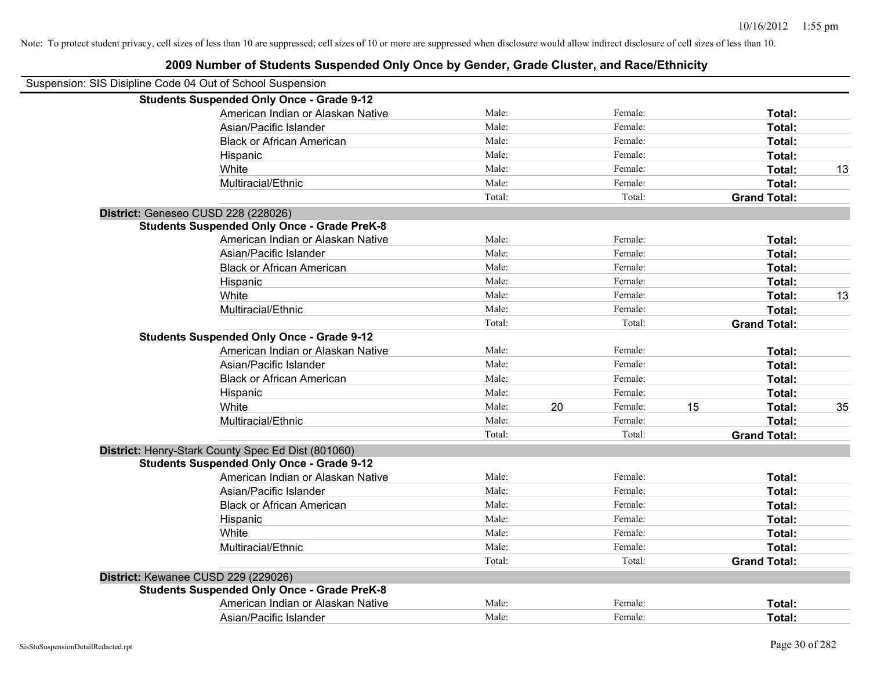| Suspension: SIS Disipline Code 04 Out of School Suspension |        |    |               |                     |    |
|------------------------------------------------------------|--------|----|---------------|---------------------|----|
| <b>Students Suspended Only Once - Grade 9-12</b>           |        |    |               |                     |    |
| American Indian or Alaskan Native                          | Male:  |    | Female:       | Total:              |    |
| Asian/Pacific Islander                                     | Male:  |    | Female:       | Total:              |    |
| <b>Black or African American</b>                           | Male:  |    | Female:       | Total:              |    |
| Hispanic                                                   | Male:  |    | Female:       | Total:              |    |
| White                                                      | Male:  |    | Female:       | Total:              | 13 |
| Multiracial/Ethnic                                         | Male:  |    | Female:       | Total:              |    |
|                                                            | Total: |    | Total:        | <b>Grand Total:</b> |    |
| District: Geneseo CUSD 228 (228026)                        |        |    |               |                     |    |
| <b>Students Suspended Only Once - Grade PreK-8</b>         |        |    |               |                     |    |
| American Indian or Alaskan Native                          | Male:  |    | Female:       | Total:              |    |
| Asian/Pacific Islander                                     | Male:  |    | Female:       | Total:              |    |
| <b>Black or African American</b>                           | Male:  |    | Female:       | Total:              |    |
| Hispanic                                                   | Male:  |    | Female:       | Total:              |    |
| White                                                      | Male:  |    | Female:       | Total:              | 13 |
| Multiracial/Ethnic                                         | Male:  |    | Female:       | Total:              |    |
|                                                            | Total: |    | Total:        | <b>Grand Total:</b> |    |
| <b>Students Suspended Only Once - Grade 9-12</b>           |        |    |               |                     |    |
| American Indian or Alaskan Native                          | Male:  |    | Female:       | Total:              |    |
| Asian/Pacific Islander                                     | Male:  |    | Female:       | Total:              |    |
| <b>Black or African American</b>                           | Male:  |    | Female:       | Total:              |    |
| Hispanic                                                   | Male:  |    | Female:       | Total:              |    |
| White                                                      | Male:  | 20 | 15<br>Female: | Total:              | 35 |
| Multiracial/Ethnic                                         | Male:  |    | Female:       | Total:              |    |
|                                                            | Total: |    | Total:        | <b>Grand Total:</b> |    |
| District: Henry-Stark County Spec Ed Dist (801060)         |        |    |               |                     |    |
| <b>Students Suspended Only Once - Grade 9-12</b>           |        |    |               |                     |    |
| American Indian or Alaskan Native                          | Male:  |    | Female:       | Total:              |    |
| Asian/Pacific Islander                                     | Male:  |    | Female:       | Total:              |    |
| <b>Black or African American</b>                           | Male:  |    | Female:       | Total:              |    |
| Hispanic                                                   | Male:  |    | Female:       | Total:              |    |
| White                                                      | Male:  |    | Female:       | Total:              |    |
| Multiracial/Ethnic                                         | Male:  |    | Female:       | Total:              |    |
|                                                            | Total: |    | Total:        | <b>Grand Total:</b> |    |
| District: Kewanee CUSD 229 (229026)                        |        |    |               |                     |    |
| <b>Students Suspended Only Once - Grade PreK-8</b>         |        |    |               |                     |    |
| American Indian or Alaskan Native                          | Male:  |    | Female:       | Total:              |    |
| Asian/Pacific Islander                                     | Male:  |    | Female:       | Total:              |    |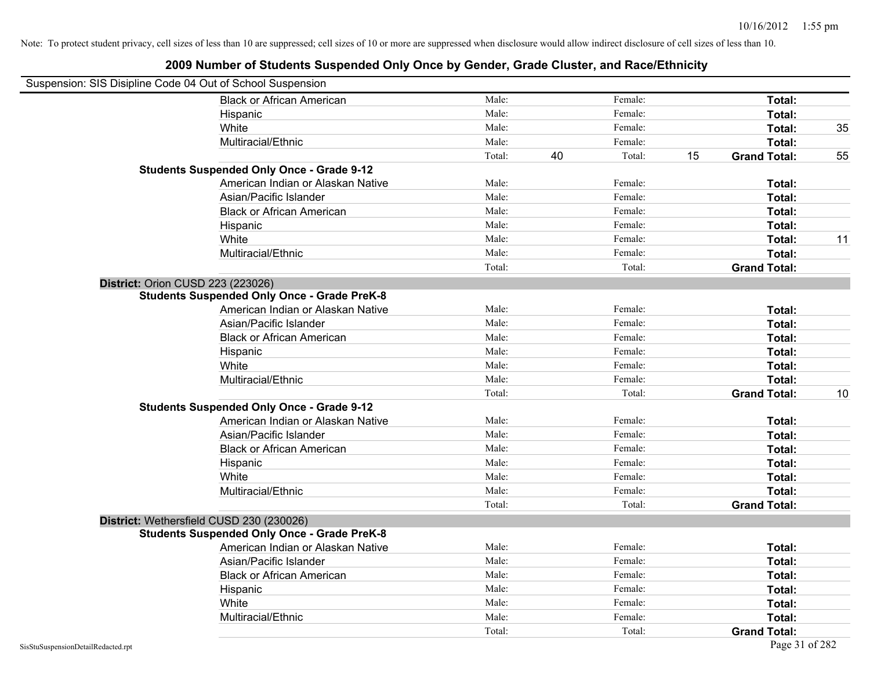| Suspension: SIS Disipline Code 04 Out of School Suspension |                                                    |        |    |         |    |                     |    |
|------------------------------------------------------------|----------------------------------------------------|--------|----|---------|----|---------------------|----|
|                                                            | <b>Black or African American</b>                   | Male:  |    | Female: |    | Total:              |    |
|                                                            | Hispanic                                           | Male:  |    | Female: |    | Total:              |    |
|                                                            | White                                              | Male:  |    | Female: |    | Total:              | 35 |
|                                                            | Multiracial/Ethnic                                 | Male:  |    | Female: |    | Total:              |    |
|                                                            |                                                    | Total: | 40 | Total:  | 15 | <b>Grand Total:</b> | 55 |
|                                                            | <b>Students Suspended Only Once - Grade 9-12</b>   |        |    |         |    |                     |    |
|                                                            | American Indian or Alaskan Native                  | Male:  |    | Female: |    | Total:              |    |
|                                                            | Asian/Pacific Islander                             | Male:  |    | Female: |    | Total:              |    |
|                                                            | <b>Black or African American</b>                   | Male:  |    | Female: |    | Total:              |    |
|                                                            | Hispanic                                           | Male:  |    | Female: |    | Total:              |    |
|                                                            | White                                              | Male:  |    | Female: |    | Total:              | 11 |
|                                                            | Multiracial/Ethnic                                 | Male:  |    | Female: |    | Total:              |    |
|                                                            |                                                    | Total: |    | Total:  |    | <b>Grand Total:</b> |    |
| District: Orion CUSD 223 (223026)                          |                                                    |        |    |         |    |                     |    |
|                                                            | <b>Students Suspended Only Once - Grade PreK-8</b> |        |    |         |    |                     |    |
|                                                            | American Indian or Alaskan Native                  | Male:  |    | Female: |    | Total:              |    |
|                                                            | Asian/Pacific Islander                             | Male:  |    | Female: |    | Total:              |    |
|                                                            | <b>Black or African American</b>                   | Male:  |    | Female: |    | Total:              |    |
|                                                            | Hispanic                                           | Male:  |    | Female: |    | Total:              |    |
|                                                            | White                                              | Male:  |    | Female: |    | Total:              |    |
|                                                            | Multiracial/Ethnic                                 | Male:  |    | Female: |    | Total:              |    |
|                                                            |                                                    | Total: |    | Total:  |    | <b>Grand Total:</b> | 10 |
|                                                            | <b>Students Suspended Only Once - Grade 9-12</b>   |        |    |         |    |                     |    |
|                                                            | American Indian or Alaskan Native                  | Male:  |    | Female: |    | Total:              |    |
|                                                            | Asian/Pacific Islander                             | Male:  |    | Female: |    | Total:              |    |
|                                                            | <b>Black or African American</b>                   | Male:  |    | Female: |    | Total:              |    |
|                                                            | Hispanic                                           | Male:  |    | Female: |    | Total:              |    |
|                                                            | White                                              | Male:  |    | Female: |    | Total:              |    |
|                                                            | Multiracial/Ethnic                                 | Male:  |    | Female: |    | Total:              |    |
|                                                            |                                                    | Total: |    | Total:  |    | <b>Grand Total:</b> |    |
| District: Wethersfield CUSD 230 (230026)                   |                                                    |        |    |         |    |                     |    |
|                                                            | <b>Students Suspended Only Once - Grade PreK-8</b> |        |    |         |    |                     |    |
|                                                            | American Indian or Alaskan Native                  | Male:  |    | Female: |    | Total:              |    |
|                                                            | Asian/Pacific Islander                             | Male:  |    | Female: |    | Total:              |    |
|                                                            | <b>Black or African American</b>                   | Male:  |    | Female: |    | Total:              |    |
|                                                            | Hispanic                                           | Male:  |    | Female: |    | Total:              |    |
|                                                            | White                                              | Male:  |    | Female: |    | Total:              |    |
|                                                            | Multiracial/Ethnic                                 | Male:  |    | Female: |    | Total:              |    |
|                                                            |                                                    | Total: |    | Total:  |    | <b>Grand Total:</b> |    |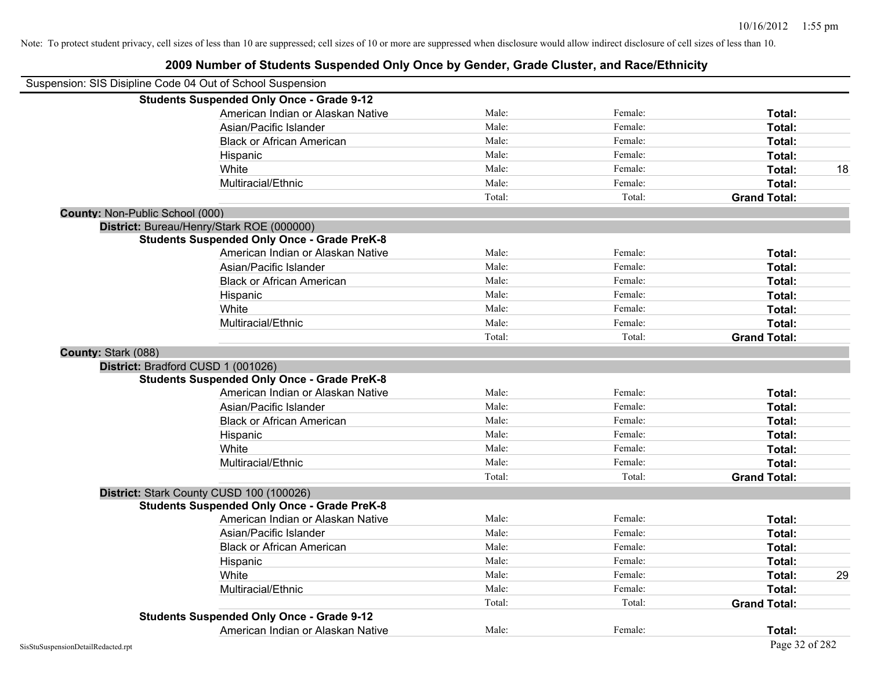|                     | Suspension: SIS Disipline Code 04 Out of School Suspension |        |         |                     |    |
|---------------------|------------------------------------------------------------|--------|---------|---------------------|----|
|                     | <b>Students Suspended Only Once - Grade 9-12</b>           |        |         |                     |    |
|                     | American Indian or Alaskan Native                          | Male:  | Female: | Total:              |    |
|                     | Asian/Pacific Islander                                     | Male:  | Female: | Total:              |    |
|                     | <b>Black or African American</b>                           | Male:  | Female: | Total:              |    |
|                     | Hispanic                                                   | Male:  | Female: | Total:              |    |
|                     | White                                                      | Male:  | Female: | Total:              | 18 |
|                     | Multiracial/Ethnic                                         | Male:  | Female: | Total:              |    |
|                     |                                                            | Total: | Total:  | <b>Grand Total:</b> |    |
|                     | County: Non-Public School (000)                            |        |         |                     |    |
|                     | District: Bureau/Henry/Stark ROE (000000)                  |        |         |                     |    |
|                     | <b>Students Suspended Only Once - Grade PreK-8</b>         |        |         |                     |    |
|                     | American Indian or Alaskan Native                          | Male:  | Female: | Total:              |    |
|                     | Asian/Pacific Islander                                     | Male:  | Female: | Total:              |    |
|                     | <b>Black or African American</b>                           | Male:  | Female: | Total:              |    |
|                     | Hispanic                                                   | Male:  | Female: | Total:              |    |
|                     | White                                                      | Male:  | Female: | Total:              |    |
|                     | Multiracial/Ethnic                                         | Male:  | Female: | Total:              |    |
|                     |                                                            | Total: | Total:  | <b>Grand Total:</b> |    |
| County: Stark (088) |                                                            |        |         |                     |    |
|                     | District: Bradford CUSD 1 (001026)                         |        |         |                     |    |
|                     | <b>Students Suspended Only Once - Grade PreK-8</b>         |        |         |                     |    |
|                     | American Indian or Alaskan Native                          | Male:  | Female: | Total:              |    |
|                     | Asian/Pacific Islander                                     | Male:  | Female: | Total:              |    |
|                     | <b>Black or African American</b>                           | Male:  | Female: | Total:              |    |
|                     | Hispanic                                                   | Male:  | Female: | Total:              |    |
|                     | White                                                      | Male:  | Female: | Total:              |    |
|                     | Multiracial/Ethnic                                         | Male:  | Female: | Total:              |    |
|                     |                                                            | Total: | Total:  | <b>Grand Total:</b> |    |
|                     | District: Stark County CUSD 100 (100026)                   |        |         |                     |    |
|                     | <b>Students Suspended Only Once - Grade PreK-8</b>         |        |         |                     |    |
|                     | American Indian or Alaskan Native                          | Male:  | Female: | Total:              |    |
|                     | Asian/Pacific Islander                                     | Male:  | Female: | Total:              |    |
|                     | <b>Black or African American</b>                           | Male:  | Female: | Total:              |    |
|                     | Hispanic                                                   | Male:  | Female: | Total:              |    |
|                     | White                                                      | Male:  | Female: | Total:              | 29 |
|                     | Multiracial/Ethnic                                         | Male:  | Female: | Total:              |    |
|                     |                                                            | Total: | Total:  | <b>Grand Total:</b> |    |
|                     | <b>Students Suspended Only Once - Grade 9-12</b>           |        |         |                     |    |
|                     | American Indian or Alaskan Native                          | Male:  | Female: | Total:              |    |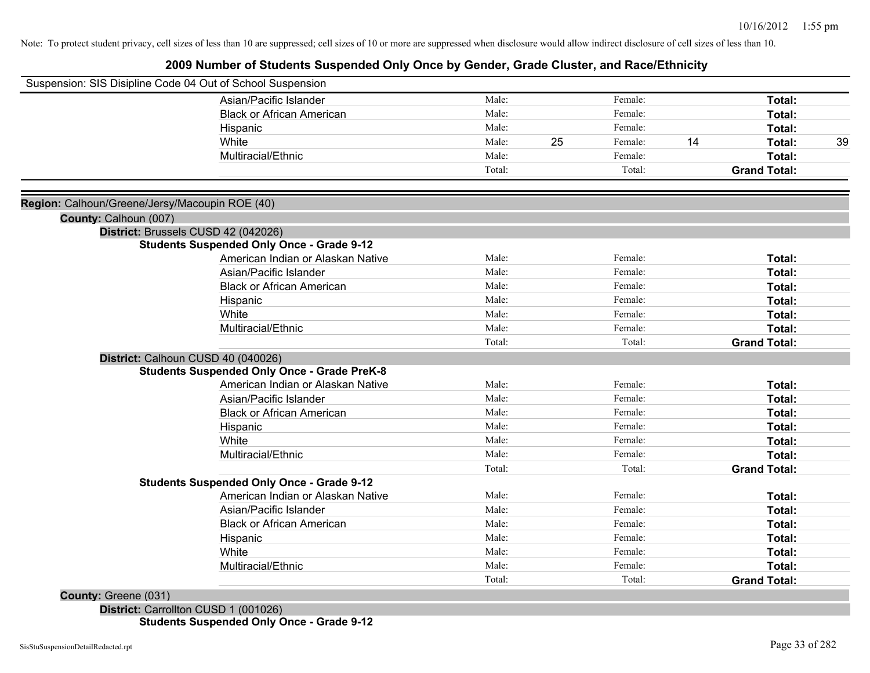### **2009 Number of Students Suspended Only Once by Gender, Grade Cluster, and Race/Ethnicity**

| Suspension: SIS Disipline Code 04 Out of School Suspension                               |        |    |         |    |                     |    |
|------------------------------------------------------------------------------------------|--------|----|---------|----|---------------------|----|
| Asian/Pacific Islander                                                                   | Male:  |    | Female: |    | Total:              |    |
| <b>Black or African American</b>                                                         | Male:  |    | Female: |    | Total:              |    |
| Hispanic                                                                                 | Male:  |    | Female: |    | Total:              |    |
| White                                                                                    | Male:  | 25 | Female: | 14 | Total:              | 39 |
| Multiracial/Ethnic                                                                       | Male:  |    | Female: |    | <b>Total:</b>       |    |
|                                                                                          | Total: |    | Total:  |    | <b>Grand Total:</b> |    |
| Region: Calhoun/Greene/Jersy/Macoupin ROE (40)                                           |        |    |         |    |                     |    |
| County: Calhoun (007)                                                                    |        |    |         |    |                     |    |
| District: Brussels CUSD 42 (042026)<br><b>Students Suspended Only Once - Grade 9-12</b>  |        |    |         |    |                     |    |
| American Indian or Alaskan Native                                                        | Male:  |    | Female: |    | Total:              |    |
| Asian/Pacific Islander                                                                   | Male:  |    | Female: |    | Total:              |    |
| <b>Black or African American</b>                                                         | Male:  |    | Female: |    | Total:              |    |
| Hispanic                                                                                 | Male:  |    | Female: |    | Total:              |    |
| White                                                                                    | Male:  |    | Female: |    | Total:              |    |
| Multiracial/Ethnic                                                                       | Male:  |    | Female: |    | Total:              |    |
|                                                                                          | Total: |    | Total:  |    | <b>Grand Total:</b> |    |
| District: Calhoun CUSD 40 (040026)<br><b>Students Suspended Only Once - Grade PreK-8</b> |        |    |         |    |                     |    |
| American Indian or Alaskan Native                                                        | Male:  |    | Female: |    | Total:              |    |
| Asian/Pacific Islander                                                                   | Male:  |    | Female: |    | Total:              |    |
| <b>Black or African American</b>                                                         | Male:  |    | Female: |    | Total:              |    |
| Hispanic                                                                                 | Male:  |    | Female: |    | Total:              |    |
| White                                                                                    | Male:  |    | Female: |    | Total:              |    |
| Multiracial/Ethnic                                                                       | Male:  |    | Female: |    | Total:              |    |
|                                                                                          | Total: |    | Total:  |    | <b>Grand Total:</b> |    |
| <b>Students Suspended Only Once - Grade 9-12</b>                                         |        |    |         |    |                     |    |
| American Indian or Alaskan Native                                                        | Male:  |    | Female: |    | Total:              |    |
| Asian/Pacific Islander                                                                   | Male:  |    | Female: |    | Total:              |    |
| <b>Black or African American</b>                                                         | Male:  |    | Female: |    | Total:              |    |
| Hispanic                                                                                 | Male:  |    | Female: |    | Total:              |    |
| White                                                                                    | Male:  |    | Female: |    | Total:              |    |
| Multiracial/Ethnic                                                                       | Male:  |    | Female: |    | Total:              |    |
|                                                                                          | Total: |    | Total:  |    | <b>Grand Total:</b> |    |

**County:** Greene (031)

**District:** Carrollton CUSD 1 (001026) **Students Suspended Only Once - Grade 9-12**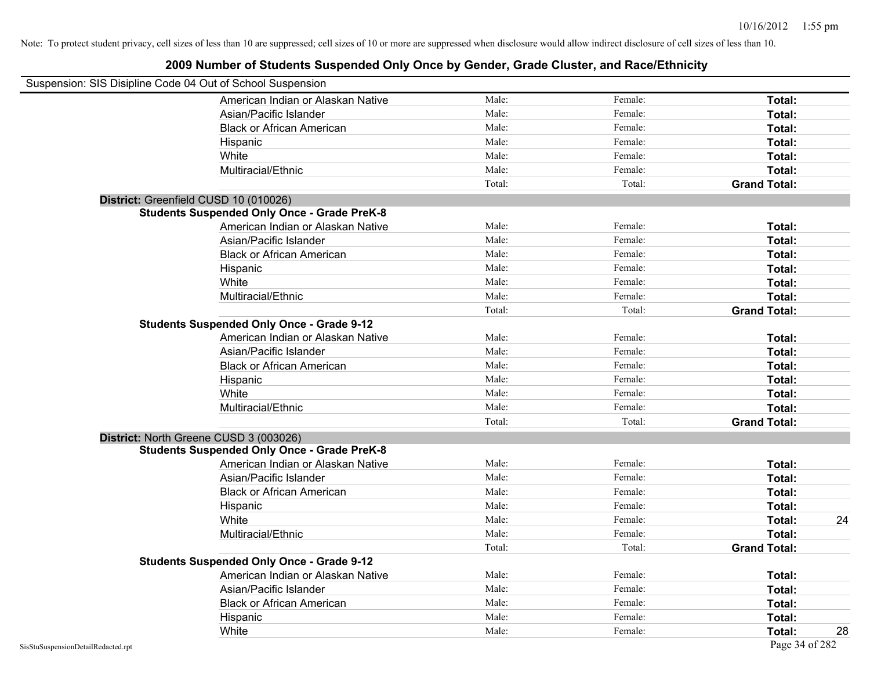| Suspension: SIS Disipline Code 04 Out of School Suspension |        |         |                     |
|------------------------------------------------------------|--------|---------|---------------------|
| American Indian or Alaskan Native                          | Male:  | Female: | Total:              |
| Asian/Pacific Islander                                     | Male:  | Female: | Total:              |
| <b>Black or African American</b>                           | Male:  | Female: | Total:              |
| Hispanic                                                   | Male:  | Female: | Total:              |
| White                                                      | Male:  | Female: | Total:              |
| Multiracial/Ethnic                                         | Male:  | Female: | Total:              |
|                                                            | Total: | Total:  | <b>Grand Total:</b> |
| District: Greenfield CUSD 10 (010026)                      |        |         |                     |
| <b>Students Suspended Only Once - Grade PreK-8</b>         |        |         |                     |
| American Indian or Alaskan Native                          | Male:  | Female: | Total:              |
| Asian/Pacific Islander                                     | Male:  | Female: | Total:              |
| <b>Black or African American</b>                           | Male:  | Female: | Total:              |
| Hispanic                                                   | Male:  | Female: | Total:              |
| White                                                      | Male:  | Female: | Total:              |
| Multiracial/Ethnic                                         | Male:  | Female: | Total:              |
|                                                            | Total: | Total:  | <b>Grand Total:</b> |
| <b>Students Suspended Only Once - Grade 9-12</b>           |        |         |                     |
| American Indian or Alaskan Native                          | Male:  | Female: | Total:              |
| Asian/Pacific Islander                                     | Male:  | Female: | Total:              |
| <b>Black or African American</b>                           | Male:  | Female: | Total:              |
| Hispanic                                                   | Male:  | Female: | Total:              |
| White                                                      | Male:  | Female: | Total:              |
| Multiracial/Ethnic                                         | Male:  | Female: | Total:              |
|                                                            | Total: | Total:  | <b>Grand Total:</b> |
| District: North Greene CUSD 3 (003026)                     |        |         |                     |
| <b>Students Suspended Only Once - Grade PreK-8</b>         |        |         |                     |
| American Indian or Alaskan Native                          | Male:  | Female: | Total:              |
| Asian/Pacific Islander                                     | Male:  | Female: | Total:              |
| <b>Black or African American</b>                           | Male:  | Female: | Total:              |
| Hispanic                                                   | Male:  | Female: | Total:              |
| White                                                      | Male:  | Female: | Total:<br>24        |
| Multiracial/Ethnic                                         | Male:  | Female: | Total:              |
|                                                            | Total: | Total:  | <b>Grand Total:</b> |
| <b>Students Suspended Only Once - Grade 9-12</b>           |        |         |                     |
| American Indian or Alaskan Native                          | Male:  | Female: | Total:              |
| Asian/Pacific Islander                                     | Male:  | Female: | Total:              |
| <b>Black or African American</b>                           | Male:  | Female: | Total:              |
| Hispanic                                                   | Male:  | Female: | Total:              |
| White                                                      | Male:  | Female: | Total:<br>28        |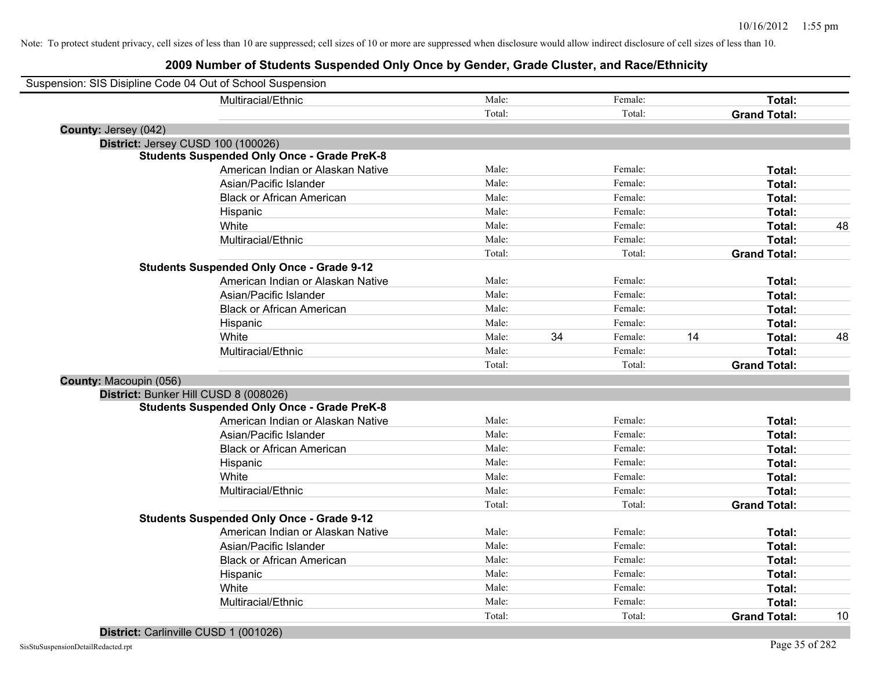|                        | Suspension: SIS Disipline Code 04 Out of School Suspension |        |    |         |    |                     |    |
|------------------------|------------------------------------------------------------|--------|----|---------|----|---------------------|----|
|                        | Multiracial/Ethnic                                         | Male:  |    | Female: |    | Total:              |    |
|                        |                                                            | Total: |    | Total:  |    | <b>Grand Total:</b> |    |
| County: Jersey (042)   |                                                            |        |    |         |    |                     |    |
|                        | District: Jersey CUSD 100 (100026)                         |        |    |         |    |                     |    |
|                        | <b>Students Suspended Only Once - Grade PreK-8</b>         |        |    |         |    |                     |    |
|                        | American Indian or Alaskan Native                          | Male:  |    | Female: |    | Total:              |    |
|                        | Asian/Pacific Islander                                     | Male:  |    | Female: |    | Total:              |    |
|                        | <b>Black or African American</b>                           | Male:  |    | Female: |    | Total:              |    |
|                        | Hispanic                                                   | Male:  |    | Female: |    | Total:              |    |
|                        | White                                                      | Male:  |    | Female: |    | Total:              | 48 |
|                        | Multiracial/Ethnic                                         | Male:  |    | Female: |    | Total:              |    |
|                        |                                                            | Total: |    | Total:  |    | <b>Grand Total:</b> |    |
|                        | <b>Students Suspended Only Once - Grade 9-12</b>           |        |    |         |    |                     |    |
|                        | American Indian or Alaskan Native                          | Male:  |    | Female: |    | Total:              |    |
|                        | Asian/Pacific Islander                                     | Male:  |    | Female: |    | Total:              |    |
|                        | <b>Black or African American</b>                           | Male:  |    | Female: |    | Total:              |    |
|                        | Hispanic                                                   | Male:  |    | Female: |    | Total:              |    |
|                        | White                                                      | Male:  | 34 | Female: | 14 | Total:              | 48 |
|                        | Multiracial/Ethnic                                         | Male:  |    | Female: |    | Total:              |    |
|                        |                                                            | Total: |    | Total:  |    | <b>Grand Total:</b> |    |
| County: Macoupin (056) |                                                            |        |    |         |    |                     |    |
|                        | District: Bunker Hill CUSD 8 (008026)                      |        |    |         |    |                     |    |
|                        | <b>Students Suspended Only Once - Grade PreK-8</b>         |        |    |         |    |                     |    |
|                        | American Indian or Alaskan Native                          | Male:  |    | Female: |    | Total:              |    |
|                        | Asian/Pacific Islander                                     | Male:  |    | Female: |    | Total:              |    |
|                        | <b>Black or African American</b>                           | Male:  |    | Female: |    | Total:              |    |
|                        | Hispanic                                                   | Male:  |    | Female: |    | Total:              |    |
|                        | White                                                      | Male:  |    | Female: |    | Total:              |    |
|                        | Multiracial/Ethnic                                         | Male:  |    | Female: |    | Total:              |    |
|                        |                                                            | Total: |    | Total:  |    | <b>Grand Total:</b> |    |
|                        | <b>Students Suspended Only Once - Grade 9-12</b>           |        |    |         |    |                     |    |
|                        | American Indian or Alaskan Native                          | Male:  |    | Female: |    | Total:              |    |
|                        | Asian/Pacific Islander                                     | Male:  |    | Female: |    | Total:              |    |
|                        | <b>Black or African American</b>                           | Male:  |    | Female: |    | Total:              |    |
|                        | Hispanic                                                   | Male:  |    | Female: |    | Total:              |    |
|                        | White                                                      | Male:  |    | Female: |    | Total:              |    |
|                        | Multiracial/Ethnic                                         | Male:  |    | Female: |    | Total:              |    |
|                        |                                                            | Total: |    | Total:  |    | <b>Grand Total:</b> | 10 |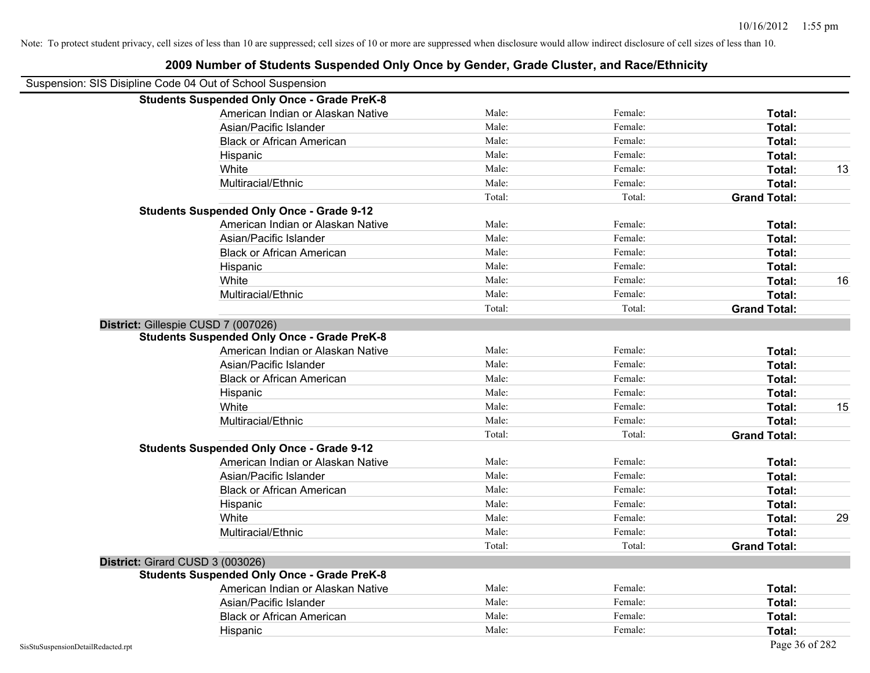|                                    | <b>Students Suspended Only Once - Grade PreK-8</b> |        |         |                     |    |
|------------------------------------|----------------------------------------------------|--------|---------|---------------------|----|
|                                    | American Indian or Alaskan Native                  | Male:  | Female: | Total:              |    |
|                                    | Asian/Pacific Islander                             | Male:  | Female: | Total:              |    |
|                                    | <b>Black or African American</b>                   | Male:  | Female: | Total:              |    |
|                                    | Hispanic                                           | Male:  | Female: | Total:              |    |
|                                    | White                                              | Male:  | Female: | Total:              | 13 |
|                                    | Multiracial/Ethnic                                 | Male:  | Female: | Total:              |    |
|                                    |                                                    | Total: | Total:  | <b>Grand Total:</b> |    |
|                                    | <b>Students Suspended Only Once - Grade 9-12</b>   |        |         |                     |    |
|                                    | American Indian or Alaskan Native                  | Male:  | Female: | Total:              |    |
|                                    | Asian/Pacific Islander                             | Male:  | Female: | Total:              |    |
|                                    | <b>Black or African American</b>                   | Male:  | Female: | Total:              |    |
|                                    | Hispanic                                           | Male:  | Female: | Total:              |    |
|                                    | White                                              | Male:  | Female: | Total:              | 16 |
|                                    | Multiracial/Ethnic                                 | Male:  | Female: | Total:              |    |
|                                    |                                                    | Total: | Total:  | <b>Grand Total:</b> |    |
|                                    | District: Gillespie CUSD 7 (007026)                |        |         |                     |    |
|                                    | <b>Students Suspended Only Once - Grade PreK-8</b> |        |         |                     |    |
|                                    | American Indian or Alaskan Native                  | Male:  | Female: | Total:              |    |
|                                    | Asian/Pacific Islander                             | Male:  | Female: | Total:              |    |
|                                    | <b>Black or African American</b>                   | Male:  | Female: | Total:              |    |
|                                    | Hispanic                                           | Male:  | Female: | Total:              |    |
|                                    | White                                              | Male:  | Female: | Total:              | 15 |
|                                    | Multiracial/Ethnic                                 | Male:  | Female: | Total:              |    |
|                                    |                                                    | Total: | Total:  | <b>Grand Total:</b> |    |
|                                    | <b>Students Suspended Only Once - Grade 9-12</b>   |        |         |                     |    |
|                                    | American Indian or Alaskan Native                  | Male:  | Female: | Total:              |    |
|                                    | Asian/Pacific Islander                             | Male:  | Female: | Total:              |    |
|                                    | <b>Black or African American</b>                   | Male:  | Female: | Total:              |    |
|                                    | Hispanic                                           | Male:  | Female: | Total:              |    |
|                                    | White                                              | Male:  | Female: | Total:              | 29 |
|                                    | Multiracial/Ethnic                                 | Male:  | Female: | Total:              |    |
|                                    |                                                    | Total: | Total:  | <b>Grand Total:</b> |    |
|                                    | District: Girard CUSD 3 (003026)                   |        |         |                     |    |
|                                    | <b>Students Suspended Only Once - Grade PreK-8</b> |        |         |                     |    |
|                                    | American Indian or Alaskan Native                  | Male:  | Female: | Total:              |    |
|                                    | Asian/Pacific Islander                             | Male:  | Female: | Total:              |    |
|                                    | <b>Black or African American</b>                   | Male:  | Female: | Total:              |    |
|                                    | Hispanic                                           | Male:  | Female: | Total:              |    |
| SisStuSuspensionDetailRedacted.rpt |                                                    |        |         | Page 36 of 282      |    |

#### **2009 Number of Students Suspended Only Once by Gender, Grade Cluster, and Race/Ethnicity**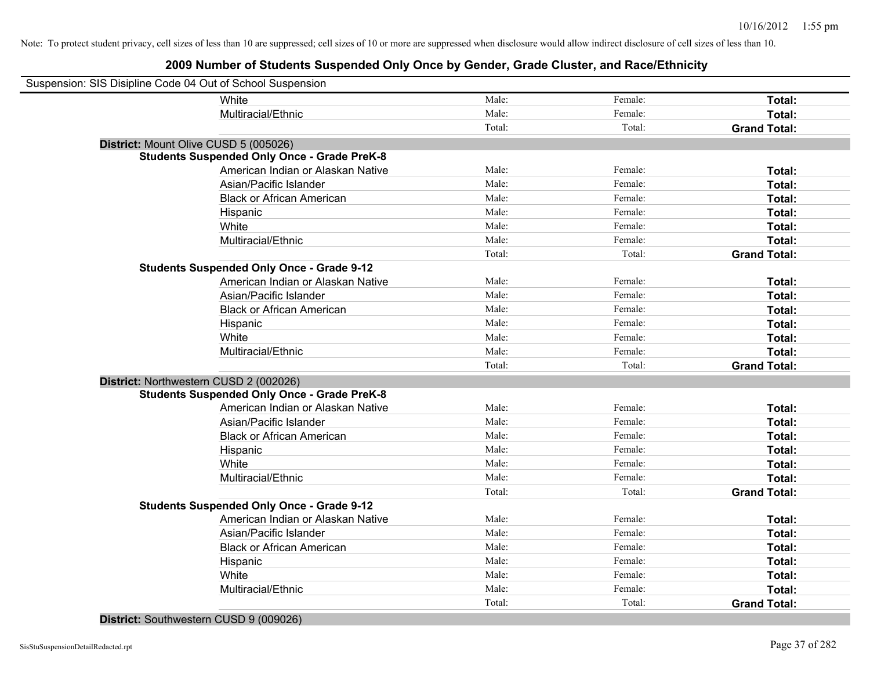| Suspension: SIS Disipline Code 04 Out of School Suspension |                                                    |        |         |                     |
|------------------------------------------------------------|----------------------------------------------------|--------|---------|---------------------|
|                                                            | White                                              | Male:  | Female: | Total:              |
|                                                            | Multiracial/Ethnic                                 | Male:  | Female: | Total:              |
|                                                            |                                                    | Total: | Total:  | <b>Grand Total:</b> |
| District: Mount Olive CUSD 5 (005026)                      |                                                    |        |         |                     |
|                                                            | <b>Students Suspended Only Once - Grade PreK-8</b> |        |         |                     |
|                                                            | American Indian or Alaskan Native                  | Male:  | Female: | Total:              |
|                                                            | Asian/Pacific Islander                             | Male:  | Female: | Total:              |
|                                                            | <b>Black or African American</b>                   | Male:  | Female: | Total:              |
|                                                            | Hispanic                                           | Male:  | Female: | Total:              |
|                                                            | White                                              | Male:  | Female: | Total:              |
|                                                            | Multiracial/Ethnic                                 | Male:  | Female: | Total:              |
|                                                            |                                                    | Total: | Total:  | <b>Grand Total:</b> |
|                                                            | <b>Students Suspended Only Once - Grade 9-12</b>   |        |         |                     |
|                                                            | American Indian or Alaskan Native                  | Male:  | Female: | Total:              |
|                                                            | Asian/Pacific Islander                             | Male:  | Female: | Total:              |
|                                                            | <b>Black or African American</b>                   | Male:  | Female: | Total:              |
|                                                            | Hispanic                                           | Male:  | Female: | Total:              |
|                                                            | White                                              | Male:  | Female: | Total:              |
|                                                            | Multiracial/Ethnic                                 | Male:  | Female: | Total:              |
|                                                            |                                                    | Total: | Total:  | <b>Grand Total:</b> |
| District: Northwestern CUSD 2 (002026)                     |                                                    |        |         |                     |
|                                                            | <b>Students Suspended Only Once - Grade PreK-8</b> |        |         |                     |
|                                                            | American Indian or Alaskan Native                  | Male:  | Female: | Total:              |
|                                                            | Asian/Pacific Islander                             | Male:  | Female: | Total:              |
|                                                            | <b>Black or African American</b>                   | Male:  | Female: | Total:              |
|                                                            | Hispanic                                           | Male:  | Female: | Total:              |
|                                                            | White                                              | Male:  | Female: | Total:              |
|                                                            | Multiracial/Ethnic                                 | Male:  | Female: | Total:              |
|                                                            |                                                    | Total: | Total:  | <b>Grand Total:</b> |
|                                                            | <b>Students Suspended Only Once - Grade 9-12</b>   |        |         |                     |
|                                                            | American Indian or Alaskan Native                  | Male:  | Female: | Total:              |
|                                                            | Asian/Pacific Islander                             | Male:  | Female: | Total:              |
|                                                            | <b>Black or African American</b>                   | Male:  | Female: | Total:              |
|                                                            | Hispanic                                           | Male:  | Female: | Total:              |
|                                                            | White                                              | Male:  | Female: | Total:              |
|                                                            | Multiracial/Ethnic                                 | Male:  | Female: | Total:              |
|                                                            |                                                    | Total: | Total:  | <b>Grand Total:</b> |
|                                                            |                                                    |        |         |                     |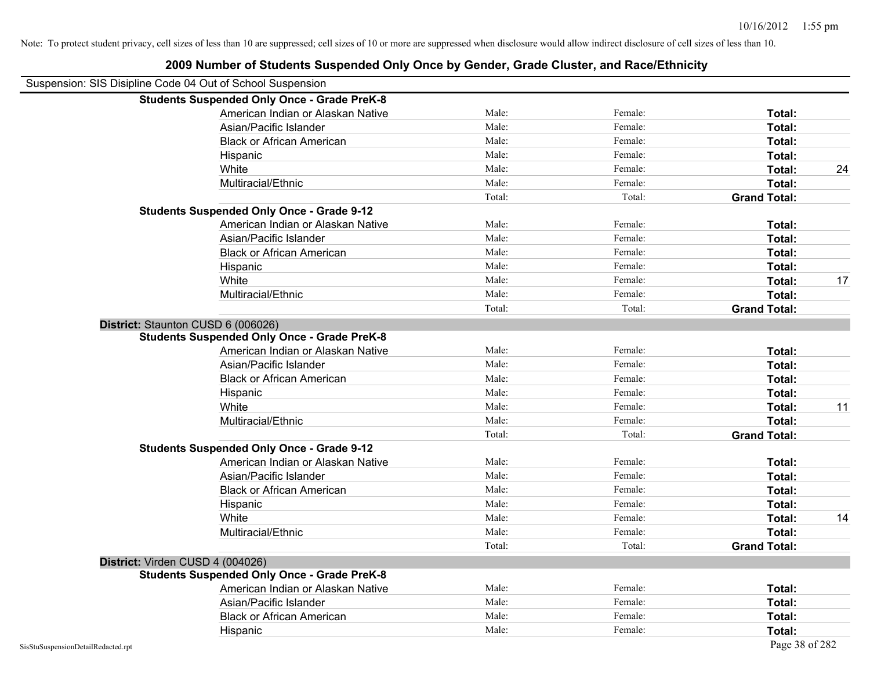|                                    | <b>Students Suspended Only Once - Grade PreK-8</b> |        |         |                     |    |
|------------------------------------|----------------------------------------------------|--------|---------|---------------------|----|
|                                    | American Indian or Alaskan Native                  | Male:  | Female: | Total:              |    |
|                                    | Asian/Pacific Islander                             | Male:  | Female: | Total:              |    |
|                                    | <b>Black or African American</b>                   | Male:  | Female: | Total:              |    |
|                                    | Hispanic                                           | Male:  | Female: | Total:              |    |
|                                    | White                                              | Male:  | Female: | Total:              | 24 |
|                                    | Multiracial/Ethnic                                 | Male:  | Female: | Total:              |    |
|                                    |                                                    | Total: | Total:  | <b>Grand Total:</b> |    |
|                                    | <b>Students Suspended Only Once - Grade 9-12</b>   |        |         |                     |    |
|                                    | American Indian or Alaskan Native                  | Male:  | Female: | Total:              |    |
|                                    | Asian/Pacific Islander                             | Male:  | Female: | Total:              |    |
|                                    | <b>Black or African American</b>                   | Male:  | Female: | Total:              |    |
|                                    | Hispanic                                           | Male:  | Female: | Total:              |    |
|                                    | White                                              | Male:  | Female: | Total:              | 17 |
|                                    | Multiracial/Ethnic                                 | Male:  | Female: | Total:              |    |
|                                    |                                                    | Total: | Total:  | <b>Grand Total:</b> |    |
|                                    | District: Staunton CUSD 6 (006026)                 |        |         |                     |    |
|                                    | <b>Students Suspended Only Once - Grade PreK-8</b> |        |         |                     |    |
|                                    | American Indian or Alaskan Native                  | Male:  | Female: | Total:              |    |
|                                    | Asian/Pacific Islander                             | Male:  | Female: | Total:              |    |
|                                    | <b>Black or African American</b>                   | Male:  | Female: | Total:              |    |
|                                    | Hispanic                                           | Male:  | Female: | Total:              |    |
|                                    | White                                              | Male:  | Female: | Total:              | 11 |
|                                    | Multiracial/Ethnic                                 | Male:  | Female: | Total:              |    |
|                                    |                                                    | Total: | Total:  | <b>Grand Total:</b> |    |
|                                    | <b>Students Suspended Only Once - Grade 9-12</b>   |        |         |                     |    |
|                                    | American Indian or Alaskan Native                  | Male:  | Female: | Total:              |    |
|                                    | Asian/Pacific Islander                             | Male:  | Female: | Total:              |    |
|                                    | <b>Black or African American</b>                   | Male:  | Female: | Total:              |    |
|                                    | Hispanic                                           | Male:  | Female: | Total:              |    |
|                                    | White                                              | Male:  | Female: | Total:              | 14 |
|                                    | Multiracial/Ethnic                                 | Male:  | Female: | Total:              |    |
|                                    |                                                    | Total: | Total:  | <b>Grand Total:</b> |    |
|                                    | District: Virden CUSD 4 (004026)                   |        |         |                     |    |
|                                    | <b>Students Suspended Only Once - Grade PreK-8</b> |        |         |                     |    |
|                                    | American Indian or Alaskan Native                  | Male:  | Female: | Total:              |    |
|                                    | Asian/Pacific Islander                             | Male:  | Female: | Total:              |    |
|                                    | <b>Black or African American</b>                   | Male:  | Female: | Total:              |    |
|                                    | Hispanic                                           | Male:  | Female: | Total:              |    |
| SisStuSuspensionDetailRedacted.rpt |                                                    |        |         | Page 38 of 282      |    |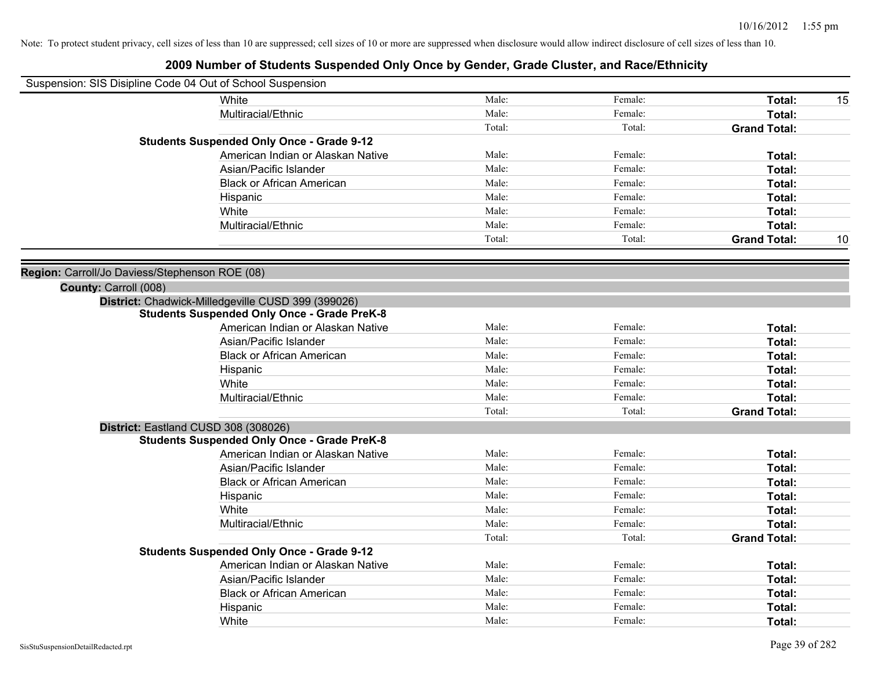| Suspension: SIS Disipline Code 04 Out of School Suspension |        |         |                     |    |
|------------------------------------------------------------|--------|---------|---------------------|----|
| White                                                      | Male:  | Female: | Total:              | 15 |
| Multiracial/Ethnic                                         | Male:  | Female: | Total:              |    |
|                                                            | Total: | Total:  | <b>Grand Total:</b> |    |
| <b>Students Suspended Only Once - Grade 9-12</b>           |        |         |                     |    |
| American Indian or Alaskan Native                          | Male:  | Female: | Total:              |    |
| Asian/Pacific Islander                                     | Male:  | Female: | Total:              |    |
| <b>Black or African American</b>                           | Male:  | Female: | Total:              |    |
| Hispanic                                                   | Male:  | Female: | Total:              |    |
| White                                                      | Male:  | Female: | Total:              |    |
| Multiracial/Ethnic                                         | Male:  | Female: | Total:              |    |
|                                                            | Total: | Total:  | <b>Grand Total:</b> | 10 |
| Region: Carroll/Jo Daviess/Stephenson ROE (08)             |        |         |                     |    |
| County: Carroll (008)                                      |        |         |                     |    |
| District: Chadwick-Milledgeville CUSD 399 (399026)         |        |         |                     |    |
| <b>Students Suspended Only Once - Grade PreK-8</b>         |        |         |                     |    |
| American Indian or Alaskan Native                          | Male:  | Female: | Total:              |    |
| Asian/Pacific Islander                                     | Male:  | Female: | Total:              |    |
| <b>Black or African American</b>                           | Male:  | Female: | Total:              |    |
| Hispanic                                                   | Male:  | Female: | Total:              |    |
| White                                                      | Male:  | Female: | Total:              |    |
| Multiracial/Ethnic                                         | Male:  | Female: | Total:              |    |
|                                                            | Total: | Total:  | <b>Grand Total:</b> |    |
| District: Eastland CUSD 308 (308026)                       |        |         |                     |    |
| <b>Students Suspended Only Once - Grade PreK-8</b>         |        |         |                     |    |
| American Indian or Alaskan Native                          | Male:  | Female: | Total:              |    |
| Asian/Pacific Islander                                     | Male:  | Female: | Total:              |    |
| <b>Black or African American</b>                           | Male:  | Female: | Total:              |    |
| Hispanic                                                   | Male:  | Female: | Total:              |    |
| White                                                      | Male:  | Female: | Total:              |    |
| Multiracial/Ethnic                                         | Male:  | Female: | Total:              |    |
|                                                            | Total: | Total:  | <b>Grand Total:</b> |    |
| <b>Students Suspended Only Once - Grade 9-12</b>           |        |         |                     |    |
| American Indian or Alaskan Native                          | Male:  | Female: | Total:              |    |
| Asian/Pacific Islander                                     | Male:  | Female: | Total:              |    |
| <b>Black or African American</b>                           | Male:  | Female: | Total:              |    |
| Hispanic                                                   | Male:  | Female: | Total:              |    |
| White                                                      | Male:  | Female: | Total:              |    |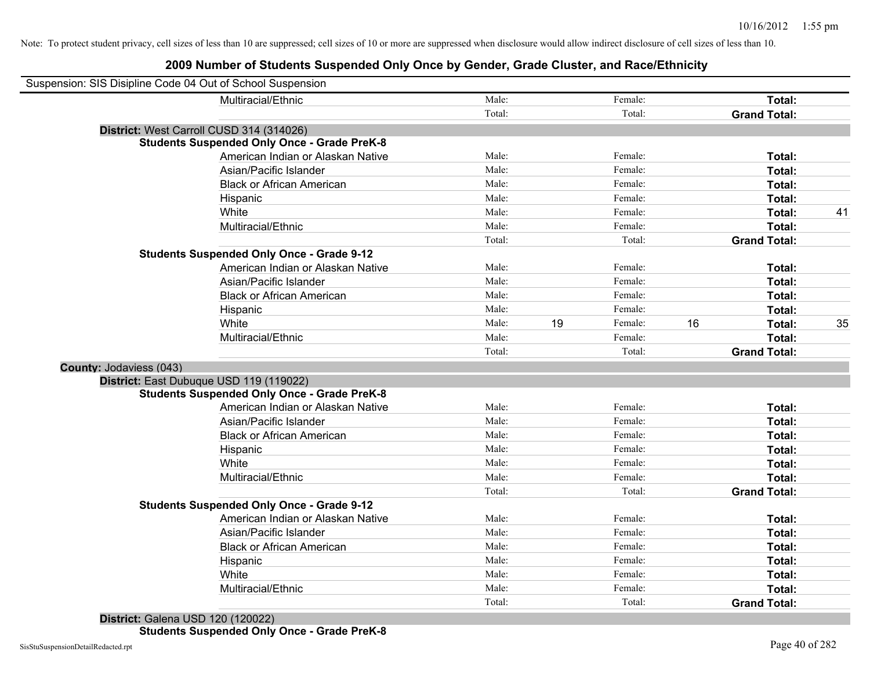| Suspension: SIS Disipline Code 04 Out of School Suspension |                                                    |        |    |         |    |                     |    |
|------------------------------------------------------------|----------------------------------------------------|--------|----|---------|----|---------------------|----|
|                                                            | Multiracial/Ethnic                                 | Male:  |    | Female: |    | Total:              |    |
|                                                            |                                                    | Total: |    | Total:  |    | <b>Grand Total:</b> |    |
| District: West Carroll CUSD 314 (314026)                   |                                                    |        |    |         |    |                     |    |
|                                                            | <b>Students Suspended Only Once - Grade PreK-8</b> |        |    |         |    |                     |    |
|                                                            | American Indian or Alaskan Native                  | Male:  |    | Female: |    | Total:              |    |
|                                                            | Asian/Pacific Islander                             | Male:  |    | Female: |    | Total:              |    |
|                                                            | <b>Black or African American</b>                   | Male:  |    | Female: |    | Total:              |    |
|                                                            | Hispanic                                           | Male:  |    | Female: |    | Total:              |    |
|                                                            | White                                              | Male:  |    | Female: |    | Total:              | 41 |
|                                                            | Multiracial/Ethnic                                 | Male:  |    | Female: |    | Total:              |    |
|                                                            |                                                    | Total: |    | Total:  |    | <b>Grand Total:</b> |    |
|                                                            | <b>Students Suspended Only Once - Grade 9-12</b>   |        |    |         |    |                     |    |
|                                                            | American Indian or Alaskan Native                  | Male:  |    | Female: |    | Total:              |    |
|                                                            | Asian/Pacific Islander                             | Male:  |    | Female: |    | Total:              |    |
|                                                            | <b>Black or African American</b>                   | Male:  |    | Female: |    | Total:              |    |
|                                                            | Hispanic                                           | Male:  |    | Female: |    | Total:              |    |
|                                                            | White                                              | Male:  | 19 | Female: | 16 | Total:              | 35 |
|                                                            | Multiracial/Ethnic                                 | Male:  |    | Female: |    | Total:              |    |
|                                                            |                                                    | Total: |    | Total:  |    | <b>Grand Total:</b> |    |
| <b>County: Jodaviess (043)</b>                             |                                                    |        |    |         |    |                     |    |
| District: East Dubuque USD 119 (119022)                    |                                                    |        |    |         |    |                     |    |
|                                                            | <b>Students Suspended Only Once - Grade PreK-8</b> |        |    |         |    |                     |    |
|                                                            | American Indian or Alaskan Native                  | Male:  |    | Female: |    | Total:              |    |
|                                                            | Asian/Pacific Islander                             | Male:  |    | Female: |    | Total:              |    |
|                                                            | <b>Black or African American</b>                   | Male:  |    | Female: |    | Total:              |    |
|                                                            | Hispanic                                           | Male:  |    | Female: |    | Total:              |    |
|                                                            | White                                              | Male:  |    | Female: |    | Total:              |    |
|                                                            | Multiracial/Ethnic                                 | Male:  |    | Female: |    | Total:              |    |
|                                                            |                                                    | Total: |    | Total:  |    | <b>Grand Total:</b> |    |
|                                                            | <b>Students Suspended Only Once - Grade 9-12</b>   |        |    |         |    |                     |    |
|                                                            | American Indian or Alaskan Native                  | Male:  |    | Female: |    | Total:              |    |
|                                                            | Asian/Pacific Islander                             | Male:  |    | Female: |    | Total:              |    |
|                                                            | <b>Black or African American</b>                   | Male:  |    | Female: |    | Total:              |    |
|                                                            | Hispanic                                           | Male:  |    | Female: |    | Total:              |    |
|                                                            | White                                              | Male:  |    | Female: |    | Total:              |    |
|                                                            | Multiracial/Ethnic                                 | Male:  |    | Female: |    | Total:              |    |
|                                                            |                                                    | Total: |    | Total:  |    | <b>Grand Total:</b> |    |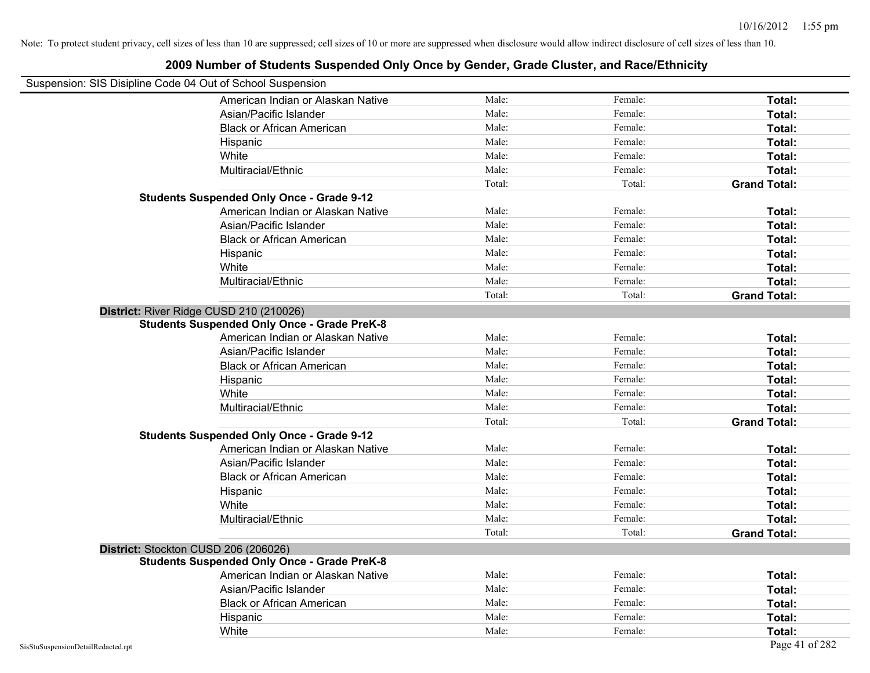| Suspension: SIS Disipline Code 04 Out of School Suspension |                                                    |        |         |                     |
|------------------------------------------------------------|----------------------------------------------------|--------|---------|---------------------|
|                                                            | American Indian or Alaskan Native                  | Male:  | Female: | Total:              |
|                                                            | Asian/Pacific Islander                             | Male:  | Female: | Total:              |
|                                                            | <b>Black or African American</b>                   | Male:  | Female: | Total:              |
|                                                            | Hispanic                                           | Male:  | Female: | Total:              |
|                                                            | White                                              | Male:  | Female: | Total:              |
|                                                            | Multiracial/Ethnic                                 | Male:  | Female: | Total:              |
|                                                            |                                                    | Total: | Total:  | <b>Grand Total:</b> |
|                                                            | <b>Students Suspended Only Once - Grade 9-12</b>   |        |         |                     |
|                                                            | American Indian or Alaskan Native                  | Male:  | Female: | Total:              |
|                                                            | Asian/Pacific Islander                             | Male:  | Female: | Total:              |
|                                                            | <b>Black or African American</b>                   | Male:  | Female: | Total:              |
|                                                            | Hispanic                                           | Male:  | Female: | Total:              |
|                                                            | White                                              | Male:  | Female: | Total:              |
|                                                            | Multiracial/Ethnic                                 | Male:  | Female: | Total:              |
|                                                            |                                                    | Total: | Total:  | <b>Grand Total:</b> |
|                                                            | District: River Ridge CUSD 210 (210026)            |        |         |                     |
|                                                            | <b>Students Suspended Only Once - Grade PreK-8</b> |        |         |                     |
|                                                            | American Indian or Alaskan Native                  | Male:  | Female: | Total:              |
|                                                            | Asian/Pacific Islander                             | Male:  | Female: | Total:              |
|                                                            | <b>Black or African American</b>                   | Male:  | Female: | Total:              |
|                                                            | Hispanic                                           | Male:  | Female: | Total:              |
|                                                            | White                                              | Male:  | Female: | Total:              |
|                                                            | Multiracial/Ethnic                                 | Male:  | Female: | Total:              |
|                                                            |                                                    | Total: | Total:  | <b>Grand Total:</b> |
|                                                            | <b>Students Suspended Only Once - Grade 9-12</b>   |        |         |                     |
|                                                            | American Indian or Alaskan Native                  | Male:  | Female: | Total:              |
|                                                            | Asian/Pacific Islander                             | Male:  | Female: | Total:              |
|                                                            | <b>Black or African American</b>                   | Male:  | Female: | Total:              |
|                                                            | Hispanic                                           | Male:  | Female: | Total:              |
|                                                            | White                                              | Male:  | Female: | Total:              |
|                                                            | Multiracial/Ethnic                                 | Male:  | Female: | Total:              |
|                                                            |                                                    | Total: | Total:  | <b>Grand Total:</b> |
|                                                            | District: Stockton CUSD 206 (206026)               |        |         |                     |
|                                                            | <b>Students Suspended Only Once - Grade PreK-8</b> |        |         |                     |
|                                                            | American Indian or Alaskan Native                  | Male:  | Female: | Total:              |
|                                                            | Asian/Pacific Islander                             | Male:  | Female: | Total:              |
|                                                            | <b>Black or African American</b>                   | Male:  | Female: | Total:              |
|                                                            | Hispanic                                           | Male:  | Female: | Total:              |
|                                                            | White                                              | Male:  | Female: | Total:              |
| SisStuSuspensionDetailRedacted.rpt                         |                                                    |        |         | Page 41 of 282      |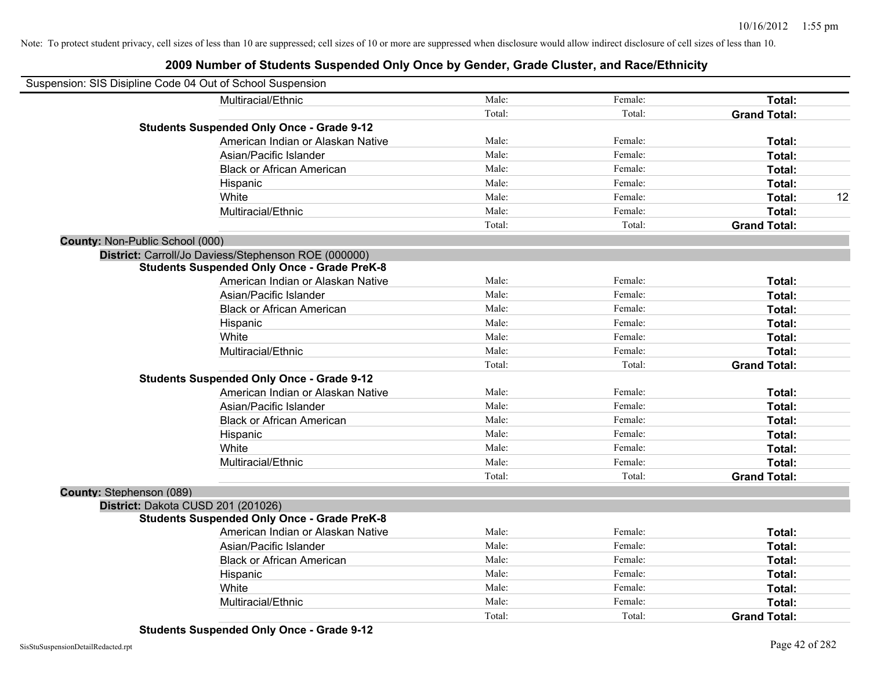| Suspension: SIS Disipline Code 04 Out of School Suspension |                                                      |        |         |                     |    |
|------------------------------------------------------------|------------------------------------------------------|--------|---------|---------------------|----|
|                                                            | Multiracial/Ethnic                                   | Male:  | Female: | Total:              |    |
|                                                            |                                                      | Total: | Total:  | <b>Grand Total:</b> |    |
|                                                            | <b>Students Suspended Only Once - Grade 9-12</b>     |        |         |                     |    |
|                                                            | American Indian or Alaskan Native                    | Male:  | Female: | Total:              |    |
|                                                            | Asian/Pacific Islander                               | Male:  | Female: | Total:              |    |
|                                                            | <b>Black or African American</b>                     | Male:  | Female: | Total:              |    |
|                                                            | Hispanic                                             | Male:  | Female: | Total:              |    |
|                                                            | White                                                | Male:  | Female: | Total:              | 12 |
|                                                            | Multiracial/Ethnic                                   | Male:  | Female: | Total:              |    |
|                                                            |                                                      | Total: | Total:  | <b>Grand Total:</b> |    |
| County: Non-Public School (000)                            |                                                      |        |         |                     |    |
|                                                            | District: Carroll/Jo Daviess/Stephenson ROE (000000) |        |         |                     |    |
|                                                            | <b>Students Suspended Only Once - Grade PreK-8</b>   |        |         |                     |    |
|                                                            | American Indian or Alaskan Native                    | Male:  | Female: | Total:              |    |
|                                                            | Asian/Pacific Islander                               | Male:  | Female: | Total:              |    |
|                                                            | <b>Black or African American</b>                     | Male:  | Female: | Total:              |    |
|                                                            | Hispanic                                             | Male:  | Female: | Total:              |    |
|                                                            | White                                                | Male:  | Female: | Total:              |    |
|                                                            | Multiracial/Ethnic                                   | Male:  | Female: | Total:              |    |
|                                                            |                                                      | Total: | Total:  | <b>Grand Total:</b> |    |
|                                                            | <b>Students Suspended Only Once - Grade 9-12</b>     |        |         |                     |    |
|                                                            | American Indian or Alaskan Native                    | Male:  | Female: | Total:              |    |
|                                                            | Asian/Pacific Islander                               | Male:  | Female: | Total:              |    |
|                                                            | <b>Black or African American</b>                     | Male:  | Female: | Total:              |    |
|                                                            | Hispanic                                             | Male:  | Female: | Total:              |    |
|                                                            | White                                                | Male:  | Female: | Total:              |    |
|                                                            | Multiracial/Ethnic                                   | Male:  | Female: | Total:              |    |
|                                                            |                                                      | Total: | Total:  | <b>Grand Total:</b> |    |
| County: Stephenson (089)                                   |                                                      |        |         |                     |    |
| District: Dakota CUSD 201 (201026)                         |                                                      |        |         |                     |    |
|                                                            | <b>Students Suspended Only Once - Grade PreK-8</b>   |        |         |                     |    |
|                                                            | American Indian or Alaskan Native                    | Male:  | Female: | Total:              |    |
|                                                            | Asian/Pacific Islander                               | Male:  | Female: | Total:              |    |
|                                                            | <b>Black or African American</b>                     | Male:  | Female: | Total:              |    |
|                                                            | Hispanic                                             | Male:  | Female: | Total:              |    |
|                                                            | White                                                | Male:  | Female: | Total:              |    |
|                                                            | Multiracial/Ethnic                                   | Male:  | Female: | Total:              |    |
|                                                            |                                                      | Total: | Total:  | <b>Grand Total:</b> |    |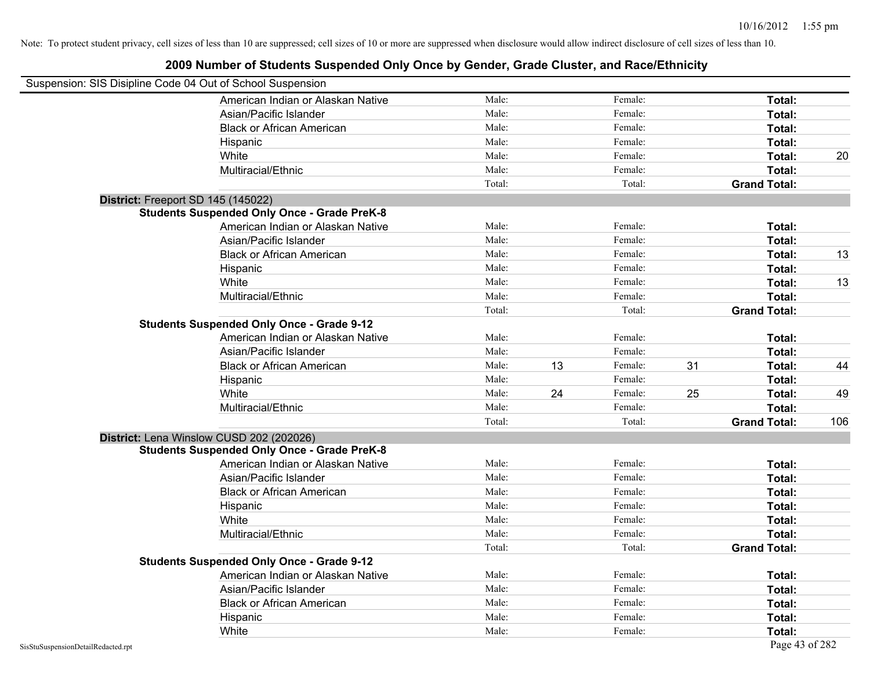| Suspension: SIS Disipline Code 04 Out of School Suspension |                                                    |        |    |         |    |                     |     |
|------------------------------------------------------------|----------------------------------------------------|--------|----|---------|----|---------------------|-----|
|                                                            | American Indian or Alaskan Native                  | Male:  |    | Female: |    | Total:              |     |
|                                                            | Asian/Pacific Islander                             | Male:  |    | Female: |    | Total:              |     |
|                                                            | <b>Black or African American</b>                   | Male:  |    | Female: |    | Total:              |     |
|                                                            | Hispanic                                           | Male:  |    | Female: |    | Total:              |     |
|                                                            | White                                              | Male:  |    | Female: |    | Total:              | 20  |
|                                                            | Multiracial/Ethnic                                 | Male:  |    | Female: |    | Total:              |     |
|                                                            |                                                    | Total: |    | Total:  |    | <b>Grand Total:</b> |     |
|                                                            | District: Freeport SD 145 (145022)                 |        |    |         |    |                     |     |
|                                                            | <b>Students Suspended Only Once - Grade PreK-8</b> |        |    |         |    |                     |     |
|                                                            | American Indian or Alaskan Native                  | Male:  |    | Female: |    | Total:              |     |
|                                                            | Asian/Pacific Islander                             | Male:  |    | Female: |    | Total:              |     |
|                                                            | <b>Black or African American</b>                   | Male:  |    | Female: |    | Total:              | 13  |
|                                                            | Hispanic                                           | Male:  |    | Female: |    | Total:              |     |
|                                                            | White                                              | Male:  |    | Female: |    | Total:              | 13  |
|                                                            | Multiracial/Ethnic                                 | Male:  |    | Female: |    | Total:              |     |
|                                                            |                                                    | Total: |    | Total:  |    | <b>Grand Total:</b> |     |
|                                                            | <b>Students Suspended Only Once - Grade 9-12</b>   |        |    |         |    |                     |     |
|                                                            | American Indian or Alaskan Native                  | Male:  |    | Female: |    | Total:              |     |
|                                                            | Asian/Pacific Islander                             | Male:  |    | Female: |    | Total:              |     |
|                                                            | <b>Black or African American</b>                   | Male:  | 13 | Female: | 31 | Total:              | 44  |
|                                                            | Hispanic                                           | Male:  |    | Female: |    | Total:              |     |
|                                                            | White                                              | Male:  | 24 | Female: | 25 | Total:              | 49  |
|                                                            | Multiracial/Ethnic                                 | Male:  |    | Female: |    | Total:              |     |
|                                                            |                                                    | Total: |    | Total:  |    | <b>Grand Total:</b> | 106 |
|                                                            | District: Lena Winslow CUSD 202 (202026)           |        |    |         |    |                     |     |
|                                                            | <b>Students Suspended Only Once - Grade PreK-8</b> |        |    |         |    |                     |     |
|                                                            | American Indian or Alaskan Native                  | Male:  |    | Female: |    | Total:              |     |
|                                                            | Asian/Pacific Islander                             | Male:  |    | Female: |    | Total:              |     |
|                                                            | <b>Black or African American</b>                   | Male:  |    | Female: |    | Total:              |     |
|                                                            | Hispanic                                           | Male:  |    | Female: |    | Total:              |     |
|                                                            | White                                              | Male:  |    | Female: |    | Total:              |     |
|                                                            | Multiracial/Ethnic                                 | Male:  |    | Female: |    | Total:              |     |
|                                                            |                                                    | Total: |    | Total:  |    | <b>Grand Total:</b> |     |
|                                                            | <b>Students Suspended Only Once - Grade 9-12</b>   |        |    |         |    |                     |     |
|                                                            | American Indian or Alaskan Native                  | Male:  |    | Female: |    | Total:              |     |
|                                                            | Asian/Pacific Islander                             | Male:  |    | Female: |    | Total:              |     |
|                                                            | <b>Black or African American</b>                   | Male:  |    | Female: |    | Total:              |     |
|                                                            | Hispanic                                           | Male:  |    | Female: |    | Total:              |     |
|                                                            | White                                              | Male:  |    | Female: |    | Total:              |     |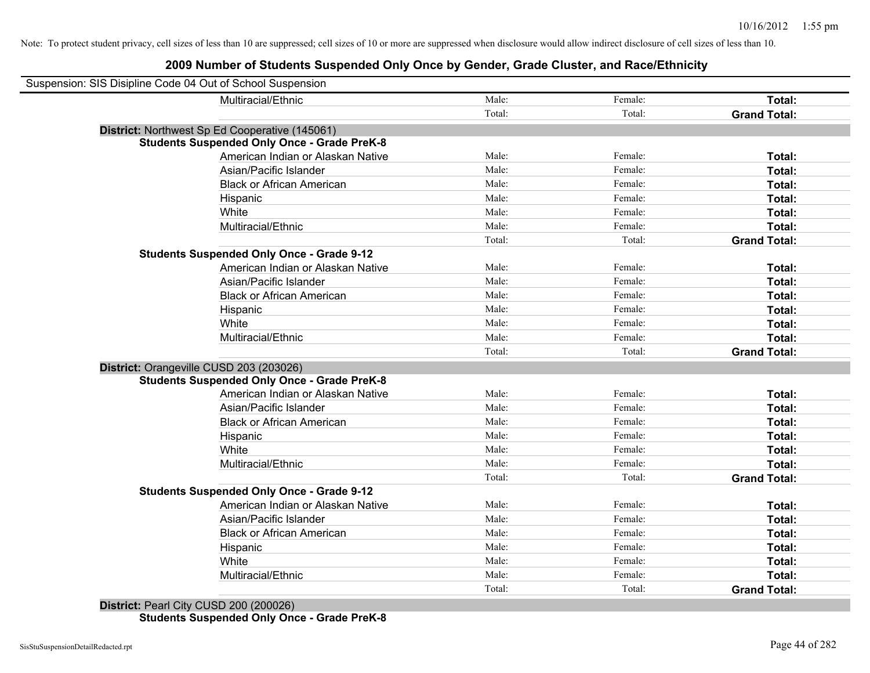| Suspension: SIS Disipline Code 04 Out of School Suspension |                                                    |        |         |                     |
|------------------------------------------------------------|----------------------------------------------------|--------|---------|---------------------|
|                                                            | Multiracial/Ethnic                                 | Male:  | Female: | Total:              |
|                                                            |                                                    | Total: | Total:  | <b>Grand Total:</b> |
|                                                            | District: Northwest Sp Ed Cooperative (145061)     |        |         |                     |
|                                                            | <b>Students Suspended Only Once - Grade PreK-8</b> |        |         |                     |
|                                                            | American Indian or Alaskan Native                  | Male:  | Female: | Total:              |
|                                                            | Asian/Pacific Islander                             | Male:  | Female: | Total:              |
|                                                            | <b>Black or African American</b>                   | Male:  | Female: | Total:              |
|                                                            | Hispanic                                           | Male:  | Female: | Total:              |
|                                                            | White                                              | Male:  | Female: | Total:              |
|                                                            | Multiracial/Ethnic                                 | Male:  | Female: | Total:              |
|                                                            |                                                    | Total: | Total:  | <b>Grand Total:</b> |
|                                                            | <b>Students Suspended Only Once - Grade 9-12</b>   |        |         |                     |
|                                                            | American Indian or Alaskan Native                  | Male:  | Female: | Total:              |
|                                                            | Asian/Pacific Islander                             | Male:  | Female: | Total:              |
|                                                            | <b>Black or African American</b>                   | Male:  | Female: | Total:              |
|                                                            | Hispanic                                           | Male:  | Female: | Total:              |
|                                                            | White                                              | Male:  | Female: | Total:              |
|                                                            | Multiracial/Ethnic                                 | Male:  | Female: | <b>Total:</b>       |
|                                                            |                                                    | Total: | Total:  | <b>Grand Total:</b> |
| District: Orangeville CUSD 203 (203026)                    |                                                    |        |         |                     |
|                                                            | <b>Students Suspended Only Once - Grade PreK-8</b> |        |         |                     |
|                                                            | American Indian or Alaskan Native                  | Male:  | Female: | Total:              |
|                                                            | Asian/Pacific Islander                             | Male:  | Female: | Total:              |
|                                                            | <b>Black or African American</b>                   | Male:  | Female: | Total:              |
|                                                            | Hispanic                                           | Male:  | Female: | Total:              |
|                                                            | White                                              | Male:  | Female: | Total:              |
|                                                            | Multiracial/Ethnic                                 | Male:  | Female: | Total:              |
|                                                            |                                                    | Total: | Total:  | <b>Grand Total:</b> |
|                                                            | <b>Students Suspended Only Once - Grade 9-12</b>   |        |         |                     |
|                                                            | American Indian or Alaskan Native                  | Male:  | Female: | Total:              |
|                                                            | Asian/Pacific Islander                             | Male:  | Female: | Total:              |
|                                                            | <b>Black or African American</b>                   | Male:  | Female: | Total:              |
|                                                            | Hispanic                                           | Male:  | Female: | Total:              |
|                                                            | White                                              | Male:  | Female: | Total:              |
|                                                            | Multiracial/Ethnic                                 | Male:  | Female: | <b>Total:</b>       |
|                                                            |                                                    | Total: | Total:  | <b>Grand Total:</b> |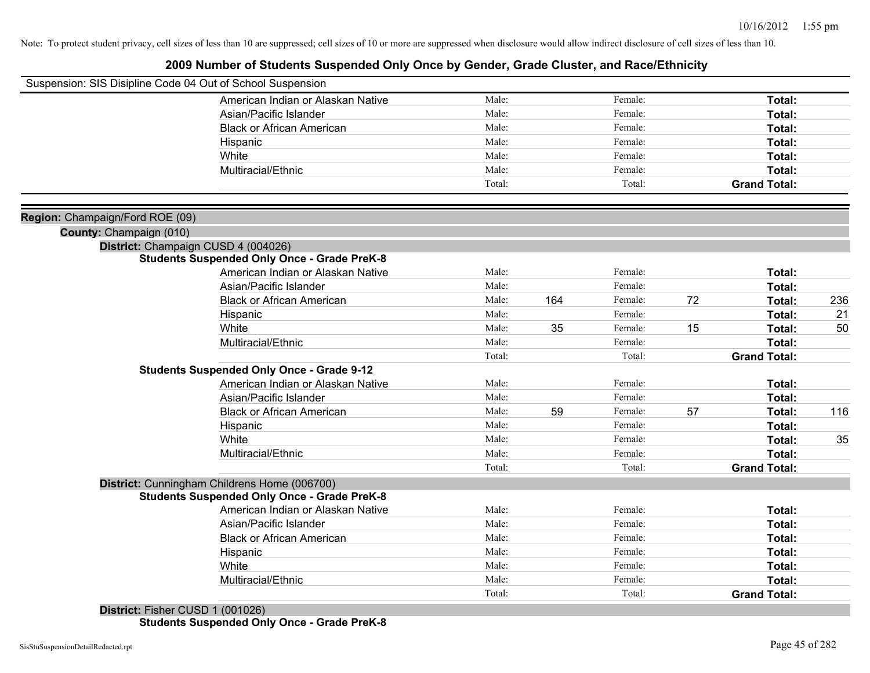### **2009 Number of Students Suspended Only Once by Gender, Grade Cluster, and Race/Ethnicity**

| Suspension: SIS Disipline Code 04 Out of School Suspension |                                                    |        |     |         |    |                     |     |
|------------------------------------------------------------|----------------------------------------------------|--------|-----|---------|----|---------------------|-----|
|                                                            | American Indian or Alaskan Native                  | Male:  |     | Female: |    | Total:              |     |
|                                                            | Asian/Pacific Islander                             | Male:  |     | Female: |    | Total:              |     |
|                                                            | <b>Black or African American</b>                   | Male:  |     | Female: |    | Total:              |     |
|                                                            | Hispanic                                           | Male:  |     | Female: |    | Total:              |     |
|                                                            | White                                              | Male:  |     | Female: |    | Total:              |     |
|                                                            | Multiracial/Ethnic                                 | Male:  |     | Female: |    | Total:              |     |
|                                                            |                                                    | Total: |     | Total:  |    | <b>Grand Total:</b> |     |
| Region: Champaign/Ford ROE (09)                            |                                                    |        |     |         |    |                     |     |
| County: Champaign (010)                                    |                                                    |        |     |         |    |                     |     |
| District: Champaign CUSD 4 (004026)                        |                                                    |        |     |         |    |                     |     |
|                                                            | <b>Students Suspended Only Once - Grade PreK-8</b> |        |     |         |    |                     |     |
|                                                            | American Indian or Alaskan Native                  | Male:  |     | Female: |    | Total:              |     |
|                                                            | Asian/Pacific Islander                             | Male:  |     | Female: |    | Total:              |     |
|                                                            | <b>Black or African American</b>                   | Male:  | 164 | Female: | 72 | Total:              | 236 |
|                                                            | Hispanic                                           | Male:  |     | Female: |    | Total:              | 21  |
|                                                            | White                                              | Male:  | 35  | Female: | 15 | Total:              | 50  |
|                                                            | Multiracial/Ethnic                                 | Male:  |     | Female: |    | Total:              |     |
|                                                            |                                                    | Total: |     | Total:  |    | <b>Grand Total:</b> |     |
|                                                            | <b>Students Suspended Only Once - Grade 9-12</b>   |        |     |         |    |                     |     |
|                                                            | American Indian or Alaskan Native                  | Male:  |     | Female: |    | Total:              |     |
|                                                            | Asian/Pacific Islander                             | Male:  |     | Female: |    | Total:              |     |
|                                                            | <b>Black or African American</b>                   | Male:  | 59  | Female: | 57 | Total:              | 116 |
|                                                            | Hispanic                                           | Male:  |     | Female: |    | Total:              |     |
|                                                            | White                                              | Male:  |     | Female: |    | Total:              | 35  |
|                                                            | Multiracial/Ethnic                                 | Male:  |     | Female: |    | Total:              |     |
|                                                            |                                                    | Total: |     | Total:  |    | <b>Grand Total:</b> |     |
|                                                            | District: Cunningham Childrens Home (006700)       |        |     |         |    |                     |     |
|                                                            | <b>Students Suspended Only Once - Grade PreK-8</b> |        |     |         |    |                     |     |
|                                                            | American Indian or Alaskan Native                  | Male:  |     | Female: |    | Total:              |     |
|                                                            | Asian/Pacific Islander                             | Male:  |     | Female: |    | Total:              |     |
|                                                            | <b>Black or African American</b>                   | Male:  |     | Female: |    | Total:              |     |
|                                                            | Hispanic                                           | Male:  |     | Female: |    | Total:              |     |
|                                                            | White                                              | Male:  |     | Female: |    | Total:              |     |
|                                                            | Multiracial/Ethnic                                 | Male:  |     | Female: |    | Total:              |     |
|                                                            |                                                    | Total: |     | Total:  |    | <b>Grand Total:</b> |     |

**District:** Fisher CUSD 1 (001026) **Students Suspended Only Once - Grade PreK-8**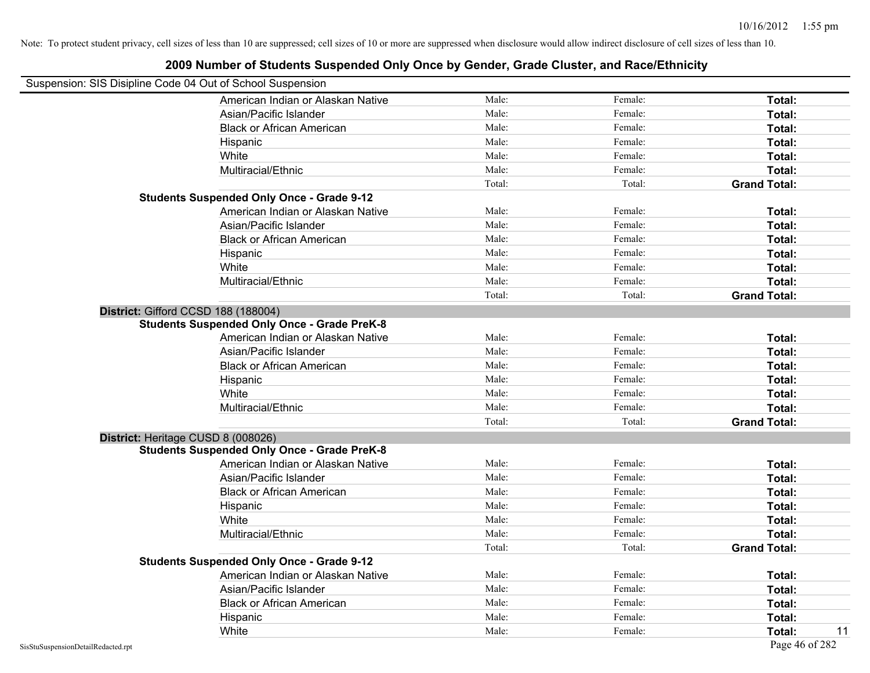## Suspension: SIS Disipline Code 04 Out of School Suspension American Indian or Alaskan Native **Male:** Male: Female: Female: **Total:** Total: Asian/Pacific Islander **Figure 1.1 Contained Asian** Male: Female: **Female: Total: Total: Total: Total: Total: Total: Total: Total: Total: Total: Total: Total: Total: Total: Total: Total: T** Black or African American **American** Male: Male: Female: **Female: Total: Total: Total: Female: Total: Total: Total: Total: Total: Total: Total: Total: Total: Total: Total: Total: Total:** Hispanic **Total:** Male: Female: **Total:** Female: **Total:** Total: **Total:** Female: **Total:** Total: **Total:** Total: **Total:** Total: **Total:** Total: **Total:** Total: **Total:** Total: **Total:** Total: **Total:** Total: **Total:** Tot White **Total:** Male: Female: **Total:** Female: **Total:** Total: Multiracial/Ethnic **Total:** Male: Female: **Total:** Female: **Total:** Female: **Total:** Female: **Total:** Female: **Total:** Female: **Total:** Female: **Total:** Female: **Total:** Female: **Total:** Female: **Total:** Female: **Total:** F Total: Total: Total: **Grand Total: Students Suspended Only Once - Grade 9-12** American Indian or Alaskan Native **Male:** Male: Female: Female: **Total:** Total: Asian/Pacific Islander **Figure 1.1 Contact Contact Contact Contact Contact Contact Contact Contact Total: Total:** Black or African American **Figure 1.1 and Total:** Male: Female: Female: **Total: Total:** Total: Hispanic **Total:** Male: Female: **Total:** Female: **Total:** Total: **Total:** Female: **Total:** Total: **Total:** Total: **Total:** Total: **Total:** Total: **Total:** Total: **Total:** Total: **Total:** Total: **Total:** Total: **Total:** Tot White **Total:** Male: Female: **Total:** Female: **Total:** Total: Multiracial/Ethnic **Total:** Male: Female: **Total:** Female: **Total:** Female: **Total:** Female: **Total:** Female: **Total:** Female: **Total:** Female: **Total:** Female: **Total:** Female: **Total:** Female: **Total:** Female: **Total:** F Total: Total: **Grand Total: District:** Gifford CCSD 188 (188004) **Students Suspended Only Once - Grade PreK-8** American Indian or Alaskan Native **Male:** Male: Female: Female: **Total:** Total: Asian/Pacific Islander **Figure 1.1 Contact 1.1 Contact 1.1 Contact 1.1 Contact 1.1 Contact 1.1 Contact 1.1 Contact 1.1 Contact 1.1 Contact 1.1 Contact 1.1 Contact 1.1 Contact 1.1 Contact 1.1 Contact 1.1 Contact 1.1 Contact** Black or African American **American** Male: Male: Female: **Female: Total: Total: Total: Female: Total: Total: Total: Total: Total: Total: Total: Total: Total: Total: Total: Total: Total:** Hispanic **Total:** Male: Female: **Total:** Female: **Total:** Total: White **Total:** Male: Female: **Total:** Total: **Total:** Female: **Total:** Total: Multiracial/Ethnic **Total:** Male: Female: **Total:** Female: **Total:** Female: **Total:** Total: Total: Total: **Grand Total: District:** Heritage CUSD 8 (008026) **Students Suspended Only Once - Grade PreK-8** American Indian or Alaskan Native **Male:** Male: Female: Female: **Total:** Total: Asian/Pacific Islander **Figure 1.1 Contained Asian** Male: Female: **Female: Total: Total: Total: Total: Total: Total: Total: Total: Total: Total: Total: Total: Total: Total: Total: Total: T** Black or African American **Figure 1.1 and Total:** Male: Female: Female: **Total:** Total: Hispanic **Total:** Male: Female: **Total:** Female: **Total:** Total: **Total:** Female: **Total:** Total: **Total:** Total: **Total:** Total: **Total:** Total: **Total:** Total: **Total:** Total: **Total:** Total: **Total:** Total: **Total:** Tot White **Total:** Male: Female: **Total:** Female: **Total:** Total: Multiracial/Ethnic **Total:** Male: Male: Female: **Total:** Total: Total: Total: **Grand Total: Students Suspended Only Once - Grade 9-12** American Indian or Alaskan Native **Male:** Male: Female: Female: **Total:** Total: Asian/Pacific Islander **Figure 1.1 Contained Asian** Male: Female: **Female: Total: Total: Total: Total: Total: Total: Total: Total: Total: Total: Total: Total: Total: Total: Total: Total: T** Black or African American **Figure 1.1 and Total:** Male: Female: Female: **Total:** Total: Hispanic **Total:** Male: Female: **Total:** Female: **Total:** Total: **Total:** Female: **Total:** Total: **Total:** Total: **Total:** Total: **Total:** Total: **Total:** Total: **Total:** Total: **Total:** Total: **Total:** Total: **Total:** Tot White **Male:** Male: **Total: 11** Male: **Total: 11** Male: **Total: 11** Male: 11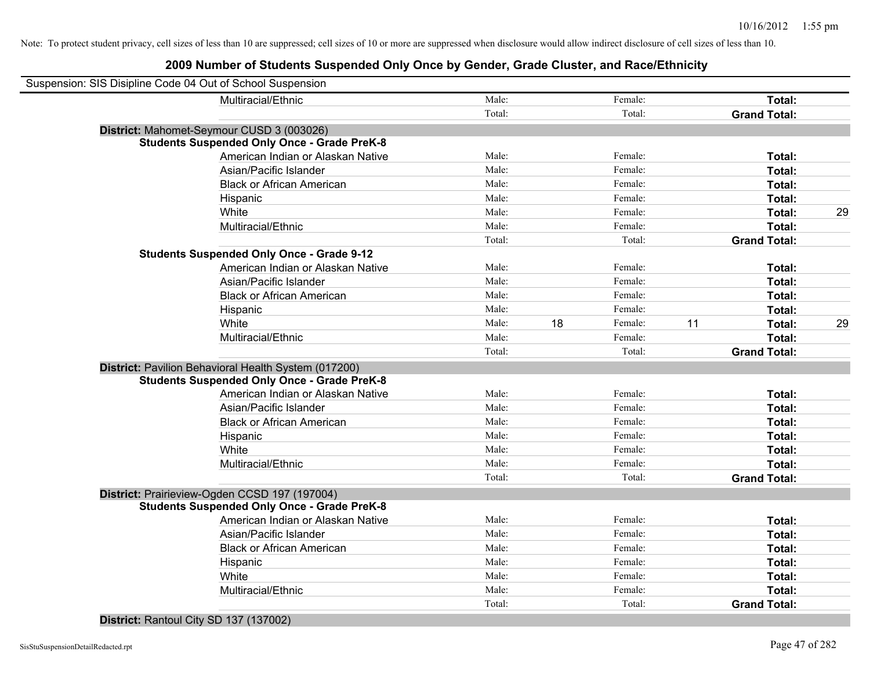### **2009 Number of Students Suspended Only Once by Gender, Grade Cluster, and Race/Ethnicity**

| Suspension: SIS Disipline Code 04 Out of School Suspension |                                                      |        |    |         |    |                     |    |
|------------------------------------------------------------|------------------------------------------------------|--------|----|---------|----|---------------------|----|
|                                                            | Multiracial/Ethnic                                   | Male:  |    | Female: |    | Total:              |    |
|                                                            |                                                      | Total: |    | Total:  |    | <b>Grand Total:</b> |    |
|                                                            | District: Mahomet-Seymour CUSD 3 (003026)            |        |    |         |    |                     |    |
|                                                            | <b>Students Suspended Only Once - Grade PreK-8</b>   |        |    |         |    |                     |    |
|                                                            | American Indian or Alaskan Native                    | Male:  |    | Female: |    | Total:              |    |
|                                                            | Asian/Pacific Islander                               | Male:  |    | Female: |    | Total:              |    |
|                                                            | <b>Black or African American</b>                     | Male:  |    | Female: |    | Total:              |    |
|                                                            | Hispanic                                             | Male:  |    | Female: |    | Total:              |    |
|                                                            | White                                                | Male:  |    | Female: |    | Total:              | 29 |
|                                                            | Multiracial/Ethnic                                   | Male:  |    | Female: |    | Total:              |    |
|                                                            |                                                      | Total: |    | Total:  |    | <b>Grand Total:</b> |    |
|                                                            | <b>Students Suspended Only Once - Grade 9-12</b>     |        |    |         |    |                     |    |
|                                                            | American Indian or Alaskan Native                    | Male:  |    | Female: |    | Total:              |    |
|                                                            | Asian/Pacific Islander                               | Male:  |    | Female: |    | Total:              |    |
|                                                            | <b>Black or African American</b>                     | Male:  |    | Female: |    | Total:              |    |
|                                                            | Hispanic                                             | Male:  |    | Female: |    | Total:              |    |
|                                                            | White                                                | Male:  | 18 | Female: | 11 | Total:              | 29 |
|                                                            | Multiracial/Ethnic                                   | Male:  |    | Female: |    | Total:              |    |
|                                                            |                                                      | Total: |    | Total:  |    | <b>Grand Total:</b> |    |
|                                                            | District: Pavilion Behavioral Health System (017200) |        |    |         |    |                     |    |
|                                                            | <b>Students Suspended Only Once - Grade PreK-8</b>   |        |    |         |    |                     |    |
|                                                            | American Indian or Alaskan Native                    | Male:  |    | Female: |    | Total:              |    |
|                                                            | Asian/Pacific Islander                               | Male:  |    | Female: |    | Total:              |    |
|                                                            | <b>Black or African American</b>                     | Male:  |    | Female: |    | Total:              |    |
|                                                            | Hispanic                                             | Male:  |    | Female: |    | Total:              |    |
|                                                            | White                                                | Male:  |    | Female: |    | Total:              |    |
|                                                            | Multiracial/Ethnic                                   | Male:  |    | Female: |    | Total:              |    |
|                                                            |                                                      | Total: |    | Total:  |    | <b>Grand Total:</b> |    |
|                                                            | District: Prairieview-Ogden CCSD 197 (197004)        |        |    |         |    |                     |    |
|                                                            | <b>Students Suspended Only Once - Grade PreK-8</b>   |        |    |         |    |                     |    |
|                                                            | American Indian or Alaskan Native                    | Male:  |    | Female: |    | Total:              |    |
|                                                            | Asian/Pacific Islander                               | Male:  |    | Female: |    | Total:              |    |
|                                                            | <b>Black or African American</b>                     | Male:  |    | Female: |    | Total:              |    |
|                                                            | Hispanic                                             | Male:  |    | Female: |    | Total:              |    |
|                                                            | White                                                | Male:  |    | Female: |    | Total:              |    |
|                                                            | Multiracial/Ethnic                                   | Male:  |    | Female: |    | Total:              |    |
|                                                            |                                                      | Total: |    | Total:  |    | <b>Grand Total:</b> |    |
|                                                            |                                                      |        |    |         |    |                     |    |

**District:** Rantoul City SD 137 (137002)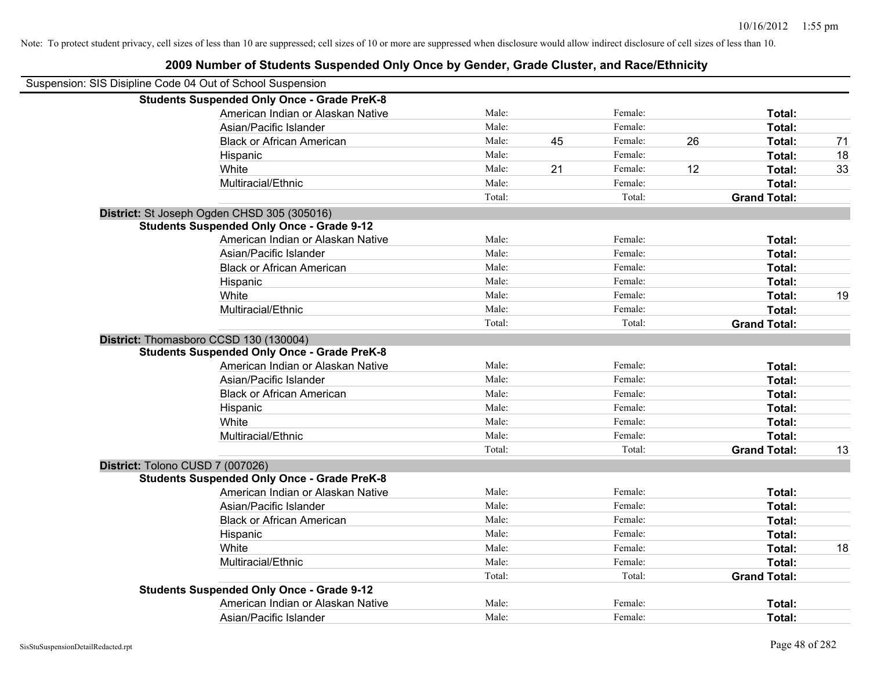| Suspension: SIS Disipline Code 04 Out of School Suspension |        |    |         |    |                     |    |
|------------------------------------------------------------|--------|----|---------|----|---------------------|----|
| <b>Students Suspended Only Once - Grade PreK-8</b>         |        |    |         |    |                     |    |
| American Indian or Alaskan Native                          | Male:  |    | Female: |    | Total:              |    |
| Asian/Pacific Islander                                     | Male:  |    | Female: |    | Total:              |    |
| <b>Black or African American</b>                           | Male:  | 45 | Female: | 26 | Total:              | 71 |
| Hispanic                                                   | Male:  |    | Female: |    | Total:              | 18 |
| White                                                      | Male:  | 21 | Female: | 12 | Total:              | 33 |
| Multiracial/Ethnic                                         | Male:  |    | Female: |    | Total:              |    |
|                                                            | Total: |    | Total:  |    | <b>Grand Total:</b> |    |
| District: St Joseph Ogden CHSD 305 (305016)                |        |    |         |    |                     |    |
| <b>Students Suspended Only Once - Grade 9-12</b>           |        |    |         |    |                     |    |
| American Indian or Alaskan Native                          | Male:  |    | Female: |    | Total:              |    |
| Asian/Pacific Islander                                     | Male:  |    | Female: |    | Total:              |    |
| <b>Black or African American</b>                           | Male:  |    | Female: |    | Total:              |    |
| Hispanic                                                   | Male:  |    | Female: |    | Total:              |    |
| White                                                      | Male:  |    | Female: |    | Total:              | 19 |
| Multiracial/Ethnic                                         | Male:  |    | Female: |    | Total:              |    |
|                                                            | Total: |    | Total:  |    | <b>Grand Total:</b> |    |
| District: Thomasboro CCSD 130 (130004)                     |        |    |         |    |                     |    |
| <b>Students Suspended Only Once - Grade PreK-8</b>         |        |    |         |    |                     |    |
| American Indian or Alaskan Native                          | Male:  |    | Female: |    | Total:              |    |
| Asian/Pacific Islander                                     | Male:  |    | Female: |    | Total:              |    |
| <b>Black or African American</b>                           | Male:  |    | Female: |    | Total:              |    |
| Hispanic                                                   | Male:  |    | Female: |    | Total:              |    |
| White                                                      | Male:  |    | Female: |    | Total:              |    |
| Multiracial/Ethnic                                         | Male:  |    | Female: |    | Total:              |    |
|                                                            | Total: |    | Total:  |    | <b>Grand Total:</b> | 13 |
| District: Tolono CUSD 7 (007026)                           |        |    |         |    |                     |    |
| <b>Students Suspended Only Once - Grade PreK-8</b>         |        |    |         |    |                     |    |
| American Indian or Alaskan Native                          | Male:  |    | Female: |    | Total:              |    |
| Asian/Pacific Islander                                     | Male:  |    | Female: |    | Total:              |    |
| <b>Black or African American</b>                           | Male:  |    | Female: |    | Total:              |    |
| Hispanic                                                   | Male:  |    | Female: |    | Total:              |    |
| White                                                      | Male:  |    | Female: |    | Total:              | 18 |
| Multiracial/Ethnic                                         | Male:  |    | Female: |    | Total:              |    |
|                                                            | Total: |    | Total:  |    | <b>Grand Total:</b> |    |
| <b>Students Suspended Only Once - Grade 9-12</b>           |        |    |         |    |                     |    |
| American Indian or Alaskan Native                          | Male:  |    | Female: |    | Total:              |    |
| Asian/Pacific Islander                                     | Male:  |    | Female: |    | Total:              |    |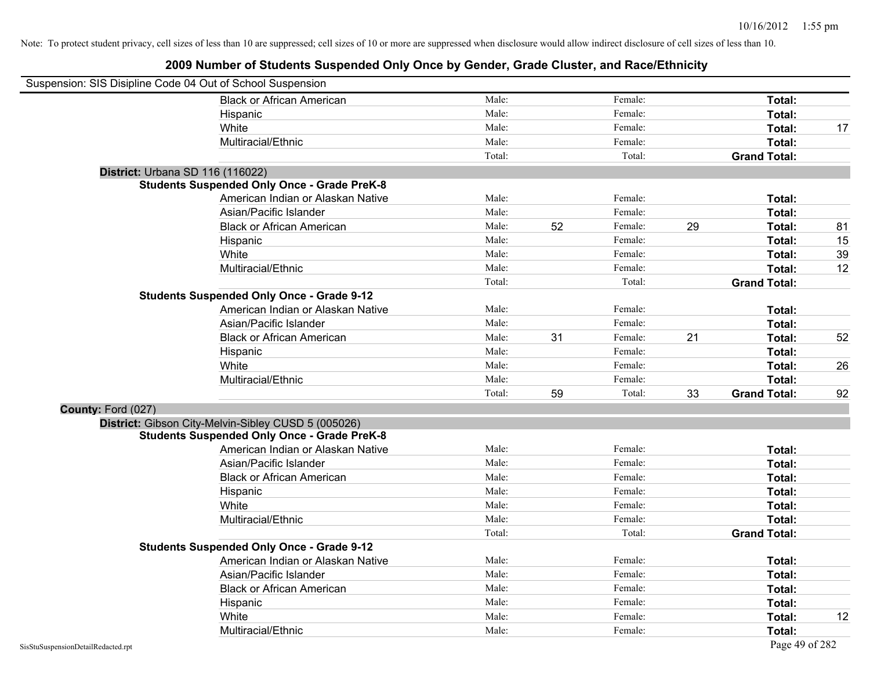| Suspension: SIS Disipline Code 04 Out of School Suspension |                                                     |        |    |         |    |                     |    |
|------------------------------------------------------------|-----------------------------------------------------|--------|----|---------|----|---------------------|----|
|                                                            | <b>Black or African American</b>                    | Male:  |    | Female: |    | Total:              |    |
|                                                            | Hispanic                                            | Male:  |    | Female: |    | Total:              |    |
|                                                            | White                                               | Male:  |    | Female: |    | Total:              | 17 |
|                                                            | Multiracial/Ethnic                                  | Male:  |    | Female: |    | Total:              |    |
|                                                            |                                                     | Total: |    | Total:  |    | <b>Grand Total:</b> |    |
| District: Urbana SD 116 (116022)                           |                                                     |        |    |         |    |                     |    |
|                                                            | <b>Students Suspended Only Once - Grade PreK-8</b>  |        |    |         |    |                     |    |
|                                                            | American Indian or Alaskan Native                   | Male:  |    | Female: |    | Total:              |    |
|                                                            | Asian/Pacific Islander                              | Male:  |    | Female: |    | Total:              |    |
|                                                            | <b>Black or African American</b>                    | Male:  | 52 | Female: | 29 | Total:              | 81 |
|                                                            | Hispanic                                            | Male:  |    | Female: |    | Total:              | 15 |
|                                                            | White                                               | Male:  |    | Female: |    | Total:              | 39 |
|                                                            | Multiracial/Ethnic                                  | Male:  |    | Female: |    | Total:              | 12 |
|                                                            |                                                     | Total: |    | Total:  |    | <b>Grand Total:</b> |    |
|                                                            | <b>Students Suspended Only Once - Grade 9-12</b>    |        |    |         |    |                     |    |
|                                                            | American Indian or Alaskan Native                   | Male:  |    | Female: |    | Total:              |    |
|                                                            | Asian/Pacific Islander                              | Male:  |    | Female: |    | Total:              |    |
|                                                            | <b>Black or African American</b>                    | Male:  | 31 | Female: | 21 | Total:              | 52 |
|                                                            | Hispanic                                            | Male:  |    | Female: |    | Total:              |    |
|                                                            | White                                               | Male:  |    | Female: |    | Total:              | 26 |
|                                                            | Multiracial/Ethnic                                  | Male:  |    | Female: |    | Total:              |    |
|                                                            |                                                     | Total: | 59 | Total:  | 33 | <b>Grand Total:</b> | 92 |
| County: Ford (027)                                         |                                                     |        |    |         |    |                     |    |
|                                                            | District: Gibson City-Melvin-Sibley CUSD 5 (005026) |        |    |         |    |                     |    |
|                                                            | <b>Students Suspended Only Once - Grade PreK-8</b>  |        |    |         |    |                     |    |
|                                                            | American Indian or Alaskan Native                   | Male:  |    | Female: |    | Total:              |    |
|                                                            | Asian/Pacific Islander                              | Male:  |    | Female: |    | Total:              |    |
|                                                            | <b>Black or African American</b>                    | Male:  |    | Female: |    | Total:              |    |
|                                                            | Hispanic                                            | Male:  |    | Female: |    | Total:              |    |
|                                                            | White                                               | Male:  |    | Female: |    | Total:              |    |
|                                                            | Multiracial/Ethnic                                  | Male:  |    | Female: |    | Total:              |    |
|                                                            |                                                     | Total: |    | Total:  |    | <b>Grand Total:</b> |    |
|                                                            | <b>Students Suspended Only Once - Grade 9-12</b>    |        |    |         |    |                     |    |
|                                                            | American Indian or Alaskan Native                   | Male:  |    | Female: |    | Total:              |    |
|                                                            | Asian/Pacific Islander                              | Male:  |    | Female: |    | Total:              |    |
|                                                            | <b>Black or African American</b>                    | Male:  |    | Female: |    | Total:              |    |
|                                                            | Hispanic                                            | Male:  |    | Female: |    | Total:              |    |
|                                                            | White                                               | Male:  |    | Female: |    | Total:              | 12 |
|                                                            | Multiracial/Ethnic                                  | Male:  |    | Female: |    | Total:              |    |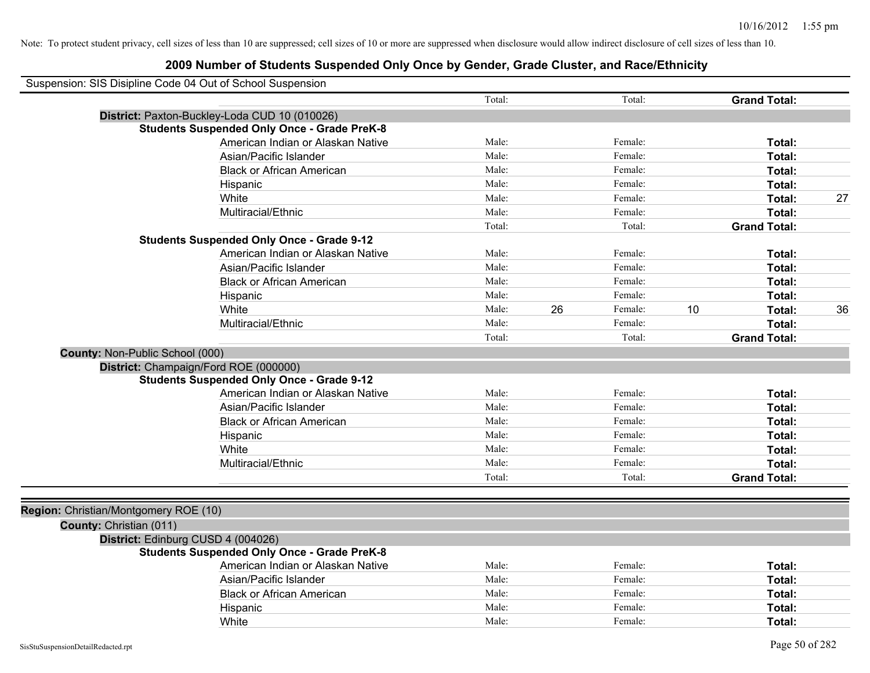|                                       | Suspension: SIS Disipline Code 04 Out of School Suspension |        |    |         |    |                     |    |
|---------------------------------------|------------------------------------------------------------|--------|----|---------|----|---------------------|----|
|                                       |                                                            | Total: |    | Total:  |    | <b>Grand Total:</b> |    |
|                                       | District: Paxton-Buckley-Loda CUD 10 (010026)              |        |    |         |    |                     |    |
|                                       | <b>Students Suspended Only Once - Grade PreK-8</b>         |        |    |         |    |                     |    |
|                                       | American Indian or Alaskan Native                          | Male:  |    | Female: |    | Total:              |    |
|                                       | Asian/Pacific Islander                                     | Male:  |    | Female: |    | <b>Total:</b>       |    |
|                                       | <b>Black or African American</b>                           | Male:  |    | Female: |    | Total:              |    |
|                                       | Hispanic                                                   | Male:  |    | Female: |    | Total:              |    |
|                                       | White                                                      | Male:  |    | Female: |    | Total:              | 27 |
|                                       | Multiracial/Ethnic                                         | Male:  |    | Female: |    | Total:              |    |
|                                       |                                                            | Total: |    | Total:  |    | <b>Grand Total:</b> |    |
|                                       | <b>Students Suspended Only Once - Grade 9-12</b>           |        |    |         |    |                     |    |
|                                       | American Indian or Alaskan Native                          | Male:  |    | Female: |    | Total:              |    |
|                                       | Asian/Pacific Islander                                     | Male:  |    | Female: |    | Total:              |    |
|                                       | <b>Black or African American</b>                           | Male:  |    | Female: |    | Total:              |    |
|                                       | Hispanic                                                   | Male:  |    | Female: |    | Total:              |    |
|                                       | White                                                      | Male:  | 26 | Female: | 10 | Total:              | 36 |
|                                       | Multiracial/Ethnic                                         | Male:  |    | Female: |    | Total:              |    |
|                                       |                                                            | Total: |    | Total:  |    | <b>Grand Total:</b> |    |
| County: Non-Public School (000)       |                                                            |        |    |         |    |                     |    |
|                                       | District: Champaign/Ford ROE (000000)                      |        |    |         |    |                     |    |
|                                       | <b>Students Suspended Only Once - Grade 9-12</b>           |        |    |         |    |                     |    |
|                                       | American Indian or Alaskan Native                          | Male:  |    | Female: |    | Total:              |    |
|                                       | Asian/Pacific Islander                                     | Male:  |    | Female: |    | Total:              |    |
|                                       | <b>Black or African American</b>                           | Male:  |    | Female: |    | Total:              |    |
|                                       | Hispanic                                                   | Male:  |    | Female: |    | Total:              |    |
|                                       | White                                                      | Male:  |    | Female: |    | Total:              |    |
|                                       | Multiracial/Ethnic                                         | Male:  |    | Female: |    | Total:              |    |
|                                       |                                                            | Total: |    | Total:  |    | <b>Grand Total:</b> |    |
|                                       |                                                            |        |    |         |    |                     |    |
| Region: Christian/Montgomery ROE (10) |                                                            |        |    |         |    |                     |    |
| County: Christian (011)               |                                                            |        |    |         |    |                     |    |
|                                       | District: Edinburg CUSD 4 (004026)                         |        |    |         |    |                     |    |
|                                       | <b>Students Suspended Only Once - Grade PreK-8</b>         |        |    |         |    |                     |    |
|                                       | American Indian or Alaskan Native                          | Male:  |    | Female: |    | Total:              |    |
|                                       | Asian/Pacific Islander                                     | Male:  |    | Female: |    | Total:              |    |
|                                       | <b>Black or African American</b>                           | Male:  |    | Female: |    | Total:              |    |
|                                       | Hispanic                                                   | Male:  |    | Female: |    | Total:              |    |
|                                       | White                                                      | Male:  |    | Female: |    | Total:              |    |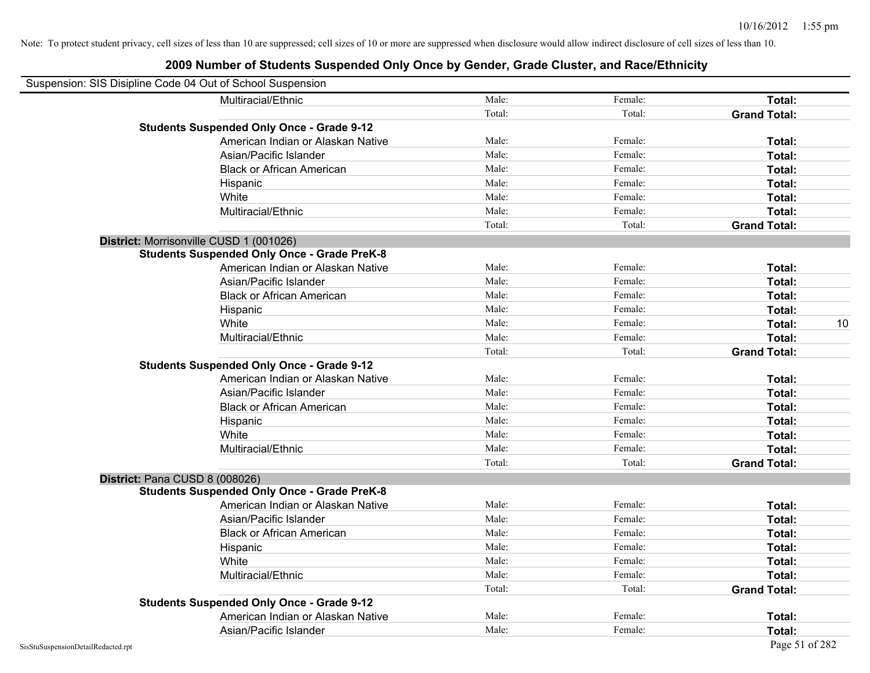| Suspension: SIS Disipline Code 04 Out of School Suspension |                                                    |        |         |                     |    |
|------------------------------------------------------------|----------------------------------------------------|--------|---------|---------------------|----|
|                                                            | Multiracial/Ethnic                                 | Male:  | Female: | Total:              |    |
|                                                            |                                                    | Total: | Total:  | <b>Grand Total:</b> |    |
|                                                            | <b>Students Suspended Only Once - Grade 9-12</b>   |        |         |                     |    |
|                                                            | American Indian or Alaskan Native                  | Male:  | Female: | Total:              |    |
|                                                            | Asian/Pacific Islander                             | Male:  | Female: | Total:              |    |
|                                                            | <b>Black or African American</b>                   | Male:  | Female: | Total:              |    |
|                                                            | Hispanic                                           | Male:  | Female: | Total:              |    |
|                                                            | White                                              | Male:  | Female: | Total:              |    |
|                                                            | Multiracial/Ethnic                                 | Male:  | Female: | Total:              |    |
|                                                            |                                                    | Total: | Total:  | <b>Grand Total:</b> |    |
| District: Morrisonville CUSD 1 (001026)                    |                                                    |        |         |                     |    |
|                                                            | <b>Students Suspended Only Once - Grade PreK-8</b> |        |         |                     |    |
|                                                            | American Indian or Alaskan Native                  | Male:  | Female: | Total:              |    |
|                                                            | Asian/Pacific Islander                             | Male:  | Female: | Total:              |    |
|                                                            | <b>Black or African American</b>                   | Male:  | Female: | Total:              |    |
|                                                            | Hispanic                                           | Male:  | Female: | Total:              |    |
|                                                            | White                                              | Male:  | Female: | Total:              | 10 |
|                                                            | Multiracial/Ethnic                                 | Male:  | Female: | Total:              |    |
|                                                            |                                                    | Total: | Total:  | <b>Grand Total:</b> |    |
|                                                            | <b>Students Suspended Only Once - Grade 9-12</b>   |        |         |                     |    |
|                                                            | American Indian or Alaskan Native                  | Male:  | Female: | Total:              |    |
|                                                            | Asian/Pacific Islander                             | Male:  | Female: | Total:              |    |
|                                                            | <b>Black or African American</b>                   | Male:  | Female: | Total:              |    |
|                                                            | Hispanic                                           | Male:  | Female: | Total:              |    |
|                                                            | White                                              | Male:  | Female: | Total:              |    |
|                                                            | Multiracial/Ethnic                                 | Male:  | Female: | Total:              |    |
|                                                            |                                                    | Total: | Total:  | <b>Grand Total:</b> |    |
| District: Pana CUSD 8 (008026)                             |                                                    |        |         |                     |    |
|                                                            | <b>Students Suspended Only Once - Grade PreK-8</b> |        |         |                     |    |
|                                                            | American Indian or Alaskan Native                  | Male:  | Female: | Total:              |    |
|                                                            | Asian/Pacific Islander                             | Male:  | Female: | Total:              |    |
|                                                            | <b>Black or African American</b>                   | Male:  | Female: | Total:              |    |
|                                                            | Hispanic                                           | Male:  | Female: | Total:              |    |
|                                                            | White                                              | Male:  | Female: | Total:              |    |
|                                                            | Multiracial/Ethnic                                 | Male:  | Female: | Total:              |    |
|                                                            |                                                    | Total: | Total:  | <b>Grand Total:</b> |    |
|                                                            | <b>Students Suspended Only Once - Grade 9-12</b>   |        |         |                     |    |
|                                                            | American Indian or Alaskan Native                  | Male:  | Female: | Total:              |    |
|                                                            | Asian/Pacific Islander                             | Male:  | Female: | Total:              |    |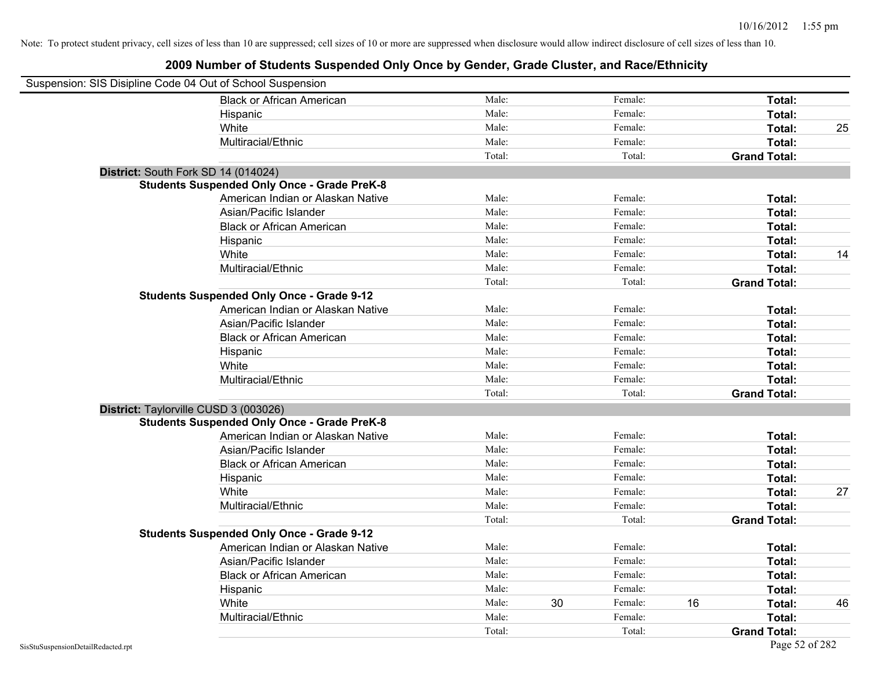| Suspension: SIS Disipline Code 04 Out of School Suspension |                                                    |        |    |         |    |                     |    |
|------------------------------------------------------------|----------------------------------------------------|--------|----|---------|----|---------------------|----|
|                                                            | <b>Black or African American</b>                   | Male:  |    | Female: |    | Total:              |    |
|                                                            | Hispanic                                           | Male:  |    | Female: |    | Total:              |    |
|                                                            | White                                              | Male:  |    | Female: |    | Total:              | 25 |
|                                                            | Multiracial/Ethnic                                 | Male:  |    | Female: |    | Total:              |    |
|                                                            |                                                    | Total: |    | Total:  |    | <b>Grand Total:</b> |    |
| District: South Fork SD 14 (014024)                        |                                                    |        |    |         |    |                     |    |
|                                                            | <b>Students Suspended Only Once - Grade PreK-8</b> |        |    |         |    |                     |    |
|                                                            | American Indian or Alaskan Native                  | Male:  |    | Female: |    | Total:              |    |
|                                                            | Asian/Pacific Islander                             | Male:  |    | Female: |    | Total:              |    |
|                                                            | <b>Black or African American</b>                   | Male:  |    | Female: |    | Total:              |    |
|                                                            | Hispanic                                           | Male:  |    | Female: |    | Total:              |    |
|                                                            | White                                              | Male:  |    | Female: |    | Total:              | 14 |
|                                                            | Multiracial/Ethnic                                 | Male:  |    | Female: |    | Total:              |    |
|                                                            |                                                    | Total: |    | Total:  |    | <b>Grand Total:</b> |    |
|                                                            | <b>Students Suspended Only Once - Grade 9-12</b>   |        |    |         |    |                     |    |
|                                                            | American Indian or Alaskan Native                  | Male:  |    | Female: |    | Total:              |    |
|                                                            | Asian/Pacific Islander                             | Male:  |    | Female: |    | Total:              |    |
|                                                            | <b>Black or African American</b>                   | Male:  |    | Female: |    | Total:              |    |
|                                                            | Hispanic                                           | Male:  |    | Female: |    | Total:              |    |
|                                                            | White                                              | Male:  |    | Female: |    | Total:              |    |
|                                                            | Multiracial/Ethnic                                 | Male:  |    | Female: |    | Total:              |    |
|                                                            |                                                    | Total: |    | Total:  |    | <b>Grand Total:</b> |    |
| District: Taylorville CUSD 3 (003026)                      |                                                    |        |    |         |    |                     |    |
|                                                            | <b>Students Suspended Only Once - Grade PreK-8</b> |        |    |         |    |                     |    |
|                                                            | American Indian or Alaskan Native                  | Male:  |    | Female: |    | Total:              |    |
|                                                            | Asian/Pacific Islander                             | Male:  |    | Female: |    | Total:              |    |
|                                                            | <b>Black or African American</b>                   | Male:  |    | Female: |    | Total:              |    |
|                                                            | Hispanic                                           | Male:  |    | Female: |    | Total:              |    |
|                                                            | White                                              | Male:  |    | Female: |    | Total:              | 27 |
|                                                            | Multiracial/Ethnic                                 | Male:  |    | Female: |    | Total:              |    |
|                                                            |                                                    | Total: |    | Total:  |    | <b>Grand Total:</b> |    |
|                                                            | <b>Students Suspended Only Once - Grade 9-12</b>   |        |    |         |    |                     |    |
|                                                            | American Indian or Alaskan Native                  | Male:  |    | Female: |    | Total:              |    |
|                                                            | Asian/Pacific Islander                             | Male:  |    | Female: |    | Total:              |    |
|                                                            | <b>Black or African American</b>                   | Male:  |    | Female: |    | Total:              |    |
|                                                            | Hispanic                                           | Male:  |    | Female: |    | Total:              |    |
|                                                            | White                                              | Male:  | 30 | Female: | 16 | Total:              | 46 |
|                                                            | Multiracial/Ethnic                                 | Male:  |    | Female: |    | Total:              |    |
|                                                            |                                                    | Total: |    | Total:  |    | <b>Grand Total:</b> |    |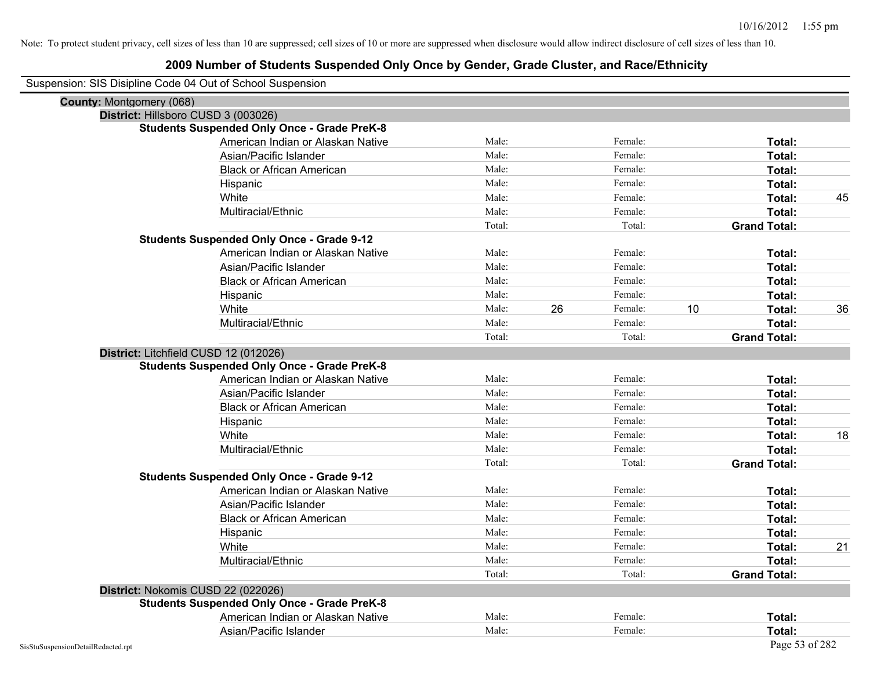| Suspension: SIS Disipline Code 04 Out of School Suspension |
|------------------------------------------------------------|
|------------------------------------------------------------|

| <b>County: Montgomery (068)</b>    |                                                    |        |    |         |    |                     |    |
|------------------------------------|----------------------------------------------------|--------|----|---------|----|---------------------|----|
|                                    | District: Hillsboro CUSD 3 (003026)                |        |    |         |    |                     |    |
|                                    | <b>Students Suspended Only Once - Grade PreK-8</b> |        |    |         |    |                     |    |
|                                    | American Indian or Alaskan Native                  | Male:  |    | Female: |    | Total:              |    |
|                                    | Asian/Pacific Islander                             | Male:  |    | Female: |    | Total:              |    |
|                                    | <b>Black or African American</b>                   | Male:  |    | Female: |    | Total:              |    |
|                                    | Hispanic                                           | Male:  |    | Female: |    | Total:              |    |
|                                    | White                                              | Male:  |    | Female: |    | Total:              | 45 |
|                                    | Multiracial/Ethnic                                 | Male:  |    | Female: |    | Total:              |    |
|                                    |                                                    | Total: |    | Total:  |    | <b>Grand Total:</b> |    |
|                                    | <b>Students Suspended Only Once - Grade 9-12</b>   |        |    |         |    |                     |    |
|                                    | American Indian or Alaskan Native                  | Male:  |    | Female: |    | Total:              |    |
|                                    | Asian/Pacific Islander                             | Male:  |    | Female: |    | Total:              |    |
|                                    | <b>Black or African American</b>                   | Male:  |    | Female: |    | Total:              |    |
|                                    | Hispanic                                           | Male:  |    | Female: |    | Total:              |    |
|                                    | White                                              | Male:  | 26 | Female: | 10 | Total:              | 36 |
|                                    | Multiracial/Ethnic                                 | Male:  |    | Female: |    | Total:              |    |
|                                    |                                                    | Total: |    | Total:  |    | <b>Grand Total:</b> |    |
|                                    | District: Litchfield CUSD 12 (012026)              |        |    |         |    |                     |    |
|                                    | <b>Students Suspended Only Once - Grade PreK-8</b> |        |    |         |    |                     |    |
|                                    | American Indian or Alaskan Native                  | Male:  |    | Female: |    | Total:              |    |
|                                    | Asian/Pacific Islander                             | Male:  |    | Female: |    | Total:              |    |
|                                    | <b>Black or African American</b>                   | Male:  |    | Female: |    | Total:              |    |
|                                    | Hispanic                                           | Male:  |    | Female: |    | Total:              |    |
|                                    | White                                              | Male:  |    | Female: |    | Total:              | 18 |
|                                    | Multiracial/Ethnic                                 | Male:  |    | Female: |    | Total:              |    |
|                                    |                                                    | Total: |    | Total:  |    | <b>Grand Total:</b> |    |
|                                    | <b>Students Suspended Only Once - Grade 9-12</b>   |        |    |         |    |                     |    |
|                                    | American Indian or Alaskan Native                  | Male:  |    | Female: |    | Total:              |    |
|                                    | Asian/Pacific Islander                             | Male:  |    | Female: |    | Total:              |    |
|                                    | <b>Black or African American</b>                   | Male:  |    | Female: |    | Total:              |    |
|                                    | Hispanic                                           | Male:  |    | Female: |    | Total:              |    |
|                                    | White                                              | Male:  |    | Female: |    | Total:              | 21 |
|                                    | Multiracial/Ethnic                                 | Male:  |    | Female: |    | Total:              |    |
|                                    |                                                    | Total: |    | Total:  |    | <b>Grand Total:</b> |    |
|                                    | District: Nokomis CUSD 22 (022026)                 |        |    |         |    |                     |    |
|                                    | <b>Students Suspended Only Once - Grade PreK-8</b> |        |    |         |    |                     |    |
|                                    | American Indian or Alaskan Native                  | Male:  |    | Female: |    | Total:              |    |
|                                    | Asian/Pacific Islander                             | Male:  |    | Female: |    | <b>Total:</b>       |    |
| SisStuSuspensionDetailRedacted.rpt |                                                    |        |    |         |    | Page 53 of 282      |    |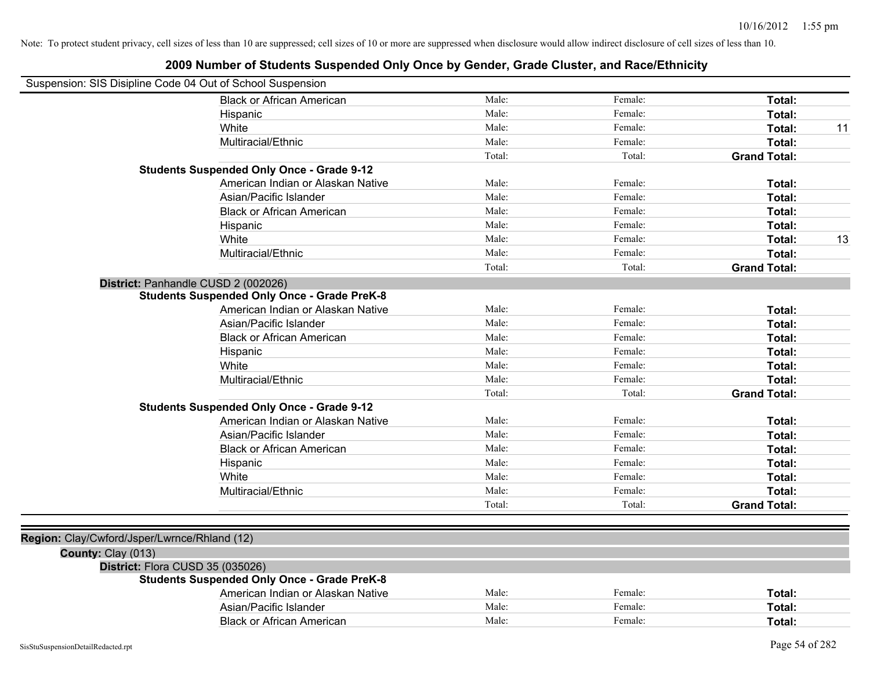| Suspension: SIS Disipline Code 04 Out of School Suspension |                                                    |        |         |                     |    |
|------------------------------------------------------------|----------------------------------------------------|--------|---------|---------------------|----|
|                                                            | <b>Black or African American</b>                   | Male:  | Female: | Total:              |    |
|                                                            | Hispanic                                           | Male:  | Female: | Total:              |    |
|                                                            | White                                              | Male:  | Female: | Total:              | 11 |
|                                                            | Multiracial/Ethnic                                 | Male:  | Female: | Total:              |    |
|                                                            |                                                    | Total: | Total:  | <b>Grand Total:</b> |    |
|                                                            | <b>Students Suspended Only Once - Grade 9-12</b>   |        |         |                     |    |
|                                                            | American Indian or Alaskan Native                  | Male:  | Female: | Total:              |    |
|                                                            | Asian/Pacific Islander                             | Male:  | Female: | Total:              |    |
|                                                            | <b>Black or African American</b>                   | Male:  | Female: | Total:              |    |
|                                                            | Hispanic                                           | Male:  | Female: | Total:              |    |
|                                                            | White                                              | Male:  | Female: | Total:              | 13 |
|                                                            | Multiracial/Ethnic                                 | Male:  | Female: | Total:              |    |
|                                                            |                                                    | Total: | Total:  | <b>Grand Total:</b> |    |
|                                                            | District: Panhandle CUSD 2 (002026)                |        |         |                     |    |
|                                                            | <b>Students Suspended Only Once - Grade PreK-8</b> |        |         |                     |    |
|                                                            | American Indian or Alaskan Native                  | Male:  | Female: | Total:              |    |
|                                                            | Asian/Pacific Islander                             | Male:  | Female: | Total:              |    |
|                                                            | <b>Black or African American</b>                   | Male:  | Female: | Total:              |    |
|                                                            | Hispanic                                           | Male:  | Female: | Total:              |    |
|                                                            | White                                              | Male:  | Female: | Total:              |    |
|                                                            | Multiracial/Ethnic                                 | Male:  | Female: | Total:              |    |
|                                                            |                                                    | Total: | Total:  | <b>Grand Total:</b> |    |
|                                                            | <b>Students Suspended Only Once - Grade 9-12</b>   |        |         |                     |    |
|                                                            | American Indian or Alaskan Native                  | Male:  | Female: | Total:              |    |
|                                                            | Asian/Pacific Islander                             | Male:  | Female: | Total:              |    |
|                                                            | <b>Black or African American</b>                   | Male:  | Female: | Total:              |    |
|                                                            | Hispanic                                           | Male:  | Female: | Total:              |    |
|                                                            | White                                              | Male:  | Female: | Total:              |    |
|                                                            | Multiracial/Ethnic                                 | Male:  | Female: | Total:              |    |
|                                                            |                                                    | Total: | Total:  | <b>Grand Total:</b> |    |
|                                                            |                                                    |        |         |                     |    |
| Region: Clay/Cwford/Jsper/Lwrnce/Rhland (12)               |                                                    |        |         |                     |    |
| County: Clay (013)                                         |                                                    |        |         |                     |    |
| District: Flora CUSD 35 (035026)                           |                                                    |        |         |                     |    |
|                                                            | <b>Students Suspended Only Once - Grade PreK-8</b> |        |         |                     |    |
|                                                            | American Indian or Alaskan Native                  | Male:  | Female: | Total:              |    |
|                                                            | Asian/Pacific Islander                             | Male:  | Female: | Total:              |    |
|                                                            | <b>Black or African American</b>                   | Male:  | Female: | Total:              |    |
|                                                            |                                                    |        |         |                     |    |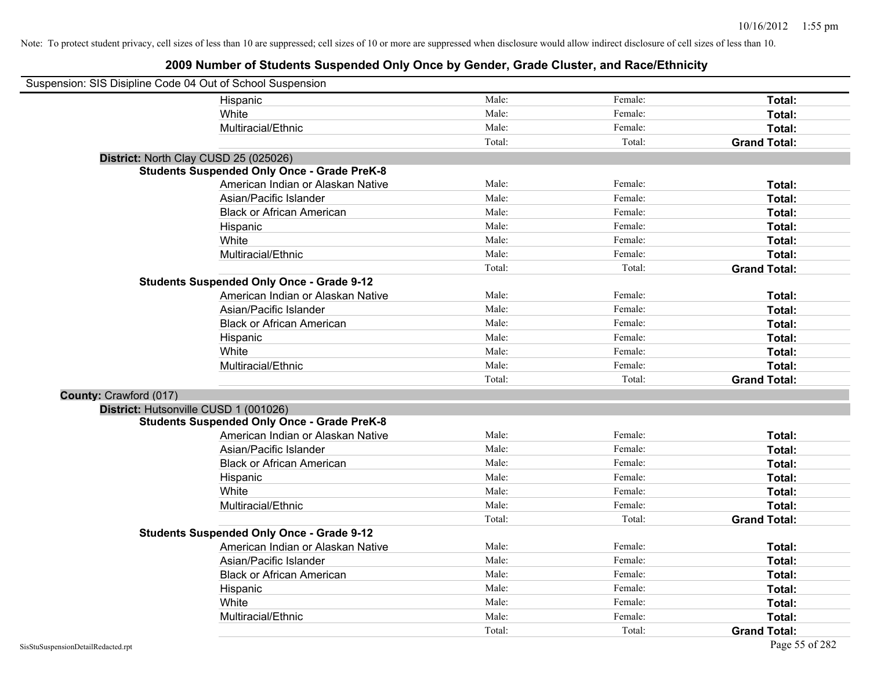| Suspension: SIS Disipline Code 04 Out of School Suspension |                                                    |        |         |                     |
|------------------------------------------------------------|----------------------------------------------------|--------|---------|---------------------|
|                                                            | Hispanic                                           | Male:  | Female: | Total:              |
|                                                            | White                                              | Male:  | Female: | Total:              |
|                                                            | Multiracial/Ethnic                                 | Male:  | Female: | Total:              |
|                                                            |                                                    | Total: | Total:  | <b>Grand Total:</b> |
| District: North Clay CUSD 25 (025026)                      |                                                    |        |         |                     |
|                                                            | <b>Students Suspended Only Once - Grade PreK-8</b> |        |         |                     |
|                                                            | American Indian or Alaskan Native                  | Male:  | Female: | Total:              |
|                                                            | Asian/Pacific Islander                             | Male:  | Female: | Total:              |
|                                                            | <b>Black or African American</b>                   | Male:  | Female: | Total:              |
|                                                            | Hispanic                                           | Male:  | Female: | Total:              |
|                                                            | White                                              | Male:  | Female: | Total:              |
|                                                            | Multiracial/Ethnic                                 | Male:  | Female: | Total:              |
|                                                            |                                                    | Total: | Total:  | <b>Grand Total:</b> |
|                                                            | <b>Students Suspended Only Once - Grade 9-12</b>   |        |         |                     |
|                                                            | American Indian or Alaskan Native                  | Male:  | Female: | Total:              |
|                                                            | Asian/Pacific Islander                             | Male:  | Female: | Total:              |
|                                                            | <b>Black or African American</b>                   | Male:  | Female: | Total:              |
|                                                            | Hispanic                                           | Male:  | Female: | Total:              |
|                                                            | White                                              | Male:  | Female: | Total:              |
|                                                            | Multiracial/Ethnic                                 | Male:  | Female: | Total:              |
|                                                            |                                                    | Total: | Total:  | <b>Grand Total:</b> |
| County: Crawford (017)                                     |                                                    |        |         |                     |
| District: Hutsonville CUSD 1 (001026)                      |                                                    |        |         |                     |
|                                                            | <b>Students Suspended Only Once - Grade PreK-8</b> |        |         |                     |
|                                                            | American Indian or Alaskan Native                  | Male:  | Female: | Total:              |
|                                                            | Asian/Pacific Islander                             | Male:  | Female: | Total:              |
|                                                            | <b>Black or African American</b>                   | Male:  | Female: | Total:              |
|                                                            | Hispanic                                           | Male:  | Female: | Total:              |
|                                                            | White                                              | Male:  | Female: | Total:              |
|                                                            | Multiracial/Ethnic                                 | Male:  | Female: | Total:              |
|                                                            |                                                    | Total: | Total:  | <b>Grand Total:</b> |
|                                                            | <b>Students Suspended Only Once - Grade 9-12</b>   |        |         |                     |
|                                                            | American Indian or Alaskan Native                  | Male:  | Female: | Total:              |
|                                                            | Asian/Pacific Islander                             | Male:  | Female: | Total:              |
|                                                            | <b>Black or African American</b>                   | Male:  | Female: | Total:              |
|                                                            | Hispanic                                           | Male:  | Female: | Total:              |
|                                                            | White                                              | Male:  | Female: | Total:              |
|                                                            | Multiracial/Ethnic                                 | Male:  | Female: | Total:              |
|                                                            |                                                    | Total: | Total:  | <b>Grand Total:</b> |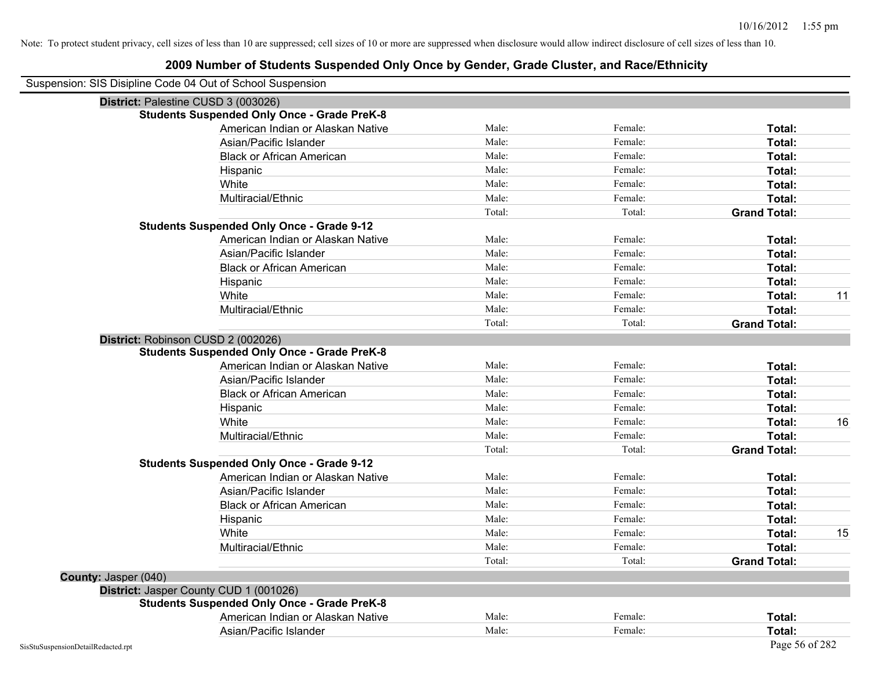| Suspension: SIS Disipline Code 04 Out of School Suspension |                                                    |        |         |                     |    |
|------------------------------------------------------------|----------------------------------------------------|--------|---------|---------------------|----|
| District: Palestine CUSD 3 (003026)                        |                                                    |        |         |                     |    |
|                                                            | <b>Students Suspended Only Once - Grade PreK-8</b> |        |         |                     |    |
|                                                            | American Indian or Alaskan Native                  | Male:  | Female: | Total:              |    |
|                                                            | Asian/Pacific Islander                             | Male:  | Female: | Total:              |    |
|                                                            | <b>Black or African American</b>                   | Male:  | Female: | Total:              |    |
|                                                            | Hispanic                                           | Male:  | Female: | Total:              |    |
|                                                            | White                                              | Male:  | Female: | Total:              |    |
|                                                            | Multiracial/Ethnic                                 | Male:  | Female: | Total:              |    |
|                                                            |                                                    | Total: | Total:  | <b>Grand Total:</b> |    |
|                                                            | <b>Students Suspended Only Once - Grade 9-12</b>   |        |         |                     |    |
|                                                            | American Indian or Alaskan Native                  | Male:  | Female: | Total:              |    |
|                                                            | Asian/Pacific Islander                             | Male:  | Female: | Total:              |    |
|                                                            | <b>Black or African American</b>                   | Male:  | Female: | Total:              |    |
|                                                            | Hispanic                                           | Male:  | Female: | Total:              |    |
|                                                            | White                                              | Male:  | Female: | Total:              | 11 |
|                                                            | Multiracial/Ethnic                                 | Male:  | Female: | Total:              |    |
|                                                            |                                                    | Total: | Total:  | <b>Grand Total:</b> |    |
| District: Robinson CUSD 2 (002026)                         |                                                    |        |         |                     |    |
|                                                            | <b>Students Suspended Only Once - Grade PreK-8</b> |        |         |                     |    |
|                                                            | American Indian or Alaskan Native                  | Male:  | Female: | Total:              |    |
|                                                            | Asian/Pacific Islander                             | Male:  | Female: | Total:              |    |
|                                                            | <b>Black or African American</b>                   | Male:  | Female: | Total:              |    |
|                                                            | Hispanic                                           | Male:  | Female: | Total:              |    |
|                                                            | White                                              | Male:  | Female: | Total:              | 16 |
|                                                            | Multiracial/Ethnic                                 | Male:  | Female: | Total:              |    |
|                                                            |                                                    | Total: | Total:  | <b>Grand Total:</b> |    |
|                                                            | <b>Students Suspended Only Once - Grade 9-12</b>   |        |         |                     |    |
|                                                            | American Indian or Alaskan Native                  | Male:  | Female: | Total:              |    |
|                                                            | Asian/Pacific Islander                             | Male:  | Female: | Total:              |    |
|                                                            | <b>Black or African American</b>                   | Male:  | Female: | Total:              |    |
|                                                            | Hispanic                                           | Male:  | Female: | Total:              |    |
|                                                            | White                                              | Male:  | Female: | Total:              | 15 |
|                                                            | Multiracial/Ethnic                                 | Male:  | Female: | Total:              |    |
|                                                            |                                                    | Total: | Total:  | <b>Grand Total:</b> |    |
| County: Jasper (040)                                       |                                                    |        |         |                     |    |
|                                                            | District: Jasper County CUD 1 (001026)             |        |         |                     |    |
|                                                            | <b>Students Suspended Only Once - Grade PreK-8</b> |        |         |                     |    |
|                                                            | American Indian or Alaskan Native                  | Male:  | Female: | <b>Total:</b>       |    |
|                                                            | Asian/Pacific Islander                             | Male:  | Female: | Total:              |    |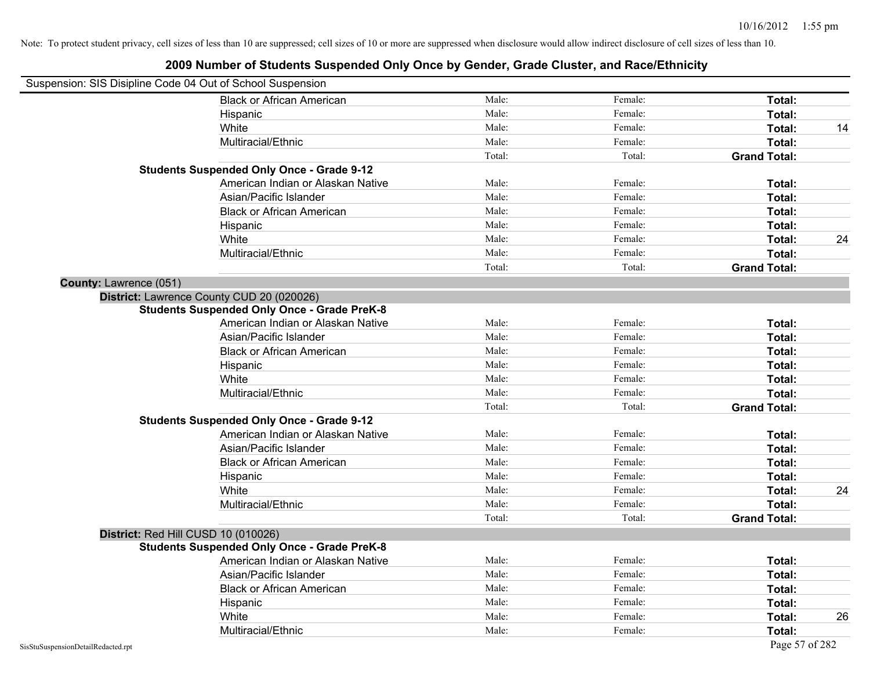| Suspension: SIS Disipline Code 04 Out of School Suspension |                                                    |        |         |                     |    |
|------------------------------------------------------------|----------------------------------------------------|--------|---------|---------------------|----|
|                                                            | <b>Black or African American</b>                   | Male:  | Female: | Total:              |    |
| Hispanic                                                   |                                                    | Male:  | Female: | Total:              |    |
| White                                                      |                                                    | Male:  | Female: | Total:              | 14 |
|                                                            | Multiracial/Ethnic                                 | Male:  | Female: | Total:              |    |
|                                                            |                                                    | Total: | Total:  | <b>Grand Total:</b> |    |
|                                                            | <b>Students Suspended Only Once - Grade 9-12</b>   |        |         |                     |    |
|                                                            | American Indian or Alaskan Native                  | Male:  | Female: | Total:              |    |
|                                                            | Asian/Pacific Islander                             | Male:  | Female: | Total:              |    |
|                                                            | <b>Black or African American</b>                   | Male:  | Female: | Total:              |    |
| Hispanic                                                   |                                                    | Male:  | Female: | Total:              |    |
| White                                                      |                                                    | Male:  | Female: | Total:              | 24 |
|                                                            | Multiracial/Ethnic                                 | Male:  | Female: | Total:              |    |
|                                                            |                                                    | Total: | Total:  | <b>Grand Total:</b> |    |
| County: Lawrence (051)                                     |                                                    |        |         |                     |    |
| District: Lawrence County CUD 20 (020026)                  |                                                    |        |         |                     |    |
|                                                            | <b>Students Suspended Only Once - Grade PreK-8</b> |        |         |                     |    |
|                                                            | American Indian or Alaskan Native                  | Male:  | Female: | Total:              |    |
|                                                            | Asian/Pacific Islander                             | Male:  | Female: | Total:              |    |
|                                                            | <b>Black or African American</b>                   | Male:  | Female: | Total:              |    |
| Hispanic                                                   |                                                    | Male:  | Female: | Total:              |    |
| White                                                      |                                                    | Male:  | Female: | Total:              |    |
|                                                            | Multiracial/Ethnic                                 | Male:  | Female: | Total:              |    |
|                                                            |                                                    | Total: | Total:  | <b>Grand Total:</b> |    |
|                                                            | <b>Students Suspended Only Once - Grade 9-12</b>   |        |         |                     |    |
|                                                            | American Indian or Alaskan Native                  | Male:  | Female: | Total:              |    |
|                                                            | Asian/Pacific Islander                             | Male:  | Female: | Total:              |    |
|                                                            | <b>Black or African American</b>                   | Male:  | Female: | Total:              |    |
| Hispanic                                                   |                                                    | Male:  | Female: | Total:              |    |
| White                                                      |                                                    | Male:  | Female: | Total:              | 24 |
|                                                            | Multiracial/Ethnic                                 | Male:  | Female: | Total:              |    |
|                                                            |                                                    | Total: | Total:  | <b>Grand Total:</b> |    |
| District: Red Hill CUSD 10 (010026)                        |                                                    |        |         |                     |    |
|                                                            | <b>Students Suspended Only Once - Grade PreK-8</b> |        |         |                     |    |
|                                                            | American Indian or Alaskan Native                  | Male:  | Female: | Total:              |    |
|                                                            | Asian/Pacific Islander                             | Male:  | Female: | Total:              |    |
|                                                            | <b>Black or African American</b>                   | Male:  | Female: | Total:              |    |
| Hispanic                                                   |                                                    | Male:  | Female: | Total:              |    |
| White                                                      |                                                    | Male:  | Female: | Total:              | 26 |
|                                                            | Multiracial/Ethnic                                 | Male:  | Female: | Total:              |    |
| SisStuSuspensionDetailRedacted.rpt                         |                                                    |        |         | Page 57 of 282      |    |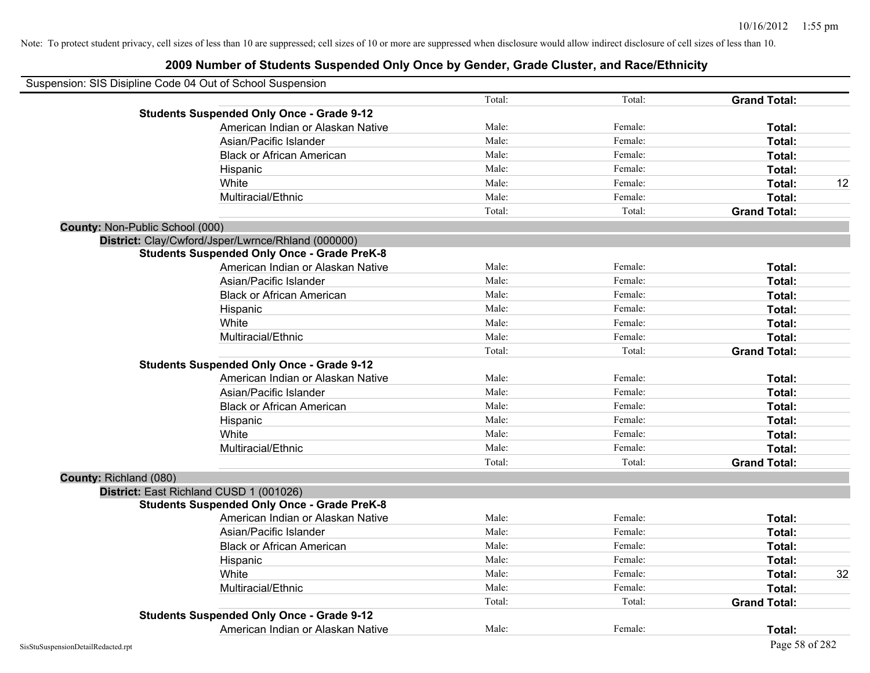| Suspension: SIS Disipline Code 04 Out of School Suspension |        |         |                     |    |
|------------------------------------------------------------|--------|---------|---------------------|----|
|                                                            | Total: | Total:  | <b>Grand Total:</b> |    |
| <b>Students Suspended Only Once - Grade 9-12</b>           |        |         |                     |    |
| American Indian or Alaskan Native                          | Male:  | Female: | Total:              |    |
| Asian/Pacific Islander                                     | Male:  | Female: | Total:              |    |
| <b>Black or African American</b>                           | Male:  | Female: | Total:              |    |
| Hispanic                                                   | Male:  | Female: | Total:              |    |
| White                                                      | Male:  | Female: | Total:              | 12 |
| Multiracial/Ethnic                                         | Male:  | Female: | Total:              |    |
|                                                            | Total: | Total:  | <b>Grand Total:</b> |    |
| <b>County: Non-Public School (000)</b>                     |        |         |                     |    |
| District: Clay/Cwford/Jsper/Lwrnce/Rhland (000000)         |        |         |                     |    |
| <b>Students Suspended Only Once - Grade PreK-8</b>         |        |         |                     |    |
| American Indian or Alaskan Native                          | Male:  | Female: | Total:              |    |
| Asian/Pacific Islander                                     | Male:  | Female: | Total:              |    |
| <b>Black or African American</b>                           | Male:  | Female: | Total:              |    |
| Hispanic                                                   | Male:  | Female: | Total:              |    |
| White                                                      | Male:  | Female: | Total:              |    |
| Multiracial/Ethnic                                         | Male:  | Female: | Total:              |    |
|                                                            | Total: | Total:  | <b>Grand Total:</b> |    |
| <b>Students Suspended Only Once - Grade 9-12</b>           |        |         |                     |    |
| American Indian or Alaskan Native                          | Male:  | Female: | Total:              |    |
| Asian/Pacific Islander                                     | Male:  | Female: | Total:              |    |
| <b>Black or African American</b>                           | Male:  | Female: | Total:              |    |
| Hispanic                                                   | Male:  | Female: | Total:              |    |
| White                                                      | Male:  | Female: | Total:              |    |
| Multiracial/Ethnic                                         | Male:  | Female: | Total:              |    |
|                                                            | Total: | Total:  | <b>Grand Total:</b> |    |
| County: Richland (080)                                     |        |         |                     |    |
| District: East Richland CUSD 1 (001026)                    |        |         |                     |    |
| <b>Students Suspended Only Once - Grade PreK-8</b>         |        |         |                     |    |
| American Indian or Alaskan Native                          | Male:  | Female: | Total:              |    |
| Asian/Pacific Islander                                     | Male:  | Female: | Total:              |    |
| <b>Black or African American</b>                           | Male:  | Female: | Total:              |    |
| Hispanic                                                   | Male:  | Female: | Total:              |    |
| White                                                      | Male:  | Female: | Total:              | 32 |
| Multiracial/Ethnic                                         | Male:  | Female: | Total:              |    |
|                                                            | Total: | Total:  | <b>Grand Total:</b> |    |
| <b>Students Suspended Only Once - Grade 9-12</b>           |        |         |                     |    |
| American Indian or Alaskan Native                          | Male:  | Female: | Total:              |    |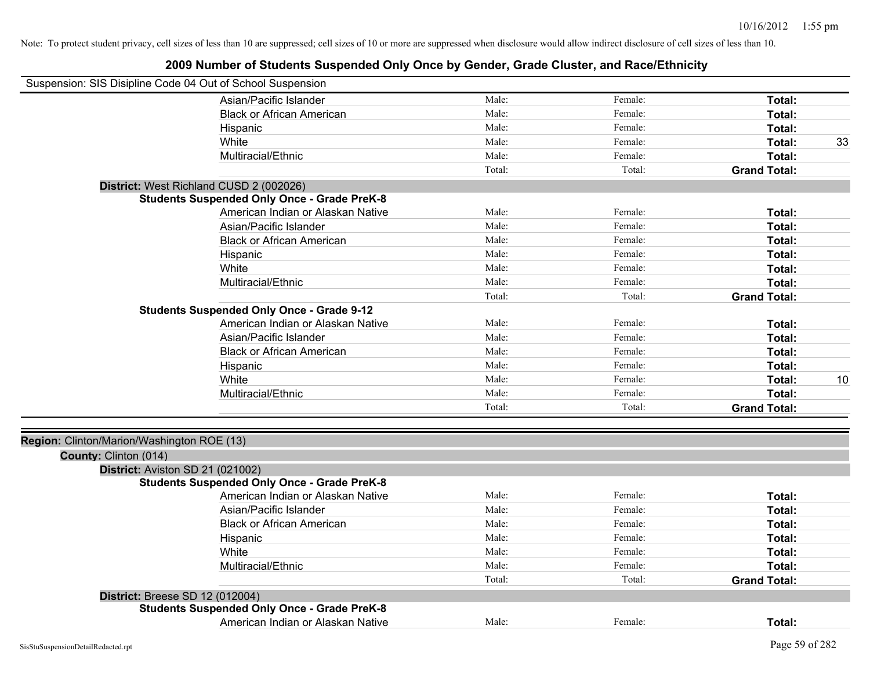| Suspension: SIS Disipline Code 04 Out of School Suspension          |                                                    |        |         |                     |    |
|---------------------------------------------------------------------|----------------------------------------------------|--------|---------|---------------------|----|
|                                                                     | Asian/Pacific Islander                             | Male:  | Female: | Total:              |    |
|                                                                     | <b>Black or African American</b>                   | Male:  | Female: | Total:              |    |
|                                                                     | Hispanic                                           | Male:  | Female: | Total:              |    |
|                                                                     | White                                              | Male:  | Female: | Total:              | 33 |
|                                                                     | Multiracial/Ethnic                                 | Male:  | Female: | Total:              |    |
|                                                                     |                                                    | Total: | Total:  | <b>Grand Total:</b> |    |
|                                                                     | District: West Richland CUSD 2 (002026)            |        |         |                     |    |
|                                                                     | <b>Students Suspended Only Once - Grade PreK-8</b> |        |         |                     |    |
|                                                                     | American Indian or Alaskan Native                  | Male:  | Female: | Total:              |    |
|                                                                     | Asian/Pacific Islander                             | Male:  | Female: | Total:              |    |
|                                                                     | <b>Black or African American</b>                   | Male:  | Female: | Total:              |    |
|                                                                     | Hispanic                                           | Male:  | Female: | Total:              |    |
|                                                                     | White                                              | Male:  | Female: | Total:              |    |
|                                                                     | Multiracial/Ethnic                                 | Male:  | Female: | Total:              |    |
|                                                                     |                                                    | Total: | Total:  | <b>Grand Total:</b> |    |
|                                                                     | <b>Students Suspended Only Once - Grade 9-12</b>   |        |         |                     |    |
|                                                                     | American Indian or Alaskan Native                  | Male:  | Female: | Total:              |    |
|                                                                     | Asian/Pacific Islander                             | Male:  | Female: | Total:              |    |
|                                                                     | <b>Black or African American</b>                   | Male:  | Female: | Total:              |    |
|                                                                     | Hispanic                                           | Male:  | Female: | Total:              |    |
|                                                                     | White                                              | Male:  | Female: | Total:              | 10 |
|                                                                     | Multiracial/Ethnic                                 | Male:  | Female: | Total:              |    |
|                                                                     |                                                    | Total: | Total:  | <b>Grand Total:</b> |    |
|                                                                     |                                                    |        |         |                     |    |
| Region: Clinton/Marion/Washington ROE (13)<br>County: Clinton (014) |                                                    |        |         |                     |    |
| District: Aviston SD 21 (021002)                                    |                                                    |        |         |                     |    |
|                                                                     | <b>Students Suspended Only Once - Grade PreK-8</b> |        |         |                     |    |
|                                                                     | American Indian or Alaskan Native                  | Male:  | Female: | Total:              |    |
|                                                                     | Asian/Pacific Islander                             | Male:  | Female: | Total:              |    |
|                                                                     | <b>Black or African American</b>                   | Male:  | Female: | Total:              |    |
|                                                                     | Hispanic                                           | Male:  | Female: | Total:              |    |
|                                                                     | White                                              | Male:  | Female: | Total:              |    |
|                                                                     | Multiracial/Ethnic                                 | Male:  | Female: | Total:              |    |
|                                                                     |                                                    | Total: | Total:  | <b>Grand Total:</b> |    |
|                                                                     |                                                    |        |         |                     |    |
| <b>District: Breese SD 12 (012004)</b>                              | <b>Students Suspended Only Once - Grade PreK-8</b> |        |         |                     |    |
|                                                                     | American Indian or Alaskan Native                  | Male:  | Female: | Total:              |    |
|                                                                     |                                                    |        |         |                     |    |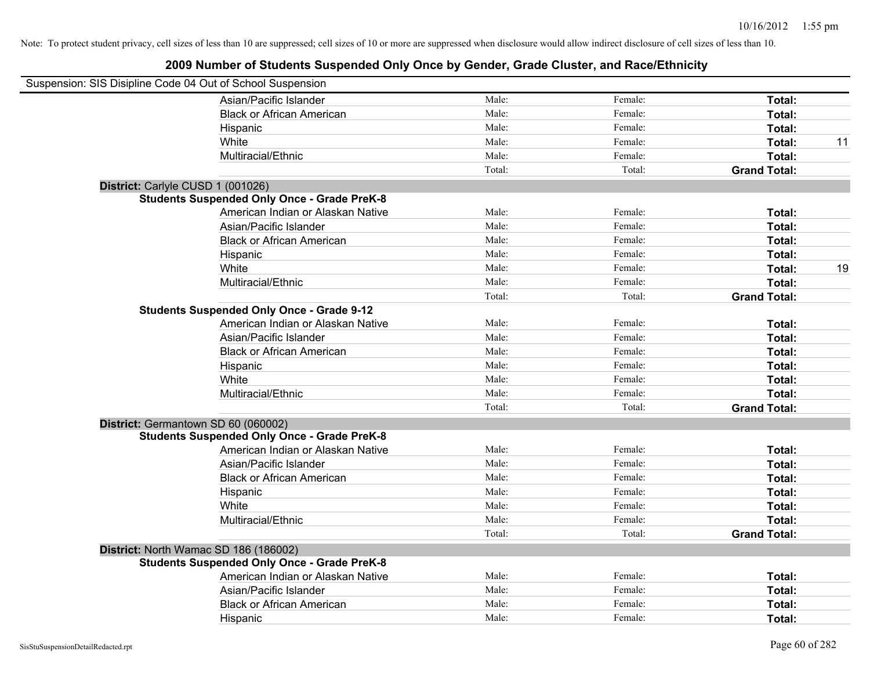| Suspension: SIS Disipline Code 04 Out of School Suspension |                                                    |        |         |                     |    |
|------------------------------------------------------------|----------------------------------------------------|--------|---------|---------------------|----|
|                                                            | Asian/Pacific Islander                             | Male:  | Female: | Total:              |    |
|                                                            | <b>Black or African American</b>                   | Male:  | Female: | Total:              |    |
|                                                            | Hispanic                                           | Male:  | Female: | Total:              |    |
|                                                            | White                                              | Male:  | Female: | Total:              | 11 |
|                                                            | Multiracial/Ethnic                                 | Male:  | Female: | Total:              |    |
|                                                            |                                                    | Total: | Total:  | <b>Grand Total:</b> |    |
| District: Carlyle CUSD 1 (001026)                          |                                                    |        |         |                     |    |
|                                                            | <b>Students Suspended Only Once - Grade PreK-8</b> |        |         |                     |    |
|                                                            | American Indian or Alaskan Native                  | Male:  | Female: | Total:              |    |
|                                                            | Asian/Pacific Islander                             | Male:  | Female: | Total:              |    |
|                                                            | <b>Black or African American</b>                   | Male:  | Female: | Total:              |    |
|                                                            | Hispanic                                           | Male:  | Female: | Total:              |    |
|                                                            | White                                              | Male:  | Female: | Total:              | 19 |
|                                                            | Multiracial/Ethnic                                 | Male:  | Female: | Total:              |    |
|                                                            |                                                    | Total: | Total:  | <b>Grand Total:</b> |    |
|                                                            | <b>Students Suspended Only Once - Grade 9-12</b>   |        |         |                     |    |
|                                                            | American Indian or Alaskan Native                  | Male:  | Female: | Total:              |    |
|                                                            | Asian/Pacific Islander                             | Male:  | Female: | Total:              |    |
|                                                            | <b>Black or African American</b>                   | Male:  | Female: | Total:              |    |
|                                                            | Hispanic                                           | Male:  | Female: | Total:              |    |
|                                                            | White                                              | Male:  | Female: | Total:              |    |
|                                                            | Multiracial/Ethnic                                 | Male:  | Female: | Total:              |    |
|                                                            |                                                    | Total: | Total:  | <b>Grand Total:</b> |    |
| District: Germantown SD 60 (060002)                        |                                                    |        |         |                     |    |
|                                                            | <b>Students Suspended Only Once - Grade PreK-8</b> |        |         |                     |    |
|                                                            | American Indian or Alaskan Native                  | Male:  | Female: | Total:              |    |
|                                                            | Asian/Pacific Islander                             | Male:  | Female: | Total:              |    |
|                                                            | <b>Black or African American</b>                   | Male:  | Female: | Total:              |    |
|                                                            | Hispanic                                           | Male:  | Female: | Total:              |    |
|                                                            | White                                              | Male:  | Female: | Total:              |    |
|                                                            | Multiracial/Ethnic                                 | Male:  | Female: | Total:              |    |
|                                                            |                                                    | Total: | Total:  | <b>Grand Total:</b> |    |
|                                                            | District: North Wamac SD 186 (186002)              |        |         |                     |    |
|                                                            | <b>Students Suspended Only Once - Grade PreK-8</b> |        |         |                     |    |
|                                                            | American Indian or Alaskan Native                  | Male:  | Female: | Total:              |    |
|                                                            | Asian/Pacific Islander                             | Male:  | Female: | Total:              |    |
|                                                            | <b>Black or African American</b>                   | Male:  | Female: | Total:              |    |
|                                                            | Hispanic                                           | Male:  | Female: | Total:              |    |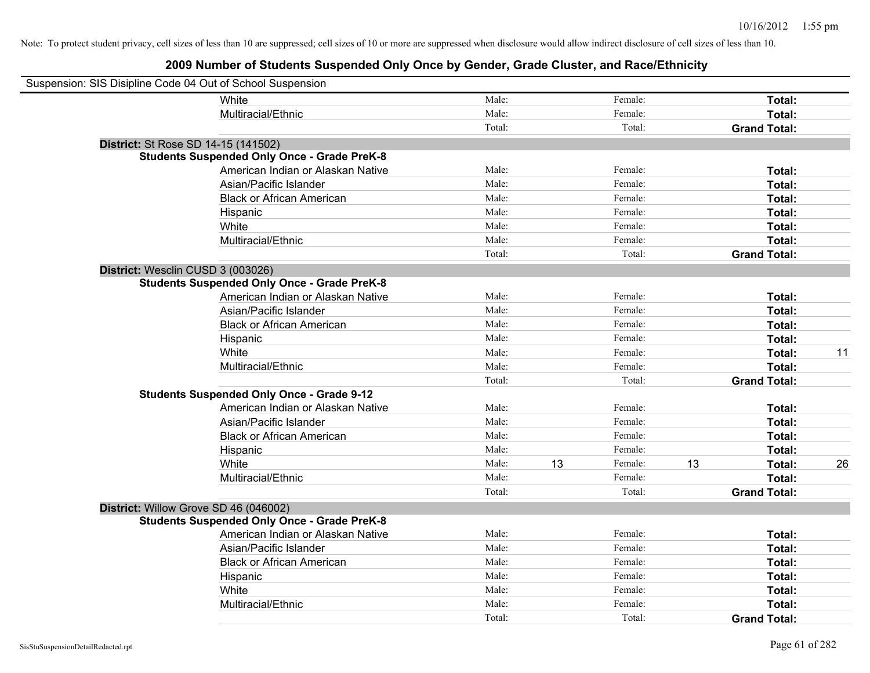| Suspension: SIS Disipline Code 04 Out of School Suspension |                                                    |        |    |         |    |                     |    |
|------------------------------------------------------------|----------------------------------------------------|--------|----|---------|----|---------------------|----|
|                                                            | White                                              | Male:  |    | Female: |    | Total:              |    |
|                                                            | Multiracial/Ethnic                                 | Male:  |    | Female: |    | Total:              |    |
|                                                            |                                                    | Total: |    | Total:  |    | <b>Grand Total:</b> |    |
| <b>District:</b> St Rose SD 14-15 (141502)                 |                                                    |        |    |         |    |                     |    |
|                                                            | <b>Students Suspended Only Once - Grade PreK-8</b> |        |    |         |    |                     |    |
|                                                            | American Indian or Alaskan Native                  | Male:  |    | Female: |    | Total:              |    |
|                                                            | Asian/Pacific Islander                             | Male:  |    | Female: |    | Total:              |    |
|                                                            | <b>Black or African American</b>                   | Male:  |    | Female: |    | Total:              |    |
|                                                            | Hispanic                                           | Male:  |    | Female: |    | Total:              |    |
|                                                            | White                                              | Male:  |    | Female: |    | Total:              |    |
|                                                            | Multiracial/Ethnic                                 | Male:  |    | Female: |    | Total:              |    |
|                                                            |                                                    | Total: |    | Total:  |    | <b>Grand Total:</b> |    |
| District: Wesclin CUSD 3 (003026)                          |                                                    |        |    |         |    |                     |    |
|                                                            | <b>Students Suspended Only Once - Grade PreK-8</b> |        |    |         |    |                     |    |
|                                                            | American Indian or Alaskan Native                  | Male:  |    | Female: |    | Total:              |    |
|                                                            | Asian/Pacific Islander                             | Male:  |    | Female: |    | Total:              |    |
|                                                            | <b>Black or African American</b>                   | Male:  |    | Female: |    | Total:              |    |
|                                                            | Hispanic                                           | Male:  |    | Female: |    | Total:              |    |
|                                                            | White                                              | Male:  |    | Female: |    | Total:              | 11 |
|                                                            | Multiracial/Ethnic                                 | Male:  |    | Female: |    | Total:              |    |
|                                                            |                                                    | Total: |    | Total:  |    | <b>Grand Total:</b> |    |
|                                                            | <b>Students Suspended Only Once - Grade 9-12</b>   |        |    |         |    |                     |    |
|                                                            | American Indian or Alaskan Native                  | Male:  |    | Female: |    | Total:              |    |
|                                                            | Asian/Pacific Islander                             | Male:  |    | Female: |    | Total:              |    |
|                                                            | <b>Black or African American</b>                   | Male:  |    | Female: |    | Total:              |    |
|                                                            | Hispanic                                           | Male:  |    | Female: |    | Total:              |    |
|                                                            | White                                              | Male:  | 13 | Female: | 13 | Total:              | 26 |
|                                                            | Multiracial/Ethnic                                 | Male:  |    | Female: |    | Total:              |    |
|                                                            |                                                    | Total: |    | Total:  |    | <b>Grand Total:</b> |    |
| District: Willow Grove SD 46 (046002)                      |                                                    |        |    |         |    |                     |    |
|                                                            | <b>Students Suspended Only Once - Grade PreK-8</b> |        |    |         |    |                     |    |
|                                                            | American Indian or Alaskan Native                  | Male:  |    | Female: |    | Total:              |    |
|                                                            | Asian/Pacific Islander                             | Male:  |    | Female: |    | Total:              |    |
|                                                            | <b>Black or African American</b>                   | Male:  |    | Female: |    | Total:              |    |
|                                                            | Hispanic                                           | Male:  |    | Female: |    | Total:              |    |
|                                                            | White                                              | Male:  |    | Female: |    | Total:              |    |
|                                                            | Multiracial/Ethnic                                 | Male:  |    | Female: |    | Total:              |    |
|                                                            |                                                    | Total: |    | Total:  |    | <b>Grand Total:</b> |    |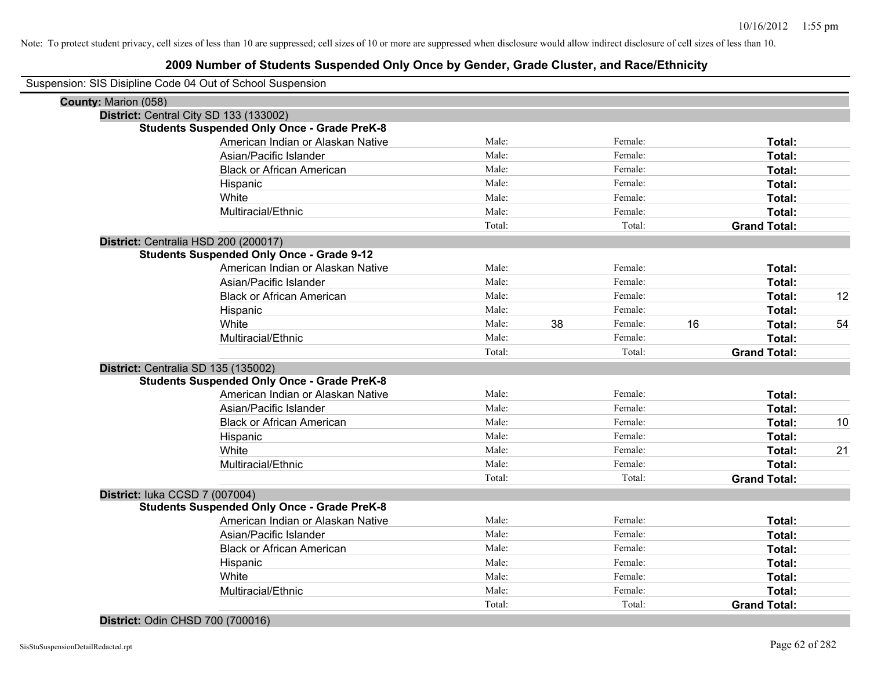### **2009 Number of Students Suspended Only Once by Gender, Grade Cluster, and Race/Ethnicity**

| Suspension: SIS Disipline Code 04 Out of School Suspension |                                                    |        |    |         |    |                     |    |
|------------------------------------------------------------|----------------------------------------------------|--------|----|---------|----|---------------------|----|
| County: Marion (058)                                       |                                                    |        |    |         |    |                     |    |
| District: Central City SD 133 (133002)                     |                                                    |        |    |         |    |                     |    |
|                                                            | <b>Students Suspended Only Once - Grade PreK-8</b> |        |    |         |    |                     |    |
|                                                            | American Indian or Alaskan Native                  | Male:  |    | Female: |    | Total:              |    |
|                                                            | Asian/Pacific Islander                             | Male:  |    | Female: |    | Total:              |    |
|                                                            | <b>Black or African American</b>                   | Male:  |    | Female: |    | Total:              |    |
|                                                            | Hispanic                                           | Male:  |    | Female: |    | Total:              |    |
|                                                            | White                                              | Male:  |    | Female: |    | Total:              |    |
|                                                            | Multiracial/Ethnic                                 | Male:  |    | Female: |    | Total:              |    |
|                                                            |                                                    | Total: |    | Total:  |    | <b>Grand Total:</b> |    |
| District: Centralia HSD 200 (200017)                       |                                                    |        |    |         |    |                     |    |
|                                                            | <b>Students Suspended Only Once - Grade 9-12</b>   |        |    |         |    |                     |    |
|                                                            | American Indian or Alaskan Native                  | Male:  |    | Female: |    | Total:              |    |
|                                                            | Asian/Pacific Islander                             | Male:  |    | Female: |    | Total:              |    |
|                                                            | <b>Black or African American</b>                   | Male:  |    | Female: |    | Total:              | 12 |
|                                                            | Hispanic                                           | Male:  |    | Female: |    | Total:              |    |
|                                                            | White                                              | Male:  | 38 | Female: | 16 | Total:              | 54 |
|                                                            | Multiracial/Ethnic                                 | Male:  |    | Female: |    | Total:              |    |
|                                                            |                                                    | Total: |    | Total:  |    | <b>Grand Total:</b> |    |
| District: Centralia SD 135 (135002)                        |                                                    |        |    |         |    |                     |    |
|                                                            | <b>Students Suspended Only Once - Grade PreK-8</b> |        |    |         |    |                     |    |
|                                                            | American Indian or Alaskan Native                  | Male:  |    | Female: |    | Total:              |    |
|                                                            | Asian/Pacific Islander                             | Male:  |    | Female: |    | Total:              |    |
|                                                            | <b>Black or African American</b>                   | Male:  |    | Female: |    | Total:              | 10 |
|                                                            | Hispanic                                           | Male:  |    | Female: |    | Total:              |    |
|                                                            | White                                              | Male:  |    | Female: |    | Total:              | 21 |
|                                                            | Multiracial/Ethnic                                 | Male:  |    | Female: |    | Total:              |    |
|                                                            |                                                    | Total: |    | Total:  |    | <b>Grand Total:</b> |    |
| District: luka CCSD 7 (007004)                             |                                                    |        |    |         |    |                     |    |
|                                                            | <b>Students Suspended Only Once - Grade PreK-8</b> |        |    |         |    |                     |    |
|                                                            | American Indian or Alaskan Native                  | Male:  |    | Female: |    | Total:              |    |
|                                                            | Asian/Pacific Islander                             | Male:  |    | Female: |    | Total:              |    |
|                                                            | <b>Black or African American</b>                   | Male:  |    | Female: |    | Total:              |    |
|                                                            | Hispanic                                           | Male:  |    | Female: |    | Total:              |    |
|                                                            | White                                              | Male:  |    | Female: |    | Total:              |    |
|                                                            | Multiracial/Ethnic                                 | Male:  |    | Female: |    | Total:              |    |
|                                                            |                                                    | Total: |    | Total:  |    | <b>Grand Total:</b> |    |

#### **District:** Odin CHSD 700 (700016)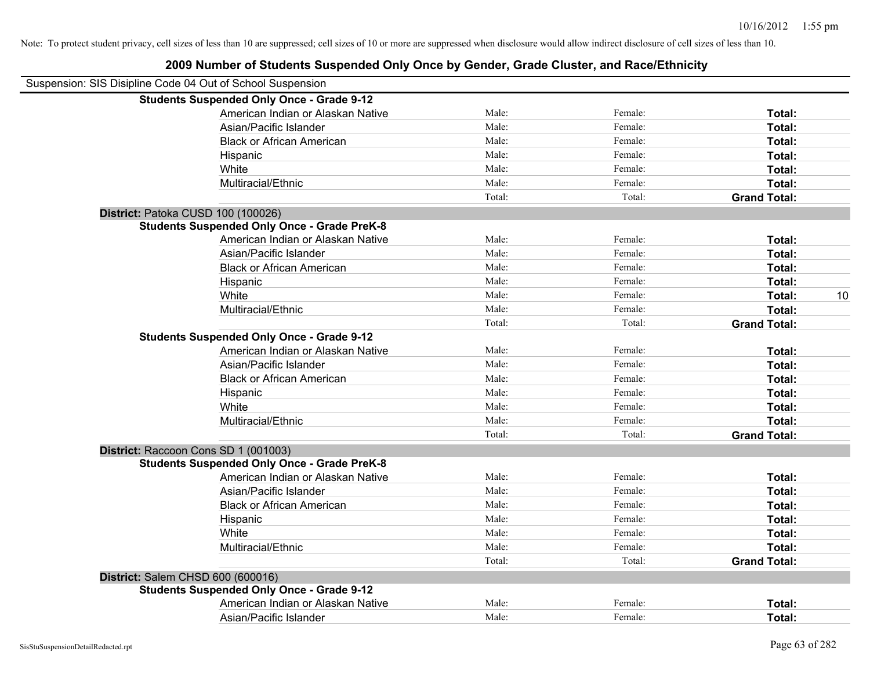| Suspension: SIS Disipline Code 04 Out of School Suspension |        |         |                     |    |
|------------------------------------------------------------|--------|---------|---------------------|----|
| <b>Students Suspended Only Once - Grade 9-12</b>           |        |         |                     |    |
| American Indian or Alaskan Native                          | Male:  | Female: | Total:              |    |
| Asian/Pacific Islander                                     | Male:  | Female: | Total:              |    |
| <b>Black or African American</b>                           | Male:  | Female: | Total:              |    |
| Hispanic                                                   | Male:  | Female: | Total:              |    |
| White                                                      | Male:  | Female: | Total:              |    |
| Multiracial/Ethnic                                         | Male:  | Female: | Total:              |    |
|                                                            | Total: | Total:  | <b>Grand Total:</b> |    |
| District: Patoka CUSD 100 (100026)                         |        |         |                     |    |
| <b>Students Suspended Only Once - Grade PreK-8</b>         |        |         |                     |    |
| American Indian or Alaskan Native                          | Male:  | Female: | Total:              |    |
| Asian/Pacific Islander                                     | Male:  | Female: | Total:              |    |
| <b>Black or African American</b>                           | Male:  | Female: | Total:              |    |
| Hispanic                                                   | Male:  | Female: | Total:              |    |
| White                                                      | Male:  | Female: | Total:              | 10 |
| Multiracial/Ethnic                                         | Male:  | Female: | Total:              |    |
|                                                            | Total: | Total:  | <b>Grand Total:</b> |    |
| <b>Students Suspended Only Once - Grade 9-12</b>           |        |         |                     |    |
| American Indian or Alaskan Native                          | Male:  | Female: | Total:              |    |
| Asian/Pacific Islander                                     | Male:  | Female: | Total:              |    |
| <b>Black or African American</b>                           | Male:  | Female: | Total:              |    |
| Hispanic                                                   | Male:  | Female: | Total:              |    |
| White                                                      | Male:  | Female: | Total:              |    |
| Multiracial/Ethnic                                         | Male:  | Female: | Total:              |    |
|                                                            | Total: | Total:  | <b>Grand Total:</b> |    |
| District: Raccoon Cons SD 1 (001003)                       |        |         |                     |    |
| <b>Students Suspended Only Once - Grade PreK-8</b>         |        |         |                     |    |
| American Indian or Alaskan Native                          | Male:  | Female: | Total:              |    |
| Asian/Pacific Islander                                     | Male:  | Female: | Total:              |    |
| <b>Black or African American</b>                           | Male:  | Female: | Total:              |    |
| Hispanic                                                   | Male:  | Female: | Total:              |    |
| White                                                      | Male:  | Female: | Total:              |    |
| Multiracial/Ethnic                                         | Male:  | Female: | Total:              |    |
|                                                            | Total: | Total:  | <b>Grand Total:</b> |    |
| District: Salem CHSD 600 (600016)                          |        |         |                     |    |
| <b>Students Suspended Only Once - Grade 9-12</b>           |        |         |                     |    |
| American Indian or Alaskan Native                          | Male:  | Female: | Total:              |    |
| Asian/Pacific Islander                                     | Male:  | Female: | Total:              |    |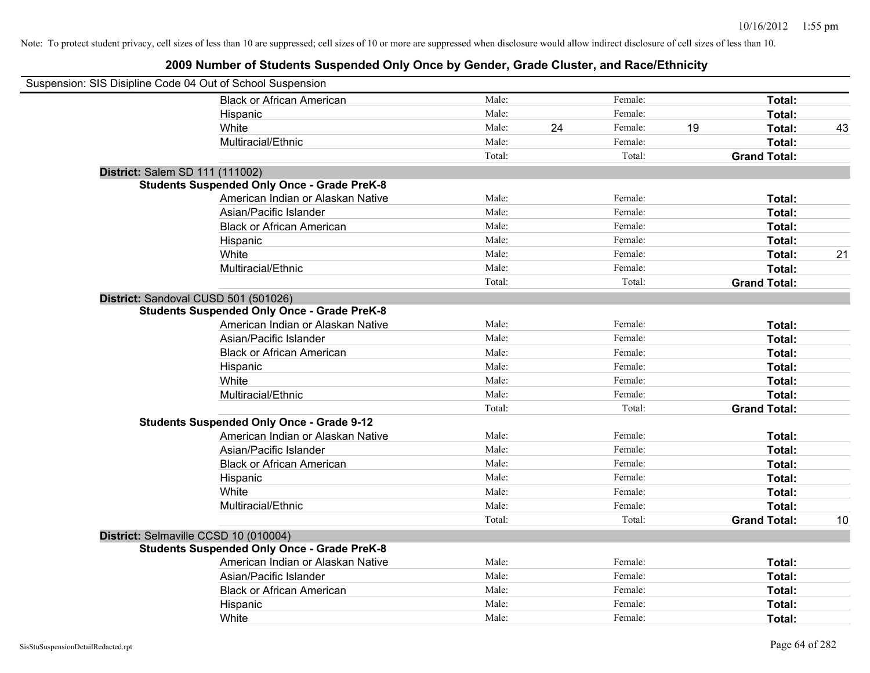| Suspension: SIS Disipline Code 04 Out of School Suspension |                                                    |        |    |         |    |                     |    |
|------------------------------------------------------------|----------------------------------------------------|--------|----|---------|----|---------------------|----|
|                                                            | <b>Black or African American</b>                   | Male:  |    | Female: |    | Total:              |    |
|                                                            | Hispanic                                           | Male:  |    | Female: |    | Total:              |    |
|                                                            | White                                              | Male:  | 24 | Female: | 19 | Total:              | 43 |
|                                                            | Multiracial/Ethnic                                 | Male:  |    | Female: |    | Total:              |    |
|                                                            |                                                    | Total: |    | Total:  |    | <b>Grand Total:</b> |    |
| District: Salem SD 111 (111002)                            |                                                    |        |    |         |    |                     |    |
|                                                            | <b>Students Suspended Only Once - Grade PreK-8</b> |        |    |         |    |                     |    |
|                                                            | American Indian or Alaskan Native                  | Male:  |    | Female: |    | Total:              |    |
|                                                            | Asian/Pacific Islander                             | Male:  |    | Female: |    | Total:              |    |
|                                                            | <b>Black or African American</b>                   | Male:  |    | Female: |    | Total:              |    |
|                                                            | Hispanic                                           | Male:  |    | Female: |    | Total:              |    |
|                                                            | White                                              | Male:  |    | Female: |    | Total:              | 21 |
|                                                            | Multiracial/Ethnic                                 | Male:  |    | Female: |    | Total:              |    |
|                                                            |                                                    | Total: |    | Total:  |    | <b>Grand Total:</b> |    |
| District: Sandoval CUSD 501 (501026)                       |                                                    |        |    |         |    |                     |    |
|                                                            | <b>Students Suspended Only Once - Grade PreK-8</b> |        |    |         |    |                     |    |
|                                                            | American Indian or Alaskan Native                  | Male:  |    | Female: |    | Total:              |    |
|                                                            | Asian/Pacific Islander                             | Male:  |    | Female: |    | Total:              |    |
|                                                            | <b>Black or African American</b>                   | Male:  |    | Female: |    | Total:              |    |
|                                                            | Hispanic                                           | Male:  |    | Female: |    | Total:              |    |
|                                                            | White                                              | Male:  |    | Female: |    | Total:              |    |
|                                                            | Multiracial/Ethnic                                 | Male:  |    | Female: |    | Total:              |    |
|                                                            |                                                    | Total: |    | Total:  |    | <b>Grand Total:</b> |    |
|                                                            | <b>Students Suspended Only Once - Grade 9-12</b>   |        |    |         |    |                     |    |
|                                                            | American Indian or Alaskan Native                  | Male:  |    | Female: |    | Total:              |    |
|                                                            | Asian/Pacific Islander                             | Male:  |    | Female: |    | Total:              |    |
|                                                            | <b>Black or African American</b>                   | Male:  |    | Female: |    | Total:              |    |
|                                                            | Hispanic                                           | Male:  |    | Female: |    | Total:              |    |
|                                                            | White                                              | Male:  |    | Female: |    | Total:              |    |
|                                                            | Multiracial/Ethnic                                 | Male:  |    | Female: |    | Total:              |    |
|                                                            |                                                    | Total: |    | Total:  |    | <b>Grand Total:</b> | 10 |
| District: Selmaville CCSD 10 (010004)                      |                                                    |        |    |         |    |                     |    |
|                                                            | <b>Students Suspended Only Once - Grade PreK-8</b> |        |    |         |    |                     |    |
|                                                            | American Indian or Alaskan Native                  | Male:  |    | Female: |    | Total:              |    |
|                                                            | Asian/Pacific Islander                             | Male:  |    | Female: |    | Total:              |    |
|                                                            | <b>Black or African American</b>                   | Male:  |    | Female: |    | Total:              |    |
|                                                            | Hispanic                                           | Male:  |    | Female: |    | Total:              |    |
|                                                            | White                                              | Male:  |    | Female: |    | Total:              |    |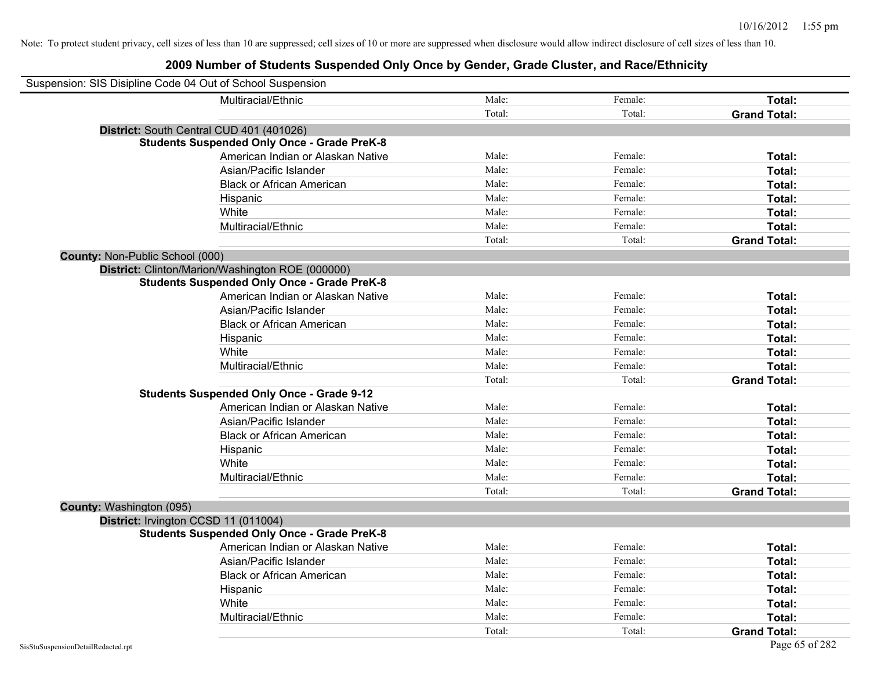| Suspension: SIS Disipline Code 04 Out of School Suspension |        |         |                     |
|------------------------------------------------------------|--------|---------|---------------------|
| Multiracial/Ethnic                                         | Male:  | Female: | Total:              |
|                                                            | Total: | Total:  | <b>Grand Total:</b> |
| District: South Central CUD 401 (401026)                   |        |         |                     |
| <b>Students Suspended Only Once - Grade PreK-8</b>         |        |         |                     |
| American Indian or Alaskan Native                          | Male:  | Female: | Total:              |
| Asian/Pacific Islander                                     | Male:  | Female: | Total:              |
| <b>Black or African American</b>                           | Male:  | Female: | Total:              |
| Hispanic                                                   | Male:  | Female: | Total:              |
| White                                                      | Male:  | Female: | Total:              |
| Multiracial/Ethnic                                         | Male:  | Female: | Total:              |
|                                                            | Total: | Total:  | <b>Grand Total:</b> |
| County: Non-Public School (000)                            |        |         |                     |
| District: Clinton/Marion/Washington ROE (000000)           |        |         |                     |
| <b>Students Suspended Only Once - Grade PreK-8</b>         |        |         |                     |
| American Indian or Alaskan Native                          | Male:  | Female: | Total:              |
| Asian/Pacific Islander                                     | Male:  | Female: | Total:              |
| <b>Black or African American</b>                           | Male:  | Female: | Total:              |
| Hispanic                                                   | Male:  | Female: | Total:              |
| White                                                      | Male:  | Female: | Total:              |
| Multiracial/Ethnic                                         | Male:  | Female: | Total:              |
|                                                            | Total: | Total:  | <b>Grand Total:</b> |
| <b>Students Suspended Only Once - Grade 9-12</b>           |        |         |                     |
| American Indian or Alaskan Native                          | Male:  | Female: | Total:              |
| Asian/Pacific Islander                                     | Male:  | Female: | Total:              |
| <b>Black or African American</b>                           | Male:  | Female: | Total:              |
| Hispanic                                                   | Male:  | Female: | Total:              |
| White                                                      | Male:  | Female: | Total:              |
| Multiracial/Ethnic                                         | Male:  | Female: | Total:              |
|                                                            | Total: | Total:  | <b>Grand Total:</b> |
| County: Washington (095)                                   |        |         |                     |
| District: Irvington CCSD 11 (011004)                       |        |         |                     |
| <b>Students Suspended Only Once - Grade PreK-8</b>         |        |         |                     |
| American Indian or Alaskan Native                          | Male:  | Female: | Total:              |
| Asian/Pacific Islander                                     | Male:  | Female: | Total:              |
| <b>Black or African American</b>                           | Male:  | Female: | Total:              |
| Hispanic                                                   | Male:  | Female: | Total:              |
| White                                                      | Male:  | Female: | Total:              |
| Multiracial/Ethnic                                         | Male:  | Female: | Total:              |
|                                                            | Total: | Total:  | <b>Grand Total:</b> |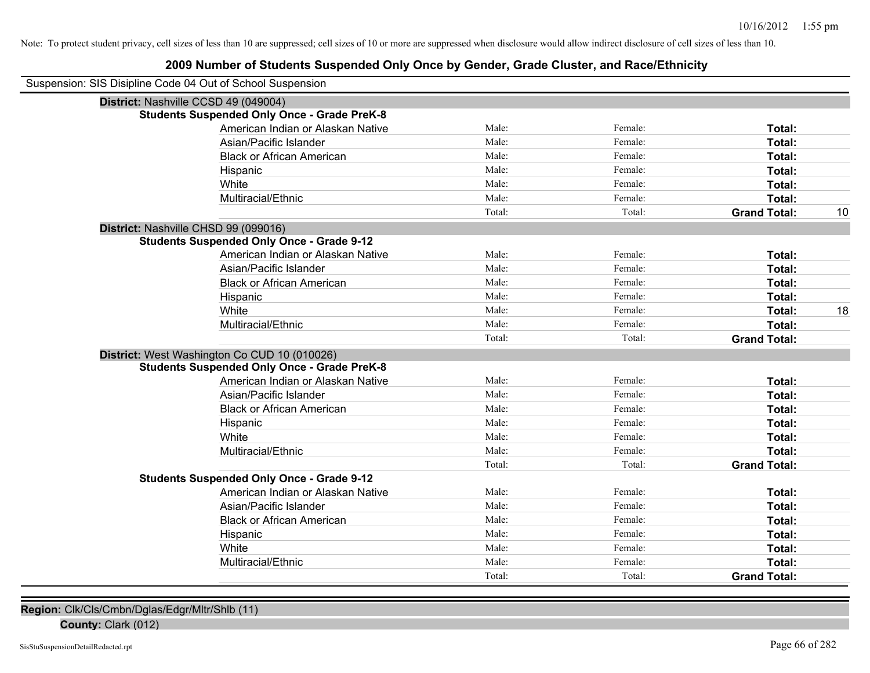# **2009 Number of Students Suspended Only Once by Gender, Grade Cluster, and Race/Ethnicity**

| Suspension: SIS Disipline Code 04 Out of School Suspension |                                                    |        |         |                     |    |
|------------------------------------------------------------|----------------------------------------------------|--------|---------|---------------------|----|
| District: Nashville CCSD 49 (049004)                       |                                                    |        |         |                     |    |
|                                                            | <b>Students Suspended Only Once - Grade PreK-8</b> |        |         |                     |    |
|                                                            | American Indian or Alaskan Native                  | Male:  | Female: | Total:              |    |
|                                                            | Asian/Pacific Islander                             | Male:  | Female: | <b>Total:</b>       |    |
|                                                            | <b>Black or African American</b>                   | Male:  | Female: | <b>Total:</b>       |    |
|                                                            | Hispanic                                           | Male:  | Female: | Total:              |    |
|                                                            | White                                              | Male:  | Female: | <b>Total:</b>       |    |
|                                                            | Multiracial/Ethnic                                 | Male:  | Female: | Total:              |    |
|                                                            |                                                    | Total: | Total:  | <b>Grand Total:</b> | 10 |
| District: Nashville CHSD 99 (099016)                       |                                                    |        |         |                     |    |
|                                                            | <b>Students Suspended Only Once - Grade 9-12</b>   |        |         |                     |    |
|                                                            | American Indian or Alaskan Native                  | Male:  | Female: | Total:              |    |
|                                                            | Asian/Pacific Islander                             | Male:  | Female: | Total:              |    |
|                                                            | <b>Black or African American</b>                   | Male:  | Female: | Total:              |    |
|                                                            | Hispanic                                           | Male:  | Female: | Total:              |    |
|                                                            | White                                              | Male:  | Female: | Total:              | 18 |
|                                                            | Multiracial/Ethnic                                 | Male:  | Female: | Total:              |    |
|                                                            |                                                    | Total: | Total:  | <b>Grand Total:</b> |    |
|                                                            | District: West Washington Co CUD 10 (010026)       |        |         |                     |    |
|                                                            | <b>Students Suspended Only Once - Grade PreK-8</b> |        |         |                     |    |
|                                                            | American Indian or Alaskan Native                  | Male:  | Female: | Total:              |    |
|                                                            | Asian/Pacific Islander                             | Male:  | Female: | <b>Total:</b>       |    |
|                                                            | <b>Black or African American</b>                   | Male:  | Female: | <b>Total:</b>       |    |
|                                                            | Hispanic                                           | Male:  | Female: | Total:              |    |
|                                                            | White                                              | Male:  | Female: | Total:              |    |
|                                                            | Multiracial/Ethnic                                 | Male:  | Female: | Total:              |    |
|                                                            |                                                    | Total: | Total:  | <b>Grand Total:</b> |    |
|                                                            | <b>Students Suspended Only Once - Grade 9-12</b>   |        |         |                     |    |
|                                                            | American Indian or Alaskan Native                  | Male:  | Female: | Total:              |    |
|                                                            | Asian/Pacific Islander                             | Male:  | Female: | Total:              |    |
|                                                            | <b>Black or African American</b>                   | Male:  | Female: | Total:              |    |
|                                                            | Hispanic                                           | Male:  | Female: | <b>Total:</b>       |    |
|                                                            | White                                              | Male:  | Female: | Total:              |    |
|                                                            | Multiracial/Ethnic                                 | Male:  | Female: | Total:              |    |
|                                                            |                                                    | Total: | Total:  | <b>Grand Total:</b> |    |

**Region:** Clk/Cls/Cmbn/Dglas/Edgr/Mltr/Shlb (11)

**County:** Clark (012)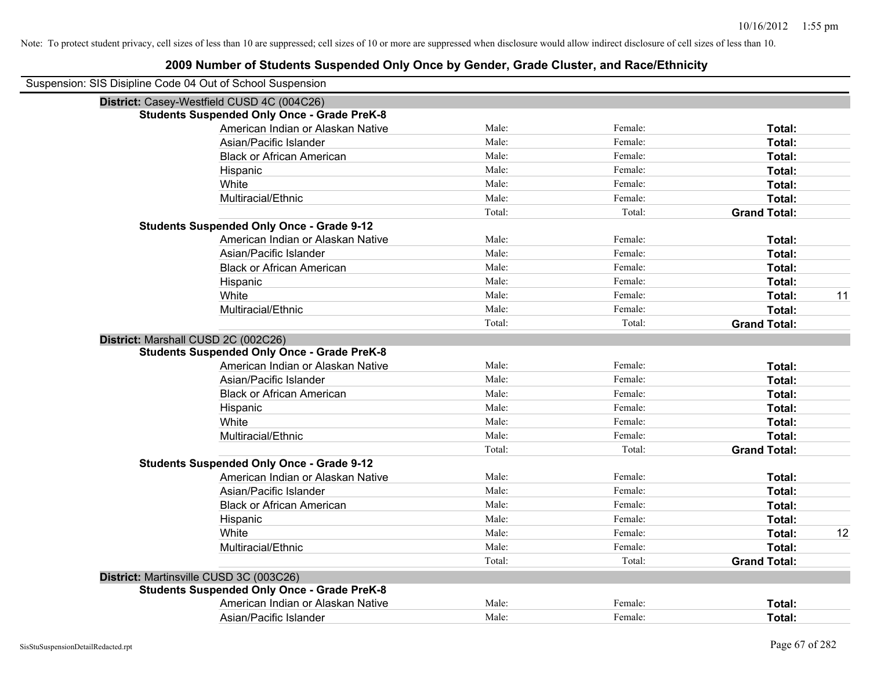| Suspension: SIS Disipline Code 04 Out of School Suspension |        |         |                     |    |
|------------------------------------------------------------|--------|---------|---------------------|----|
| District: Casey-Westfield CUSD 4C (004C26)                 |        |         |                     |    |
| <b>Students Suspended Only Once - Grade PreK-8</b>         |        |         |                     |    |
| American Indian or Alaskan Native                          | Male:  | Female: | Total:              |    |
| Asian/Pacific Islander                                     | Male:  | Female: | Total:              |    |
| <b>Black or African American</b>                           | Male:  | Female: | Total:              |    |
| Hispanic                                                   | Male:  | Female: | Total:              |    |
| White                                                      | Male:  | Female: | Total:              |    |
| Multiracial/Ethnic                                         | Male:  | Female: | Total:              |    |
|                                                            | Total: | Total:  | <b>Grand Total:</b> |    |
| <b>Students Suspended Only Once - Grade 9-12</b>           |        |         |                     |    |
| American Indian or Alaskan Native                          | Male:  | Female: | Total:              |    |
| Asian/Pacific Islander                                     | Male:  | Female: | Total:              |    |
| <b>Black or African American</b>                           | Male:  | Female: | Total:              |    |
| Hispanic                                                   | Male:  | Female: | Total:              |    |
| White                                                      | Male:  | Female: | Total:              | 11 |
| Multiracial/Ethnic                                         | Male:  | Female: | Total:              |    |
|                                                            | Total: | Total:  | <b>Grand Total:</b> |    |
| District: Marshall CUSD 2C (002C26)                        |        |         |                     |    |
| <b>Students Suspended Only Once - Grade PreK-8</b>         |        |         |                     |    |
| American Indian or Alaskan Native                          | Male:  | Female: | Total:              |    |
| Asian/Pacific Islander                                     | Male:  | Female: | Total:              |    |
| <b>Black or African American</b>                           | Male:  | Female: | Total:              |    |
| Hispanic                                                   | Male:  | Female: | Total:              |    |
| White                                                      | Male:  | Female: | Total:              |    |
| Multiracial/Ethnic                                         | Male:  | Female: | Total:              |    |
|                                                            | Total: | Total:  | <b>Grand Total:</b> |    |
| <b>Students Suspended Only Once - Grade 9-12</b>           |        |         |                     |    |
| American Indian or Alaskan Native                          | Male:  | Female: | Total:              |    |
| Asian/Pacific Islander                                     | Male:  | Female: | Total:              |    |
| <b>Black or African American</b>                           | Male:  | Female: | Total:              |    |
| Hispanic                                                   | Male:  | Female: | Total:              |    |
| White                                                      | Male:  | Female: | Total:              | 12 |
| Multiracial/Ethnic                                         | Male:  | Female: | Total:              |    |
|                                                            | Total: | Total:  | <b>Grand Total:</b> |    |
| District: Martinsville CUSD 3C (003C26)                    |        |         |                     |    |
| <b>Students Suspended Only Once - Grade PreK-8</b>         |        |         |                     |    |
| American Indian or Alaskan Native                          | Male:  | Female: | <b>Total:</b>       |    |
| Asian/Pacific Islander                                     | Male:  | Female: | Total:              |    |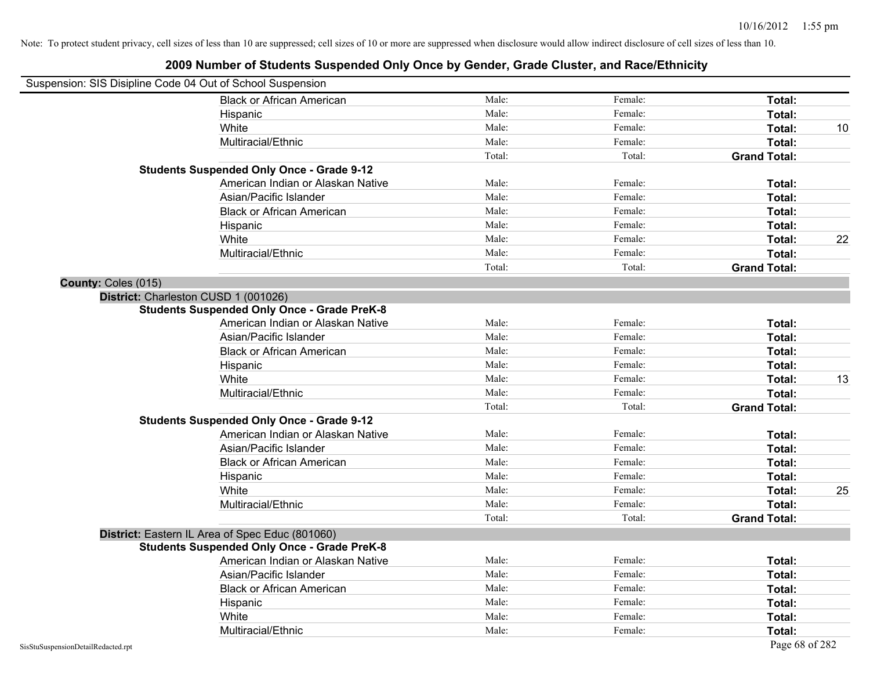| Suspension: SIS Disipline Code 04 Out of School Suspension |                                                    |        |         |                     |    |
|------------------------------------------------------------|----------------------------------------------------|--------|---------|---------------------|----|
|                                                            | <b>Black or African American</b>                   | Male:  | Female: | Total:              |    |
|                                                            | Hispanic                                           | Male:  | Female: | Total:              |    |
|                                                            | White                                              | Male:  | Female: | Total:              | 10 |
|                                                            | Multiracial/Ethnic                                 | Male:  | Female: | Total:              |    |
|                                                            |                                                    | Total: | Total:  | <b>Grand Total:</b> |    |
|                                                            | <b>Students Suspended Only Once - Grade 9-12</b>   |        |         |                     |    |
|                                                            | American Indian or Alaskan Native                  | Male:  | Female: | Total:              |    |
|                                                            | Asian/Pacific Islander                             | Male:  | Female: | Total:              |    |
|                                                            | <b>Black or African American</b>                   | Male:  | Female: | Total:              |    |
|                                                            | Hispanic                                           | Male:  | Female: | Total:              |    |
|                                                            | White                                              | Male:  | Female: | Total:              | 22 |
|                                                            | Multiracial/Ethnic                                 | Male:  | Female: | Total:              |    |
|                                                            |                                                    | Total: | Total:  | <b>Grand Total:</b> |    |
| County: Coles (015)                                        |                                                    |        |         |                     |    |
|                                                            | District: Charleston CUSD 1 (001026)               |        |         |                     |    |
|                                                            | <b>Students Suspended Only Once - Grade PreK-8</b> |        |         |                     |    |
|                                                            | American Indian or Alaskan Native                  | Male:  | Female: | Total:              |    |
|                                                            | Asian/Pacific Islander                             | Male:  | Female: | Total:              |    |
|                                                            | <b>Black or African American</b>                   | Male:  | Female: | Total:              |    |
|                                                            | Hispanic                                           | Male:  | Female: | Total:              |    |
|                                                            | White                                              | Male:  | Female: | Total:              | 13 |
|                                                            | Multiracial/Ethnic                                 | Male:  | Female: | Total:              |    |
|                                                            |                                                    | Total: | Total:  | <b>Grand Total:</b> |    |
|                                                            | <b>Students Suspended Only Once - Grade 9-12</b>   |        |         |                     |    |
|                                                            | American Indian or Alaskan Native                  | Male:  | Female: | Total:              |    |
|                                                            | Asian/Pacific Islander                             | Male:  | Female: | Total:              |    |
|                                                            | <b>Black or African American</b>                   | Male:  | Female: | Total:              |    |
|                                                            | Hispanic                                           | Male:  | Female: | Total:              |    |
|                                                            | White                                              | Male:  | Female: | Total:              | 25 |
|                                                            | Multiracial/Ethnic                                 | Male:  | Female: | Total:              |    |
|                                                            |                                                    | Total: | Total:  | <b>Grand Total:</b> |    |
|                                                            | District: Eastern IL Area of Spec Educ (801060)    |        |         |                     |    |
|                                                            | <b>Students Suspended Only Once - Grade PreK-8</b> |        |         |                     |    |
|                                                            | American Indian or Alaskan Native                  | Male:  | Female: | Total:              |    |
|                                                            | Asian/Pacific Islander                             | Male:  | Female: | Total:              |    |
|                                                            | <b>Black or African American</b>                   | Male:  | Female: | Total:              |    |
|                                                            | Hispanic                                           | Male:  | Female: | Total:              |    |
|                                                            | White                                              | Male:  | Female: | Total:              |    |
|                                                            | Multiracial/Ethnic                                 | Male:  | Female: | Total:              |    |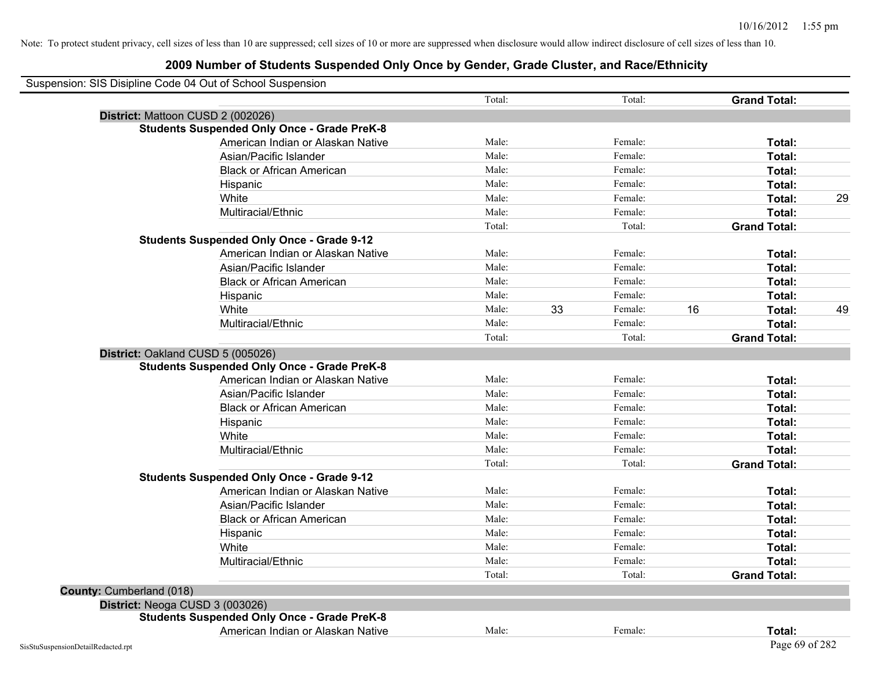| Suspension: SIS Disipline Code 04 Out of School Suspension |                                   |        |    |         |    |                     |    |
|------------------------------------------------------------|-----------------------------------|--------|----|---------|----|---------------------|----|
|                                                            |                                   | Total: |    | Total:  |    | <b>Grand Total:</b> |    |
| District: Mattoon CUSD 2 (002026)                          |                                   |        |    |         |    |                     |    |
| <b>Students Suspended Only Once - Grade PreK-8</b>         |                                   |        |    |         |    |                     |    |
|                                                            | American Indian or Alaskan Native | Male:  |    | Female: |    | Total:              |    |
|                                                            | Asian/Pacific Islander            | Male:  |    | Female: |    | Total:              |    |
|                                                            | <b>Black or African American</b>  | Male:  |    | Female: |    | Total:              |    |
| Hispanic                                                   |                                   | Male:  |    | Female: |    | Total:              |    |
| White                                                      |                                   | Male:  |    | Female: |    | Total:              | 29 |
| Multiracial/Ethnic                                         |                                   | Male:  |    | Female: |    | Total:              |    |
|                                                            |                                   | Total: |    | Total:  |    | <b>Grand Total:</b> |    |
| <b>Students Suspended Only Once - Grade 9-12</b>           |                                   |        |    |         |    |                     |    |
|                                                            | American Indian or Alaskan Native | Male:  |    | Female: |    | Total:              |    |
|                                                            | Asian/Pacific Islander            | Male:  |    | Female: |    | Total:              |    |
|                                                            | <b>Black or African American</b>  | Male:  |    | Female: |    | Total:              |    |
| Hispanic                                                   |                                   | Male:  |    | Female: |    | Total:              |    |
| White                                                      |                                   | Male:  | 33 | Female: | 16 | Total:              | 49 |
| Multiracial/Ethnic                                         |                                   | Male:  |    | Female: |    | Total:              |    |
|                                                            |                                   | Total: |    | Total:  |    | <b>Grand Total:</b> |    |
| District: Oakland CUSD 5 (005026)                          |                                   |        |    |         |    |                     |    |
| <b>Students Suspended Only Once - Grade PreK-8</b>         |                                   |        |    |         |    |                     |    |
|                                                            | American Indian or Alaskan Native | Male:  |    | Female: |    | Total:              |    |
|                                                            | Asian/Pacific Islander            | Male:  |    | Female: |    | Total:              |    |
|                                                            | <b>Black or African American</b>  | Male:  |    | Female: |    | Total:              |    |
| Hispanic                                                   |                                   | Male:  |    | Female: |    | Total:              |    |
| White                                                      |                                   | Male:  |    | Female: |    | Total:              |    |
| Multiracial/Ethnic                                         |                                   | Male:  |    | Female: |    | Total:              |    |
|                                                            |                                   | Total: |    | Total:  |    | <b>Grand Total:</b> |    |
| <b>Students Suspended Only Once - Grade 9-12</b>           |                                   |        |    |         |    |                     |    |
|                                                            | American Indian or Alaskan Native | Male:  |    | Female: |    | Total:              |    |
|                                                            | Asian/Pacific Islander            | Male:  |    | Female: |    | Total:              |    |
|                                                            | <b>Black or African American</b>  | Male:  |    | Female: |    | Total:              |    |
| Hispanic                                                   |                                   | Male:  |    | Female: |    | Total:              |    |
| White                                                      |                                   | Male:  |    | Female: |    | Total:              |    |
| Multiracial/Ethnic                                         |                                   | Male:  |    | Female: |    | Total:              |    |
|                                                            |                                   | Total: |    | Total:  |    | <b>Grand Total:</b> |    |
| County: Cumberland (018)                                   |                                   |        |    |         |    |                     |    |
| District: Neoga CUSD 3 (003026)                            |                                   |        |    |         |    |                     |    |
| <b>Students Suspended Only Once - Grade PreK-8</b>         |                                   |        |    |         |    |                     |    |
|                                                            | American Indian or Alaskan Native | Male:  |    | Female: |    | Total:              |    |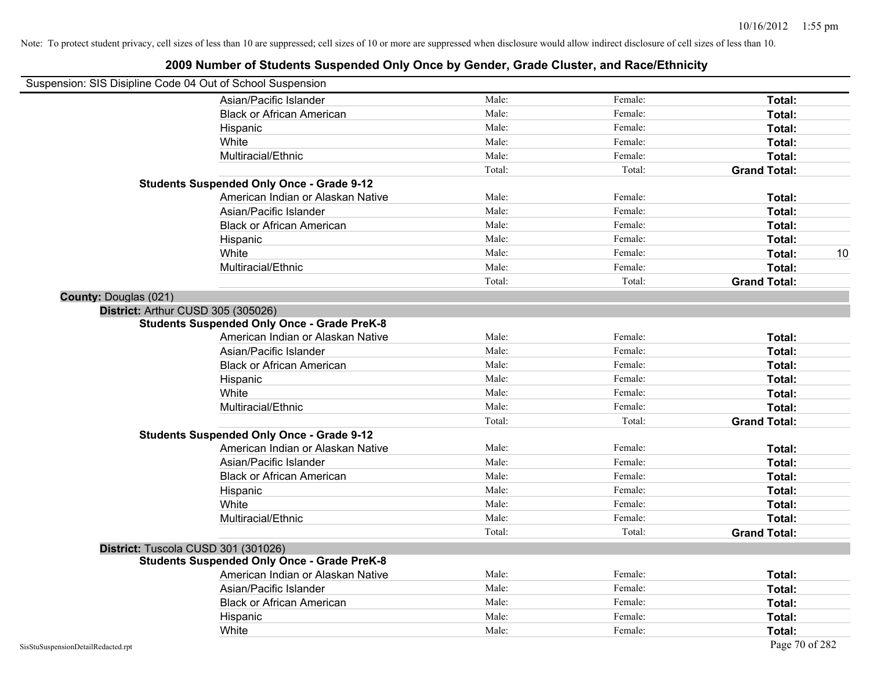|                       | Suspension: SIS Disipline Code 04 Out of School Suspension |        |         |                     |
|-----------------------|------------------------------------------------------------|--------|---------|---------------------|
|                       | Asian/Pacific Islander                                     | Male:  | Female: | Total:              |
|                       | <b>Black or African American</b>                           | Male:  | Female: | Total:              |
|                       | Hispanic                                                   | Male:  | Female: | Total:              |
|                       | White                                                      | Male:  | Female: | Total:              |
|                       | Multiracial/Ethnic                                         | Male:  | Female: | Total:              |
|                       |                                                            | Total: | Total:  | <b>Grand Total:</b> |
|                       | <b>Students Suspended Only Once - Grade 9-12</b>           |        |         |                     |
|                       | American Indian or Alaskan Native                          | Male:  | Female: | Total:              |
|                       | Asian/Pacific Islander                                     | Male:  | Female: | Total:              |
|                       | <b>Black or African American</b>                           | Male:  | Female: | Total:              |
|                       | Hispanic                                                   | Male:  | Female: | Total:              |
|                       | White                                                      | Male:  | Female: | Total:<br>10        |
|                       | Multiracial/Ethnic                                         | Male:  | Female: | Total:              |
|                       |                                                            | Total: | Total:  | <b>Grand Total:</b> |
| County: Douglas (021) |                                                            |        |         |                     |
|                       | District: Arthur CUSD 305 (305026)                         |        |         |                     |
|                       | <b>Students Suspended Only Once - Grade PreK-8</b>         |        |         |                     |
|                       | American Indian or Alaskan Native                          | Male:  | Female: | Total:              |
|                       | Asian/Pacific Islander                                     | Male:  | Female: | Total:              |
|                       | <b>Black or African American</b>                           | Male:  | Female: | Total:              |
|                       | Hispanic                                                   | Male:  | Female: | Total:              |
|                       | White                                                      | Male:  | Female: | Total:              |
|                       | Multiracial/Ethnic                                         | Male:  | Female: | Total:              |
|                       |                                                            | Total: | Total:  | <b>Grand Total:</b> |
|                       | <b>Students Suspended Only Once - Grade 9-12</b>           |        |         |                     |
|                       | American Indian or Alaskan Native                          | Male:  | Female: | Total:              |
|                       | Asian/Pacific Islander                                     | Male:  | Female: | Total:              |
|                       | <b>Black or African American</b>                           | Male:  | Female: | Total:              |
|                       | Hispanic                                                   | Male:  | Female: | Total:              |
|                       | White                                                      | Male:  | Female: | Total:              |
|                       | Multiracial/Ethnic                                         | Male:  | Female: | Total:              |
|                       |                                                            | Total: | Total:  | <b>Grand Total:</b> |
|                       | District: Tuscola CUSD 301 (301026)                        |        |         |                     |
|                       | <b>Students Suspended Only Once - Grade PreK-8</b>         |        |         |                     |
|                       | American Indian or Alaskan Native                          | Male:  | Female: | Total:              |
|                       | Asian/Pacific Islander                                     | Male:  | Female: | Total:              |
|                       | <b>Black or African American</b>                           | Male:  | Female: | Total:              |
|                       | Hispanic                                                   | Male:  | Female: | Total:              |
|                       | White                                                      | Male:  | Female: | Total:              |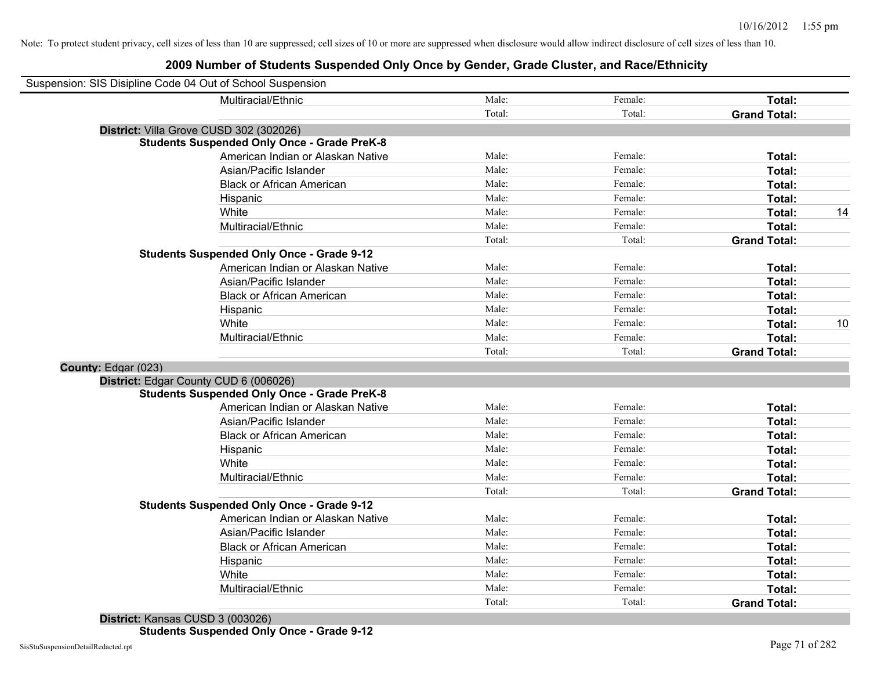| Suspension: SIS Disipline Code 04 Out of School Suspension |                                                    |        |         |                     |    |
|------------------------------------------------------------|----------------------------------------------------|--------|---------|---------------------|----|
|                                                            | Multiracial/Ethnic                                 | Male:  | Female: | Total:              |    |
|                                                            |                                                    | Total: | Total:  | <b>Grand Total:</b> |    |
| District: Villa Grove CUSD 302 (302026)                    |                                                    |        |         |                     |    |
|                                                            | <b>Students Suspended Only Once - Grade PreK-8</b> |        |         |                     |    |
|                                                            | American Indian or Alaskan Native                  | Male:  | Female: | Total:              |    |
|                                                            | Asian/Pacific Islander                             | Male:  | Female: | Total:              |    |
|                                                            | <b>Black or African American</b>                   | Male:  | Female: | Total:              |    |
|                                                            | Hispanic                                           | Male:  | Female: | Total:              |    |
|                                                            | White                                              | Male:  | Female: | Total:              | 14 |
|                                                            | Multiracial/Ethnic                                 | Male:  | Female: | Total:              |    |
|                                                            |                                                    | Total: | Total:  | <b>Grand Total:</b> |    |
|                                                            | <b>Students Suspended Only Once - Grade 9-12</b>   |        |         |                     |    |
|                                                            | American Indian or Alaskan Native                  | Male:  | Female: | Total:              |    |
|                                                            | Asian/Pacific Islander                             | Male:  | Female: | Total:              |    |
|                                                            | <b>Black or African American</b>                   | Male:  | Female: | Total:              |    |
|                                                            | Hispanic                                           | Male:  | Female: | Total:              |    |
|                                                            | White                                              | Male:  | Female: | Total:              | 10 |
|                                                            | Multiracial/Ethnic                                 | Male:  | Female: | Total:              |    |
|                                                            |                                                    | Total: | Total:  | <b>Grand Total:</b> |    |
| County: Edgar (023)                                        |                                                    |        |         |                     |    |
| District: Edgar County CUD 6 (006026)                      |                                                    |        |         |                     |    |
|                                                            | <b>Students Suspended Only Once - Grade PreK-8</b> |        |         |                     |    |
|                                                            | American Indian or Alaskan Native                  | Male:  | Female: | Total:              |    |
|                                                            | Asian/Pacific Islander                             | Male:  | Female: | Total:              |    |
|                                                            | <b>Black or African American</b>                   | Male:  | Female: | Total:              |    |
|                                                            | Hispanic                                           | Male:  | Female: | Total:              |    |
|                                                            | White                                              | Male:  | Female: | Total:              |    |
|                                                            | Multiracial/Ethnic                                 | Male:  | Female: | Total:              |    |
|                                                            |                                                    | Total: | Total:  | <b>Grand Total:</b> |    |
|                                                            | <b>Students Suspended Only Once - Grade 9-12</b>   |        |         |                     |    |
|                                                            | American Indian or Alaskan Native                  | Male:  | Female: | Total:              |    |
|                                                            | Asian/Pacific Islander                             | Male:  | Female: | Total:              |    |
|                                                            | <b>Black or African American</b>                   | Male:  | Female: | Total:              |    |
|                                                            | Hispanic                                           | Male:  | Female: | Total:              |    |
|                                                            | White                                              | Male:  | Female: | Total:              |    |
|                                                            | Multiracial/Ethnic                                 | Male:  | Female: | Total:              |    |
|                                                            |                                                    | Total: | Total:  | <b>Grand Total:</b> |    |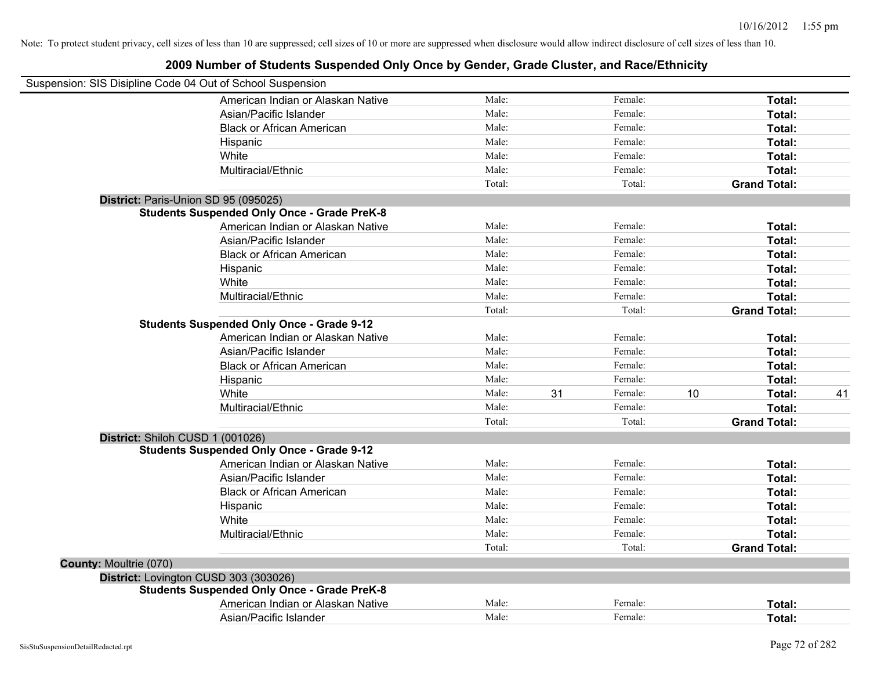|                               | Suspension: SIS Disipline Code 04 Out of School Suspension |        |    |         |    |                     |    |
|-------------------------------|------------------------------------------------------------|--------|----|---------|----|---------------------|----|
|                               | American Indian or Alaskan Native                          | Male:  |    | Female: |    | Total:              |    |
|                               | Asian/Pacific Islander                                     | Male:  |    | Female: |    | Total:              |    |
|                               | <b>Black or African American</b>                           | Male:  |    | Female: |    | Total:              |    |
|                               | Hispanic                                                   | Male:  |    | Female: |    | Total:              |    |
|                               | White                                                      | Male:  |    | Female: |    | Total:              |    |
|                               | Multiracial/Ethnic                                         | Male:  |    | Female: |    | Total:              |    |
|                               |                                                            | Total: |    | Total:  |    | <b>Grand Total:</b> |    |
|                               | District: Paris-Union SD 95 (095025)                       |        |    |         |    |                     |    |
|                               | <b>Students Suspended Only Once - Grade PreK-8</b>         |        |    |         |    |                     |    |
|                               | American Indian or Alaskan Native                          | Male:  |    | Female: |    | Total:              |    |
|                               | Asian/Pacific Islander                                     | Male:  |    | Female: |    | Total:              |    |
|                               | <b>Black or African American</b>                           | Male:  |    | Female: |    | Total:              |    |
|                               | Hispanic                                                   | Male:  |    | Female: |    | Total:              |    |
|                               | White                                                      | Male:  |    | Female: |    | Total:              |    |
|                               | Multiracial/Ethnic                                         | Male:  |    | Female: |    | Total:              |    |
|                               |                                                            | Total: |    | Total:  |    | <b>Grand Total:</b> |    |
|                               | <b>Students Suspended Only Once - Grade 9-12</b>           |        |    |         |    |                     |    |
|                               | American Indian or Alaskan Native                          | Male:  |    | Female: |    | Total:              |    |
|                               | Asian/Pacific Islander                                     | Male:  |    | Female: |    | Total:              |    |
|                               | <b>Black or African American</b>                           | Male:  |    | Female: |    | Total:              |    |
|                               | Hispanic                                                   | Male:  |    | Female: |    | Total:              |    |
|                               | White                                                      | Male:  | 31 | Female: | 10 | Total:              | 41 |
|                               | Multiracial/Ethnic                                         | Male:  |    | Female: |    | Total:              |    |
|                               |                                                            | Total: |    | Total:  |    | <b>Grand Total:</b> |    |
|                               | District: Shiloh CUSD 1 (001026)                           |        |    |         |    |                     |    |
|                               | <b>Students Suspended Only Once - Grade 9-12</b>           |        |    |         |    |                     |    |
|                               | American Indian or Alaskan Native                          | Male:  |    | Female: |    | Total:              |    |
|                               | Asian/Pacific Islander                                     | Male:  |    | Female: |    | Total:              |    |
|                               | <b>Black or African American</b>                           | Male:  |    | Female: |    | Total:              |    |
|                               | Hispanic                                                   | Male:  |    | Female: |    | Total:              |    |
|                               | White                                                      | Male:  |    | Female: |    | Total:              |    |
|                               | Multiracial/Ethnic                                         | Male:  |    | Female: |    | Total:              |    |
|                               |                                                            | Total: |    | Total:  |    | <b>Grand Total:</b> |    |
| <b>County: Moultrie (070)</b> |                                                            |        |    |         |    |                     |    |
|                               | District: Lovington CUSD 303 (303026)                      |        |    |         |    |                     |    |
|                               | <b>Students Suspended Only Once - Grade PreK-8</b>         |        |    |         |    |                     |    |
|                               | American Indian or Alaskan Native                          | Male:  |    | Female: |    | Total:              |    |
|                               | Asian/Pacific Islander                                     | Male:  |    | Female: |    | Total:              |    |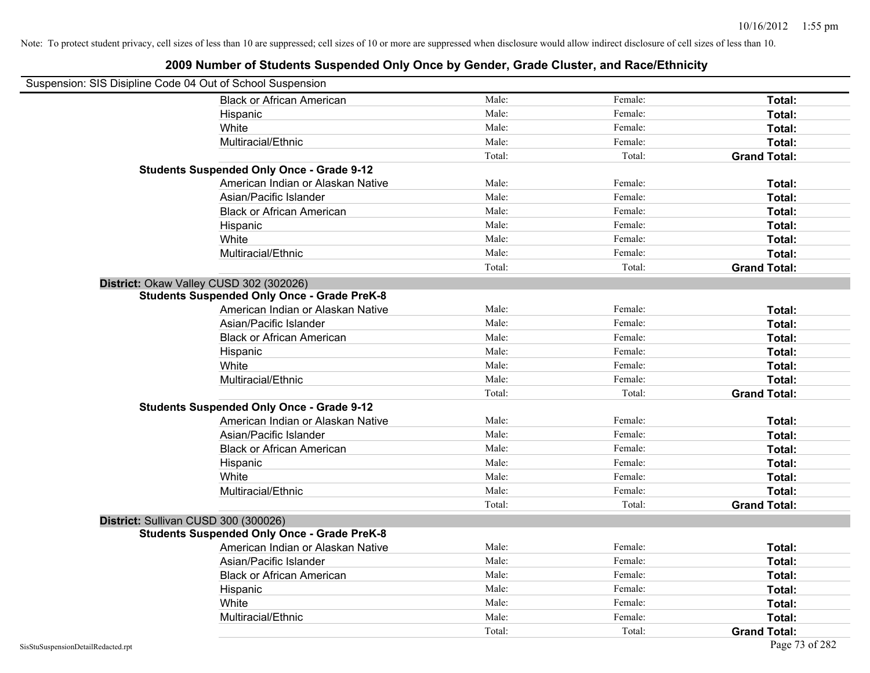| Suspension: SIS Disipline Code 04 Out of School Suspension |                                                    |        |         |                     |
|------------------------------------------------------------|----------------------------------------------------|--------|---------|---------------------|
|                                                            | <b>Black or African American</b>                   | Male:  | Female: | Total:              |
|                                                            | Hispanic                                           | Male:  | Female: | Total:              |
|                                                            | White                                              | Male:  | Female: | Total:              |
|                                                            | Multiracial/Ethnic                                 | Male:  | Female: | Total:              |
|                                                            |                                                    | Total: | Total:  | <b>Grand Total:</b> |
|                                                            | <b>Students Suspended Only Once - Grade 9-12</b>   |        |         |                     |
|                                                            | American Indian or Alaskan Native                  | Male:  | Female: | Total:              |
|                                                            | Asian/Pacific Islander                             | Male:  | Female: | Total:              |
|                                                            | <b>Black or African American</b>                   | Male:  | Female: | Total:              |
|                                                            | Hispanic                                           | Male:  | Female: | Total:              |
|                                                            | White                                              | Male:  | Female: | Total:              |
|                                                            | Multiracial/Ethnic                                 | Male:  | Female: | Total:              |
|                                                            |                                                    | Total: | Total:  | <b>Grand Total:</b> |
| District: Okaw Valley CUSD 302 (302026)                    |                                                    |        |         |                     |
|                                                            | <b>Students Suspended Only Once - Grade PreK-8</b> |        |         |                     |
|                                                            | American Indian or Alaskan Native                  | Male:  | Female: | Total:              |
|                                                            | Asian/Pacific Islander                             | Male:  | Female: | Total:              |
|                                                            | <b>Black or African American</b>                   | Male:  | Female: | Total:              |
|                                                            | Hispanic                                           | Male:  | Female: | Total:              |
|                                                            | White                                              | Male:  | Female: | Total:              |
|                                                            | Multiracial/Ethnic                                 | Male:  | Female: | Total:              |
|                                                            |                                                    | Total: | Total:  | <b>Grand Total:</b> |
|                                                            | <b>Students Suspended Only Once - Grade 9-12</b>   |        |         |                     |
|                                                            | American Indian or Alaskan Native                  | Male:  | Female: | Total:              |
|                                                            | Asian/Pacific Islander                             | Male:  | Female: | Total:              |
|                                                            | <b>Black or African American</b>                   | Male:  | Female: | Total:              |
|                                                            | Hispanic                                           | Male:  | Female: | Total:              |
|                                                            | White                                              | Male:  | Female: | Total:              |
|                                                            | Multiracial/Ethnic                                 | Male:  | Female: | Total:              |
|                                                            |                                                    | Total: | Total:  | <b>Grand Total:</b> |
| District: Sullivan CUSD 300 (300026)                       |                                                    |        |         |                     |
|                                                            | <b>Students Suspended Only Once - Grade PreK-8</b> |        |         |                     |
|                                                            | American Indian or Alaskan Native                  | Male:  | Female: | Total:              |
|                                                            | Asian/Pacific Islander                             | Male:  | Female: | Total:              |
|                                                            | <b>Black or African American</b>                   | Male:  | Female: | Total:              |
|                                                            | Hispanic                                           | Male:  | Female: | Total:              |
|                                                            | White                                              | Male:  | Female: | Total:              |
|                                                            | Multiracial/Ethnic                                 | Male:  | Female: | Total:              |
|                                                            |                                                    | Total: | Total:  | <b>Grand Total:</b> |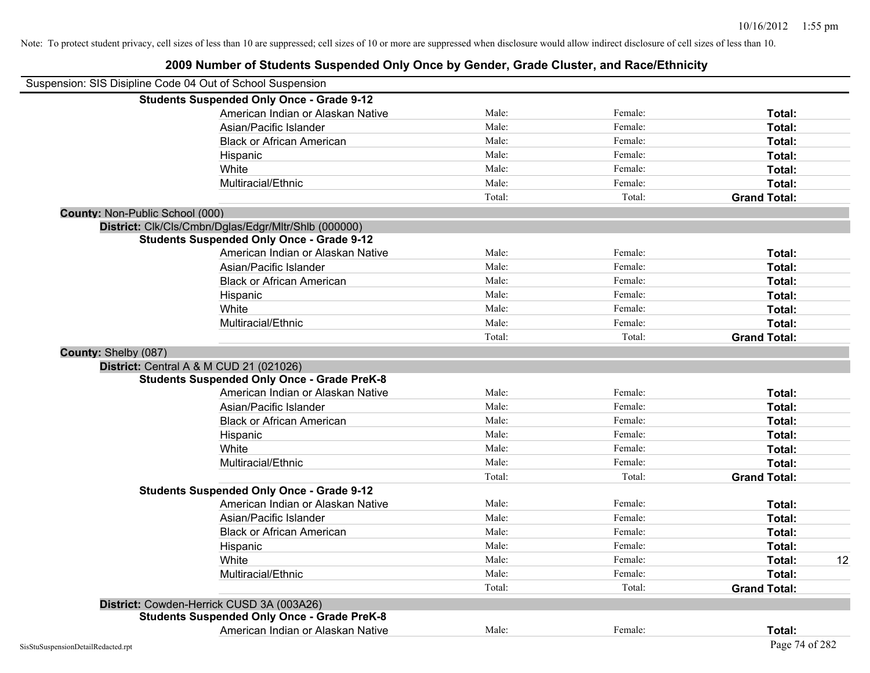|                                    | Suspension: SIS Disipline Code 04 Out of School Suspension |        |         |                     |    |
|------------------------------------|------------------------------------------------------------|--------|---------|---------------------|----|
|                                    | <b>Students Suspended Only Once - Grade 9-12</b>           |        |         |                     |    |
|                                    | American Indian or Alaskan Native                          | Male:  | Female: | Total:              |    |
|                                    | Asian/Pacific Islander                                     | Male:  | Female: | Total:              |    |
|                                    | <b>Black or African American</b>                           | Male:  | Female: | Total:              |    |
|                                    | Hispanic                                                   | Male:  | Female: | Total:              |    |
|                                    | White                                                      | Male:  | Female: | Total:              |    |
|                                    | Multiracial/Ethnic                                         | Male:  | Female: | Total:              |    |
|                                    |                                                            | Total: | Total:  | <b>Grand Total:</b> |    |
| County: Non-Public School (000)    |                                                            |        |         |                     |    |
|                                    | District: Clk/Cls/Cmbn/Dglas/Edgr/Mltr/Shlb (000000)       |        |         |                     |    |
|                                    | <b>Students Suspended Only Once - Grade 9-12</b>           |        |         |                     |    |
|                                    | American Indian or Alaskan Native                          | Male:  | Female: | Total:              |    |
|                                    | Asian/Pacific Islander                                     | Male:  | Female: | Total:              |    |
|                                    | <b>Black or African American</b>                           | Male:  | Female: | Total:              |    |
|                                    | Hispanic                                                   | Male:  | Female: | Total:              |    |
|                                    | White                                                      | Male:  | Female: | Total:              |    |
|                                    | Multiracial/Ethnic                                         | Male:  | Female: | Total:              |    |
|                                    |                                                            | Total: | Total:  | <b>Grand Total:</b> |    |
| County: Shelby (087)               |                                                            |        |         |                     |    |
|                                    | District: Central A & M CUD 21 (021026)                    |        |         |                     |    |
|                                    | <b>Students Suspended Only Once - Grade PreK-8</b>         |        |         |                     |    |
|                                    | American Indian or Alaskan Native                          | Male:  | Female: | Total:              |    |
|                                    | Asian/Pacific Islander                                     | Male:  | Female: | Total:              |    |
|                                    | <b>Black or African American</b>                           | Male:  | Female: | Total:              |    |
|                                    | Hispanic                                                   | Male:  | Female: | Total:              |    |
|                                    | White                                                      | Male:  | Female: | Total:              |    |
|                                    | Multiracial/Ethnic                                         | Male:  | Female: | Total:              |    |
|                                    |                                                            | Total: | Total:  | <b>Grand Total:</b> |    |
|                                    | <b>Students Suspended Only Once - Grade 9-12</b>           |        |         |                     |    |
|                                    | American Indian or Alaskan Native                          | Male:  | Female: | Total:              |    |
|                                    | Asian/Pacific Islander                                     | Male:  | Female: | Total:              |    |
|                                    | <b>Black or African American</b>                           | Male:  | Female: | Total:              |    |
|                                    | Hispanic                                                   | Male:  | Female: | Total:              |    |
|                                    | White                                                      | Male:  | Female: | Total:              | 12 |
|                                    | Multiracial/Ethnic                                         | Male:  | Female: | Total:              |    |
|                                    |                                                            | Total: | Total:  | <b>Grand Total:</b> |    |
|                                    | District: Cowden-Herrick CUSD 3A (003A26)                  |        |         |                     |    |
|                                    | <b>Students Suspended Only Once - Grade PreK-8</b>         |        |         |                     |    |
|                                    | American Indian or Alaskan Native                          | Male:  | Female: | <b>Total:</b>       |    |
| SisStuSuspensionDetailRedacted.rpt |                                                            |        |         | Page 74 of 282      |    |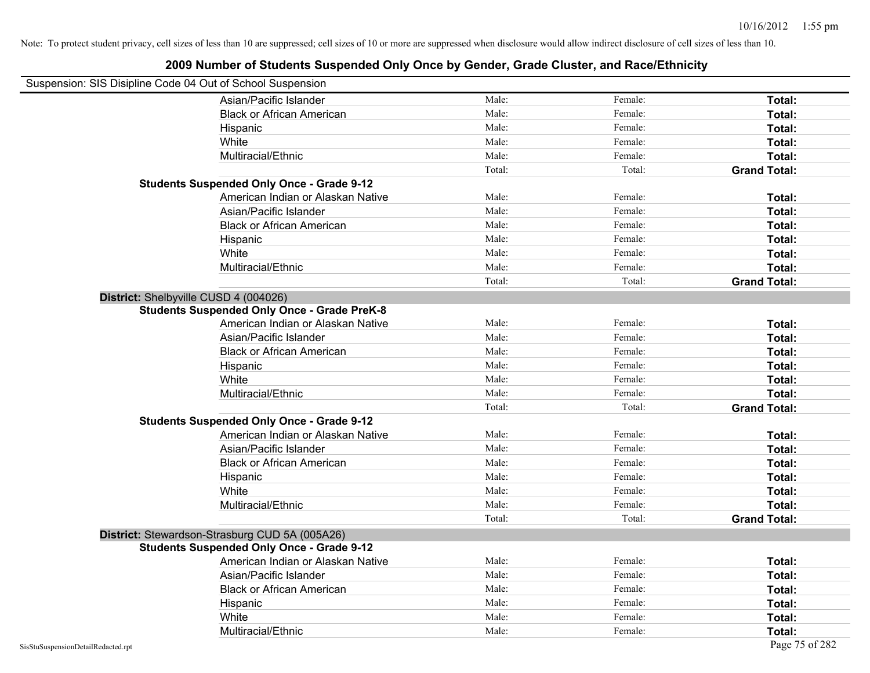| Suspension: SIS Disipline Code 04 Out of School Suspension |                                                    |        |         |                     |
|------------------------------------------------------------|----------------------------------------------------|--------|---------|---------------------|
|                                                            | Asian/Pacific Islander                             | Male:  | Female: | Total:              |
|                                                            | <b>Black or African American</b>                   | Male:  | Female: | Total:              |
|                                                            | Hispanic                                           | Male:  | Female: | Total:              |
|                                                            | White                                              | Male:  | Female: | Total:              |
|                                                            | Multiracial/Ethnic                                 | Male:  | Female: | Total:              |
|                                                            |                                                    | Total: | Total:  | <b>Grand Total:</b> |
|                                                            | <b>Students Suspended Only Once - Grade 9-12</b>   |        |         |                     |
|                                                            | American Indian or Alaskan Native                  | Male:  | Female: | Total:              |
|                                                            | Asian/Pacific Islander                             | Male:  | Female: | Total:              |
|                                                            | <b>Black or African American</b>                   | Male:  | Female: | Total:              |
|                                                            | Hispanic                                           | Male:  | Female: | Total:              |
|                                                            | White                                              | Male:  | Female: | Total:              |
|                                                            | Multiracial/Ethnic                                 | Male:  | Female: | Total:              |
|                                                            |                                                    | Total: | Total:  | <b>Grand Total:</b> |
| District: Shelbyville CUSD 4 (004026)                      |                                                    |        |         |                     |
|                                                            | <b>Students Suspended Only Once - Grade PreK-8</b> |        |         |                     |
|                                                            | American Indian or Alaskan Native                  | Male:  | Female: | Total:              |
|                                                            | Asian/Pacific Islander                             | Male:  | Female: | Total:              |
|                                                            | <b>Black or African American</b>                   | Male:  | Female: | Total:              |
|                                                            | Hispanic                                           | Male:  | Female: | Total:              |
|                                                            | White                                              | Male:  | Female: | Total:              |
|                                                            | Multiracial/Ethnic                                 | Male:  | Female: | Total:              |
|                                                            |                                                    | Total: | Total:  | <b>Grand Total:</b> |
|                                                            | <b>Students Suspended Only Once - Grade 9-12</b>   |        |         |                     |
|                                                            | American Indian or Alaskan Native                  | Male:  | Female: | Total:              |
|                                                            | Asian/Pacific Islander                             | Male:  | Female: | Total:              |
|                                                            | <b>Black or African American</b>                   | Male:  | Female: | Total:              |
|                                                            | Hispanic                                           | Male:  | Female: | Total:              |
|                                                            | White                                              | Male:  | Female: | Total:              |
|                                                            | Multiracial/Ethnic                                 | Male:  | Female: | Total:              |
|                                                            |                                                    | Total: | Total:  | <b>Grand Total:</b> |
|                                                            | District: Stewardson-Strasburg CUD 5A (005A26)     |        |         |                     |
|                                                            | <b>Students Suspended Only Once - Grade 9-12</b>   |        |         |                     |
|                                                            | American Indian or Alaskan Native                  | Male:  | Female: | Total:              |
|                                                            | Asian/Pacific Islander                             | Male:  | Female: | Total:              |
|                                                            | <b>Black or African American</b>                   | Male:  | Female: | Total:              |
|                                                            | Hispanic                                           | Male:  | Female: | Total:              |
|                                                            | White                                              | Male:  | Female: | <b>Total:</b>       |
|                                                            | Multiracial/Ethnic                                 | Male:  | Female: | Total:              |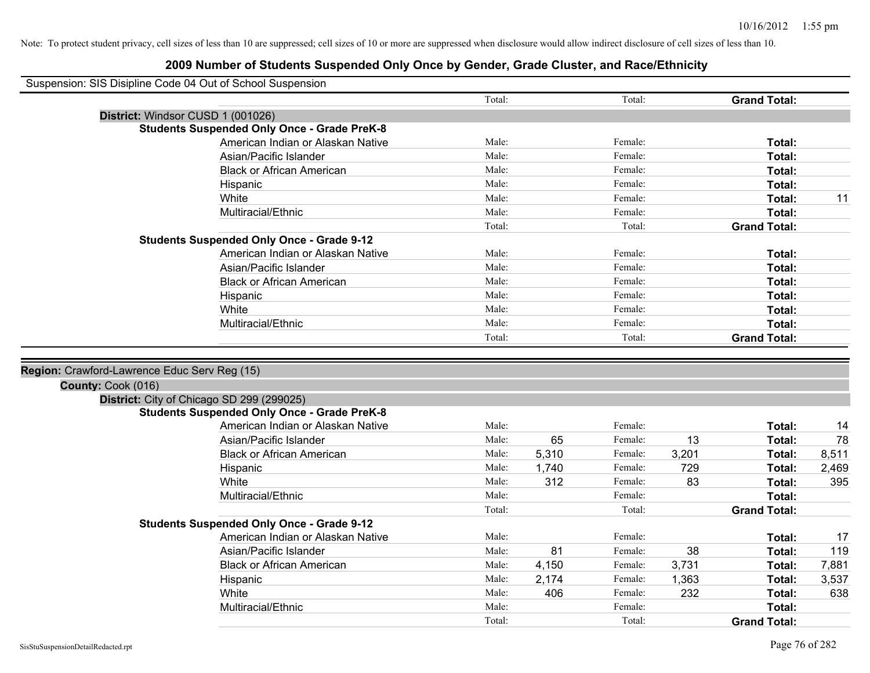| Suspension: SIS Disipline Code 04 Out of School Suspension |                                                    |        |       |         |       |                     |       |
|------------------------------------------------------------|----------------------------------------------------|--------|-------|---------|-------|---------------------|-------|
|                                                            |                                                    | Total: |       | Total:  |       | <b>Grand Total:</b> |       |
|                                                            | District: Windsor CUSD 1 (001026)                  |        |       |         |       |                     |       |
|                                                            | <b>Students Suspended Only Once - Grade PreK-8</b> |        |       |         |       |                     |       |
|                                                            | American Indian or Alaskan Native                  | Male:  |       | Female: |       | Total:              |       |
|                                                            | Asian/Pacific Islander                             | Male:  |       | Female: |       | Total:              |       |
|                                                            | <b>Black or African American</b>                   | Male:  |       | Female: |       | Total:              |       |
|                                                            | Hispanic                                           | Male:  |       | Female: |       | Total:              |       |
|                                                            | White                                              | Male:  |       | Female: |       | Total:              | 11    |
|                                                            | Multiracial/Ethnic                                 | Male:  |       | Female: |       | Total:              |       |
|                                                            |                                                    | Total: |       | Total:  |       | <b>Grand Total:</b> |       |
|                                                            | <b>Students Suspended Only Once - Grade 9-12</b>   |        |       |         |       |                     |       |
|                                                            | American Indian or Alaskan Native                  | Male:  |       | Female: |       | Total:              |       |
|                                                            | Asian/Pacific Islander                             | Male:  |       | Female: |       | Total:              |       |
|                                                            | <b>Black or African American</b>                   | Male:  |       | Female: |       | Total:              |       |
|                                                            | Hispanic                                           | Male:  |       | Female: |       | Total:              |       |
|                                                            | White                                              | Male:  |       | Female: |       | Total:              |       |
|                                                            | Multiracial/Ethnic                                 | Male:  |       | Female: |       | Total:              |       |
|                                                            |                                                    | Total: |       | Total:  |       | <b>Grand Total:</b> |       |
|                                                            |                                                    |        |       |         |       |                     |       |
| Region: Crawford-Lawrence Educ Serv Reg (15)               |                                                    |        |       |         |       |                     |       |
| County: Cook (016)                                         |                                                    |        |       |         |       |                     |       |
|                                                            | District: City of Chicago SD 299 (299025)          |        |       |         |       |                     |       |
|                                                            | <b>Students Suspended Only Once - Grade PreK-8</b> |        |       |         |       |                     |       |
|                                                            | American Indian or Alaskan Native                  | Male:  |       | Female: |       | Total:              | 14    |
|                                                            | Asian/Pacific Islander                             | Male:  | 65    | Female: | 13    | Total:              | 78    |
|                                                            | <b>Black or African American</b>                   | Male:  | 5,310 | Female: | 3,201 | Total:              | 8,511 |
|                                                            | Hispanic                                           | Male:  | 1,740 | Female: | 729   | Total:              | 2,469 |
|                                                            | White                                              | Male:  | 312   | Female: | 83    | Total:              | 395   |
|                                                            | Multiracial/Ethnic                                 | Male:  |       | Female: |       | Total:              |       |
|                                                            |                                                    | Total: |       | Total:  |       | <b>Grand Total:</b> |       |
|                                                            | <b>Students Suspended Only Once - Grade 9-12</b>   |        |       |         |       |                     |       |
|                                                            | American Indian or Alaskan Native                  | Male:  |       | Female: |       | Total:              | 17    |
|                                                            | Asian/Pacific Islander                             | Male:  | 81    | Female: | 38    | Total:              | 119   |
|                                                            | <b>Black or African American</b>                   | Male:  | 4,150 | Female: | 3,731 | Total:              | 7,881 |
|                                                            | Hispanic                                           | Male:  | 2,174 | Female: | 1,363 | Total:              | 3,537 |
|                                                            | White                                              | Male:  | 406   | Female: | 232   | Total:              | 638   |
|                                                            | Multiracial/Ethnic                                 | Male:  |       | Female: |       | Total:              |       |
|                                                            |                                                    | Total: |       | Total:  |       | <b>Grand Total:</b> |       |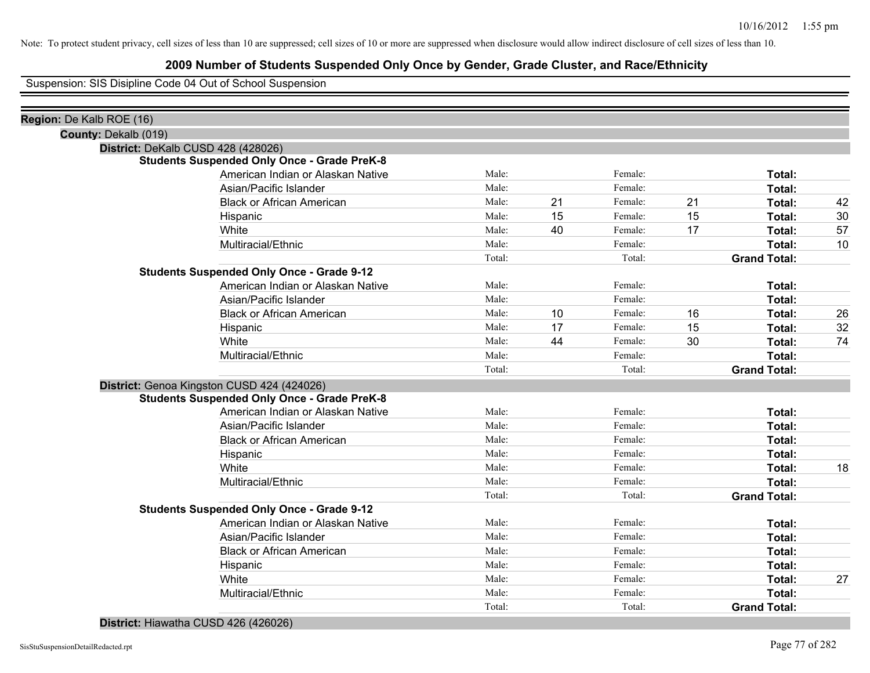# **2009 Number of Students Suspended Only Once by Gender, Grade Cluster, and Race/Ethnicity**

Suspension: SIS Disipline Code 04 Out of School Suspension

| Region: De Kalb ROE (16) |                                                    |        |    |         |    |                     |    |
|--------------------------|----------------------------------------------------|--------|----|---------|----|---------------------|----|
| County: Dekalb (019)     |                                                    |        |    |         |    |                     |    |
|                          | District: DeKalb CUSD 428 (428026)                 |        |    |         |    |                     |    |
|                          | <b>Students Suspended Only Once - Grade PreK-8</b> |        |    |         |    |                     |    |
|                          | American Indian or Alaskan Native                  | Male:  |    | Female: |    | Total:              |    |
|                          | Asian/Pacific Islander                             | Male:  |    | Female: |    | <b>Total:</b>       |    |
|                          | <b>Black or African American</b>                   | Male:  | 21 | Female: | 21 | Total:              | 42 |
|                          | Hispanic                                           | Male:  | 15 | Female: | 15 | Total:              | 30 |
|                          | White                                              | Male:  | 40 | Female: | 17 | Total:              | 57 |
|                          | Multiracial/Ethnic                                 | Male:  |    | Female: |    | <b>Total:</b>       | 10 |
|                          |                                                    | Total: |    | Total:  |    | <b>Grand Total:</b> |    |
|                          | <b>Students Suspended Only Once - Grade 9-12</b>   |        |    |         |    |                     |    |
|                          | American Indian or Alaskan Native                  | Male:  |    | Female: |    | Total:              |    |
|                          | Asian/Pacific Islander                             | Male:  |    | Female: |    | <b>Total:</b>       |    |
|                          | <b>Black or African American</b>                   | Male:  | 10 | Female: | 16 | Total:              | 26 |
|                          | Hispanic                                           | Male:  | 17 | Female: | 15 | Total:              | 32 |
|                          | White                                              | Male:  | 44 | Female: | 30 | Total:              | 74 |
|                          | Multiracial/Ethnic                                 | Male:  |    | Female: |    | Total:              |    |
|                          |                                                    | Total: |    | Total:  |    | <b>Grand Total:</b> |    |
|                          | District: Genoa Kingston CUSD 424 (424026)         |        |    |         |    |                     |    |
|                          | <b>Students Suspended Only Once - Grade PreK-8</b> |        |    |         |    |                     |    |
|                          | American Indian or Alaskan Native                  | Male:  |    | Female: |    | Total:              |    |
|                          | Asian/Pacific Islander                             | Male:  |    | Female: |    | Total:              |    |
|                          | <b>Black or African American</b>                   | Male:  |    | Female: |    | Total:              |    |
|                          | Hispanic                                           | Male:  |    | Female: |    | <b>Total:</b>       |    |
|                          | White                                              | Male:  |    | Female: |    | Total:              | 18 |
|                          | Multiracial/Ethnic                                 | Male:  |    | Female: |    | Total:              |    |
|                          |                                                    | Total: |    | Total:  |    | <b>Grand Total:</b> |    |
|                          | <b>Students Suspended Only Once - Grade 9-12</b>   |        |    |         |    |                     |    |
|                          | American Indian or Alaskan Native                  | Male:  |    | Female: |    | Total:              |    |
|                          | Asian/Pacific Islander                             | Male:  |    | Female: |    | Total:              |    |
|                          | <b>Black or African American</b>                   | Male:  |    | Female: |    | Total:              |    |
|                          | Hispanic                                           | Male:  |    | Female: |    | Total:              |    |
|                          | White                                              | Male:  |    | Female: |    | Total:              | 27 |
|                          | Multiracial/Ethnic                                 | Male:  |    | Female: |    | Total:              |    |
|                          |                                                    | Total: |    | Total:  |    | <b>Grand Total:</b> |    |
|                          |                                                    |        |    |         |    |                     |    |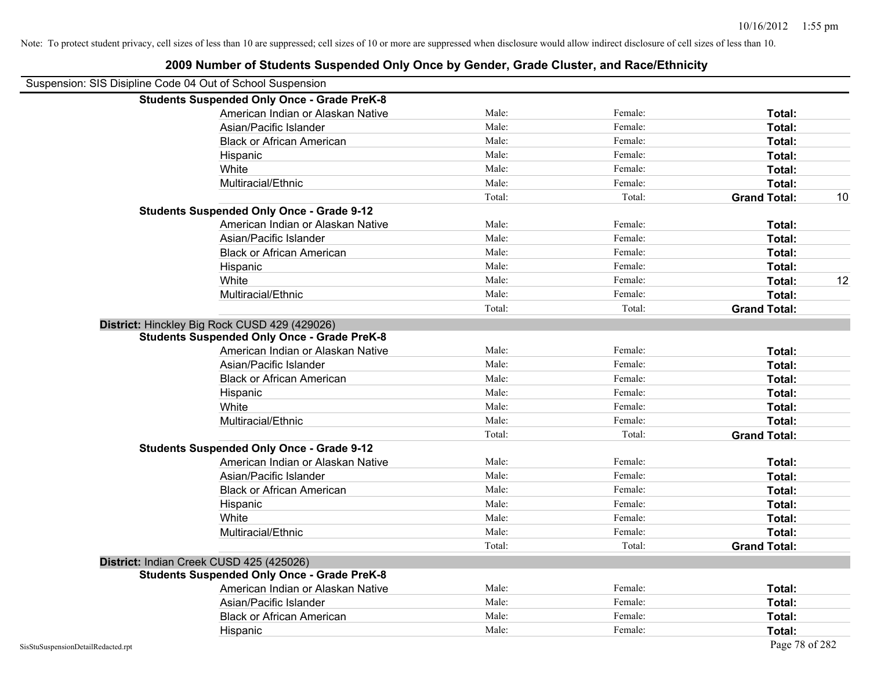|                                    | <b>Students Suspended Only Once - Grade PreK-8</b> |        |         |                     |    |
|------------------------------------|----------------------------------------------------|--------|---------|---------------------|----|
|                                    | American Indian or Alaskan Native                  | Male:  | Female: | Total:              |    |
|                                    | Asian/Pacific Islander                             | Male:  | Female: | Total:              |    |
|                                    | <b>Black or African American</b>                   | Male:  | Female: | Total:              |    |
|                                    | Hispanic                                           | Male:  | Female: | Total:              |    |
|                                    | White                                              | Male:  | Female: | Total:              |    |
|                                    | Multiracial/Ethnic                                 | Male:  | Female: | Total:              |    |
|                                    |                                                    | Total: | Total:  | <b>Grand Total:</b> | 10 |
|                                    | <b>Students Suspended Only Once - Grade 9-12</b>   |        |         |                     |    |
|                                    | American Indian or Alaskan Native                  | Male:  | Female: | Total:              |    |
|                                    | Asian/Pacific Islander                             | Male:  | Female: | Total:              |    |
|                                    | <b>Black or African American</b>                   | Male:  | Female: | Total:              |    |
|                                    | Hispanic                                           | Male:  | Female: | Total:              |    |
|                                    | White                                              | Male:  | Female: | Total:              | 12 |
|                                    | Multiracial/Ethnic                                 | Male:  | Female: | Total:              |    |
|                                    |                                                    | Total: | Total:  | <b>Grand Total:</b> |    |
|                                    | District: Hinckley Big Rock CUSD 429 (429026)      |        |         |                     |    |
|                                    | <b>Students Suspended Only Once - Grade PreK-8</b> |        |         |                     |    |
|                                    | American Indian or Alaskan Native                  | Male:  | Female: | Total:              |    |
|                                    | Asian/Pacific Islander                             | Male:  | Female: | Total:              |    |
|                                    | <b>Black or African American</b>                   | Male:  | Female: | Total:              |    |
|                                    | Hispanic                                           | Male:  | Female: | Total:              |    |
|                                    | White                                              | Male:  | Female: | Total:              |    |
|                                    | Multiracial/Ethnic                                 | Male:  | Female: | Total:              |    |
|                                    |                                                    | Total: | Total:  | <b>Grand Total:</b> |    |
|                                    | <b>Students Suspended Only Once - Grade 9-12</b>   |        |         |                     |    |
|                                    | American Indian or Alaskan Native                  | Male:  | Female: | Total:              |    |
|                                    | Asian/Pacific Islander                             | Male:  | Female: | Total:              |    |
|                                    | <b>Black or African American</b>                   | Male:  | Female: | Total:              |    |
|                                    | Hispanic                                           | Male:  | Female: | Total:              |    |
|                                    | White                                              | Male:  | Female: | Total:              |    |
|                                    | Multiracial/Ethnic                                 | Male:  | Female: | Total:              |    |
|                                    |                                                    | Total: | Total:  | <b>Grand Total:</b> |    |
|                                    | District: Indian Creek CUSD 425 (425026)           |        |         |                     |    |
|                                    | <b>Students Suspended Only Once - Grade PreK-8</b> |        |         |                     |    |
|                                    | American Indian or Alaskan Native                  | Male:  | Female: | Total:              |    |
|                                    | Asian/Pacific Islander                             | Male:  | Female: | Total:              |    |
|                                    | <b>Black or African American</b>                   | Male:  | Female: | Total:              |    |
|                                    | Hispanic                                           | Male:  | Female: | Total:              |    |
| SisStuSuspensionDetailRedacted.rpt |                                                    |        |         | Page 78 of 282      |    |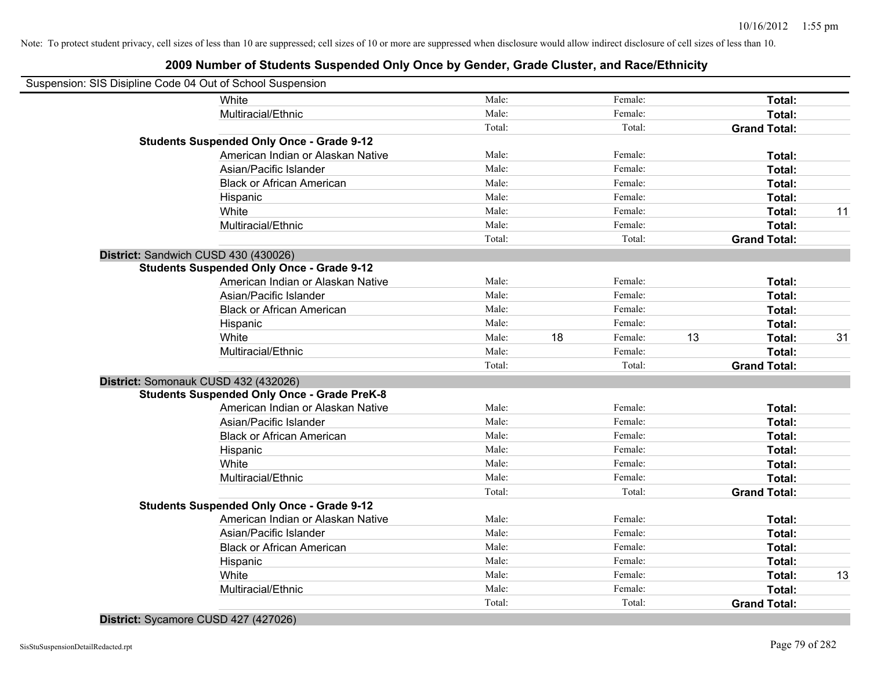| Suspension: SIS Disipline Code 04 Out of School Suspension |        |    |         |    |                     |    |
|------------------------------------------------------------|--------|----|---------|----|---------------------|----|
| White                                                      | Male:  |    | Female: |    | Total:              |    |
| Multiracial/Ethnic                                         | Male:  |    | Female: |    | Total:              |    |
|                                                            | Total: |    | Total:  |    | <b>Grand Total:</b> |    |
| <b>Students Suspended Only Once - Grade 9-12</b>           |        |    |         |    |                     |    |
| American Indian or Alaskan Native                          | Male:  |    | Female: |    | Total:              |    |
| Asian/Pacific Islander                                     | Male:  |    | Female: |    | Total:              |    |
| <b>Black or African American</b>                           | Male:  |    | Female: |    | Total:              |    |
| Hispanic                                                   | Male:  |    | Female: |    | Total:              |    |
| White                                                      | Male:  |    | Female: |    | Total:              | 11 |
| Multiracial/Ethnic                                         | Male:  |    | Female: |    | Total:              |    |
|                                                            | Total: |    | Total:  |    | <b>Grand Total:</b> |    |
| District: Sandwich CUSD 430 (430026)                       |        |    |         |    |                     |    |
| <b>Students Suspended Only Once - Grade 9-12</b>           |        |    |         |    |                     |    |
| American Indian or Alaskan Native                          | Male:  |    | Female: |    | Total:              |    |
| Asian/Pacific Islander                                     | Male:  |    | Female: |    | Total:              |    |
| <b>Black or African American</b>                           | Male:  |    | Female: |    | Total:              |    |
| Hispanic                                                   | Male:  |    | Female: |    | Total:              |    |
| White                                                      | Male:  | 18 | Female: | 13 | Total:              | 31 |
| Multiracial/Ethnic                                         | Male:  |    | Female: |    | Total:              |    |
|                                                            | Total: |    | Total:  |    | <b>Grand Total:</b> |    |
| District: Somonauk CUSD 432 (432026)                       |        |    |         |    |                     |    |
| <b>Students Suspended Only Once - Grade PreK-8</b>         |        |    |         |    |                     |    |
| American Indian or Alaskan Native                          | Male:  |    | Female: |    | Total:              |    |
| Asian/Pacific Islander                                     | Male:  |    | Female: |    | Total:              |    |
| <b>Black or African American</b>                           | Male:  |    | Female: |    | Total:              |    |
| Hispanic                                                   | Male:  |    | Female: |    | Total:              |    |
| White                                                      | Male:  |    | Female: |    | Total:              |    |
| Multiracial/Ethnic                                         | Male:  |    | Female: |    | Total:              |    |
|                                                            | Total: |    | Total:  |    | <b>Grand Total:</b> |    |
| <b>Students Suspended Only Once - Grade 9-12</b>           |        |    |         |    |                     |    |
| American Indian or Alaskan Native                          | Male:  |    | Female: |    | Total:              |    |
| Asian/Pacific Islander                                     | Male:  |    | Female: |    | Total:              |    |
| <b>Black or African American</b>                           | Male:  |    | Female: |    | Total:              |    |
| Hispanic                                                   | Male:  |    | Female: |    | Total:              |    |
| White                                                      | Male:  |    | Female: |    | Total:              | 13 |
| Multiracial/Ethnic                                         | Male:  |    | Female: |    | Total:              |    |
|                                                            | Total: |    | Total:  |    | <b>Grand Total:</b> |    |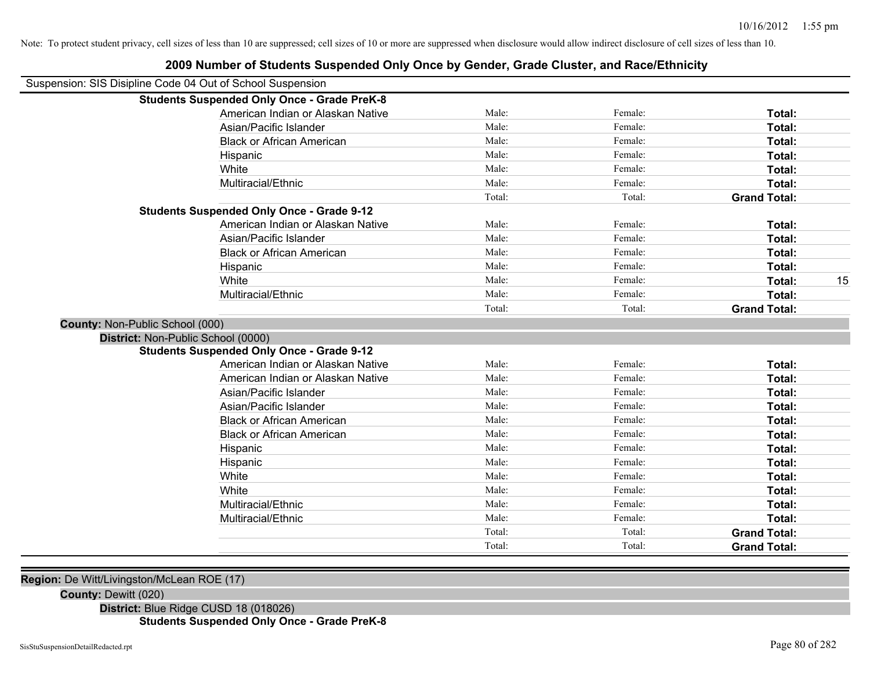|                                 | Suspension: SIS Disipline Code 04 Out of School Suspension |        |         |                     |
|---------------------------------|------------------------------------------------------------|--------|---------|---------------------|
|                                 | <b>Students Suspended Only Once - Grade PreK-8</b>         |        |         |                     |
|                                 | American Indian or Alaskan Native                          | Male:  | Female: | Total:              |
|                                 | Asian/Pacific Islander                                     | Male:  | Female: | Total:              |
|                                 | <b>Black or African American</b>                           | Male:  | Female: | <b>Total:</b>       |
|                                 | Hispanic                                                   | Male:  | Female: | Total:              |
|                                 | White                                                      | Male:  | Female: | Total:              |
|                                 | Multiracial/Ethnic                                         | Male:  | Female: | Total:              |
|                                 |                                                            | Total: | Total:  | <b>Grand Total:</b> |
|                                 | <b>Students Suspended Only Once - Grade 9-12</b>           |        |         |                     |
|                                 | American Indian or Alaskan Native                          | Male:  | Female: | Total:              |
|                                 | Asian/Pacific Islander                                     | Male:  | Female: | Total:              |
|                                 | <b>Black or African American</b>                           | Male:  | Female: | Total:              |
|                                 | Hispanic                                                   | Male:  | Female: | Total:              |
|                                 | White                                                      | Male:  | Female: | Total:              |
|                                 | Multiracial/Ethnic                                         | Male:  | Female: | Total:              |
|                                 |                                                            | Total: | Total:  | <b>Grand Total:</b> |
| County: Non-Public School (000) |                                                            |        |         |                     |
|                                 | District: Non-Public School (0000)                         |        |         |                     |
|                                 | <b>Students Suspended Only Once - Grade 9-12</b>           |        |         |                     |
|                                 | American Indian or Alaskan Native                          | Male:  | Female: | Total:              |
|                                 | American Indian or Alaskan Native                          | Male:  | Female: | Total:              |
|                                 | Asian/Pacific Islander                                     | Male:  | Female: | Total:              |
|                                 | Asian/Pacific Islander                                     | Male:  | Female: | Total:              |
|                                 | <b>Black or African American</b>                           | Male:  | Female: | Total:              |
|                                 | <b>Black or African American</b>                           | Male:  | Female: | Total:              |
|                                 | Hispanic                                                   | Male:  | Female: | Total:              |
|                                 | Hispanic                                                   | Male:  | Female: | Total:              |
|                                 | White                                                      | Male:  | Female: | Total:              |
|                                 | White                                                      | Male:  | Female: | Total:              |
|                                 | Multiracial/Ethnic                                         | Male:  | Female: | Total:              |
|                                 | Multiracial/Ethnic                                         | Male:  | Female: | Total:              |
|                                 |                                                            | Total: | Total:  | <b>Grand Total:</b> |
|                                 |                                                            | Total: | Total:  | <b>Grand Total:</b> |

#### **2009 Number of Students Suspended Only Once by Gender, Grade Cluster, and Race/Ethnicity**

#### **County:** Dewitt (020)

**District:** Blue Ridge CUSD 18 (018026)

# **Students Suspended Only Once - Grade PreK-8**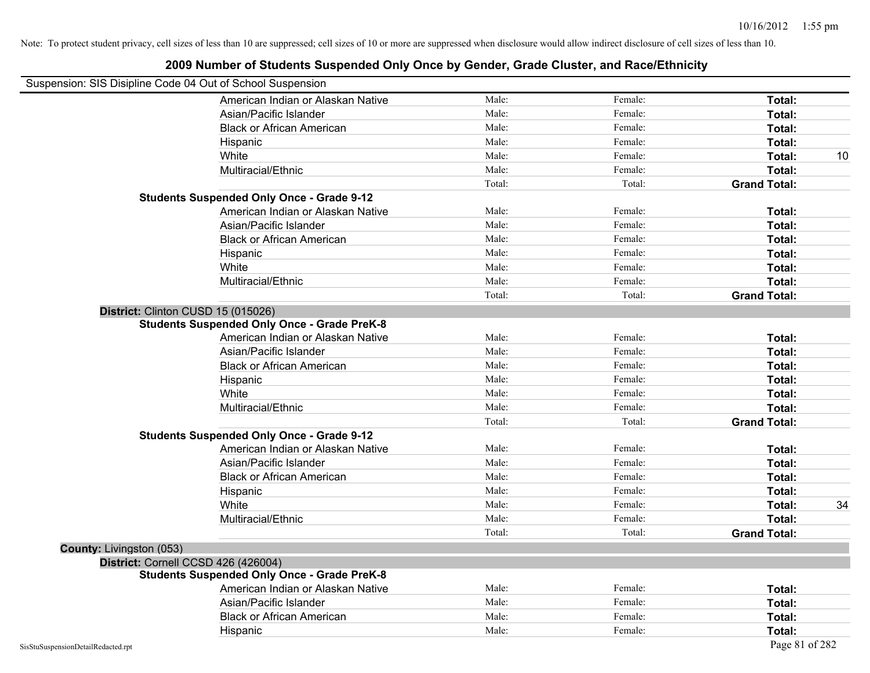|                                    | 2009 Number of Students Suspended Only Once by Gender, Grade Cluster, and Race/Ethnicity |        |         |                     |
|------------------------------------|------------------------------------------------------------------------------------------|--------|---------|---------------------|
|                                    | Suspension: SIS Disipline Code 04 Out of School Suspension                               |        |         |                     |
|                                    | American Indian or Alaskan Native                                                        | Male:  | Female: | Total:              |
|                                    | Asian/Pacific Islander                                                                   | Male:  | Female: | Total:              |
|                                    | <b>Black or African American</b>                                                         | Male:  | Female: | Total:              |
|                                    | Hispanic                                                                                 | Male:  | Female: | Total:              |
|                                    | White                                                                                    | Male:  | Female: | Total:              |
|                                    | Multiracial/Ethnic                                                                       | Male:  | Female: | Total:              |
|                                    |                                                                                          | Total: | Total:  | <b>Grand Total:</b> |
|                                    | <b>Students Suspended Only Once - Grade 9-12</b>                                         |        |         |                     |
|                                    | American Indian or Alaskan Native                                                        | Male:  | Female: | Total:              |
|                                    | Asian/Pacific Islander                                                                   | Male:  | Female: | Total:              |
|                                    | <b>Black or African American</b>                                                         | Male:  | Female: | Total:              |
|                                    | Hispanic                                                                                 | Male:  | Female: | Total:              |
|                                    | White                                                                                    | Male:  | Female: | Total:              |
|                                    | Multiracial/Ethnic                                                                       | Male:  | Female: | Total:              |
|                                    |                                                                                          | Total: | Total:  | <b>Grand Total:</b> |
|                                    | District: Clinton CUSD 15 (015026)                                                       |        |         |                     |
|                                    | <b>Students Suspended Only Once - Grade PreK-8</b>                                       |        |         |                     |
|                                    | American Indian or Alaskan Native                                                        | Male:  | Female: | Total:              |
|                                    | Asian/Pacific Islander                                                                   | Male:  | Female: | Total:              |
|                                    | <b>Black or African American</b>                                                         | Male:  | Female: | Total:              |
|                                    | Hispanic                                                                                 | Male:  | Female: | Total:              |
|                                    | White                                                                                    | Male:  | Female: | Total:              |
|                                    | Multiracial/Ethnic                                                                       | Male:  | Female: | Total:              |
|                                    |                                                                                          | Total: | Total:  | <b>Grand Total:</b> |
|                                    | <b>Students Suspended Only Once - Grade 9-12</b>                                         |        |         |                     |
|                                    | American Indian or Alaskan Native                                                        | Male:  | Female: | Total:              |
|                                    | Asian/Pacific Islander                                                                   | Male:  | Female: | Total:              |
|                                    | <b>Black or African American</b>                                                         | Male:  | Female: | Total:              |
|                                    | Hispanic                                                                                 | Male:  | Female: | Total:              |
|                                    | White                                                                                    | Male:  | Female: | Total:              |
|                                    | Multiracial/Ethnic                                                                       | Male:  | Female: | Total:              |
|                                    |                                                                                          | Total: | Total:  | <b>Grand Total:</b> |
| <b>County: Livingston (053)</b>    |                                                                                          |        |         |                     |
|                                    | District: Cornell CCSD 426 (426004)                                                      |        |         |                     |
|                                    | <b>Students Suspended Only Once - Grade PreK-8</b>                                       |        |         |                     |
|                                    | American Indian or Alaskan Native                                                        | Male:  | Female: | Total:              |
|                                    | Asian/Pacific Islander                                                                   | Male:  | Female: | Total:              |
|                                    | <b>Black or African American</b>                                                         | Male:  | Female: | Total:              |
|                                    | Hispanic                                                                                 | Male:  | Female: | Total:              |
| SisStuSuspensionDetailRedacted.rpt |                                                                                          |        |         | Page 81 of 282      |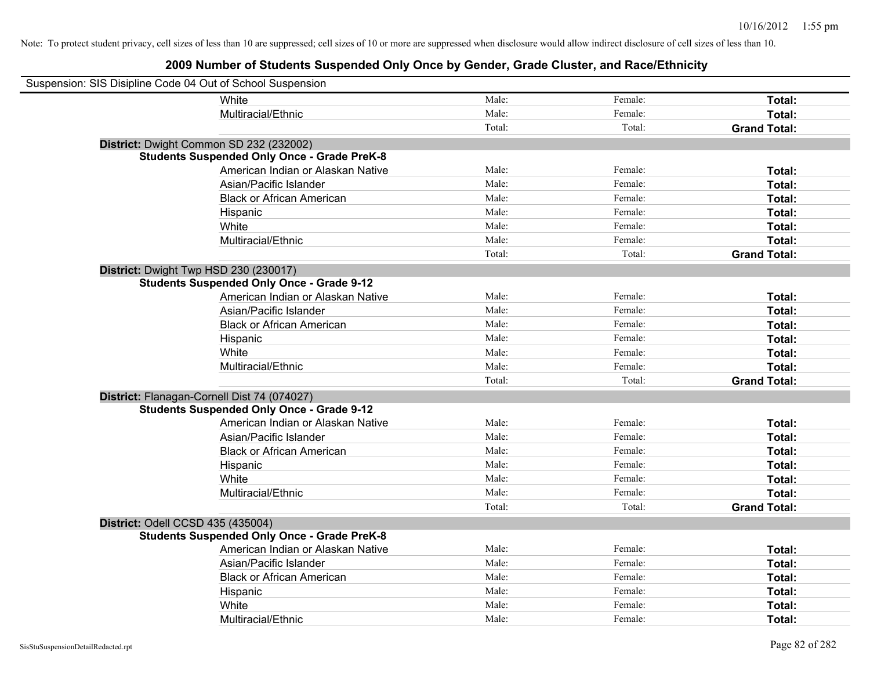| Suspension: SIS Disipline Code 04 Out of School Suspension |                                                    |        |         |                     |
|------------------------------------------------------------|----------------------------------------------------|--------|---------|---------------------|
|                                                            | White                                              | Male:  | Female: | Total:              |
|                                                            | Multiracial/Ethnic                                 | Male:  | Female: | Total:              |
|                                                            |                                                    | Total: | Total:  | <b>Grand Total:</b> |
| District: Dwight Common SD 232 (232002)                    |                                                    |        |         |                     |
|                                                            | <b>Students Suspended Only Once - Grade PreK-8</b> |        |         |                     |
|                                                            | American Indian or Alaskan Native                  | Male:  | Female: | Total:              |
|                                                            | Asian/Pacific Islander                             | Male:  | Female: | Total:              |
|                                                            | <b>Black or African American</b>                   | Male:  | Female: | Total:              |
|                                                            | Hispanic                                           | Male:  | Female: | Total:              |
|                                                            | White                                              | Male:  | Female: | Total:              |
|                                                            | Multiracial/Ethnic                                 | Male:  | Female: | Total:              |
|                                                            |                                                    | Total: | Total:  | <b>Grand Total:</b> |
| District: Dwight Twp HSD 230 (230017)                      |                                                    |        |         |                     |
|                                                            | <b>Students Suspended Only Once - Grade 9-12</b>   |        |         |                     |
|                                                            | American Indian or Alaskan Native                  | Male:  | Female: | Total:              |
|                                                            | Asian/Pacific Islander                             | Male:  | Female: | Total:              |
|                                                            | <b>Black or African American</b>                   | Male:  | Female: | Total:              |
|                                                            | Hispanic                                           | Male:  | Female: | Total:              |
|                                                            | White                                              | Male:  | Female: | Total:              |
|                                                            | Multiracial/Ethnic                                 | Male:  | Female: | Total:              |
|                                                            |                                                    | Total: | Total:  | <b>Grand Total:</b> |
| District: Flanagan-Cornell Dist 74 (074027)                |                                                    |        |         |                     |
|                                                            | <b>Students Suspended Only Once - Grade 9-12</b>   |        |         |                     |
|                                                            | American Indian or Alaskan Native                  | Male:  | Female: | Total:              |
|                                                            | Asian/Pacific Islander                             | Male:  | Female: | Total:              |
|                                                            | <b>Black or African American</b>                   | Male:  | Female: | Total:              |
|                                                            | Hispanic                                           | Male:  | Female: | Total:              |
|                                                            | White                                              | Male:  | Female: | Total:              |
|                                                            | Multiracial/Ethnic                                 | Male:  | Female: | Total:              |
|                                                            |                                                    | Total: | Total:  | <b>Grand Total:</b> |
| District: Odell CCSD 435 (435004)                          |                                                    |        |         |                     |
|                                                            | <b>Students Suspended Only Once - Grade PreK-8</b> |        |         |                     |
|                                                            | American Indian or Alaskan Native                  | Male:  | Female: | Total:              |
|                                                            | Asian/Pacific Islander                             | Male:  | Female: | Total:              |
|                                                            | <b>Black or African American</b>                   | Male:  | Female: | Total:              |
|                                                            | Hispanic                                           | Male:  | Female: | Total:              |
|                                                            | White                                              | Male:  | Female: | Total:              |
|                                                            | Multiracial/Ethnic                                 | Male:  | Female: | Total:              |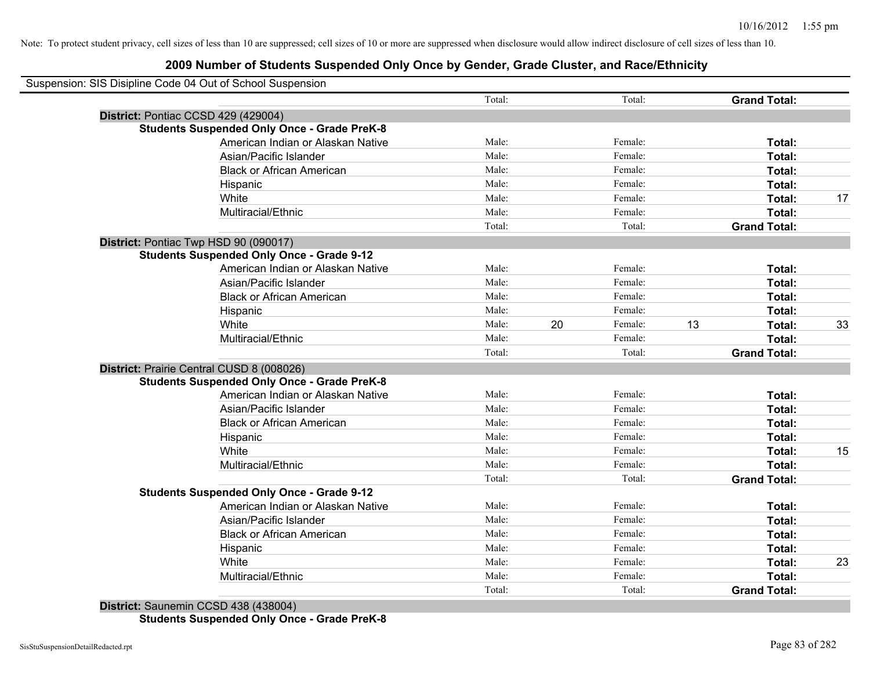# **2009 Number of Students Suspended Only Once by Gender, Grade Cluster, and Race/Ethnicity**

| Suspension: SIS Disipline Code 04 Out of School Suspension |        |    |         |    |                     |    |
|------------------------------------------------------------|--------|----|---------|----|---------------------|----|
|                                                            | Total: |    | Total:  |    | <b>Grand Total:</b> |    |
| District: Pontiac CCSD 429 (429004)                        |        |    |         |    |                     |    |
| <b>Students Suspended Only Once - Grade PreK-8</b>         |        |    |         |    |                     |    |
| American Indian or Alaskan Native                          | Male:  |    | Female: |    | Total:              |    |
| Asian/Pacific Islander                                     | Male:  |    | Female: |    | Total:              |    |
| <b>Black or African American</b>                           | Male:  |    | Female: |    | Total:              |    |
| Hispanic                                                   | Male:  |    | Female: |    | Total:              |    |
| White                                                      | Male:  |    | Female: |    | Total:              | 17 |
| Multiracial/Ethnic                                         | Male:  |    | Female: |    | Total:              |    |
|                                                            | Total: |    | Total:  |    | <b>Grand Total:</b> |    |
| District: Pontiac Twp HSD 90 (090017)                      |        |    |         |    |                     |    |
| <b>Students Suspended Only Once - Grade 9-12</b>           |        |    |         |    |                     |    |
| American Indian or Alaskan Native                          | Male:  |    | Female: |    | Total:              |    |
| Asian/Pacific Islander                                     | Male:  |    | Female: |    | Total:              |    |
| <b>Black or African American</b>                           | Male:  |    | Female: |    | Total:              |    |
| Hispanic                                                   | Male:  |    | Female: |    | Total:              |    |
| White                                                      | Male:  | 20 | Female: | 13 | Total:              | 33 |
| Multiracial/Ethnic                                         | Male:  |    | Female: |    | Total:              |    |
|                                                            | Total: |    | Total:  |    | <b>Grand Total:</b> |    |
| District: Prairie Central CUSD 8 (008026)                  |        |    |         |    |                     |    |
| <b>Students Suspended Only Once - Grade PreK-8</b>         |        |    |         |    |                     |    |
| American Indian or Alaskan Native                          | Male:  |    | Female: |    | Total:              |    |
| Asian/Pacific Islander                                     | Male:  |    | Female: |    | Total:              |    |
| <b>Black or African American</b>                           | Male:  |    | Female: |    | Total:              |    |
| Hispanic                                                   | Male:  |    | Female: |    | Total:              |    |
| White                                                      | Male:  |    | Female: |    | Total:              | 15 |
| Multiracial/Ethnic                                         | Male:  |    | Female: |    | Total:              |    |
|                                                            | Total: |    | Total:  |    | <b>Grand Total:</b> |    |
| <b>Students Suspended Only Once - Grade 9-12</b>           |        |    |         |    |                     |    |
| American Indian or Alaskan Native                          | Male:  |    | Female: |    | Total:              |    |
| Asian/Pacific Islander                                     | Male:  |    | Female: |    | Total:              |    |
| <b>Black or African American</b>                           | Male:  |    | Female: |    | Total:              |    |
| Hispanic                                                   | Male:  |    | Female: |    | Total:              |    |
| White                                                      | Male:  |    | Female: |    | Total:              | 23 |
| Multiracial/Ethnic                                         | Male:  |    | Female: |    | Total:              |    |
|                                                            | Total: |    | Total:  |    | <b>Grand Total:</b> |    |
|                                                            |        |    |         |    |                     |    |

**District:** Saunemin CCSD 438 (438004) **Students Suspended Only Once - Grade PreK-8**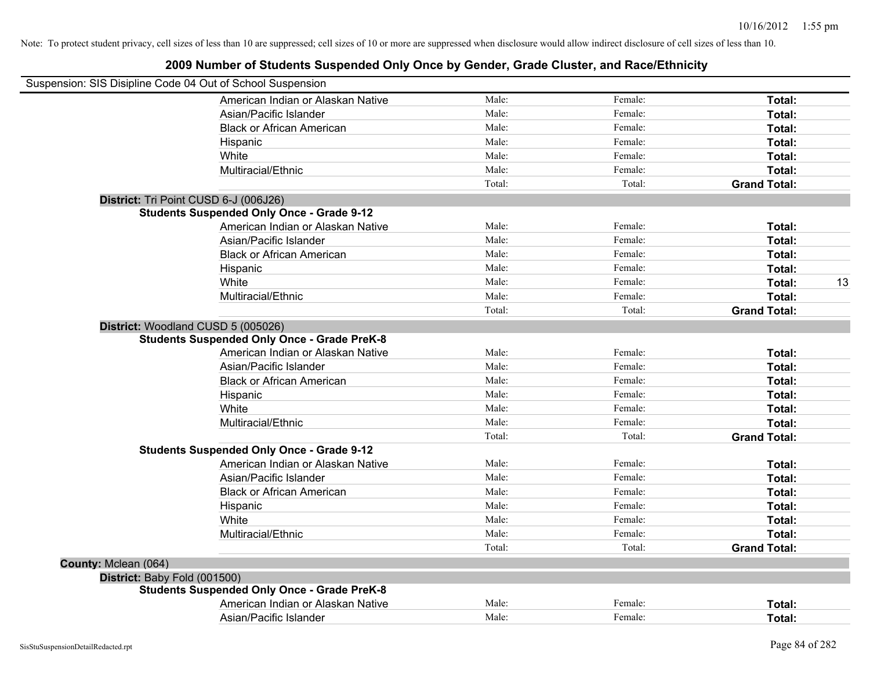|                              | Suspension: SIS Disipline Code 04 Out of School Suspension                               |        |         |                     |
|------------------------------|------------------------------------------------------------------------------------------|--------|---------|---------------------|
|                              | American Indian or Alaskan Native                                                        | Male:  | Female: | Total:              |
|                              | Asian/Pacific Islander                                                                   | Male:  | Female: | Total:              |
|                              | <b>Black or African American</b>                                                         | Male:  | Female: | Total:              |
|                              | Hispanic                                                                                 | Male:  | Female: | Total:              |
|                              | White                                                                                    | Male:  | Female: | Total:              |
|                              | Multiracial/Ethnic                                                                       | Male:  | Female: | Total:              |
|                              |                                                                                          | Total: | Total:  | <b>Grand Total:</b> |
|                              | District: Tri Point CUSD 6-J (006J26)                                                    |        |         |                     |
|                              | <b>Students Suspended Only Once - Grade 9-12</b>                                         |        |         |                     |
|                              | American Indian or Alaskan Native                                                        | Male:  | Female: | Total:              |
|                              | Asian/Pacific Islander                                                                   | Male:  | Female: | Total:              |
|                              | <b>Black or African American</b>                                                         | Male:  | Female: | Total:              |
|                              | Hispanic                                                                                 | Male:  | Female: | Total:              |
|                              | White                                                                                    | Male:  | Female: | 13<br>Total:        |
|                              | Multiracial/Ethnic                                                                       | Male:  | Female: | Total:              |
|                              |                                                                                          | Total: | Total:  | <b>Grand Total:</b> |
|                              | District: Woodland CUSD 5 (005026)<br><b>Students Suspended Only Once - Grade PreK-8</b> |        |         |                     |
|                              | American Indian or Alaskan Native                                                        | Male:  | Female: | Total:              |
|                              | Asian/Pacific Islander                                                                   | Male:  | Female: | Total:              |
|                              | <b>Black or African American</b>                                                         | Male:  | Female: | Total:              |
|                              | Hispanic                                                                                 | Male:  | Female: | Total:              |
|                              | White                                                                                    | Male:  | Female: | Total:              |
|                              | Multiracial/Ethnic                                                                       | Male:  | Female: | Total:              |
|                              |                                                                                          | Total: | Total:  | <b>Grand Total:</b> |
|                              | <b>Students Suspended Only Once - Grade 9-12</b>                                         |        |         |                     |
|                              | American Indian or Alaskan Native                                                        | Male:  | Female: | Total:              |
|                              | Asian/Pacific Islander                                                                   | Male:  | Female: | Total:              |
|                              | <b>Black or African American</b>                                                         | Male:  | Female: | Total:              |
|                              | Hispanic                                                                                 | Male:  | Female: | Total:              |
|                              | White                                                                                    | Male:  | Female: | Total:              |
|                              | Multiracial/Ethnic                                                                       | Male:  | Female: | Total:              |
|                              |                                                                                          | Total: | Total:  | <b>Grand Total:</b> |
| County: Mclean (064)         |                                                                                          |        |         |                     |
| District: Baby Fold (001500) |                                                                                          |        |         |                     |
|                              | <b>Students Suspended Only Once - Grade PreK-8</b>                                       |        |         |                     |
|                              | American Indian or Alaskan Native                                                        | Male:  | Female: | Total:              |
|                              | Asian/Pacific Islander                                                                   | Male:  | Female: | Total:              |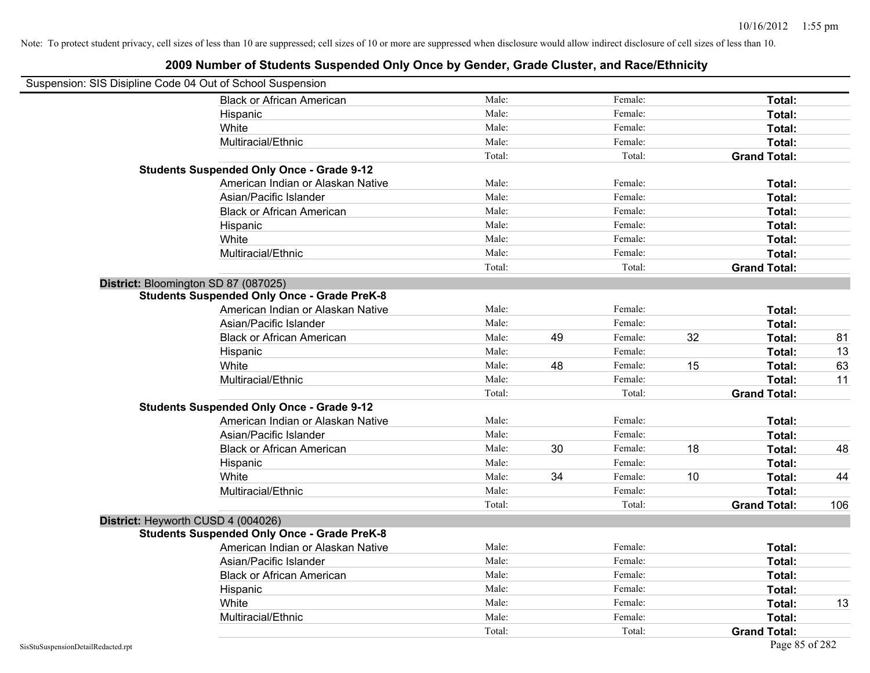| Suspension: SIS Disipline Code 04 Out of School Suspension |                                                    |        |    |         |    |                     |     |
|------------------------------------------------------------|----------------------------------------------------|--------|----|---------|----|---------------------|-----|
|                                                            | <b>Black or African American</b>                   | Male:  |    | Female: |    | Total:              |     |
|                                                            | Hispanic                                           | Male:  |    | Female: |    | Total:              |     |
|                                                            | White                                              | Male:  |    | Female: |    | Total:              |     |
|                                                            | Multiracial/Ethnic                                 | Male:  |    | Female: |    | Total:              |     |
|                                                            |                                                    | Total: |    | Total:  |    | <b>Grand Total:</b> |     |
|                                                            | <b>Students Suspended Only Once - Grade 9-12</b>   |        |    |         |    |                     |     |
|                                                            | American Indian or Alaskan Native                  | Male:  |    | Female: |    | Total:              |     |
|                                                            | Asian/Pacific Islander                             | Male:  |    | Female: |    | Total:              |     |
|                                                            | <b>Black or African American</b>                   | Male:  |    | Female: |    | Total:              |     |
|                                                            | Hispanic                                           | Male:  |    | Female: |    | Total:              |     |
|                                                            | White                                              | Male:  |    | Female: |    | Total:              |     |
|                                                            | Multiracial/Ethnic                                 | Male:  |    | Female: |    | Total:              |     |
|                                                            |                                                    | Total: |    | Total:  |    | <b>Grand Total:</b> |     |
| District: Bloomington SD 87 (087025)                       |                                                    |        |    |         |    |                     |     |
|                                                            | <b>Students Suspended Only Once - Grade PreK-8</b> |        |    |         |    |                     |     |
|                                                            | American Indian or Alaskan Native                  | Male:  |    | Female: |    | Total:              |     |
|                                                            | Asian/Pacific Islander                             | Male:  |    | Female: |    | Total:              |     |
|                                                            | <b>Black or African American</b>                   | Male:  | 49 | Female: | 32 | Total:              | 81  |
|                                                            | Hispanic                                           | Male:  |    | Female: |    | Total:              | 13  |
|                                                            | White                                              | Male:  | 48 | Female: | 15 | Total:              | 63  |
|                                                            | Multiracial/Ethnic                                 | Male:  |    | Female: |    | Total:              | 11  |
|                                                            |                                                    | Total: |    | Total:  |    | <b>Grand Total:</b> |     |
|                                                            | <b>Students Suspended Only Once - Grade 9-12</b>   |        |    |         |    |                     |     |
|                                                            | American Indian or Alaskan Native                  | Male:  |    | Female: |    | Total:              |     |
|                                                            | Asian/Pacific Islander                             | Male:  |    | Female: |    | Total:              |     |
|                                                            | <b>Black or African American</b>                   | Male:  | 30 | Female: | 18 | Total:              | 48  |
|                                                            | Hispanic                                           | Male:  |    | Female: |    | Total:              |     |
|                                                            | White                                              | Male:  | 34 | Female: | 10 | Total:              | 44  |
|                                                            | Multiracial/Ethnic                                 | Male:  |    | Female: |    | Total:              |     |
|                                                            |                                                    | Total: |    | Total:  |    | <b>Grand Total:</b> | 106 |
| District: Heyworth CUSD 4 (004026)                         |                                                    |        |    |         |    |                     |     |
|                                                            | <b>Students Suspended Only Once - Grade PreK-8</b> |        |    |         |    |                     |     |
|                                                            | American Indian or Alaskan Native                  | Male:  |    | Female: |    | Total:              |     |
|                                                            | Asian/Pacific Islander                             | Male:  |    | Female: |    | Total:              |     |
|                                                            | <b>Black or African American</b>                   | Male:  |    | Female: |    | Total:              |     |
|                                                            | Hispanic                                           | Male:  |    | Female: |    | Total:              |     |
|                                                            | White                                              | Male:  |    | Female: |    | Total:              | 13  |
|                                                            | Multiracial/Ethnic                                 | Male:  |    | Female: |    | Total:              |     |
|                                                            |                                                    | Total: |    | Total:  |    | <b>Grand Total:</b> |     |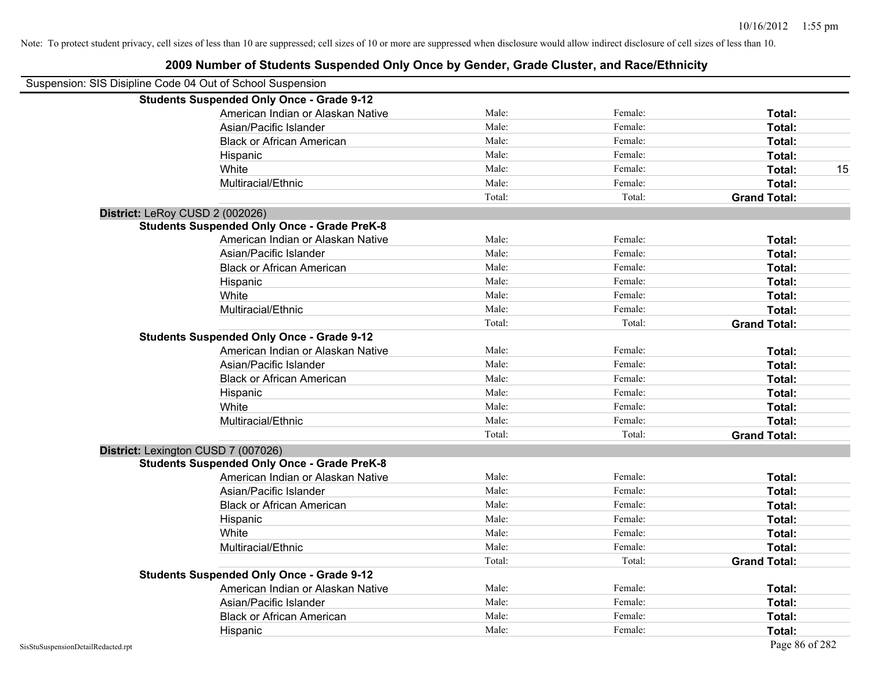| Suspension: SIS Disipline Code 04 Out of School Suspension |                                                    |        |         |                     |    |
|------------------------------------------------------------|----------------------------------------------------|--------|---------|---------------------|----|
|                                                            | <b>Students Suspended Only Once - Grade 9-12</b>   |        |         |                     |    |
|                                                            | American Indian or Alaskan Native                  | Male:  | Female: | Total:              |    |
|                                                            | Asian/Pacific Islander                             | Male:  | Female: | Total:              |    |
|                                                            | <b>Black or African American</b>                   | Male:  | Female: | Total:              |    |
|                                                            | Hispanic                                           | Male:  | Female: | Total:              |    |
|                                                            | White                                              | Male:  | Female: | Total:              | 15 |
|                                                            | Multiracial/Ethnic                                 | Male:  | Female: | Total:              |    |
|                                                            |                                                    | Total: | Total:  | <b>Grand Total:</b> |    |
|                                                            | District: LeRoy CUSD 2 (002026)                    |        |         |                     |    |
|                                                            | <b>Students Suspended Only Once - Grade PreK-8</b> |        |         |                     |    |
|                                                            | American Indian or Alaskan Native                  | Male:  | Female: | Total:              |    |
|                                                            | Asian/Pacific Islander                             | Male:  | Female: | Total:              |    |
|                                                            | <b>Black or African American</b>                   | Male:  | Female: | Total:              |    |
|                                                            | Hispanic                                           | Male:  | Female: | Total:              |    |
|                                                            | White                                              | Male:  | Female: | Total:              |    |
|                                                            | Multiracial/Ethnic                                 | Male:  | Female: | Total:              |    |
|                                                            |                                                    | Total: | Total:  | <b>Grand Total:</b> |    |
|                                                            | <b>Students Suspended Only Once - Grade 9-12</b>   |        |         |                     |    |
|                                                            | American Indian or Alaskan Native                  | Male:  | Female: | Total:              |    |
|                                                            | Asian/Pacific Islander                             | Male:  | Female: | Total:              |    |
|                                                            | <b>Black or African American</b>                   | Male:  | Female: | Total:              |    |
|                                                            | Hispanic                                           | Male:  | Female: | Total:              |    |
|                                                            | White                                              | Male:  | Female: | Total:              |    |
|                                                            | Multiracial/Ethnic                                 | Male:  | Female: | Total:              |    |
|                                                            |                                                    | Total: | Total:  | <b>Grand Total:</b> |    |
|                                                            | District: Lexington CUSD 7 (007026)                |        |         |                     |    |
|                                                            | <b>Students Suspended Only Once - Grade PreK-8</b> |        |         |                     |    |
|                                                            | American Indian or Alaskan Native                  | Male:  | Female: | Total:              |    |
|                                                            | Asian/Pacific Islander                             | Male:  | Female: | Total:              |    |
|                                                            | <b>Black or African American</b>                   | Male:  | Female: | Total:              |    |
|                                                            | Hispanic                                           | Male:  | Female: | Total:              |    |
|                                                            | White                                              | Male:  | Female: | Total:              |    |
|                                                            | Multiracial/Ethnic                                 | Male:  | Female: | Total:              |    |
|                                                            |                                                    | Total: | Total:  | <b>Grand Total:</b> |    |
|                                                            | <b>Students Suspended Only Once - Grade 9-12</b>   |        |         |                     |    |
|                                                            | American Indian or Alaskan Native                  | Male:  | Female: | Total:              |    |
|                                                            | Asian/Pacific Islander                             | Male:  | Female: | Total:              |    |
|                                                            | <b>Black or African American</b>                   | Male:  | Female: | Total:              |    |
|                                                            | Hispanic                                           | Male:  | Female: | Total:              |    |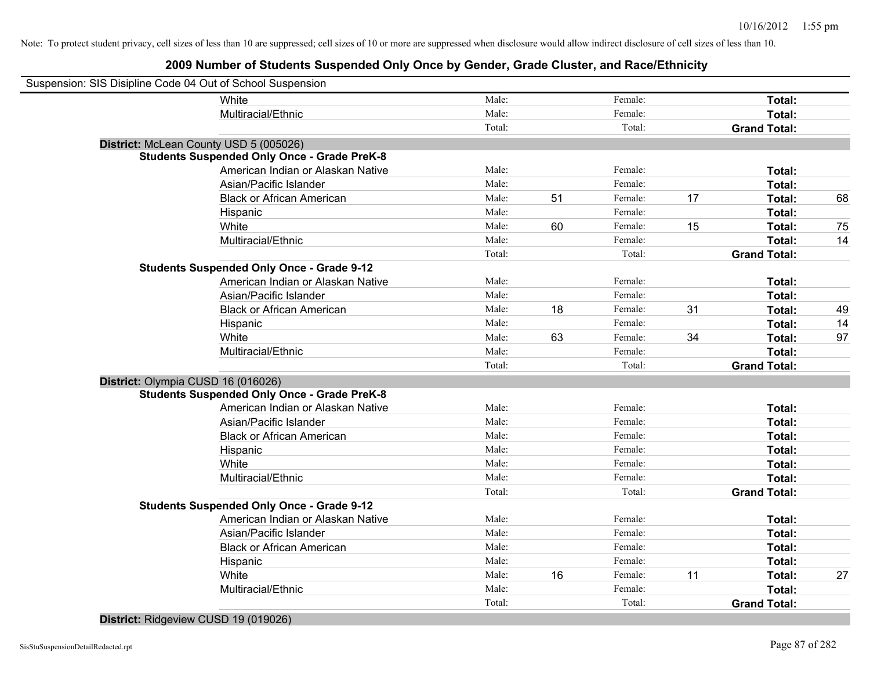# **2009 Number of Students Suspended Only Once by Gender, Grade Cluster, and Race/Ethnicity**

| Suspension: SIS Disipline Code 04 Out of School Suspension |                                                    |        |    |         |    |                     |    |
|------------------------------------------------------------|----------------------------------------------------|--------|----|---------|----|---------------------|----|
|                                                            | White                                              | Male:  |    | Female: |    | Total:              |    |
|                                                            | Multiracial/Ethnic                                 | Male:  |    | Female: |    | Total:              |    |
|                                                            |                                                    | Total: |    | Total:  |    | <b>Grand Total:</b> |    |
| District: McLean County USD 5 (005026)                     |                                                    |        |    |         |    |                     |    |
|                                                            | <b>Students Suspended Only Once - Grade PreK-8</b> |        |    |         |    |                     |    |
|                                                            | American Indian or Alaskan Native                  | Male:  |    | Female: |    | Total:              |    |
|                                                            | Asian/Pacific Islander                             | Male:  |    | Female: |    | Total:              |    |
|                                                            | <b>Black or African American</b>                   | Male:  | 51 | Female: | 17 | Total:              | 68 |
|                                                            | Hispanic                                           | Male:  |    | Female: |    | Total:              |    |
|                                                            | White                                              | Male:  | 60 | Female: | 15 | Total:              | 75 |
|                                                            | Multiracial/Ethnic                                 | Male:  |    | Female: |    | Total:              | 14 |
|                                                            |                                                    | Total: |    | Total:  |    | <b>Grand Total:</b> |    |
|                                                            | <b>Students Suspended Only Once - Grade 9-12</b>   |        |    |         |    |                     |    |
|                                                            | American Indian or Alaskan Native                  | Male:  |    | Female: |    | Total:              |    |
|                                                            | Asian/Pacific Islander                             | Male:  |    | Female: |    | Total:              |    |
|                                                            | <b>Black or African American</b>                   | Male:  | 18 | Female: | 31 | Total:              | 49 |
|                                                            | Hispanic                                           | Male:  |    | Female: |    | Total:              | 14 |
|                                                            | White                                              | Male:  | 63 | Female: | 34 | Total:              | 97 |
|                                                            | Multiracial/Ethnic                                 | Male:  |    | Female: |    | Total:              |    |
|                                                            |                                                    | Total: |    | Total:  |    | <b>Grand Total:</b> |    |
| District: Olympia CUSD 16 (016026)                         |                                                    |        |    |         |    |                     |    |
|                                                            | <b>Students Suspended Only Once - Grade PreK-8</b> |        |    |         |    |                     |    |
|                                                            | American Indian or Alaskan Native                  | Male:  |    | Female: |    | Total:              |    |
|                                                            | Asian/Pacific Islander                             | Male:  |    | Female: |    | Total:              |    |
|                                                            | <b>Black or African American</b>                   | Male:  |    | Female: |    | Total:              |    |
|                                                            | Hispanic                                           | Male:  |    | Female: |    | Total:              |    |
|                                                            | White                                              | Male:  |    | Female: |    | Total:              |    |
|                                                            | Multiracial/Ethnic                                 | Male:  |    | Female: |    | Total:              |    |
|                                                            |                                                    | Total: |    | Total:  |    | <b>Grand Total:</b> |    |
|                                                            | <b>Students Suspended Only Once - Grade 9-12</b>   |        |    |         |    |                     |    |
|                                                            | American Indian or Alaskan Native                  | Male:  |    | Female: |    | Total:              |    |
|                                                            | Asian/Pacific Islander                             | Male:  |    | Female: |    | Total:              |    |
|                                                            | <b>Black or African American</b>                   | Male:  |    | Female: |    | Total:              |    |
|                                                            | Hispanic                                           | Male:  |    | Female: |    | Total:              |    |
|                                                            | White                                              | Male:  | 16 | Female: | 11 | Total:              | 27 |
|                                                            | Multiracial/Ethnic                                 | Male:  |    | Female: |    | Total:              |    |
|                                                            |                                                    | Total: |    | Total:  |    | <b>Grand Total:</b> |    |

#### **District:** Ridgeview CUSD 19 (019026)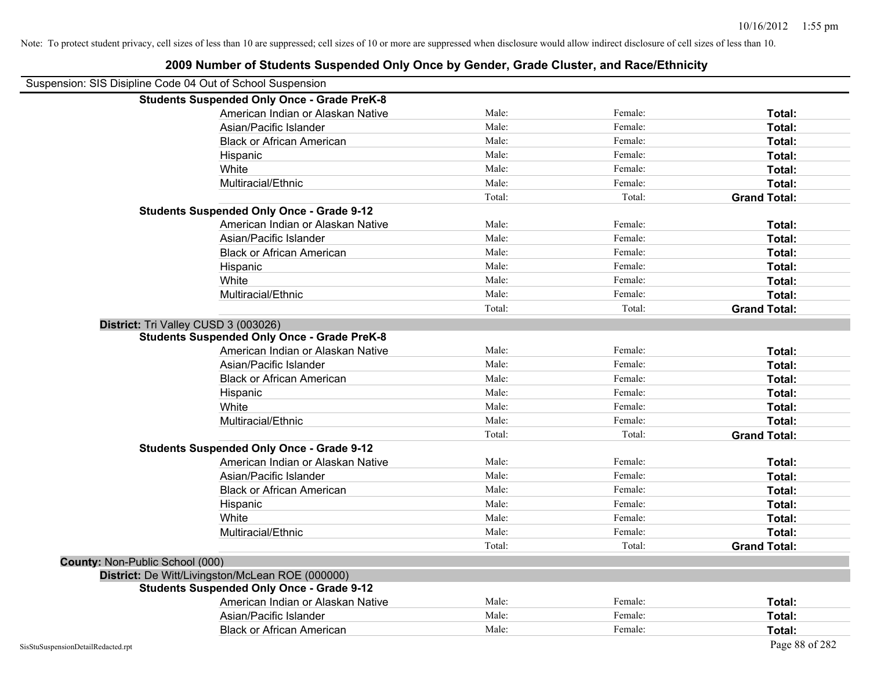|                                                            | 2009 Number of Students Suspended Only Once by Gender, Grade Cluster, and Race/Ethnicity |        |         |                     |
|------------------------------------------------------------|------------------------------------------------------------------------------------------|--------|---------|---------------------|
| Suspension: SIS Disipline Code 04 Out of School Suspension |                                                                                          |        |         |                     |
|                                                            | <b>Students Suspended Only Once - Grade PreK-8</b>                                       |        |         |                     |
|                                                            | American Indian or Alaskan Native                                                        | Male:  | Female: | Total:              |
|                                                            | Asian/Pacific Islander                                                                   | Male:  | Female: | Total:              |
|                                                            | <b>Black or African American</b>                                                         | Male:  | Female: | Total:              |
|                                                            | Hispanic                                                                                 | Male:  | Female: | Total:              |
|                                                            | White                                                                                    | Male:  | Female: | Total:              |
|                                                            | Multiracial/Ethnic                                                                       | Male:  | Female: | Total:              |
|                                                            |                                                                                          | Total: | Total:  | <b>Grand Total:</b> |
|                                                            | <b>Students Suspended Only Once - Grade 9-12</b>                                         |        |         |                     |
|                                                            | American Indian or Alaskan Native                                                        | Male:  | Female: | Total:              |
|                                                            | Asian/Pacific Islander                                                                   | Male:  | Female: | Total:              |
|                                                            | <b>Black or African American</b>                                                         | Male:  | Female: | Total:              |
|                                                            | Hispanic                                                                                 | Male:  | Female: | Total:              |
|                                                            | White                                                                                    | Male:  | Female: | Total:              |
|                                                            | Multiracial/Ethnic                                                                       | Male:  | Female: | Total:              |
|                                                            |                                                                                          | Total: | Total:  | <b>Grand Total:</b> |
|                                                            | District: Tri Valley CUSD 3 (003026)                                                     |        |         |                     |
|                                                            | <b>Students Suspended Only Once - Grade PreK-8</b>                                       |        |         |                     |
|                                                            | American Indian or Alaskan Native                                                        | Male:  | Female: | Total:              |
|                                                            | Asian/Pacific Islander                                                                   | Male:  | Female: | Total:              |
|                                                            | <b>Black or African American</b>                                                         | Male:  | Female: | Total:              |
|                                                            | Hispanic                                                                                 | Male:  | Female: | Total:              |
|                                                            | White                                                                                    | Male:  | Female: | Total:              |
|                                                            | Multiracial/Ethnic                                                                       | Male:  | Female: | Total:              |
|                                                            |                                                                                          | Total: | Total:  | <b>Grand Total:</b> |
|                                                            | <b>Students Suspended Only Once - Grade 9-12</b>                                         |        |         |                     |
|                                                            | American Indian or Alaskan Native                                                        | Male:  | Female: | Total:              |
|                                                            | Asian/Pacific Islander                                                                   | Male:  | Female: | Total:              |
|                                                            | <b>Black or African American</b>                                                         | Male:  | Female: | Total:              |
|                                                            | Hispanic                                                                                 | Male:  | Female: | Total:              |
|                                                            | White                                                                                    | Male:  | Female: | Total:              |
|                                                            | Multiracial/Ethnic                                                                       | Male:  | Female: | Total:              |
|                                                            |                                                                                          | Total: | Total:  | <b>Grand Total:</b> |
| <b>County: Non-Public School (000)</b>                     |                                                                                          |        |         |                     |
|                                                            | District: De Witt/Livingston/McLean ROE (000000)                                         |        |         |                     |
|                                                            | <b>Students Suspended Only Once - Grade 9-12</b>                                         |        |         |                     |
|                                                            | American Indian or Alaskan Native                                                        | Male:  | Female: | Total:              |
|                                                            | Asian/Pacific Islander                                                                   | Male:  | Female: | Total:              |
|                                                            | <b>Black or African American</b>                                                         | Male:  | Female: | Total:              |
| SisStuSuspensionDetailRedacted.rpt                         |                                                                                          |        |         | Page 88 of 282      |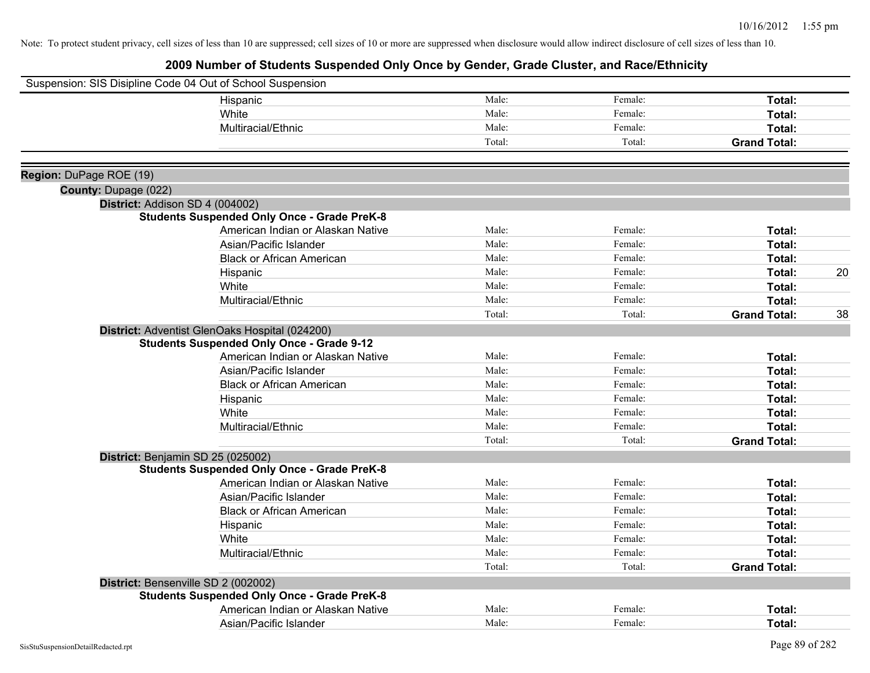|                         | Suspension: SIS Disipline Code 04 Out of School Suspension |        |         |                     |    |
|-------------------------|------------------------------------------------------------|--------|---------|---------------------|----|
|                         | Hispanic                                                   | Male:  | Female: | Total:              |    |
|                         | White                                                      | Male:  | Female: | Total:              |    |
|                         | Multiracial/Ethnic                                         | Male:  | Female: | <b>Total:</b>       |    |
|                         |                                                            | Total: | Total:  | <b>Grand Total:</b> |    |
|                         |                                                            |        |         |                     |    |
| Region: DuPage ROE (19) |                                                            |        |         |                     |    |
| County: Dupage (022)    |                                                            |        |         |                     |    |
|                         | District: Addison SD 4 (004002)                            |        |         |                     |    |
|                         | <b>Students Suspended Only Once - Grade PreK-8</b>         |        |         |                     |    |
|                         | American Indian or Alaskan Native                          | Male:  | Female: | Total:              |    |
|                         | Asian/Pacific Islander                                     | Male:  | Female: | Total:              |    |
|                         | <b>Black or African American</b>                           | Male:  | Female: | Total:              |    |
|                         | Hispanic                                                   | Male:  | Female: | Total:              | 20 |
|                         | White                                                      | Male:  | Female: | Total:              |    |
|                         | Multiracial/Ethnic                                         | Male:  | Female: | <b>Total:</b>       |    |
|                         |                                                            | Total: | Total:  | <b>Grand Total:</b> | 38 |
|                         | District: Adventist GlenOaks Hospital (024200)             |        |         |                     |    |
|                         | <b>Students Suspended Only Once - Grade 9-12</b>           |        |         |                     |    |
|                         | American Indian or Alaskan Native                          | Male:  | Female: | Total:              |    |
|                         | Asian/Pacific Islander                                     | Male:  | Female: | <b>Total:</b>       |    |
|                         | <b>Black or African American</b>                           | Male:  | Female: | Total:              |    |
|                         | Hispanic                                                   | Male:  | Female: | Total:              |    |
|                         | White                                                      | Male:  | Female: | Total:              |    |
|                         | Multiracial/Ethnic                                         | Male:  | Female: | Total:              |    |
|                         |                                                            | Total: | Total:  | <b>Grand Total:</b> |    |
|                         | District: Benjamin SD 25 (025002)                          |        |         |                     |    |
|                         | <b>Students Suspended Only Once - Grade PreK-8</b>         |        |         |                     |    |
|                         | American Indian or Alaskan Native                          | Male:  | Female: | Total:              |    |
|                         | Asian/Pacific Islander                                     | Male:  | Female: | <b>Total:</b>       |    |
|                         | <b>Black or African American</b>                           | Male:  | Female: | Total:              |    |
|                         | Hispanic                                                   | Male:  | Female: | Total:              |    |
|                         | White                                                      | Male:  | Female: | Total:              |    |
|                         | Multiracial/Ethnic                                         | Male:  | Female: | Total:              |    |
|                         |                                                            | Total: | Total:  | <b>Grand Total:</b> |    |
|                         | District: Bensenville SD 2 (002002)                        |        |         |                     |    |
|                         | <b>Students Suspended Only Once - Grade PreK-8</b>         |        |         |                     |    |
|                         | American Indian or Alaskan Native                          | Male:  | Female: | <b>Total:</b>       |    |
|                         | Asian/Pacific Islander                                     | Male:  | Female: | Total:              |    |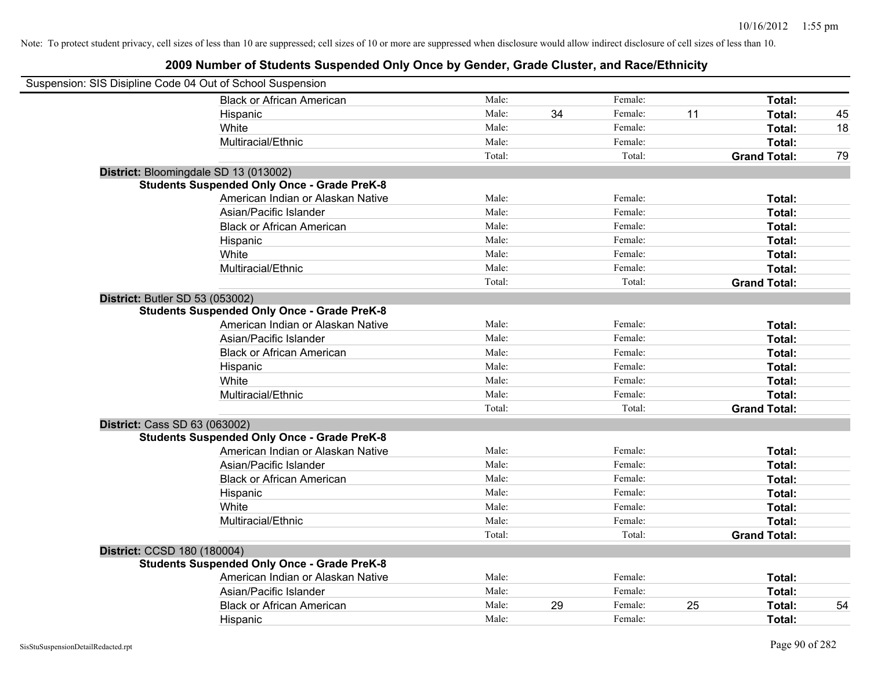| Suspension: SIS Disipline Code 04 Out of School Suspension |        |    |         |    |                     |    |
|------------------------------------------------------------|--------|----|---------|----|---------------------|----|
| <b>Black or African American</b>                           | Male:  |    | Female: |    | Total:              |    |
| Hispanic                                                   | Male:  | 34 | Female: | 11 | Total:              | 45 |
| White                                                      | Male:  |    | Female: |    | Total:              | 18 |
| Multiracial/Ethnic                                         | Male:  |    | Female: |    | Total:              |    |
|                                                            | Total: |    | Total:  |    | <b>Grand Total:</b> | 79 |
| District: Bloomingdale SD 13 (013002)                      |        |    |         |    |                     |    |
| <b>Students Suspended Only Once - Grade PreK-8</b>         |        |    |         |    |                     |    |
| American Indian or Alaskan Native                          | Male:  |    | Female: |    | Total:              |    |
| Asian/Pacific Islander                                     | Male:  |    | Female: |    | Total:              |    |
| <b>Black or African American</b>                           | Male:  |    | Female: |    | Total:              |    |
| Hispanic                                                   | Male:  |    | Female: |    | Total:              |    |
| White                                                      | Male:  |    | Female: |    | Total:              |    |
| Multiracial/Ethnic                                         | Male:  |    | Female: |    | Total:              |    |
|                                                            | Total: |    | Total:  |    | <b>Grand Total:</b> |    |
| District: Butler SD 53 (053002)                            |        |    |         |    |                     |    |
| <b>Students Suspended Only Once - Grade PreK-8</b>         |        |    |         |    |                     |    |
| American Indian or Alaskan Native                          | Male:  |    | Female: |    | Total:              |    |
| Asian/Pacific Islander                                     | Male:  |    | Female: |    | Total:              |    |
| <b>Black or African American</b>                           | Male:  |    | Female: |    | Total:              |    |
| Hispanic                                                   | Male:  |    | Female: |    | Total:              |    |
| White                                                      | Male:  |    | Female: |    | Total:              |    |
| Multiracial/Ethnic                                         | Male:  |    | Female: |    | Total:              |    |
|                                                            | Total: |    | Total:  |    | <b>Grand Total:</b> |    |
| <b>District: Cass SD 63 (063002)</b>                       |        |    |         |    |                     |    |
| <b>Students Suspended Only Once - Grade PreK-8</b>         |        |    |         |    |                     |    |
| American Indian or Alaskan Native                          | Male:  |    | Female: |    | Total:              |    |
| Asian/Pacific Islander                                     | Male:  |    | Female: |    | Total:              |    |
| <b>Black or African American</b>                           | Male:  |    | Female: |    | Total:              |    |
| Hispanic                                                   | Male:  |    | Female: |    | Total:              |    |
| White                                                      | Male:  |    | Female: |    | Total:              |    |
| Multiracial/Ethnic                                         | Male:  |    | Female: |    | Total:              |    |
|                                                            | Total: |    | Total:  |    | <b>Grand Total:</b> |    |
| District: CCSD 180 (180004)                                |        |    |         |    |                     |    |
| <b>Students Suspended Only Once - Grade PreK-8</b>         |        |    |         |    |                     |    |
| American Indian or Alaskan Native                          | Male:  |    | Female: |    | Total:              |    |
| Asian/Pacific Islander                                     | Male:  |    | Female: |    | Total:              |    |
| <b>Black or African American</b>                           | Male:  | 29 | Female: | 25 | Total:              | 54 |
| Hispanic                                                   | Male:  |    | Female: |    | Total:              |    |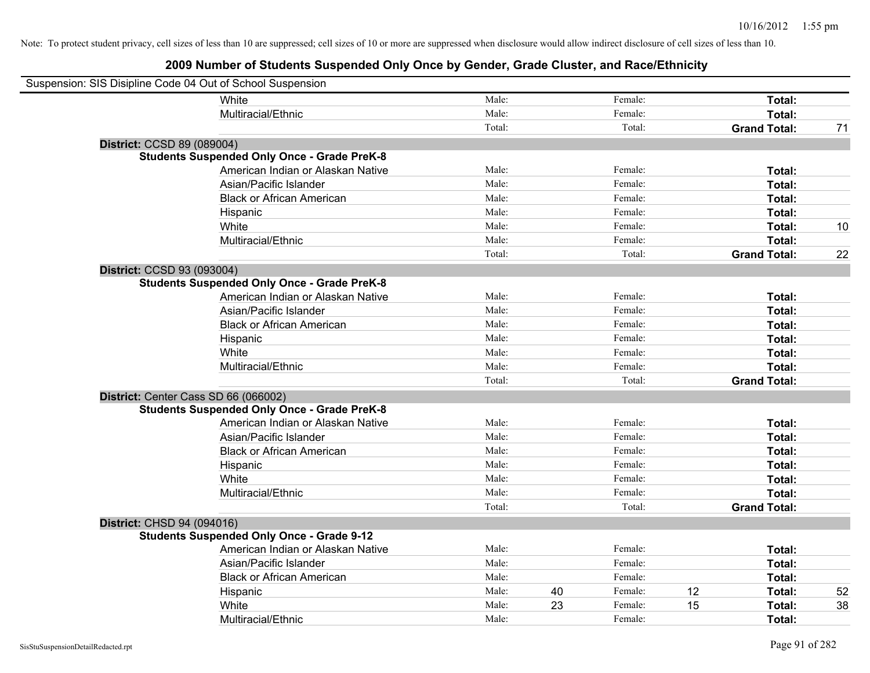| Suspension: SIS Disipline Code 04 Out of School Suspension |                                                    |        |    |         |    |                     |    |
|------------------------------------------------------------|----------------------------------------------------|--------|----|---------|----|---------------------|----|
|                                                            | White                                              | Male:  |    | Female: |    | Total:              |    |
|                                                            | Multiracial/Ethnic                                 | Male:  |    | Female: |    | Total:              |    |
|                                                            |                                                    | Total: |    | Total:  |    | <b>Grand Total:</b> | 71 |
| District: CCSD 89 (089004)                                 |                                                    |        |    |         |    |                     |    |
|                                                            | <b>Students Suspended Only Once - Grade PreK-8</b> |        |    |         |    |                     |    |
|                                                            | American Indian or Alaskan Native                  | Male:  |    | Female: |    | Total:              |    |
|                                                            | Asian/Pacific Islander                             | Male:  |    | Female: |    | Total:              |    |
|                                                            | <b>Black or African American</b>                   | Male:  |    | Female: |    | Total:              |    |
|                                                            | Hispanic                                           | Male:  |    | Female: |    | Total:              |    |
|                                                            | White                                              | Male:  |    | Female: |    | Total:              | 10 |
|                                                            | Multiracial/Ethnic                                 | Male:  |    | Female: |    | Total:              |    |
|                                                            |                                                    | Total: |    | Total:  |    | <b>Grand Total:</b> | 22 |
| District: CCSD 93 (093004)                                 |                                                    |        |    |         |    |                     |    |
|                                                            | <b>Students Suspended Only Once - Grade PreK-8</b> |        |    |         |    |                     |    |
|                                                            | American Indian or Alaskan Native                  | Male:  |    | Female: |    | Total:              |    |
|                                                            | Asian/Pacific Islander                             | Male:  |    | Female: |    | Total:              |    |
|                                                            | <b>Black or African American</b>                   | Male:  |    | Female: |    | Total:              |    |
|                                                            | Hispanic                                           | Male:  |    | Female: |    | Total:              |    |
|                                                            | White                                              | Male:  |    | Female: |    | Total:              |    |
|                                                            | Multiracial/Ethnic                                 | Male:  |    | Female: |    | Total:              |    |
|                                                            |                                                    | Total: |    | Total:  |    | <b>Grand Total:</b> |    |
| District: Center Cass SD 66 (066002)                       |                                                    |        |    |         |    |                     |    |
|                                                            | <b>Students Suspended Only Once - Grade PreK-8</b> |        |    |         |    |                     |    |
|                                                            | American Indian or Alaskan Native                  | Male:  |    | Female: |    | Total:              |    |
|                                                            | Asian/Pacific Islander                             | Male:  |    | Female: |    | Total:              |    |
|                                                            | <b>Black or African American</b>                   | Male:  |    | Female: |    | Total:              |    |
|                                                            | Hispanic                                           | Male:  |    | Female: |    | Total:              |    |
|                                                            | White                                              | Male:  |    | Female: |    | Total:              |    |
|                                                            | Multiracial/Ethnic                                 | Male:  |    | Female: |    | Total:              |    |
|                                                            |                                                    | Total: |    | Total:  |    | <b>Grand Total:</b> |    |
| District: CHSD 94 (094016)                                 |                                                    |        |    |         |    |                     |    |
|                                                            | <b>Students Suspended Only Once - Grade 9-12</b>   |        |    |         |    |                     |    |
|                                                            | American Indian or Alaskan Native                  | Male:  |    | Female: |    | Total:              |    |
|                                                            | Asian/Pacific Islander                             | Male:  |    | Female: |    | Total:              |    |
|                                                            | <b>Black or African American</b>                   | Male:  |    | Female: |    | Total:              |    |
|                                                            | Hispanic                                           | Male:  | 40 | Female: | 12 | Total:              | 52 |
|                                                            | White                                              | Male:  | 23 | Female: | 15 | Total:              | 38 |
|                                                            | Multiracial/Ethnic                                 | Male:  |    | Female: |    | Total:              |    |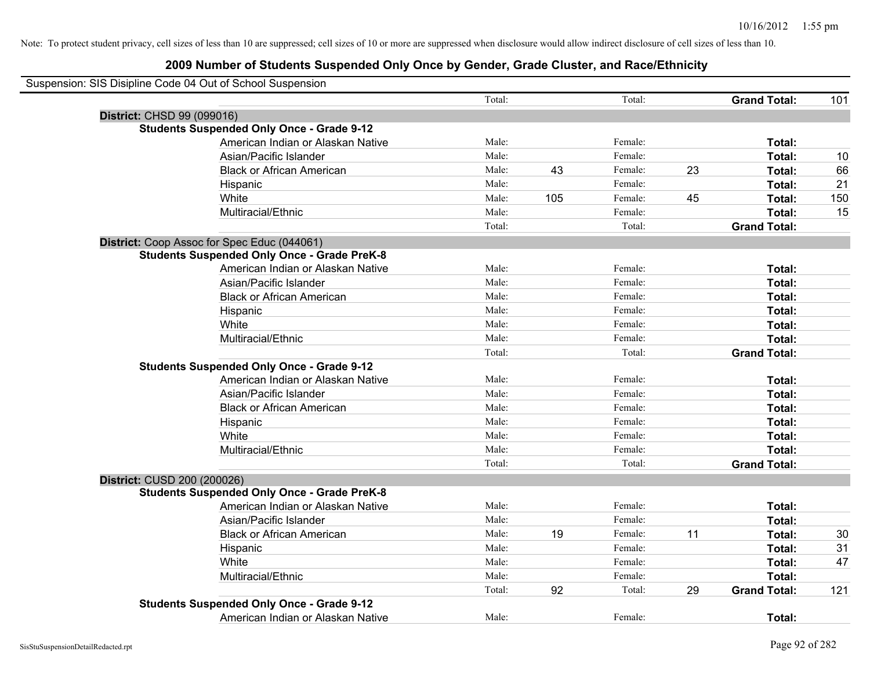|                            | Suspension: SIS Disipline Code 04 Out of School Suspension |        |     |         |    |                     |     |
|----------------------------|------------------------------------------------------------|--------|-----|---------|----|---------------------|-----|
|                            |                                                            | Total: |     | Total:  |    | <b>Grand Total:</b> | 101 |
| District: CHSD 99 (099016) |                                                            |        |     |         |    |                     |     |
|                            | <b>Students Suspended Only Once - Grade 9-12</b>           |        |     |         |    |                     |     |
|                            | American Indian or Alaskan Native                          | Male:  |     | Female: |    | Total:              |     |
|                            | Asian/Pacific Islander                                     | Male:  |     | Female: |    | Total:              | 10  |
|                            | <b>Black or African American</b>                           | Male:  | 43  | Female: | 23 | Total:              | 66  |
|                            | Hispanic                                                   | Male:  |     | Female: |    | Total:              | 21  |
|                            | White                                                      | Male:  | 105 | Female: | 45 | Total:              | 150 |
|                            | Multiracial/Ethnic                                         | Male:  |     | Female: |    | Total:              | 15  |
|                            |                                                            | Total: |     | Total:  |    | <b>Grand Total:</b> |     |
|                            | District: Coop Assoc for Spec Educ (044061)                |        |     |         |    |                     |     |
|                            | <b>Students Suspended Only Once - Grade PreK-8</b>         |        |     |         |    |                     |     |
|                            | American Indian or Alaskan Native                          | Male:  |     | Female: |    | Total:              |     |
|                            | Asian/Pacific Islander                                     | Male:  |     | Female: |    | Total:              |     |
|                            | <b>Black or African American</b>                           | Male:  |     | Female: |    | Total:              |     |
|                            | Hispanic                                                   | Male:  |     | Female: |    | Total:              |     |
|                            | White                                                      | Male:  |     | Female: |    | Total:              |     |
|                            | Multiracial/Ethnic                                         | Male:  |     | Female: |    | Total:              |     |
|                            |                                                            | Total: |     | Total:  |    | <b>Grand Total:</b> |     |
|                            | <b>Students Suspended Only Once - Grade 9-12</b>           |        |     |         |    |                     |     |
|                            | American Indian or Alaskan Native                          | Male:  |     | Female: |    | Total:              |     |
|                            | Asian/Pacific Islander                                     | Male:  |     | Female: |    | Total:              |     |
|                            | <b>Black or African American</b>                           | Male:  |     | Female: |    | Total:              |     |
|                            | Hispanic                                                   | Male:  |     | Female: |    | Total:              |     |
|                            | White                                                      | Male:  |     | Female: |    | Total:              |     |
|                            | Multiracial/Ethnic                                         | Male:  |     | Female: |    | Total:              |     |
|                            |                                                            | Total: |     | Total:  |    | <b>Grand Total:</b> |     |
|                            | District: CUSD 200 (200026)                                |        |     |         |    |                     |     |
|                            | <b>Students Suspended Only Once - Grade PreK-8</b>         |        |     |         |    |                     |     |
|                            | American Indian or Alaskan Native                          | Male:  |     | Female: |    | Total:              |     |
|                            | Asian/Pacific Islander                                     | Male:  |     | Female: |    | Total:              |     |
|                            | <b>Black or African American</b>                           | Male:  | 19  | Female: | 11 | Total:              | 30  |
|                            | Hispanic                                                   | Male:  |     | Female: |    | Total:              | 31  |
|                            | White                                                      | Male:  |     | Female: |    | Total:              | 47  |
|                            | Multiracial/Ethnic                                         | Male:  |     | Female: |    | Total:              |     |
|                            |                                                            | Total: | 92  | Total:  | 29 | <b>Grand Total:</b> | 121 |
|                            | <b>Students Suspended Only Once - Grade 9-12</b>           |        |     |         |    |                     |     |
|                            | American Indian or Alaskan Native                          | Male:  |     | Female: |    | Total:              |     |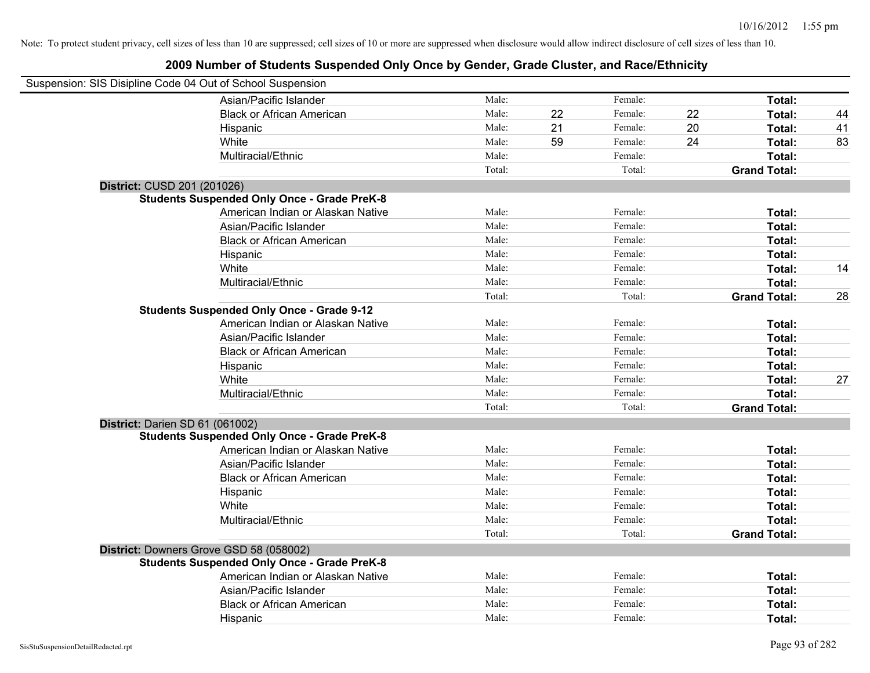| Suspension: SIS Disipline Code 04 Out of School Suspension |        |    |         |    |                     |    |
|------------------------------------------------------------|--------|----|---------|----|---------------------|----|
| Asian/Pacific Islander                                     | Male:  |    | Female: |    | Total:              |    |
| <b>Black or African American</b>                           | Male:  | 22 | Female: | 22 | Total:              | 44 |
| Hispanic                                                   | Male:  | 21 | Female: | 20 | Total:              | 41 |
| White                                                      | Male:  | 59 | Female: | 24 | Total:              | 83 |
| Multiracial/Ethnic                                         | Male:  |    | Female: |    | Total:              |    |
|                                                            | Total: |    | Total:  |    | <b>Grand Total:</b> |    |
| District: CUSD 201 (201026)                                |        |    |         |    |                     |    |
| <b>Students Suspended Only Once - Grade PreK-8</b>         |        |    |         |    |                     |    |
| American Indian or Alaskan Native                          | Male:  |    | Female: |    | Total:              |    |
| Asian/Pacific Islander                                     | Male:  |    | Female: |    | Total:              |    |
| <b>Black or African American</b>                           | Male:  |    | Female: |    | Total:              |    |
| Hispanic                                                   | Male:  |    | Female: |    | Total:              |    |
| White                                                      | Male:  |    | Female: |    | Total:              | 14 |
| Multiracial/Ethnic                                         | Male:  |    | Female: |    | Total:              |    |
|                                                            | Total: |    | Total:  |    | <b>Grand Total:</b> | 28 |
| <b>Students Suspended Only Once - Grade 9-12</b>           |        |    |         |    |                     |    |
| American Indian or Alaskan Native                          | Male:  |    | Female: |    | Total:              |    |
| Asian/Pacific Islander                                     | Male:  |    | Female: |    | Total:              |    |
| <b>Black or African American</b>                           | Male:  |    | Female: |    | Total:              |    |
| Hispanic                                                   | Male:  |    | Female: |    | Total:              |    |
| White                                                      | Male:  |    | Female: |    | Total:              | 27 |
| Multiracial/Ethnic                                         | Male:  |    | Female: |    | Total:              |    |
|                                                            | Total: |    | Total:  |    | <b>Grand Total:</b> |    |
| District: Darien SD 61 (061002)                            |        |    |         |    |                     |    |
| <b>Students Suspended Only Once - Grade PreK-8</b>         |        |    |         |    |                     |    |
| American Indian or Alaskan Native                          | Male:  |    | Female: |    | Total:              |    |
| Asian/Pacific Islander                                     | Male:  |    | Female: |    | Total:              |    |
| <b>Black or African American</b>                           | Male:  |    | Female: |    | Total:              |    |
| Hispanic                                                   | Male:  |    | Female: |    | Total:              |    |
| White                                                      | Male:  |    | Female: |    | Total:              |    |
| Multiracial/Ethnic                                         | Male:  |    | Female: |    | Total:              |    |
|                                                            | Total: |    | Total:  |    | <b>Grand Total:</b> |    |
| District: Downers Grove GSD 58 (058002)                    |        |    |         |    |                     |    |
| <b>Students Suspended Only Once - Grade PreK-8</b>         |        |    |         |    |                     |    |
| American Indian or Alaskan Native                          | Male:  |    | Female: |    | Total:              |    |
| Asian/Pacific Islander                                     | Male:  |    | Female: |    | Total:              |    |
| <b>Black or African American</b>                           | Male:  |    | Female: |    | <b>Total:</b>       |    |
| Hispanic                                                   | Male:  |    | Female: |    | Total:              |    |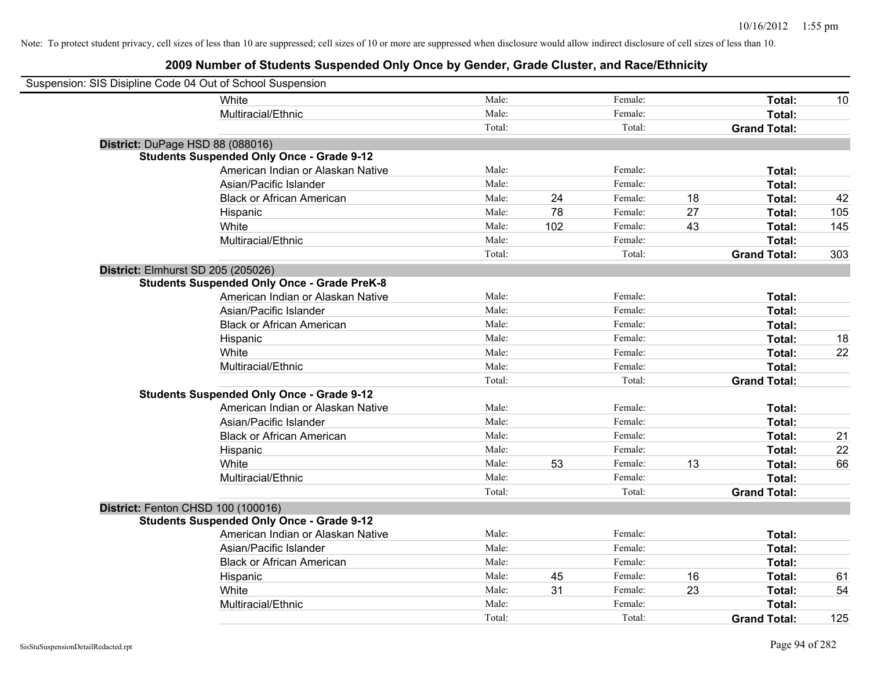| Suspension: SIS Disipline Code 04 Out of School Suspension |                                                    |        |     |         |    |                     |     |
|------------------------------------------------------------|----------------------------------------------------|--------|-----|---------|----|---------------------|-----|
|                                                            | <b>White</b>                                       | Male:  |     | Female: |    | Total:              | 10  |
|                                                            | Multiracial/Ethnic                                 | Male:  |     | Female: |    | Total:              |     |
|                                                            |                                                    | Total: |     | Total:  |    | <b>Grand Total:</b> |     |
| District: DuPage HSD 88 (088016)                           |                                                    |        |     |         |    |                     |     |
|                                                            | <b>Students Suspended Only Once - Grade 9-12</b>   |        |     |         |    |                     |     |
|                                                            | American Indian or Alaskan Native                  | Male:  |     | Female: |    | Total:              |     |
|                                                            | Asian/Pacific Islander                             | Male:  |     | Female: |    | Total:              |     |
|                                                            | <b>Black or African American</b>                   | Male:  | 24  | Female: | 18 | Total:              | 42  |
|                                                            | Hispanic                                           | Male:  | 78  | Female: | 27 | Total:              | 105 |
|                                                            | White                                              | Male:  | 102 | Female: | 43 | Total:              | 145 |
|                                                            | Multiracial/Ethnic                                 | Male:  |     | Female: |    | Total:              |     |
|                                                            |                                                    | Total: |     | Total:  |    | <b>Grand Total:</b> | 303 |
| District: Elmhurst SD 205 (205026)                         |                                                    |        |     |         |    |                     |     |
|                                                            | <b>Students Suspended Only Once - Grade PreK-8</b> |        |     |         |    |                     |     |
|                                                            | American Indian or Alaskan Native                  | Male:  |     | Female: |    | Total:              |     |
|                                                            | Asian/Pacific Islander                             | Male:  |     | Female: |    | Total:              |     |
|                                                            | <b>Black or African American</b>                   | Male:  |     | Female: |    | Total:              |     |
|                                                            | Hispanic                                           | Male:  |     | Female: |    | Total:              | 18  |
|                                                            | White                                              | Male:  |     | Female: |    | Total:              | 22  |
|                                                            | Multiracial/Ethnic                                 | Male:  |     | Female: |    | Total:              |     |
|                                                            |                                                    | Total: |     | Total:  |    | <b>Grand Total:</b> |     |
|                                                            | <b>Students Suspended Only Once - Grade 9-12</b>   |        |     |         |    |                     |     |
|                                                            | American Indian or Alaskan Native                  | Male:  |     | Female: |    | Total:              |     |
|                                                            | Asian/Pacific Islander                             | Male:  |     | Female: |    | Total:              |     |
|                                                            | <b>Black or African American</b>                   | Male:  |     | Female: |    | Total:              | 21  |
|                                                            | Hispanic                                           | Male:  |     | Female: |    | Total:              | 22  |
|                                                            | White                                              | Male:  | 53  | Female: | 13 | Total:              | 66  |
|                                                            | Multiracial/Ethnic                                 | Male:  |     | Female: |    | Total:              |     |
|                                                            |                                                    | Total: |     | Total:  |    | <b>Grand Total:</b> |     |
| District: Fenton CHSD 100 (100016)                         |                                                    |        |     |         |    |                     |     |
|                                                            | <b>Students Suspended Only Once - Grade 9-12</b>   |        |     |         |    |                     |     |
|                                                            | American Indian or Alaskan Native                  | Male:  |     | Female: |    | Total:              |     |
|                                                            | Asian/Pacific Islander                             | Male:  |     | Female: |    | Total:              |     |
|                                                            | <b>Black or African American</b>                   | Male:  |     | Female: |    | Total:              |     |
|                                                            | Hispanic                                           | Male:  | 45  | Female: | 16 | Total:              | 61  |
|                                                            | White                                              | Male:  | 31  | Female: | 23 | Total:              | 54  |
|                                                            | Multiracial/Ethnic                                 | Male:  |     | Female: |    | Total:              |     |
|                                                            |                                                    | Total: |     | Total:  |    | <b>Grand Total:</b> | 125 |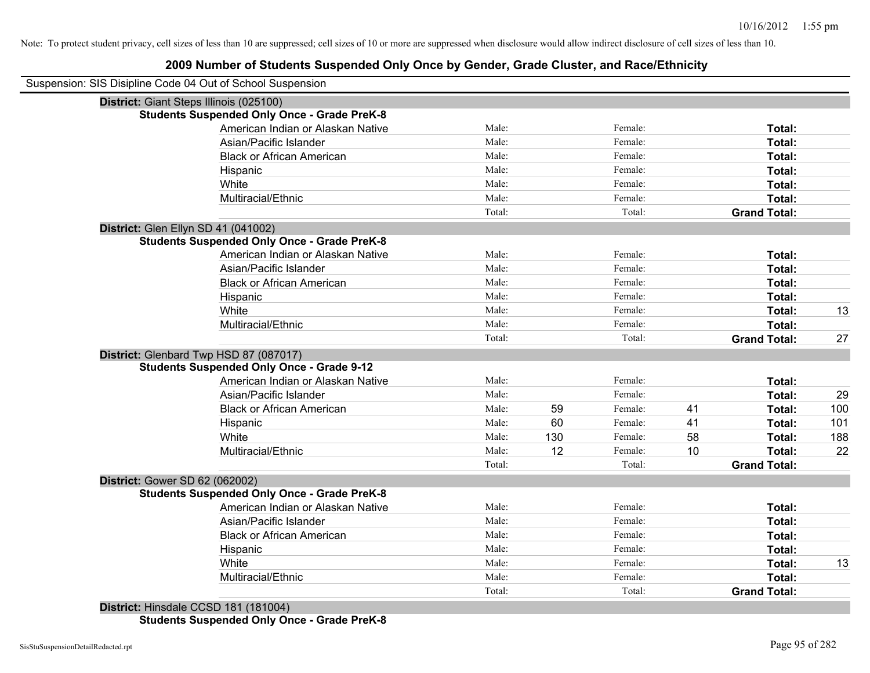# **2009 Number of Students Suspended Only Once by Gender, Grade Cluster, and Race/Ethnicity**

|                                         | Suspension: SIS Disipline Code 04 Out of School Suspension |        |     |         |    |                     |     |
|-----------------------------------------|------------------------------------------------------------|--------|-----|---------|----|---------------------|-----|
| District: Giant Steps Illinois (025100) |                                                            |        |     |         |    |                     |     |
|                                         | <b>Students Suspended Only Once - Grade PreK-8</b>         |        |     |         |    |                     |     |
|                                         | American Indian or Alaskan Native                          | Male:  |     | Female: |    | Total:              |     |
|                                         | Asian/Pacific Islander                                     | Male:  |     | Female: |    | Total:              |     |
|                                         | <b>Black or African American</b>                           | Male:  |     | Female: |    | Total:              |     |
|                                         | Hispanic                                                   | Male:  |     | Female: |    | Total:              |     |
|                                         | White                                                      | Male:  |     | Female: |    | Total:              |     |
|                                         | Multiracial/Ethnic                                         | Male:  |     | Female: |    | Total:              |     |
|                                         |                                                            | Total: |     | Total:  |    | <b>Grand Total:</b> |     |
| District: Glen Ellyn SD 41 (041002)     |                                                            |        |     |         |    |                     |     |
|                                         | <b>Students Suspended Only Once - Grade PreK-8</b>         |        |     |         |    |                     |     |
|                                         | American Indian or Alaskan Native                          | Male:  |     | Female: |    | Total:              |     |
|                                         | Asian/Pacific Islander                                     | Male:  |     | Female: |    | Total:              |     |
|                                         | <b>Black or African American</b>                           | Male:  |     | Female: |    | Total:              |     |
|                                         | Hispanic                                                   | Male:  |     | Female: |    | Total:              |     |
|                                         | White                                                      | Male:  |     | Female: |    | Total:              | 13  |
|                                         | Multiracial/Ethnic                                         | Male:  |     | Female: |    | Total:              |     |
|                                         |                                                            | Total: |     | Total:  |    | <b>Grand Total:</b> | 27  |
| District: Glenbard Twp HSD 87 (087017)  |                                                            |        |     |         |    |                     |     |
|                                         | <b>Students Suspended Only Once - Grade 9-12</b>           |        |     |         |    |                     |     |
|                                         | American Indian or Alaskan Native                          | Male:  |     | Female: |    | Total:              |     |
|                                         | Asian/Pacific Islander                                     | Male:  |     | Female: |    | Total:              | 29  |
|                                         | <b>Black or African American</b>                           | Male:  | 59  | Female: | 41 | Total:              | 100 |
|                                         | Hispanic                                                   | Male:  | 60  | Female: | 41 | Total:              | 101 |
|                                         | White                                                      | Male:  | 130 | Female: | 58 | Total:              | 188 |
|                                         | Multiracial/Ethnic                                         | Male:  | 12  | Female: | 10 | Total:              | 22  |
|                                         |                                                            | Total: |     | Total:  |    | <b>Grand Total:</b> |     |
| District: Gower SD 62 (062002)          |                                                            |        |     |         |    |                     |     |
|                                         | <b>Students Suspended Only Once - Grade PreK-8</b>         |        |     |         |    |                     |     |
|                                         | American Indian or Alaskan Native                          | Male:  |     | Female: |    | Total:              |     |
|                                         | Asian/Pacific Islander                                     | Male:  |     | Female: |    | Total:              |     |
|                                         | <b>Black or African American</b>                           | Male:  |     | Female: |    | Total:              |     |
|                                         | Hispanic                                                   | Male:  |     | Female: |    | Total:              |     |
|                                         | White                                                      | Male:  |     | Female: |    | Total:              | 13  |
|                                         | Multiracial/Ethnic                                         | Male:  |     | Female: |    | Total:              |     |
|                                         |                                                            | Total: |     | Total:  |    | <b>Grand Total:</b> |     |
| District: Hinsdale CCSD 181 (181004)    |                                                            |        |     |         |    |                     |     |

**Students Suspended Only Once - Grade PreK-8**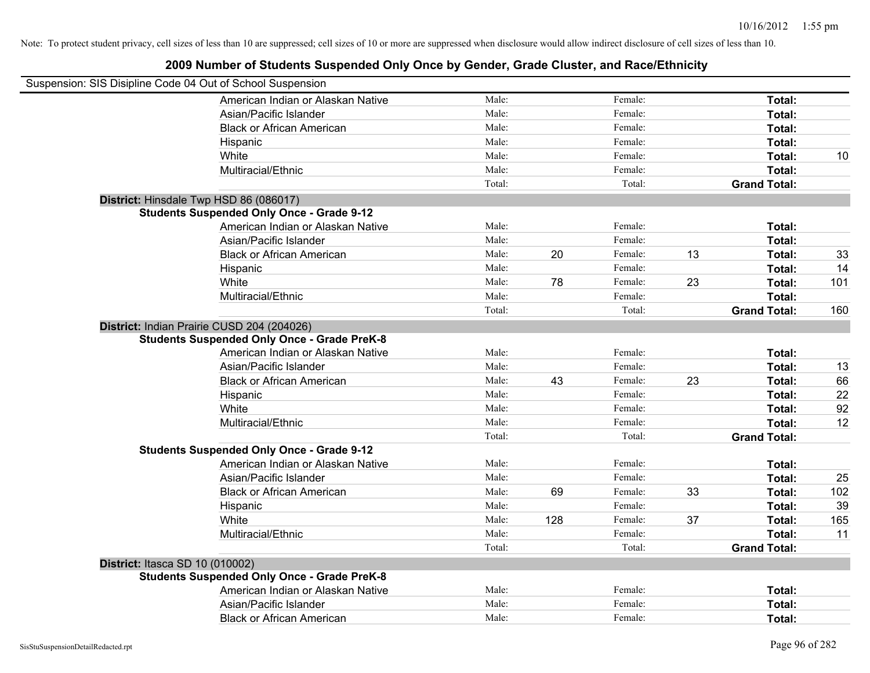| Suspension: SIS Disipline Code 04 Out of School Suspension |        |     |         |    |                     |     |
|------------------------------------------------------------|--------|-----|---------|----|---------------------|-----|
| American Indian or Alaskan Native                          | Male:  |     | Female: |    | Total:              |     |
| Asian/Pacific Islander                                     | Male:  |     | Female: |    | Total:              |     |
| <b>Black or African American</b>                           | Male:  |     | Female: |    | Total:              |     |
| Hispanic                                                   | Male:  |     | Female: |    | Total:              |     |
| White                                                      | Male:  |     | Female: |    | Total:              | 10  |
| Multiracial/Ethnic                                         | Male:  |     | Female: |    | Total:              |     |
|                                                            | Total: |     | Total:  |    | <b>Grand Total:</b> |     |
| District: Hinsdale Twp HSD 86 (086017)                     |        |     |         |    |                     |     |
| <b>Students Suspended Only Once - Grade 9-12</b>           |        |     |         |    |                     |     |
| American Indian or Alaskan Native                          | Male:  |     | Female: |    | Total:              |     |
| Asian/Pacific Islander                                     | Male:  |     | Female: |    | Total:              |     |
| <b>Black or African American</b>                           | Male:  | 20  | Female: | 13 | Total:              | 33  |
| Hispanic                                                   | Male:  |     | Female: |    | Total:              | 14  |
| White                                                      | Male:  | 78  | Female: | 23 | Total:              | 101 |
| Multiracial/Ethnic                                         | Male:  |     | Female: |    | Total:              |     |
|                                                            | Total: |     | Total:  |    | <b>Grand Total:</b> | 160 |
| District: Indian Prairie CUSD 204 (204026)                 |        |     |         |    |                     |     |
| <b>Students Suspended Only Once - Grade PreK-8</b>         |        |     |         |    |                     |     |
| American Indian or Alaskan Native                          | Male:  |     | Female: |    | Total:              |     |
| Asian/Pacific Islander                                     | Male:  |     | Female: |    | Total:              | 13  |
| <b>Black or African American</b>                           | Male:  | 43  | Female: | 23 | Total:              | 66  |
| Hispanic                                                   | Male:  |     | Female: |    | Total:              | 22  |
| White                                                      | Male:  |     | Female: |    | Total:              | 92  |
| Multiracial/Ethnic                                         | Male:  |     | Female: |    | Total:              | 12  |
|                                                            | Total: |     | Total:  |    | <b>Grand Total:</b> |     |
| <b>Students Suspended Only Once - Grade 9-12</b>           |        |     |         |    |                     |     |
| American Indian or Alaskan Native                          | Male:  |     | Female: |    | Total:              |     |
| Asian/Pacific Islander                                     | Male:  |     | Female: |    | Total:              | 25  |
| <b>Black or African American</b>                           | Male:  | 69  | Female: | 33 | Total:              | 102 |
| Hispanic                                                   | Male:  |     | Female: |    | Total:              | 39  |
| White                                                      | Male:  | 128 | Female: | 37 | Total:              | 165 |
| Multiracial/Ethnic                                         | Male:  |     | Female: |    | Total:              | 11  |
|                                                            | Total: |     | Total:  |    | <b>Grand Total:</b> |     |
| District: Itasca SD 10 (010002)                            |        |     |         |    |                     |     |
| <b>Students Suspended Only Once - Grade PreK-8</b>         |        |     |         |    |                     |     |
| American Indian or Alaskan Native                          | Male:  |     | Female: |    | Total:              |     |
| Asian/Pacific Islander                                     | Male:  |     | Female: |    | Total:              |     |
| <b>Black or African American</b>                           | Male:  |     | Female: |    | Total:              |     |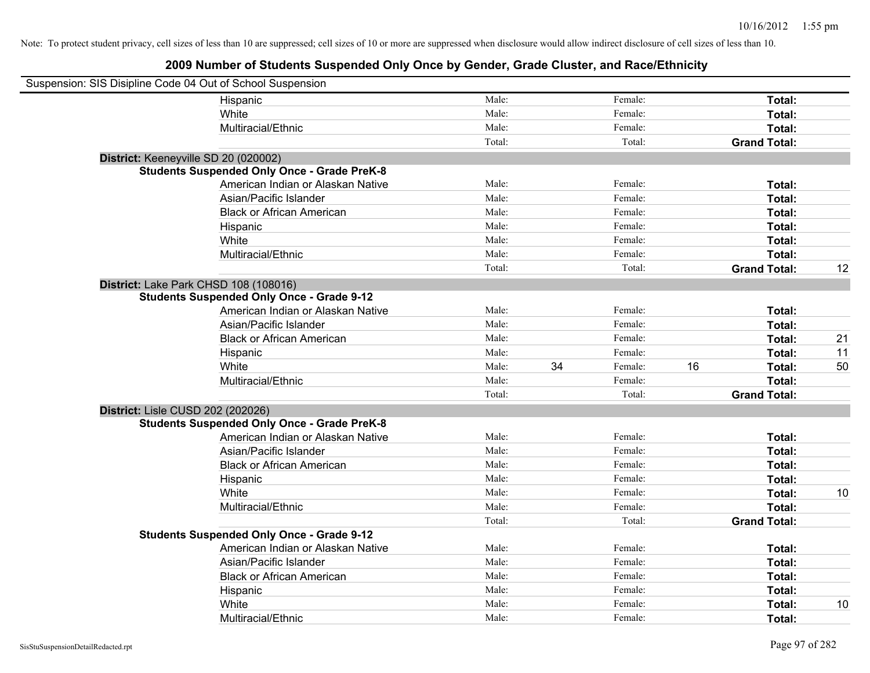| Suspension: SIS Disipline Code 04 Out of School Suspension |                                                    |        |    |         |    |                     |    |
|------------------------------------------------------------|----------------------------------------------------|--------|----|---------|----|---------------------|----|
|                                                            | Hispanic                                           | Male:  |    | Female: |    | Total:              |    |
|                                                            | White                                              | Male:  |    | Female: |    | Total:              |    |
|                                                            | Multiracial/Ethnic                                 | Male:  |    | Female: |    | Total:              |    |
|                                                            |                                                    | Total: |    | Total:  |    | <b>Grand Total:</b> |    |
| District: Keeneyville SD 20 (020002)                       |                                                    |        |    |         |    |                     |    |
|                                                            | <b>Students Suspended Only Once - Grade PreK-8</b> |        |    |         |    |                     |    |
|                                                            | American Indian or Alaskan Native                  | Male:  |    | Female: |    | Total:              |    |
|                                                            | Asian/Pacific Islander                             | Male:  |    | Female: |    | Total:              |    |
|                                                            | <b>Black or African American</b>                   | Male:  |    | Female: |    | Total:              |    |
|                                                            | Hispanic                                           | Male:  |    | Female: |    | Total:              |    |
|                                                            | White                                              | Male:  |    | Female: |    | Total:              |    |
|                                                            | Multiracial/Ethnic                                 | Male:  |    | Female: |    | Total:              |    |
|                                                            |                                                    | Total: |    | Total:  |    | <b>Grand Total:</b> | 12 |
| District: Lake Park CHSD 108 (108016)                      |                                                    |        |    |         |    |                     |    |
|                                                            | <b>Students Suspended Only Once - Grade 9-12</b>   |        |    |         |    |                     |    |
|                                                            | American Indian or Alaskan Native                  | Male:  |    | Female: |    | Total:              |    |
|                                                            | Asian/Pacific Islander                             | Male:  |    | Female: |    | Total:              |    |
|                                                            | <b>Black or African American</b>                   | Male:  |    | Female: |    | Total:              | 21 |
|                                                            | Hispanic                                           | Male:  |    | Female: |    | Total:              | 11 |
|                                                            | White                                              | Male:  | 34 | Female: | 16 | Total:              | 50 |
|                                                            | Multiracial/Ethnic                                 | Male:  |    | Female: |    | Total:              |    |
|                                                            |                                                    | Total: |    | Total:  |    | <b>Grand Total:</b> |    |
| District: Lisle CUSD 202 (202026)                          |                                                    |        |    |         |    |                     |    |
|                                                            | <b>Students Suspended Only Once - Grade PreK-8</b> |        |    |         |    |                     |    |
|                                                            | American Indian or Alaskan Native                  | Male:  |    | Female: |    | Total:              |    |
|                                                            | Asian/Pacific Islander                             | Male:  |    | Female: |    | Total:              |    |
|                                                            | <b>Black or African American</b>                   | Male:  |    | Female: |    | Total:              |    |
|                                                            | Hispanic                                           | Male:  |    | Female: |    | Total:              |    |
|                                                            | White                                              | Male:  |    | Female: |    | Total:              | 10 |
|                                                            | Multiracial/Ethnic                                 | Male:  |    | Female: |    | Total:              |    |
|                                                            |                                                    | Total: |    | Total:  |    | <b>Grand Total:</b> |    |
|                                                            | <b>Students Suspended Only Once - Grade 9-12</b>   |        |    |         |    |                     |    |
|                                                            | American Indian or Alaskan Native                  | Male:  |    | Female: |    | Total:              |    |
|                                                            | Asian/Pacific Islander                             | Male:  |    | Female: |    | Total:              |    |
|                                                            | <b>Black or African American</b>                   | Male:  |    | Female: |    | Total:              |    |
|                                                            | Hispanic                                           | Male:  |    | Female: |    | Total:              |    |
|                                                            | White                                              | Male:  |    | Female: |    | Total:              | 10 |
|                                                            | Multiracial/Ethnic                                 | Male:  |    | Female: |    | Total:              |    |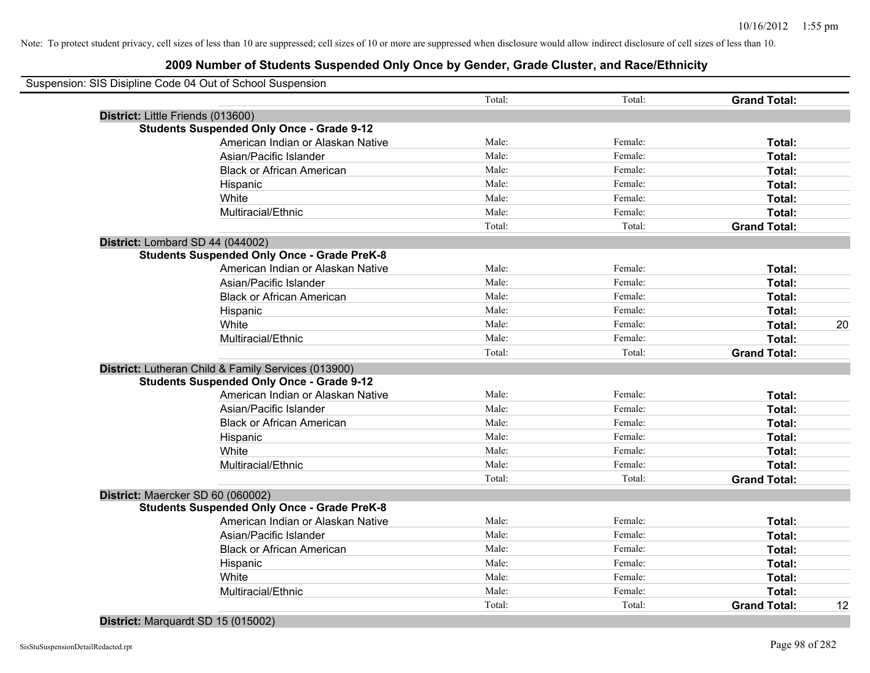# **2009 Number of Students Suspended Only Once by Gender, Grade Cluster, and Race/Ethnicity**

|                                   | Suspension: SIS Disipline Code 04 Out of School Suspension |        |         |                     |    |
|-----------------------------------|------------------------------------------------------------|--------|---------|---------------------|----|
|                                   |                                                            | Total: | Total:  | <b>Grand Total:</b> |    |
| District: Little Friends (013600) |                                                            |        |         |                     |    |
|                                   | <b>Students Suspended Only Once - Grade 9-12</b>           |        |         |                     |    |
|                                   | American Indian or Alaskan Native                          | Male:  | Female: | Total:              |    |
|                                   | Asian/Pacific Islander                                     | Male:  | Female: | Total:              |    |
|                                   | <b>Black or African American</b>                           | Male:  | Female: | Total:              |    |
|                                   | Hispanic                                                   | Male:  | Female: | Total:              |    |
|                                   | White                                                      | Male:  | Female: | Total:              |    |
|                                   | Multiracial/Ethnic                                         | Male:  | Female: | Total:              |    |
|                                   |                                                            | Total: | Total:  | <b>Grand Total:</b> |    |
| District: Lombard SD 44 (044002)  |                                                            |        |         |                     |    |
|                                   | <b>Students Suspended Only Once - Grade PreK-8</b>         |        |         |                     |    |
|                                   | American Indian or Alaskan Native                          | Male:  | Female: | Total:              |    |
|                                   | Asian/Pacific Islander                                     | Male:  | Female: | Total:              |    |
|                                   | <b>Black or African American</b>                           | Male:  | Female: | Total:              |    |
|                                   | Hispanic                                                   | Male:  | Female: | Total:              |    |
|                                   | White                                                      | Male:  | Female: | Total:              | 20 |
|                                   | Multiracial/Ethnic                                         | Male:  | Female: | Total:              |    |
|                                   |                                                            | Total: | Total:  | <b>Grand Total:</b> |    |
|                                   | District: Lutheran Child & Family Services (013900)        |        |         |                     |    |
|                                   | <b>Students Suspended Only Once - Grade 9-12</b>           |        |         |                     |    |
|                                   | American Indian or Alaskan Native                          | Male:  | Female: | Total:              |    |
|                                   | Asian/Pacific Islander                                     | Male:  | Female: | Total:              |    |
|                                   | <b>Black or African American</b>                           | Male:  | Female: | Total:              |    |
|                                   | Hispanic                                                   | Male:  | Female: | Total:              |    |
|                                   | White                                                      | Male:  | Female: | Total:              |    |
|                                   | Multiracial/Ethnic                                         | Male:  | Female: | Total:              |    |
|                                   |                                                            | Total: | Total:  | <b>Grand Total:</b> |    |
| District: Maercker SD 60 (060002) |                                                            |        |         |                     |    |
|                                   | <b>Students Suspended Only Once - Grade PreK-8</b>         |        |         |                     |    |
|                                   | American Indian or Alaskan Native                          | Male:  | Female: | Total:              |    |
|                                   | Asian/Pacific Islander                                     | Male:  | Female: | Total:              |    |
|                                   | <b>Black or African American</b>                           | Male:  | Female: | Total:              |    |
|                                   | Hispanic                                                   | Male:  | Female: | Total:              |    |
|                                   | White                                                      | Male:  | Female: | Total:              |    |
|                                   | Multiracial/Ethnic                                         | Male:  | Female: | Total:              |    |
|                                   |                                                            | Total: | Total:  | <b>Grand Total:</b> | 12 |

#### **District:** Marquardt SD 15 (015002)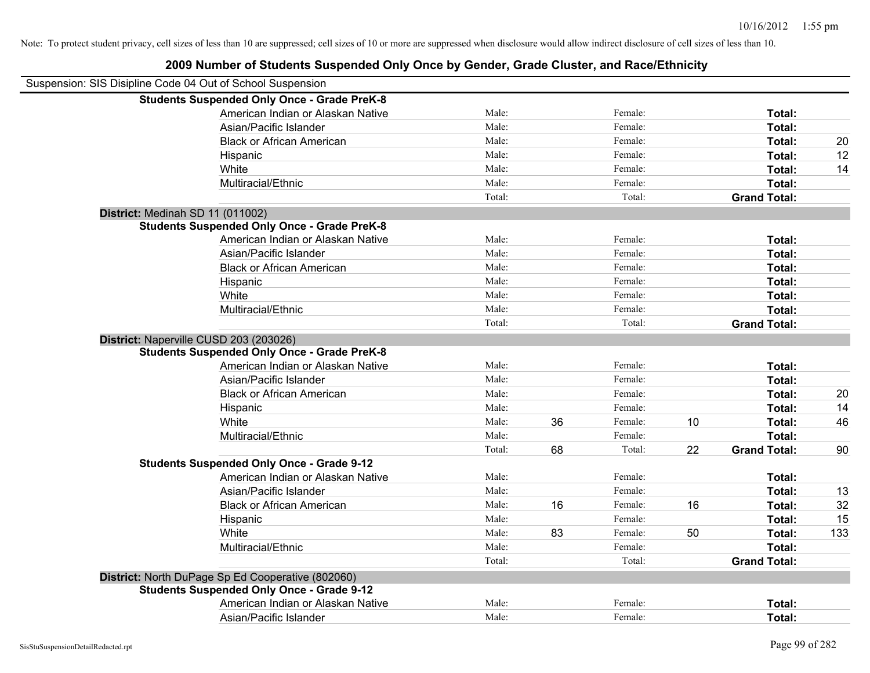| Suspension: SIS Disipline Code 04 Out of School Suspension |                                                    |        |    |         |    |                     |     |
|------------------------------------------------------------|----------------------------------------------------|--------|----|---------|----|---------------------|-----|
|                                                            | <b>Students Suspended Only Once - Grade PreK-8</b> |        |    |         |    |                     |     |
|                                                            | American Indian or Alaskan Native                  | Male:  |    | Female: |    | Total:              |     |
|                                                            | Asian/Pacific Islander                             | Male:  |    | Female: |    | Total:              |     |
|                                                            | <b>Black or African American</b>                   | Male:  |    | Female: |    | Total:              | 20  |
|                                                            | Hispanic                                           | Male:  |    | Female: |    | Total:              | 12  |
|                                                            | White                                              | Male:  |    | Female: |    | Total:              | 14  |
|                                                            | Multiracial/Ethnic                                 | Male:  |    | Female: |    | Total:              |     |
|                                                            |                                                    | Total: |    | Total:  |    | <b>Grand Total:</b> |     |
| District: Medinah SD 11 (011002)                           |                                                    |        |    |         |    |                     |     |
|                                                            | <b>Students Suspended Only Once - Grade PreK-8</b> |        |    |         |    |                     |     |
|                                                            | American Indian or Alaskan Native                  | Male:  |    | Female: |    | Total:              |     |
|                                                            | Asian/Pacific Islander                             | Male:  |    | Female: |    | Total:              |     |
|                                                            | <b>Black or African American</b>                   | Male:  |    | Female: |    | Total:              |     |
|                                                            | Hispanic                                           | Male:  |    | Female: |    | Total:              |     |
|                                                            | White                                              | Male:  |    | Female: |    | Total:              |     |
|                                                            | Multiracial/Ethnic                                 | Male:  |    | Female: |    | Total:              |     |
|                                                            |                                                    | Total: |    | Total:  |    | <b>Grand Total:</b> |     |
| District: Naperville CUSD 203 (203026)                     |                                                    |        |    |         |    |                     |     |
|                                                            | <b>Students Suspended Only Once - Grade PreK-8</b> |        |    |         |    |                     |     |
|                                                            | American Indian or Alaskan Native                  | Male:  |    | Female: |    | Total:              |     |
|                                                            | Asian/Pacific Islander                             | Male:  |    | Female: |    | Total:              |     |
|                                                            | <b>Black or African American</b>                   | Male:  |    | Female: |    | Total:              | 20  |
|                                                            | Hispanic                                           | Male:  |    | Female: |    | Total:              | 14  |
|                                                            | White                                              | Male:  | 36 | Female: | 10 | Total:              | 46  |
|                                                            | Multiracial/Ethnic                                 | Male:  |    | Female: |    | Total:              |     |
|                                                            |                                                    | Total: | 68 | Total:  | 22 | <b>Grand Total:</b> | 90  |
|                                                            | <b>Students Suspended Only Once - Grade 9-12</b>   |        |    |         |    |                     |     |
|                                                            | American Indian or Alaskan Native                  | Male:  |    | Female: |    | Total:              |     |
|                                                            | Asian/Pacific Islander                             | Male:  |    | Female: |    | Total:              | 13  |
|                                                            | <b>Black or African American</b>                   | Male:  | 16 | Female: | 16 | Total:              | 32  |
|                                                            | Hispanic                                           | Male:  |    | Female: |    | Total:              | 15  |
|                                                            | White                                              | Male:  | 83 | Female: | 50 | Total:              | 133 |
|                                                            | Multiracial/Ethnic                                 | Male:  |    | Female: |    | Total:              |     |
|                                                            |                                                    | Total: |    | Total:  |    | <b>Grand Total:</b> |     |
|                                                            | District: North DuPage Sp Ed Cooperative (802060)  |        |    |         |    |                     |     |
|                                                            | <b>Students Suspended Only Once - Grade 9-12</b>   |        |    |         |    |                     |     |
|                                                            | American Indian or Alaskan Native                  | Male:  |    | Female: |    | Total:              |     |
|                                                            | Asian/Pacific Islander                             | Male:  |    | Female: |    | Total:              |     |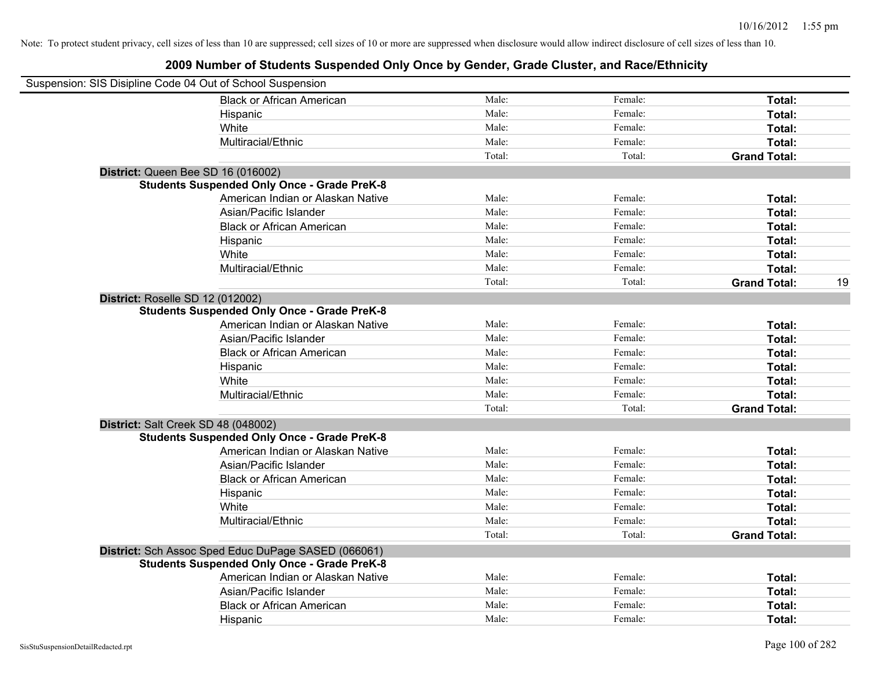| Suspension: SIS Disipline Code 04 Out of School Suspension |        |         |                     |    |
|------------------------------------------------------------|--------|---------|---------------------|----|
| <b>Black or African American</b>                           | Male:  | Female: | Total:              |    |
| Hispanic                                                   | Male:  | Female: | Total:              |    |
| White                                                      | Male:  | Female: | Total:              |    |
| Multiracial/Ethnic                                         | Male:  | Female: | Total:              |    |
|                                                            | Total: | Total:  | <b>Grand Total:</b> |    |
| District: Queen Bee SD 16 (016002)                         |        |         |                     |    |
| <b>Students Suspended Only Once - Grade PreK-8</b>         |        |         |                     |    |
| American Indian or Alaskan Native                          | Male:  | Female: | Total:              |    |
| Asian/Pacific Islander                                     | Male:  | Female: | Total:              |    |
| <b>Black or African American</b>                           | Male:  | Female: | Total:              |    |
| Hispanic                                                   | Male:  | Female: | Total:              |    |
| White                                                      | Male:  | Female: | Total:              |    |
| Multiracial/Ethnic                                         | Male:  | Female: | Total:              |    |
|                                                            | Total: | Total:  | <b>Grand Total:</b> | 19 |
| District: Roselle SD 12 (012002)                           |        |         |                     |    |
| <b>Students Suspended Only Once - Grade PreK-8</b>         |        |         |                     |    |
| American Indian or Alaskan Native                          | Male:  | Female: | Total:              |    |
| Asian/Pacific Islander                                     | Male:  | Female: | Total:              |    |
| <b>Black or African American</b>                           | Male:  | Female: | Total:              |    |
| Hispanic                                                   | Male:  | Female: | Total:              |    |
| White                                                      | Male:  | Female: | Total:              |    |
| Multiracial/Ethnic                                         | Male:  | Female: | Total:              |    |
|                                                            | Total: | Total:  | <b>Grand Total:</b> |    |
| District: Salt Creek SD 48 (048002)                        |        |         |                     |    |
| <b>Students Suspended Only Once - Grade PreK-8</b>         |        |         |                     |    |
| American Indian or Alaskan Native                          | Male:  | Female: | Total:              |    |
| Asian/Pacific Islander                                     | Male:  | Female: | Total:              |    |
| <b>Black or African American</b>                           | Male:  | Female: | Total:              |    |
| Hispanic                                                   | Male:  | Female: | Total:              |    |
| White                                                      | Male:  | Female: | Total:              |    |
| Multiracial/Ethnic                                         | Male:  | Female: | Total:              |    |
|                                                            | Total: | Total:  | <b>Grand Total:</b> |    |
| District: Sch Assoc Sped Educ DuPage SASED (066061)        |        |         |                     |    |
| <b>Students Suspended Only Once - Grade PreK-8</b>         |        |         |                     |    |
| American Indian or Alaskan Native                          | Male:  | Female: | Total:              |    |
| Asian/Pacific Islander                                     | Male:  | Female: | Total:              |    |
| <b>Black or African American</b>                           | Male:  | Female: | Total:              |    |
| Hispanic                                                   | Male:  | Female: | Total:              |    |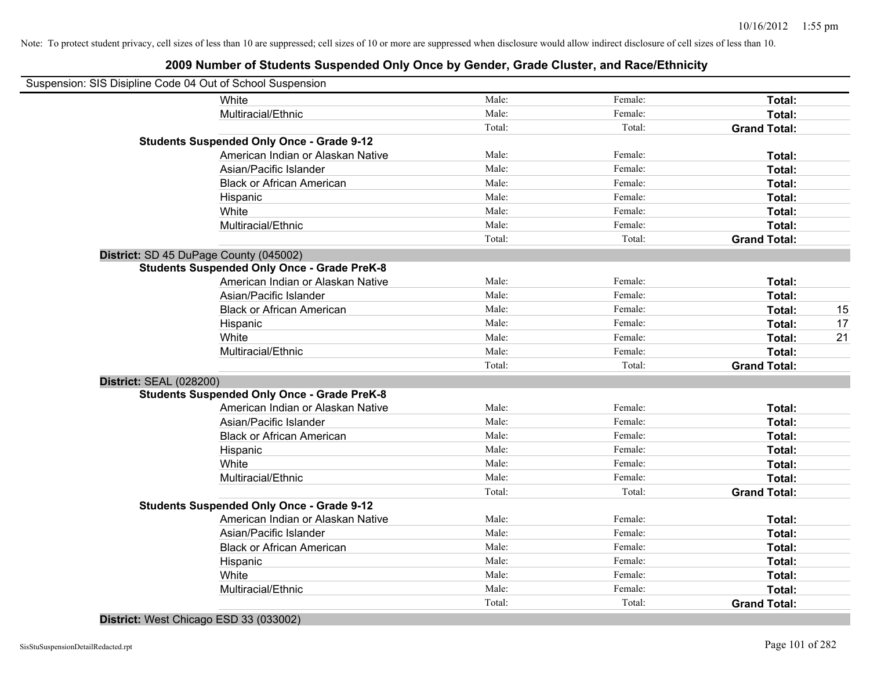|   | Suspension: SIS Disipline Code 04 Out of School Suspension |        |         |                     |    |
|---|------------------------------------------------------------|--------|---------|---------------------|----|
|   | White                                                      | Male:  | Female: | Total:              |    |
|   | Multiracial/Ethnic                                         | Male:  | Female: | Total:              |    |
|   |                                                            | Total: | Total:  | <b>Grand Total:</b> |    |
|   | <b>Students Suspended Only Once - Grade 9-12</b>           |        |         |                     |    |
|   | American Indian or Alaskan Native                          | Male:  | Female: | Total:              |    |
|   | Asian/Pacific Islander                                     | Male:  | Female: | Total:              |    |
|   | <b>Black or African American</b>                           | Male:  | Female: | Total:              |    |
|   | Hispanic                                                   | Male:  | Female: | Total:              |    |
|   | White                                                      | Male:  | Female: | Total:              |    |
|   | Multiracial/Ethnic                                         | Male:  | Female: | Total:              |    |
|   |                                                            | Total: | Total:  | <b>Grand Total:</b> |    |
|   | District: SD 45 DuPage County (045002)                     |        |         |                     |    |
|   | <b>Students Suspended Only Once - Grade PreK-8</b>         |        |         |                     |    |
|   | American Indian or Alaskan Native                          | Male:  | Female: | Total:              |    |
|   | Asian/Pacific Islander                                     | Male:  | Female: | Total:              |    |
|   | <b>Black or African American</b>                           | Male:  | Female: | Total:              | 15 |
|   | Hispanic                                                   | Male:  | Female: | Total:              | 17 |
|   | White                                                      | Male:  | Female: | Total:              | 21 |
|   | Multiracial/Ethnic                                         | Male:  | Female: | Total:              |    |
|   |                                                            | Total: | Total:  | <b>Grand Total:</b> |    |
|   | <b>District: SEAL (028200)</b>                             |        |         |                     |    |
|   | <b>Students Suspended Only Once - Grade PreK-8</b>         |        |         |                     |    |
|   | American Indian or Alaskan Native                          | Male:  | Female: | Total:              |    |
|   | Asian/Pacific Islander                                     | Male:  | Female: | Total:              |    |
|   | <b>Black or African American</b>                           | Male:  | Female: | Total:              |    |
|   | Hispanic                                                   | Male:  | Female: | Total:              |    |
|   | White                                                      | Male:  | Female: | Total:              |    |
|   | Multiracial/Ethnic                                         | Male:  | Female: | Total:              |    |
|   |                                                            | Total: | Total:  | <b>Grand Total:</b> |    |
|   | <b>Students Suspended Only Once - Grade 9-12</b>           |        |         |                     |    |
|   | American Indian or Alaskan Native                          | Male:  | Female: | Total:              |    |
|   | Asian/Pacific Islander                                     | Male:  | Female: | Total:              |    |
|   | <b>Black or African American</b>                           | Male:  | Female: | Total:              |    |
|   | Hispanic                                                   | Male:  | Female: | Total:              |    |
|   | White                                                      | Male:  | Female: | Total:              |    |
|   | Multiracial/Ethnic                                         | Male:  | Female: | Total:              |    |
|   |                                                            | Total: | Total:  | <b>Grand Total:</b> |    |
| . |                                                            |        |         |                     |    |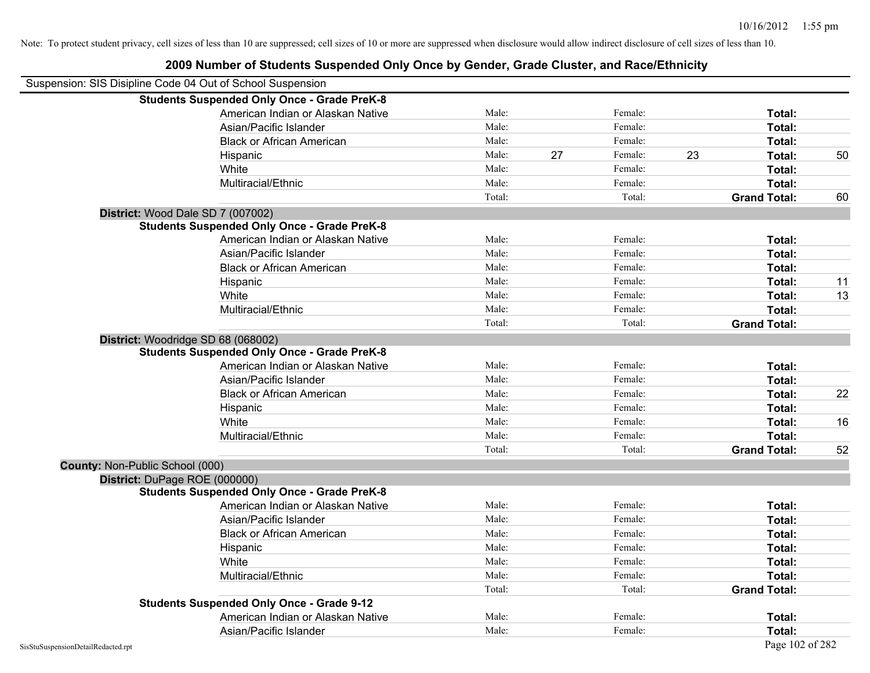|                                 | 2009 Number of Students Suspended Only Once by Gender, Grade Cluster, and Race/Ethnicity |        |    |         |    |                     |    |
|---------------------------------|------------------------------------------------------------------------------------------|--------|----|---------|----|---------------------|----|
|                                 | Suspension: SIS Disipline Code 04 Out of School Suspension                               |        |    |         |    |                     |    |
|                                 | <b>Students Suspended Only Once - Grade PreK-8</b>                                       |        |    |         |    |                     |    |
|                                 | American Indian or Alaskan Native                                                        | Male:  |    | Female: |    | Total:              |    |
|                                 | Asian/Pacific Islander                                                                   | Male:  |    | Female: |    | Total:              |    |
|                                 | <b>Black or African American</b>                                                         | Male:  |    | Female: |    | Total:              |    |
|                                 | Hispanic                                                                                 | Male:  | 27 | Female: | 23 | Total:              | 50 |
|                                 | White                                                                                    | Male:  |    | Female: |    | Total:              |    |
|                                 | Multiracial/Ethnic                                                                       | Male:  |    | Female: |    | Total:              |    |
|                                 |                                                                                          | Total: |    | Total:  |    | <b>Grand Total:</b> | 60 |
|                                 | District: Wood Dale SD 7 (007002)                                                        |        |    |         |    |                     |    |
|                                 | <b>Students Suspended Only Once - Grade PreK-8</b>                                       |        |    |         |    |                     |    |
|                                 | American Indian or Alaskan Native                                                        | Male:  |    | Female: |    | Total:              |    |
|                                 | Asian/Pacific Islander                                                                   | Male:  |    | Female: |    | Total:              |    |
|                                 | <b>Black or African American</b>                                                         | Male:  |    | Female: |    | Total:              |    |
|                                 | Hispanic                                                                                 | Male:  |    | Female: |    | Total:              | 11 |
|                                 | White                                                                                    | Male:  |    | Female: |    | Total:              | 13 |
|                                 | Multiracial/Ethnic                                                                       | Male:  |    | Female: |    | Total:              |    |
|                                 |                                                                                          | Total: |    | Total:  |    | <b>Grand Total:</b> |    |
|                                 | District: Woodridge SD 68 (068002)                                                       |        |    |         |    |                     |    |
|                                 | <b>Students Suspended Only Once - Grade PreK-8</b>                                       |        |    |         |    |                     |    |
|                                 | American Indian or Alaskan Native                                                        | Male:  |    | Female: |    | Total:              |    |
|                                 | Asian/Pacific Islander                                                                   | Male:  |    | Female: |    | Total:              |    |
|                                 | <b>Black or African American</b>                                                         | Male:  |    | Female: |    | Total:              | 22 |
|                                 | Hispanic                                                                                 | Male:  |    | Female: |    | Total:              |    |
|                                 | White                                                                                    | Male:  |    | Female: |    | Total:              | 16 |
|                                 | Multiracial/Ethnic                                                                       | Male:  |    | Female: |    | Total:              |    |
|                                 |                                                                                          | Total: |    | Total:  |    | <b>Grand Total:</b> | 52 |
| County: Non-Public School (000) |                                                                                          |        |    |         |    |                     |    |
|                                 | District: DuPage ROE (000000)                                                            |        |    |         |    |                     |    |
|                                 | <b>Students Suspended Only Once - Grade PreK-8</b>                                       |        |    |         |    |                     |    |
|                                 | American Indian or Alaskan Native                                                        | Male:  |    | Female: |    | Total:              |    |
|                                 | Asian/Pacific Islander                                                                   | Male:  |    | Female: |    | Total:              |    |
|                                 | <b>Black or African American</b>                                                         | Male:  |    | Female: |    | Total:              |    |
|                                 | Hispanic                                                                                 | Male:  |    | Female: |    | Total:              |    |
|                                 | White                                                                                    | Male:  |    | Female: |    | Total:              |    |
|                                 | Multiracial/Ethnic                                                                       | Male:  |    | Female: |    | Total:              |    |
|                                 |                                                                                          | Total: |    | Total:  |    | <b>Grand Total:</b> |    |
|                                 | <b>Students Suspended Only Once - Grade 9-12</b>                                         |        |    |         |    |                     |    |
|                                 | American Indian or Alaskan Native                                                        | Male:  |    | Female: |    | Total:              |    |
|                                 | Asian/Pacific Islander                                                                   | Male:  |    | Female: |    | Total:              |    |

# SisStuSuspensionDetailRedacted.rpt Page 102 of 282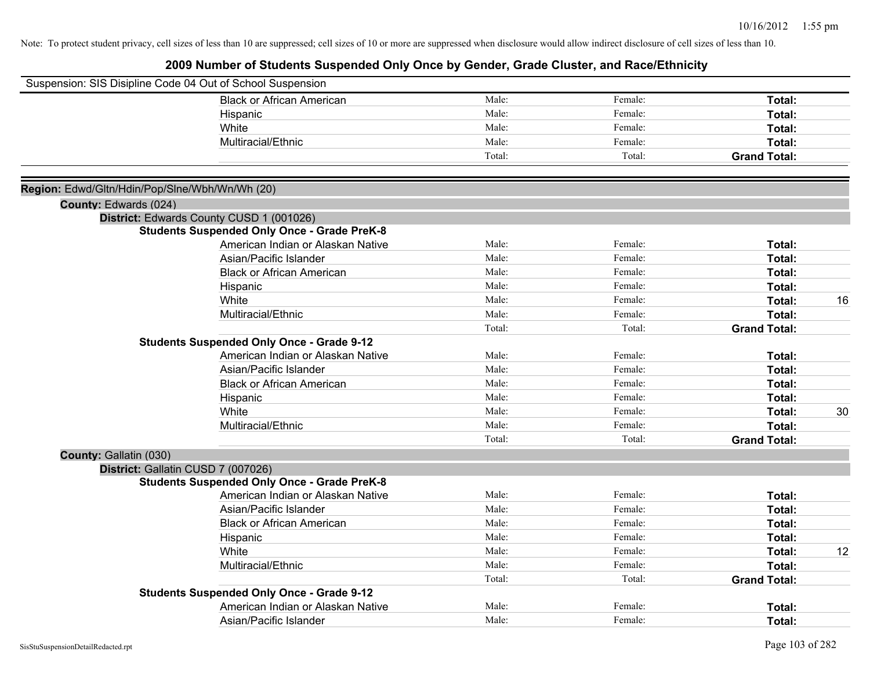|                                                | Suspension: SIS Disipline Code 04 Out of School Suspension |        |         |                     |    |
|------------------------------------------------|------------------------------------------------------------|--------|---------|---------------------|----|
|                                                | <b>Black or African American</b>                           | Male:  | Female: | Total:              |    |
|                                                | Hispanic                                                   | Male:  | Female: | Total:              |    |
|                                                | White                                                      | Male:  | Female: | Total:              |    |
|                                                | Multiracial/Ethnic                                         | Male:  | Female: | Total:              |    |
|                                                |                                                            | Total: | Total:  | <b>Grand Total:</b> |    |
| Region: Edwd/Gltn/Hdin/Pop/Slne/Wbh/Wn/Wh (20) |                                                            |        |         |                     |    |
| County: Edwards (024)                          |                                                            |        |         |                     |    |
|                                                | District: Edwards County CUSD 1 (001026)                   |        |         |                     |    |
|                                                | <b>Students Suspended Only Once - Grade PreK-8</b>         |        |         |                     |    |
|                                                | American Indian or Alaskan Native                          | Male:  | Female: | Total:              |    |
|                                                | Asian/Pacific Islander                                     | Male:  | Female: | Total:              |    |
|                                                | <b>Black or African American</b>                           | Male:  | Female: | Total:              |    |
|                                                | Hispanic                                                   | Male:  | Female: | Total:              |    |
|                                                | White                                                      | Male:  | Female: | Total:              | 16 |
|                                                | Multiracial/Ethnic                                         | Male:  | Female: | Total:              |    |
|                                                |                                                            | Total: | Total:  | <b>Grand Total:</b> |    |
|                                                | <b>Students Suspended Only Once - Grade 9-12</b>           |        |         |                     |    |
|                                                | American Indian or Alaskan Native                          | Male:  | Female: | Total:              |    |
|                                                | Asian/Pacific Islander                                     | Male:  | Female: | Total:              |    |
|                                                | <b>Black or African American</b>                           | Male:  | Female: | Total:              |    |
|                                                | Hispanic                                                   | Male:  | Female: | Total:              |    |
|                                                | White                                                      | Male:  | Female: | Total:              | 30 |
|                                                | Multiracial/Ethnic                                         | Male:  | Female: | Total:              |    |
|                                                |                                                            | Total: | Total:  | <b>Grand Total:</b> |    |
| County: Gallatin (030)                         |                                                            |        |         |                     |    |
|                                                | District: Gallatin CUSD 7 (007026)                         |        |         |                     |    |
|                                                | <b>Students Suspended Only Once - Grade PreK-8</b>         |        |         |                     |    |
|                                                | American Indian or Alaskan Native                          | Male:  | Female: | Total:              |    |
|                                                | Asian/Pacific Islander                                     | Male:  | Female: | Total:              |    |
|                                                | <b>Black or African American</b>                           | Male:  | Female: | Total:              |    |
|                                                | Hispanic                                                   | Male:  | Female: | Total:              |    |
|                                                | White                                                      | Male:  | Female: | Total:              | 12 |
|                                                | Multiracial/Ethnic                                         | Male:  | Female: | Total:              |    |
|                                                |                                                            | Total: | Total:  | <b>Grand Total:</b> |    |
|                                                | <b>Students Suspended Only Once - Grade 9-12</b>           |        |         |                     |    |
|                                                | American Indian or Alaskan Native                          | Male:  | Female: | Total:              |    |
|                                                | Asian/Pacific Islander                                     | Male:  | Female: | Total:              |    |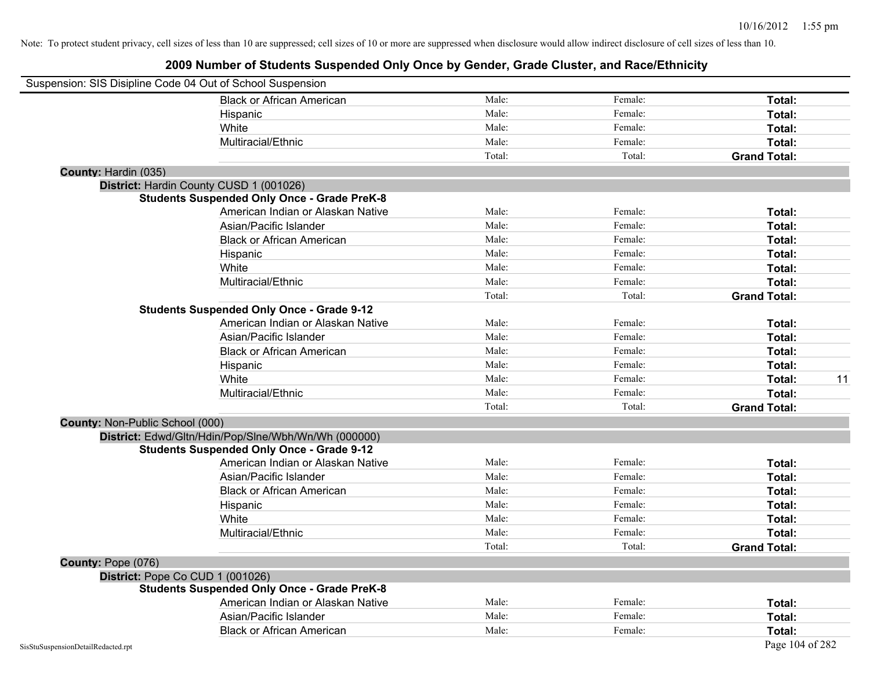| Suspension: SIS Disipline Code 04 Out of School Suspension |                                                      |        |         |                     |
|------------------------------------------------------------|------------------------------------------------------|--------|---------|---------------------|
|                                                            | <b>Black or African American</b>                     | Male:  | Female: | Total:              |
|                                                            | Hispanic                                             | Male:  | Female: | Total:              |
|                                                            | White                                                | Male:  | Female: | Total:              |
|                                                            | Multiracial/Ethnic                                   | Male:  | Female: | Total:              |
|                                                            |                                                      | Total: | Total:  | <b>Grand Total:</b> |
| County: Hardin (035)                                       |                                                      |        |         |                     |
|                                                            | District: Hardin County CUSD 1 (001026)              |        |         |                     |
|                                                            | <b>Students Suspended Only Once - Grade PreK-8</b>   |        |         |                     |
|                                                            | American Indian or Alaskan Native                    | Male:  | Female: | Total:              |
|                                                            | Asian/Pacific Islander                               | Male:  | Female: | Total:              |
|                                                            | <b>Black or African American</b>                     | Male:  | Female: | Total:              |
|                                                            | Hispanic                                             | Male:  | Female: | Total:              |
|                                                            | White                                                | Male:  | Female: | Total:              |
|                                                            | Multiracial/Ethnic                                   | Male:  | Female: | Total:              |
|                                                            |                                                      | Total: | Total:  | <b>Grand Total:</b> |
|                                                            | <b>Students Suspended Only Once - Grade 9-12</b>     |        |         |                     |
|                                                            | American Indian or Alaskan Native                    | Male:  | Female: | Total:              |
|                                                            | Asian/Pacific Islander                               | Male:  | Female: | Total:              |
|                                                            | <b>Black or African American</b>                     | Male:  | Female: | Total:              |
|                                                            | Hispanic                                             | Male:  | Female: | Total:              |
|                                                            | White                                                | Male:  | Female: | 11<br>Total:        |
|                                                            | Multiracial/Ethnic                                   | Male:  | Female: | Total:              |
|                                                            |                                                      | Total: | Total:  | <b>Grand Total:</b> |
| County: Non-Public School (000)                            |                                                      |        |         |                     |
|                                                            | District: Edwd/Gltn/Hdin/Pop/Slne/Wbh/Wn/Wh (000000) |        |         |                     |
|                                                            | <b>Students Suspended Only Once - Grade 9-12</b>     |        |         |                     |
|                                                            | American Indian or Alaskan Native                    | Male:  | Female: | Total:              |
|                                                            | Asian/Pacific Islander                               | Male:  | Female: | Total:              |
|                                                            | <b>Black or African American</b>                     | Male:  | Female: | Total:              |
|                                                            | Hispanic                                             | Male:  | Female: | Total:              |
|                                                            | White                                                | Male:  | Female: | Total:              |
|                                                            | Multiracial/Ethnic                                   | Male:  | Female: | Total:              |
|                                                            |                                                      | Total: | Total:  | <b>Grand Total:</b> |
| County: Pope (076)                                         |                                                      |        |         |                     |
| District: Pope Co CUD 1 (001026)                           |                                                      |        |         |                     |
|                                                            | <b>Students Suspended Only Once - Grade PreK-8</b>   |        |         |                     |
|                                                            | American Indian or Alaskan Native                    | Male:  | Female: | Total:              |
|                                                            | Asian/Pacific Islander                               | Male:  | Female: | Total:              |
|                                                            | <b>Black or African American</b>                     | Male:  | Female: | Total:              |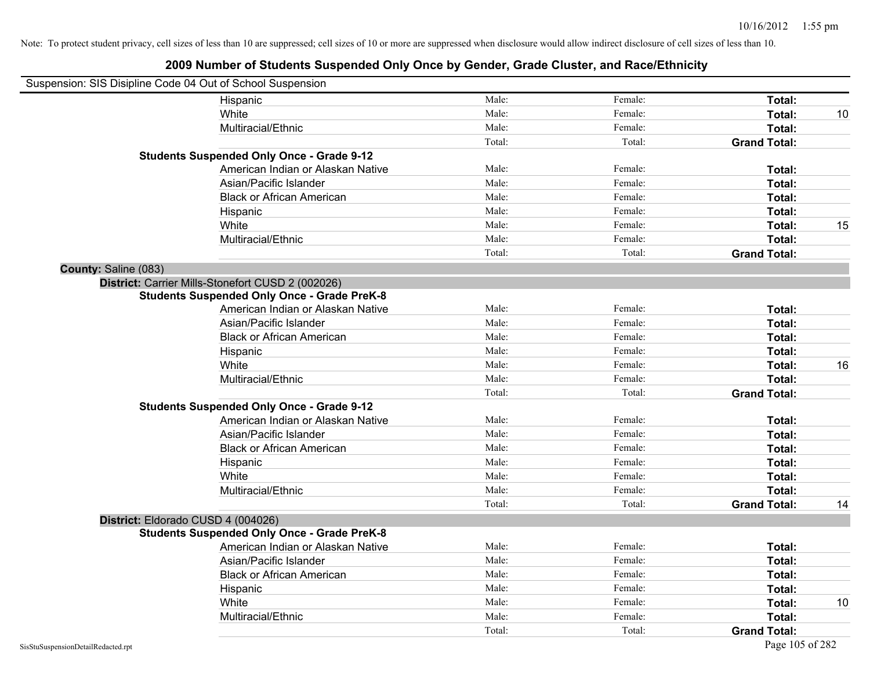|                      | Suspension: SIS Disipline Code 04 Out of School Suspension |        |         |                     |    |
|----------------------|------------------------------------------------------------|--------|---------|---------------------|----|
|                      | Hispanic                                                   | Male:  | Female: | Total:              |    |
|                      | White                                                      | Male:  | Female: | Total:              | 10 |
|                      | Multiracial/Ethnic                                         | Male:  | Female: | Total:              |    |
|                      |                                                            | Total: | Total:  | <b>Grand Total:</b> |    |
|                      | <b>Students Suspended Only Once - Grade 9-12</b>           |        |         |                     |    |
|                      | American Indian or Alaskan Native                          | Male:  | Female: | Total:              |    |
|                      | Asian/Pacific Islander                                     | Male:  | Female: | Total:              |    |
|                      | <b>Black or African American</b>                           | Male:  | Female: | Total:              |    |
|                      | Hispanic                                                   | Male:  | Female: | Total:              |    |
|                      | White                                                      | Male:  | Female: | Total:              | 15 |
|                      | Multiracial/Ethnic                                         | Male:  | Female: | Total:              |    |
|                      |                                                            | Total: | Total:  | <b>Grand Total:</b> |    |
| County: Saline (083) |                                                            |        |         |                     |    |
|                      | District: Carrier Mills-Stonefort CUSD 2 (002026)          |        |         |                     |    |
|                      | <b>Students Suspended Only Once - Grade PreK-8</b>         |        |         |                     |    |
|                      | American Indian or Alaskan Native                          | Male:  | Female: | Total:              |    |
|                      | Asian/Pacific Islander                                     | Male:  | Female: | Total:              |    |
|                      | <b>Black or African American</b>                           | Male:  | Female: | Total:              |    |
|                      | Hispanic                                                   | Male:  | Female: | Total:              |    |
|                      | White                                                      | Male:  | Female: | Total:              | 16 |
|                      | Multiracial/Ethnic                                         | Male:  | Female: | Total:              |    |
|                      |                                                            | Total: | Total:  | <b>Grand Total:</b> |    |
|                      | <b>Students Suspended Only Once - Grade 9-12</b>           |        |         |                     |    |
|                      | American Indian or Alaskan Native                          | Male:  | Female: | Total:              |    |
|                      | Asian/Pacific Islander                                     | Male:  | Female: | Total:              |    |
|                      | <b>Black or African American</b>                           | Male:  | Female: | Total:              |    |
|                      | Hispanic                                                   | Male:  | Female: | Total:              |    |
|                      | White                                                      | Male:  | Female: | Total:              |    |
|                      | Multiracial/Ethnic                                         | Male:  | Female: | Total:              |    |
|                      |                                                            | Total: | Total:  | <b>Grand Total:</b> | 14 |
|                      | District: Eldorado CUSD 4 (004026)                         |        |         |                     |    |
|                      | <b>Students Suspended Only Once - Grade PreK-8</b>         |        |         |                     |    |
|                      | American Indian or Alaskan Native                          | Male:  | Female: | Total:              |    |
|                      | Asian/Pacific Islander                                     | Male:  | Female: | Total:              |    |
|                      | <b>Black or African American</b>                           | Male:  | Female: | Total:              |    |
|                      | Hispanic                                                   | Male:  | Female: | Total:              |    |
|                      | White                                                      | Male:  | Female: | Total:              | 10 |
|                      | Multiracial/Ethnic                                         | Male:  | Female: | Total:              |    |
|                      |                                                            | Total: | Total:  | <b>Grand Total:</b> |    |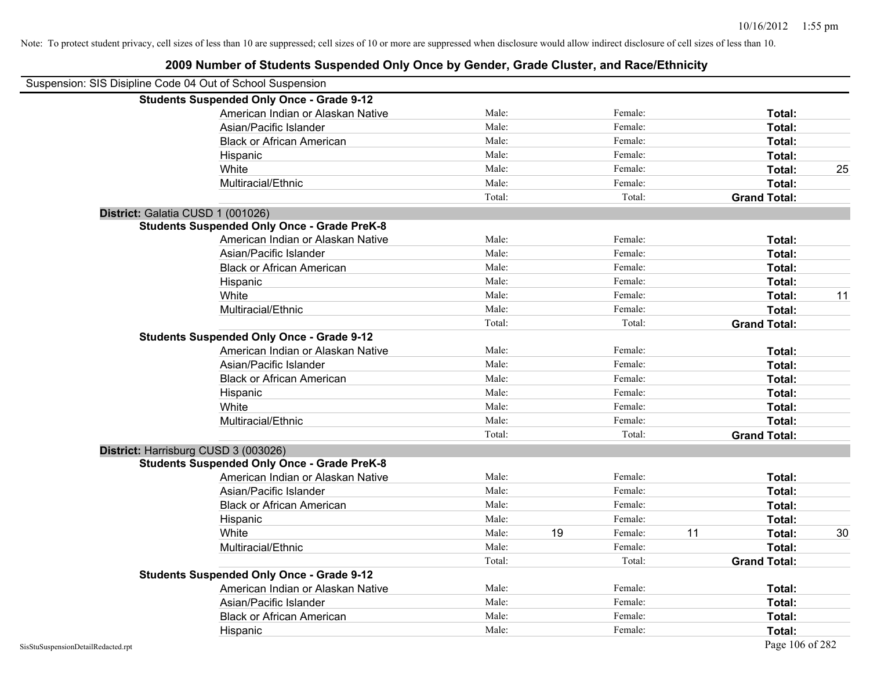| Suspension: SIS Disipline Code 04 Out of School Suspension |                                                    |        |    |         |    |                     |    |
|------------------------------------------------------------|----------------------------------------------------|--------|----|---------|----|---------------------|----|
|                                                            | <b>Students Suspended Only Once - Grade 9-12</b>   |        |    |         |    |                     |    |
|                                                            | American Indian or Alaskan Native                  | Male:  |    | Female: |    | Total:              |    |
|                                                            | Asian/Pacific Islander                             | Male:  |    | Female: |    | Total:              |    |
|                                                            | <b>Black or African American</b>                   | Male:  |    | Female: |    | Total:              |    |
|                                                            | Hispanic                                           | Male:  |    | Female: |    | Total:              |    |
|                                                            | White                                              | Male:  |    | Female: |    | Total:              | 25 |
|                                                            | Multiracial/Ethnic                                 | Male:  |    | Female: |    | Total:              |    |
|                                                            |                                                    | Total: |    | Total:  |    | <b>Grand Total:</b> |    |
| District: Galatia CUSD 1 (001026)                          |                                                    |        |    |         |    |                     |    |
|                                                            | <b>Students Suspended Only Once - Grade PreK-8</b> |        |    |         |    |                     |    |
|                                                            | American Indian or Alaskan Native                  | Male:  |    | Female: |    | Total:              |    |
|                                                            | Asian/Pacific Islander                             | Male:  |    | Female: |    | Total:              |    |
|                                                            | <b>Black or African American</b>                   | Male:  |    | Female: |    | Total:              |    |
|                                                            | Hispanic                                           | Male:  |    | Female: |    | Total:              |    |
|                                                            | White                                              | Male:  |    | Female: |    | Total:              | 11 |
|                                                            | Multiracial/Ethnic                                 | Male:  |    | Female: |    | Total:              |    |
|                                                            |                                                    | Total: |    | Total:  |    | <b>Grand Total:</b> |    |
|                                                            | <b>Students Suspended Only Once - Grade 9-12</b>   |        |    |         |    |                     |    |
|                                                            | American Indian or Alaskan Native                  | Male:  |    | Female: |    | Total:              |    |
|                                                            | Asian/Pacific Islander                             | Male:  |    | Female: |    | Total:              |    |
|                                                            | <b>Black or African American</b>                   | Male:  |    | Female: |    | Total:              |    |
|                                                            | Hispanic                                           | Male:  |    | Female: |    | Total:              |    |
|                                                            | White                                              | Male:  |    | Female: |    | Total:              |    |
|                                                            | Multiracial/Ethnic                                 | Male:  |    | Female: |    | Total:              |    |
|                                                            |                                                    | Total: |    | Total:  |    | <b>Grand Total:</b> |    |
| District: Harrisburg CUSD 3 (003026)                       |                                                    |        |    |         |    |                     |    |
|                                                            | <b>Students Suspended Only Once - Grade PreK-8</b> |        |    |         |    |                     |    |
|                                                            | American Indian or Alaskan Native                  | Male:  |    | Female: |    | Total:              |    |
|                                                            | Asian/Pacific Islander                             | Male:  |    | Female: |    | Total:              |    |
|                                                            | <b>Black or African American</b>                   | Male:  |    | Female: |    | Total:              |    |
|                                                            | Hispanic                                           | Male:  |    | Female: |    | Total:              |    |
|                                                            | White                                              | Male:  | 19 | Female: | 11 | Total:              | 30 |
|                                                            | Multiracial/Ethnic                                 | Male:  |    | Female: |    | Total:              |    |
|                                                            |                                                    | Total: |    | Total:  |    | <b>Grand Total:</b> |    |
|                                                            | <b>Students Suspended Only Once - Grade 9-12</b>   |        |    |         |    |                     |    |
|                                                            | American Indian or Alaskan Native                  | Male:  |    | Female: |    | Total:              |    |
|                                                            | Asian/Pacific Islander                             | Male:  |    | Female: |    | Total:              |    |
|                                                            | <b>Black or African American</b>                   | Male:  |    | Female: |    | Total:              |    |
|                                                            | Hispanic                                           | Male:  |    | Female: |    | Total:              |    |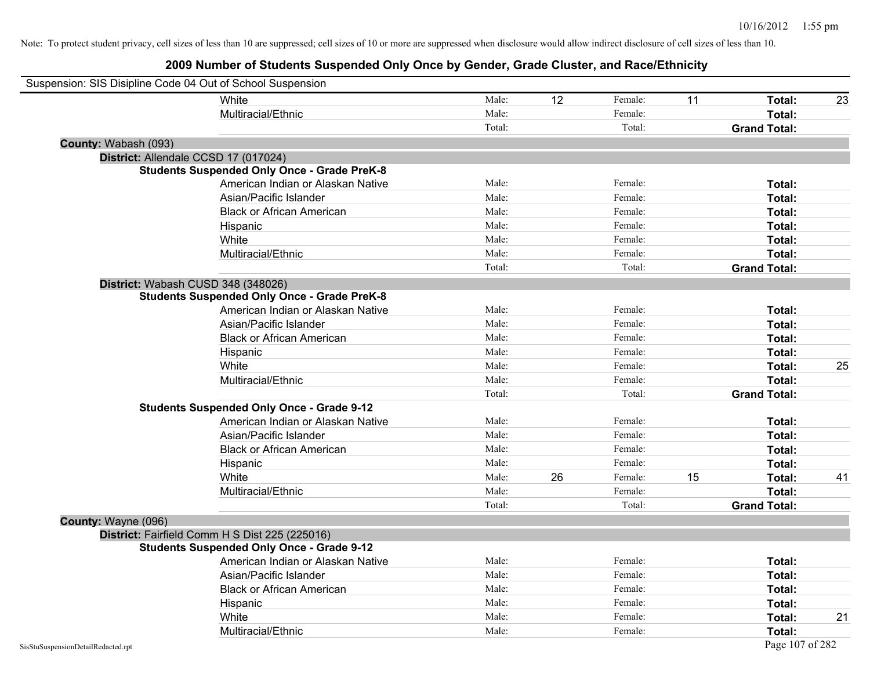| Suspension: SIS Disipline Code 04 Out of School Suspension |                                                    |        |                 |         |    |                     |    |
|------------------------------------------------------------|----------------------------------------------------|--------|-----------------|---------|----|---------------------|----|
|                                                            | White                                              | Male:  | $\overline{12}$ | Female: | 11 | Total:              | 23 |
|                                                            | Multiracial/Ethnic                                 | Male:  |                 | Female: |    | Total:              |    |
|                                                            |                                                    | Total: |                 | Total:  |    | <b>Grand Total:</b> |    |
| County: Wabash (093)                                       |                                                    |        |                 |         |    |                     |    |
|                                                            | District: Allendale CCSD 17 (017024)               |        |                 |         |    |                     |    |
|                                                            | <b>Students Suspended Only Once - Grade PreK-8</b> |        |                 |         |    |                     |    |
|                                                            | American Indian or Alaskan Native                  | Male:  |                 | Female: |    | Total:              |    |
|                                                            | Asian/Pacific Islander                             | Male:  |                 | Female: |    | Total:              |    |
|                                                            | <b>Black or African American</b>                   | Male:  |                 | Female: |    | Total:              |    |
|                                                            | Hispanic                                           | Male:  |                 | Female: |    | Total:              |    |
|                                                            | White                                              | Male:  |                 | Female: |    | Total:              |    |
|                                                            | Multiracial/Ethnic                                 | Male:  |                 | Female: |    | Total:              |    |
|                                                            |                                                    | Total: |                 | Total:  |    | <b>Grand Total:</b> |    |
|                                                            | District: Wabash CUSD 348 (348026)                 |        |                 |         |    |                     |    |
|                                                            | <b>Students Suspended Only Once - Grade PreK-8</b> |        |                 |         |    |                     |    |
|                                                            | American Indian or Alaskan Native                  | Male:  |                 | Female: |    | Total:              |    |
|                                                            | Asian/Pacific Islander                             | Male:  |                 | Female: |    | Total:              |    |
|                                                            | <b>Black or African American</b>                   | Male:  |                 | Female: |    | Total:              |    |
|                                                            | Hispanic                                           | Male:  |                 | Female: |    | Total:              |    |
|                                                            | White                                              | Male:  |                 | Female: |    | Total:              | 25 |
|                                                            | Multiracial/Ethnic                                 | Male:  |                 | Female: |    | Total:              |    |
|                                                            |                                                    | Total: |                 | Total:  |    | <b>Grand Total:</b> |    |
|                                                            | <b>Students Suspended Only Once - Grade 9-12</b>   |        |                 |         |    |                     |    |
|                                                            | American Indian or Alaskan Native                  | Male:  |                 | Female: |    | Total:              |    |
|                                                            | Asian/Pacific Islander                             | Male:  |                 | Female: |    | Total:              |    |
|                                                            | <b>Black or African American</b>                   | Male:  |                 | Female: |    | Total:              |    |
|                                                            | Hispanic                                           | Male:  |                 | Female: |    | Total:              |    |
|                                                            | White                                              | Male:  | 26              | Female: | 15 | Total:              | 41 |
|                                                            | Multiracial/Ethnic                                 | Male:  |                 | Female: |    | Total:              |    |
|                                                            |                                                    | Total: |                 | Total:  |    | <b>Grand Total:</b> |    |
| County: Wayne (096)                                        |                                                    |        |                 |         |    |                     |    |
|                                                            | District: Fairfield Comm H S Dist 225 (225016)     |        |                 |         |    |                     |    |
|                                                            | <b>Students Suspended Only Once - Grade 9-12</b>   |        |                 |         |    |                     |    |
|                                                            | American Indian or Alaskan Native                  | Male:  |                 | Female: |    | Total:              |    |
|                                                            | Asian/Pacific Islander                             | Male:  |                 | Female: |    | Total:              |    |
|                                                            | <b>Black or African American</b>                   | Male:  |                 | Female: |    | Total:              |    |
|                                                            | Hispanic                                           | Male:  |                 | Female: |    | Total:              |    |
|                                                            | White                                              | Male:  |                 | Female: |    | Total:              | 21 |
|                                                            | Multiracial/Ethnic                                 | Male:  |                 | Female: |    | Total:              |    |
| SisStuSuspensionDetailRedacted.rpt                         |                                                    |        |                 |         |    | Page 107 of 282     |    |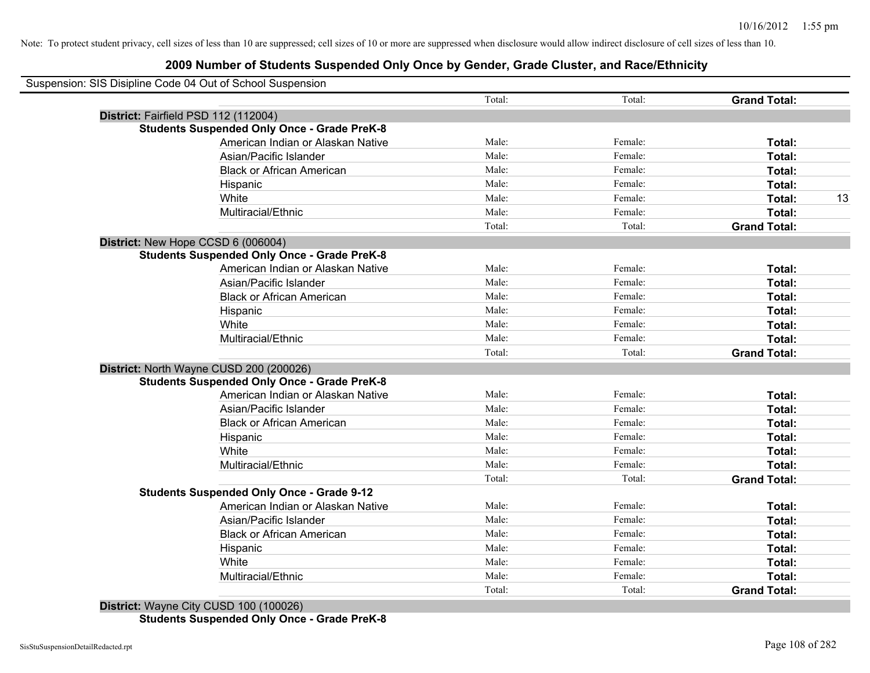| Suspension: SIS Disipline Code 04 Out of School Suspension |        |         |                     |    |
|------------------------------------------------------------|--------|---------|---------------------|----|
|                                                            | Total: | Total:  | <b>Grand Total:</b> |    |
| District: Fairfield PSD 112 (112004)                       |        |         |                     |    |
| <b>Students Suspended Only Once - Grade PreK-8</b>         |        |         |                     |    |
| American Indian or Alaskan Native                          | Male:  | Female: | Total:              |    |
| Asian/Pacific Islander                                     | Male:  | Female: | Total:              |    |
| <b>Black or African American</b>                           | Male:  | Female: | Total:              |    |
| Hispanic                                                   | Male:  | Female: | <b>Total:</b>       |    |
| White                                                      | Male:  | Female: | Total:              | 13 |
| Multiracial/Ethnic                                         | Male:  | Female: | Total:              |    |
|                                                            | Total: | Total:  | <b>Grand Total:</b> |    |
| District: New Hope CCSD 6 (006004)                         |        |         |                     |    |
| <b>Students Suspended Only Once - Grade PreK-8</b>         |        |         |                     |    |
| American Indian or Alaskan Native                          | Male:  | Female: | Total:              |    |
| Asian/Pacific Islander                                     | Male:  | Female: | Total:              |    |
| <b>Black or African American</b>                           | Male:  | Female: | Total:              |    |
| Hispanic                                                   | Male:  | Female: | Total:              |    |
| White                                                      | Male:  | Female: | Total:              |    |
| Multiracial/Ethnic                                         | Male:  | Female: | Total:              |    |
|                                                            | Total: | Total:  | <b>Grand Total:</b> |    |
| District: North Wayne CUSD 200 (200026)                    |        |         |                     |    |
| <b>Students Suspended Only Once - Grade PreK-8</b>         |        |         |                     |    |
| American Indian or Alaskan Native                          | Male:  | Female: | Total:              |    |
| Asian/Pacific Islander                                     | Male:  | Female: | Total:              |    |
| <b>Black or African American</b>                           | Male:  | Female: | Total:              |    |
| Hispanic                                                   | Male:  | Female: | Total:              |    |
| White                                                      | Male:  | Female: | Total:              |    |
| Multiracial/Ethnic                                         | Male:  | Female: | Total:              |    |
|                                                            | Total: | Total:  | <b>Grand Total:</b> |    |
| <b>Students Suspended Only Once - Grade 9-12</b>           |        |         |                     |    |
| American Indian or Alaskan Native                          | Male:  | Female: | Total:              |    |
| Asian/Pacific Islander                                     | Male:  | Female: | Total:              |    |
| <b>Black or African American</b>                           | Male:  | Female: | Total:              |    |
| Hispanic                                                   | Male:  | Female: | Total:              |    |
| White                                                      | Male:  | Female: | Total:              |    |
| Multiracial/Ethnic                                         | Male:  | Female: | Total:              |    |
|                                                            | Total: | Total:  | <b>Grand Total:</b> |    |
|                                                            |        |         |                     |    |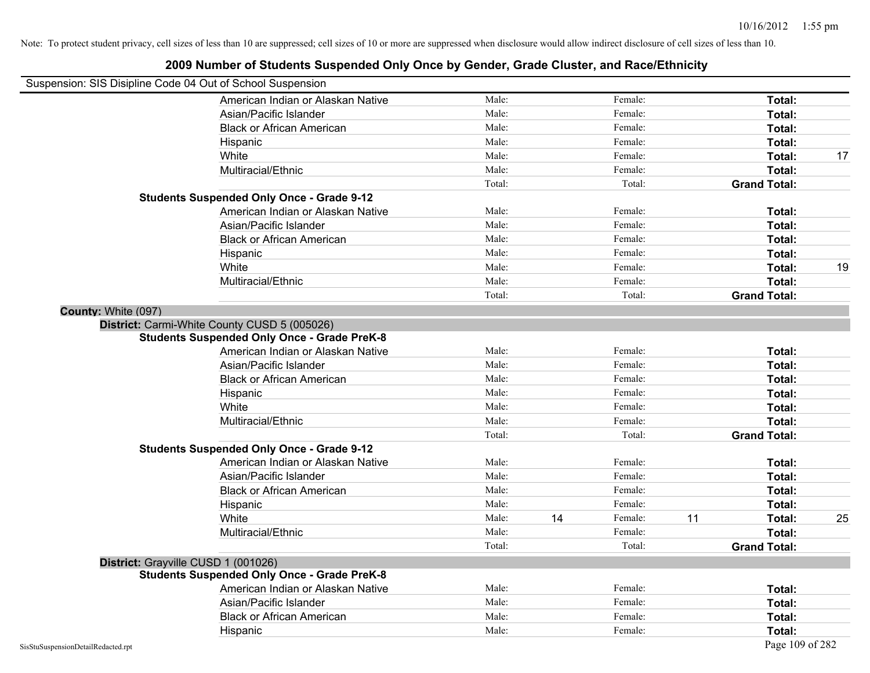|                                                            | 2009 Number of Students Suspended Only Once by Gender, Grade Cluster, and Race/Ethnicity |        |    |         |    |                     |    |
|------------------------------------------------------------|------------------------------------------------------------------------------------------|--------|----|---------|----|---------------------|----|
| Suspension: SIS Disipline Code 04 Out of School Suspension |                                                                                          |        |    |         |    |                     |    |
|                                                            | American Indian or Alaskan Native                                                        | Male:  |    | Female: |    | Total:              |    |
|                                                            | Asian/Pacific Islander                                                                   | Male:  |    | Female: |    | Total:              |    |
|                                                            | <b>Black or African American</b>                                                         | Male:  |    | Female: |    | Total:              |    |
|                                                            | Hispanic                                                                                 | Male:  |    | Female: |    | Total:              |    |
|                                                            | White                                                                                    | Male:  |    | Female: |    | Total:              | 17 |
|                                                            | Multiracial/Ethnic                                                                       | Male:  |    | Female: |    | Total:              |    |
|                                                            |                                                                                          | Total: |    | Total:  |    | <b>Grand Total:</b> |    |
|                                                            | <b>Students Suspended Only Once - Grade 9-12</b>                                         |        |    |         |    |                     |    |
|                                                            | American Indian or Alaskan Native                                                        | Male:  |    | Female: |    | Total:              |    |
|                                                            | Asian/Pacific Islander                                                                   | Male:  |    | Female: |    | Total:              |    |
|                                                            | <b>Black or African American</b>                                                         | Male:  |    | Female: |    | Total:              |    |
|                                                            | Hispanic                                                                                 | Male:  |    | Female: |    | Total:              |    |
|                                                            | White                                                                                    | Male:  |    | Female: |    | Total:              | 19 |
|                                                            | Multiracial/Ethnic                                                                       | Male:  |    | Female: |    | Total:              |    |
|                                                            |                                                                                          | Total: |    | Total:  |    | <b>Grand Total:</b> |    |
| County: White (097)                                        |                                                                                          |        |    |         |    |                     |    |
|                                                            | District: Carmi-White County CUSD 5 (005026)                                             |        |    |         |    |                     |    |
|                                                            | <b>Students Suspended Only Once - Grade PreK-8</b>                                       |        |    |         |    |                     |    |
|                                                            | American Indian or Alaskan Native                                                        | Male:  |    | Female: |    | Total:              |    |
|                                                            | Asian/Pacific Islander                                                                   | Male:  |    | Female: |    | Total:              |    |
|                                                            | <b>Black or African American</b>                                                         | Male:  |    | Female: |    | Total:              |    |
|                                                            | Hispanic                                                                                 | Male:  |    | Female: |    | Total:              |    |
|                                                            | White                                                                                    | Male:  |    | Female: |    | Total:              |    |
|                                                            | Multiracial/Ethnic                                                                       | Male:  |    | Female: |    | Total:              |    |
|                                                            |                                                                                          | Total: |    | Total:  |    | <b>Grand Total:</b> |    |
|                                                            | <b>Students Suspended Only Once - Grade 9-12</b>                                         |        |    |         |    |                     |    |
|                                                            | American Indian or Alaskan Native                                                        | Male:  |    | Female: |    | Total:              |    |
|                                                            | Asian/Pacific Islander                                                                   | Male:  |    | Female: |    | Total:              |    |
|                                                            | <b>Black or African American</b>                                                         | Male:  |    | Female: |    | Total:              |    |
|                                                            | Hispanic                                                                                 | Male:  |    | Female: |    | Total:              |    |
|                                                            | White                                                                                    | Male:  | 14 | Female: | 11 | Total:              | 25 |
|                                                            | Multiracial/Ethnic                                                                       | Male:  |    | Female: |    | Total:              |    |
|                                                            |                                                                                          | Total: |    | Total:  |    | <b>Grand Total:</b> |    |
|                                                            | District: Grayville CUSD 1 (001026)                                                      |        |    |         |    |                     |    |
|                                                            | <b>Students Suspended Only Once - Grade PreK-8</b>                                       |        |    |         |    |                     |    |
|                                                            | American Indian or Alaskan Native                                                        | Male:  |    | Female: |    | Total:              |    |
|                                                            | Asian/Pacific Islander                                                                   | Male:  |    | Female: |    | Total:              |    |
|                                                            | <b>Black or African American</b>                                                         | Male:  |    | Female: |    | Total:              |    |
|                                                            | Hispanic                                                                                 | Male:  |    | Female: |    | Total:              |    |
| SisStuSuspensionDetailRedacted.rpt                         |                                                                                          |        |    |         |    | Page 109 of 282     |    |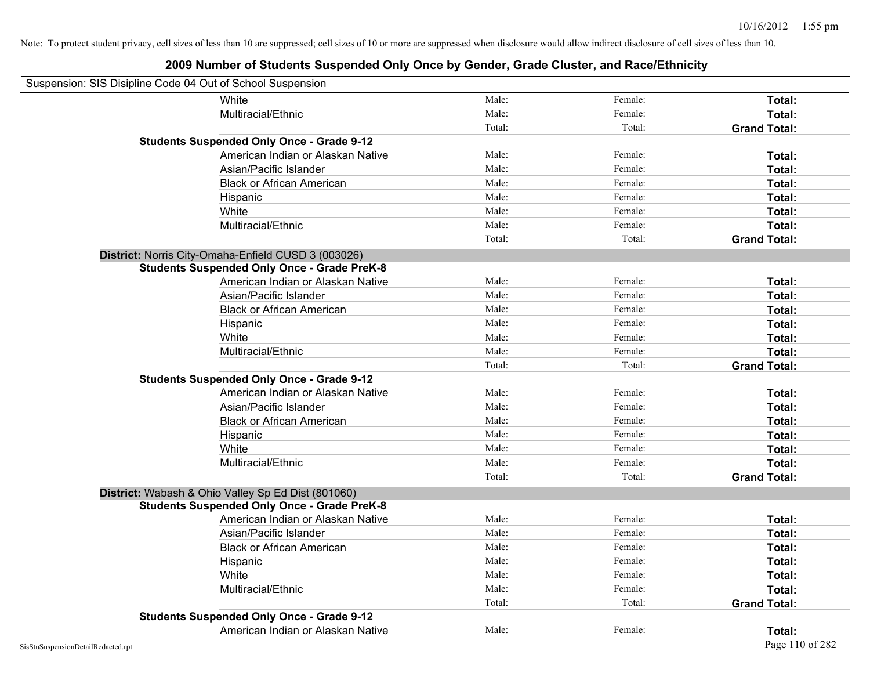| Suspension: SIS Disipline Code 04 Out of School Suspension |                                                     |        |         |                     |
|------------------------------------------------------------|-----------------------------------------------------|--------|---------|---------------------|
|                                                            | White                                               | Male:  | Female: | Total:              |
|                                                            | Multiracial/Ethnic                                  | Male:  | Female: | Total:              |
|                                                            |                                                     | Total: | Total:  | <b>Grand Total:</b> |
|                                                            | <b>Students Suspended Only Once - Grade 9-12</b>    |        |         |                     |
|                                                            | American Indian or Alaskan Native                   | Male:  | Female: | Total:              |
|                                                            | Asian/Pacific Islander                              | Male:  | Female: | Total:              |
|                                                            | <b>Black or African American</b>                    | Male:  | Female: | Total:              |
|                                                            | Hispanic                                            | Male:  | Female: | Total:              |
|                                                            | White                                               | Male:  | Female: | Total:              |
|                                                            | Multiracial/Ethnic                                  | Male:  | Female: | Total:              |
|                                                            |                                                     | Total: | Total:  | <b>Grand Total:</b> |
|                                                            | District: Norris City-Omaha-Enfield CUSD 3 (003026) |        |         |                     |
|                                                            | <b>Students Suspended Only Once - Grade PreK-8</b>  |        |         |                     |
|                                                            | American Indian or Alaskan Native                   | Male:  | Female: | Total:              |
|                                                            | Asian/Pacific Islander                              | Male:  | Female: | Total:              |
|                                                            | <b>Black or African American</b>                    | Male:  | Female: | Total:              |
|                                                            | Hispanic                                            | Male:  | Female: | Total:              |
|                                                            | White                                               | Male:  | Female: | Total:              |
|                                                            | Multiracial/Ethnic                                  | Male:  | Female: | Total:              |
|                                                            |                                                     | Total: | Total:  | <b>Grand Total:</b> |
|                                                            | <b>Students Suspended Only Once - Grade 9-12</b>    |        |         |                     |
|                                                            | American Indian or Alaskan Native                   | Male:  | Female: | Total:              |
|                                                            | Asian/Pacific Islander                              | Male:  | Female: | Total:              |
|                                                            | <b>Black or African American</b>                    | Male:  | Female: | Total:              |
|                                                            | Hispanic                                            | Male:  | Female: | Total:              |
|                                                            | White                                               | Male:  | Female: | Total:              |
|                                                            | Multiracial/Ethnic                                  | Male:  | Female: | Total:              |
|                                                            |                                                     | Total: | Total:  | <b>Grand Total:</b> |
|                                                            | District: Wabash & Ohio Valley Sp Ed Dist (801060)  |        |         |                     |
|                                                            | <b>Students Suspended Only Once - Grade PreK-8</b>  |        |         |                     |
|                                                            | American Indian or Alaskan Native                   | Male:  | Female: | Total:              |
|                                                            | Asian/Pacific Islander                              | Male:  | Female: | Total:              |
|                                                            | <b>Black or African American</b>                    | Male:  | Female: | Total:              |
|                                                            | Hispanic                                            | Male:  | Female: | Total:              |
|                                                            | White                                               | Male:  | Female: | Total:              |
|                                                            | Multiracial/Ethnic                                  | Male:  | Female: | Total:              |
|                                                            |                                                     | Total: | Total:  | <b>Grand Total:</b> |
|                                                            | <b>Students Suspended Only Once - Grade 9-12</b>    |        |         |                     |
|                                                            | American Indian or Alaskan Native                   | Male:  | Female: | Total:              |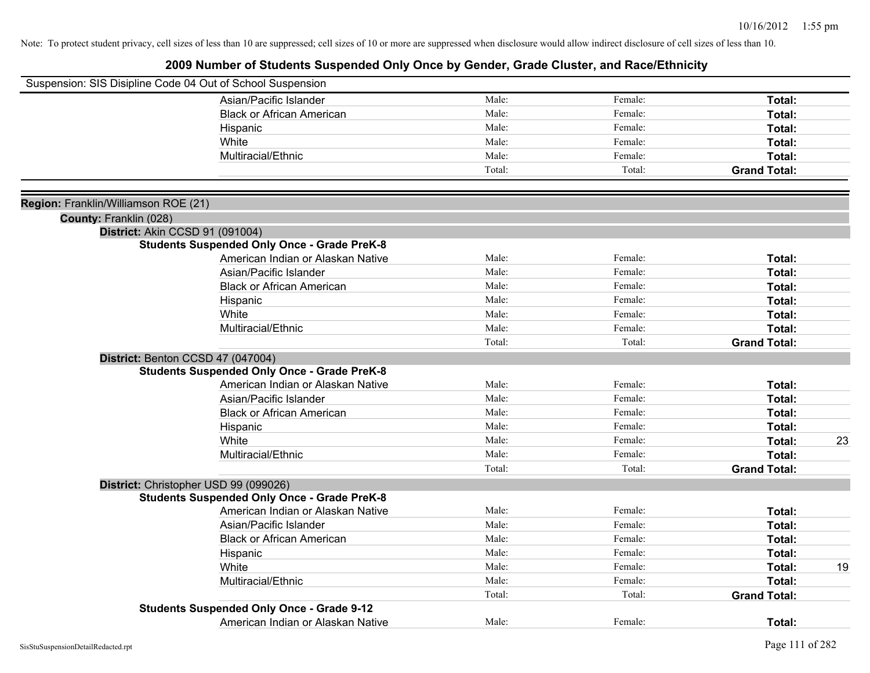| Suspension: SIS Disipline Code 04 Out of School Suspension |                                                    |        |         |                     |    |
|------------------------------------------------------------|----------------------------------------------------|--------|---------|---------------------|----|
|                                                            | Asian/Pacific Islander                             | Male:  | Female: | Total:              |    |
|                                                            | <b>Black or African American</b>                   | Male:  | Female: | Total:              |    |
|                                                            | Hispanic                                           | Male:  | Female: | Total:              |    |
|                                                            | White                                              | Male:  | Female: | Total:              |    |
|                                                            | Multiracial/Ethnic                                 | Male:  | Female: | Total:              |    |
|                                                            |                                                    | Total: | Total:  | <b>Grand Total:</b> |    |
|                                                            |                                                    |        |         |                     |    |
| Region: Franklin/Williamson ROE (21)                       |                                                    |        |         |                     |    |
| County: Franklin (028)                                     |                                                    |        |         |                     |    |
|                                                            | District: Akin CCSD 91 (091004)                    |        |         |                     |    |
|                                                            | <b>Students Suspended Only Once - Grade PreK-8</b> |        |         |                     |    |
|                                                            | American Indian or Alaskan Native                  | Male:  | Female: | Total:              |    |
|                                                            | Asian/Pacific Islander                             | Male:  | Female: | Total:              |    |
|                                                            | <b>Black or African American</b>                   | Male:  | Female: | Total:              |    |
|                                                            | Hispanic                                           | Male:  | Female: | Total:              |    |
|                                                            | White                                              | Male:  | Female: | Total:              |    |
|                                                            | Multiracial/Ethnic                                 | Male:  | Female: | Total:              |    |
|                                                            |                                                    | Total: | Total:  | <b>Grand Total:</b> |    |
|                                                            | District: Benton CCSD 47 (047004)                  |        |         |                     |    |
|                                                            | <b>Students Suspended Only Once - Grade PreK-8</b> |        |         |                     |    |
|                                                            | American Indian or Alaskan Native                  | Male:  | Female: | Total:              |    |
|                                                            | Asian/Pacific Islander                             | Male:  | Female: | Total:              |    |
|                                                            | <b>Black or African American</b>                   | Male:  | Female: | Total:              |    |
|                                                            | Hispanic                                           | Male:  | Female: | Total:              |    |
|                                                            | White                                              | Male:  | Female: | Total:              | 23 |
|                                                            | Multiracial/Ethnic                                 | Male:  | Female: | Total:              |    |
|                                                            |                                                    | Total: | Total:  | <b>Grand Total:</b> |    |
|                                                            | District: Christopher USD 99 (099026)              |        |         |                     |    |
|                                                            | <b>Students Suspended Only Once - Grade PreK-8</b> |        |         |                     |    |
|                                                            | American Indian or Alaskan Native                  | Male:  | Female: | Total:              |    |
|                                                            | Asian/Pacific Islander                             | Male:  | Female: | Total:              |    |
|                                                            | <b>Black or African American</b>                   | Male:  | Female: | Total:              |    |
|                                                            | Hispanic                                           | Male:  | Female: | Total:              |    |
|                                                            | White                                              | Male:  | Female: | Total:              | 19 |
|                                                            | Multiracial/Ethnic                                 | Male:  | Female: | Total:              |    |
|                                                            |                                                    | Total: | Total:  | <b>Grand Total:</b> |    |
|                                                            | <b>Students Suspended Only Once - Grade 9-12</b>   |        |         |                     |    |
|                                                            | American Indian or Alaskan Native                  | Male:  | Female: | Total:              |    |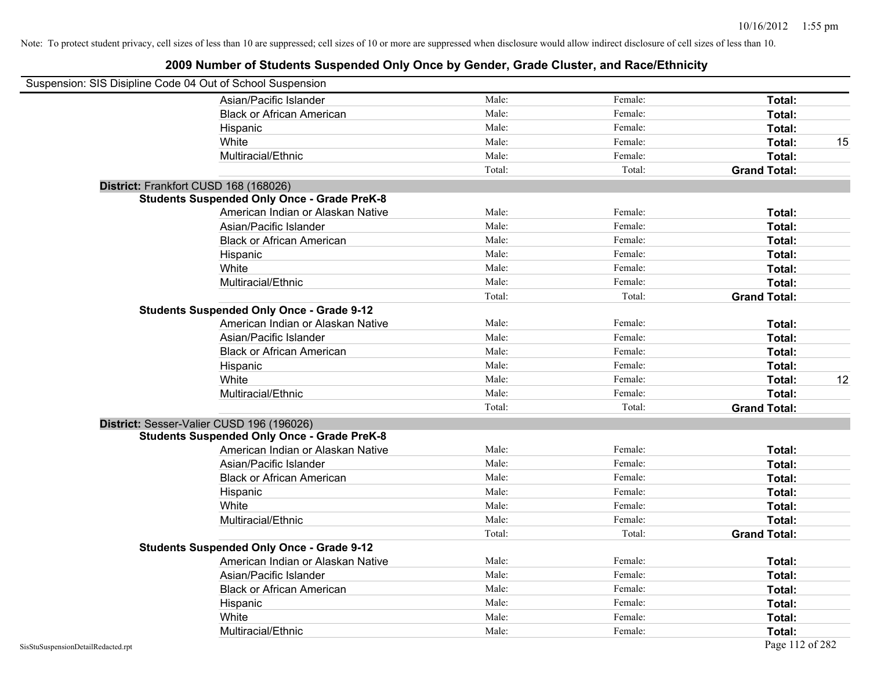| Suspension: SIS Disipline Code 04 Out of School Suspension |                                                    |        |         |                     |    |
|------------------------------------------------------------|----------------------------------------------------|--------|---------|---------------------|----|
|                                                            | Asian/Pacific Islander                             | Male:  | Female: | Total:              |    |
|                                                            | <b>Black or African American</b>                   | Male:  | Female: | Total:              |    |
|                                                            | Hispanic                                           | Male:  | Female: | Total:              |    |
|                                                            | White                                              | Male:  | Female: | Total:              | 15 |
|                                                            | Multiracial/Ethnic                                 | Male:  | Female: | Total:              |    |
|                                                            |                                                    | Total: | Total:  | <b>Grand Total:</b> |    |
| District: Frankfort CUSD 168 (168026)                      |                                                    |        |         |                     |    |
|                                                            | <b>Students Suspended Only Once - Grade PreK-8</b> |        |         |                     |    |
|                                                            | American Indian or Alaskan Native                  | Male:  | Female: | Total:              |    |
|                                                            | Asian/Pacific Islander                             | Male:  | Female: | Total:              |    |
|                                                            | <b>Black or African American</b>                   | Male:  | Female: | Total:              |    |
|                                                            | Hispanic                                           | Male:  | Female: | Total:              |    |
|                                                            | White                                              | Male:  | Female: | Total:              |    |
|                                                            | Multiracial/Ethnic                                 | Male:  | Female: | Total:              |    |
|                                                            |                                                    | Total: | Total:  | <b>Grand Total:</b> |    |
|                                                            | <b>Students Suspended Only Once - Grade 9-12</b>   |        |         |                     |    |
|                                                            | American Indian or Alaskan Native                  | Male:  | Female: | Total:              |    |
|                                                            | Asian/Pacific Islander                             | Male:  | Female: | Total:              |    |
|                                                            | <b>Black or African American</b>                   | Male:  | Female: | Total:              |    |
|                                                            | Hispanic                                           | Male:  | Female: | Total:              |    |
|                                                            | White                                              | Male:  | Female: | Total:              | 12 |
|                                                            | Multiracial/Ethnic                                 | Male:  | Female: | Total:              |    |
|                                                            |                                                    | Total: | Total:  | <b>Grand Total:</b> |    |
|                                                            | District: Sesser-Valier CUSD 196 (196026)          |        |         |                     |    |
|                                                            | <b>Students Suspended Only Once - Grade PreK-8</b> |        |         |                     |    |
|                                                            | American Indian or Alaskan Native                  | Male:  | Female: | Total:              |    |
|                                                            | Asian/Pacific Islander                             | Male:  | Female: | Total:              |    |
|                                                            | <b>Black or African American</b>                   | Male:  | Female: | Total:              |    |
|                                                            | Hispanic                                           | Male:  | Female: | Total:              |    |
|                                                            | White                                              | Male:  | Female: | Total:              |    |
|                                                            | Multiracial/Ethnic                                 | Male:  | Female: | Total:              |    |
|                                                            |                                                    | Total: | Total:  | <b>Grand Total:</b> |    |
|                                                            | <b>Students Suspended Only Once - Grade 9-12</b>   |        |         |                     |    |
|                                                            | American Indian or Alaskan Native                  | Male:  | Female: | Total:              |    |
|                                                            | Asian/Pacific Islander                             | Male:  | Female: | Total:              |    |
|                                                            | <b>Black or African American</b>                   | Male:  | Female: | Total:              |    |
|                                                            | Hispanic                                           | Male:  | Female: | Total:              |    |
|                                                            | White                                              | Male:  | Female: | Total:              |    |
|                                                            | Multiracial/Ethnic                                 | Male:  | Female: | Total:              |    |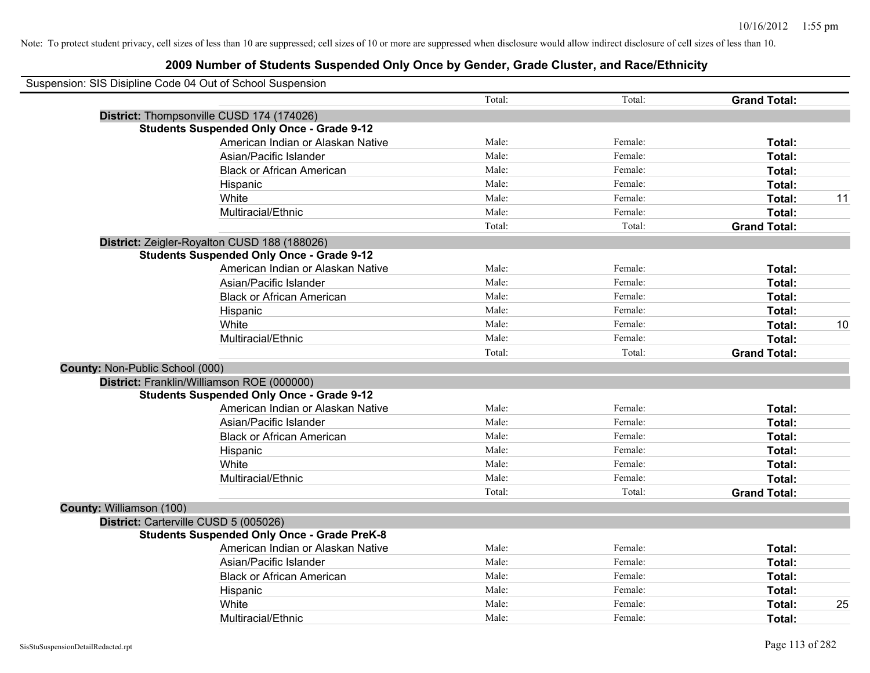| Suspension: SIS Disipline Code 04 Out of School Suspension |                                                    |        |         |                     |    |
|------------------------------------------------------------|----------------------------------------------------|--------|---------|---------------------|----|
|                                                            |                                                    | Total: | Total:  | <b>Grand Total:</b> |    |
| District: Thompsonville CUSD 174 (174026)                  |                                                    |        |         |                     |    |
|                                                            | <b>Students Suspended Only Once - Grade 9-12</b>   |        |         |                     |    |
|                                                            | American Indian or Alaskan Native                  | Male:  | Female: | Total:              |    |
|                                                            | Asian/Pacific Islander                             | Male:  | Female: | Total:              |    |
|                                                            | <b>Black or African American</b>                   | Male:  | Female: | Total:              |    |
|                                                            | Hispanic                                           | Male:  | Female: | Total:              |    |
|                                                            | White                                              | Male:  | Female: | Total:              | 11 |
|                                                            | Multiracial/Ethnic                                 | Male:  | Female: | Total:              |    |
|                                                            |                                                    | Total: | Total:  | <b>Grand Total:</b> |    |
| District: Zeigler-Royalton CUSD 188 (188026)               |                                                    |        |         |                     |    |
|                                                            | <b>Students Suspended Only Once - Grade 9-12</b>   |        |         |                     |    |
|                                                            | American Indian or Alaskan Native                  | Male:  | Female: | Total:              |    |
|                                                            | Asian/Pacific Islander                             | Male:  | Female: | Total:              |    |
|                                                            | <b>Black or African American</b>                   | Male:  | Female: | Total:              |    |
|                                                            | Hispanic                                           | Male:  | Female: | Total:              |    |
|                                                            | White                                              | Male:  | Female: | Total:              | 10 |
|                                                            | Multiracial/Ethnic                                 | Male:  | Female: | Total:              |    |
|                                                            |                                                    | Total: | Total:  | <b>Grand Total:</b> |    |
| <b>County: Non-Public School (000)</b>                     |                                                    |        |         |                     |    |
| District: Franklin/Williamson ROE (000000)                 |                                                    |        |         |                     |    |
|                                                            | <b>Students Suspended Only Once - Grade 9-12</b>   |        |         |                     |    |
|                                                            | American Indian or Alaskan Native                  | Male:  | Female: | Total:              |    |
|                                                            | Asian/Pacific Islander                             | Male:  | Female: | Total:              |    |
|                                                            | <b>Black or African American</b>                   | Male:  | Female: | Total:              |    |
|                                                            | Hispanic                                           | Male:  | Female: | Total:              |    |
|                                                            | White                                              | Male:  | Female: | Total:              |    |
|                                                            | Multiracial/Ethnic                                 | Male:  | Female: | Total:              |    |
|                                                            |                                                    | Total: | Total:  | <b>Grand Total:</b> |    |
| <b>County: Williamson (100)</b>                            |                                                    |        |         |                     |    |
| District: Carterville CUSD 5 (005026)                      |                                                    |        |         |                     |    |
|                                                            | <b>Students Suspended Only Once - Grade PreK-8</b> |        |         |                     |    |
|                                                            | American Indian or Alaskan Native                  | Male:  | Female: | Total:              |    |
|                                                            | Asian/Pacific Islander                             | Male:  | Female: | Total:              |    |
|                                                            | <b>Black or African American</b>                   | Male:  | Female: | Total:              |    |
|                                                            | Hispanic                                           | Male:  | Female: | Total:              |    |
|                                                            | White                                              | Male:  | Female: | Total:              | 25 |
|                                                            | Multiracial/Ethnic                                 | Male:  | Female: | Total:              |    |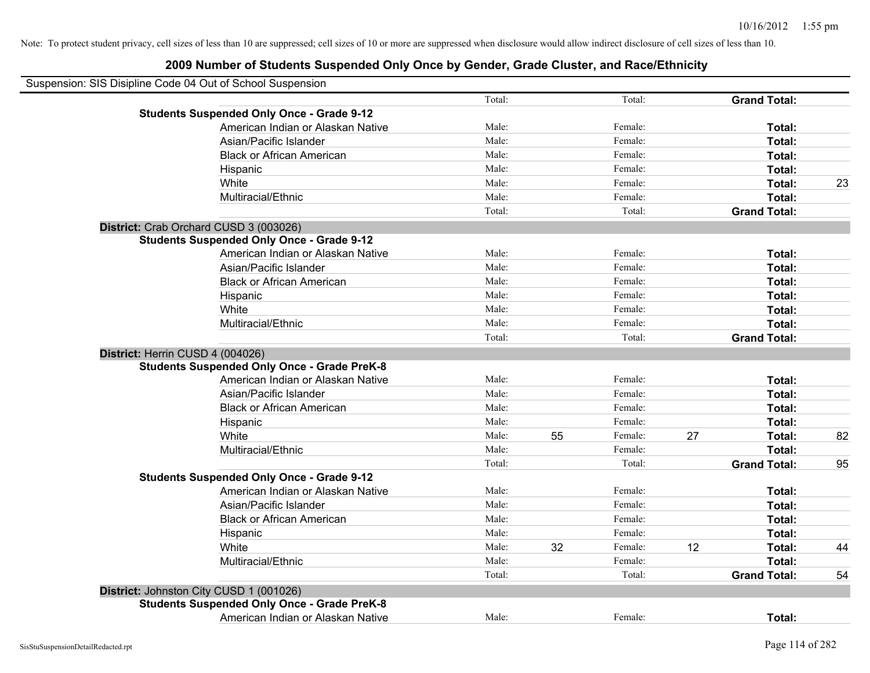| Suspension: SIS Disipline Code 04 Out of School Suspension |        |    |         |    |                     |    |
|------------------------------------------------------------|--------|----|---------|----|---------------------|----|
|                                                            | Total: |    | Total:  |    | <b>Grand Total:</b> |    |
| <b>Students Suspended Only Once - Grade 9-12</b>           |        |    |         |    |                     |    |
| American Indian or Alaskan Native                          | Male:  |    | Female: |    | Total:              |    |
| Asian/Pacific Islander                                     | Male:  |    | Female: |    | Total:              |    |
| <b>Black or African American</b>                           | Male:  |    | Female: |    | Total:              |    |
| Hispanic                                                   | Male:  |    | Female: |    | Total:              |    |
| White                                                      | Male:  |    | Female: |    | Total:              | 23 |
| Multiracial/Ethnic                                         | Male:  |    | Female: |    | Total:              |    |
|                                                            | Total: |    | Total:  |    | <b>Grand Total:</b> |    |
| District: Crab Orchard CUSD 3 (003026)                     |        |    |         |    |                     |    |
| <b>Students Suspended Only Once - Grade 9-12</b>           |        |    |         |    |                     |    |
| American Indian or Alaskan Native                          | Male:  |    | Female: |    | Total:              |    |
| Asian/Pacific Islander                                     | Male:  |    | Female: |    | Total:              |    |
| <b>Black or African American</b>                           | Male:  |    | Female: |    | Total:              |    |
| Hispanic                                                   | Male:  |    | Female: |    | Total:              |    |
| White                                                      | Male:  |    | Female: |    | Total:              |    |
| Multiracial/Ethnic                                         | Male:  |    | Female: |    | Total:              |    |
|                                                            | Total: |    | Total:  |    | <b>Grand Total:</b> |    |
| District: Herrin CUSD 4 (004026)                           |        |    |         |    |                     |    |
| <b>Students Suspended Only Once - Grade PreK-8</b>         |        |    |         |    |                     |    |
| American Indian or Alaskan Native                          | Male:  |    | Female: |    | Total:              |    |
| Asian/Pacific Islander                                     | Male:  |    | Female: |    | Total:              |    |
| <b>Black or African American</b>                           | Male:  |    | Female: |    | Total:              |    |
| Hispanic                                                   | Male:  |    | Female: |    | Total:              |    |
| White                                                      | Male:  | 55 | Female: | 27 | Total:              | 82 |
| Multiracial/Ethnic                                         | Male:  |    | Female: |    | Total:              |    |
|                                                            | Total: |    | Total:  |    | <b>Grand Total:</b> | 95 |
| <b>Students Suspended Only Once - Grade 9-12</b>           |        |    |         |    |                     |    |
| American Indian or Alaskan Native                          | Male:  |    | Female: |    | Total:              |    |
| Asian/Pacific Islander                                     | Male:  |    | Female: |    | Total:              |    |
| <b>Black or African American</b>                           | Male:  |    | Female: |    | Total:              |    |
| Hispanic                                                   | Male:  |    | Female: |    | Total:              |    |
| White                                                      | Male:  | 32 | Female: | 12 | Total:              | 44 |
| Multiracial/Ethnic                                         | Male:  |    | Female: |    | Total:              |    |
|                                                            | Total: |    | Total:  |    | <b>Grand Total:</b> | 54 |
| District: Johnston City CUSD 1 (001026)                    |        |    |         |    |                     |    |
| <b>Students Suspended Only Once - Grade PreK-8</b>         |        |    |         |    |                     |    |
| American Indian or Alaskan Native                          | Male:  |    | Female: |    | Total:              |    |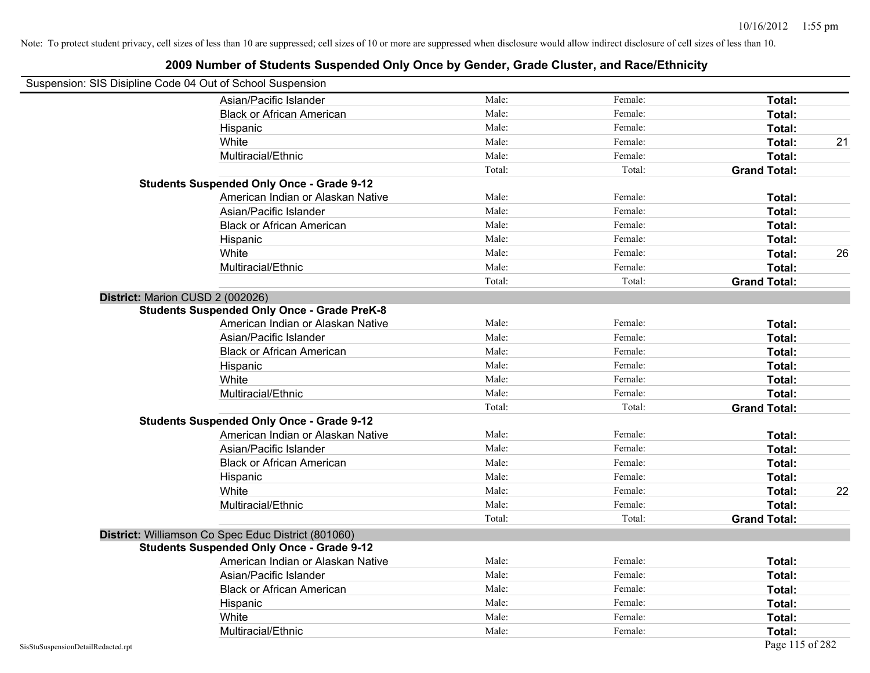| Suspension: SIS Disipline Code 04 Out of School Suspension |                                                     |        |         |                     |    |
|------------------------------------------------------------|-----------------------------------------------------|--------|---------|---------------------|----|
|                                                            | Asian/Pacific Islander                              | Male:  | Female: | Total:              |    |
|                                                            | <b>Black or African American</b>                    | Male:  | Female: | Total:              |    |
|                                                            | Hispanic                                            | Male:  | Female: | Total:              |    |
|                                                            | White                                               | Male:  | Female: | Total:              | 21 |
|                                                            | Multiracial/Ethnic                                  | Male:  | Female: | Total:              |    |
|                                                            |                                                     | Total: | Total:  | <b>Grand Total:</b> |    |
|                                                            | <b>Students Suspended Only Once - Grade 9-12</b>    |        |         |                     |    |
|                                                            | American Indian or Alaskan Native                   | Male:  | Female: | Total:              |    |
|                                                            | Asian/Pacific Islander                              | Male:  | Female: | Total:              |    |
|                                                            | <b>Black or African American</b>                    | Male:  | Female: | Total:              |    |
|                                                            | Hispanic                                            | Male:  | Female: | Total:              |    |
|                                                            | White                                               | Male:  | Female: | Total:              | 26 |
|                                                            | Multiracial/Ethnic                                  | Male:  | Female: | Total:              |    |
|                                                            |                                                     | Total: | Total:  | <b>Grand Total:</b> |    |
| District: Marion CUSD 2 (002026)                           |                                                     |        |         |                     |    |
|                                                            | <b>Students Suspended Only Once - Grade PreK-8</b>  |        |         |                     |    |
|                                                            | American Indian or Alaskan Native                   | Male:  | Female: | Total:              |    |
|                                                            | Asian/Pacific Islander                              | Male:  | Female: | Total:              |    |
|                                                            | <b>Black or African American</b>                    | Male:  | Female: | Total:              |    |
|                                                            | Hispanic                                            | Male:  | Female: | Total:              |    |
|                                                            | White                                               | Male:  | Female: | Total:              |    |
|                                                            | Multiracial/Ethnic                                  | Male:  | Female: | Total:              |    |
|                                                            |                                                     | Total: | Total:  | <b>Grand Total:</b> |    |
|                                                            | <b>Students Suspended Only Once - Grade 9-12</b>    |        |         |                     |    |
|                                                            | American Indian or Alaskan Native                   | Male:  | Female: | Total:              |    |
|                                                            | Asian/Pacific Islander                              | Male:  | Female: | Total:              |    |
|                                                            | <b>Black or African American</b>                    | Male:  | Female: | Total:              |    |
|                                                            | Hispanic                                            | Male:  | Female: | Total:              |    |
|                                                            | White                                               | Male:  | Female: | Total:              | 22 |
|                                                            | Multiracial/Ethnic                                  | Male:  | Female: | Total:              |    |
|                                                            |                                                     | Total: | Total:  | <b>Grand Total:</b> |    |
|                                                            | District: Williamson Co Spec Educ District (801060) |        |         |                     |    |
|                                                            | <b>Students Suspended Only Once - Grade 9-12</b>    |        |         |                     |    |
|                                                            | American Indian or Alaskan Native                   | Male:  | Female: | Total:              |    |
|                                                            | Asian/Pacific Islander                              | Male:  | Female: | Total:              |    |
|                                                            | <b>Black or African American</b>                    | Male:  | Female: | Total:              |    |
|                                                            | Hispanic                                            | Male:  | Female: | Total:              |    |
|                                                            | White                                               | Male:  | Female: | Total:              |    |
|                                                            | Multiracial/Ethnic                                  | Male:  | Female: | Total:              |    |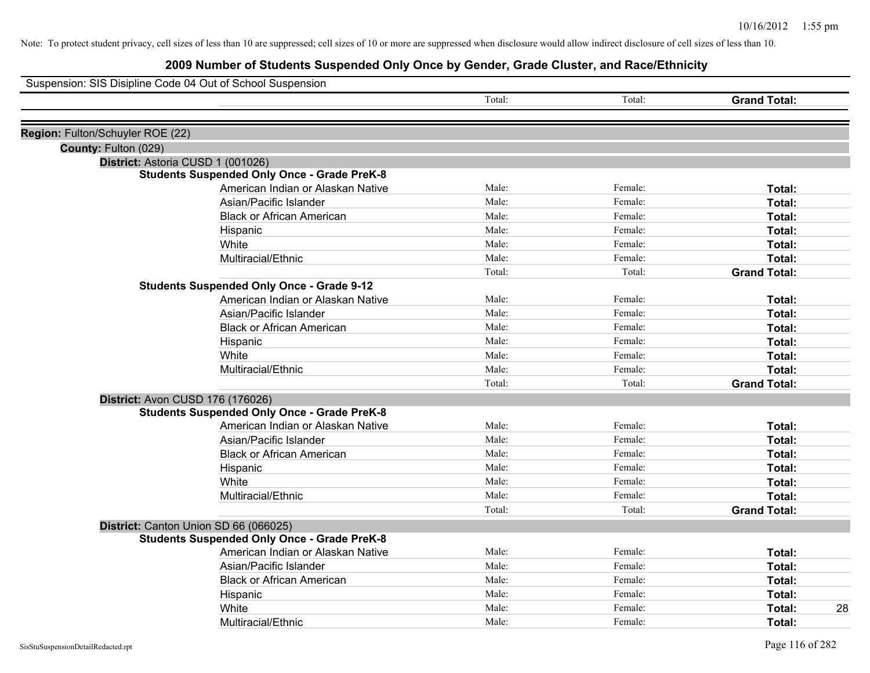|                                  | Suspension: SIS Disipline Code 04 Out of School Suspension                              |        |         |                     |
|----------------------------------|-----------------------------------------------------------------------------------------|--------|---------|---------------------|
|                                  |                                                                                         | Total: | Total:  | <b>Grand Total:</b> |
|                                  |                                                                                         |        |         |                     |
| Region: Fulton/Schuyler ROE (22) |                                                                                         |        |         |                     |
| County: Fulton (029)             |                                                                                         |        |         |                     |
|                                  | District: Astoria CUSD 1 (001026)<br><b>Students Suspended Only Once - Grade PreK-8</b> |        |         |                     |
|                                  | American Indian or Alaskan Native                                                       | Male:  | Female: | Total:              |
|                                  | Asian/Pacific Islander                                                                  | Male:  | Female: | Total:              |
|                                  | <b>Black or African American</b>                                                        | Male:  | Female: | Total:              |
|                                  | Hispanic                                                                                | Male:  | Female: | Total:              |
|                                  | White                                                                                   | Male:  | Female: | Total:              |
|                                  | Multiracial/Ethnic                                                                      | Male:  | Female: | Total:              |
|                                  |                                                                                         | Total: | Total:  | <b>Grand Total:</b> |
|                                  | <b>Students Suspended Only Once - Grade 9-12</b>                                        |        |         |                     |
|                                  | American Indian or Alaskan Native                                                       | Male:  | Female: | Total:              |
|                                  | Asian/Pacific Islander                                                                  | Male:  | Female: | Total:              |
|                                  | <b>Black or African American</b>                                                        | Male:  | Female: | Total:              |
|                                  | Hispanic                                                                                | Male:  | Female: | Total:              |
|                                  | White                                                                                   | Male:  | Female: | Total:              |
|                                  | Multiracial/Ethnic                                                                      | Male:  | Female: | Total:              |
|                                  |                                                                                         | Total: | Total:  | <b>Grand Total:</b> |
|                                  | District: Avon CUSD 176 (176026)                                                        |        |         |                     |
|                                  | <b>Students Suspended Only Once - Grade PreK-8</b>                                      |        |         |                     |
|                                  | American Indian or Alaskan Native                                                       | Male:  | Female: | Total:              |
|                                  | Asian/Pacific Islander                                                                  | Male:  | Female: | Total:              |
|                                  | <b>Black or African American</b>                                                        | Male:  | Female: | Total:              |
|                                  | Hispanic                                                                                | Male:  | Female: | Total:              |
|                                  | White                                                                                   | Male:  | Female: | Total:              |
|                                  | Multiracial/Ethnic                                                                      | Male:  | Female: | Total:              |
|                                  |                                                                                         | Total: | Total:  | <b>Grand Total:</b> |
|                                  | District: Canton Union SD 66 (066025)                                                   |        |         |                     |
|                                  | <b>Students Suspended Only Once - Grade PreK-8</b>                                      |        |         |                     |
|                                  | American Indian or Alaskan Native                                                       | Male:  | Female: | Total:              |
|                                  | Asian/Pacific Islander                                                                  | Male:  | Female: | Total:              |
|                                  | <b>Black or African American</b>                                                        | Male:  | Female: | Total:              |
|                                  | Hispanic                                                                                | Male:  | Female: | Total:              |
|                                  | White                                                                                   | Male:  | Female: | 28<br><b>Total:</b> |
|                                  | Multiracial/Ethnic                                                                      | Male:  | Female: | Total:              |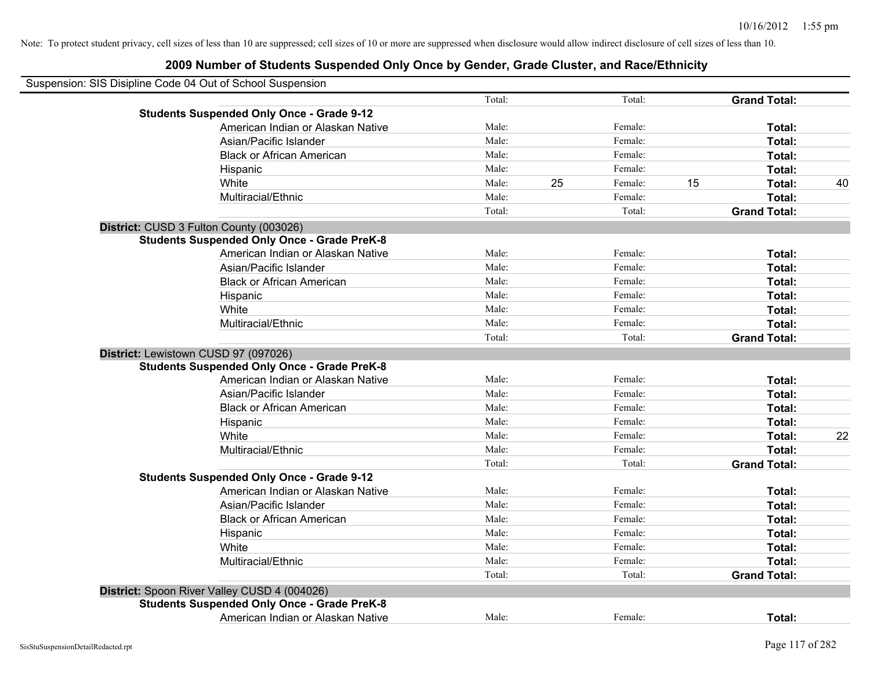| Suspension: SIS Disipline Code 04 Out of School Suspension |        |    |         |    |                     |    |
|------------------------------------------------------------|--------|----|---------|----|---------------------|----|
|                                                            | Total: |    | Total:  |    | <b>Grand Total:</b> |    |
| <b>Students Suspended Only Once - Grade 9-12</b>           |        |    |         |    |                     |    |
| American Indian or Alaskan Native                          | Male:  |    | Female: |    | Total:              |    |
| Asian/Pacific Islander                                     | Male:  |    | Female: |    | Total:              |    |
| <b>Black or African American</b>                           | Male:  |    | Female: |    | Total:              |    |
| Hispanic                                                   | Male:  |    | Female: |    | Total:              |    |
| White                                                      | Male:  | 25 | Female: | 15 | Total:              | 40 |
| Multiracial/Ethnic                                         | Male:  |    | Female: |    | Total:              |    |
|                                                            | Total: |    | Total:  |    | <b>Grand Total:</b> |    |
| District: CUSD 3 Fulton County (003026)                    |        |    |         |    |                     |    |
| <b>Students Suspended Only Once - Grade PreK-8</b>         |        |    |         |    |                     |    |
| American Indian or Alaskan Native                          | Male:  |    | Female: |    | Total:              |    |
| Asian/Pacific Islander                                     | Male:  |    | Female: |    | Total:              |    |
| <b>Black or African American</b>                           | Male:  |    | Female: |    | Total:              |    |
| Hispanic                                                   | Male:  |    | Female: |    | Total:              |    |
| White                                                      | Male:  |    | Female: |    | Total:              |    |
| Multiracial/Ethnic                                         | Male:  |    | Female: |    | Total:              |    |
|                                                            | Total: |    | Total:  |    | <b>Grand Total:</b> |    |
| District: Lewistown CUSD 97 (097026)                       |        |    |         |    |                     |    |
| <b>Students Suspended Only Once - Grade PreK-8</b>         |        |    |         |    |                     |    |
| American Indian or Alaskan Native                          | Male:  |    | Female: |    | Total:              |    |
| Asian/Pacific Islander                                     | Male:  |    | Female: |    | Total:              |    |
| <b>Black or African American</b>                           | Male:  |    | Female: |    | Total:              |    |
| Hispanic                                                   | Male:  |    | Female: |    | Total:              |    |
| White                                                      | Male:  |    | Female: |    | Total:              | 22 |
| Multiracial/Ethnic                                         | Male:  |    | Female: |    | Total:              |    |
|                                                            | Total: |    | Total:  |    | <b>Grand Total:</b> |    |
| <b>Students Suspended Only Once - Grade 9-12</b>           |        |    |         |    |                     |    |
| American Indian or Alaskan Native                          | Male:  |    | Female: |    | Total:              |    |
| Asian/Pacific Islander                                     | Male:  |    | Female: |    | Total:              |    |
| <b>Black or African American</b>                           | Male:  |    | Female: |    | Total:              |    |
| Hispanic                                                   | Male:  |    | Female: |    | Total:              |    |
| White                                                      | Male:  |    | Female: |    | Total:              |    |
| Multiracial/Ethnic                                         | Male:  |    | Female: |    | Total:              |    |
|                                                            | Total: |    | Total:  |    | <b>Grand Total:</b> |    |
| District: Spoon River Valley CUSD 4 (004026)               |        |    |         |    |                     |    |
| <b>Students Suspended Only Once - Grade PreK-8</b>         |        |    |         |    |                     |    |
| American Indian or Alaskan Native                          | Male:  |    | Female: |    | Total:              |    |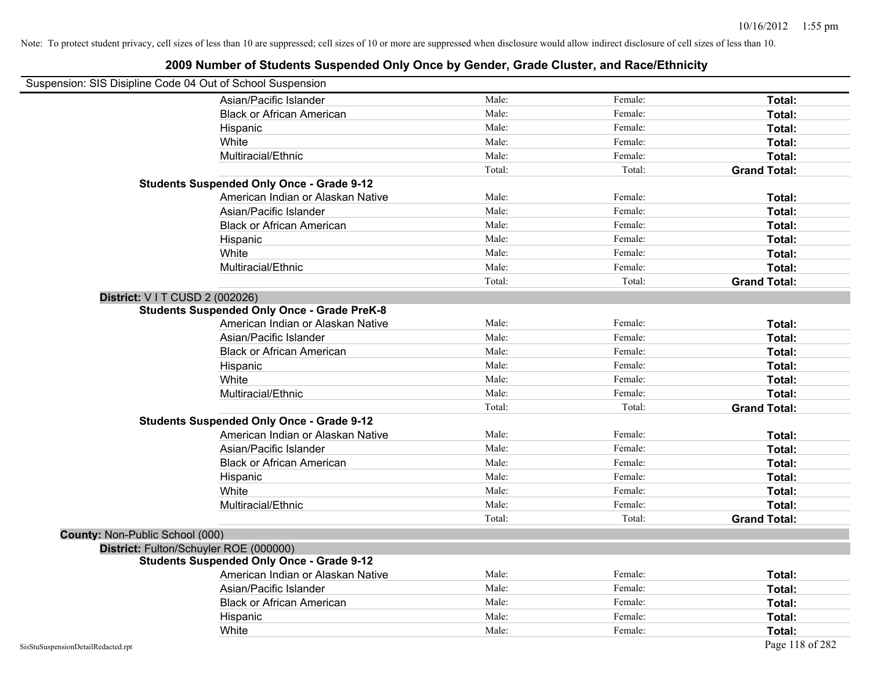| Suspension: SIS Disipline Code 04 Out of School Suspension |                                                    |        |         |                     |
|------------------------------------------------------------|----------------------------------------------------|--------|---------|---------------------|
|                                                            | Asian/Pacific Islander                             | Male:  | Female: | Total:              |
|                                                            | <b>Black or African American</b>                   | Male:  | Female: | Total:              |
|                                                            | Hispanic                                           | Male:  | Female: | Total:              |
|                                                            | White                                              | Male:  | Female: | Total:              |
|                                                            | Multiracial/Ethnic                                 | Male:  | Female: | Total:              |
|                                                            |                                                    | Total: | Total:  | <b>Grand Total:</b> |
|                                                            | <b>Students Suspended Only Once - Grade 9-12</b>   |        |         |                     |
|                                                            | American Indian or Alaskan Native                  | Male:  | Female: | Total:              |
|                                                            | Asian/Pacific Islander                             | Male:  | Female: | Total:              |
|                                                            | <b>Black or African American</b>                   | Male:  | Female: | Total:              |
|                                                            | Hispanic                                           | Male:  | Female: | Total:              |
|                                                            | White                                              | Male:  | Female: | Total:              |
|                                                            | Multiracial/Ethnic                                 | Male:  | Female: | Total:              |
|                                                            |                                                    | Total: | Total:  | <b>Grand Total:</b> |
| District: V I T CUSD 2 (002026)                            |                                                    |        |         |                     |
|                                                            | <b>Students Suspended Only Once - Grade PreK-8</b> |        |         |                     |
|                                                            | American Indian or Alaskan Native                  | Male:  | Female: | Total:              |
|                                                            | Asian/Pacific Islander                             | Male:  | Female: | Total:              |
|                                                            | <b>Black or African American</b>                   | Male:  | Female: | Total:              |
|                                                            | Hispanic                                           | Male:  | Female: | Total:              |
|                                                            | White                                              | Male:  | Female: | Total:              |
|                                                            | Multiracial/Ethnic                                 | Male:  | Female: | Total:              |
|                                                            |                                                    | Total: | Total:  | <b>Grand Total:</b> |
|                                                            | <b>Students Suspended Only Once - Grade 9-12</b>   |        |         |                     |
|                                                            | American Indian or Alaskan Native                  | Male:  | Female: | Total:              |
|                                                            | Asian/Pacific Islander                             | Male:  | Female: | Total:              |
|                                                            | <b>Black or African American</b>                   | Male:  | Female: | Total:              |
|                                                            | Hispanic                                           | Male:  | Female: | Total:              |
|                                                            | White                                              | Male:  | Female: | Total:              |
|                                                            | Multiracial/Ethnic                                 | Male:  | Female: | Total:              |
|                                                            |                                                    | Total: | Total:  | <b>Grand Total:</b> |
| County: Non-Public School (000)                            |                                                    |        |         |                     |
|                                                            | District: Fulton/Schuyler ROE (000000)             |        |         |                     |
|                                                            | <b>Students Suspended Only Once - Grade 9-12</b>   |        |         |                     |
|                                                            | American Indian or Alaskan Native                  | Male:  | Female: | Total:              |
|                                                            | Asian/Pacific Islander                             | Male:  | Female: | Total:              |
|                                                            | <b>Black or African American</b>                   | Male:  | Female: | Total:              |
|                                                            | Hispanic                                           | Male:  | Female: | Total:              |
|                                                            | White                                              | Male:  | Female: | Total:              |
| SisStuSuspensionDetailRedacted.rpt                         |                                                    |        |         | Page 118 of 282     |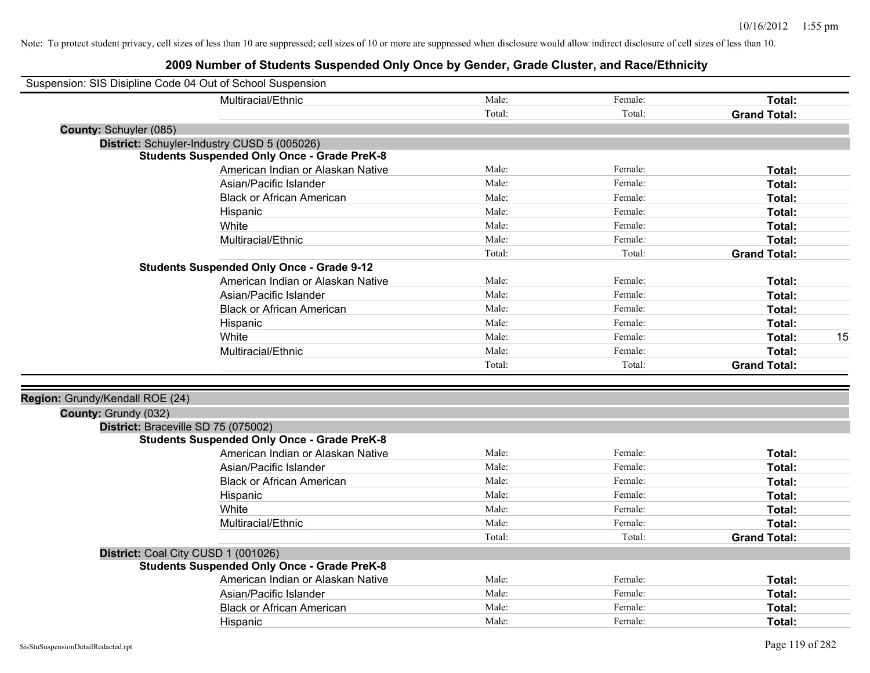| Suspension: SIS Disipline Code 04 Out of School Suspension |                                                    |        |         |                     |    |
|------------------------------------------------------------|----------------------------------------------------|--------|---------|---------------------|----|
|                                                            | Multiracial/Ethnic                                 | Male:  | Female: | Total:              |    |
|                                                            |                                                    | Total: | Total:  | <b>Grand Total:</b> |    |
| County: Schuyler (085)                                     |                                                    |        |         |                     |    |
|                                                            | District: Schuyler-Industry CUSD 5 (005026)        |        |         |                     |    |
|                                                            | <b>Students Suspended Only Once - Grade PreK-8</b> |        |         |                     |    |
|                                                            | American Indian or Alaskan Native                  | Male:  | Female: | Total:              |    |
|                                                            | Asian/Pacific Islander                             | Male:  | Female: | Total:              |    |
|                                                            | <b>Black or African American</b>                   | Male:  | Female: | Total:              |    |
|                                                            | Hispanic                                           | Male:  | Female: | Total:              |    |
|                                                            | White                                              | Male:  | Female: | Total:              |    |
|                                                            | Multiracial/Ethnic                                 | Male:  | Female: | Total:              |    |
|                                                            |                                                    | Total: | Total:  | <b>Grand Total:</b> |    |
|                                                            | <b>Students Suspended Only Once - Grade 9-12</b>   |        |         |                     |    |
|                                                            | American Indian or Alaskan Native                  | Male:  | Female: | Total:              |    |
|                                                            | Asian/Pacific Islander                             | Male:  | Female: | Total:              |    |
|                                                            | <b>Black or African American</b>                   | Male:  | Female: | Total:              |    |
|                                                            | Hispanic                                           | Male:  | Female: | Total:              |    |
|                                                            | White                                              | Male:  | Female: | Total:              | 15 |
|                                                            | Multiracial/Ethnic                                 | Male:  | Female: | Total:              |    |
|                                                            |                                                    | Total: | Total:  | <b>Grand Total:</b> |    |
|                                                            |                                                    |        |         |                     |    |
| Region: Grundy/Kendall ROE (24)                            |                                                    |        |         |                     |    |
| County: Grundy (032)                                       |                                                    |        |         |                     |    |
|                                                            | District: Braceville SD 75 (075002)                |        |         |                     |    |
|                                                            | <b>Students Suspended Only Once - Grade PreK-8</b> |        |         |                     |    |
|                                                            | American Indian or Alaskan Native                  | Male:  | Female: | Total:              |    |
|                                                            | Asian/Pacific Islander                             | Male:  | Female: | Total:              |    |
|                                                            | <b>Black or African American</b>                   | Male:  | Female: | Total:              |    |
|                                                            | Hispanic                                           | Male:  | Female: | Total:              |    |
|                                                            | White                                              | Male:  | Female: | Total:              |    |
|                                                            | Multiracial/Ethnic                                 | Male:  | Female: | Total:              |    |
|                                                            |                                                    | Total: | Total:  | <b>Grand Total:</b> |    |
|                                                            | District: Coal City CUSD 1 (001026)                |        |         |                     |    |
|                                                            | <b>Students Suspended Only Once - Grade PreK-8</b> |        |         |                     |    |
|                                                            | American Indian or Alaskan Native                  | Male:  | Female: | Total:              |    |
|                                                            | Asian/Pacific Islander                             | Male:  | Female: | Total:              |    |
|                                                            | <b>Black or African American</b>                   | Male:  | Female: | Total:              |    |
|                                                            | Hispanic                                           | Male:  | Female: | Total:              |    |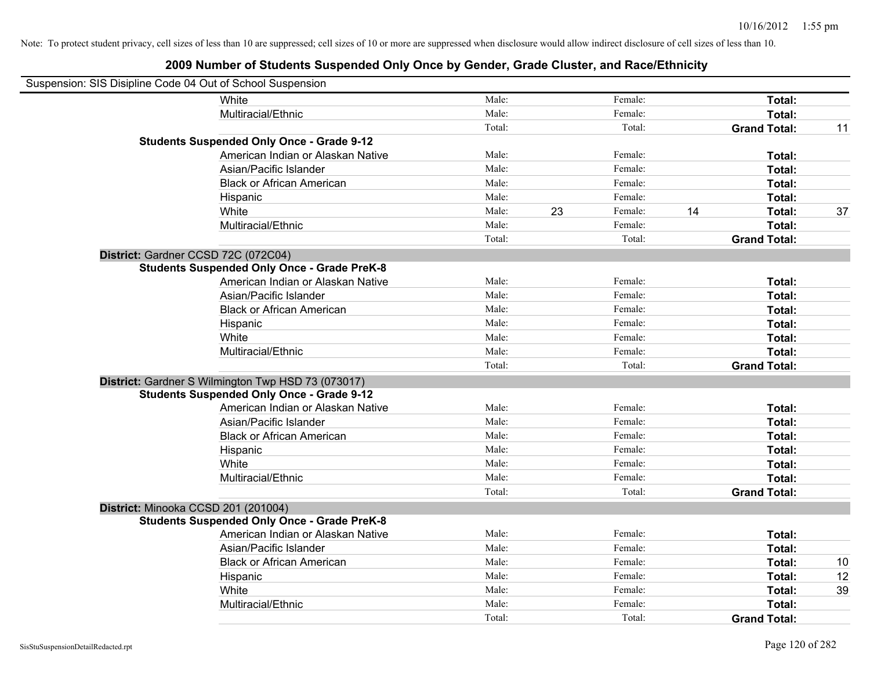| Suspension: SIS Disipline Code 04 Out of School Suspension |                                                    |        |    |         |    |                     |    |
|------------------------------------------------------------|----------------------------------------------------|--------|----|---------|----|---------------------|----|
|                                                            | White                                              | Male:  |    | Female: |    | Total:              |    |
|                                                            | Multiracial/Ethnic                                 | Male:  |    | Female: |    | Total:              |    |
|                                                            |                                                    | Total: |    | Total:  |    | <b>Grand Total:</b> | 11 |
|                                                            | <b>Students Suspended Only Once - Grade 9-12</b>   |        |    |         |    |                     |    |
|                                                            | American Indian or Alaskan Native                  | Male:  |    | Female: |    | Total:              |    |
|                                                            | Asian/Pacific Islander                             | Male:  |    | Female: |    | Total:              |    |
|                                                            | <b>Black or African American</b>                   | Male:  |    | Female: |    | Total:              |    |
|                                                            | Hispanic                                           | Male:  |    | Female: |    | Total:              |    |
|                                                            | White                                              | Male:  | 23 | Female: | 14 | Total:              | 37 |
|                                                            | Multiracial/Ethnic                                 | Male:  |    | Female: |    | Total:              |    |
|                                                            |                                                    | Total: |    | Total:  |    | <b>Grand Total:</b> |    |
|                                                            | District: Gardner CCSD 72C (072C04)                |        |    |         |    |                     |    |
|                                                            | <b>Students Suspended Only Once - Grade PreK-8</b> |        |    |         |    |                     |    |
|                                                            | American Indian or Alaskan Native                  | Male:  |    | Female: |    | Total:              |    |
|                                                            | Asian/Pacific Islander                             | Male:  |    | Female: |    | Total:              |    |
|                                                            | <b>Black or African American</b>                   | Male:  |    | Female: |    | Total:              |    |
|                                                            | Hispanic                                           | Male:  |    | Female: |    | Total:              |    |
|                                                            | White                                              | Male:  |    | Female: |    | Total:              |    |
|                                                            | Multiracial/Ethnic                                 | Male:  |    | Female: |    | Total:              |    |
|                                                            |                                                    | Total: |    | Total:  |    | <b>Grand Total:</b> |    |
|                                                            | District: Gardner S Wilmington Twp HSD 73 (073017) |        |    |         |    |                     |    |
|                                                            | <b>Students Suspended Only Once - Grade 9-12</b>   |        |    |         |    |                     |    |
|                                                            | American Indian or Alaskan Native                  | Male:  |    | Female: |    | Total:              |    |
|                                                            | Asian/Pacific Islander                             | Male:  |    | Female: |    | Total:              |    |
|                                                            | <b>Black or African American</b>                   | Male:  |    | Female: |    | Total:              |    |
|                                                            | Hispanic                                           | Male:  |    | Female: |    | Total:              |    |
|                                                            | White                                              | Male:  |    | Female: |    | Total:              |    |
|                                                            | Multiracial/Ethnic                                 | Male:  |    | Female: |    | Total:              |    |
|                                                            |                                                    | Total: |    | Total:  |    | <b>Grand Total:</b> |    |
|                                                            | District: Minooka CCSD 201 (201004)                |        |    |         |    |                     |    |
|                                                            | <b>Students Suspended Only Once - Grade PreK-8</b> |        |    |         |    |                     |    |
|                                                            | American Indian or Alaskan Native                  | Male:  |    | Female: |    | Total:              |    |
|                                                            | Asian/Pacific Islander                             | Male:  |    | Female: |    | Total:              |    |
|                                                            | <b>Black or African American</b>                   | Male:  |    | Female: |    | Total:              | 10 |
|                                                            | Hispanic                                           | Male:  |    | Female: |    | Total:              | 12 |
|                                                            | White                                              | Male:  |    | Female: |    | Total:              | 39 |
|                                                            | Multiracial/Ethnic                                 | Male:  |    | Female: |    | Total:              |    |
|                                                            |                                                    | Total: |    | Total:  |    | <b>Grand Total:</b> |    |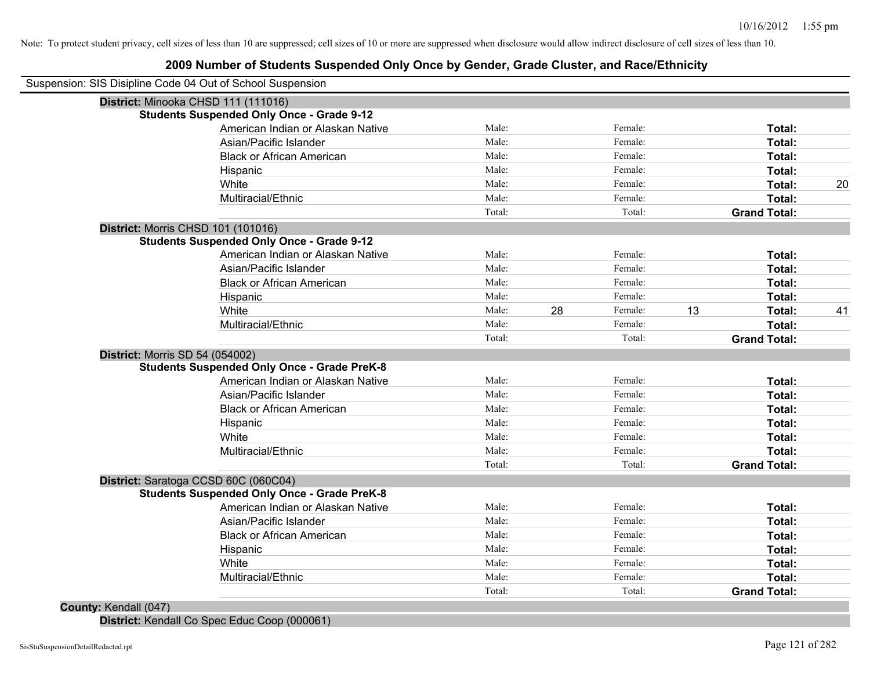# **2009 Number of Students Suspended Only Once by Gender, Grade Cluster, and Race/Ethnicity**

| Male:  |       |         |         | Total:              |    |
|--------|-------|---------|---------|---------------------|----|
|        |       | Female: |         | Total:              |    |
| Male:  |       | Female: |         | Total:              |    |
| Male:  |       | Female: |         | Total:              |    |
| Male:  |       | Female: |         | Total:              | 20 |
| Male:  |       | Female: |         | Total:              |    |
| Total: |       | Total:  |         | <b>Grand Total:</b> |    |
|        |       |         |         |                     |    |
|        |       |         |         |                     |    |
| Male:  |       | Female: |         | Total:              |    |
| Male:  |       | Female: |         | Total:              |    |
| Male:  |       | Female: |         | Total:              |    |
| Male:  |       | Female: |         | Total:              |    |
| Male:  | 28    | Female: | 13      | Total:              | 41 |
| Male:  |       | Female: |         | Total:              |    |
| Total: |       | Total:  |         | <b>Grand Total:</b> |    |
|        |       |         |         |                     |    |
|        |       |         |         |                     |    |
| Male:  |       | Female: |         | Total:              |    |
| Male:  |       | Female: |         | Total:              |    |
| Male:  |       | Female: |         | Total:              |    |
| Male:  |       | Female: |         | Total:              |    |
| Male:  |       | Female: |         | Total:              |    |
| Male:  |       | Female: |         | Total:              |    |
| Total: |       | Total:  |         | <b>Grand Total:</b> |    |
|        |       |         |         |                     |    |
|        |       |         |         |                     |    |
| Male:  |       | Female: |         | Total:              |    |
| Male:  |       | Female: |         | Total:              |    |
| Male:  |       | Female: |         | Total:              |    |
| Male:  |       | Female: |         | Total:              |    |
| Male:  |       | Female: |         | Total:              |    |
| Male:  |       | Female: |         | Total:              |    |
| Total: |       | Total:  |         | <b>Grand Total:</b> |    |
|        | Male: |         | Female: |                     |    |

**District:** Kendall Co Spec Educ Coop (000061)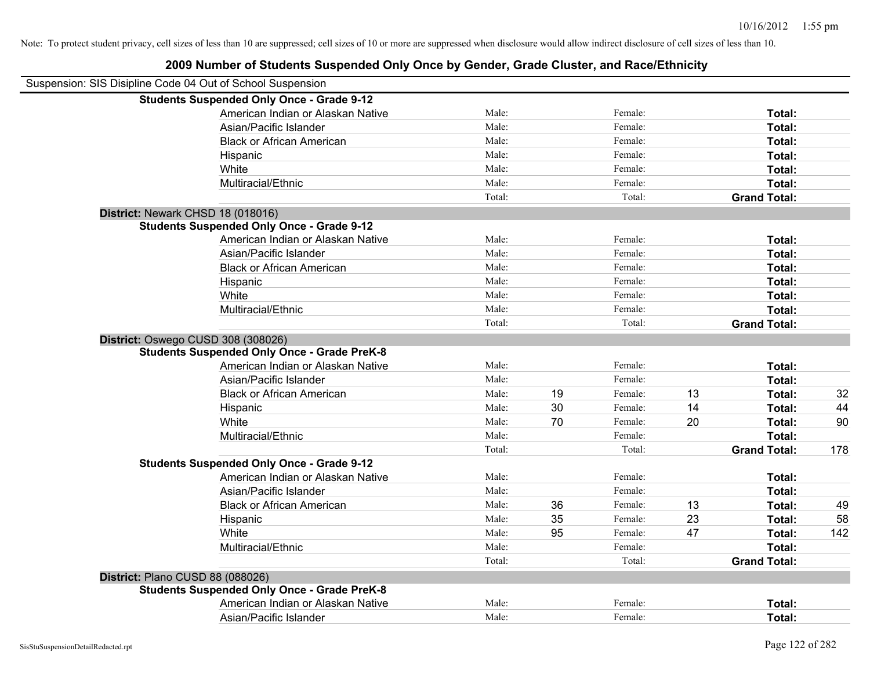| Suspension: SIS Disipline Code 04 Out of School Suspension |        |    |         |    |                     |     |
|------------------------------------------------------------|--------|----|---------|----|---------------------|-----|
| <b>Students Suspended Only Once - Grade 9-12</b>           |        |    |         |    |                     |     |
| American Indian or Alaskan Native                          | Male:  |    | Female: |    | Total:              |     |
| Asian/Pacific Islander                                     | Male:  |    | Female: |    | Total:              |     |
| <b>Black or African American</b>                           | Male:  |    | Female: |    | Total:              |     |
| Hispanic                                                   | Male:  |    | Female: |    | Total:              |     |
| White                                                      | Male:  |    | Female: |    | Total:              |     |
| Multiracial/Ethnic                                         | Male:  |    | Female: |    | Total:              |     |
|                                                            | Total: |    | Total:  |    | <b>Grand Total:</b> |     |
| District: Newark CHSD 18 (018016)                          |        |    |         |    |                     |     |
| <b>Students Suspended Only Once - Grade 9-12</b>           |        |    |         |    |                     |     |
| American Indian or Alaskan Native                          | Male:  |    | Female: |    | Total:              |     |
| Asian/Pacific Islander                                     | Male:  |    | Female: |    | Total:              |     |
| <b>Black or African American</b>                           | Male:  |    | Female: |    | Total:              |     |
| Hispanic                                                   | Male:  |    | Female: |    | Total:              |     |
| White                                                      | Male:  |    | Female: |    | Total:              |     |
| Multiracial/Ethnic                                         | Male:  |    | Female: |    | Total:              |     |
|                                                            | Total: |    | Total:  |    | <b>Grand Total:</b> |     |
| District: Oswego CUSD 308 (308026)                         |        |    |         |    |                     |     |
| <b>Students Suspended Only Once - Grade PreK-8</b>         |        |    |         |    |                     |     |
| American Indian or Alaskan Native                          | Male:  |    | Female: |    | Total:              |     |
| Asian/Pacific Islander                                     | Male:  |    | Female: |    | Total:              |     |
| <b>Black or African American</b>                           | Male:  | 19 | Female: | 13 | Total:              | 32  |
| Hispanic                                                   | Male:  | 30 | Female: | 14 | Total:              | 44  |
| White                                                      | Male:  | 70 | Female: | 20 | Total:              | 90  |
| Multiracial/Ethnic                                         | Male:  |    | Female: |    | Total:              |     |
|                                                            | Total: |    | Total:  |    | <b>Grand Total:</b> | 178 |
| <b>Students Suspended Only Once - Grade 9-12</b>           |        |    |         |    |                     |     |
| American Indian or Alaskan Native                          | Male:  |    | Female: |    | Total:              |     |
| Asian/Pacific Islander                                     | Male:  |    | Female: |    | Total:              |     |
| <b>Black or African American</b>                           | Male:  | 36 | Female: | 13 | Total:              | 49  |
| Hispanic                                                   | Male:  | 35 | Female: | 23 | Total:              | 58  |
| White                                                      | Male:  | 95 | Female: | 47 | Total:              | 142 |
| Multiracial/Ethnic                                         | Male:  |    | Female: |    | Total:              |     |
|                                                            | Total: |    | Total:  |    | <b>Grand Total:</b> |     |
| District: Plano CUSD 88 (088026)                           |        |    |         |    |                     |     |
| <b>Students Suspended Only Once - Grade PreK-8</b>         |        |    |         |    |                     |     |
| American Indian or Alaskan Native                          | Male:  |    | Female: |    | Total:              |     |
| Asian/Pacific Islander                                     | Male:  |    | Female: |    | Total:              |     |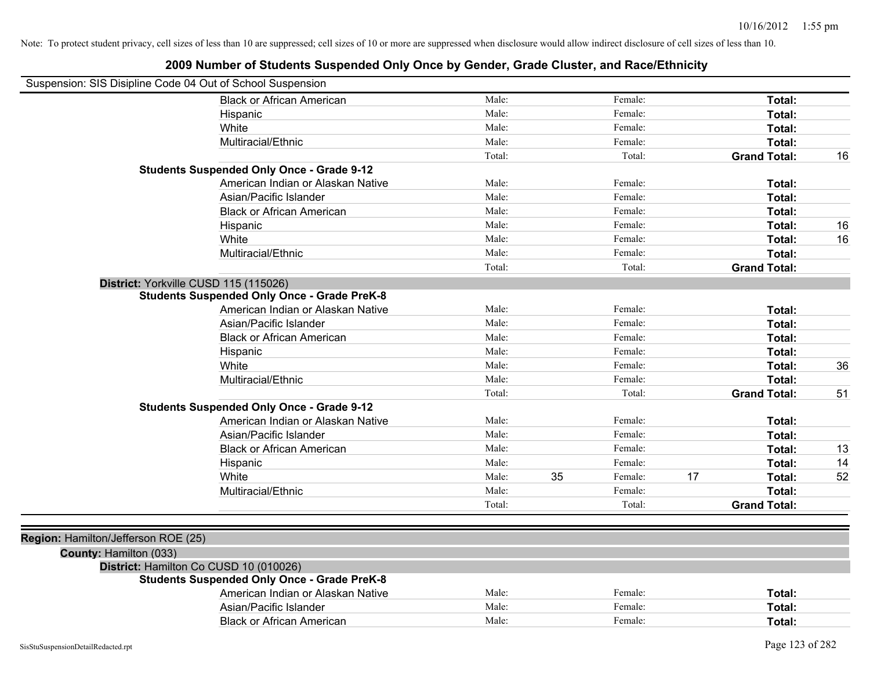| Suspension: SIS Disipline Code 04 Out of School Suspension |                                                    |        |    |         |    |                     |    |
|------------------------------------------------------------|----------------------------------------------------|--------|----|---------|----|---------------------|----|
|                                                            | <b>Black or African American</b>                   | Male:  |    | Female: |    | Total:              |    |
|                                                            | Hispanic                                           | Male:  |    | Female: |    | Total:              |    |
|                                                            | White                                              | Male:  |    | Female: |    | Total:              |    |
|                                                            | Multiracial/Ethnic                                 | Male:  |    | Female: |    | Total:              |    |
|                                                            |                                                    | Total: |    | Total:  |    | <b>Grand Total:</b> | 16 |
|                                                            | <b>Students Suspended Only Once - Grade 9-12</b>   |        |    |         |    |                     |    |
|                                                            | American Indian or Alaskan Native                  | Male:  |    | Female: |    | Total:              |    |
|                                                            | Asian/Pacific Islander                             | Male:  |    | Female: |    | Total:              |    |
|                                                            | <b>Black or African American</b>                   | Male:  |    | Female: |    | Total:              |    |
|                                                            | Hispanic                                           | Male:  |    | Female: |    | Total:              | 16 |
|                                                            | White                                              | Male:  |    | Female: |    | Total:              | 16 |
|                                                            | Multiracial/Ethnic                                 | Male:  |    | Female: |    | Total:              |    |
|                                                            |                                                    | Total: |    | Total:  |    | <b>Grand Total:</b> |    |
| District: Yorkville CUSD 115 (115026)                      |                                                    |        |    |         |    |                     |    |
|                                                            | <b>Students Suspended Only Once - Grade PreK-8</b> |        |    |         |    |                     |    |
|                                                            | American Indian or Alaskan Native                  | Male:  |    | Female: |    | Total:              |    |
|                                                            | Asian/Pacific Islander                             | Male:  |    | Female: |    | Total:              |    |
|                                                            | <b>Black or African American</b>                   | Male:  |    | Female: |    | Total:              |    |
|                                                            | Hispanic                                           | Male:  |    | Female: |    | Total:              |    |
|                                                            | White                                              | Male:  |    | Female: |    | Total:              | 36 |
|                                                            | Multiracial/Ethnic                                 | Male:  |    | Female: |    | Total:              |    |
|                                                            |                                                    | Total: |    | Total:  |    | <b>Grand Total:</b> | 51 |
|                                                            | <b>Students Suspended Only Once - Grade 9-12</b>   |        |    |         |    |                     |    |
|                                                            | American Indian or Alaskan Native                  | Male:  |    | Female: |    | Total:              |    |
|                                                            | Asian/Pacific Islander                             | Male:  |    | Female: |    | Total:              |    |
|                                                            | <b>Black or African American</b>                   | Male:  |    | Female: |    | Total:              | 13 |
|                                                            | Hispanic                                           | Male:  |    | Female: |    | Total:              | 14 |
|                                                            | White                                              | Male:  | 35 | Female: | 17 | Total:              | 52 |
|                                                            | Multiracial/Ethnic                                 | Male:  |    | Female: |    | Total:              |    |
|                                                            |                                                    | Total: |    | Total:  |    | <b>Grand Total:</b> |    |
|                                                            |                                                    |        |    |         |    |                     |    |
| Region: Hamilton/Jefferson ROE (25)                        |                                                    |        |    |         |    |                     |    |
| County: Hamilton (033)                                     |                                                    |        |    |         |    |                     |    |
|                                                            | District: Hamilton Co CUSD 10 (010026)             |        |    |         |    |                     |    |
|                                                            | <b>Students Suspended Only Once - Grade PreK-8</b> |        |    |         |    |                     |    |
|                                                            | American Indian or Alaskan Native                  | Male:  |    | Female: |    | Total:              |    |
|                                                            | Asian/Pacific Islander                             | Male:  |    | Female: |    | Total:              |    |
|                                                            | <b>Black or African American</b>                   | Male:  |    | Female: |    | Total:              |    |
|                                                            |                                                    |        |    |         |    |                     |    |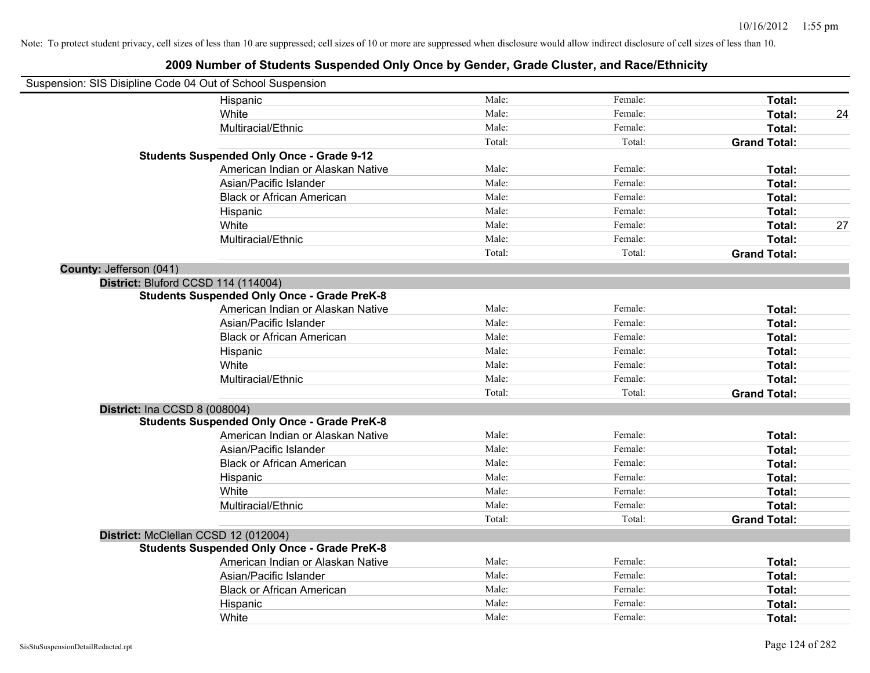| Suspension: SIS Disipline Code 04 Out of School Suspension |                                                    |        |         |                     |    |
|------------------------------------------------------------|----------------------------------------------------|--------|---------|---------------------|----|
|                                                            | Hispanic                                           | Male:  | Female: | Total:              |    |
|                                                            | White                                              | Male:  | Female: | Total:              | 24 |
|                                                            | Multiracial/Ethnic                                 | Male:  | Female: | Total:              |    |
|                                                            |                                                    | Total: | Total:  | <b>Grand Total:</b> |    |
|                                                            | <b>Students Suspended Only Once - Grade 9-12</b>   |        |         |                     |    |
|                                                            | American Indian or Alaskan Native                  | Male:  | Female: | Total:              |    |
|                                                            | Asian/Pacific Islander                             | Male:  | Female: | Total:              |    |
|                                                            | <b>Black or African American</b>                   | Male:  | Female: | Total:              |    |
|                                                            | Hispanic                                           | Male:  | Female: | Total:              |    |
|                                                            | White                                              | Male:  | Female: | Total:              | 27 |
|                                                            | Multiracial/Ethnic                                 | Male:  | Female: | Total:              |    |
|                                                            |                                                    | Total: | Total:  | <b>Grand Total:</b> |    |
| County: Jefferson (041)                                    |                                                    |        |         |                     |    |
| District: Bluford CCSD 114 (114004)                        |                                                    |        |         |                     |    |
|                                                            | <b>Students Suspended Only Once - Grade PreK-8</b> |        |         |                     |    |
|                                                            | American Indian or Alaskan Native                  | Male:  | Female: | Total:              |    |
|                                                            | Asian/Pacific Islander                             | Male:  | Female: | Total:              |    |
|                                                            | <b>Black or African American</b>                   | Male:  | Female: | Total:              |    |
|                                                            | Hispanic                                           | Male:  | Female: | Total:              |    |
|                                                            | White                                              | Male:  | Female: | Total:              |    |
|                                                            | Multiracial/Ethnic                                 | Male:  | Female: | Total:              |    |
|                                                            |                                                    | Total: | Total:  | <b>Grand Total:</b> |    |
| <b>District: Ina CCSD 8 (008004)</b>                       |                                                    |        |         |                     |    |
|                                                            | <b>Students Suspended Only Once - Grade PreK-8</b> |        |         |                     |    |
|                                                            | American Indian or Alaskan Native                  | Male:  | Female: | Total:              |    |
|                                                            | Asian/Pacific Islander                             | Male:  | Female: | Total:              |    |
|                                                            | <b>Black or African American</b>                   | Male:  | Female: | Total:              |    |
|                                                            | Hispanic                                           | Male:  | Female: | Total:              |    |
|                                                            | White                                              | Male:  | Female: | Total:              |    |
|                                                            | Multiracial/Ethnic                                 | Male:  | Female: | Total:              |    |
|                                                            |                                                    | Total: | Total:  | <b>Grand Total:</b> |    |
|                                                            | District: McClellan CCSD 12 (012004)               |        |         |                     |    |
|                                                            | <b>Students Suspended Only Once - Grade PreK-8</b> |        |         |                     |    |
|                                                            | American Indian or Alaskan Native                  | Male:  | Female: | Total:              |    |
|                                                            | Asian/Pacific Islander                             | Male:  | Female: | Total:              |    |
|                                                            | <b>Black or African American</b>                   | Male:  | Female: | Total:              |    |
|                                                            | Hispanic                                           | Male:  | Female: | <b>Total:</b>       |    |
|                                                            | White                                              | Male:  | Female: | Total:              |    |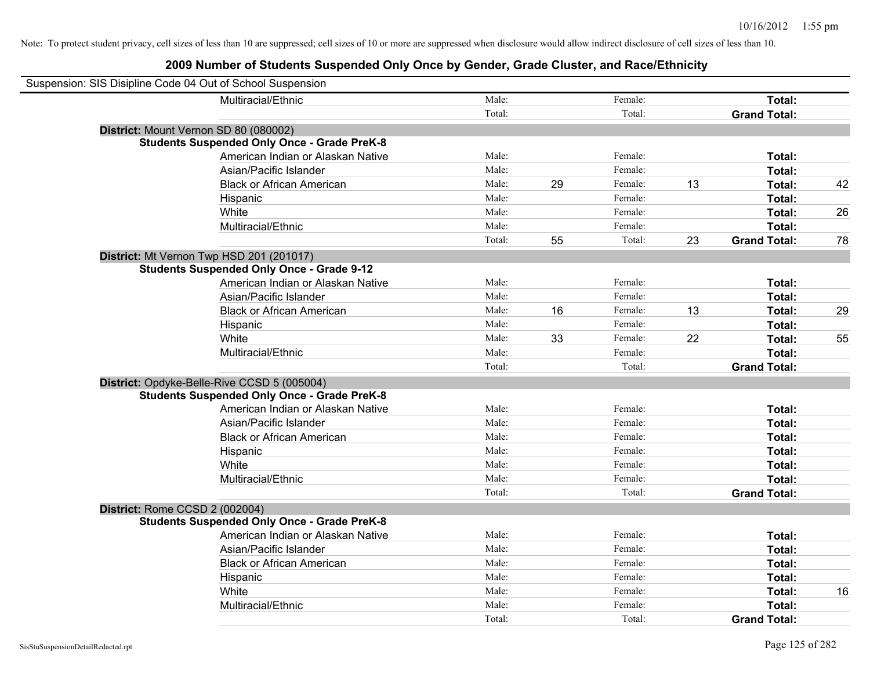| Suspension: SIS Disipline Code 04 Out of School Suspension |                                                    |        |    |         |    |                     |    |
|------------------------------------------------------------|----------------------------------------------------|--------|----|---------|----|---------------------|----|
|                                                            | Multiracial/Ethnic                                 | Male:  |    | Female: |    | Total:              |    |
|                                                            |                                                    | Total: |    | Total:  |    | <b>Grand Total:</b> |    |
| District: Mount Vernon SD 80 (080002)                      |                                                    |        |    |         |    |                     |    |
|                                                            | <b>Students Suspended Only Once - Grade PreK-8</b> |        |    |         |    |                     |    |
|                                                            | American Indian or Alaskan Native                  | Male:  |    | Female: |    | Total:              |    |
|                                                            | Asian/Pacific Islander                             | Male:  |    | Female: |    | Total:              |    |
|                                                            | <b>Black or African American</b>                   | Male:  | 29 | Female: | 13 | Total:              | 42 |
|                                                            | Hispanic                                           | Male:  |    | Female: |    | Total:              |    |
|                                                            | White                                              | Male:  |    | Female: |    | Total:              | 26 |
|                                                            | Multiracial/Ethnic                                 | Male:  |    | Female: |    | Total:              |    |
|                                                            |                                                    | Total: | 55 | Total:  | 23 | <b>Grand Total:</b> | 78 |
| District: Mt Vernon Twp HSD 201 (201017)                   |                                                    |        |    |         |    |                     |    |
|                                                            | <b>Students Suspended Only Once - Grade 9-12</b>   |        |    |         |    |                     |    |
|                                                            | American Indian or Alaskan Native                  | Male:  |    | Female: |    | Total:              |    |
|                                                            | Asian/Pacific Islander                             | Male:  |    | Female: |    | Total:              |    |
|                                                            | <b>Black or African American</b>                   | Male:  | 16 | Female: | 13 | Total:              | 29 |
|                                                            | Hispanic                                           | Male:  |    | Female: |    | Total:              |    |
|                                                            | White                                              | Male:  | 33 | Female: | 22 | Total:              | 55 |
|                                                            | Multiracial/Ethnic                                 | Male:  |    | Female: |    | Total:              |    |
|                                                            |                                                    | Total: |    | Total:  |    | <b>Grand Total:</b> |    |
|                                                            | District: Opdyke-Belle-Rive CCSD 5 (005004)        |        |    |         |    |                     |    |
|                                                            | <b>Students Suspended Only Once - Grade PreK-8</b> |        |    |         |    |                     |    |
|                                                            | American Indian or Alaskan Native                  | Male:  |    | Female: |    | Total:              |    |
|                                                            | Asian/Pacific Islander                             | Male:  |    | Female: |    | Total:              |    |
|                                                            | <b>Black or African American</b>                   | Male:  |    | Female: |    | Total:              |    |
|                                                            | Hispanic                                           | Male:  |    | Female: |    | Total:              |    |
|                                                            | White                                              | Male:  |    | Female: |    | Total:              |    |
|                                                            | Multiracial/Ethnic                                 | Male:  |    | Female: |    | Total:              |    |
|                                                            |                                                    | Total: |    | Total:  |    | <b>Grand Total:</b> |    |
| District: Rome CCSD 2 (002004)                             |                                                    |        |    |         |    |                     |    |
|                                                            | <b>Students Suspended Only Once - Grade PreK-8</b> |        |    |         |    |                     |    |
|                                                            | American Indian or Alaskan Native                  | Male:  |    | Female: |    | Total:              |    |
|                                                            | Asian/Pacific Islander                             | Male:  |    | Female: |    | Total:              |    |
|                                                            | <b>Black or African American</b>                   | Male:  |    | Female: |    | Total:              |    |
|                                                            | Hispanic                                           | Male:  |    | Female: |    | Total:              |    |
|                                                            | White                                              | Male:  |    | Female: |    | Total:              | 16 |
|                                                            | Multiracial/Ethnic                                 | Male:  |    | Female: |    | Total:              |    |
|                                                            |                                                    | Total: |    | Total:  |    | <b>Grand Total:</b> |    |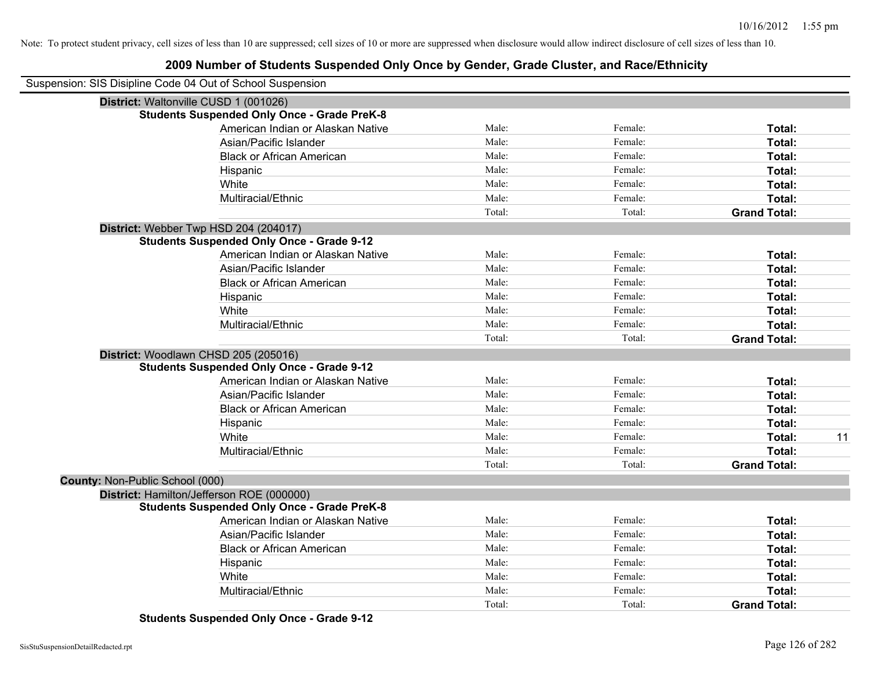# **2009 Number of Students Suspended Only Once by Gender, Grade Cluster, and Race/Ethnicity**

|                                 | Suspension: SIS Disipline Code 04 Out of School Suspension |        |         |                     |    |
|---------------------------------|------------------------------------------------------------|--------|---------|---------------------|----|
|                                 | District: Waltonville CUSD 1 (001026)                      |        |         |                     |    |
|                                 | <b>Students Suspended Only Once - Grade PreK-8</b>         |        |         |                     |    |
|                                 | American Indian or Alaskan Native                          | Male:  | Female: | Total:              |    |
|                                 | Asian/Pacific Islander                                     | Male:  | Female: | Total:              |    |
|                                 | <b>Black or African American</b>                           | Male:  | Female: | Total:              |    |
|                                 | Hispanic                                                   | Male:  | Female: | Total:              |    |
|                                 | White                                                      | Male:  | Female: | Total:              |    |
|                                 | Multiracial/Ethnic                                         | Male:  | Female: | Total:              |    |
|                                 |                                                            | Total: | Total:  | <b>Grand Total:</b> |    |
|                                 | District: Webber Twp HSD 204 (204017)                      |        |         |                     |    |
|                                 | <b>Students Suspended Only Once - Grade 9-12</b>           |        |         |                     |    |
|                                 | American Indian or Alaskan Native                          | Male:  | Female: | Total:              |    |
|                                 | Asian/Pacific Islander                                     | Male:  | Female: | Total:              |    |
|                                 | <b>Black or African American</b>                           | Male:  | Female: | Total:              |    |
|                                 | Hispanic                                                   | Male:  | Female: | Total:              |    |
|                                 | White                                                      | Male:  | Female: | Total:              |    |
|                                 | Multiracial/Ethnic                                         | Male:  | Female: | Total:              |    |
|                                 |                                                            | Total: | Total:  | <b>Grand Total:</b> |    |
|                                 | District: Woodlawn CHSD 205 (205016)                       |        |         |                     |    |
|                                 | <b>Students Suspended Only Once - Grade 9-12</b>           |        |         |                     |    |
|                                 | American Indian or Alaskan Native                          | Male:  | Female: | Total:              |    |
|                                 | Asian/Pacific Islander                                     | Male:  | Female: | Total:              |    |
|                                 | <b>Black or African American</b>                           | Male:  | Female: | Total:              |    |
|                                 | Hispanic                                                   | Male:  | Female: | Total:              |    |
|                                 | White                                                      | Male:  | Female: | Total:              | 11 |
|                                 | Multiracial/Ethnic                                         | Male:  | Female: | Total:              |    |
|                                 |                                                            | Total: | Total:  | <b>Grand Total:</b> |    |
| County: Non-Public School (000) |                                                            |        |         |                     |    |
|                                 | District: Hamilton/Jefferson ROE (000000)                  |        |         |                     |    |
|                                 | <b>Students Suspended Only Once - Grade PreK-8</b>         |        |         |                     |    |
|                                 | American Indian or Alaskan Native                          | Male:  | Female: | Total:              |    |
|                                 | Asian/Pacific Islander                                     | Male:  | Female: | Total:              |    |
|                                 | <b>Black or African American</b>                           | Male:  | Female: | Total:              |    |
|                                 | Hispanic                                                   | Male:  | Female: | Total:              |    |
|                                 | White                                                      | Male:  | Female: | Total:              |    |
|                                 | Multiracial/Ethnic                                         | Male:  | Female: | Total:              |    |
|                                 |                                                            | Total: | Total:  | <b>Grand Total:</b> |    |

**Students Suspended Only Once - Grade 9-12**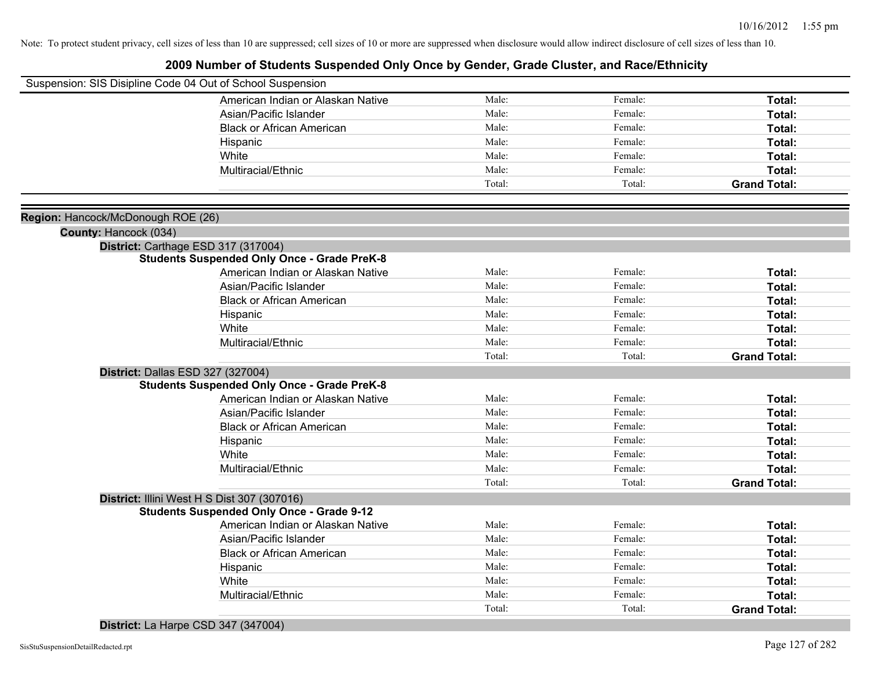# **2009 Number of Students Suspended Only Once by Gender, Grade Cluster, and Race/Ethnicity**

|                                    | Suspension: SIS Disipline Code 04 Out of School Suspension |        |         |                     |
|------------------------------------|------------------------------------------------------------|--------|---------|---------------------|
|                                    | American Indian or Alaskan Native                          | Male:  | Female: | Total:              |
|                                    | Asian/Pacific Islander                                     | Male:  | Female: | Total:              |
|                                    | <b>Black or African American</b>                           | Male:  | Female: | Total:              |
|                                    | Hispanic                                                   | Male:  | Female: | Total:              |
|                                    | White                                                      | Male:  | Female: | Total:              |
|                                    | Multiracial/Ethnic                                         | Male:  | Female: | Total:              |
|                                    |                                                            | Total: | Total:  | <b>Grand Total:</b> |
|                                    |                                                            |        |         |                     |
| Region: Hancock/McDonough ROE (26) |                                                            |        |         |                     |
|                                    |                                                            |        |         |                     |
| County: Hancock (034)              | District: Carthage ESD 317 (317004)                        |        |         |                     |
|                                    | <b>Students Suspended Only Once - Grade PreK-8</b>         |        |         |                     |
|                                    | American Indian or Alaskan Native                          | Male:  | Female: | Total:              |
|                                    | Asian/Pacific Islander                                     | Male:  | Female: | Total:              |
|                                    | <b>Black or African American</b>                           | Male:  | Female: | Total:              |
|                                    | Hispanic                                                   | Male:  | Female: | Total:              |
|                                    | White                                                      | Male:  | Female: | Total:              |
|                                    | Multiracial/Ethnic                                         | Male:  | Female: | Total:              |
|                                    |                                                            | Total: | Total:  | <b>Grand Total:</b> |
|                                    | District: Dallas ESD 327 (327004)                          |        |         |                     |
|                                    | <b>Students Suspended Only Once - Grade PreK-8</b>         |        |         |                     |
|                                    | American Indian or Alaskan Native                          | Male:  | Female: | Total:              |
|                                    | Asian/Pacific Islander                                     | Male:  | Female: | Total:              |
|                                    | <b>Black or African American</b>                           | Male:  | Female: | Total:              |
|                                    | Hispanic                                                   | Male:  | Female: | Total:              |
|                                    | White                                                      | Male:  | Female: | Total:              |
|                                    | Multiracial/Ethnic                                         | Male:  | Female: | Total:              |
|                                    |                                                            | Total: | Total:  | <b>Grand Total:</b> |
|                                    | District: Illini West H S Dist 307 (307016)                |        |         |                     |
|                                    | <b>Students Suspended Only Once - Grade 9-12</b>           |        |         |                     |
|                                    | American Indian or Alaskan Native                          | Male:  | Female: | Total:              |
|                                    | Asian/Pacific Islander                                     | Male:  | Female: | Total:              |
|                                    | <b>Black or African American</b>                           | Male:  | Female: | Total:              |
|                                    | Hispanic                                                   | Male:  | Female: | Total:              |
|                                    | White                                                      | Male:  | Female: | Total:              |
|                                    | Multiracial/Ethnic                                         | Male:  | Female: | Total:              |
|                                    |                                                            | Total: | Total:  | <b>Grand Total:</b> |
|                                    |                                                            |        |         |                     |

### **District:** La Harpe CSD 347 (347004)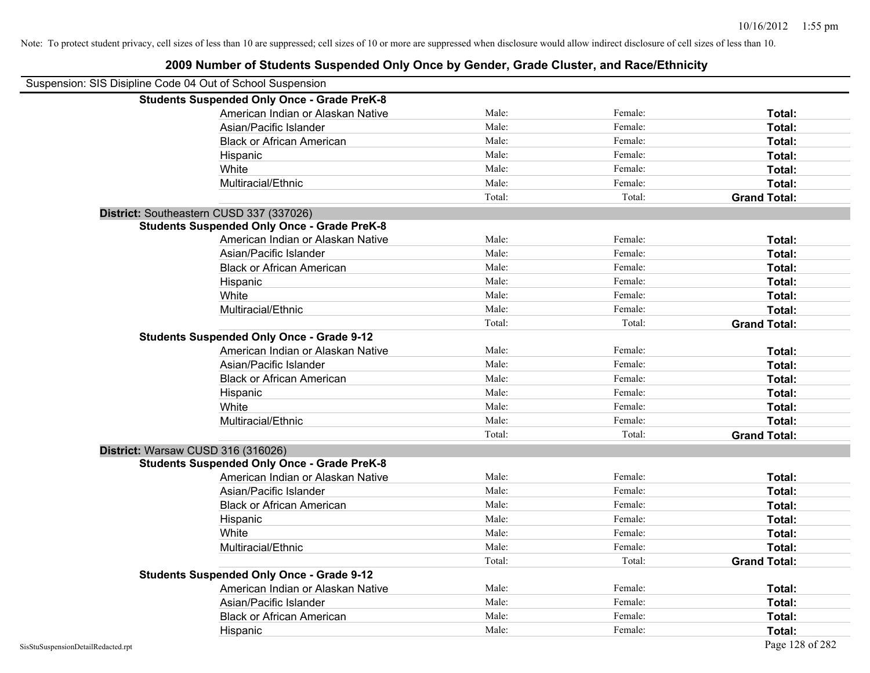| Suspension: SIS Disipline Code 04 Out of School Suspension |                                                    |        |         |                     |
|------------------------------------------------------------|----------------------------------------------------|--------|---------|---------------------|
|                                                            | <b>Students Suspended Only Once - Grade PreK-8</b> |        |         |                     |
|                                                            | American Indian or Alaskan Native                  | Male:  | Female: | Total:              |
|                                                            | Asian/Pacific Islander                             | Male:  | Female: | Total:              |
|                                                            | <b>Black or African American</b>                   | Male:  | Female: | Total:              |
|                                                            | Hispanic                                           | Male:  | Female: | Total:              |
|                                                            | White                                              | Male:  | Female: | Total:              |
|                                                            | Multiracial/Ethnic                                 | Male:  | Female: | Total:              |
|                                                            |                                                    | Total: | Total:  | <b>Grand Total:</b> |
| District: Southeastern CUSD 337 (337026)                   |                                                    |        |         |                     |
|                                                            | <b>Students Suspended Only Once - Grade PreK-8</b> |        |         |                     |
|                                                            | American Indian or Alaskan Native                  | Male:  | Female: | Total:              |
|                                                            | Asian/Pacific Islander                             | Male:  | Female: | Total:              |
|                                                            | <b>Black or African American</b>                   | Male:  | Female: | Total:              |
|                                                            | Hispanic                                           | Male:  | Female: | Total:              |
|                                                            | White                                              | Male:  | Female: | Total:              |
|                                                            | Multiracial/Ethnic                                 | Male:  | Female: | Total:              |
|                                                            |                                                    | Total: | Total:  | <b>Grand Total:</b> |
|                                                            | <b>Students Suspended Only Once - Grade 9-12</b>   |        |         |                     |
|                                                            | American Indian or Alaskan Native                  | Male:  | Female: | Total:              |
|                                                            | Asian/Pacific Islander                             | Male:  | Female: | Total:              |
|                                                            | <b>Black or African American</b>                   | Male:  | Female: | Total:              |
|                                                            | Hispanic                                           | Male:  | Female: | Total:              |
|                                                            | White                                              | Male:  | Female: | Total:              |
|                                                            | Multiracial/Ethnic                                 | Male:  | Female: | Total:              |
|                                                            |                                                    | Total: | Total:  | <b>Grand Total:</b> |
| District: Warsaw CUSD 316 (316026)                         |                                                    |        |         |                     |
|                                                            | <b>Students Suspended Only Once - Grade PreK-8</b> |        |         |                     |
|                                                            | American Indian or Alaskan Native                  | Male:  | Female: | Total:              |
|                                                            | Asian/Pacific Islander                             | Male:  | Female: | Total:              |
|                                                            | <b>Black or African American</b>                   | Male:  | Female: | Total:              |
|                                                            | Hispanic                                           | Male:  | Female: | Total:              |
|                                                            | White                                              | Male:  | Female: | Total:              |
|                                                            | Multiracial/Ethnic                                 | Male:  | Female: | Total:              |
|                                                            |                                                    | Total: | Total:  | <b>Grand Total:</b> |
|                                                            | <b>Students Suspended Only Once - Grade 9-12</b>   |        |         |                     |
|                                                            | American Indian or Alaskan Native                  | Male:  | Female: | Total:              |
|                                                            | Asian/Pacific Islander                             | Male:  | Female: | Total:              |
|                                                            | <b>Black or African American</b>                   | Male:  | Female: | Total:              |
|                                                            | Hispanic                                           | Male:  | Female: | Total:              |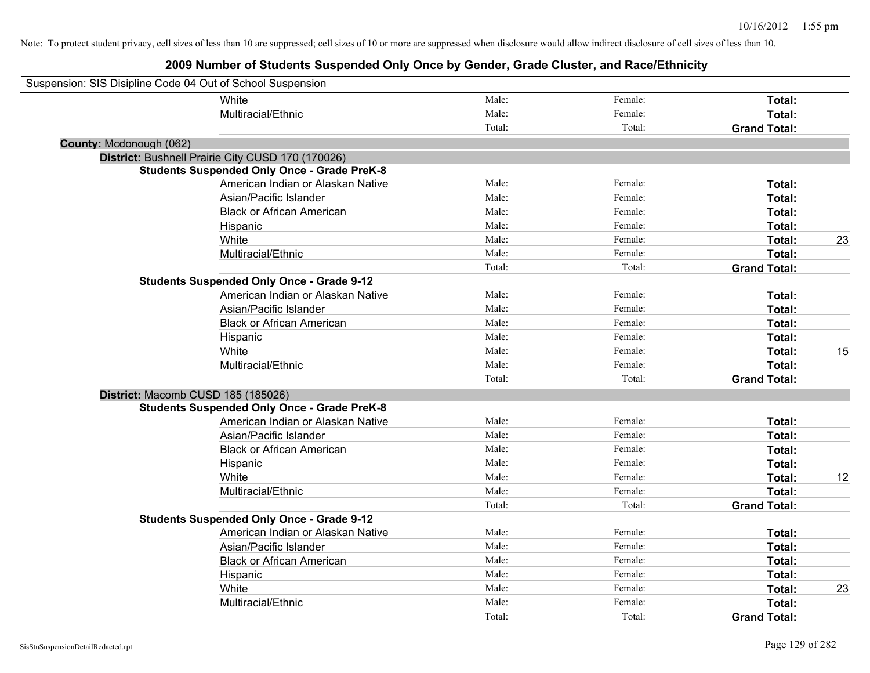| Suspension: SIS Disipline Code 04 Out of School Suspension |                                                    |        |         |                     |    |
|------------------------------------------------------------|----------------------------------------------------|--------|---------|---------------------|----|
|                                                            | <b>White</b>                                       | Male:  | Female: | Total:              |    |
|                                                            | Multiracial/Ethnic                                 | Male:  | Female: | Total:              |    |
|                                                            |                                                    | Total: | Total:  | <b>Grand Total:</b> |    |
| County: Mcdonough (062)                                    |                                                    |        |         |                     |    |
|                                                            | District: Bushnell Prairie City CUSD 170 (170026)  |        |         |                     |    |
|                                                            | <b>Students Suspended Only Once - Grade PreK-8</b> |        |         |                     |    |
|                                                            | American Indian or Alaskan Native                  | Male:  | Female: | Total:              |    |
|                                                            | Asian/Pacific Islander                             | Male:  | Female: | Total:              |    |
|                                                            | <b>Black or African American</b>                   | Male:  | Female: | Total:              |    |
|                                                            | Hispanic                                           | Male:  | Female: | Total:              |    |
|                                                            | White                                              | Male:  | Female: | Total:              | 23 |
|                                                            | Multiracial/Ethnic                                 | Male:  | Female: | Total:              |    |
|                                                            |                                                    | Total: | Total:  | <b>Grand Total:</b> |    |
|                                                            | <b>Students Suspended Only Once - Grade 9-12</b>   |        |         |                     |    |
|                                                            | American Indian or Alaskan Native                  | Male:  | Female: | Total:              |    |
|                                                            | Asian/Pacific Islander                             | Male:  | Female: | Total:              |    |
|                                                            | <b>Black or African American</b>                   | Male:  | Female: | Total:              |    |
|                                                            | Hispanic                                           | Male:  | Female: | Total:              |    |
|                                                            | White                                              | Male:  | Female: | Total:              | 15 |
|                                                            | Multiracial/Ethnic                                 | Male:  | Female: | Total:              |    |
|                                                            |                                                    | Total: | Total:  | <b>Grand Total:</b> |    |
| District: Macomb CUSD 185 (185026)                         |                                                    |        |         |                     |    |
|                                                            | <b>Students Suspended Only Once - Grade PreK-8</b> |        |         |                     |    |
|                                                            | American Indian or Alaskan Native                  | Male:  | Female: | Total:              |    |
|                                                            | Asian/Pacific Islander                             | Male:  | Female: | Total:              |    |
|                                                            | <b>Black or African American</b>                   | Male:  | Female: | Total:              |    |
|                                                            | Hispanic                                           | Male:  | Female: | Total:              |    |
|                                                            | White                                              | Male:  | Female: | Total:              | 12 |
|                                                            | Multiracial/Ethnic                                 | Male:  | Female: | Total:              |    |
|                                                            |                                                    | Total: | Total:  | <b>Grand Total:</b> |    |
|                                                            | <b>Students Suspended Only Once - Grade 9-12</b>   |        |         |                     |    |
|                                                            | American Indian or Alaskan Native                  | Male:  | Female: | Total:              |    |
|                                                            | Asian/Pacific Islander                             | Male:  | Female: | Total:              |    |
|                                                            | <b>Black or African American</b>                   | Male:  | Female: | Total:              |    |
|                                                            | Hispanic                                           | Male:  | Female: | Total:              |    |
|                                                            | White                                              | Male:  | Female: | Total:              | 23 |
|                                                            | Multiracial/Ethnic                                 | Male:  | Female: | Total:              |    |
|                                                            |                                                    | Total: | Total:  | <b>Grand Total:</b> |    |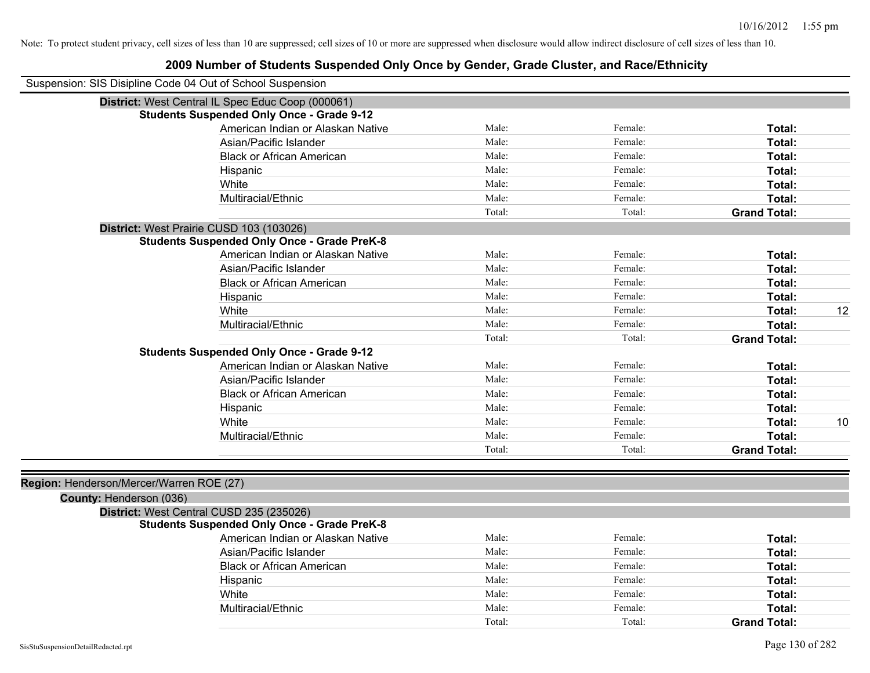|                                          | Suspension: SIS Disipline Code 04 Out of School Suspension |        |         |                     |    |
|------------------------------------------|------------------------------------------------------------|--------|---------|---------------------|----|
|                                          | District: West Central IL Spec Educ Coop (000061)          |        |         |                     |    |
|                                          | <b>Students Suspended Only Once - Grade 9-12</b>           |        |         |                     |    |
|                                          | American Indian or Alaskan Native                          | Male:  | Female: | Total:              |    |
|                                          | Asian/Pacific Islander                                     | Male:  | Female: | Total:              |    |
|                                          | <b>Black or African American</b>                           | Male:  | Female: | <b>Total:</b>       |    |
|                                          | Hispanic                                                   | Male:  | Female: | Total:              |    |
|                                          | White                                                      | Male:  | Female: | Total:              |    |
|                                          | Multiracial/Ethnic                                         | Male:  | Female: | Total:              |    |
|                                          |                                                            | Total: | Total:  | <b>Grand Total:</b> |    |
|                                          | District: West Prairie CUSD 103 (103026)                   |        |         |                     |    |
|                                          | <b>Students Suspended Only Once - Grade PreK-8</b>         |        |         |                     |    |
|                                          | American Indian or Alaskan Native                          | Male:  | Female: | Total:              |    |
|                                          | Asian/Pacific Islander                                     | Male:  | Female: | Total:              |    |
|                                          | <b>Black or African American</b>                           | Male:  | Female: | Total:              |    |
|                                          | Hispanic                                                   | Male:  | Female: | Total:              |    |
|                                          | White                                                      | Male:  | Female: | Total:              | 12 |
|                                          | Multiracial/Ethnic                                         | Male:  | Female: | Total:              |    |
|                                          |                                                            | Total: | Total:  | <b>Grand Total:</b> |    |
|                                          | <b>Students Suspended Only Once - Grade 9-12</b>           |        |         |                     |    |
|                                          | American Indian or Alaskan Native                          | Male:  | Female: | Total:              |    |
|                                          | Asian/Pacific Islander                                     | Male:  | Female: | Total:              |    |
|                                          | <b>Black or African American</b>                           | Male:  | Female: | Total:              |    |
|                                          | Hispanic                                                   | Male:  | Female: | Total:              |    |
|                                          | White                                                      | Male:  | Female: | Total:              | 10 |
|                                          | Multiracial/Ethnic                                         | Male:  | Female: | Total:              |    |
|                                          |                                                            | Total: | Total:  | <b>Grand Total:</b> |    |
|                                          |                                                            |        |         |                     |    |
| Region: Henderson/Mercer/Warren ROE (27) |                                                            |        |         |                     |    |
| County: Henderson (036)                  |                                                            |        |         |                     |    |
|                                          | District: West Central CUSD 235 (235026)                   |        |         |                     |    |
|                                          | <b>Students Suspended Only Once - Grade PreK-8</b>         |        |         |                     |    |
|                                          | American Indian or Alaskan Native                          | Male:  | Female: | Total:              |    |
|                                          | Asian/Pacific Islander                                     | Male:  | Female: | Total:              |    |
|                                          | <b>Black or African American</b>                           | Male:  | Female: | Total:              |    |
|                                          | Hispanic                                                   | Male:  | Female: | Total:              |    |
|                                          | White                                                      | Male:  | Female: | Total:              |    |
|                                          | Multiracial/Ethnic                                         | Male:  | Female: | Total:              |    |
|                                          |                                                            | Total: | Total:  | <b>Grand Total:</b> |    |
|                                          |                                                            |        |         |                     |    |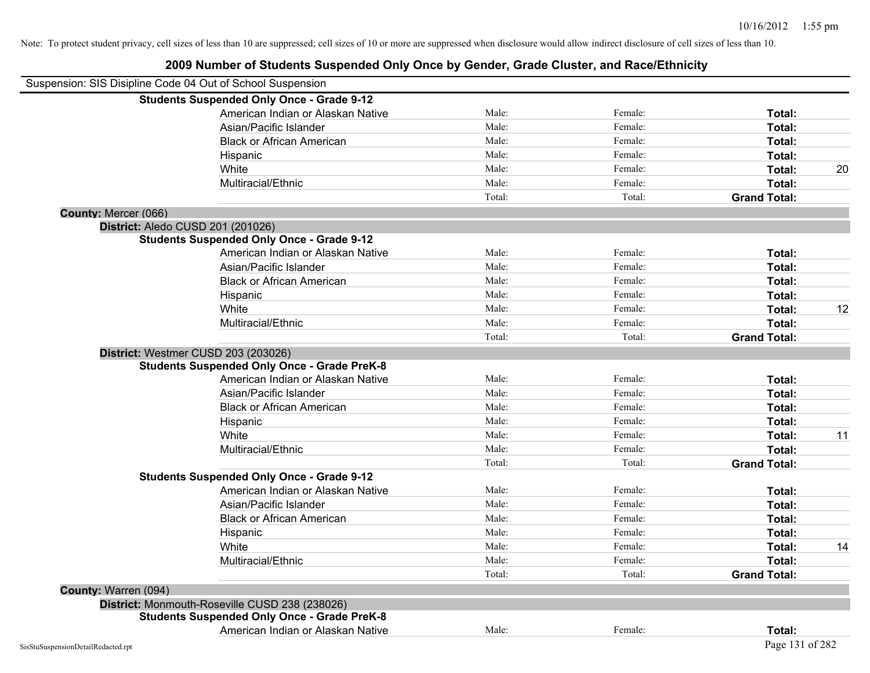|                                   | Suspension: SIS Disipline Code 04 Out of School Suspension |        |         |                     |    |
|-----------------------------------|------------------------------------------------------------|--------|---------|---------------------|----|
|                                   | <b>Students Suspended Only Once - Grade 9-12</b>           |        |         |                     |    |
|                                   | American Indian or Alaskan Native                          | Male:  | Female: | Total:              |    |
|                                   | Asian/Pacific Islander                                     | Male:  | Female: | Total:              |    |
|                                   | <b>Black or African American</b>                           | Male:  | Female: | Total:              |    |
|                                   | Hispanic                                                   | Male:  | Female: | Total:              |    |
|                                   | White                                                      | Male:  | Female: | Total:              | 20 |
|                                   | Multiracial/Ethnic                                         | Male:  | Female: | Total:              |    |
|                                   |                                                            | Total: | Total:  | <b>Grand Total:</b> |    |
| County: Mercer (066)              |                                                            |        |         |                     |    |
| District: Aledo CUSD 201 (201026) |                                                            |        |         |                     |    |
|                                   | <b>Students Suspended Only Once - Grade 9-12</b>           |        |         |                     |    |
|                                   | American Indian or Alaskan Native                          | Male:  | Female: | Total:              |    |
|                                   | Asian/Pacific Islander                                     | Male:  | Female: | Total:              |    |
|                                   | <b>Black or African American</b>                           | Male:  | Female: | Total:              |    |
|                                   | Hispanic                                                   | Male:  | Female: | Total:              |    |
|                                   | White                                                      | Male:  | Female: | Total:              | 12 |
|                                   | Multiracial/Ethnic                                         | Male:  | Female: | Total:              |    |
|                                   |                                                            | Total: | Total:  | <b>Grand Total:</b> |    |
|                                   | District: Westmer CUSD 203 (203026)                        |        |         |                     |    |
|                                   | <b>Students Suspended Only Once - Grade PreK-8</b>         |        |         |                     |    |
|                                   | American Indian or Alaskan Native                          | Male:  | Female: | Total:              |    |
|                                   | Asian/Pacific Islander                                     | Male:  | Female: | Total:              |    |
|                                   | <b>Black or African American</b>                           | Male:  | Female: | Total:              |    |
|                                   | Hispanic                                                   | Male:  | Female: | Total:              |    |
|                                   | White                                                      | Male:  | Female: | Total:              | 11 |
|                                   | Multiracial/Ethnic                                         | Male:  | Female: | Total:              |    |
|                                   |                                                            | Total: | Total:  | <b>Grand Total:</b> |    |
|                                   | <b>Students Suspended Only Once - Grade 9-12</b>           |        |         |                     |    |
|                                   | American Indian or Alaskan Native                          | Male:  | Female: | Total:              |    |
|                                   | Asian/Pacific Islander                                     | Male:  | Female: | Total:              |    |
|                                   | <b>Black or African American</b>                           | Male:  | Female: | Total:              |    |
|                                   | Hispanic                                                   | Male:  | Female: | Total:              |    |
|                                   | White                                                      | Male:  | Female: | Total:              | 14 |
|                                   | Multiracial/Ethnic                                         | Male:  | Female: | Total:              |    |
|                                   |                                                            | Total: | Total:  | <b>Grand Total:</b> |    |
| County: Warren (094)              |                                                            |        |         |                     |    |
|                                   | District: Monmouth-Roseville CUSD 238 (238026)             |        |         |                     |    |
|                                   | <b>Students Suspended Only Once - Grade PreK-8</b>         |        |         |                     |    |
|                                   | American Indian or Alaskan Native                          | Male:  | Female: | Total:              |    |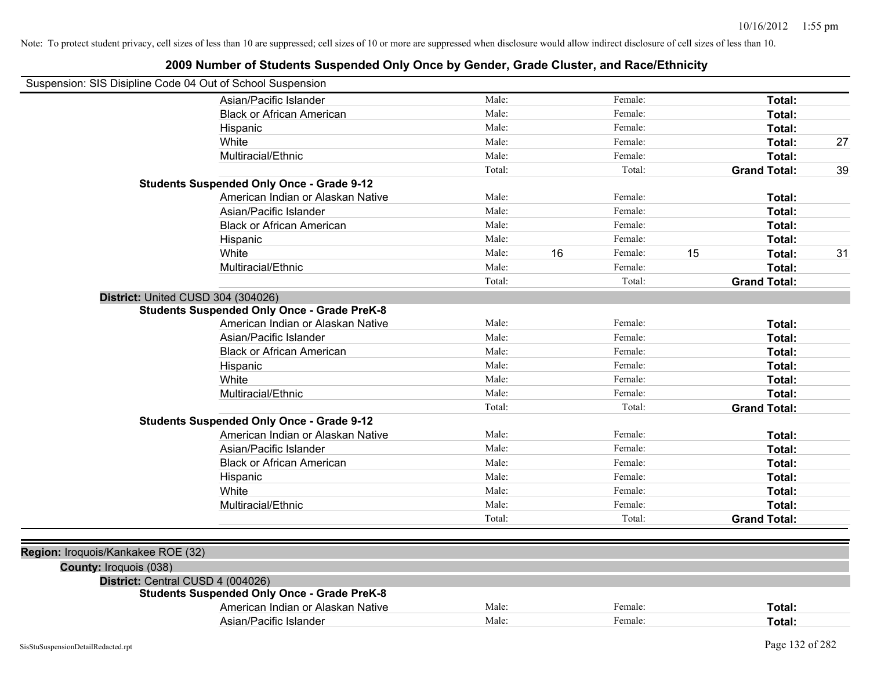| Suspension: SIS Disipline Code 04 Out of School Suspension |                                                    |        |    |         |    |                     |    |
|------------------------------------------------------------|----------------------------------------------------|--------|----|---------|----|---------------------|----|
|                                                            | Asian/Pacific Islander                             | Male:  |    | Female: |    | Total:              |    |
|                                                            | <b>Black or African American</b>                   | Male:  |    | Female: |    | Total:              |    |
|                                                            | Hispanic                                           | Male:  |    | Female: |    | Total:              |    |
|                                                            | White                                              | Male:  |    | Female: |    | Total:              | 27 |
|                                                            | Multiracial/Ethnic                                 | Male:  |    | Female: |    | Total:              |    |
|                                                            |                                                    | Total: |    | Total:  |    | <b>Grand Total:</b> | 39 |
|                                                            | <b>Students Suspended Only Once - Grade 9-12</b>   |        |    |         |    |                     |    |
|                                                            | American Indian or Alaskan Native                  | Male:  |    | Female: |    | Total:              |    |
|                                                            | Asian/Pacific Islander                             | Male:  |    | Female: |    | Total:              |    |
|                                                            | <b>Black or African American</b>                   | Male:  |    | Female: |    | Total:              |    |
|                                                            | Hispanic                                           | Male:  |    | Female: |    | Total:              |    |
|                                                            | White                                              | Male:  | 16 | Female: | 15 | Total:              | 31 |
|                                                            | Multiracial/Ethnic                                 | Male:  |    | Female: |    | Total:              |    |
|                                                            |                                                    | Total: |    | Total:  |    | <b>Grand Total:</b> |    |
| District: United CUSD 304 (304026)                         |                                                    |        |    |         |    |                     |    |
|                                                            | <b>Students Suspended Only Once - Grade PreK-8</b> |        |    |         |    |                     |    |
|                                                            | American Indian or Alaskan Native                  | Male:  |    | Female: |    | Total:              |    |
|                                                            | Asian/Pacific Islander                             | Male:  |    | Female: |    | Total:              |    |
|                                                            | <b>Black or African American</b>                   | Male:  |    | Female: |    | Total:              |    |
|                                                            | Hispanic                                           | Male:  |    | Female: |    | Total:              |    |
|                                                            | White                                              | Male:  |    | Female: |    | Total:              |    |
|                                                            | Multiracial/Ethnic                                 | Male:  |    | Female: |    | Total:              |    |
|                                                            |                                                    | Total: |    | Total:  |    | <b>Grand Total:</b> |    |
|                                                            | <b>Students Suspended Only Once - Grade 9-12</b>   |        |    |         |    |                     |    |
|                                                            | American Indian or Alaskan Native                  | Male:  |    | Female: |    | Total:              |    |
|                                                            | Asian/Pacific Islander                             | Male:  |    | Female: |    | Total:              |    |
|                                                            | <b>Black or African American</b>                   | Male:  |    | Female: |    | Total:              |    |
|                                                            | Hispanic                                           | Male:  |    | Female: |    | Total:              |    |
|                                                            | White                                              | Male:  |    | Female: |    | Total:              |    |
|                                                            | Multiracial/Ethnic                                 | Male:  |    | Female: |    | Total:              |    |
|                                                            |                                                    | Total: |    | Total:  |    | <b>Grand Total:</b> |    |
|                                                            |                                                    |        |    |         |    |                     |    |
| Region: Iroquois/Kankakee ROE (32)                         |                                                    |        |    |         |    |                     |    |
| <b>County: Iroquois (038)</b>                              |                                                    |        |    |         |    |                     |    |
| District: Central CUSD 4 (004026)                          |                                                    |        |    |         |    |                     |    |
|                                                            | <b>Students Suspended Only Once - Grade PreK-8</b> |        |    |         |    |                     |    |
|                                                            | American Indian or Alaskan Native                  | Male:  |    | Female: |    | Total:              |    |
|                                                            | Asian/Pacific Islander                             | Male:  |    | Female: |    | Total:              |    |
|                                                            |                                                    |        |    |         |    |                     |    |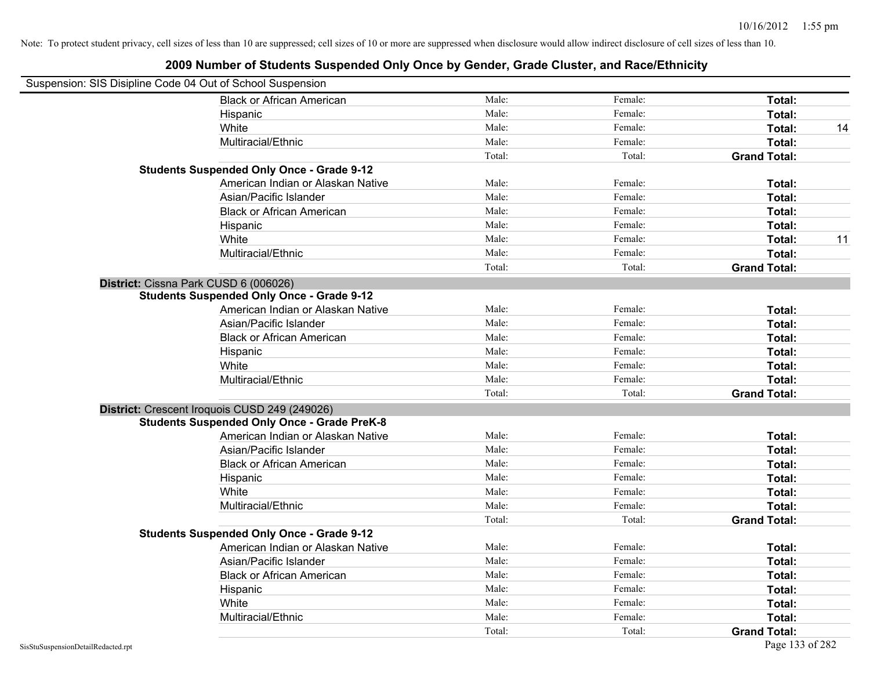| Suspension: SIS Disipline Code 04 Out of School Suspension |        |         |                     |    |
|------------------------------------------------------------|--------|---------|---------------------|----|
| <b>Black or African American</b>                           | Male:  | Female: | Total:              |    |
| Hispanic                                                   | Male:  | Female: | Total:              |    |
| White                                                      | Male:  | Female: | Total:              | 14 |
| Multiracial/Ethnic                                         | Male:  | Female: | Total:              |    |
|                                                            | Total: | Total:  | <b>Grand Total:</b> |    |
| <b>Students Suspended Only Once - Grade 9-12</b>           |        |         |                     |    |
| American Indian or Alaskan Native                          | Male:  | Female: | Total:              |    |
| Asian/Pacific Islander                                     | Male:  | Female: | Total:              |    |
| <b>Black or African American</b>                           | Male:  | Female: | Total:              |    |
| Hispanic                                                   | Male:  | Female: | Total:              |    |
| White                                                      | Male:  | Female: | Total:              | 11 |
| Multiracial/Ethnic                                         | Male:  | Female: | Total:              |    |
|                                                            | Total: | Total:  | <b>Grand Total:</b> |    |
| District: Cissna Park CUSD 6 (006026)                      |        |         |                     |    |
| <b>Students Suspended Only Once - Grade 9-12</b>           |        |         |                     |    |
| American Indian or Alaskan Native                          | Male:  | Female: | Total:              |    |
| Asian/Pacific Islander                                     | Male:  | Female: | Total:              |    |
| <b>Black or African American</b>                           | Male:  | Female: | Total:              |    |
| Hispanic                                                   | Male:  | Female: | Total:              |    |
| White                                                      | Male:  | Female: | Total:              |    |
| Multiracial/Ethnic                                         | Male:  | Female: | Total:              |    |
|                                                            | Total: | Total:  | <b>Grand Total:</b> |    |
| District: Crescent Iroquois CUSD 249 (249026)              |        |         |                     |    |
| <b>Students Suspended Only Once - Grade PreK-8</b>         |        |         |                     |    |
| American Indian or Alaskan Native                          | Male:  | Female: | Total:              |    |
| Asian/Pacific Islander                                     | Male:  | Female: | Total:              |    |
| <b>Black or African American</b>                           | Male:  | Female: | Total:              |    |
| Hispanic                                                   | Male:  | Female: | Total:              |    |
| White                                                      | Male:  | Female: | Total:              |    |
| Multiracial/Ethnic                                         | Male:  | Female: | Total:              |    |
|                                                            | Total: | Total:  | <b>Grand Total:</b> |    |
| <b>Students Suspended Only Once - Grade 9-12</b>           |        |         |                     |    |
| American Indian or Alaskan Native                          | Male:  | Female: | Total:              |    |
| Asian/Pacific Islander                                     | Male:  | Female: | Total:              |    |
| <b>Black or African American</b>                           | Male:  | Female: | Total:              |    |
| Hispanic                                                   | Male:  | Female: | Total:              |    |
| White                                                      | Male:  | Female: | Total:              |    |
| Multiracial/Ethnic                                         | Male:  | Female: | Total:              |    |
|                                                            | Total: | Total:  | <b>Grand Total:</b> |    |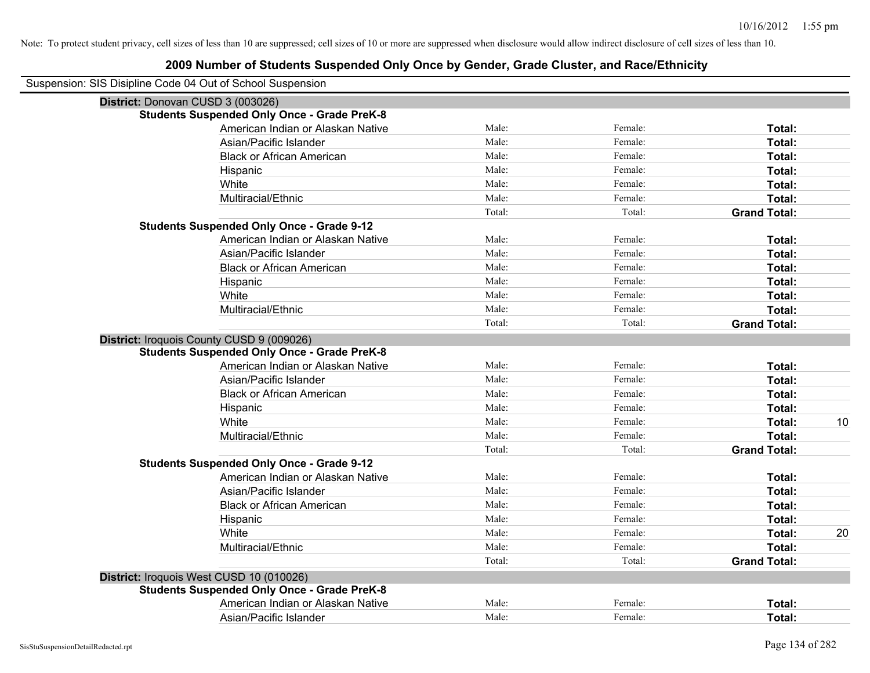| Suspension: SIS Disipline Code 04 Out of School Suspension |        |         |                     |    |
|------------------------------------------------------------|--------|---------|---------------------|----|
| District: Donovan CUSD 3 (003026)                          |        |         |                     |    |
| <b>Students Suspended Only Once - Grade PreK-8</b>         |        |         |                     |    |
| American Indian or Alaskan Native                          | Male:  | Female: | Total:              |    |
| Asian/Pacific Islander                                     | Male:  | Female: | Total:              |    |
| <b>Black or African American</b>                           | Male:  | Female: | Total:              |    |
| Hispanic                                                   | Male:  | Female: | Total:              |    |
| White                                                      | Male:  | Female: | Total:              |    |
| Multiracial/Ethnic                                         | Male:  | Female: | Total:              |    |
|                                                            | Total: | Total:  | <b>Grand Total:</b> |    |
| <b>Students Suspended Only Once - Grade 9-12</b>           |        |         |                     |    |
| American Indian or Alaskan Native                          | Male:  | Female: | Total:              |    |
| Asian/Pacific Islander                                     | Male:  | Female: | Total:              |    |
| <b>Black or African American</b>                           | Male:  | Female: | Total:              |    |
| Hispanic                                                   | Male:  | Female: | Total:              |    |
| White                                                      | Male:  | Female: | Total:              |    |
| Multiracial/Ethnic                                         | Male:  | Female: | Total:              |    |
|                                                            | Total: | Total:  | <b>Grand Total:</b> |    |
| District: Iroquois County CUSD 9 (009026)                  |        |         |                     |    |
| <b>Students Suspended Only Once - Grade PreK-8</b>         |        |         |                     |    |
| American Indian or Alaskan Native                          | Male:  | Female: | Total:              |    |
| Asian/Pacific Islander                                     | Male:  | Female: | Total:              |    |
| <b>Black or African American</b>                           | Male:  | Female: | Total:              |    |
| Hispanic                                                   | Male:  | Female: | Total:              |    |
| White                                                      | Male:  | Female: | Total:              | 10 |
| Multiracial/Ethnic                                         | Male:  | Female: | Total:              |    |
|                                                            | Total: | Total:  | <b>Grand Total:</b> |    |
| <b>Students Suspended Only Once - Grade 9-12</b>           |        |         |                     |    |
| American Indian or Alaskan Native                          | Male:  | Female: | Total:              |    |
| Asian/Pacific Islander                                     | Male:  | Female: | Total:              |    |
| <b>Black or African American</b>                           | Male:  | Female: | Total:              |    |
| Hispanic                                                   | Male:  | Female: | Total:              |    |
| <b>White</b>                                               | Male:  | Female: | Total:              | 20 |
| Multiracial/Ethnic                                         | Male:  | Female: | Total:              |    |
|                                                            | Total: | Total:  | <b>Grand Total:</b> |    |
| District: Iroquois West CUSD 10 (010026)                   |        |         |                     |    |
| <b>Students Suspended Only Once - Grade PreK-8</b>         |        |         |                     |    |
| American Indian or Alaskan Native                          | Male:  | Female: | <b>Total:</b>       |    |
| Asian/Pacific Islander                                     | Male:  | Female: | Total:              |    |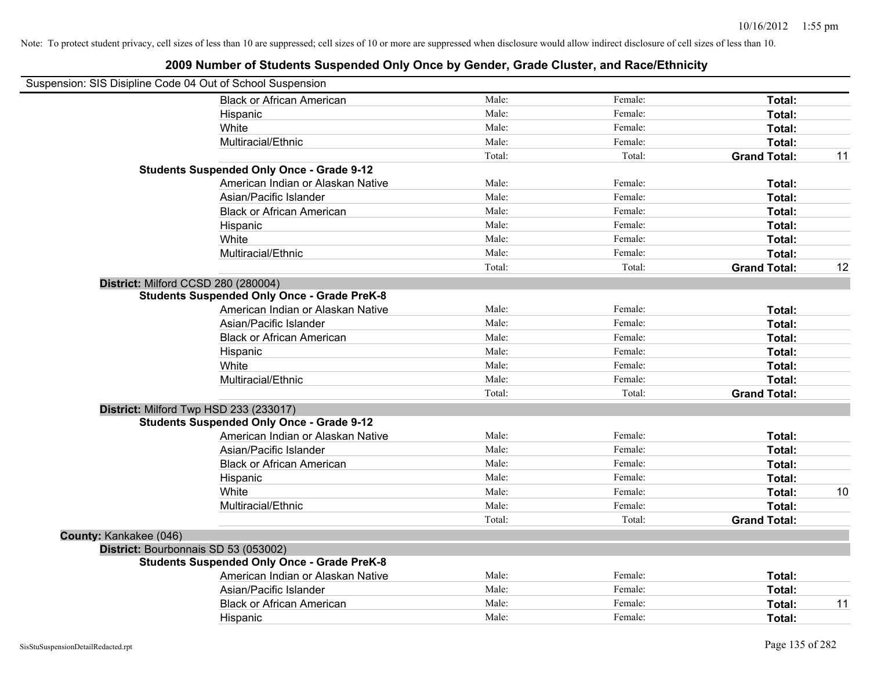|                        | Suspension: SIS Disipline Code 04 Out of School Suspension |        |         |                     |    |
|------------------------|------------------------------------------------------------|--------|---------|---------------------|----|
|                        | <b>Black or African American</b>                           | Male:  | Female: | Total:              |    |
|                        | Hispanic                                                   | Male:  | Female: | Total:              |    |
|                        | White                                                      | Male:  | Female: | Total:              |    |
|                        | Multiracial/Ethnic                                         | Male:  | Female: | Total:              |    |
|                        |                                                            | Total: | Total:  | <b>Grand Total:</b> | 11 |
|                        | <b>Students Suspended Only Once - Grade 9-12</b>           |        |         |                     |    |
|                        | American Indian or Alaskan Native                          | Male:  | Female: | Total:              |    |
|                        | Asian/Pacific Islander                                     | Male:  | Female: | Total:              |    |
|                        | <b>Black or African American</b>                           | Male:  | Female: | Total:              |    |
|                        | Hispanic                                                   | Male:  | Female: | Total:              |    |
|                        | White                                                      | Male:  | Female: | Total:              |    |
|                        | Multiracial/Ethnic                                         | Male:  | Female: | Total:              |    |
|                        |                                                            | Total: | Total:  | <b>Grand Total:</b> | 12 |
|                        | District: Milford CCSD 280 (280004)                        |        |         |                     |    |
|                        | <b>Students Suspended Only Once - Grade PreK-8</b>         |        |         |                     |    |
|                        | American Indian or Alaskan Native                          | Male:  | Female: | Total:              |    |
|                        | Asian/Pacific Islander                                     | Male:  | Female: | Total:              |    |
|                        | <b>Black or African American</b>                           | Male:  | Female: | Total:              |    |
|                        | Hispanic                                                   | Male:  | Female: | Total:              |    |
|                        | White                                                      | Male:  | Female: | Total:              |    |
|                        | Multiracial/Ethnic                                         | Male:  | Female: | Total:              |    |
|                        |                                                            | Total: | Total:  | <b>Grand Total:</b> |    |
|                        | District: Milford Twp HSD 233 (233017)                     |        |         |                     |    |
|                        | <b>Students Suspended Only Once - Grade 9-12</b>           |        |         |                     |    |
|                        | American Indian or Alaskan Native                          | Male:  | Female: | Total:              |    |
|                        | Asian/Pacific Islander                                     | Male:  | Female: | Total:              |    |
|                        | <b>Black or African American</b>                           | Male:  | Female: | Total:              |    |
|                        | Hispanic                                                   | Male:  | Female: | Total:              |    |
|                        | White                                                      | Male:  | Female: | Total:              | 10 |
|                        | Multiracial/Ethnic                                         | Male:  | Female: | Total:              |    |
|                        |                                                            | Total: | Total:  | <b>Grand Total:</b> |    |
| County: Kankakee (046) |                                                            |        |         |                     |    |
|                        | District: Bourbonnais SD 53 (053002)                       |        |         |                     |    |
|                        | <b>Students Suspended Only Once - Grade PreK-8</b>         |        |         |                     |    |
|                        | American Indian or Alaskan Native                          | Male:  | Female: | Total:              |    |
|                        | Asian/Pacific Islander                                     | Male:  | Female: | Total:              |    |
|                        | <b>Black or African American</b>                           | Male:  | Female: | Total:              | 11 |
|                        | Hispanic                                                   | Male:  | Female: | Total:              |    |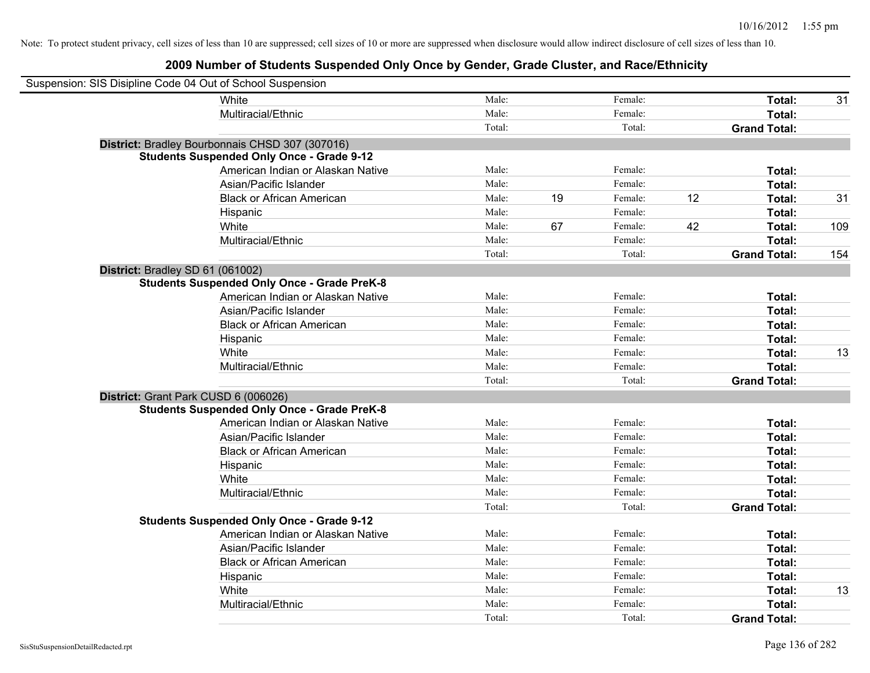| Suspension: SIS Disipline Code 04 Out of School Suspension |                                                    |        |    |         |    |                     |     |
|------------------------------------------------------------|----------------------------------------------------|--------|----|---------|----|---------------------|-----|
|                                                            | White                                              | Male:  |    | Female: |    | Total:              | 31  |
|                                                            | Multiracial/Ethnic                                 | Male:  |    | Female: |    | Total:              |     |
|                                                            |                                                    | Total: |    | Total:  |    | <b>Grand Total:</b> |     |
|                                                            | District: Bradley Bourbonnais CHSD 307 (307016)    |        |    |         |    |                     |     |
|                                                            | <b>Students Suspended Only Once - Grade 9-12</b>   |        |    |         |    |                     |     |
|                                                            | American Indian or Alaskan Native                  | Male:  |    | Female: |    | Total:              |     |
|                                                            | Asian/Pacific Islander                             | Male:  |    | Female: |    | Total:              |     |
|                                                            | <b>Black or African American</b>                   | Male:  | 19 | Female: | 12 | Total:              | 31  |
|                                                            | Hispanic                                           | Male:  |    | Female: |    | Total:              |     |
|                                                            | White                                              | Male:  | 67 | Female: | 42 | Total:              | 109 |
|                                                            | Multiracial/Ethnic                                 | Male:  |    | Female: |    | Total:              |     |
|                                                            |                                                    | Total: |    | Total:  |    | <b>Grand Total:</b> | 154 |
| District: Bradley SD 61 (061002)                           |                                                    |        |    |         |    |                     |     |
|                                                            | <b>Students Suspended Only Once - Grade PreK-8</b> |        |    |         |    |                     |     |
|                                                            | American Indian or Alaskan Native                  | Male:  |    | Female: |    | Total:              |     |
|                                                            | Asian/Pacific Islander                             | Male:  |    | Female: |    | Total:              |     |
|                                                            | <b>Black or African American</b>                   | Male:  |    | Female: |    | Total:              |     |
|                                                            | Hispanic                                           | Male:  |    | Female: |    | Total:              |     |
|                                                            | White                                              | Male:  |    | Female: |    | Total:              | 13  |
|                                                            | Multiracial/Ethnic                                 | Male:  |    | Female: |    | Total:              |     |
|                                                            |                                                    | Total: |    | Total:  |    | <b>Grand Total:</b> |     |
| District: Grant Park CUSD 6 (006026)                       |                                                    |        |    |         |    |                     |     |
|                                                            | <b>Students Suspended Only Once - Grade PreK-8</b> |        |    |         |    |                     |     |
|                                                            | American Indian or Alaskan Native                  | Male:  |    | Female: |    | Total:              |     |
|                                                            | Asian/Pacific Islander                             | Male:  |    | Female: |    | Total:              |     |
|                                                            | <b>Black or African American</b>                   | Male:  |    | Female: |    | Total:              |     |
|                                                            | Hispanic                                           | Male:  |    | Female: |    | Total:              |     |
|                                                            | White                                              | Male:  |    | Female: |    | Total:              |     |
|                                                            | Multiracial/Ethnic                                 | Male:  |    | Female: |    | Total:              |     |
|                                                            |                                                    | Total: |    | Total:  |    | <b>Grand Total:</b> |     |
|                                                            | <b>Students Suspended Only Once - Grade 9-12</b>   |        |    |         |    |                     |     |
|                                                            | American Indian or Alaskan Native                  | Male:  |    | Female: |    | Total:              |     |
|                                                            | Asian/Pacific Islander                             | Male:  |    | Female: |    | Total:              |     |
|                                                            | <b>Black or African American</b>                   | Male:  |    | Female: |    | Total:              |     |
|                                                            | Hispanic                                           | Male:  |    | Female: |    | Total:              |     |
|                                                            | White                                              | Male:  |    | Female: |    | Total:              | 13  |
|                                                            | Multiracial/Ethnic                                 | Male:  |    | Female: |    | Total:              |     |
|                                                            |                                                    | Total: |    | Total:  |    | <b>Grand Total:</b> |     |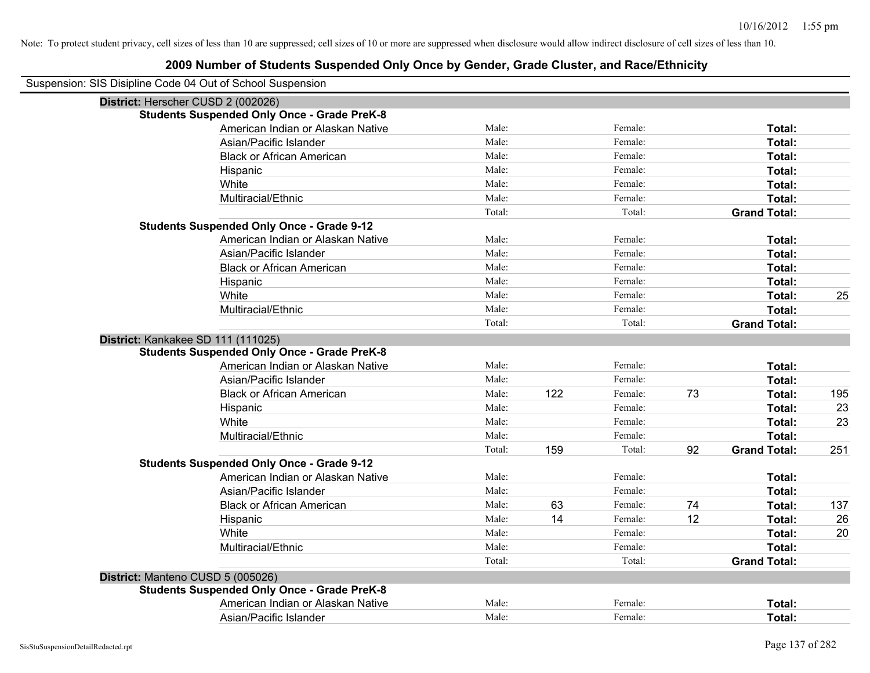|                                   | Suspension: SIS Disipline Code 04 Out of School Suspension |        |     |         |    |                     |     |
|-----------------------------------|------------------------------------------------------------|--------|-----|---------|----|---------------------|-----|
|                                   | District: Herscher CUSD 2 (002026)                         |        |     |         |    |                     |     |
|                                   | <b>Students Suspended Only Once - Grade PreK-8</b>         |        |     |         |    |                     |     |
|                                   | American Indian or Alaskan Native                          | Male:  |     | Female: |    | Total:              |     |
|                                   | Asian/Pacific Islander                                     | Male:  |     | Female: |    | Total:              |     |
|                                   | <b>Black or African American</b>                           | Male:  |     | Female: |    | Total:              |     |
|                                   | Hispanic                                                   | Male:  |     | Female: |    | Total:              |     |
|                                   | White                                                      | Male:  |     | Female: |    | Total:              |     |
|                                   | Multiracial/Ethnic                                         | Male:  |     | Female: |    | Total:              |     |
|                                   |                                                            | Total: |     | Total:  |    | <b>Grand Total:</b> |     |
|                                   | <b>Students Suspended Only Once - Grade 9-12</b>           |        |     |         |    |                     |     |
|                                   | American Indian or Alaskan Native                          | Male:  |     | Female: |    | Total:              |     |
|                                   | Asian/Pacific Islander                                     | Male:  |     | Female: |    | Total:              |     |
|                                   | <b>Black or African American</b>                           | Male:  |     | Female: |    | Total:              |     |
|                                   | Hispanic                                                   | Male:  |     | Female: |    | Total:              |     |
|                                   | White                                                      | Male:  |     | Female: |    | Total:              | 25  |
|                                   | Multiracial/Ethnic                                         | Male:  |     | Female: |    | <b>Total:</b>       |     |
|                                   |                                                            | Total: |     | Total:  |    | <b>Grand Total:</b> |     |
|                                   | District: Kankakee SD 111 (111025)                         |        |     |         |    |                     |     |
|                                   | <b>Students Suspended Only Once - Grade PreK-8</b>         |        |     |         |    |                     |     |
|                                   | American Indian or Alaskan Native                          | Male:  |     | Female: |    | Total:              |     |
|                                   | Asian/Pacific Islander                                     | Male:  |     | Female: |    | Total:              |     |
|                                   | <b>Black or African American</b>                           | Male:  | 122 | Female: | 73 | Total:              | 195 |
|                                   | Hispanic                                                   | Male:  |     | Female: |    | Total:              | 23  |
|                                   | White                                                      | Male:  |     | Female: |    | Total:              | 23  |
|                                   | Multiracial/Ethnic                                         | Male:  |     | Female: |    | Total:              |     |
|                                   |                                                            | Total: | 159 | Total:  | 92 | <b>Grand Total:</b> | 251 |
|                                   | <b>Students Suspended Only Once - Grade 9-12</b>           |        |     |         |    |                     |     |
|                                   | American Indian or Alaskan Native                          | Male:  |     | Female: |    | Total:              |     |
|                                   | Asian/Pacific Islander                                     | Male:  |     | Female: |    | Total:              |     |
|                                   | <b>Black or African American</b>                           | Male:  | 63  | Female: | 74 | Total:              | 137 |
|                                   | Hispanic                                                   | Male:  | 14  | Female: | 12 | Total:              | 26  |
|                                   | White                                                      | Male:  |     | Female: |    | Total:              | 20  |
|                                   | Multiracial/Ethnic                                         | Male:  |     | Female: |    | <b>Total:</b>       |     |
|                                   |                                                            | Total: |     | Total:  |    | <b>Grand Total:</b> |     |
| District: Manteno CUSD 5 (005026) |                                                            |        |     |         |    |                     |     |
|                                   | <b>Students Suspended Only Once - Grade PreK-8</b>         |        |     |         |    |                     |     |
|                                   | American Indian or Alaskan Native                          | Male:  |     | Female: |    | <b>Total:</b>       |     |
|                                   | Asian/Pacific Islander                                     | Male:  |     | Female: |    | Total:              |     |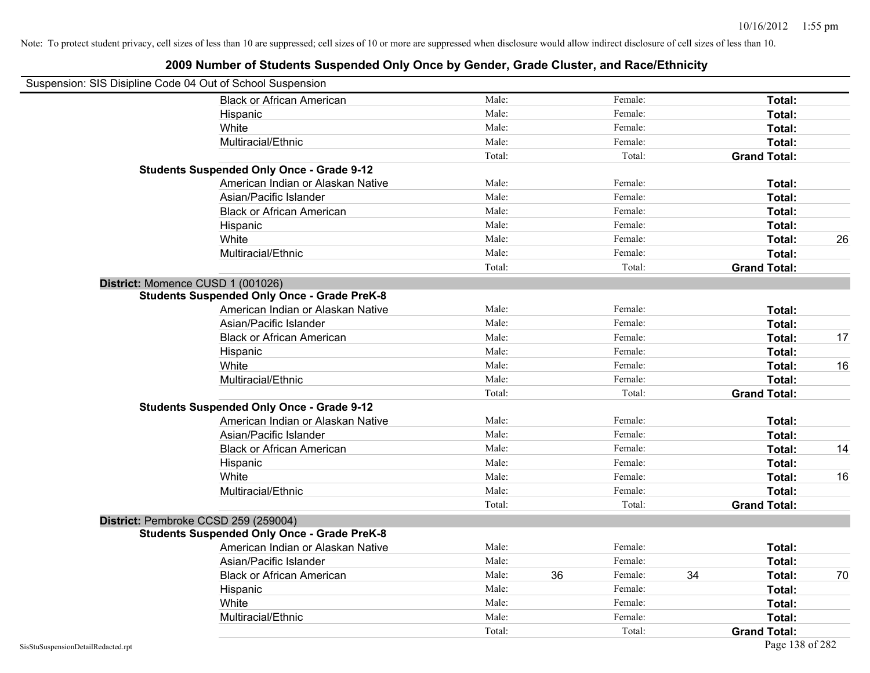| Suspension: SIS Disipline Code 04 Out of School Suspension |        |    |         |    |                     |    |
|------------------------------------------------------------|--------|----|---------|----|---------------------|----|
| <b>Black or African American</b>                           | Male:  |    | Female: |    | Total:              |    |
| Hispanic                                                   | Male:  |    | Female: |    | Total:              |    |
| White                                                      | Male:  |    | Female: |    | Total:              |    |
| Multiracial/Ethnic                                         | Male:  |    | Female: |    | Total:              |    |
|                                                            | Total: |    | Total:  |    | <b>Grand Total:</b> |    |
| <b>Students Suspended Only Once - Grade 9-12</b>           |        |    |         |    |                     |    |
| American Indian or Alaskan Native                          | Male:  |    | Female: |    | Total:              |    |
| Asian/Pacific Islander                                     | Male:  |    | Female: |    | Total:              |    |
| <b>Black or African American</b>                           | Male:  |    | Female: |    | Total:              |    |
| Hispanic                                                   | Male:  |    | Female: |    | Total:              |    |
| White                                                      | Male:  |    | Female: |    | Total:              | 26 |
| Multiracial/Ethnic                                         | Male:  |    | Female: |    | Total:              |    |
|                                                            | Total: |    | Total:  |    | <b>Grand Total:</b> |    |
| District: Momence CUSD 1 (001026)                          |        |    |         |    |                     |    |
| <b>Students Suspended Only Once - Grade PreK-8</b>         |        |    |         |    |                     |    |
| American Indian or Alaskan Native                          | Male:  |    | Female: |    | Total:              |    |
| Asian/Pacific Islander                                     | Male:  |    | Female: |    | Total:              |    |
| <b>Black or African American</b>                           | Male:  |    | Female: |    | Total:              | 17 |
| Hispanic                                                   | Male:  |    | Female: |    | Total:              |    |
| White                                                      | Male:  |    | Female: |    | Total:              | 16 |
| Multiracial/Ethnic                                         | Male:  |    | Female: |    | Total:              |    |
|                                                            | Total: |    | Total:  |    | <b>Grand Total:</b> |    |
| <b>Students Suspended Only Once - Grade 9-12</b>           |        |    |         |    |                     |    |
| American Indian or Alaskan Native                          | Male:  |    | Female: |    | Total:              |    |
| Asian/Pacific Islander                                     | Male:  |    | Female: |    | Total:              |    |
| <b>Black or African American</b>                           | Male:  |    | Female: |    | Total:              | 14 |
| Hispanic                                                   | Male:  |    | Female: |    | Total:              |    |
| White                                                      | Male:  |    | Female: |    | Total:              | 16 |
| Multiracial/Ethnic                                         | Male:  |    | Female: |    | Total:              |    |
|                                                            | Total: |    | Total:  |    | <b>Grand Total:</b> |    |
| District: Pembroke CCSD 259 (259004)                       |        |    |         |    |                     |    |
| <b>Students Suspended Only Once - Grade PreK-8</b>         |        |    |         |    |                     |    |
| American Indian or Alaskan Native                          | Male:  |    | Female: |    | Total:              |    |
| Asian/Pacific Islander                                     | Male:  |    | Female: |    | Total:              |    |
| <b>Black or African American</b>                           | Male:  | 36 | Female: | 34 | Total:              | 70 |
| Hispanic                                                   | Male:  |    | Female: |    | Total:              |    |
| White                                                      | Male:  |    | Female: |    | Total:              |    |
| Multiracial/Ethnic                                         | Male:  |    | Female: |    | Total:              |    |
|                                                            | Total: |    | Total:  |    | <b>Grand Total:</b> |    |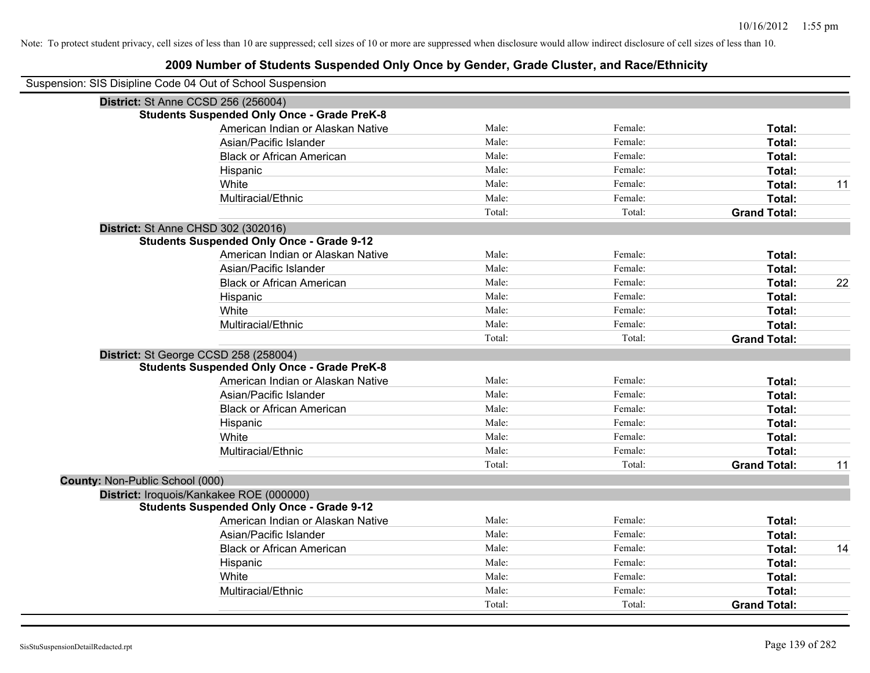| Suspension: SIS Disipline Code 04 Out of School Suspension |                                                    |        |         |                     |    |
|------------------------------------------------------------|----------------------------------------------------|--------|---------|---------------------|----|
|                                                            | District: St Anne CCSD 256 (256004)                |        |         |                     |    |
|                                                            | <b>Students Suspended Only Once - Grade PreK-8</b> |        |         |                     |    |
|                                                            | American Indian or Alaskan Native                  | Male:  | Female: | Total:              |    |
|                                                            | Asian/Pacific Islander                             | Male:  | Female: | Total:              |    |
|                                                            | <b>Black or African American</b>                   | Male:  | Female: | Total:              |    |
|                                                            | Hispanic                                           | Male:  | Female: | Total:              |    |
|                                                            | White                                              | Male:  | Female: | Total:              | 11 |
|                                                            | Multiracial/Ethnic                                 | Male:  | Female: | Total:              |    |
|                                                            |                                                    | Total: | Total:  | <b>Grand Total:</b> |    |
|                                                            | District: St Anne CHSD 302 (302016)                |        |         |                     |    |
|                                                            | <b>Students Suspended Only Once - Grade 9-12</b>   |        |         |                     |    |
|                                                            | American Indian or Alaskan Native                  | Male:  | Female: | Total:              |    |
|                                                            | Asian/Pacific Islander                             | Male:  | Female: | Total:              |    |
|                                                            | <b>Black or African American</b>                   | Male:  | Female: | Total:              | 22 |
|                                                            | Hispanic                                           | Male:  | Female: | Total:              |    |
|                                                            | White                                              | Male:  | Female: | Total:              |    |
|                                                            | Multiracial/Ethnic                                 | Male:  | Female: | Total:              |    |
|                                                            |                                                    | Total: | Total:  | <b>Grand Total:</b> |    |
|                                                            | District: St George CCSD 258 (258004)              |        |         |                     |    |
|                                                            | <b>Students Suspended Only Once - Grade PreK-8</b> |        |         |                     |    |
|                                                            | American Indian or Alaskan Native                  | Male:  | Female: | Total:              |    |
|                                                            | Asian/Pacific Islander                             | Male:  | Female: | Total:              |    |
|                                                            | <b>Black or African American</b>                   | Male:  | Female: | Total:              |    |
|                                                            | Hispanic                                           | Male:  | Female: | Total:              |    |
|                                                            | White                                              | Male:  | Female: | Total:              |    |
|                                                            | Multiracial/Ethnic                                 | Male:  | Female: | Total:              |    |
|                                                            |                                                    | Total: | Total:  | <b>Grand Total:</b> | 11 |
| County: Non-Public School (000)                            |                                                    |        |         |                     |    |
|                                                            | District: Iroquois/Kankakee ROE (000000)           |        |         |                     |    |
|                                                            | <b>Students Suspended Only Once - Grade 9-12</b>   |        |         |                     |    |
|                                                            | American Indian or Alaskan Native                  | Male:  | Female: | Total:              |    |
|                                                            | Asian/Pacific Islander                             | Male:  | Female: | Total:              |    |
|                                                            | <b>Black or African American</b>                   | Male:  | Female: | Total:              | 14 |
|                                                            | Hispanic                                           | Male:  | Female: | Total:              |    |
|                                                            | White                                              | Male:  | Female: | Total:              |    |
|                                                            | Multiracial/Ethnic                                 | Male:  | Female: | Total:              |    |
|                                                            |                                                    | Total: | Total:  | <b>Grand Total:</b> |    |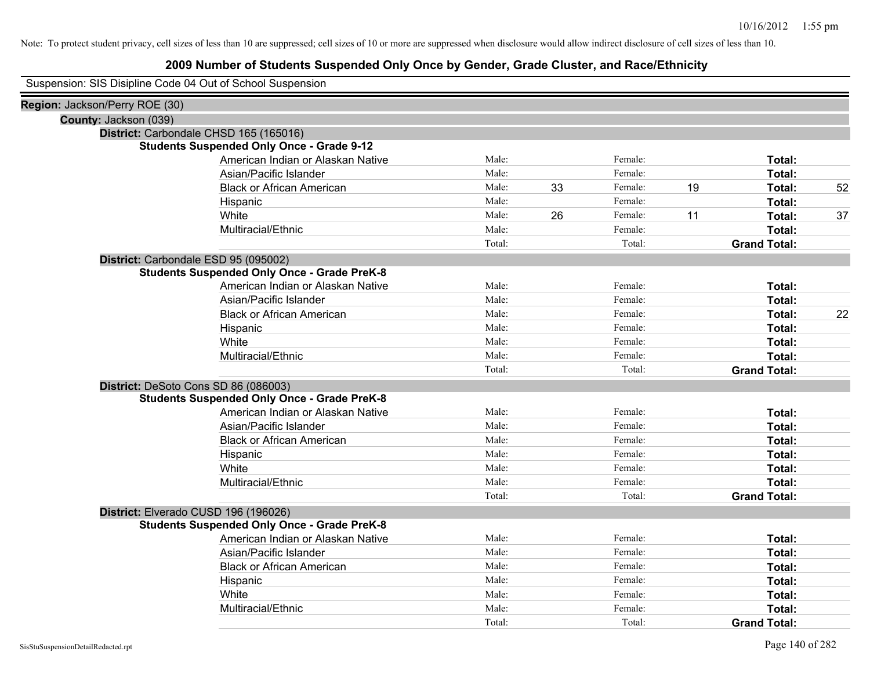# **2009 Number of Students Suspended Only Once by Gender, Grade Cluster, and Race/Ethnicity**

Suspension: SIS Disipline Code 04 Out of School Suspension

| Region: Jackson/Perry ROE (30) |                                                    |        |    |         |    |                     |    |
|--------------------------------|----------------------------------------------------|--------|----|---------|----|---------------------|----|
|                                | County: Jackson (039)                              |        |    |         |    |                     |    |
|                                | District: Carbondale CHSD 165 (165016)             |        |    |         |    |                     |    |
|                                | <b>Students Suspended Only Once - Grade 9-12</b>   |        |    |         |    |                     |    |
|                                | American Indian or Alaskan Native                  | Male:  |    | Female: |    | Total:              |    |
|                                | Asian/Pacific Islander                             | Male:  |    | Female: |    | Total:              |    |
|                                | <b>Black or African American</b>                   | Male:  | 33 | Female: | 19 | Total:              | 52 |
|                                | Hispanic                                           | Male:  |    | Female: |    | Total:              |    |
|                                | White                                              | Male:  | 26 | Female: | 11 | Total:              | 37 |
|                                | Multiracial/Ethnic                                 | Male:  |    | Female: |    | Total:              |    |
|                                |                                                    | Total: |    | Total:  |    | <b>Grand Total:</b> |    |
|                                | District: Carbondale ESD 95 (095002)               |        |    |         |    |                     |    |
|                                | <b>Students Suspended Only Once - Grade PreK-8</b> |        |    |         |    |                     |    |
|                                | American Indian or Alaskan Native                  | Male:  |    | Female: |    | Total:              |    |
|                                | Asian/Pacific Islander                             | Male:  |    | Female: |    | Total:              |    |
|                                | <b>Black or African American</b>                   | Male:  |    | Female: |    | Total:              | 22 |
|                                | Hispanic                                           | Male:  |    | Female: |    | Total:              |    |
|                                | White                                              | Male:  |    | Female: |    | Total:              |    |
|                                | Multiracial/Ethnic                                 | Male:  |    | Female: |    | Total:              |    |
|                                |                                                    | Total: |    | Total:  |    | <b>Grand Total:</b> |    |
|                                | District: DeSoto Cons SD 86 (086003)               |        |    |         |    |                     |    |
|                                | <b>Students Suspended Only Once - Grade PreK-8</b> |        |    |         |    |                     |    |
|                                | American Indian or Alaskan Native                  | Male:  |    | Female: |    | Total:              |    |
|                                | Asian/Pacific Islander                             | Male:  |    | Female: |    | Total:              |    |
|                                | <b>Black or African American</b>                   | Male:  |    | Female: |    | Total:              |    |
|                                | Hispanic                                           | Male:  |    | Female: |    | Total:              |    |
|                                | White                                              | Male:  |    | Female: |    | Total:              |    |
|                                | Multiracial/Ethnic                                 | Male:  |    | Female: |    | Total:              |    |
|                                |                                                    | Total: |    | Total:  |    | <b>Grand Total:</b> |    |
|                                | District: Elverado CUSD 196 (196026)               |        |    |         |    |                     |    |
|                                | <b>Students Suspended Only Once - Grade PreK-8</b> |        |    |         |    |                     |    |
|                                | American Indian or Alaskan Native                  | Male:  |    | Female: |    | Total:              |    |
|                                | Asian/Pacific Islander                             | Male:  |    | Female: |    | Total:              |    |
|                                | <b>Black or African American</b>                   | Male:  |    | Female: |    | Total:              |    |
|                                | Hispanic                                           | Male:  |    | Female: |    | Total:              |    |
|                                | White                                              | Male:  |    | Female: |    | Total:              |    |
|                                | Multiracial/Ethnic                                 | Male:  |    | Female: |    | <b>Total:</b>       |    |
|                                |                                                    | Total: |    | Total:  |    | <b>Grand Total:</b> |    |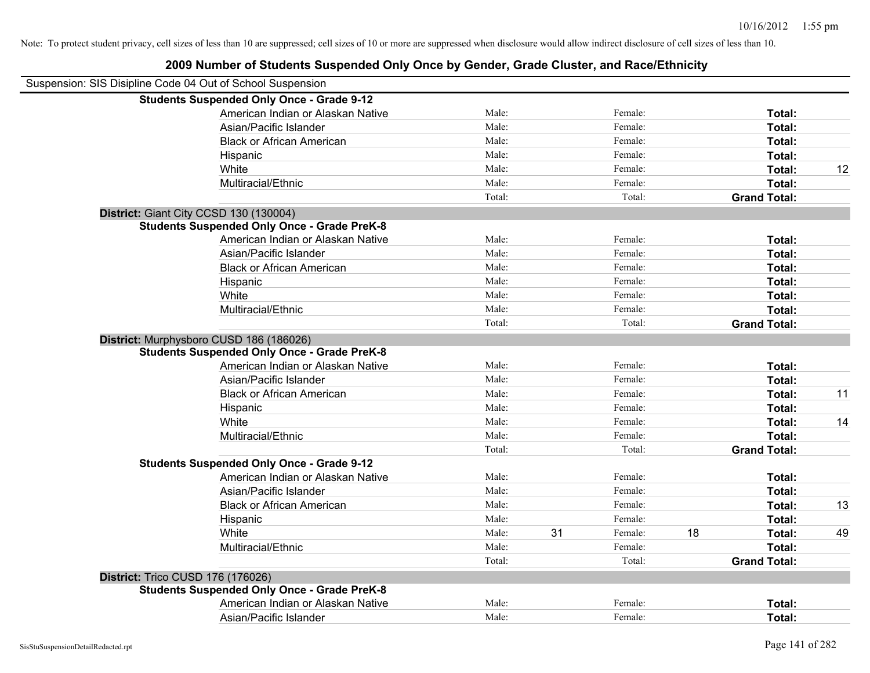| Suspension: SIS Disipline Code 04 Out of School Suspension |                                                    |        |    |         |    |                     |    |
|------------------------------------------------------------|----------------------------------------------------|--------|----|---------|----|---------------------|----|
|                                                            | <b>Students Suspended Only Once - Grade 9-12</b>   |        |    |         |    |                     |    |
|                                                            | American Indian or Alaskan Native                  | Male:  |    | Female: |    | Total:              |    |
|                                                            | Asian/Pacific Islander                             | Male:  |    | Female: |    | Total:              |    |
|                                                            | <b>Black or African American</b>                   | Male:  |    | Female: |    | Total:              |    |
|                                                            | Hispanic                                           | Male:  |    | Female: |    | Total:              |    |
|                                                            | White                                              | Male:  |    | Female: |    | Total:              | 12 |
|                                                            | Multiracial/Ethnic                                 | Male:  |    | Female: |    | Total:              |    |
|                                                            |                                                    | Total: |    | Total:  |    | <b>Grand Total:</b> |    |
|                                                            | District: Giant City CCSD 130 (130004)             |        |    |         |    |                     |    |
|                                                            | <b>Students Suspended Only Once - Grade PreK-8</b> |        |    |         |    |                     |    |
|                                                            | American Indian or Alaskan Native                  | Male:  |    | Female: |    | Total:              |    |
|                                                            | Asian/Pacific Islander                             | Male:  |    | Female: |    | Total:              |    |
|                                                            | <b>Black or African American</b>                   | Male:  |    | Female: |    | Total:              |    |
|                                                            | Hispanic                                           | Male:  |    | Female: |    | Total:              |    |
|                                                            | White                                              | Male:  |    | Female: |    | Total:              |    |
|                                                            | Multiracial/Ethnic                                 | Male:  |    | Female: |    | Total:              |    |
|                                                            |                                                    | Total: |    | Total:  |    | <b>Grand Total:</b> |    |
|                                                            | District: Murphysboro CUSD 186 (186026)            |        |    |         |    |                     |    |
|                                                            | <b>Students Suspended Only Once - Grade PreK-8</b> |        |    |         |    |                     |    |
|                                                            | American Indian or Alaskan Native                  | Male:  |    | Female: |    | Total:              |    |
|                                                            | Asian/Pacific Islander                             | Male:  |    | Female: |    | Total:              |    |
|                                                            | <b>Black or African American</b>                   | Male:  |    | Female: |    | Total:              | 11 |
|                                                            | Hispanic                                           | Male:  |    | Female: |    | Total:              |    |
|                                                            | White                                              | Male:  |    | Female: |    | Total:              | 14 |
|                                                            | Multiracial/Ethnic                                 | Male:  |    | Female: |    | Total:              |    |
|                                                            |                                                    | Total: |    | Total:  |    | <b>Grand Total:</b> |    |
|                                                            | <b>Students Suspended Only Once - Grade 9-12</b>   |        |    |         |    |                     |    |
|                                                            | American Indian or Alaskan Native                  | Male:  |    | Female: |    | Total:              |    |
|                                                            | Asian/Pacific Islander                             | Male:  |    | Female: |    | Total:              |    |
|                                                            | <b>Black or African American</b>                   | Male:  |    | Female: |    | Total:              | 13 |
|                                                            | Hispanic                                           | Male:  |    | Female: |    | Total:              |    |
|                                                            | White                                              | Male:  | 31 | Female: | 18 | Total:              | 49 |
|                                                            | Multiracial/Ethnic                                 | Male:  |    | Female: |    | Total:              |    |
|                                                            |                                                    | Total: |    | Total:  |    | <b>Grand Total:</b> |    |
| <b>District: Trico CUSD 176 (176026)</b>                   |                                                    |        |    |         |    |                     |    |
|                                                            | <b>Students Suspended Only Once - Grade PreK-8</b> |        |    |         |    |                     |    |
|                                                            | American Indian or Alaskan Native                  | Male:  |    | Female: |    | Total:              |    |
|                                                            | Asian/Pacific Islander                             | Male:  |    | Female: |    | Total:              |    |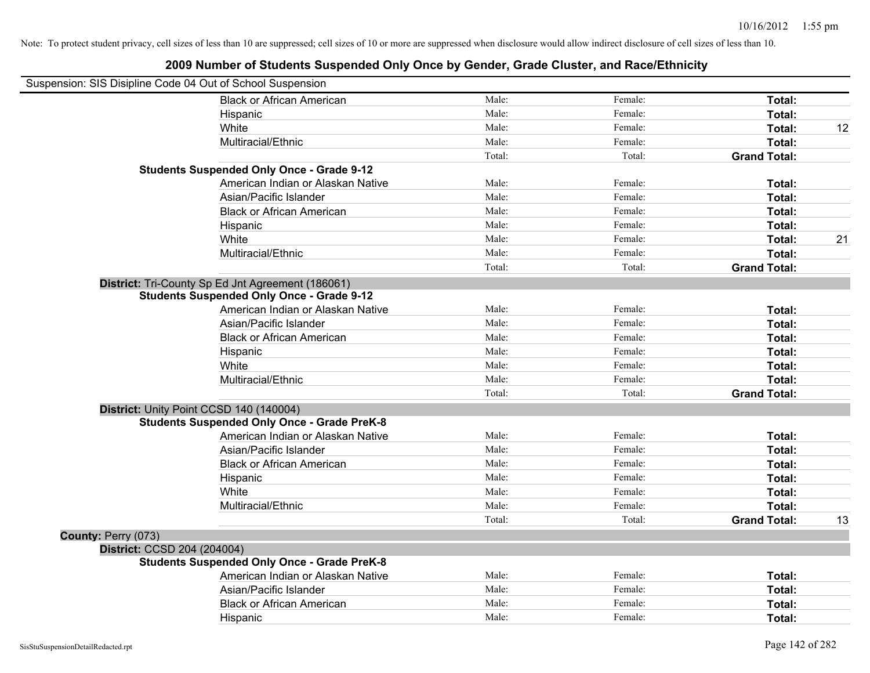|                             | Suspension: SIS Disipline Code 04 Out of School Suspension |        |         |                     |    |
|-----------------------------|------------------------------------------------------------|--------|---------|---------------------|----|
|                             | <b>Black or African American</b>                           | Male:  | Female: | Total:              |    |
|                             | Hispanic                                                   | Male:  | Female: | Total:              |    |
|                             | White                                                      | Male:  | Female: | Total:              | 12 |
|                             | Multiracial/Ethnic                                         | Male:  | Female: | Total:              |    |
|                             |                                                            | Total: | Total:  | <b>Grand Total:</b> |    |
|                             | <b>Students Suspended Only Once - Grade 9-12</b>           |        |         |                     |    |
|                             | American Indian or Alaskan Native                          | Male:  | Female: | Total:              |    |
|                             | Asian/Pacific Islander                                     | Male:  | Female: | Total:              |    |
|                             | <b>Black or African American</b>                           | Male:  | Female: | Total:              |    |
|                             | Hispanic                                                   | Male:  | Female: | Total:              |    |
|                             | White                                                      | Male:  | Female: | Total:              | 21 |
|                             | Multiracial/Ethnic                                         | Male:  | Female: | Total:              |    |
|                             |                                                            | Total: | Total:  | <b>Grand Total:</b> |    |
|                             | District: Tri-County Sp Ed Jnt Agreement (186061)          |        |         |                     |    |
|                             | <b>Students Suspended Only Once - Grade 9-12</b>           |        |         |                     |    |
|                             | American Indian or Alaskan Native                          | Male:  | Female: | Total:              |    |
|                             | Asian/Pacific Islander                                     | Male:  | Female: | Total:              |    |
|                             | <b>Black or African American</b>                           | Male:  | Female: | Total:              |    |
|                             | Hispanic                                                   | Male:  | Female: | Total:              |    |
|                             | White                                                      | Male:  | Female: | Total:              |    |
|                             | Multiracial/Ethnic                                         | Male:  | Female: | Total:              |    |
|                             |                                                            | Total: | Total:  | <b>Grand Total:</b> |    |
|                             | District: Unity Point CCSD 140 (140004)                    |        |         |                     |    |
|                             | <b>Students Suspended Only Once - Grade PreK-8</b>         |        |         |                     |    |
|                             | American Indian or Alaskan Native                          | Male:  | Female: | Total:              |    |
|                             | Asian/Pacific Islander                                     | Male:  | Female: | Total:              |    |
|                             | <b>Black or African American</b>                           | Male:  | Female: | Total:              |    |
|                             | Hispanic                                                   | Male:  | Female: | Total:              |    |
|                             | White                                                      | Male:  | Female: | Total:              |    |
|                             | Multiracial/Ethnic                                         | Male:  | Female: | Total:              |    |
|                             |                                                            | Total: | Total:  | <b>Grand Total:</b> | 13 |
| County: Perry (073)         |                                                            |        |         |                     |    |
| District: CCSD 204 (204004) |                                                            |        |         |                     |    |
|                             | <b>Students Suspended Only Once - Grade PreK-8</b>         |        |         |                     |    |
|                             | American Indian or Alaskan Native                          | Male:  | Female: | Total:              |    |
|                             | Asian/Pacific Islander                                     | Male:  | Female: | Total:              |    |
|                             | <b>Black or African American</b>                           | Male:  | Female: | Total:              |    |
|                             | Hispanic                                                   | Male:  | Female: | Total:              |    |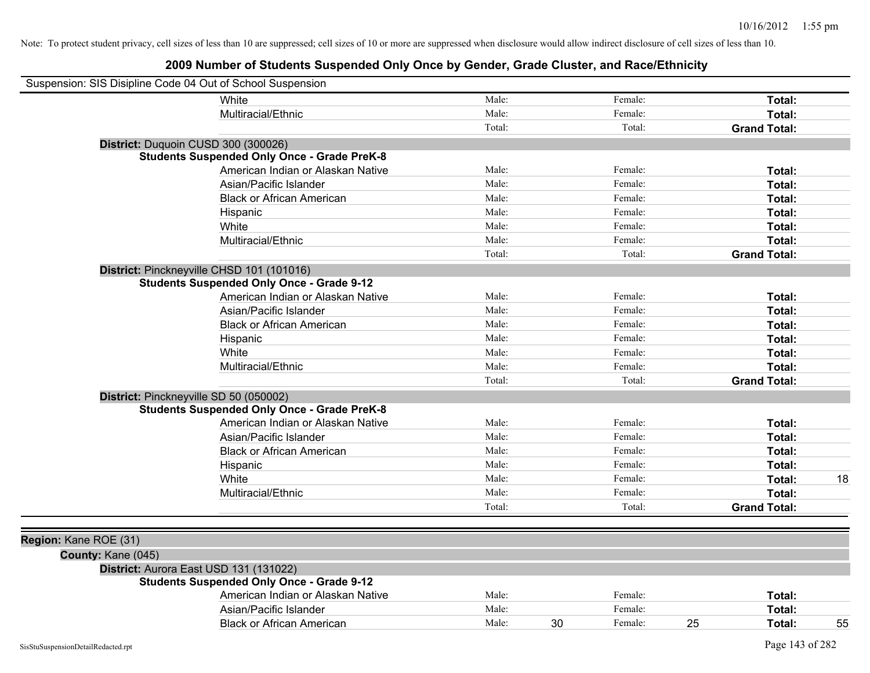| Suspension: SIS Disipline Code 04 Out of School Suspension |                                                    |        |               |                     |    |
|------------------------------------------------------------|----------------------------------------------------|--------|---------------|---------------------|----|
|                                                            | White                                              | Male:  | Female:       | Total:              |    |
|                                                            | Multiracial/Ethnic                                 | Male:  | Female:       | Total:              |    |
|                                                            |                                                    | Total: | Total:        | <b>Grand Total:</b> |    |
| District: Duquoin CUSD 300 (300026)                        |                                                    |        |               |                     |    |
|                                                            | <b>Students Suspended Only Once - Grade PreK-8</b> |        |               |                     |    |
|                                                            | American Indian or Alaskan Native                  | Male:  | Female:       | Total:              |    |
|                                                            | Asian/Pacific Islander                             | Male:  | Female:       | Total:              |    |
|                                                            | <b>Black or African American</b>                   | Male:  | Female:       | Total:              |    |
|                                                            | Hispanic                                           | Male:  | Female:       | Total:              |    |
|                                                            | White                                              | Male:  | Female:       | Total:              |    |
|                                                            | Multiracial/Ethnic                                 | Male:  | Female:       | Total:              |    |
|                                                            |                                                    | Total: | Total:        | <b>Grand Total:</b> |    |
| District: Pinckneyville CHSD 101 (101016)                  |                                                    |        |               |                     |    |
|                                                            | <b>Students Suspended Only Once - Grade 9-12</b>   |        |               |                     |    |
|                                                            | American Indian or Alaskan Native                  | Male:  | Female:       | Total:              |    |
|                                                            | Asian/Pacific Islander                             | Male:  | Female:       | Total:              |    |
|                                                            | <b>Black or African American</b>                   | Male:  | Female:       | Total:              |    |
|                                                            | Hispanic                                           | Male:  | Female:       | Total:              |    |
|                                                            | White                                              | Male:  | Female:       | Total:              |    |
|                                                            | Multiracial/Ethnic                                 | Male:  | Female:       | Total:              |    |
|                                                            |                                                    | Total: | Total:        | <b>Grand Total:</b> |    |
| District: Pinckneyville SD 50 (050002)                     |                                                    |        |               |                     |    |
|                                                            | <b>Students Suspended Only Once - Grade PreK-8</b> |        |               |                     |    |
|                                                            | American Indian or Alaskan Native                  | Male:  | Female:       | Total:              |    |
|                                                            | Asian/Pacific Islander                             | Male:  | Female:       | Total:              |    |
|                                                            | <b>Black or African American</b>                   | Male:  | Female:       | Total:              |    |
|                                                            | Hispanic                                           | Male:  | Female:       | Total:              |    |
|                                                            | White                                              | Male:  | Female:       | Total:              | 18 |
|                                                            | Multiracial/Ethnic                                 | Male:  | Female:       | Total:              |    |
|                                                            |                                                    | Total: | Total:        | <b>Grand Total:</b> |    |
|                                                            |                                                    |        |               |                     |    |
| Region: Kane ROE (31)                                      |                                                    |        |               |                     |    |
| County: Kane (045)                                         |                                                    |        |               |                     |    |
| District: Aurora East USD 131 (131022)                     |                                                    |        |               |                     |    |
|                                                            | <b>Students Suspended Only Once - Grade 9-12</b>   |        |               |                     |    |
|                                                            | American Indian or Alaskan Native                  | Male:  | Female:       | Total:              |    |
|                                                            | Asian/Pacific Islander                             | Male:  | Female:       | Total:              |    |
|                                                            | <b>Black or African American</b>                   | Male:  | 30<br>Female: | 25<br>Total:        | 55 |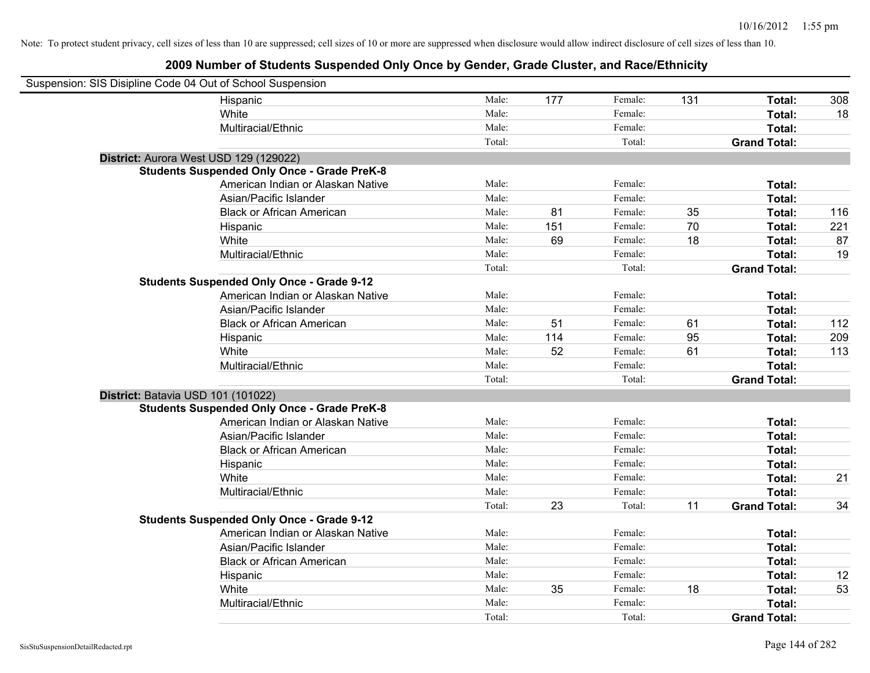| Suspension: SIS Disipline Code 04 Out of School Suspension |                                                    |        |     |         |     |                     |     |
|------------------------------------------------------------|----------------------------------------------------|--------|-----|---------|-----|---------------------|-----|
|                                                            | Hispanic                                           | Male:  | 177 | Female: | 131 | Total:              | 308 |
|                                                            | White                                              | Male:  |     | Female: |     | Total:              | 18  |
|                                                            | Multiracial/Ethnic                                 | Male:  |     | Female: |     | Total:              |     |
|                                                            |                                                    | Total: |     | Total:  |     | <b>Grand Total:</b> |     |
| District: Aurora West USD 129 (129022)                     |                                                    |        |     |         |     |                     |     |
|                                                            | <b>Students Suspended Only Once - Grade PreK-8</b> |        |     |         |     |                     |     |
|                                                            | American Indian or Alaskan Native                  | Male:  |     | Female: |     | Total:              |     |
|                                                            | Asian/Pacific Islander                             | Male:  |     | Female: |     | Total:              |     |
|                                                            | <b>Black or African American</b>                   | Male:  | 81  | Female: | 35  | Total:              | 116 |
|                                                            | Hispanic                                           | Male:  | 151 | Female: | 70  | Total:              | 221 |
|                                                            | White                                              | Male:  | 69  | Female: | 18  | Total:              | 87  |
|                                                            | Multiracial/Ethnic                                 | Male:  |     | Female: |     | Total:              | 19  |
|                                                            |                                                    | Total: |     | Total:  |     | <b>Grand Total:</b> |     |
|                                                            | <b>Students Suspended Only Once - Grade 9-12</b>   |        |     |         |     |                     |     |
|                                                            | American Indian or Alaskan Native                  | Male:  |     | Female: |     | Total:              |     |
|                                                            | Asian/Pacific Islander                             | Male:  |     | Female: |     | Total:              |     |
|                                                            | <b>Black or African American</b>                   | Male:  | 51  | Female: | 61  | Total:              | 112 |
|                                                            | Hispanic                                           | Male:  | 114 | Female: | 95  | Total:              | 209 |
|                                                            | White                                              | Male:  | 52  | Female: | 61  | Total:              | 113 |
|                                                            | Multiracial/Ethnic                                 | Male:  |     | Female: |     | Total:              |     |
|                                                            |                                                    | Total: |     | Total:  |     | <b>Grand Total:</b> |     |
| District: Batavia USD 101 (101022)                         |                                                    |        |     |         |     |                     |     |
|                                                            | <b>Students Suspended Only Once - Grade PreK-8</b> |        |     |         |     |                     |     |
|                                                            | American Indian or Alaskan Native                  | Male:  |     | Female: |     | Total:              |     |
|                                                            | Asian/Pacific Islander                             | Male:  |     | Female: |     | Total:              |     |
|                                                            | <b>Black or African American</b>                   | Male:  |     | Female: |     | Total:              |     |
|                                                            | Hispanic                                           | Male:  |     | Female: |     | Total:              |     |
|                                                            | White                                              | Male:  |     | Female: |     | Total:              | 21  |
|                                                            | Multiracial/Ethnic                                 | Male:  |     | Female: |     | Total:              |     |
|                                                            |                                                    | Total: | 23  | Total:  | 11  | <b>Grand Total:</b> | 34  |
|                                                            | <b>Students Suspended Only Once - Grade 9-12</b>   |        |     |         |     |                     |     |
|                                                            | American Indian or Alaskan Native                  | Male:  |     | Female: |     | Total:              |     |
|                                                            | Asian/Pacific Islander                             | Male:  |     | Female: |     | Total:              |     |
|                                                            | <b>Black or African American</b>                   | Male:  |     | Female: |     | Total:              |     |
|                                                            | Hispanic                                           | Male:  |     | Female: |     | Total:              | 12  |
|                                                            | White                                              | Male:  | 35  | Female: | 18  | Total:              | 53  |
|                                                            | Multiracial/Ethnic                                 | Male:  |     | Female: |     | Total:              |     |
|                                                            |                                                    | Total: |     | Total:  |     | <b>Grand Total:</b> |     |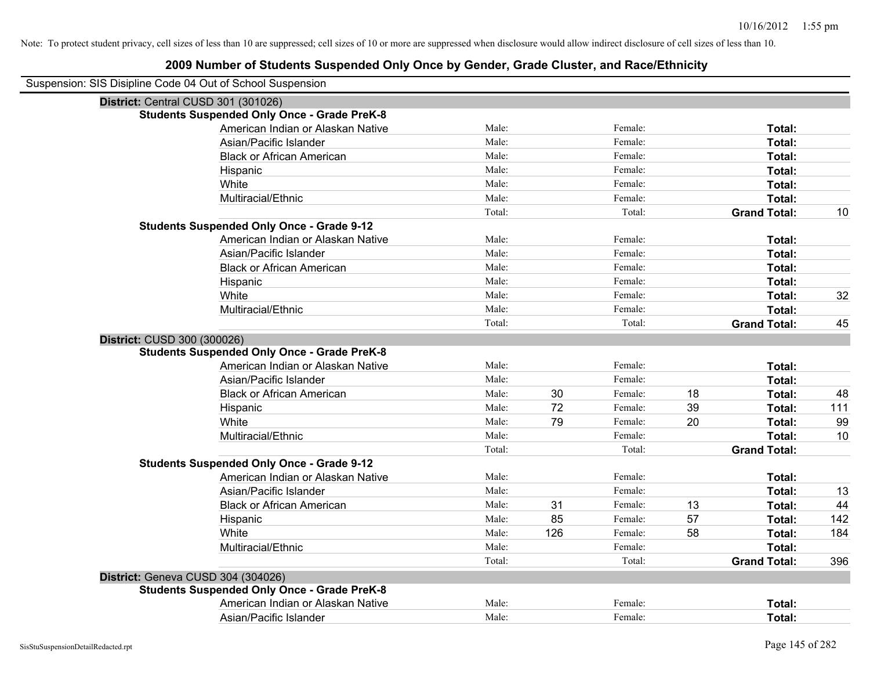| Suspension: SIS Disipline Code 04 Out of School Suspension |        |     |         |    |                     |     |
|------------------------------------------------------------|--------|-----|---------|----|---------------------|-----|
| District: Central CUSD 301 (301026)                        |        |     |         |    |                     |     |
| <b>Students Suspended Only Once - Grade PreK-8</b>         |        |     |         |    |                     |     |
| American Indian or Alaskan Native                          | Male:  |     | Female: |    | Total:              |     |
| Asian/Pacific Islander                                     | Male:  |     | Female: |    | Total:              |     |
| <b>Black or African American</b>                           | Male:  |     | Female: |    | Total:              |     |
| Hispanic                                                   | Male:  |     | Female: |    | Total:              |     |
| White                                                      | Male:  |     | Female: |    | Total:              |     |
| Multiracial/Ethnic                                         | Male:  |     | Female: |    | Total:              |     |
|                                                            | Total: |     | Total:  |    | <b>Grand Total:</b> | 10  |
| <b>Students Suspended Only Once - Grade 9-12</b>           |        |     |         |    |                     |     |
| American Indian or Alaskan Native                          | Male:  |     | Female: |    | Total:              |     |
| Asian/Pacific Islander                                     | Male:  |     | Female: |    | Total:              |     |
| <b>Black or African American</b>                           | Male:  |     | Female: |    | Total:              |     |
| Hispanic                                                   | Male:  |     | Female: |    | Total:              |     |
| White                                                      | Male:  |     | Female: |    | Total:              | 32  |
| Multiracial/Ethnic                                         | Male:  |     | Female: |    | Total:              |     |
|                                                            | Total: |     | Total:  |    | <b>Grand Total:</b> | 45  |
| District: CUSD 300 (300026)                                |        |     |         |    |                     |     |
| <b>Students Suspended Only Once - Grade PreK-8</b>         |        |     |         |    |                     |     |
| American Indian or Alaskan Native                          | Male:  |     | Female: |    | Total:              |     |
| Asian/Pacific Islander                                     | Male:  |     | Female: |    | Total:              |     |
| <b>Black or African American</b>                           | Male:  | 30  | Female: | 18 | Total:              | 48  |
| Hispanic                                                   | Male:  | 72  | Female: | 39 | Total:              | 111 |
| White                                                      | Male:  | 79  | Female: | 20 | Total:              | 99  |
| Multiracial/Ethnic                                         | Male:  |     | Female: |    | Total:              | 10  |
|                                                            | Total: |     | Total:  |    | <b>Grand Total:</b> |     |
| <b>Students Suspended Only Once - Grade 9-12</b>           |        |     |         |    |                     |     |
| American Indian or Alaskan Native                          | Male:  |     | Female: |    | Total:              |     |
| Asian/Pacific Islander                                     | Male:  |     | Female: |    | Total:              | 13  |
| <b>Black or African American</b>                           | Male:  | 31  | Female: | 13 | Total:              | 44  |
| Hispanic                                                   | Male:  | 85  | Female: | 57 | Total:              | 142 |
| White                                                      | Male:  | 126 | Female: | 58 | Total:              | 184 |
| Multiracial/Ethnic                                         | Male:  |     | Female: |    | Total:              |     |
|                                                            | Total: |     | Total:  |    | <b>Grand Total:</b> | 396 |
| District: Geneva CUSD 304 (304026)                         |        |     |         |    |                     |     |
| <b>Students Suspended Only Once - Grade PreK-8</b>         |        |     |         |    |                     |     |
| American Indian or Alaskan Native                          | Male:  |     | Female: |    | Total:              |     |
| Asian/Pacific Islander                                     | Male:  |     | Female: |    | Total:              |     |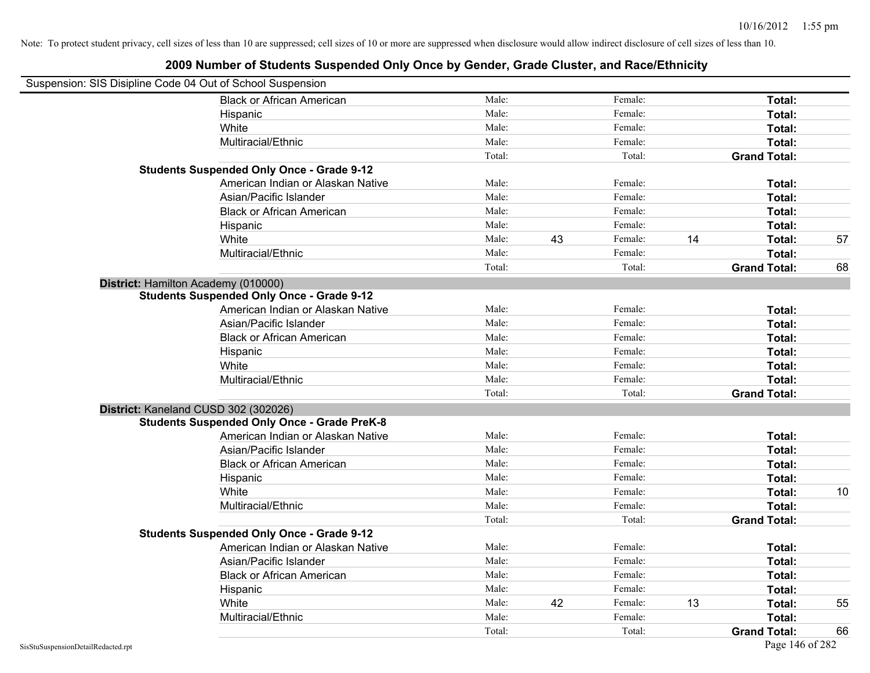| Suspension: SIS Disipline Code 04 Out of School Suspension |                                                    |        |    |         |    |                     |    |
|------------------------------------------------------------|----------------------------------------------------|--------|----|---------|----|---------------------|----|
|                                                            | <b>Black or African American</b>                   | Male:  |    | Female: |    | Total:              |    |
|                                                            | Hispanic                                           | Male:  |    | Female: |    | Total:              |    |
|                                                            | White                                              | Male:  |    | Female: |    | Total:              |    |
|                                                            | Multiracial/Ethnic                                 | Male:  |    | Female: |    | Total:              |    |
|                                                            |                                                    | Total: |    | Total:  |    | <b>Grand Total:</b> |    |
|                                                            | <b>Students Suspended Only Once - Grade 9-12</b>   |        |    |         |    |                     |    |
|                                                            | American Indian or Alaskan Native                  | Male:  |    | Female: |    | Total:              |    |
|                                                            | Asian/Pacific Islander                             | Male:  |    | Female: |    | Total:              |    |
|                                                            | <b>Black or African American</b>                   | Male:  |    | Female: |    | Total:              |    |
|                                                            | Hispanic                                           | Male:  |    | Female: |    | Total:              |    |
|                                                            | White                                              | Male:  | 43 | Female: | 14 | Total:              | 57 |
|                                                            | Multiracial/Ethnic                                 | Male:  |    | Female: |    | Total:              |    |
|                                                            |                                                    | Total: |    | Total:  |    | <b>Grand Total:</b> | 68 |
| District: Hamilton Academy (010000)                        |                                                    |        |    |         |    |                     |    |
|                                                            | <b>Students Suspended Only Once - Grade 9-12</b>   |        |    |         |    |                     |    |
|                                                            | American Indian or Alaskan Native                  | Male:  |    | Female: |    | Total:              |    |
|                                                            | Asian/Pacific Islander                             | Male:  |    | Female: |    | Total:              |    |
|                                                            | <b>Black or African American</b>                   | Male:  |    | Female: |    | Total:              |    |
|                                                            | Hispanic                                           | Male:  |    | Female: |    | Total:              |    |
|                                                            | White                                              | Male:  |    | Female: |    | Total:              |    |
|                                                            | Multiracial/Ethnic                                 | Male:  |    | Female: |    | Total:              |    |
|                                                            |                                                    | Total: |    | Total:  |    | <b>Grand Total:</b> |    |
| District: Kaneland CUSD 302 (302026)                       |                                                    |        |    |         |    |                     |    |
|                                                            | <b>Students Suspended Only Once - Grade PreK-8</b> |        |    |         |    |                     |    |
|                                                            | American Indian or Alaskan Native                  | Male:  |    | Female: |    | Total:              |    |
|                                                            | Asian/Pacific Islander                             | Male:  |    | Female: |    | Total:              |    |
|                                                            | <b>Black or African American</b>                   | Male:  |    | Female: |    | Total:              |    |
|                                                            | Hispanic                                           | Male:  |    | Female: |    | Total:              |    |
|                                                            | White                                              | Male:  |    | Female: |    | Total:              | 10 |
|                                                            | Multiracial/Ethnic                                 | Male:  |    | Female: |    | Total:              |    |
|                                                            |                                                    | Total: |    | Total:  |    | <b>Grand Total:</b> |    |
|                                                            | <b>Students Suspended Only Once - Grade 9-12</b>   |        |    |         |    |                     |    |
|                                                            | American Indian or Alaskan Native                  | Male:  |    | Female: |    | Total:              |    |
|                                                            | Asian/Pacific Islander                             | Male:  |    | Female: |    | Total:              |    |
|                                                            | <b>Black or African American</b>                   | Male:  |    | Female: |    | Total:              |    |
|                                                            | Hispanic                                           | Male:  |    | Female: |    | Total:              |    |
|                                                            | White                                              | Male:  | 42 | Female: | 13 | Total:              | 55 |
|                                                            | Multiracial/Ethnic                                 | Male:  |    | Female: |    | Total:              |    |
|                                                            |                                                    | Total: |    | Total:  |    | <b>Grand Total:</b> | 66 |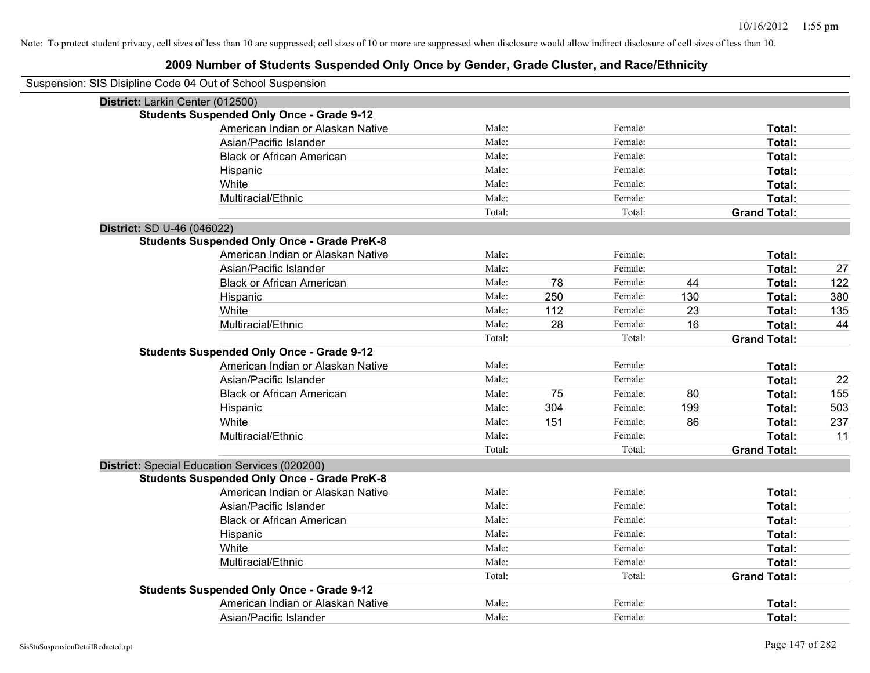| Suspension: SIS Disipline Code 04 Out of School Suspension |                                                    |        |     |         |     |                     |     |
|------------------------------------------------------------|----------------------------------------------------|--------|-----|---------|-----|---------------------|-----|
| District: Larkin Center (012500)                           |                                                    |        |     |         |     |                     |     |
|                                                            | <b>Students Suspended Only Once - Grade 9-12</b>   |        |     |         |     |                     |     |
|                                                            | American Indian or Alaskan Native                  | Male:  |     | Female: |     | Total:              |     |
|                                                            | Asian/Pacific Islander                             | Male:  |     | Female: |     | Total:              |     |
|                                                            | <b>Black or African American</b>                   | Male:  |     | Female: |     | Total:              |     |
|                                                            | Hispanic                                           | Male:  |     | Female: |     | Total:              |     |
|                                                            | White                                              | Male:  |     | Female: |     | Total:              |     |
|                                                            | Multiracial/Ethnic                                 | Male:  |     | Female: |     | Total:              |     |
|                                                            |                                                    | Total: |     | Total:  |     | <b>Grand Total:</b> |     |
| District: SD U-46 (046022)                                 |                                                    |        |     |         |     |                     |     |
|                                                            | <b>Students Suspended Only Once - Grade PreK-8</b> |        |     |         |     |                     |     |
|                                                            | American Indian or Alaskan Native                  | Male:  |     | Female: |     | Total:              |     |
|                                                            | Asian/Pacific Islander                             | Male:  |     | Female: |     | Total:              | 27  |
|                                                            | <b>Black or African American</b>                   | Male:  | 78  | Female: | 44  | Total:              | 122 |
|                                                            | Hispanic                                           | Male:  | 250 | Female: | 130 | Total:              | 380 |
|                                                            | White                                              | Male:  | 112 | Female: | 23  | Total:              | 135 |
|                                                            | Multiracial/Ethnic                                 | Male:  | 28  | Female: | 16  | Total:              | 44  |
|                                                            |                                                    | Total: |     | Total:  |     | <b>Grand Total:</b> |     |
|                                                            | <b>Students Suspended Only Once - Grade 9-12</b>   |        |     |         |     |                     |     |
|                                                            | American Indian or Alaskan Native                  | Male:  |     | Female: |     | Total:              |     |
|                                                            | Asian/Pacific Islander                             | Male:  |     | Female: |     | Total:              | 22  |
|                                                            | <b>Black or African American</b>                   | Male:  | 75  | Female: | 80  | Total:              | 155 |
|                                                            | Hispanic                                           | Male:  | 304 | Female: | 199 | Total:              | 503 |
|                                                            | White                                              | Male:  | 151 | Female: | 86  | Total:              | 237 |
|                                                            | Multiracial/Ethnic                                 | Male:  |     | Female: |     | Total:              | 11  |
|                                                            |                                                    | Total: |     | Total:  |     | <b>Grand Total:</b> |     |
|                                                            | District: Special Education Services (020200)      |        |     |         |     |                     |     |
|                                                            | <b>Students Suspended Only Once - Grade PreK-8</b> |        |     |         |     |                     |     |
|                                                            | American Indian or Alaskan Native                  | Male:  |     | Female: |     | Total:              |     |
|                                                            | Asian/Pacific Islander                             | Male:  |     | Female: |     | Total:              |     |
|                                                            | <b>Black or African American</b>                   | Male:  |     | Female: |     | Total:              |     |
|                                                            | Hispanic                                           | Male:  |     | Female: |     | Total:              |     |
|                                                            | White                                              | Male:  |     | Female: |     | Total:              |     |
|                                                            | Multiracial/Ethnic                                 | Male:  |     | Female: |     | Total:              |     |
|                                                            |                                                    | Total: |     | Total:  |     | <b>Grand Total:</b> |     |
|                                                            | <b>Students Suspended Only Once - Grade 9-12</b>   |        |     |         |     |                     |     |
|                                                            | American Indian or Alaskan Native                  | Male:  |     | Female: |     | <b>Total:</b>       |     |
|                                                            | Asian/Pacific Islander                             | Male:  |     | Female: |     | Total:              |     |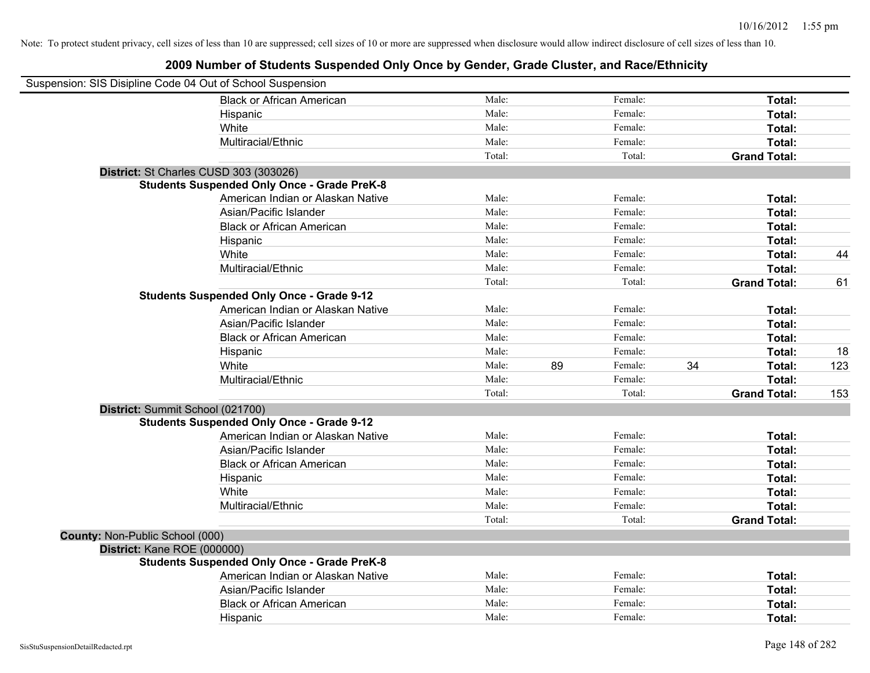| Suspension: SIS Disipline Code 04 Out of School Suspension |                                                    |        |    |         |    |                     |     |
|------------------------------------------------------------|----------------------------------------------------|--------|----|---------|----|---------------------|-----|
|                                                            | <b>Black or African American</b>                   | Male:  |    | Female: |    | Total:              |     |
|                                                            | Hispanic                                           | Male:  |    | Female: |    | <b>Total:</b>       |     |
|                                                            | White                                              | Male:  |    | Female: |    | Total:              |     |
|                                                            | Multiracial/Ethnic                                 | Male:  |    | Female: |    | Total:              |     |
|                                                            |                                                    | Total: |    | Total:  |    | <b>Grand Total:</b> |     |
|                                                            | District: St Charles CUSD 303 (303026)             |        |    |         |    |                     |     |
|                                                            | <b>Students Suspended Only Once - Grade PreK-8</b> |        |    |         |    |                     |     |
|                                                            | American Indian or Alaskan Native                  | Male:  |    | Female: |    | Total:              |     |
|                                                            | Asian/Pacific Islander                             | Male:  |    | Female: |    | Total:              |     |
|                                                            | <b>Black or African American</b>                   | Male:  |    | Female: |    | Total:              |     |
|                                                            | Hispanic                                           | Male:  |    | Female: |    | Total:              |     |
|                                                            | White                                              | Male:  |    | Female: |    | Total:              | 44  |
|                                                            | Multiracial/Ethnic                                 | Male:  |    | Female: |    | Total:              |     |
|                                                            |                                                    | Total: |    | Total:  |    | <b>Grand Total:</b> | 61  |
|                                                            | <b>Students Suspended Only Once - Grade 9-12</b>   |        |    |         |    |                     |     |
|                                                            | American Indian or Alaskan Native                  | Male:  |    | Female: |    | Total:              |     |
|                                                            | Asian/Pacific Islander                             | Male:  |    | Female: |    | Total:              |     |
|                                                            | <b>Black or African American</b>                   | Male:  |    | Female: |    | Total:              |     |
|                                                            | Hispanic                                           | Male:  |    | Female: |    | Total:              | 18  |
|                                                            | White                                              | Male:  | 89 | Female: | 34 | Total:              | 123 |
|                                                            | Multiracial/Ethnic                                 | Male:  |    | Female: |    | Total:              |     |
|                                                            |                                                    | Total: |    | Total:  |    | <b>Grand Total:</b> | 153 |
| District: Summit School (021700)                           |                                                    |        |    |         |    |                     |     |
|                                                            | <b>Students Suspended Only Once - Grade 9-12</b>   |        |    |         |    |                     |     |
|                                                            | American Indian or Alaskan Native                  | Male:  |    | Female: |    | Total:              |     |
|                                                            | Asian/Pacific Islander                             | Male:  |    | Female: |    | Total:              |     |
|                                                            | <b>Black or African American</b>                   | Male:  |    | Female: |    | Total:              |     |
|                                                            | Hispanic                                           | Male:  |    | Female: |    | Total:              |     |
|                                                            | White                                              | Male:  |    | Female: |    | Total:              |     |
|                                                            | Multiracial/Ethnic                                 | Male:  |    | Female: |    | Total:              |     |
|                                                            |                                                    | Total: |    | Total:  |    | <b>Grand Total:</b> |     |
| County: Non-Public School (000)                            |                                                    |        |    |         |    |                     |     |
| District: Kane ROE (000000)                                |                                                    |        |    |         |    |                     |     |
|                                                            | <b>Students Suspended Only Once - Grade PreK-8</b> |        |    |         |    |                     |     |
|                                                            | American Indian or Alaskan Native                  | Male:  |    | Female: |    | Total:              |     |
|                                                            | Asian/Pacific Islander                             | Male:  |    | Female: |    | Total:              |     |
|                                                            | <b>Black or African American</b>                   | Male:  |    | Female: |    | Total:              |     |
|                                                            | Hispanic                                           | Male:  |    | Female: |    | Total:              |     |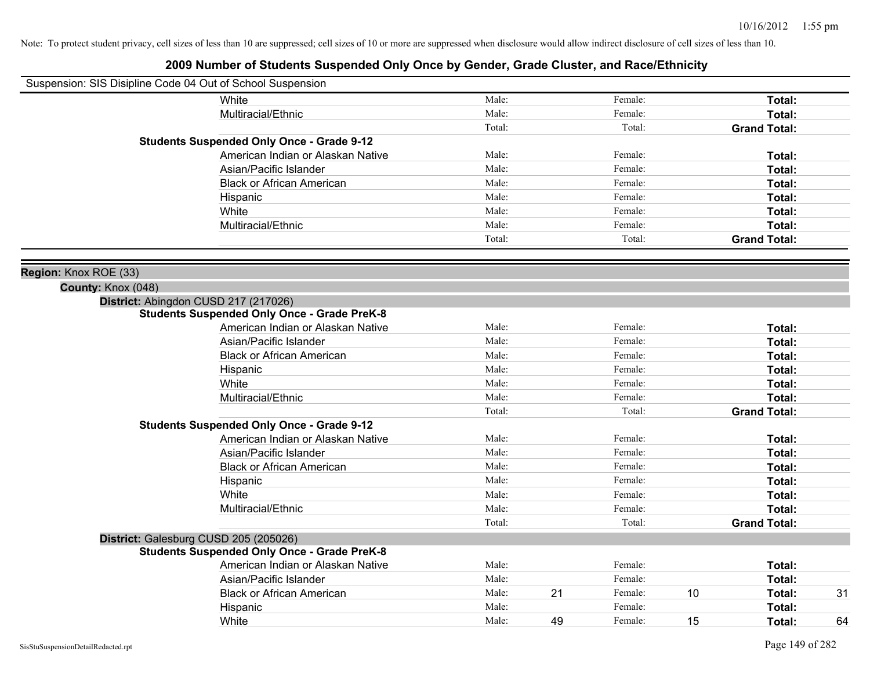|                       | Suspension: SIS Disipline Code 04 Out of School Suspension |        |    |         |    |                     |    |
|-----------------------|------------------------------------------------------------|--------|----|---------|----|---------------------|----|
|                       | White                                                      | Male:  |    | Female: |    | Total:              |    |
|                       | Multiracial/Ethnic                                         | Male:  |    | Female: |    | Total:              |    |
|                       |                                                            | Total: |    | Total:  |    | <b>Grand Total:</b> |    |
|                       | <b>Students Suspended Only Once - Grade 9-12</b>           |        |    |         |    |                     |    |
|                       | American Indian or Alaskan Native                          | Male:  |    | Female: |    | Total:              |    |
|                       | Asian/Pacific Islander                                     | Male:  |    | Female: |    | Total:              |    |
|                       | <b>Black or African American</b>                           | Male:  |    | Female: |    | Total:              |    |
|                       | Hispanic                                                   | Male:  |    | Female: |    | Total:              |    |
|                       | White                                                      | Male:  |    | Female: |    | Total:              |    |
|                       | Multiracial/Ethnic                                         | Male:  |    | Female: |    | Total:              |    |
|                       |                                                            | Total: |    | Total:  |    | <b>Grand Total:</b> |    |
| Region: Knox ROE (33) |                                                            |        |    |         |    |                     |    |
| County: Knox (048)    |                                                            |        |    |         |    |                     |    |
|                       | District: Abingdon CUSD 217 (217026)                       |        |    |         |    |                     |    |
|                       | <b>Students Suspended Only Once - Grade PreK-8</b>         |        |    |         |    |                     |    |
|                       | American Indian or Alaskan Native                          | Male:  |    | Female: |    | Total:              |    |
|                       | Asian/Pacific Islander                                     | Male:  |    | Female: |    | Total:              |    |
|                       | <b>Black or African American</b>                           | Male:  |    | Female: |    | Total:              |    |
|                       | Hispanic                                                   | Male:  |    | Female: |    | Total:              |    |
|                       | White                                                      | Male:  |    | Female: |    | Total:              |    |
|                       | Multiracial/Ethnic                                         | Male:  |    | Female: |    | Total:              |    |
|                       |                                                            | Total: |    | Total:  |    | <b>Grand Total:</b> |    |
|                       | <b>Students Suspended Only Once - Grade 9-12</b>           |        |    |         |    |                     |    |
|                       | American Indian or Alaskan Native                          | Male:  |    | Female: |    | Total:              |    |
|                       | Asian/Pacific Islander                                     | Male:  |    | Female: |    | Total:              |    |
|                       | <b>Black or African American</b>                           | Male:  |    | Female: |    | Total:              |    |
|                       | Hispanic                                                   | Male:  |    | Female: |    | Total:              |    |
|                       | White                                                      | Male:  |    | Female: |    | Total:              |    |
|                       | Multiracial/Ethnic                                         | Male:  |    | Female: |    | Total:              |    |
|                       |                                                            | Total: |    | Total:  |    | <b>Grand Total:</b> |    |
|                       | District: Galesburg CUSD 205 (205026)                      |        |    |         |    |                     |    |
|                       | <b>Students Suspended Only Once - Grade PreK-8</b>         |        |    |         |    |                     |    |
|                       | American Indian or Alaskan Native                          | Male:  |    | Female: |    | Total:              |    |
|                       | Asian/Pacific Islander                                     | Male:  |    | Female: |    | Total:              |    |
|                       | <b>Black or African American</b>                           | Male:  | 21 | Female: | 10 | Total:              | 31 |
|                       | Hispanic                                                   | Male:  |    | Female: |    | Total:              |    |
|                       | White                                                      | Male:  | 49 | Female: | 15 | Total:              | 64 |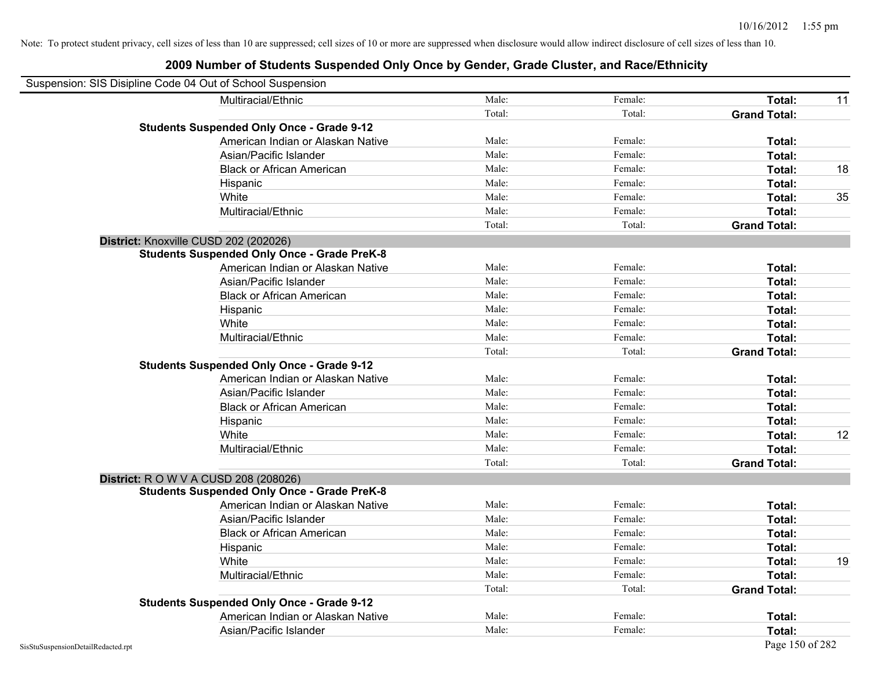| Suspension: SIS Disipline Code 04 Out of School Suspension |                                                    |        |         |                     |    |
|------------------------------------------------------------|----------------------------------------------------|--------|---------|---------------------|----|
|                                                            | Multiracial/Ethnic                                 | Male:  | Female: | Total:              | 11 |
|                                                            |                                                    | Total: | Total:  | <b>Grand Total:</b> |    |
|                                                            | <b>Students Suspended Only Once - Grade 9-12</b>   |        |         |                     |    |
|                                                            | American Indian or Alaskan Native                  | Male:  | Female: | Total:              |    |
|                                                            | Asian/Pacific Islander                             | Male:  | Female: | Total:              |    |
|                                                            | <b>Black or African American</b>                   | Male:  | Female: | Total:              | 18 |
|                                                            | Hispanic                                           | Male:  | Female: | Total:              |    |
|                                                            | White                                              | Male:  | Female: | Total:              | 35 |
|                                                            | Multiracial/Ethnic                                 | Male:  | Female: | Total:              |    |
|                                                            |                                                    | Total: | Total:  | <b>Grand Total:</b> |    |
| District: Knoxville CUSD 202 (202026)                      |                                                    |        |         |                     |    |
|                                                            | <b>Students Suspended Only Once - Grade PreK-8</b> |        |         |                     |    |
|                                                            | American Indian or Alaskan Native                  | Male:  | Female: | Total:              |    |
|                                                            | Asian/Pacific Islander                             | Male:  | Female: | Total:              |    |
|                                                            | <b>Black or African American</b>                   | Male:  | Female: | Total:              |    |
|                                                            | Hispanic                                           | Male:  | Female: | Total:              |    |
|                                                            | White                                              | Male:  | Female: | Total:              |    |
|                                                            | Multiracial/Ethnic                                 | Male:  | Female: | Total:              |    |
|                                                            |                                                    | Total: | Total:  | <b>Grand Total:</b> |    |
|                                                            | <b>Students Suspended Only Once - Grade 9-12</b>   |        |         |                     |    |
|                                                            | American Indian or Alaskan Native                  | Male:  | Female: | Total:              |    |
|                                                            | Asian/Pacific Islander                             | Male:  | Female: | Total:              |    |
|                                                            | <b>Black or African American</b>                   | Male:  | Female: | Total:              |    |
|                                                            | Hispanic                                           | Male:  | Female: | Total:              |    |
|                                                            | White                                              | Male:  | Female: | Total:              | 12 |
|                                                            | Multiracial/Ethnic                                 | Male:  | Female: | Total:              |    |
|                                                            |                                                    | Total: | Total:  | <b>Grand Total:</b> |    |
| District: R O W V A CUSD 208 (208026)                      |                                                    |        |         |                     |    |
|                                                            | <b>Students Suspended Only Once - Grade PreK-8</b> |        |         |                     |    |
|                                                            | American Indian or Alaskan Native                  | Male:  | Female: | Total:              |    |
|                                                            | Asian/Pacific Islander                             | Male:  | Female: | Total:              |    |
|                                                            | <b>Black or African American</b>                   | Male:  | Female: | Total:              |    |
|                                                            | Hispanic                                           | Male:  | Female: | Total:              |    |
|                                                            | White                                              | Male:  | Female: | Total:              | 19 |
|                                                            | Multiracial/Ethnic                                 | Male:  | Female: | Total:              |    |
|                                                            |                                                    | Total: | Total:  | <b>Grand Total:</b> |    |
|                                                            | <b>Students Suspended Only Once - Grade 9-12</b>   |        |         |                     |    |
|                                                            | American Indian or Alaskan Native                  | Male:  | Female: | Total:              |    |
|                                                            | Asian/Pacific Islander                             | Male:  | Female: | Total:              |    |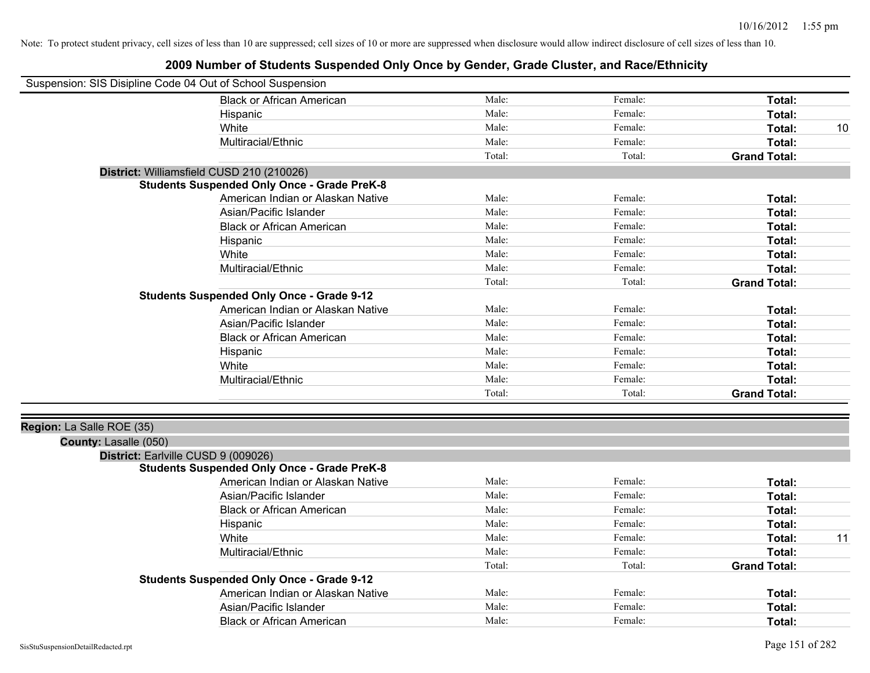| Suspension: SIS Disipline Code 04 Out of School Suspension |                                                    |        |         |                     |    |
|------------------------------------------------------------|----------------------------------------------------|--------|---------|---------------------|----|
|                                                            | <b>Black or African American</b>                   | Male:  | Female: | Total:              |    |
|                                                            | Hispanic                                           | Male:  | Female: | Total:              |    |
|                                                            | White                                              | Male:  | Female: | Total:              | 10 |
|                                                            | Multiracial/Ethnic                                 | Male:  | Female: | Total:              |    |
|                                                            |                                                    | Total: | Total:  | <b>Grand Total:</b> |    |
|                                                            | District: Williamsfield CUSD 210 (210026)          |        |         |                     |    |
|                                                            | <b>Students Suspended Only Once - Grade PreK-8</b> |        |         |                     |    |
|                                                            | American Indian or Alaskan Native                  | Male:  | Female: | Total:              |    |
|                                                            | Asian/Pacific Islander                             | Male:  | Female: | Total:              |    |
|                                                            | <b>Black or African American</b>                   | Male:  | Female: | Total:              |    |
|                                                            | Hispanic                                           | Male:  | Female: | Total:              |    |
|                                                            | White                                              | Male:  | Female: | Total:              |    |
|                                                            | Multiracial/Ethnic                                 | Male:  | Female: | Total:              |    |
|                                                            |                                                    | Total: | Total:  | <b>Grand Total:</b> |    |
|                                                            | <b>Students Suspended Only Once - Grade 9-12</b>   |        |         |                     |    |
|                                                            | American Indian or Alaskan Native                  | Male:  | Female: | Total:              |    |
|                                                            | Asian/Pacific Islander                             | Male:  | Female: | Total:              |    |
|                                                            | <b>Black or African American</b>                   | Male:  | Female: | Total:              |    |
|                                                            | Hispanic                                           | Male:  | Female: | Total:              |    |
|                                                            | White                                              | Male:  | Female: | Total:              |    |
|                                                            | Multiracial/Ethnic                                 | Male:  | Female: | Total:              |    |
|                                                            |                                                    | Total: | Total:  | <b>Grand Total:</b> |    |
|                                                            |                                                    |        |         |                     |    |
| Region: La Salle ROE (35)                                  |                                                    |        |         |                     |    |
| County: Lasalle (050)                                      |                                                    |        |         |                     |    |
| District: Earlville CUSD 9 (009026)                        |                                                    |        |         |                     |    |
|                                                            | <b>Students Suspended Only Once - Grade PreK-8</b> |        |         |                     |    |
|                                                            | American Indian or Alaskan Native                  | Male:  | Female: | Total:              |    |
|                                                            | Asian/Pacific Islander                             | Male:  | Female: | Total:              |    |
|                                                            | <b>Black or African American</b>                   | Male:  | Female: | Total:              |    |
|                                                            | Hispanic                                           | Male:  | Female: | Total:              |    |
|                                                            | White                                              | Male:  | Female: | Total:              | 11 |
|                                                            | Multiracial/Ethnic                                 | Male:  | Female: | Total:              |    |
|                                                            |                                                    | Total: | Total:  | <b>Grand Total:</b> |    |
|                                                            | <b>Students Suspended Only Once - Grade 9-12</b>   |        |         |                     |    |
|                                                            | American Indian or Alaskan Native                  | Male:  | Female: | Total:              |    |
|                                                            | Asian/Pacific Islander                             | Male:  | Female: | Total:              |    |
|                                                            | <b>Black or African American</b>                   | Male:  | Female: | Total:              |    |
|                                                            |                                                    |        |         |                     |    |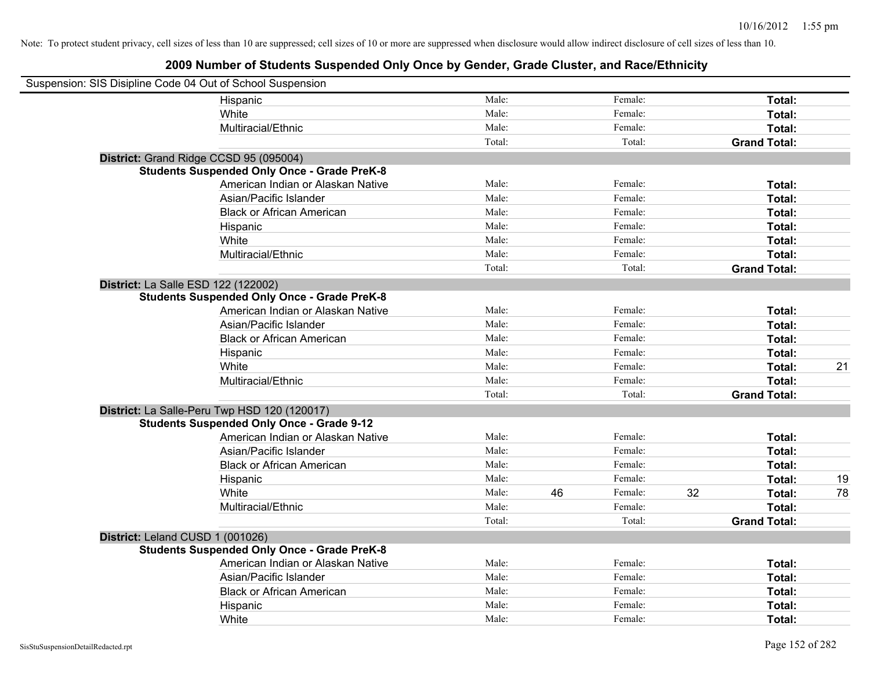| Suspension: SIS Disipline Code 04 Out of School Suspension |                                                    |        |    |         |    |                     |    |
|------------------------------------------------------------|----------------------------------------------------|--------|----|---------|----|---------------------|----|
|                                                            | Hispanic                                           | Male:  |    | Female: |    | Total:              |    |
|                                                            | White                                              | Male:  |    | Female: |    | Total:              |    |
|                                                            | Multiracial/Ethnic                                 | Male:  |    | Female: |    | Total:              |    |
|                                                            |                                                    | Total: |    | Total:  |    | <b>Grand Total:</b> |    |
| District: Grand Ridge CCSD 95 (095004)                     |                                                    |        |    |         |    |                     |    |
|                                                            | <b>Students Suspended Only Once - Grade PreK-8</b> |        |    |         |    |                     |    |
|                                                            | American Indian or Alaskan Native                  | Male:  |    | Female: |    | Total:              |    |
|                                                            | Asian/Pacific Islander                             | Male:  |    | Female: |    | Total:              |    |
|                                                            | <b>Black or African American</b>                   | Male:  |    | Female: |    | Total:              |    |
|                                                            | Hispanic                                           | Male:  |    | Female: |    | Total:              |    |
|                                                            | White                                              | Male:  |    | Female: |    | Total:              |    |
|                                                            | Multiracial/Ethnic                                 | Male:  |    | Female: |    | Total:              |    |
|                                                            |                                                    | Total: |    | Total:  |    | <b>Grand Total:</b> |    |
| District: La Salle ESD 122 (122002)                        |                                                    |        |    |         |    |                     |    |
|                                                            | <b>Students Suspended Only Once - Grade PreK-8</b> |        |    |         |    |                     |    |
|                                                            | American Indian or Alaskan Native                  | Male:  |    | Female: |    | Total:              |    |
|                                                            | Asian/Pacific Islander                             | Male:  |    | Female: |    | Total:              |    |
|                                                            | <b>Black or African American</b>                   | Male:  |    | Female: |    | Total:              |    |
|                                                            | Hispanic                                           | Male:  |    | Female: |    | Total:              |    |
|                                                            | White                                              | Male:  |    | Female: |    | Total:              | 21 |
|                                                            | Multiracial/Ethnic                                 | Male:  |    | Female: |    | Total:              |    |
|                                                            |                                                    | Total: |    | Total:  |    | <b>Grand Total:</b> |    |
|                                                            | District: La Salle-Peru Twp HSD 120 (120017)       |        |    |         |    |                     |    |
|                                                            | <b>Students Suspended Only Once - Grade 9-12</b>   |        |    |         |    |                     |    |
|                                                            | American Indian or Alaskan Native                  | Male:  |    | Female: |    | Total:              |    |
|                                                            | Asian/Pacific Islander                             | Male:  |    | Female: |    | Total:              |    |
|                                                            | <b>Black or African American</b>                   | Male:  |    | Female: |    | Total:              |    |
|                                                            | Hispanic                                           | Male:  |    | Female: |    | Total:              | 19 |
|                                                            | White                                              | Male:  | 46 | Female: | 32 | Total:              | 78 |
|                                                            | Multiracial/Ethnic                                 | Male:  |    | Female: |    | Total:              |    |
|                                                            |                                                    | Total: |    | Total:  |    | <b>Grand Total:</b> |    |
| District: Leland CUSD 1 (001026)                           |                                                    |        |    |         |    |                     |    |
|                                                            | <b>Students Suspended Only Once - Grade PreK-8</b> |        |    |         |    |                     |    |
|                                                            | American Indian or Alaskan Native                  | Male:  |    | Female: |    | Total:              |    |
|                                                            | Asian/Pacific Islander                             | Male:  |    | Female: |    | Total:              |    |
|                                                            | <b>Black or African American</b>                   | Male:  |    | Female: |    | Total:              |    |
|                                                            | Hispanic                                           | Male:  |    | Female: |    | Total:              |    |
|                                                            | White                                              | Male:  |    | Female: |    | Total:              |    |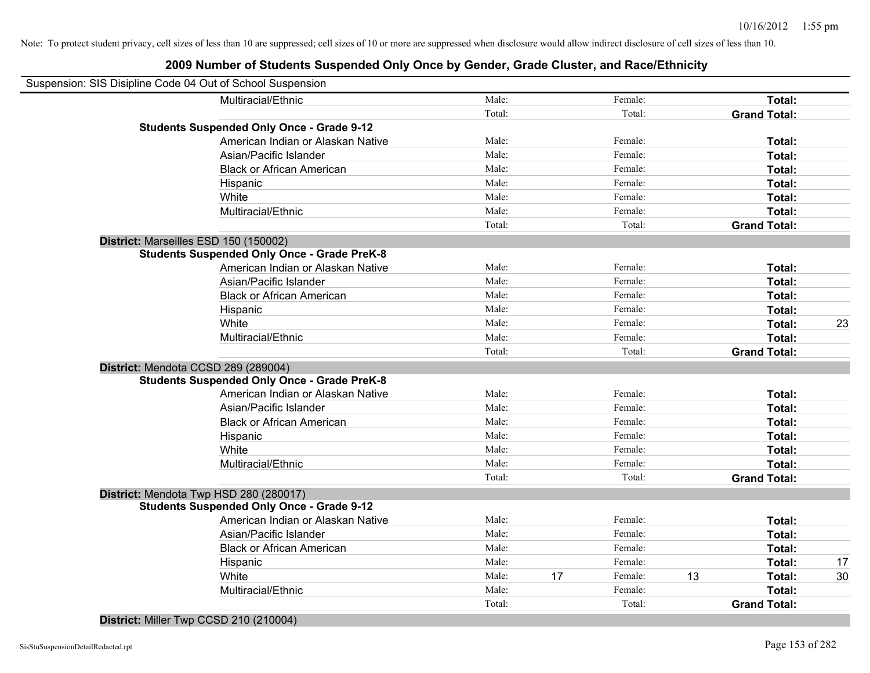## **2009 Number of Students Suspended Only Once by Gender, Grade Cluster, and Race/Ethnicity**

| Suspension: SIS Disipline Code 04 Out of School Suspension |        |    |         |    |                     |    |
|------------------------------------------------------------|--------|----|---------|----|---------------------|----|
| Multiracial/Ethnic                                         | Male:  |    | Female: |    | Total:              |    |
|                                                            | Total: |    | Total:  |    | <b>Grand Total:</b> |    |
| <b>Students Suspended Only Once - Grade 9-12</b>           |        |    |         |    |                     |    |
| American Indian or Alaskan Native                          | Male:  |    | Female: |    | Total:              |    |
| Asian/Pacific Islander                                     | Male:  |    | Female: |    | Total:              |    |
| <b>Black or African American</b>                           | Male:  |    | Female: |    | Total:              |    |
| Hispanic                                                   | Male:  |    | Female: |    | Total:              |    |
| White                                                      | Male:  |    | Female: |    | Total:              |    |
| Multiracial/Ethnic                                         | Male:  |    | Female: |    | Total:              |    |
|                                                            | Total: |    | Total:  |    | <b>Grand Total:</b> |    |
| District: Marseilles ESD 150 (150002)                      |        |    |         |    |                     |    |
| <b>Students Suspended Only Once - Grade PreK-8</b>         |        |    |         |    |                     |    |
| American Indian or Alaskan Native                          | Male:  |    | Female: |    | Total:              |    |
| Asian/Pacific Islander                                     | Male:  |    | Female: |    | Total:              |    |
| <b>Black or African American</b>                           | Male:  |    | Female: |    | Total:              |    |
| Hispanic                                                   | Male:  |    | Female: |    | Total:              |    |
| White                                                      | Male:  |    | Female: |    | Total:              | 23 |
| Multiracial/Ethnic                                         | Male:  |    | Female: |    | Total:              |    |
|                                                            | Total: |    | Total:  |    | <b>Grand Total:</b> |    |
| District: Mendota CCSD 289 (289004)                        |        |    |         |    |                     |    |
| <b>Students Suspended Only Once - Grade PreK-8</b>         |        |    |         |    |                     |    |
| American Indian or Alaskan Native                          | Male:  |    | Female: |    | Total:              |    |
| Asian/Pacific Islander                                     | Male:  |    | Female: |    | Total:              |    |
| <b>Black or African American</b>                           | Male:  |    | Female: |    | Total:              |    |
| Hispanic                                                   | Male:  |    | Female: |    | Total:              |    |
| White                                                      | Male:  |    | Female: |    | Total:              |    |
| Multiracial/Ethnic                                         | Male:  |    | Female: |    | Total:              |    |
|                                                            | Total: |    | Total:  |    | <b>Grand Total:</b> |    |
| District: Mendota Twp HSD 280 (280017)                     |        |    |         |    |                     |    |
| <b>Students Suspended Only Once - Grade 9-12</b>           |        |    |         |    |                     |    |
| American Indian or Alaskan Native                          | Male:  |    | Female: |    | Total:              |    |
| Asian/Pacific Islander                                     | Male:  |    | Female: |    | Total:              |    |
| <b>Black or African American</b>                           | Male:  |    | Female: |    | Total:              |    |
| Hispanic                                                   | Male:  |    | Female: |    | Total:              | 17 |
| White                                                      | Male:  | 17 | Female: | 13 | Total:              | 30 |
| Multiracial/Ethnic                                         | Male:  |    | Female: |    | Total:              |    |
|                                                            | Total: |    | Total:  |    | <b>Grand Total:</b> |    |

**District:** Miller Twp CCSD 210 (210004)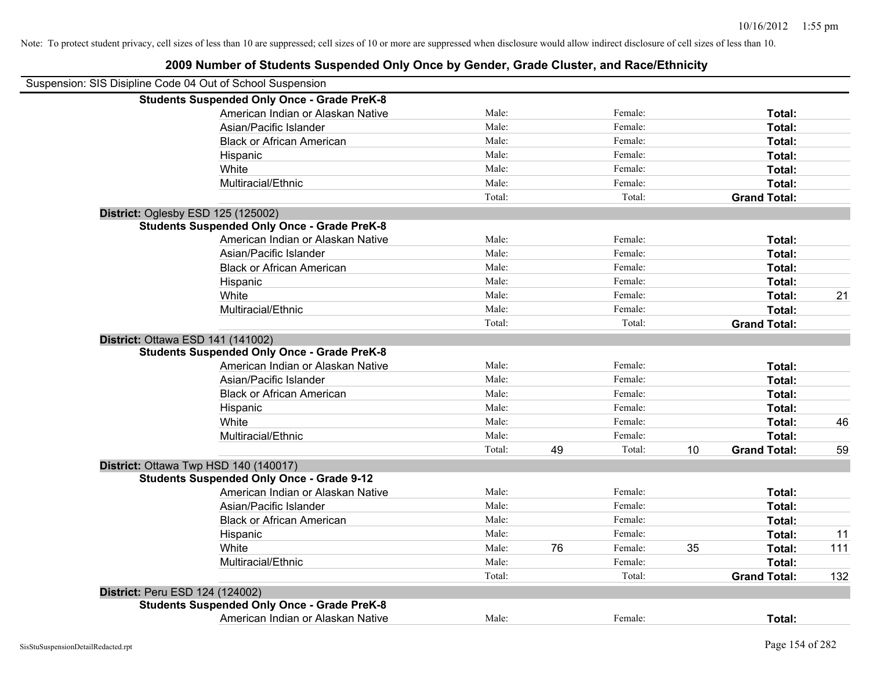| Suspension: SIS Disipline Code 04 Out of School Suspension |                                                    |        |    |         |    |                     |     |
|------------------------------------------------------------|----------------------------------------------------|--------|----|---------|----|---------------------|-----|
|                                                            | <b>Students Suspended Only Once - Grade PreK-8</b> |        |    |         |    |                     |     |
|                                                            | American Indian or Alaskan Native                  | Male:  |    | Female: |    | Total:              |     |
|                                                            | Asian/Pacific Islander                             | Male:  |    | Female: |    | Total:              |     |
|                                                            | <b>Black or African American</b>                   | Male:  |    | Female: |    | Total:              |     |
|                                                            | Hispanic                                           | Male:  |    | Female: |    | Total:              |     |
|                                                            | White                                              | Male:  |    | Female: |    | Total:              |     |
|                                                            | Multiracial/Ethnic                                 | Male:  |    | Female: |    | Total:              |     |
|                                                            |                                                    | Total: |    | Total:  |    | <b>Grand Total:</b> |     |
| District: Oglesby ESD 125 (125002)                         |                                                    |        |    |         |    |                     |     |
|                                                            | <b>Students Suspended Only Once - Grade PreK-8</b> |        |    |         |    |                     |     |
|                                                            | American Indian or Alaskan Native                  | Male:  |    | Female: |    | Total:              |     |
|                                                            | Asian/Pacific Islander                             | Male:  |    | Female: |    | Total:              |     |
|                                                            | <b>Black or African American</b>                   | Male:  |    | Female: |    | Total:              |     |
|                                                            | Hispanic                                           | Male:  |    | Female: |    | Total:              |     |
|                                                            | White                                              | Male:  |    | Female: |    | Total:              | 21  |
|                                                            | Multiracial/Ethnic                                 | Male:  |    | Female: |    | Total:              |     |
|                                                            |                                                    | Total: |    | Total:  |    | <b>Grand Total:</b> |     |
| District: Ottawa ESD 141 (141002)                          |                                                    |        |    |         |    |                     |     |
|                                                            | <b>Students Suspended Only Once - Grade PreK-8</b> |        |    |         |    |                     |     |
|                                                            | American Indian or Alaskan Native                  | Male:  |    | Female: |    | Total:              |     |
|                                                            | Asian/Pacific Islander                             | Male:  |    | Female: |    | Total:              |     |
|                                                            | <b>Black or African American</b>                   | Male:  |    | Female: |    | Total:              |     |
|                                                            | Hispanic                                           | Male:  |    | Female: |    | Total:              |     |
|                                                            | White                                              | Male:  |    | Female: |    | Total:              | 46  |
|                                                            | Multiracial/Ethnic                                 | Male:  |    | Female: |    | Total:              |     |
|                                                            |                                                    | Total: | 49 | Total:  | 10 | <b>Grand Total:</b> | 59  |
|                                                            | District: Ottawa Twp HSD 140 (140017)              |        |    |         |    |                     |     |
|                                                            | <b>Students Suspended Only Once - Grade 9-12</b>   |        |    |         |    |                     |     |
|                                                            | American Indian or Alaskan Native                  | Male:  |    | Female: |    | Total:              |     |
|                                                            | Asian/Pacific Islander                             | Male:  |    | Female: |    | Total:              |     |
|                                                            | <b>Black or African American</b>                   | Male:  |    | Female: |    | Total:              |     |
|                                                            | Hispanic                                           | Male:  |    | Female: |    | Total:              | 11  |
|                                                            | White                                              | Male:  | 76 | Female: | 35 | Total:              | 111 |
|                                                            | Multiracial/Ethnic                                 | Male:  |    | Female: |    | Total:              |     |
|                                                            |                                                    | Total: |    | Total:  |    | <b>Grand Total:</b> | 132 |
| District: Peru ESD 124 (124002)                            |                                                    |        |    |         |    |                     |     |
|                                                            | <b>Students Suspended Only Once - Grade PreK-8</b> |        |    |         |    |                     |     |
|                                                            | American Indian or Alaskan Native                  | Male:  |    | Female: |    | Total:              |     |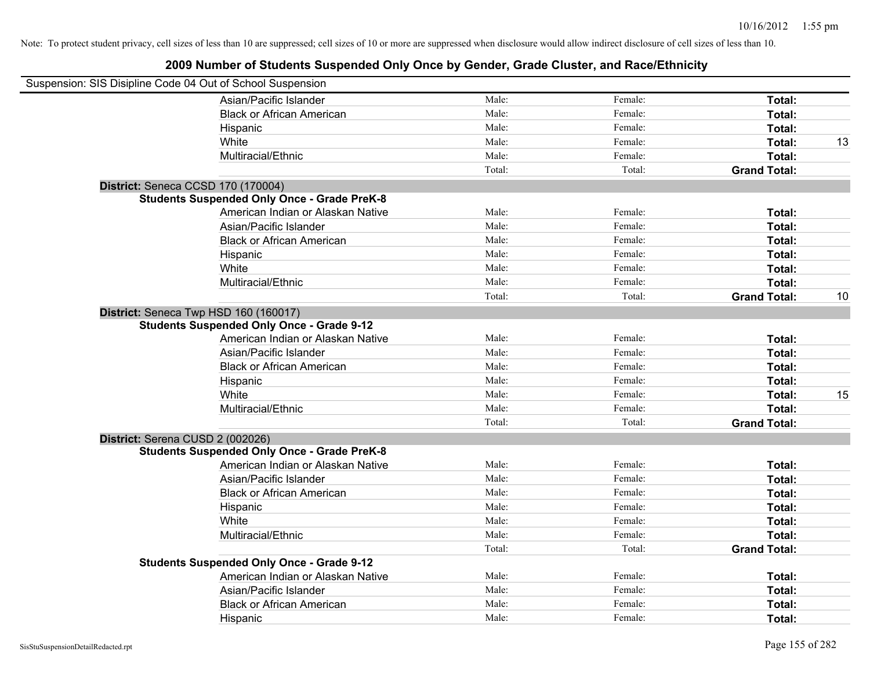| Suspension: SIS Disipline Code 04 Out of School Suspension |                                                    |        |         |                     |    |
|------------------------------------------------------------|----------------------------------------------------|--------|---------|---------------------|----|
|                                                            | Asian/Pacific Islander                             | Male:  | Female: | Total:              |    |
|                                                            | <b>Black or African American</b>                   | Male:  | Female: | Total:              |    |
|                                                            | Hispanic                                           | Male:  | Female: | Total:              |    |
|                                                            | White                                              | Male:  | Female: | Total:              | 13 |
|                                                            | Multiracial/Ethnic                                 | Male:  | Female: | Total:              |    |
|                                                            |                                                    | Total: | Total:  | <b>Grand Total:</b> |    |
| District: Seneca CCSD 170 (170004)                         |                                                    |        |         |                     |    |
|                                                            | <b>Students Suspended Only Once - Grade PreK-8</b> |        |         |                     |    |
|                                                            | American Indian or Alaskan Native                  | Male:  | Female: | Total:              |    |
|                                                            | Asian/Pacific Islander                             | Male:  | Female: | Total:              |    |
|                                                            | <b>Black or African American</b>                   | Male:  | Female: | Total:              |    |
|                                                            | Hispanic                                           | Male:  | Female: | Total:              |    |
|                                                            | White                                              | Male:  | Female: | Total:              |    |
|                                                            | Multiracial/Ethnic                                 | Male:  | Female: | Total:              |    |
|                                                            |                                                    | Total: | Total:  | <b>Grand Total:</b> | 10 |
| District: Seneca Twp HSD 160 (160017)                      |                                                    |        |         |                     |    |
|                                                            | <b>Students Suspended Only Once - Grade 9-12</b>   |        |         |                     |    |
|                                                            | American Indian or Alaskan Native                  | Male:  | Female: | Total:              |    |
|                                                            | Asian/Pacific Islander                             | Male:  | Female: | Total:              |    |
|                                                            | <b>Black or African American</b>                   | Male:  | Female: | Total:              |    |
|                                                            | Hispanic                                           | Male:  | Female: | Total:              |    |
|                                                            | White                                              | Male:  | Female: | Total:              | 15 |
|                                                            | Multiracial/Ethnic                                 | Male:  | Female: | Total:              |    |
|                                                            |                                                    | Total: | Total:  | <b>Grand Total:</b> |    |
| District: Serena CUSD 2 (002026)                           |                                                    |        |         |                     |    |
|                                                            | <b>Students Suspended Only Once - Grade PreK-8</b> |        |         |                     |    |
|                                                            | American Indian or Alaskan Native                  | Male:  | Female: | Total:              |    |
|                                                            | Asian/Pacific Islander                             | Male:  | Female: | Total:              |    |
|                                                            | <b>Black or African American</b>                   | Male:  | Female: | Total:              |    |
|                                                            | Hispanic                                           | Male:  | Female: | Total:              |    |
|                                                            | White                                              | Male:  | Female: | Total:              |    |
|                                                            | Multiracial/Ethnic                                 | Male:  | Female: | Total:              |    |
|                                                            |                                                    | Total: | Total:  | <b>Grand Total:</b> |    |
|                                                            | <b>Students Suspended Only Once - Grade 9-12</b>   |        |         |                     |    |
|                                                            | American Indian or Alaskan Native                  | Male:  | Female: | Total:              |    |
|                                                            | Asian/Pacific Islander                             | Male:  | Female: | Total:              |    |
|                                                            | <b>Black or African American</b>                   | Male:  | Female: | Total:              |    |
|                                                            | Hispanic                                           | Male:  | Female: | Total:              |    |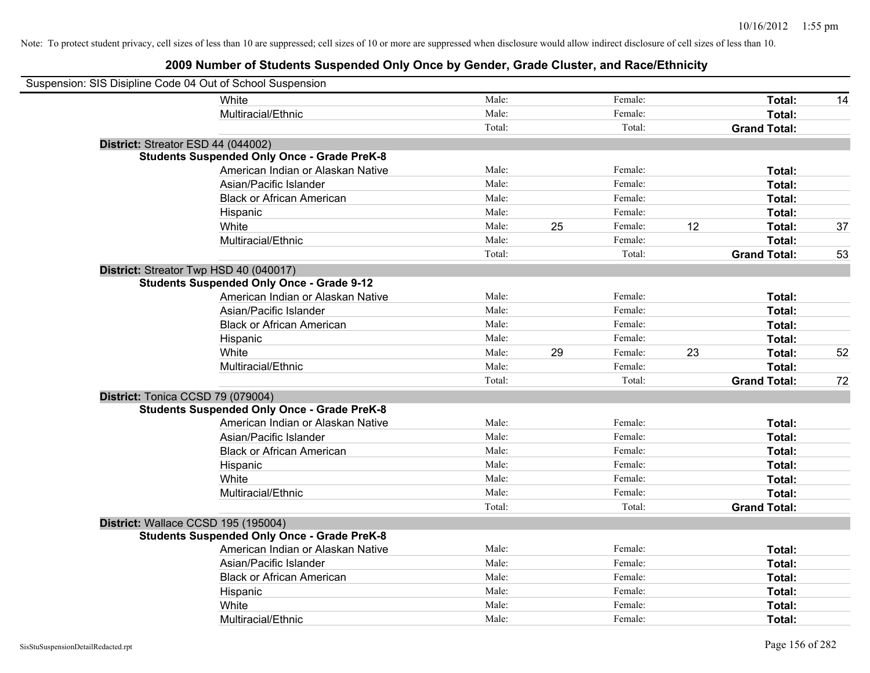| Suspension: SIS Disipline Code 04 Out of School Suspension |                                                    |        |    |         |    |                     |    |
|------------------------------------------------------------|----------------------------------------------------|--------|----|---------|----|---------------------|----|
|                                                            | White                                              | Male:  |    | Female: |    | Total:              | 14 |
|                                                            | Multiracial/Ethnic                                 | Male:  |    | Female: |    | Total:              |    |
|                                                            |                                                    | Total: |    | Total:  |    | <b>Grand Total:</b> |    |
| District: Streator ESD 44 (044002)                         |                                                    |        |    |         |    |                     |    |
|                                                            | <b>Students Suspended Only Once - Grade PreK-8</b> |        |    |         |    |                     |    |
|                                                            | American Indian or Alaskan Native                  | Male:  |    | Female: |    | Total:              |    |
|                                                            | Asian/Pacific Islander                             | Male:  |    | Female: |    | Total:              |    |
|                                                            | <b>Black or African American</b>                   | Male:  |    | Female: |    | Total:              |    |
|                                                            | Hispanic                                           | Male:  |    | Female: |    | Total:              |    |
|                                                            | White                                              | Male:  | 25 | Female: | 12 | Total:              | 37 |
|                                                            | Multiracial/Ethnic                                 | Male:  |    | Female: |    | Total:              |    |
|                                                            |                                                    | Total: |    | Total:  |    | <b>Grand Total:</b> | 53 |
|                                                            | District: Streator Twp HSD 40 (040017)             |        |    |         |    |                     |    |
|                                                            | <b>Students Suspended Only Once - Grade 9-12</b>   |        |    |         |    |                     |    |
|                                                            | American Indian or Alaskan Native                  | Male:  |    | Female: |    | Total:              |    |
|                                                            | Asian/Pacific Islander                             | Male:  |    | Female: |    | Total:              |    |
|                                                            | <b>Black or African American</b>                   | Male:  |    | Female: |    | Total:              |    |
|                                                            | Hispanic                                           | Male:  |    | Female: |    | Total:              |    |
|                                                            | White                                              | Male:  | 29 | Female: | 23 | Total:              | 52 |
|                                                            | Multiracial/Ethnic                                 | Male:  |    | Female: |    | Total:              |    |
|                                                            |                                                    | Total: |    | Total:  |    | <b>Grand Total:</b> | 72 |
| District: Tonica CCSD 79 (079004)                          |                                                    |        |    |         |    |                     |    |
|                                                            | <b>Students Suspended Only Once - Grade PreK-8</b> |        |    |         |    |                     |    |
|                                                            | American Indian or Alaskan Native                  | Male:  |    | Female: |    | Total:              |    |
|                                                            | Asian/Pacific Islander                             | Male:  |    | Female: |    | Total:              |    |
|                                                            | <b>Black or African American</b>                   | Male:  |    | Female: |    | Total:              |    |
|                                                            | Hispanic                                           | Male:  |    | Female: |    | Total:              |    |
|                                                            | White                                              | Male:  |    | Female: |    | Total:              |    |
|                                                            | Multiracial/Ethnic                                 | Male:  |    | Female: |    | Total:              |    |
|                                                            |                                                    | Total: |    | Total:  |    | <b>Grand Total:</b> |    |
| District: Wallace CCSD 195 (195004)                        |                                                    |        |    |         |    |                     |    |
|                                                            | <b>Students Suspended Only Once - Grade PreK-8</b> |        |    |         |    |                     |    |
|                                                            | American Indian or Alaskan Native                  | Male:  |    | Female: |    | Total:              |    |
|                                                            | Asian/Pacific Islander                             | Male:  |    | Female: |    | Total:              |    |
|                                                            | <b>Black or African American</b>                   | Male:  |    | Female: |    | Total:              |    |
|                                                            | Hispanic                                           | Male:  |    | Female: |    | Total:              |    |
|                                                            | White                                              | Male:  |    | Female: |    | Total:              |    |
|                                                            | Multiracial/Ethnic                                 | Male:  |    | Female: |    | Total:              |    |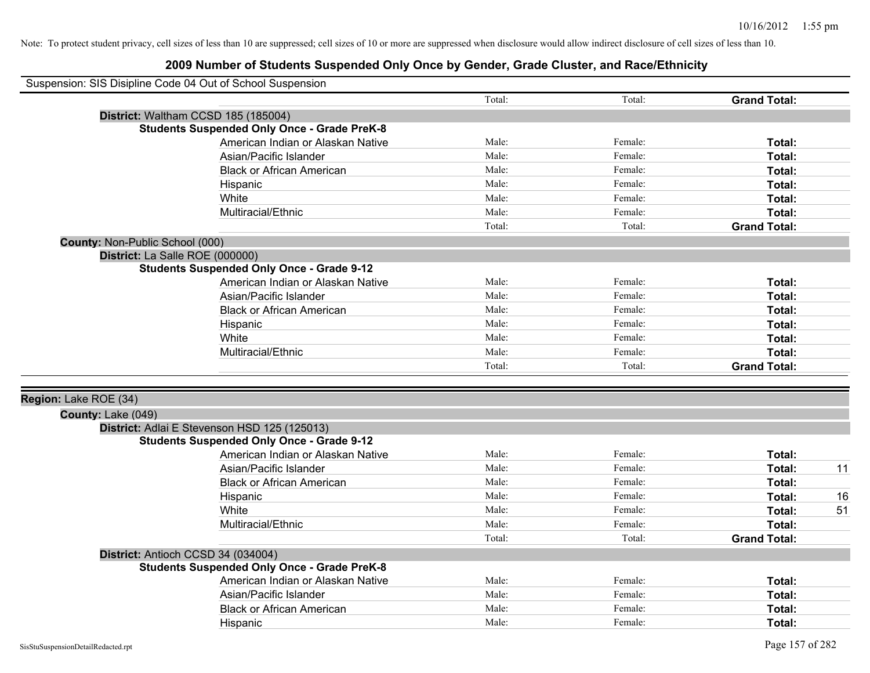| Suspension: SIS Disipline Code 04 Out of School Suspension |                                                    |        |         |                     |    |
|------------------------------------------------------------|----------------------------------------------------|--------|---------|---------------------|----|
|                                                            |                                                    | Total: | Total:  | <b>Grand Total:</b> |    |
|                                                            | District: Waltham CCSD 185 (185004)                |        |         |                     |    |
|                                                            | <b>Students Suspended Only Once - Grade PreK-8</b> |        |         |                     |    |
|                                                            | American Indian or Alaskan Native                  | Male:  | Female: | Total:              |    |
|                                                            | Asian/Pacific Islander                             | Male:  | Female: | Total:              |    |
|                                                            | <b>Black or African American</b>                   | Male:  | Female: | Total:              |    |
|                                                            | Hispanic                                           | Male:  | Female: | Total:              |    |
|                                                            | White                                              | Male:  | Female: | Total:              |    |
|                                                            | Multiracial/Ethnic                                 | Male:  | Female: | Total:              |    |
|                                                            |                                                    | Total: | Total:  | <b>Grand Total:</b> |    |
| County: Non-Public School (000)                            |                                                    |        |         |                     |    |
|                                                            | District: La Salle ROE (000000)                    |        |         |                     |    |
|                                                            | <b>Students Suspended Only Once - Grade 9-12</b>   |        |         |                     |    |
|                                                            | American Indian or Alaskan Native                  | Male:  | Female: | Total:              |    |
|                                                            | Asian/Pacific Islander                             | Male:  | Female: | Total:              |    |
|                                                            | <b>Black or African American</b>                   | Male:  | Female: | Total:              |    |
|                                                            | Hispanic                                           | Male:  | Female: | Total:              |    |
|                                                            | White                                              | Male:  | Female: | Total:              |    |
|                                                            | Multiracial/Ethnic                                 | Male:  | Female: | Total:              |    |
|                                                            |                                                    | Total: | Total:  | <b>Grand Total:</b> |    |
| Region: Lake ROE (34)                                      |                                                    |        |         |                     |    |
| County: Lake (049)                                         |                                                    |        |         |                     |    |
|                                                            | District: Adlai E Stevenson HSD 125 (125013)       |        |         |                     |    |
|                                                            | <b>Students Suspended Only Once - Grade 9-12</b>   |        |         |                     |    |
|                                                            | American Indian or Alaskan Native                  | Male:  | Female: | Total:              |    |
|                                                            | Asian/Pacific Islander                             | Male:  | Female: | Total:              | 11 |
|                                                            | <b>Black or African American</b>                   | Male:  | Female: | Total:              |    |
|                                                            | Hispanic                                           | Male:  | Female: | Total:              | 16 |
|                                                            | White                                              | Male:  | Female: | Total:              | 51 |
|                                                            | Multiracial/Ethnic                                 | Male:  | Female: | Total:              |    |
|                                                            |                                                    | Total: | Total:  | <b>Grand Total:</b> |    |
|                                                            | District: Antioch CCSD 34 (034004)                 |        |         |                     |    |
|                                                            | <b>Students Suspended Only Once - Grade PreK-8</b> |        |         |                     |    |
|                                                            | American Indian or Alaskan Native                  | Male:  | Female: | Total:              |    |
|                                                            | Asian/Pacific Islander                             | Male:  | Female: | Total:              |    |
|                                                            | <b>Black or African American</b>                   | Male:  | Female: | Total:              |    |
|                                                            | Hispanic                                           | Male:  | Female: | Total:              |    |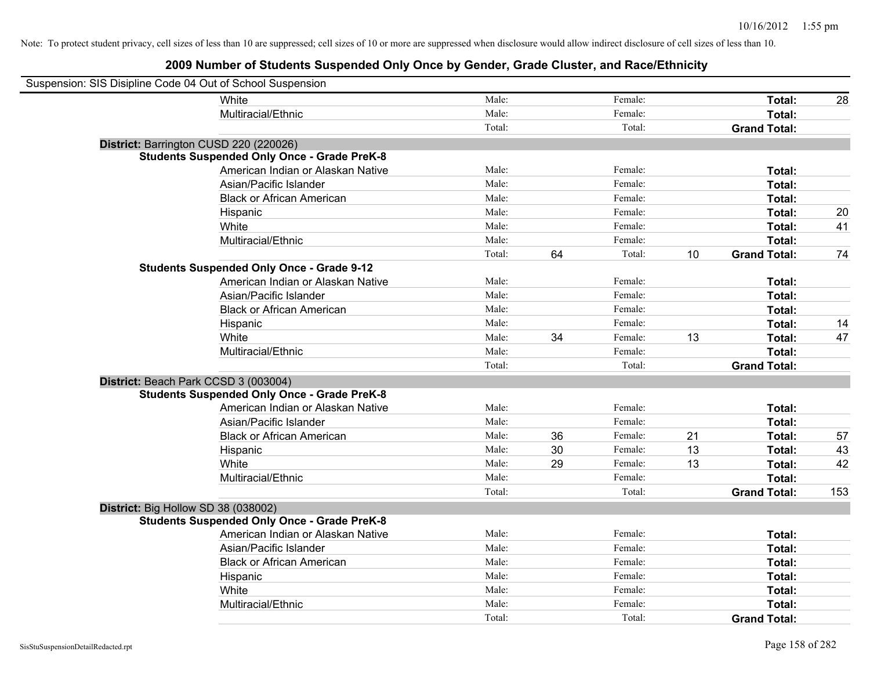| Suspension: SIS Disipline Code 04 Out of School Suspension |                                                    |        |    |         |    |                     |     |
|------------------------------------------------------------|----------------------------------------------------|--------|----|---------|----|---------------------|-----|
|                                                            | White                                              | Male:  |    | Female: |    | Total:              | 28  |
|                                                            | Multiracial/Ethnic                                 | Male:  |    | Female: |    | Total:              |     |
|                                                            |                                                    | Total: |    | Total:  |    | <b>Grand Total:</b> |     |
| District: Barrington CUSD 220 (220026)                     |                                                    |        |    |         |    |                     |     |
|                                                            | <b>Students Suspended Only Once - Grade PreK-8</b> |        |    |         |    |                     |     |
|                                                            | American Indian or Alaskan Native                  | Male:  |    | Female: |    | Total:              |     |
|                                                            | Asian/Pacific Islander                             | Male:  |    | Female: |    | Total:              |     |
|                                                            | <b>Black or African American</b>                   | Male:  |    | Female: |    | Total:              |     |
|                                                            | Hispanic                                           | Male:  |    | Female: |    | Total:              | 20  |
|                                                            | White                                              | Male:  |    | Female: |    | Total:              | 41  |
|                                                            | Multiracial/Ethnic                                 | Male:  |    | Female: |    | Total:              |     |
|                                                            |                                                    | Total: | 64 | Total:  | 10 | <b>Grand Total:</b> | 74  |
|                                                            | <b>Students Suspended Only Once - Grade 9-12</b>   |        |    |         |    |                     |     |
|                                                            | American Indian or Alaskan Native                  | Male:  |    | Female: |    | Total:              |     |
|                                                            | Asian/Pacific Islander                             | Male:  |    | Female: |    | Total:              |     |
|                                                            | <b>Black or African American</b>                   | Male:  |    | Female: |    | Total:              |     |
|                                                            | Hispanic                                           | Male:  |    | Female: |    | Total:              | 14  |
|                                                            | White                                              | Male:  | 34 | Female: | 13 | Total:              | 47  |
|                                                            | Multiracial/Ethnic                                 | Male:  |    | Female: |    | Total:              |     |
|                                                            |                                                    | Total: |    | Total:  |    | <b>Grand Total:</b> |     |
| District: Beach Park CCSD 3 (003004)                       |                                                    |        |    |         |    |                     |     |
|                                                            | <b>Students Suspended Only Once - Grade PreK-8</b> |        |    |         |    |                     |     |
|                                                            | American Indian or Alaskan Native                  | Male:  |    | Female: |    | Total:              |     |
|                                                            | Asian/Pacific Islander                             | Male:  |    | Female: |    | Total:              |     |
|                                                            | <b>Black or African American</b>                   | Male:  | 36 | Female: | 21 | Total:              | 57  |
|                                                            | Hispanic                                           | Male:  | 30 | Female: | 13 | Total:              | 43  |
|                                                            | White                                              | Male:  | 29 | Female: | 13 | Total:              | 42  |
|                                                            | Multiracial/Ethnic                                 | Male:  |    | Female: |    | Total:              |     |
|                                                            |                                                    | Total: |    | Total:  |    | <b>Grand Total:</b> | 153 |
| District: Big Hollow SD 38 (038002)                        |                                                    |        |    |         |    |                     |     |
|                                                            | <b>Students Suspended Only Once - Grade PreK-8</b> |        |    |         |    |                     |     |
|                                                            | American Indian or Alaskan Native                  | Male:  |    | Female: |    | Total:              |     |
|                                                            | Asian/Pacific Islander                             | Male:  |    | Female: |    | Total:              |     |
|                                                            | <b>Black or African American</b>                   | Male:  |    | Female: |    | Total:              |     |
|                                                            | Hispanic                                           | Male:  |    | Female: |    | Total:              |     |
|                                                            | White                                              | Male:  |    | Female: |    | Total:              |     |
|                                                            | Multiracial/Ethnic                                 | Male:  |    | Female: |    | Total:              |     |
|                                                            |                                                    | Total: |    | Total:  |    | <b>Grand Total:</b> |     |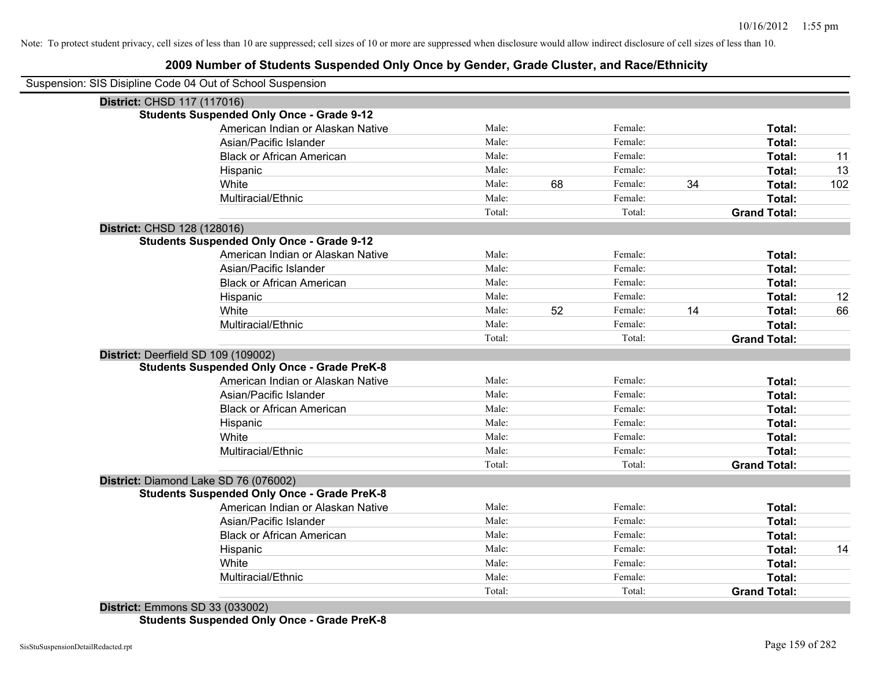#### **2009 Number of Students Suspended Only Once by Gender, Grade Cluster, and Race/Ethnicity**

| Suspension: SIS Disipline Code 04 Out of School Suspension |        |    |         |    |                     |     |
|------------------------------------------------------------|--------|----|---------|----|---------------------|-----|
| District: CHSD 117 (117016)                                |        |    |         |    |                     |     |
| <b>Students Suspended Only Once - Grade 9-12</b>           |        |    |         |    |                     |     |
| American Indian or Alaskan Native                          | Male:  |    | Female: |    | Total:              |     |
| Asian/Pacific Islander                                     | Male:  |    | Female: |    | Total:              |     |
| <b>Black or African American</b>                           | Male:  |    | Female: |    | Total:              | 11  |
| Hispanic                                                   | Male:  |    | Female: |    | Total:              | 13  |
| White                                                      | Male:  | 68 | Female: | 34 | Total:              | 102 |
| Multiracial/Ethnic                                         | Male:  |    | Female: |    | Total:              |     |
|                                                            | Total: |    | Total:  |    | <b>Grand Total:</b> |     |
| District: CHSD 128 (128016)                                |        |    |         |    |                     |     |
| <b>Students Suspended Only Once - Grade 9-12</b>           |        |    |         |    |                     |     |
| American Indian or Alaskan Native                          | Male:  |    | Female: |    | Total:              |     |
| Asian/Pacific Islander                                     | Male:  |    | Female: |    | Total:              |     |
| <b>Black or African American</b>                           | Male:  |    | Female: |    | Total:              |     |
| Hispanic                                                   | Male:  |    | Female: |    | Total:              | 12  |
| White                                                      | Male:  | 52 | Female: | 14 | Total:              | 66  |
| Multiracial/Ethnic                                         | Male:  |    | Female: |    | Total:              |     |
|                                                            | Total: |    | Total:  |    | <b>Grand Total:</b> |     |
| District: Deerfield SD 109 (109002)                        |        |    |         |    |                     |     |
| <b>Students Suspended Only Once - Grade PreK-8</b>         |        |    |         |    |                     |     |
| American Indian or Alaskan Native                          | Male:  |    | Female: |    | Total:              |     |
| Asian/Pacific Islander                                     | Male:  |    | Female: |    | Total:              |     |
| <b>Black or African American</b>                           | Male:  |    | Female: |    | Total:              |     |
| Hispanic                                                   | Male:  |    | Female: |    | Total:              |     |
| White                                                      | Male:  |    | Female: |    | Total:              |     |
| Multiracial/Ethnic                                         | Male:  |    | Female: |    | Total:              |     |
|                                                            | Total: |    | Total:  |    | <b>Grand Total:</b> |     |
| District: Diamond Lake SD 76 (076002)                      |        |    |         |    |                     |     |
| <b>Students Suspended Only Once - Grade PreK-8</b>         |        |    |         |    |                     |     |
| American Indian or Alaskan Native                          | Male:  |    | Female: |    | Total:              |     |
| Asian/Pacific Islander                                     | Male:  |    | Female: |    | Total:              |     |
| <b>Black or African American</b>                           | Male:  |    | Female: |    | Total:              |     |
| Hispanic                                                   | Male:  |    | Female: |    | Total:              | 14  |
| White                                                      | Male:  |    | Female: |    | Total:              |     |
| Multiracial/Ethnic                                         | Male:  |    | Female: |    | Total:              |     |
|                                                            | Total: |    | Total:  |    | <b>Grand Total:</b> |     |

**District:** Emmons SD 33 (033002) **Students Suspended Only Once - Grade PreK-8**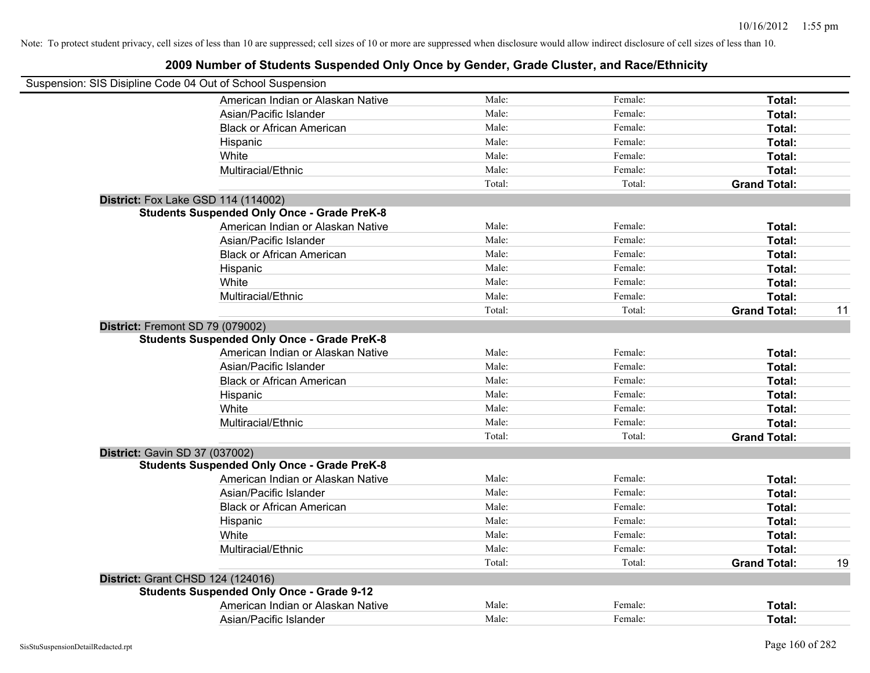| Suspension: SIS Disipline Code 04 Out of School Suspension                             |        |         |                     |    |
|----------------------------------------------------------------------------------------|--------|---------|---------------------|----|
| American Indian or Alaskan Native                                                      | Male:  | Female: | Total:              |    |
| Asian/Pacific Islander                                                                 | Male:  | Female: | Total:              |    |
| <b>Black or African American</b>                                                       | Male:  | Female: | Total:              |    |
| Hispanic                                                                               | Male:  | Female: | Total:              |    |
| White                                                                                  | Male:  | Female: | Total:              |    |
| Multiracial/Ethnic                                                                     | Male:  | Female: | Total:              |    |
|                                                                                        | Total: | Total:  | <b>Grand Total:</b> |    |
| District: Fox Lake GSD 114 (114002)                                                    |        |         |                     |    |
| <b>Students Suspended Only Once - Grade PreK-8</b>                                     |        |         |                     |    |
| American Indian or Alaskan Native                                                      | Male:  | Female: | Total:              |    |
| Asian/Pacific Islander                                                                 | Male:  | Female: | Total:              |    |
| <b>Black or African American</b>                                                       | Male:  | Female: | Total:              |    |
| Hispanic                                                                               | Male:  | Female: | Total:              |    |
| White                                                                                  | Male:  | Female: | Total:              |    |
| Multiracial/Ethnic                                                                     | Male:  | Female: | Total:              |    |
|                                                                                        | Total: | Total:  | <b>Grand Total:</b> | 11 |
| District: Fremont SD 79 (079002)<br><b>Students Suspended Only Once - Grade PreK-8</b> |        |         |                     |    |
| American Indian or Alaskan Native                                                      | Male:  | Female: | Total:              |    |
| Asian/Pacific Islander                                                                 | Male:  | Female: | Total:              |    |
| <b>Black or African American</b>                                                       | Male:  | Female: | Total:              |    |
| Hispanic                                                                               | Male:  | Female: | Total:              |    |
| White                                                                                  | Male:  | Female: | Total:              |    |
| Multiracial/Ethnic                                                                     | Male:  | Female: | Total:              |    |
|                                                                                        | Total: | Total:  | <b>Grand Total:</b> |    |
| District: Gavin SD 37 (037002)                                                         |        |         |                     |    |
| <b>Students Suspended Only Once - Grade PreK-8</b>                                     |        |         |                     |    |
| American Indian or Alaskan Native                                                      | Male:  | Female: | Total:              |    |
| Asian/Pacific Islander                                                                 | Male:  | Female: | Total:              |    |
| <b>Black or African American</b>                                                       | Male:  | Female: | Total:              |    |
| Hispanic                                                                               | Male:  | Female: | Total:              |    |
| White                                                                                  | Male:  | Female: | Total:              |    |
| Multiracial/Ethnic                                                                     | Male:  | Female: | Total:              |    |
|                                                                                        | Total: | Total:  | <b>Grand Total:</b> | 19 |
| District: Grant CHSD 124 (124016)                                                      |        |         |                     |    |
| <b>Students Suspended Only Once - Grade 9-12</b>                                       |        |         |                     |    |
| American Indian or Alaskan Native                                                      | Male:  | Female: | Total:              |    |
| Asian/Pacific Islander                                                                 | Male:  | Female: | Total:              |    |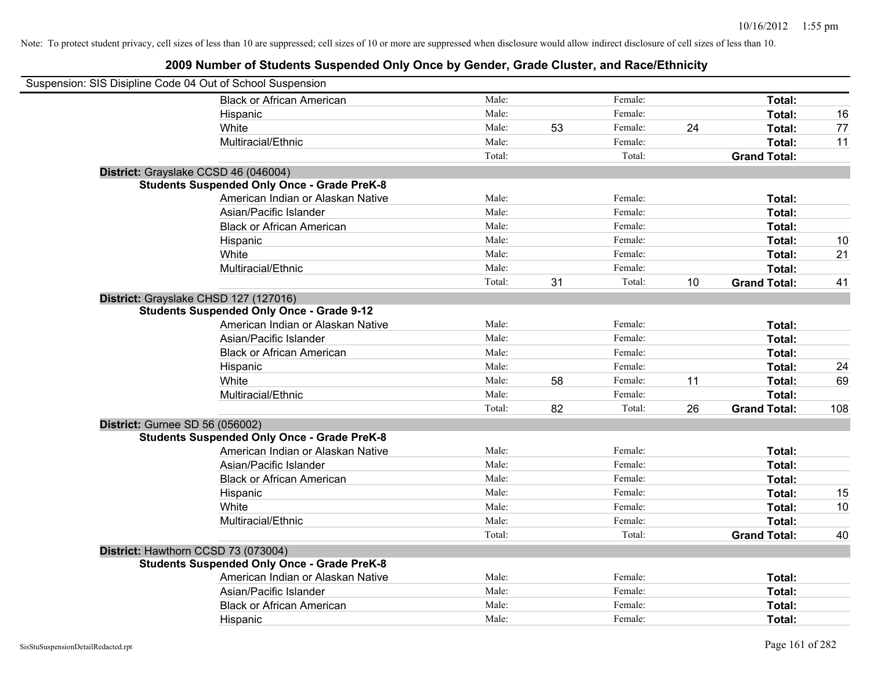| Suspension: SIS Disipline Code 04 Out of School Suspension |                                                    |        |    |         |    |                     |     |
|------------------------------------------------------------|----------------------------------------------------|--------|----|---------|----|---------------------|-----|
|                                                            | <b>Black or African American</b>                   | Male:  |    | Female: |    | Total:              |     |
| Hispanic                                                   |                                                    | Male:  |    | Female: |    | Total:              | 16  |
| White                                                      |                                                    | Male:  | 53 | Female: | 24 | Total:              | 77  |
|                                                            | Multiracial/Ethnic                                 | Male:  |    | Female: |    | Total:              | 11  |
|                                                            |                                                    | Total: |    | Total:  |    | <b>Grand Total:</b> |     |
| District: Grayslake CCSD 46 (046004)                       |                                                    |        |    |         |    |                     |     |
|                                                            | <b>Students Suspended Only Once - Grade PreK-8</b> |        |    |         |    |                     |     |
|                                                            | American Indian or Alaskan Native                  | Male:  |    | Female: |    | Total:              |     |
|                                                            | Asian/Pacific Islander                             | Male:  |    | Female: |    | Total:              |     |
|                                                            | <b>Black or African American</b>                   | Male:  |    | Female: |    | Total:              |     |
| Hispanic                                                   |                                                    | Male:  |    | Female: |    | Total:              | 10  |
| White                                                      |                                                    | Male:  |    | Female: |    | Total:              | 21  |
|                                                            | Multiracial/Ethnic                                 | Male:  |    | Female: |    | Total:              |     |
|                                                            |                                                    | Total: | 31 | Total:  | 10 | <b>Grand Total:</b> | 41  |
| District: Grayslake CHSD 127 (127016)                      |                                                    |        |    |         |    |                     |     |
|                                                            | <b>Students Suspended Only Once - Grade 9-12</b>   |        |    |         |    |                     |     |
|                                                            | American Indian or Alaskan Native                  | Male:  |    | Female: |    | Total:              |     |
|                                                            | Asian/Pacific Islander                             | Male:  |    | Female: |    | Total:              |     |
|                                                            | <b>Black or African American</b>                   | Male:  |    | Female: |    | Total:              |     |
| Hispanic                                                   |                                                    | Male:  |    | Female: |    | Total:              | 24  |
| White                                                      |                                                    | Male:  | 58 | Female: | 11 | Total:              | 69  |
|                                                            | Multiracial/Ethnic                                 | Male:  |    | Female: |    | Total:              |     |
|                                                            |                                                    | Total: | 82 | Total:  | 26 | <b>Grand Total:</b> | 108 |
| District: Gurnee SD 56 (056002)                            |                                                    |        |    |         |    |                     |     |
|                                                            | <b>Students Suspended Only Once - Grade PreK-8</b> |        |    |         |    |                     |     |
|                                                            | American Indian or Alaskan Native                  | Male:  |    | Female: |    | Total:              |     |
|                                                            | Asian/Pacific Islander                             | Male:  |    | Female: |    | Total:              |     |
|                                                            | <b>Black or African American</b>                   | Male:  |    | Female: |    | Total:              |     |
| Hispanic                                                   |                                                    | Male:  |    | Female: |    | Total:              | 15  |
| White                                                      |                                                    | Male:  |    | Female: |    | Total:              | 10  |
|                                                            | Multiracial/Ethnic                                 | Male:  |    | Female: |    | Total:              |     |
|                                                            |                                                    | Total: |    | Total:  |    | <b>Grand Total:</b> | 40  |
| District: Hawthorn CCSD 73 (073004)                        |                                                    |        |    |         |    |                     |     |
|                                                            | <b>Students Suspended Only Once - Grade PreK-8</b> |        |    |         |    |                     |     |
|                                                            | American Indian or Alaskan Native                  | Male:  |    | Female: |    | Total:              |     |
|                                                            | Asian/Pacific Islander                             | Male:  |    | Female: |    | Total:              |     |
|                                                            | <b>Black or African American</b>                   | Male:  |    | Female: |    | Total:              |     |
| Hispanic                                                   |                                                    | Male:  |    | Female: |    | Total:              |     |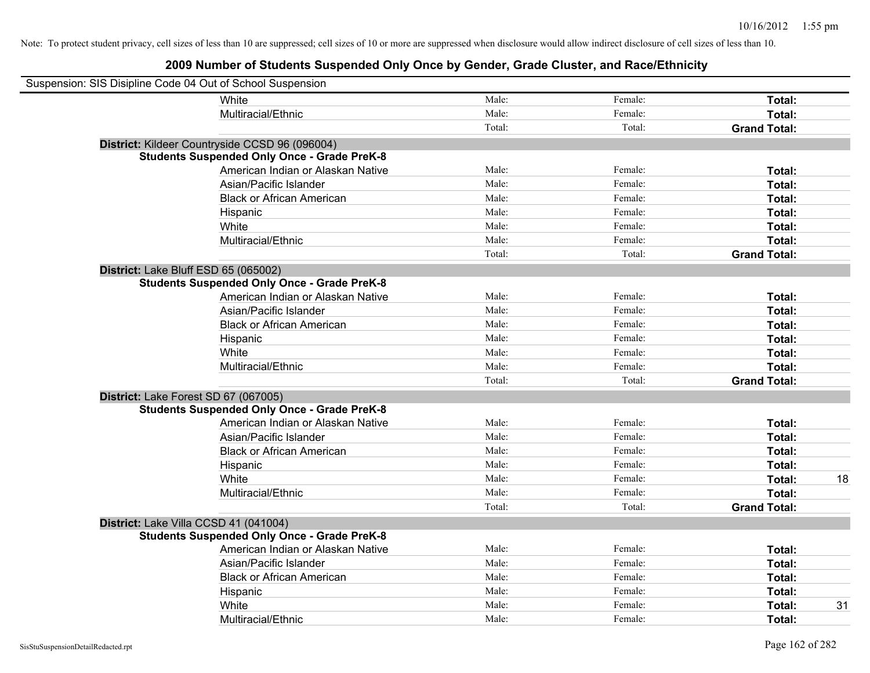| Suspension: SIS Disipline Code 04 Out of School Suspension |                                                    |        |         |                     |
|------------------------------------------------------------|----------------------------------------------------|--------|---------|---------------------|
|                                                            | White                                              | Male:  | Female: | Total:              |
|                                                            | Multiracial/Ethnic                                 | Male:  | Female: | Total:              |
|                                                            |                                                    | Total: | Total:  | <b>Grand Total:</b> |
|                                                            | District: Kildeer Countryside CCSD 96 (096004)     |        |         |                     |
|                                                            | <b>Students Suspended Only Once - Grade PreK-8</b> |        |         |                     |
|                                                            | American Indian or Alaskan Native                  | Male:  | Female: | Total:              |
|                                                            | Asian/Pacific Islander                             | Male:  | Female: | Total:              |
|                                                            | <b>Black or African American</b>                   | Male:  | Female: | Total:              |
|                                                            | Hispanic                                           | Male:  | Female: | Total:              |
|                                                            | White                                              | Male:  | Female: | Total:              |
|                                                            | Multiracial/Ethnic                                 | Male:  | Female: | Total:              |
|                                                            |                                                    | Total: | Total:  | <b>Grand Total:</b> |
| District: Lake Bluff ESD 65 (065002)                       |                                                    |        |         |                     |
|                                                            | <b>Students Suspended Only Once - Grade PreK-8</b> |        |         |                     |
|                                                            | American Indian or Alaskan Native                  | Male:  | Female: | Total:              |
|                                                            | Asian/Pacific Islander                             | Male:  | Female: | Total:              |
|                                                            | <b>Black or African American</b>                   | Male:  | Female: | Total:              |
|                                                            | Hispanic                                           | Male:  | Female: | Total:              |
|                                                            | White                                              | Male:  | Female: | Total:              |
|                                                            | Multiracial/Ethnic                                 | Male:  | Female: | Total:              |
|                                                            |                                                    | Total: | Total:  | <b>Grand Total:</b> |
| District: Lake Forest SD 67 (067005)                       |                                                    |        |         |                     |
|                                                            | <b>Students Suspended Only Once - Grade PreK-8</b> |        |         |                     |
|                                                            | American Indian or Alaskan Native                  | Male:  | Female: | Total:              |
|                                                            | Asian/Pacific Islander                             | Male:  | Female: | Total:              |
|                                                            | <b>Black or African American</b>                   | Male:  | Female: | Total:              |
|                                                            | Hispanic                                           | Male:  | Female: | Total:              |
|                                                            | White                                              | Male:  | Female: | 18<br>Total:        |
|                                                            | Multiracial/Ethnic                                 | Male:  | Female: | Total:              |
|                                                            |                                                    | Total: | Total:  | <b>Grand Total:</b> |
| District: Lake Villa CCSD 41 (041004)                      |                                                    |        |         |                     |
|                                                            | <b>Students Suspended Only Once - Grade PreK-8</b> |        |         |                     |
|                                                            | American Indian or Alaskan Native                  | Male:  | Female: | Total:              |
|                                                            | Asian/Pacific Islander                             | Male:  | Female: | Total:              |
|                                                            | <b>Black or African American</b>                   | Male:  | Female: | Total:              |
|                                                            | Hispanic                                           | Male:  | Female: | Total:              |
|                                                            | White                                              | Male:  | Female: | Total:<br>31        |
|                                                            | Multiracial/Ethnic                                 | Male:  | Female: | Total:              |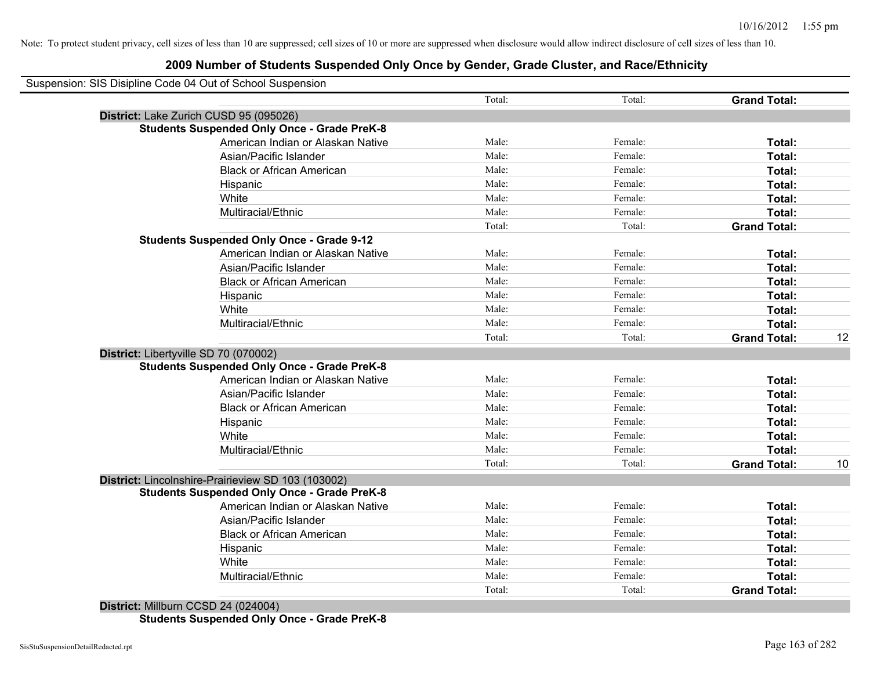## **2009 Number of Students Suspended Only Once by Gender, Grade Cluster, and Race/Ethnicity**

| Suspension: SIS Disipline Code 04 Out of School Suspension |        |         |                     |    |
|------------------------------------------------------------|--------|---------|---------------------|----|
|                                                            | Total: | Total:  | <b>Grand Total:</b> |    |
| District: Lake Zurich CUSD 95 (095026)                     |        |         |                     |    |
| <b>Students Suspended Only Once - Grade PreK-8</b>         |        |         |                     |    |
| American Indian or Alaskan Native                          | Male:  | Female: | Total:              |    |
| Asian/Pacific Islander                                     | Male:  | Female: | Total:              |    |
| <b>Black or African American</b>                           | Male:  | Female: | Total:              |    |
| Hispanic                                                   | Male:  | Female: | Total:              |    |
| White                                                      | Male:  | Female: | Total:              |    |
| Multiracial/Ethnic                                         | Male:  | Female: | Total:              |    |
|                                                            | Total: | Total:  | <b>Grand Total:</b> |    |
| <b>Students Suspended Only Once - Grade 9-12</b>           |        |         |                     |    |
| American Indian or Alaskan Native                          | Male:  | Female: | Total:              |    |
| Asian/Pacific Islander                                     | Male:  | Female: | <b>Total:</b>       |    |
| <b>Black or African American</b>                           | Male:  | Female: | Total:              |    |
| Hispanic                                                   | Male:  | Female: | Total:              |    |
| White                                                      | Male:  | Female: | Total:              |    |
| Multiracial/Ethnic                                         | Male:  | Female: | <b>Total:</b>       |    |
|                                                            | Total: | Total:  | <b>Grand Total:</b> | 12 |
| District: Libertyville SD 70 (070002)                      |        |         |                     |    |
| <b>Students Suspended Only Once - Grade PreK-8</b>         |        |         |                     |    |
| American Indian or Alaskan Native                          | Male:  | Female: | Total:              |    |
| Asian/Pacific Islander                                     | Male:  | Female: | Total:              |    |
| <b>Black or African American</b>                           | Male:  | Female: | Total:              |    |
| Hispanic                                                   | Male:  | Female: | Total:              |    |
| White                                                      | Male:  | Female: | Total:              |    |
| Multiracial/Ethnic                                         | Male:  | Female: | Total:              |    |
|                                                            | Total: | Total:  | <b>Grand Total:</b> | 10 |
| District: Lincolnshire-Prairieview SD 103 (103002)         |        |         |                     |    |
| <b>Students Suspended Only Once - Grade PreK-8</b>         |        |         |                     |    |
| American Indian or Alaskan Native                          | Male:  | Female: | Total:              |    |
| Asian/Pacific Islander                                     | Male:  | Female: | Total:              |    |
| <b>Black or African American</b>                           | Male:  | Female: | Total:              |    |
| Hispanic                                                   | Male:  | Female: | Total:              |    |
| White                                                      | Male:  | Female: | Total:              |    |
| Multiracial/Ethnic                                         | Male:  | Female: | Total:              |    |
|                                                            | Total: | Total:  | <b>Grand Total:</b> |    |

**District:** Millburn CCSD 24 (024004) **Students Suspended Only Once - Grade PreK-8**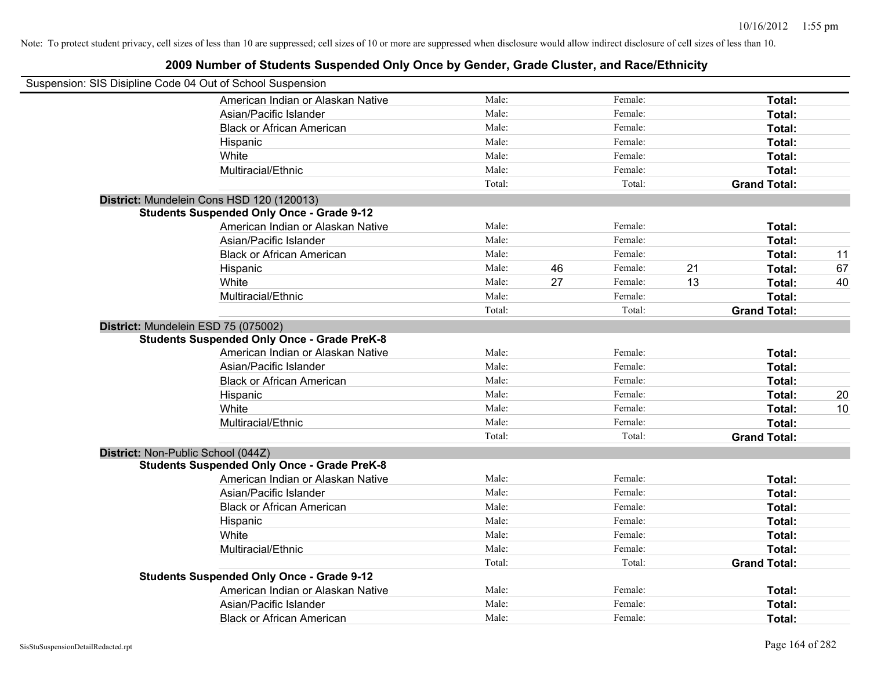| Suspension: SIS Disipline Code 04 Out of School Suspension |                                                    |        |    |         |    |                     |    |
|------------------------------------------------------------|----------------------------------------------------|--------|----|---------|----|---------------------|----|
|                                                            | American Indian or Alaskan Native                  | Male:  |    | Female: |    | Total:              |    |
|                                                            | Asian/Pacific Islander                             | Male:  |    | Female: |    | Total:              |    |
|                                                            | <b>Black or African American</b>                   | Male:  |    | Female: |    | Total:              |    |
|                                                            | Hispanic                                           | Male:  |    | Female: |    | Total:              |    |
|                                                            | White                                              | Male:  |    | Female: |    | Total:              |    |
|                                                            | Multiracial/Ethnic                                 | Male:  |    | Female: |    | Total:              |    |
|                                                            |                                                    | Total: |    | Total:  |    | <b>Grand Total:</b> |    |
|                                                            | District: Mundelein Cons HSD 120 (120013)          |        |    |         |    |                     |    |
|                                                            | <b>Students Suspended Only Once - Grade 9-12</b>   |        |    |         |    |                     |    |
|                                                            | American Indian or Alaskan Native                  | Male:  |    | Female: |    | Total:              |    |
|                                                            | Asian/Pacific Islander                             | Male:  |    | Female: |    | Total:              |    |
|                                                            | <b>Black or African American</b>                   | Male:  |    | Female: |    | Total:              | 11 |
|                                                            | Hispanic                                           | Male:  | 46 | Female: | 21 | Total:              | 67 |
|                                                            | White                                              | Male:  | 27 | Female: | 13 | Total:              | 40 |
|                                                            | Multiracial/Ethnic                                 | Male:  |    | Female: |    | Total:              |    |
|                                                            |                                                    | Total: |    | Total:  |    | <b>Grand Total:</b> |    |
|                                                            | District: Mundelein ESD 75 (075002)                |        |    |         |    |                     |    |
|                                                            | <b>Students Suspended Only Once - Grade PreK-8</b> |        |    |         |    |                     |    |
|                                                            | American Indian or Alaskan Native                  | Male:  |    | Female: |    | Total:              |    |
|                                                            | Asian/Pacific Islander                             | Male:  |    | Female: |    | Total:              |    |
|                                                            | <b>Black or African American</b>                   | Male:  |    | Female: |    | Total:              |    |
|                                                            | Hispanic                                           | Male:  |    | Female: |    | Total:              | 20 |
|                                                            | White                                              | Male:  |    | Female: |    | Total:              | 10 |
|                                                            | Multiracial/Ethnic                                 | Male:  |    | Female: |    | Total:              |    |
|                                                            |                                                    | Total: |    | Total:  |    | <b>Grand Total:</b> |    |
| District: Non-Public School (044Z)                         |                                                    |        |    |         |    |                     |    |
|                                                            | <b>Students Suspended Only Once - Grade PreK-8</b> |        |    |         |    |                     |    |
|                                                            | American Indian or Alaskan Native                  | Male:  |    | Female: |    | Total:              |    |
|                                                            | Asian/Pacific Islander                             | Male:  |    | Female: |    | Total:              |    |
|                                                            | <b>Black or African American</b>                   | Male:  |    | Female: |    | Total:              |    |
|                                                            | Hispanic                                           | Male:  |    | Female: |    | Total:              |    |
|                                                            | White                                              | Male:  |    | Female: |    | Total:              |    |
|                                                            | Multiracial/Ethnic                                 | Male:  |    | Female: |    | Total:              |    |
|                                                            |                                                    | Total: |    | Total:  |    | <b>Grand Total:</b> |    |
|                                                            | <b>Students Suspended Only Once - Grade 9-12</b>   |        |    |         |    |                     |    |
|                                                            | American Indian or Alaskan Native                  | Male:  |    | Female: |    | Total:              |    |
|                                                            | Asian/Pacific Islander                             | Male:  |    | Female: |    | Total:              |    |
|                                                            | <b>Black or African American</b>                   | Male:  |    | Female: |    | Total:              |    |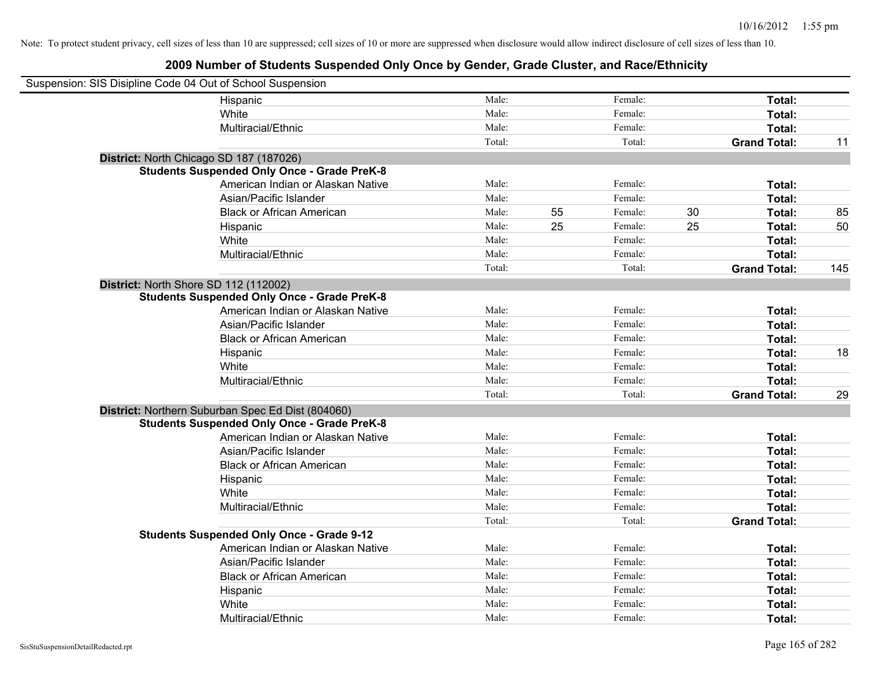| Suspension: SIS Disipline Code 04 Out of School Suspension |                                                    |        |    |         |    |                     |     |
|------------------------------------------------------------|----------------------------------------------------|--------|----|---------|----|---------------------|-----|
|                                                            | Hispanic                                           | Male:  |    | Female: |    | Total:              |     |
|                                                            | White                                              | Male:  |    | Female: |    | Total:              |     |
|                                                            | Multiracial/Ethnic                                 | Male:  |    | Female: |    | Total:              |     |
|                                                            |                                                    | Total: |    | Total:  |    | <b>Grand Total:</b> | 11  |
| District: North Chicago SD 187 (187026)                    |                                                    |        |    |         |    |                     |     |
|                                                            | <b>Students Suspended Only Once - Grade PreK-8</b> |        |    |         |    |                     |     |
|                                                            | American Indian or Alaskan Native                  | Male:  |    | Female: |    | Total:              |     |
|                                                            | Asian/Pacific Islander                             | Male:  |    | Female: |    | Total:              |     |
|                                                            | <b>Black or African American</b>                   | Male:  | 55 | Female: | 30 | Total:              | 85  |
|                                                            | Hispanic                                           | Male:  | 25 | Female: | 25 | Total:              | 50  |
|                                                            | White                                              | Male:  |    | Female: |    | Total:              |     |
|                                                            | Multiracial/Ethnic                                 | Male:  |    | Female: |    | Total:              |     |
|                                                            |                                                    | Total: |    | Total:  |    | <b>Grand Total:</b> | 145 |
| District: North Shore SD 112 (112002)                      |                                                    |        |    |         |    |                     |     |
|                                                            | <b>Students Suspended Only Once - Grade PreK-8</b> |        |    |         |    |                     |     |
|                                                            | American Indian or Alaskan Native                  | Male:  |    | Female: |    | Total:              |     |
|                                                            | Asian/Pacific Islander                             | Male:  |    | Female: |    | Total:              |     |
|                                                            | <b>Black or African American</b>                   | Male:  |    | Female: |    | Total:              |     |
|                                                            | Hispanic                                           | Male:  |    | Female: |    | Total:              | 18  |
|                                                            | White                                              | Male:  |    | Female: |    | Total:              |     |
|                                                            | Multiracial/Ethnic                                 | Male:  |    | Female: |    | Total:              |     |
|                                                            |                                                    | Total: |    | Total:  |    | <b>Grand Total:</b> | 29  |
|                                                            | District: Northern Suburban Spec Ed Dist (804060)  |        |    |         |    |                     |     |
|                                                            | <b>Students Suspended Only Once - Grade PreK-8</b> |        |    |         |    |                     |     |
|                                                            | American Indian or Alaskan Native                  | Male:  |    | Female: |    | Total:              |     |
|                                                            | Asian/Pacific Islander                             | Male:  |    | Female: |    | Total:              |     |
|                                                            | <b>Black or African American</b>                   | Male:  |    | Female: |    | Total:              |     |
|                                                            | Hispanic                                           | Male:  |    | Female: |    | Total:              |     |
|                                                            | White                                              | Male:  |    | Female: |    | Total:              |     |
|                                                            | Multiracial/Ethnic                                 | Male:  |    | Female: |    | Total:              |     |
|                                                            |                                                    | Total: |    | Total:  |    | <b>Grand Total:</b> |     |
|                                                            | <b>Students Suspended Only Once - Grade 9-12</b>   |        |    |         |    |                     |     |
|                                                            | American Indian or Alaskan Native                  | Male:  |    | Female: |    | Total:              |     |
|                                                            | Asian/Pacific Islander                             | Male:  |    | Female: |    | Total:              |     |
|                                                            | <b>Black or African American</b>                   | Male:  |    | Female: |    | Total:              |     |
|                                                            | Hispanic                                           | Male:  |    | Female: |    | Total:              |     |
|                                                            | White                                              | Male:  |    | Female: |    | Total:              |     |
|                                                            | Multiracial/Ethnic                                 | Male:  |    | Female: |    | Total:              |     |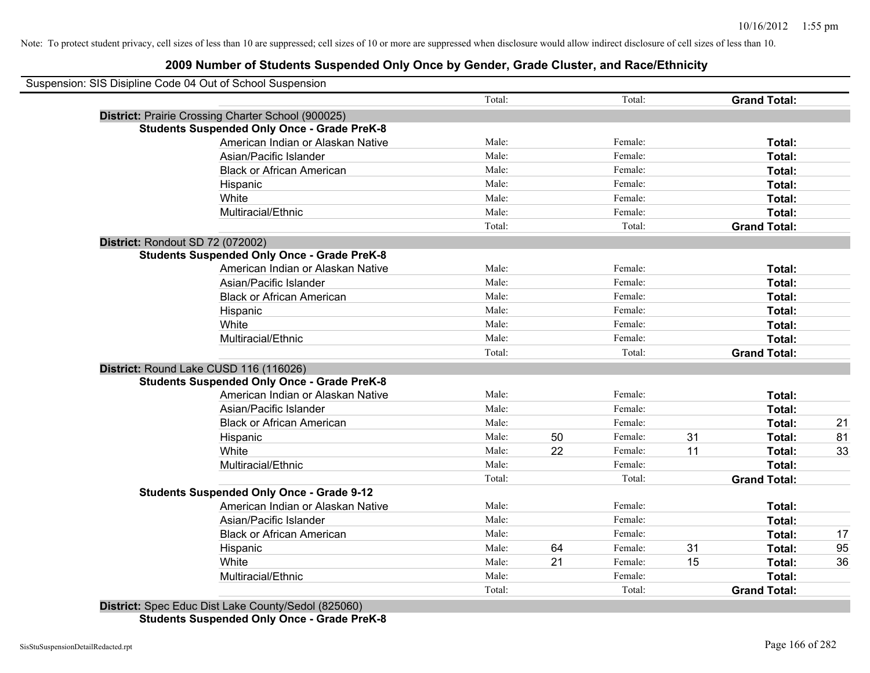## **2009 Number of Students Suspended Only Once by Gender, Grade Cluster, and Race/Ethnicity**

|                                  | Suspension: SIS Disipline Code 04 Out of School Suspension |        |    |         |    |                     |    |
|----------------------------------|------------------------------------------------------------|--------|----|---------|----|---------------------|----|
|                                  |                                                            | Total: |    | Total:  |    | <b>Grand Total:</b> |    |
|                                  | District: Prairie Crossing Charter School (900025)         |        |    |         |    |                     |    |
|                                  | <b>Students Suspended Only Once - Grade PreK-8</b>         |        |    |         |    |                     |    |
|                                  | American Indian or Alaskan Native                          | Male:  |    | Female: |    | Total:              |    |
|                                  | Asian/Pacific Islander                                     | Male:  |    | Female: |    | Total:              |    |
|                                  | <b>Black or African American</b>                           | Male:  |    | Female: |    | Total:              |    |
|                                  | Hispanic                                                   | Male:  |    | Female: |    | Total:              |    |
|                                  | White                                                      | Male:  |    | Female: |    | Total:              |    |
|                                  | Multiracial/Ethnic                                         | Male:  |    | Female: |    | <b>Total:</b>       |    |
|                                  |                                                            | Total: |    | Total:  |    | <b>Grand Total:</b> |    |
| District: Rondout SD 72 (072002) |                                                            |        |    |         |    |                     |    |
|                                  | <b>Students Suspended Only Once - Grade PreK-8</b>         |        |    |         |    |                     |    |
|                                  | American Indian or Alaskan Native                          | Male:  |    | Female: |    | Total:              |    |
|                                  | Asian/Pacific Islander                                     | Male:  |    | Female: |    | Total:              |    |
|                                  | <b>Black or African American</b>                           | Male:  |    | Female: |    | Total:              |    |
|                                  | Hispanic                                                   | Male:  |    | Female: |    | Total:              |    |
|                                  | White                                                      | Male:  |    | Female: |    | <b>Total:</b>       |    |
|                                  | Multiracial/Ethnic                                         | Male:  |    | Female: |    | Total:              |    |
|                                  |                                                            | Total: |    | Total:  |    | <b>Grand Total:</b> |    |
|                                  | District: Round Lake CUSD 116 (116026)                     |        |    |         |    |                     |    |
|                                  | <b>Students Suspended Only Once - Grade PreK-8</b>         |        |    |         |    |                     |    |
|                                  | American Indian or Alaskan Native                          | Male:  |    | Female: |    | Total:              |    |
|                                  | Asian/Pacific Islander                                     | Male:  |    | Female: |    | Total:              |    |
|                                  | <b>Black or African American</b>                           | Male:  |    | Female: |    | Total:              | 21 |
|                                  | Hispanic                                                   | Male:  | 50 | Female: | 31 | Total:              | 81 |
|                                  | White                                                      | Male:  | 22 | Female: | 11 | Total:              | 33 |
|                                  | Multiracial/Ethnic                                         | Male:  |    | Female: |    | <b>Total:</b>       |    |
|                                  |                                                            | Total: |    | Total:  |    | <b>Grand Total:</b> |    |
|                                  | <b>Students Suspended Only Once - Grade 9-12</b>           |        |    |         |    |                     |    |
|                                  | American Indian or Alaskan Native                          | Male:  |    | Female: |    | Total:              |    |
|                                  | Asian/Pacific Islander                                     | Male:  |    | Female: |    | Total:              |    |
|                                  | <b>Black or African American</b>                           | Male:  |    | Female: |    | Total:              | 17 |
|                                  | Hispanic                                                   | Male:  | 64 | Female: | 31 | Total:              | 95 |
|                                  | White                                                      | Male:  | 21 | Female: | 15 | Total:              | 36 |
|                                  | Multiracial/Ethnic                                         | Male:  |    | Female: |    | Total:              |    |
|                                  |                                                            | Total: |    | Total:  |    | <b>Grand Total:</b> |    |

**Students Suspended Only Once - Grade PreK-8**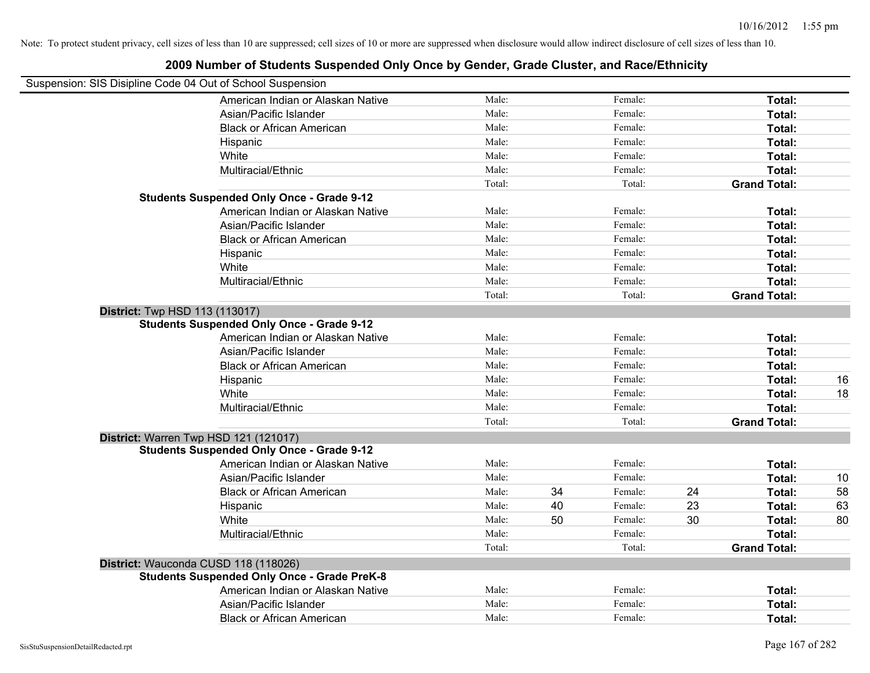|                                                            | Love namber of otaqente oueponaca only once by ochaer, orage onester, and nace/Lumbity |        |    |         |    |                     |    |
|------------------------------------------------------------|----------------------------------------------------------------------------------------|--------|----|---------|----|---------------------|----|
| Suspension: SIS Disipline Code 04 Out of School Suspension |                                                                                        |        |    |         |    |                     |    |
|                                                            | American Indian or Alaskan Native                                                      | Male:  |    | Female: |    | Total:              |    |
|                                                            | Asian/Pacific Islander                                                                 | Male:  |    | Female: |    | Total:              |    |
|                                                            | <b>Black or African American</b>                                                       | Male:  |    | Female: |    | Total:              |    |
|                                                            | Hispanic                                                                               | Male:  |    | Female: |    | Total:              |    |
|                                                            | White                                                                                  | Male:  |    | Female: |    | Total:              |    |
|                                                            | Multiracial/Ethnic                                                                     | Male:  |    | Female: |    | Total:              |    |
|                                                            |                                                                                        | Total: |    | Total:  |    | <b>Grand Total:</b> |    |
|                                                            | <b>Students Suspended Only Once - Grade 9-12</b>                                       |        |    |         |    |                     |    |
|                                                            | American Indian or Alaskan Native                                                      | Male:  |    | Female: |    | Total:              |    |
|                                                            | Asian/Pacific Islander                                                                 | Male:  |    | Female: |    | Total:              |    |
|                                                            | <b>Black or African American</b>                                                       | Male:  |    | Female: |    | Total:              |    |
|                                                            | Hispanic                                                                               | Male:  |    | Female: |    | Total:              |    |
|                                                            | White                                                                                  | Male:  |    | Female: |    | Total:              |    |
|                                                            | Multiracial/Ethnic                                                                     | Male:  |    | Female: |    | Total:              |    |
|                                                            |                                                                                        | Total: |    | Total:  |    | <b>Grand Total:</b> |    |
| <b>District:</b> Twp HSD 113 (113017)                      |                                                                                        |        |    |         |    |                     |    |
|                                                            | <b>Students Suspended Only Once - Grade 9-12</b>                                       |        |    |         |    |                     |    |
|                                                            | American Indian or Alaskan Native                                                      | Male:  |    | Female: |    | Total:              |    |
|                                                            | Asian/Pacific Islander                                                                 | Male:  |    | Female: |    | Total:              |    |
|                                                            | <b>Black or African American</b>                                                       | Male:  |    | Female: |    | Total:              |    |
|                                                            | Hispanic                                                                               | Male:  |    | Female: |    | Total:              | 16 |
|                                                            | White                                                                                  | Male:  |    | Female: |    | Total:              | 18 |
|                                                            | Multiracial/Ethnic                                                                     | Male:  |    | Female: |    | Total:              |    |
|                                                            |                                                                                        | Total: |    | Total:  |    | <b>Grand Total:</b> |    |
|                                                            | District: Warren Twp HSD 121 (121017)                                                  |        |    |         |    |                     |    |
|                                                            | <b>Students Suspended Only Once - Grade 9-12</b>                                       |        |    |         |    |                     |    |
|                                                            | American Indian or Alaskan Native                                                      | Male:  |    | Female: |    | <b>Total:</b>       |    |
|                                                            | Asian/Pacific Islander                                                                 | Male:  |    | Female: |    | Total:              | 10 |
|                                                            | <b>Black or African American</b>                                                       | Male:  | 34 | Female: | 24 | Total:              | 58 |
|                                                            | Hispanic                                                                               | Male:  | 40 | Female: | 23 | Total:              | 63 |
|                                                            | White                                                                                  | Male:  | 50 | Female: | 30 | Total:              | 80 |
|                                                            | Multiracial/Ethnic                                                                     | Male:  |    | Female: |    | Total:              |    |
|                                                            |                                                                                        | Total: |    | Total:  |    | <b>Grand Total:</b> |    |
|                                                            | District: Wauconda CUSD 118 (118026)                                                   |        |    |         |    |                     |    |
|                                                            | <b>Students Suspended Only Once - Grade PreK-8</b>                                     |        |    |         |    |                     |    |
|                                                            | American Indian or Alaskan Native                                                      | Male:  |    | Female: |    | Total:              |    |
|                                                            | Asian/Pacific Islander                                                                 | Male:  |    | Female: |    | <b>Total:</b>       |    |
|                                                            | <b>Black or African American</b>                                                       | Male:  |    | Female: |    | Total:              |    |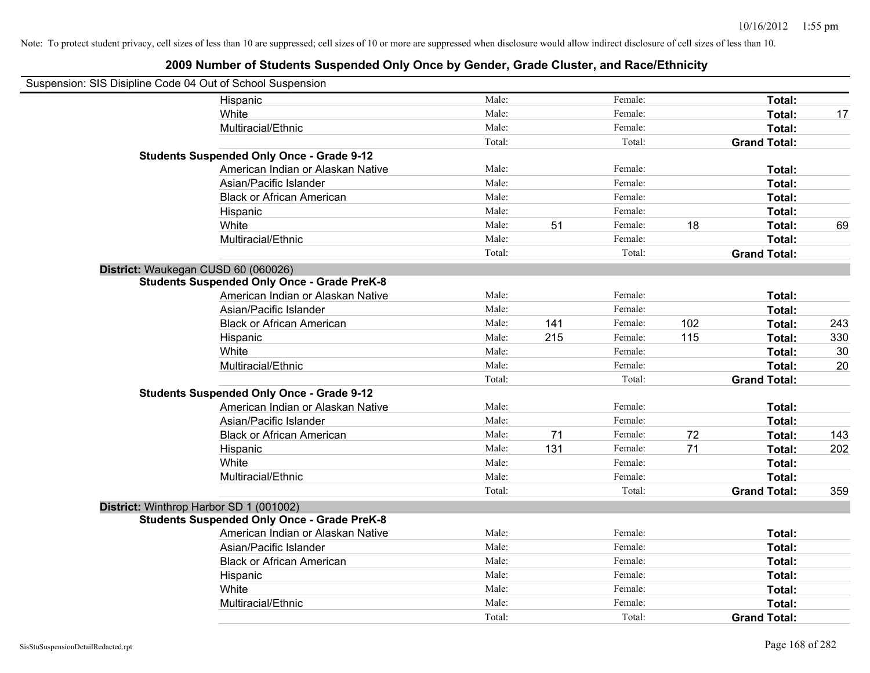| Suspension: SIS Disipline Code 04 Out of School Suspension |        |     |         |     |                     |     |
|------------------------------------------------------------|--------|-----|---------|-----|---------------------|-----|
| Hispanic                                                   | Male:  |     | Female: |     | Total:              |     |
| White                                                      | Male:  |     | Female: |     | Total:              | 17  |
| Multiracial/Ethnic                                         | Male:  |     | Female: |     | Total:              |     |
|                                                            | Total: |     | Total:  |     | <b>Grand Total:</b> |     |
| <b>Students Suspended Only Once - Grade 9-12</b>           |        |     |         |     |                     |     |
| American Indian or Alaskan Native                          | Male:  |     | Female: |     | Total:              |     |
| Asian/Pacific Islander                                     | Male:  |     | Female: |     | Total:              |     |
| <b>Black or African American</b>                           | Male:  |     | Female: |     | Total:              |     |
| Hispanic                                                   | Male:  |     | Female: |     | Total:              |     |
| White                                                      | Male:  | 51  | Female: | 18  | Total:              | 69  |
| Multiracial/Ethnic                                         | Male:  |     | Female: |     | Total:              |     |
|                                                            | Total: |     | Total:  |     | <b>Grand Total:</b> |     |
| District: Waukegan CUSD 60 (060026)                        |        |     |         |     |                     |     |
| <b>Students Suspended Only Once - Grade PreK-8</b>         |        |     |         |     |                     |     |
| American Indian or Alaskan Native                          | Male:  |     | Female: |     | Total:              |     |
| Asian/Pacific Islander                                     | Male:  |     | Female: |     | Total:              |     |
| <b>Black or African American</b>                           | Male:  | 141 | Female: | 102 | Total:              | 243 |
| Hispanic                                                   | Male:  | 215 | Female: | 115 | Total:              | 330 |
| White                                                      | Male:  |     | Female: |     | Total:              | 30  |
| Multiracial/Ethnic                                         | Male:  |     | Female: |     | Total:              | 20  |
|                                                            | Total: |     | Total:  |     | <b>Grand Total:</b> |     |
| <b>Students Suspended Only Once - Grade 9-12</b>           |        |     |         |     |                     |     |
| American Indian or Alaskan Native                          | Male:  |     | Female: |     | Total:              |     |
| Asian/Pacific Islander                                     | Male:  |     | Female: |     | Total:              |     |
| <b>Black or African American</b>                           | Male:  | 71  | Female: | 72  | Total:              | 143 |
| Hispanic                                                   | Male:  | 131 | Female: | 71  | Total:              | 202 |
| White                                                      | Male:  |     | Female: |     | Total:              |     |
| Multiracial/Ethnic                                         | Male:  |     | Female: |     | Total:              |     |
|                                                            | Total: |     | Total:  |     | <b>Grand Total:</b> | 359 |
| District: Winthrop Harbor SD 1 (001002)                    |        |     |         |     |                     |     |
| <b>Students Suspended Only Once - Grade PreK-8</b>         |        |     |         |     |                     |     |
| American Indian or Alaskan Native                          | Male:  |     | Female: |     | Total:              |     |
| Asian/Pacific Islander                                     | Male:  |     | Female: |     | Total:              |     |
| <b>Black or African American</b>                           | Male:  |     | Female: |     | Total:              |     |
| Hispanic                                                   | Male:  |     | Female: |     | Total:              |     |
| White                                                      | Male:  |     | Female: |     | Total:              |     |
| Multiracial/Ethnic                                         | Male:  |     | Female: |     | Total:              |     |
|                                                            | Total: |     | Total:  |     | <b>Grand Total:</b> |     |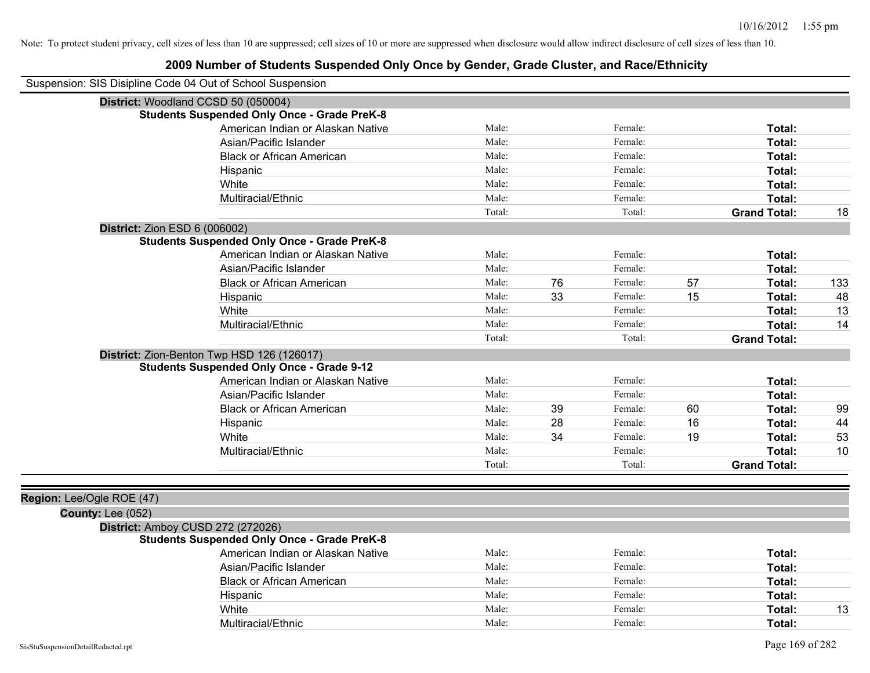|                               | Suspension: SIS Disipline Code 04 Out of School Suspension |        |    |         |    |                     |     |
|-------------------------------|------------------------------------------------------------|--------|----|---------|----|---------------------|-----|
|                               | District: Woodland CCSD 50 (050004)                        |        |    |         |    |                     |     |
|                               | <b>Students Suspended Only Once - Grade PreK-8</b>         |        |    |         |    |                     |     |
|                               | American Indian or Alaskan Native                          | Male:  |    | Female: |    | Total:              |     |
|                               | Asian/Pacific Islander                                     | Male:  |    | Female: |    | Total:              |     |
|                               | <b>Black or African American</b>                           | Male:  |    | Female: |    | Total:              |     |
|                               | Hispanic                                                   | Male:  |    | Female: |    | Total:              |     |
|                               | White                                                      | Male:  |    | Female: |    | Total:              |     |
|                               | Multiracial/Ethnic                                         | Male:  |    | Female: |    | Total:              |     |
|                               |                                                            | Total: |    | Total:  |    | <b>Grand Total:</b> | 18  |
| District: Zion ESD 6 (006002) |                                                            |        |    |         |    |                     |     |
|                               | <b>Students Suspended Only Once - Grade PreK-8</b>         |        |    |         |    |                     |     |
|                               | American Indian or Alaskan Native                          | Male:  |    | Female: |    | Total:              |     |
|                               | Asian/Pacific Islander                                     | Male:  |    | Female: |    | Total:              |     |
|                               | <b>Black or African American</b>                           | Male:  | 76 | Female: | 57 | Total:              | 133 |
|                               | Hispanic                                                   | Male:  | 33 | Female: | 15 | Total:              | 48  |
|                               | White                                                      | Male:  |    | Female: |    | Total:              | 13  |
|                               | Multiracial/Ethnic                                         | Male:  |    | Female: |    | Total:              | 14  |
|                               |                                                            | Total: |    | Total:  |    | <b>Grand Total:</b> |     |
|                               | District: Zion-Benton Twp HSD 126 (126017)                 |        |    |         |    |                     |     |
|                               | <b>Students Suspended Only Once - Grade 9-12</b>           |        |    |         |    |                     |     |
|                               | American Indian or Alaskan Native                          | Male:  |    | Female: |    | Total:              |     |
|                               | Asian/Pacific Islander                                     | Male:  |    | Female: |    | Total:              |     |
|                               | <b>Black or African American</b>                           | Male:  | 39 | Female: | 60 | Total:              | 99  |
|                               | Hispanic                                                   | Male:  | 28 | Female: | 16 | Total:              | 44  |
|                               | White                                                      | Male:  | 34 | Female: | 19 | Total:              | 53  |
|                               | Multiracial/Ethnic                                         | Male:  |    | Female: |    | Total:              | 10  |
|                               |                                                            | Total: |    | Total:  |    | <b>Grand Total:</b> |     |
|                               |                                                            |        |    |         |    |                     |     |
| Region: Lee/Ogle ROE (47)     |                                                            |        |    |         |    |                     |     |
| County: Lee (052)             |                                                            |        |    |         |    |                     |     |
|                               | District: Amboy CUSD 272 (272026)                          |        |    |         |    |                     |     |
|                               | <b>Students Suspended Only Once - Grade PreK-8</b>         |        |    |         |    |                     |     |
|                               | American Indian or Alaskan Native                          | Male:  |    | Female: |    | Total:              |     |
|                               | Asian/Pacific Islander                                     | Male:  |    | Female: |    | Total:              |     |
|                               | <b>Black or African American</b>                           | Male:  |    | Female: |    | Total:              |     |
|                               | Hispanic                                                   | Male:  |    | Female: |    | Total:              |     |
|                               | White                                                      | Male:  |    | Female: |    | Total:              | 13  |
|                               | Multiracial/Ethnic                                         | Male:  |    | Female: |    | Total:              |     |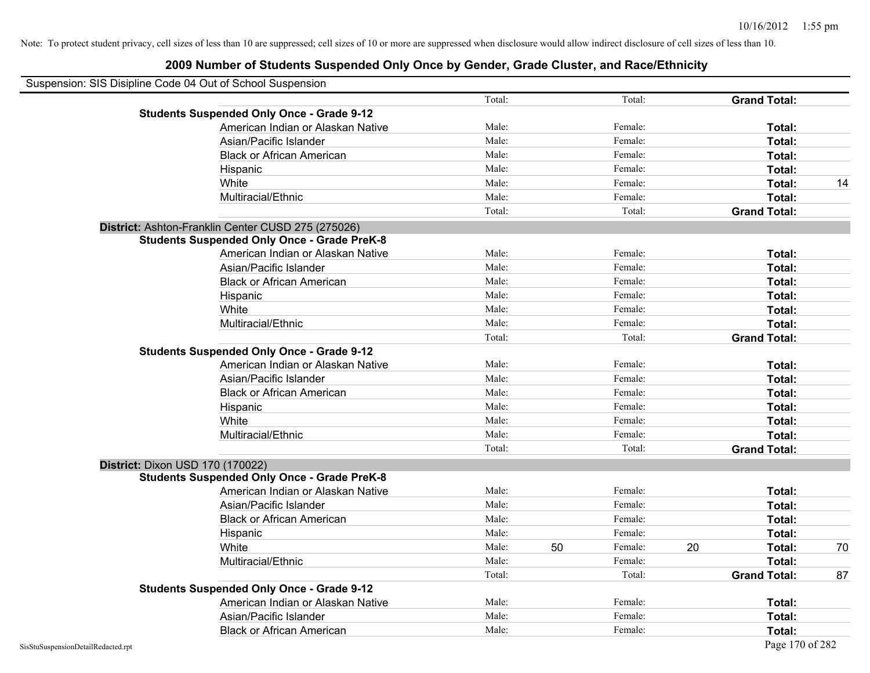| Suspension: SIS Disipline Code 04 Out of School Suspension |                                                    |        |    |         |    |                     |    |
|------------------------------------------------------------|----------------------------------------------------|--------|----|---------|----|---------------------|----|
|                                                            |                                                    | Total: |    | Total:  |    | <b>Grand Total:</b> |    |
|                                                            | <b>Students Suspended Only Once - Grade 9-12</b>   |        |    |         |    |                     |    |
|                                                            | American Indian or Alaskan Native                  | Male:  |    | Female: |    | Total:              |    |
|                                                            | Asian/Pacific Islander                             | Male:  |    | Female: |    | Total:              |    |
|                                                            | <b>Black or African American</b>                   | Male:  |    | Female: |    | Total:              |    |
|                                                            | Hispanic                                           | Male:  |    | Female: |    | Total:              |    |
|                                                            | White                                              | Male:  |    | Female: |    | Total:              | 14 |
|                                                            | Multiracial/Ethnic                                 | Male:  |    | Female: |    | Total:              |    |
|                                                            |                                                    | Total: |    | Total:  |    | <b>Grand Total:</b> |    |
| District: Ashton-Franklin Center CUSD 275 (275026)         |                                                    |        |    |         |    |                     |    |
|                                                            | <b>Students Suspended Only Once - Grade PreK-8</b> |        |    |         |    |                     |    |
|                                                            | American Indian or Alaskan Native                  | Male:  |    | Female: |    | Total:              |    |
|                                                            | Asian/Pacific Islander                             | Male:  |    | Female: |    | Total:              |    |
|                                                            | <b>Black or African American</b>                   | Male:  |    | Female: |    | Total:              |    |
|                                                            | Hispanic                                           | Male:  |    | Female: |    | Total:              |    |
|                                                            | White                                              | Male:  |    | Female: |    | Total:              |    |
|                                                            | Multiracial/Ethnic                                 | Male:  |    | Female: |    | Total:              |    |
|                                                            |                                                    | Total: |    | Total:  |    | <b>Grand Total:</b> |    |
|                                                            | <b>Students Suspended Only Once - Grade 9-12</b>   |        |    |         |    |                     |    |
|                                                            | American Indian or Alaskan Native                  | Male:  |    | Female: |    | Total:              |    |
|                                                            | Asian/Pacific Islander                             | Male:  |    | Female: |    | Total:              |    |
|                                                            | <b>Black or African American</b>                   | Male:  |    | Female: |    | Total:              |    |
|                                                            | Hispanic                                           | Male:  |    | Female: |    | Total:              |    |
|                                                            | White                                              | Male:  |    | Female: |    | Total:              |    |
|                                                            | Multiracial/Ethnic                                 | Male:  |    | Female: |    | Total:              |    |
|                                                            |                                                    | Total: |    | Total:  |    | <b>Grand Total:</b> |    |
| District: Dixon USD 170 (170022)                           |                                                    |        |    |         |    |                     |    |
|                                                            | <b>Students Suspended Only Once - Grade PreK-8</b> |        |    |         |    |                     |    |
|                                                            | American Indian or Alaskan Native                  | Male:  |    | Female: |    | Total:              |    |
|                                                            | Asian/Pacific Islander                             | Male:  |    | Female: |    | Total:              |    |
|                                                            | <b>Black or African American</b>                   | Male:  |    | Female: |    | Total:              |    |
|                                                            | Hispanic                                           | Male:  |    | Female: |    | Total:              |    |
|                                                            | White                                              | Male:  | 50 | Female: | 20 | Total:              | 70 |
|                                                            | Multiracial/Ethnic                                 | Male:  |    | Female: |    | Total:              |    |
|                                                            |                                                    | Total: |    | Total:  |    | <b>Grand Total:</b> | 87 |
|                                                            | <b>Students Suspended Only Once - Grade 9-12</b>   |        |    |         |    |                     |    |
|                                                            | American Indian or Alaskan Native                  | Male:  |    | Female: |    | Total:              |    |
|                                                            | Asian/Pacific Islander                             | Male:  |    | Female: |    | Total:              |    |
|                                                            | <b>Black or African American</b>                   | Male:  |    | Female: |    | Total:              |    |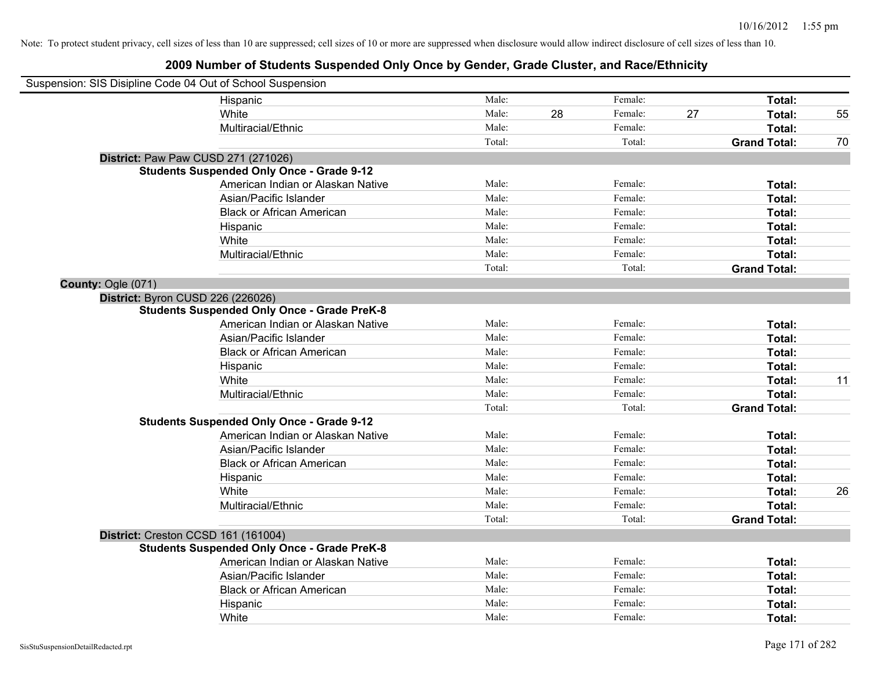| Suspension: SIS Disipline Code 04 Out of School Suspension |                                                    |        |    |         |    |                     |    |
|------------------------------------------------------------|----------------------------------------------------|--------|----|---------|----|---------------------|----|
|                                                            | Hispanic                                           | Male:  |    | Female: |    | Total:              |    |
|                                                            | White                                              | Male:  | 28 | Female: | 27 | Total:              | 55 |
|                                                            | Multiracial/Ethnic                                 | Male:  |    | Female: |    | Total:              |    |
|                                                            |                                                    | Total: |    | Total:  |    | <b>Grand Total:</b> | 70 |
|                                                            | District: Paw Paw CUSD 271 (271026)                |        |    |         |    |                     |    |
|                                                            | <b>Students Suspended Only Once - Grade 9-12</b>   |        |    |         |    |                     |    |
|                                                            | American Indian or Alaskan Native                  | Male:  |    | Female: |    | Total:              |    |
|                                                            | Asian/Pacific Islander                             | Male:  |    | Female: |    | Total:              |    |
|                                                            | <b>Black or African American</b>                   | Male:  |    | Female: |    | Total:              |    |
|                                                            | Hispanic                                           | Male:  |    | Female: |    | Total:              |    |
|                                                            | White                                              | Male:  |    | Female: |    | Total:              |    |
|                                                            | Multiracial/Ethnic                                 | Male:  |    | Female: |    | Total:              |    |
|                                                            |                                                    | Total: |    | Total:  |    | <b>Grand Total:</b> |    |
| County: Ogle (071)                                         |                                                    |        |    |         |    |                     |    |
| District: Byron CUSD 226 (226026)                          |                                                    |        |    |         |    |                     |    |
|                                                            | <b>Students Suspended Only Once - Grade PreK-8</b> |        |    |         |    |                     |    |
|                                                            | American Indian or Alaskan Native                  | Male:  |    | Female: |    | Total:              |    |
|                                                            | Asian/Pacific Islander                             | Male:  |    | Female: |    | Total:              |    |
|                                                            | <b>Black or African American</b>                   | Male:  |    | Female: |    | Total:              |    |
|                                                            | Hispanic                                           | Male:  |    | Female: |    | Total:              |    |
|                                                            | White                                              | Male:  |    | Female: |    | Total:              | 11 |
|                                                            | Multiracial/Ethnic                                 | Male:  |    | Female: |    | Total:              |    |
|                                                            |                                                    | Total: |    | Total:  |    | <b>Grand Total:</b> |    |
|                                                            | <b>Students Suspended Only Once - Grade 9-12</b>   |        |    |         |    |                     |    |
|                                                            | American Indian or Alaskan Native                  | Male:  |    | Female: |    | Total:              |    |
|                                                            | Asian/Pacific Islander                             | Male:  |    | Female: |    | Total:              |    |
|                                                            | <b>Black or African American</b>                   | Male:  |    | Female: |    | Total:              |    |
|                                                            | Hispanic                                           | Male:  |    | Female: |    | Total:              |    |
|                                                            | White                                              | Male:  |    | Female: |    | Total:              | 26 |
|                                                            | Multiracial/Ethnic                                 | Male:  |    | Female: |    | Total:              |    |
|                                                            |                                                    | Total: |    | Total:  |    | <b>Grand Total:</b> |    |
| District: Creston CCSD 161 (161004)                        |                                                    |        |    |         |    |                     |    |
|                                                            | <b>Students Suspended Only Once - Grade PreK-8</b> |        |    |         |    |                     |    |
|                                                            | American Indian or Alaskan Native                  | Male:  |    | Female: |    | Total:              |    |
|                                                            | Asian/Pacific Islander                             | Male:  |    | Female: |    | Total:              |    |
|                                                            | <b>Black or African American</b>                   | Male:  |    | Female: |    | Total:              |    |
|                                                            | Hispanic                                           | Male:  |    | Female: |    | Total:              |    |
|                                                            | White                                              | Male:  |    | Female: |    | Total:              |    |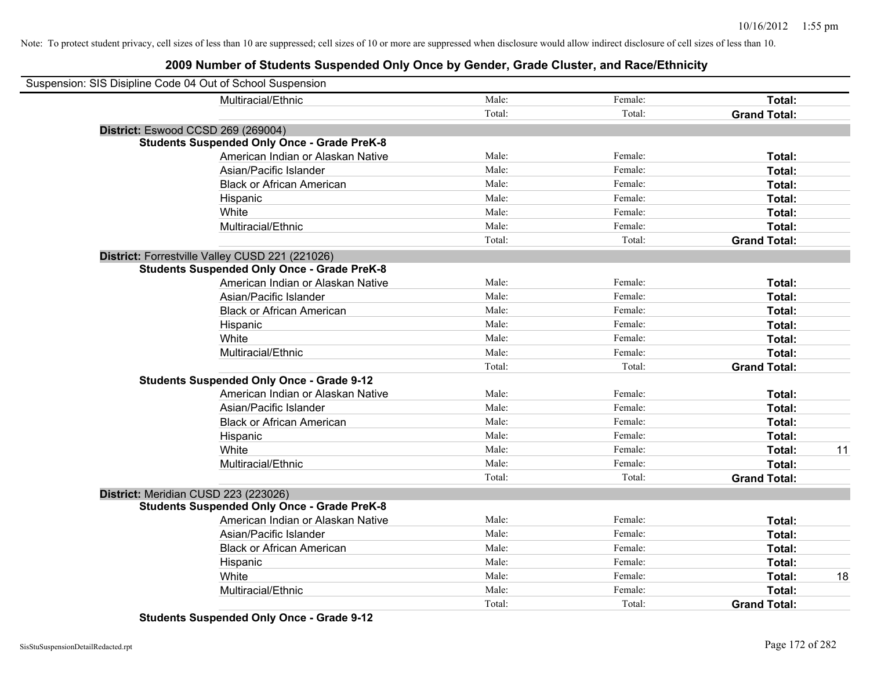## **2009 Number of Students Suspended Only Once by Gender, Grade Cluster, and Race/Ethnicity**

| Suspension: SIS Disipline Code 04 Out of School Suspension |                                                    |        |         |                     |    |
|------------------------------------------------------------|----------------------------------------------------|--------|---------|---------------------|----|
|                                                            | Multiracial/Ethnic                                 | Male:  | Female: | Total:              |    |
|                                                            |                                                    | Total: | Total:  | <b>Grand Total:</b> |    |
| District: Eswood CCSD 269 (269004)                         |                                                    |        |         |                     |    |
|                                                            | <b>Students Suspended Only Once - Grade PreK-8</b> |        |         |                     |    |
|                                                            | American Indian or Alaskan Native                  | Male:  | Female: | Total:              |    |
|                                                            | Asian/Pacific Islander                             | Male:  | Female: | Total:              |    |
|                                                            | <b>Black or African American</b>                   | Male:  | Female: | Total:              |    |
|                                                            | Hispanic                                           | Male:  | Female: | Total:              |    |
|                                                            | White                                              | Male:  | Female: | Total:              |    |
|                                                            | Multiracial/Ethnic                                 | Male:  | Female: | Total:              |    |
|                                                            |                                                    | Total: | Total:  | <b>Grand Total:</b> |    |
|                                                            | District: Forrestville Valley CUSD 221 (221026)    |        |         |                     |    |
|                                                            | <b>Students Suspended Only Once - Grade PreK-8</b> |        |         |                     |    |
|                                                            | American Indian or Alaskan Native                  | Male:  | Female: | Total:              |    |
|                                                            | Asian/Pacific Islander                             | Male:  | Female: | Total:              |    |
|                                                            | <b>Black or African American</b>                   | Male:  | Female: | Total:              |    |
|                                                            | Hispanic                                           | Male:  | Female: | Total:              |    |
|                                                            | White                                              | Male:  | Female: | Total:              |    |
|                                                            | Multiracial/Ethnic                                 | Male:  | Female: | Total:              |    |
|                                                            |                                                    | Total: | Total:  | <b>Grand Total:</b> |    |
|                                                            | <b>Students Suspended Only Once - Grade 9-12</b>   |        |         |                     |    |
|                                                            | American Indian or Alaskan Native                  | Male:  | Female: | Total:              |    |
|                                                            | Asian/Pacific Islander                             | Male:  | Female: | Total:              |    |
|                                                            | <b>Black or African American</b>                   | Male:  | Female: | Total:              |    |
|                                                            | Hispanic                                           | Male:  | Female: | Total:              |    |
|                                                            | White                                              | Male:  | Female: | Total:              | 11 |
|                                                            | Multiracial/Ethnic                                 | Male:  | Female: | Total:              |    |
|                                                            |                                                    | Total: | Total:  | <b>Grand Total:</b> |    |
| District: Meridian CUSD 223 (223026)                       |                                                    |        |         |                     |    |
|                                                            | <b>Students Suspended Only Once - Grade PreK-8</b> |        |         |                     |    |
|                                                            | American Indian or Alaskan Native                  | Male:  | Female: | Total:              |    |
|                                                            | Asian/Pacific Islander                             | Male:  | Female: | Total:              |    |
|                                                            | <b>Black or African American</b>                   | Male:  | Female: | Total:              |    |
|                                                            | Hispanic                                           | Male:  | Female: | Total:              |    |
|                                                            | White                                              | Male:  | Female: | Total:              | 18 |
|                                                            | Multiracial/Ethnic                                 | Male:  | Female: | <b>Total:</b>       |    |
|                                                            |                                                    | Total: | Total:  | <b>Grand Total:</b> |    |

**Students Suspended Only Once - Grade 9-12**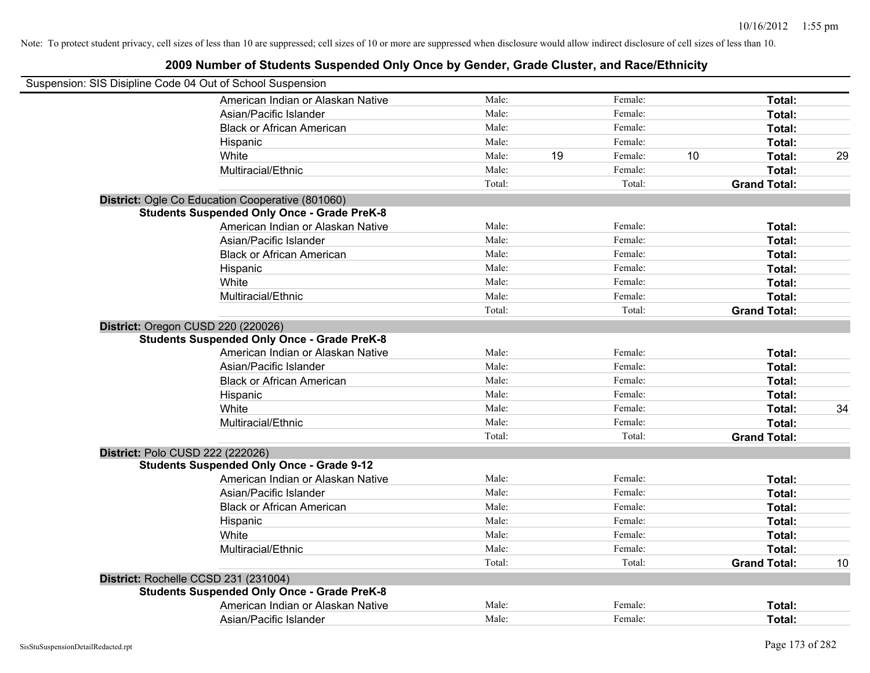| Suspension: SIS Disipline Code 04 Out of School Suspension                               |                 |    |                    |    |                     |    |
|------------------------------------------------------------------------------------------|-----------------|----|--------------------|----|---------------------|----|
| American Indian or Alaskan Native                                                        | Male:           |    | Female:            |    | Total:              |    |
| Asian/Pacific Islander                                                                   | Male:           |    | Female:            |    | Total:              |    |
| <b>Black or African American</b>                                                         | Male:           |    | Female:            |    | Total:              |    |
| Hispanic                                                                                 | Male:           |    | Female:            |    | Total:              |    |
| White                                                                                    | Male:           | 19 | Female:            | 10 | Total:              | 29 |
| Multiracial/Ethnic                                                                       | Male:           |    | Female:            |    | Total:              |    |
|                                                                                          | Total:          |    | Total:             |    | <b>Grand Total:</b> |    |
| District: Ogle Co Education Cooperative (801060)                                         |                 |    |                    |    |                     |    |
| <b>Students Suspended Only Once - Grade PreK-8</b>                                       |                 |    |                    |    |                     |    |
| American Indian or Alaskan Native                                                        | Male:           |    | Female:            |    | Total:              |    |
| Asian/Pacific Islander                                                                   | Male:           |    | Female:            |    | Total:              |    |
| <b>Black or African American</b>                                                         | Male:           |    | Female:            |    | Total:              |    |
| Hispanic                                                                                 | Male:           |    | Female:            |    | Total:              |    |
| White                                                                                    | Male:           |    | Female:            |    | Total:              |    |
| Multiracial/Ethnic                                                                       | Male:           |    | Female:            |    | Total:              |    |
|                                                                                          | Total:          |    | Total:             |    | <b>Grand Total:</b> |    |
| District: Oregon CUSD 220 (220026)<br><b>Students Suspended Only Once - Grade PreK-8</b> |                 |    |                    |    |                     |    |
| American Indian or Alaskan Native                                                        | Male:<br>Male:  |    | Female:<br>Female: |    | Total:              |    |
| Asian/Pacific Islander                                                                   | Male:           |    |                    |    | Total:              |    |
| <b>Black or African American</b>                                                         | Male:           |    | Female:            |    | Total:              |    |
| Hispanic                                                                                 | Male:           |    | Female:            |    | Total:              |    |
| White                                                                                    |                 |    | Female:            |    | Total:              | 34 |
| Multiracial/Ethnic                                                                       | Male:<br>Total: |    | Female:<br>Total:  |    | Total:              |    |
|                                                                                          |                 |    |                    |    | <b>Grand Total:</b> |    |
| District: Polo CUSD 222 (222026)<br><b>Students Suspended Only Once - Grade 9-12</b>     |                 |    |                    |    |                     |    |
| American Indian or Alaskan Native                                                        | Male:           |    | Female:            |    | Total:              |    |
| Asian/Pacific Islander                                                                   | Male:           |    | Female:            |    | Total:              |    |
| <b>Black or African American</b>                                                         | Male:           |    | Female:            |    | Total:              |    |
| Hispanic                                                                                 | Male:           |    | Female:            |    | Total:              |    |
| White                                                                                    | Male:           |    | Female:            |    | Total:              |    |
| Multiracial/Ethnic                                                                       | Male:           |    | Female:            |    | Total:              |    |
|                                                                                          | Total:          |    | Total:             |    | <b>Grand Total:</b> | 10 |
| District: Rochelle CCSD 231 (231004)                                                     |                 |    |                    |    |                     |    |
| <b>Students Suspended Only Once - Grade PreK-8</b>                                       |                 |    |                    |    |                     |    |
| American Indian or Alaskan Native                                                        | Male:           |    | Female:            |    | Total:              |    |
| Asian/Pacific Islander                                                                   | Male:           |    | Female:            |    | Total:              |    |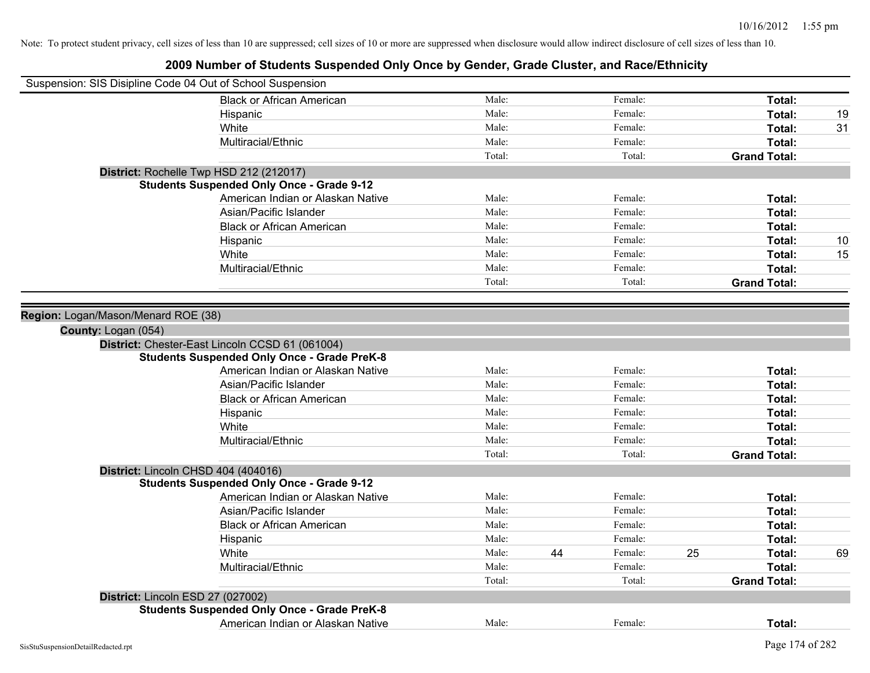| Suspension: SIS Disipline Code 04 Out of School Suspension |                                                    |        |    |         |    |                     |    |
|------------------------------------------------------------|----------------------------------------------------|--------|----|---------|----|---------------------|----|
|                                                            | <b>Black or African American</b>                   | Male:  |    | Female: |    | Total:              |    |
|                                                            | Hispanic                                           | Male:  |    | Female: |    | Total:              | 19 |
|                                                            | White                                              | Male:  |    | Female: |    | Total:              | 31 |
|                                                            | Multiracial/Ethnic                                 | Male:  |    | Female: |    | Total:              |    |
|                                                            |                                                    | Total: |    | Total:  |    | <b>Grand Total:</b> |    |
|                                                            | District: Rochelle Twp HSD 212 (212017)            |        |    |         |    |                     |    |
|                                                            | <b>Students Suspended Only Once - Grade 9-12</b>   |        |    |         |    |                     |    |
|                                                            | American Indian or Alaskan Native                  | Male:  |    | Female: |    | Total:              |    |
|                                                            | Asian/Pacific Islander                             | Male:  |    | Female: |    | Total:              |    |
|                                                            | <b>Black or African American</b>                   | Male:  |    | Female: |    | Total:              |    |
|                                                            | Hispanic                                           | Male:  |    | Female: |    | Total:              | 10 |
|                                                            | White                                              | Male:  |    | Female: |    | Total:              | 15 |
|                                                            | Multiracial/Ethnic                                 | Male:  |    | Female: |    | Total:              |    |
|                                                            |                                                    | Total: |    | Total:  |    | <b>Grand Total:</b> |    |
|                                                            |                                                    |        |    |         |    |                     |    |
| Region: Logan/Mason/Menard ROE (38)                        |                                                    |        |    |         |    |                     |    |
| County: Logan (054)                                        |                                                    |        |    |         |    |                     |    |
|                                                            | District: Chester-East Lincoln CCSD 61 (061004)    |        |    |         |    |                     |    |
|                                                            | <b>Students Suspended Only Once - Grade PreK-8</b> |        |    |         |    |                     |    |
|                                                            | American Indian or Alaskan Native                  | Male:  |    | Female: |    | Total:              |    |
|                                                            | Asian/Pacific Islander                             | Male:  |    | Female: |    | Total:              |    |
|                                                            | <b>Black or African American</b>                   | Male:  |    | Female: |    | Total:              |    |
|                                                            | Hispanic                                           | Male:  |    | Female: |    | Total:              |    |
|                                                            | White                                              | Male:  |    | Female: |    | Total:              |    |
|                                                            | Multiracial/Ethnic                                 | Male:  |    | Female: |    | Total:              |    |
|                                                            |                                                    | Total: |    | Total:  |    | <b>Grand Total:</b> |    |
| District: Lincoln CHSD 404 (404016)                        |                                                    |        |    |         |    |                     |    |
|                                                            | <b>Students Suspended Only Once - Grade 9-12</b>   |        |    |         |    |                     |    |
|                                                            | American Indian or Alaskan Native                  | Male:  |    | Female: |    | Total:              |    |
|                                                            | Asian/Pacific Islander                             | Male:  |    | Female: |    | Total:              |    |
|                                                            | <b>Black or African American</b>                   | Male:  |    | Female: |    | Total:              |    |
|                                                            | Hispanic                                           | Male:  |    | Female: |    | Total:              |    |
|                                                            | White                                              | Male:  | 44 | Female: | 25 | Total:              | 69 |
|                                                            | Multiracial/Ethnic                                 | Male:  |    | Female: |    | Total:              |    |
|                                                            |                                                    | Total: |    | Total:  |    | <b>Grand Total:</b> |    |
| District: Lincoln ESD 27 (027002)                          |                                                    |        |    |         |    |                     |    |
|                                                            | <b>Students Suspended Only Once - Grade PreK-8</b> |        |    |         |    |                     |    |
|                                                            | American Indian or Alaskan Native                  | Male:  |    | Female: |    | Total:              |    |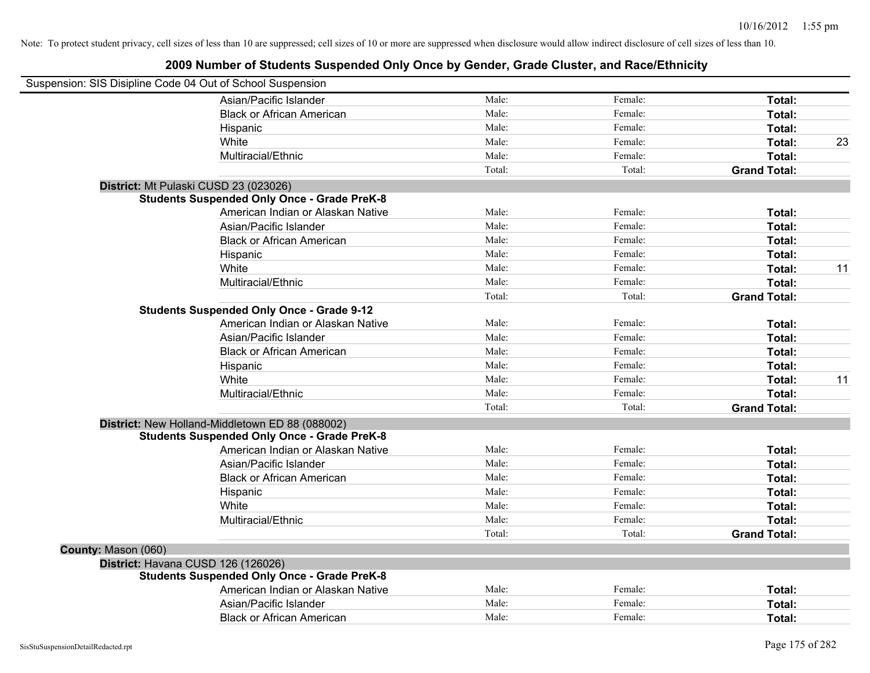| Suspension: SIS Disipline Code 04 Out of School Suspension |                                                    |        |         |                     |    |
|------------------------------------------------------------|----------------------------------------------------|--------|---------|---------------------|----|
|                                                            | Asian/Pacific Islander                             | Male:  | Female: | Total:              |    |
|                                                            | <b>Black or African American</b>                   | Male:  | Female: | Total:              |    |
|                                                            | Hispanic                                           | Male:  | Female: | Total:              |    |
|                                                            | White                                              | Male:  | Female: | Total:              | 23 |
|                                                            | Multiracial/Ethnic                                 | Male:  | Female: | Total:              |    |
|                                                            |                                                    | Total: | Total:  | <b>Grand Total:</b> |    |
| District: Mt Pulaski CUSD 23 (023026)                      |                                                    |        |         |                     |    |
|                                                            | <b>Students Suspended Only Once - Grade PreK-8</b> |        |         |                     |    |
|                                                            | American Indian or Alaskan Native                  | Male:  | Female: | Total:              |    |
|                                                            | Asian/Pacific Islander                             | Male:  | Female: | Total:              |    |
|                                                            | <b>Black or African American</b>                   | Male:  | Female: | Total:              |    |
|                                                            | Hispanic                                           | Male:  | Female: | Total:              |    |
|                                                            | White                                              | Male:  | Female: | Total:              | 11 |
|                                                            | Multiracial/Ethnic                                 | Male:  | Female: | Total:              |    |
|                                                            |                                                    | Total: | Total:  | <b>Grand Total:</b> |    |
|                                                            | <b>Students Suspended Only Once - Grade 9-12</b>   |        |         |                     |    |
|                                                            | American Indian or Alaskan Native                  | Male:  | Female: | Total:              |    |
|                                                            | Asian/Pacific Islander                             | Male:  | Female: | Total:              |    |
|                                                            | <b>Black or African American</b>                   | Male:  | Female: | Total:              |    |
|                                                            | Hispanic                                           | Male:  | Female: | Total:              |    |
|                                                            | White                                              | Male:  | Female: | Total:              | 11 |
|                                                            | Multiracial/Ethnic                                 | Male:  | Female: | Total:              |    |
|                                                            |                                                    | Total: | Total:  | <b>Grand Total:</b> |    |
|                                                            | District: New Holland-Middletown ED 88 (088002)    |        |         |                     |    |
|                                                            | <b>Students Suspended Only Once - Grade PreK-8</b> |        |         |                     |    |
|                                                            | American Indian or Alaskan Native                  | Male:  | Female: | Total:              |    |
|                                                            | Asian/Pacific Islander                             | Male:  | Female: | Total:              |    |
|                                                            | <b>Black or African American</b>                   | Male:  | Female: | Total:              |    |
|                                                            | Hispanic                                           | Male:  | Female: | Total:              |    |
|                                                            | White                                              | Male:  | Female: | Total:              |    |
|                                                            | Multiracial/Ethnic                                 | Male:  | Female: | Total:              |    |
|                                                            |                                                    | Total: | Total:  | <b>Grand Total:</b> |    |
| County: Mason (060)                                        |                                                    |        |         |                     |    |
| District: Havana CUSD 126 (126026)                         |                                                    |        |         |                     |    |
|                                                            | <b>Students Suspended Only Once - Grade PreK-8</b> |        |         |                     |    |
|                                                            | American Indian or Alaskan Native                  | Male:  | Female: | Total:              |    |
|                                                            | Asian/Pacific Islander                             | Male:  | Female: | Total:              |    |
|                                                            | <b>Black or African American</b>                   | Male:  | Female: | Total:              |    |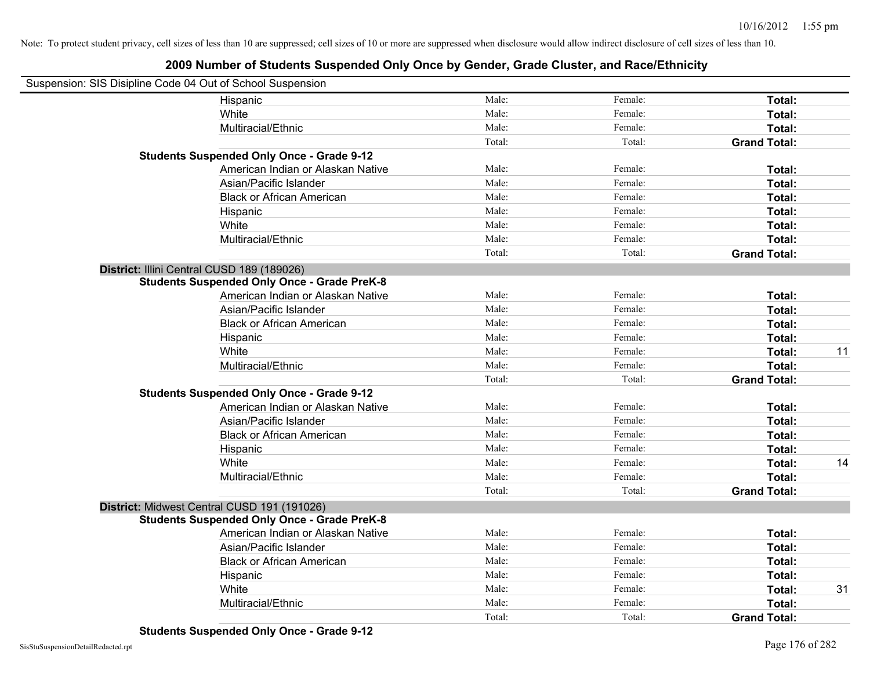| Suspension: SIS Disipline Code 04 Out of School Suspension |        |         |                     |    |
|------------------------------------------------------------|--------|---------|---------------------|----|
| Hispanic                                                   | Male:  | Female: | Total:              |    |
| White                                                      | Male:  | Female: | Total:              |    |
| Multiracial/Ethnic                                         | Male:  | Female: | Total:              |    |
|                                                            | Total: | Total:  | <b>Grand Total:</b> |    |
| <b>Students Suspended Only Once - Grade 9-12</b>           |        |         |                     |    |
| American Indian or Alaskan Native                          | Male:  | Female: | Total:              |    |
| Asian/Pacific Islander                                     | Male:  | Female: | Total:              |    |
| <b>Black or African American</b>                           | Male:  | Female: | Total:              |    |
| Hispanic                                                   | Male:  | Female: | Total:              |    |
| White                                                      | Male:  | Female: | Total:              |    |
| Multiracial/Ethnic                                         | Male:  | Female: | Total:              |    |
|                                                            | Total: | Total:  | <b>Grand Total:</b> |    |
| District: Illini Central CUSD 189 (189026)                 |        |         |                     |    |
| <b>Students Suspended Only Once - Grade PreK-8</b>         |        |         |                     |    |
| American Indian or Alaskan Native                          | Male:  | Female: | Total:              |    |
| Asian/Pacific Islander                                     | Male:  | Female: | Total:              |    |
| <b>Black or African American</b>                           | Male:  | Female: | Total:              |    |
| Hispanic                                                   | Male:  | Female: | Total:              |    |
| White                                                      | Male:  | Female: | Total:              | 11 |
| Multiracial/Ethnic                                         | Male:  | Female: | Total:              |    |
|                                                            | Total: | Total:  | <b>Grand Total:</b> |    |
| <b>Students Suspended Only Once - Grade 9-12</b>           |        |         |                     |    |
| American Indian or Alaskan Native                          | Male:  | Female: | Total:              |    |
| Asian/Pacific Islander                                     | Male:  | Female: | Total:              |    |
| <b>Black or African American</b>                           | Male:  | Female: | Total:              |    |
| Hispanic                                                   | Male:  | Female: | Total:              |    |
| White                                                      | Male:  | Female: | Total:              | 14 |
| Multiracial/Ethnic                                         | Male:  | Female: | Total:              |    |
|                                                            | Total: | Total:  | <b>Grand Total:</b> |    |
| District: Midwest Central CUSD 191 (191026)                |        |         |                     |    |
| <b>Students Suspended Only Once - Grade PreK-8</b>         |        |         |                     |    |
| American Indian or Alaskan Native                          | Male:  | Female: | Total:              |    |
| Asian/Pacific Islander                                     | Male:  | Female: | Total:              |    |
| <b>Black or African American</b>                           | Male:  | Female: | Total:              |    |
| Hispanic                                                   | Male:  | Female: | Total:              |    |
| White                                                      | Male:  | Female: | Total:              | 31 |
| Multiracial/Ethnic                                         | Male:  | Female: | Total:              |    |
|                                                            | Total: | Total:  | <b>Grand Total:</b> |    |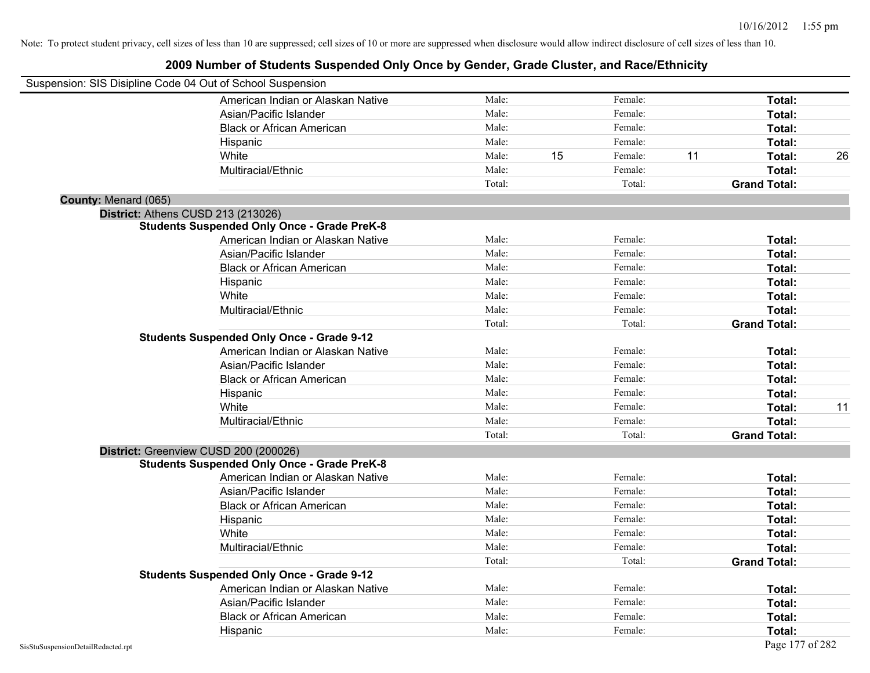| Suspension: SIS Disipline Code 04 Out of School Suspension |                                                    |        |    |         |    |                     |    |
|------------------------------------------------------------|----------------------------------------------------|--------|----|---------|----|---------------------|----|
|                                                            | American Indian or Alaskan Native                  | Male:  |    | Female: |    | Total:              |    |
|                                                            | Asian/Pacific Islander                             | Male:  |    | Female: |    | Total:              |    |
|                                                            | <b>Black or African American</b>                   | Male:  |    | Female: |    | Total:              |    |
|                                                            | Hispanic                                           | Male:  |    | Female: |    | Total:              |    |
|                                                            | White                                              | Male:  | 15 | Female: | 11 | Total:              | 26 |
|                                                            | Multiracial/Ethnic                                 | Male:  |    | Female: |    | Total:              |    |
|                                                            |                                                    | Total: |    | Total:  |    | <b>Grand Total:</b> |    |
| County: Menard (065)                                       |                                                    |        |    |         |    |                     |    |
|                                                            | District: Athens CUSD 213 (213026)                 |        |    |         |    |                     |    |
|                                                            | <b>Students Suspended Only Once - Grade PreK-8</b> |        |    |         |    |                     |    |
|                                                            | American Indian or Alaskan Native                  | Male:  |    | Female: |    | Total:              |    |
|                                                            | Asian/Pacific Islander                             | Male:  |    | Female: |    | Total:              |    |
|                                                            | <b>Black or African American</b>                   | Male:  |    | Female: |    | Total:              |    |
|                                                            | Hispanic                                           | Male:  |    | Female: |    | Total:              |    |
|                                                            | White                                              | Male:  |    | Female: |    | Total:              |    |
|                                                            | Multiracial/Ethnic                                 | Male:  |    | Female: |    | Total:              |    |
|                                                            |                                                    | Total: |    | Total:  |    | <b>Grand Total:</b> |    |
|                                                            | <b>Students Suspended Only Once - Grade 9-12</b>   |        |    |         |    |                     |    |
|                                                            | American Indian or Alaskan Native                  | Male:  |    | Female: |    | Total:              |    |
|                                                            | Asian/Pacific Islander                             | Male:  |    | Female: |    | Total:              |    |
|                                                            | <b>Black or African American</b>                   | Male:  |    | Female: |    | Total:              |    |
|                                                            | Hispanic                                           | Male:  |    | Female: |    | Total:              |    |
|                                                            | White                                              | Male:  |    | Female: |    | Total:              | 11 |
|                                                            | Multiracial/Ethnic                                 | Male:  |    | Female: |    | Total:              |    |
|                                                            |                                                    | Total: |    | Total:  |    | <b>Grand Total:</b> |    |
|                                                            | District: Greenview CUSD 200 (200026)              |        |    |         |    |                     |    |
|                                                            | <b>Students Suspended Only Once - Grade PreK-8</b> |        |    |         |    |                     |    |
|                                                            | American Indian or Alaskan Native                  | Male:  |    | Female: |    | Total:              |    |
|                                                            | Asian/Pacific Islander                             | Male:  |    | Female: |    | Total:              |    |
|                                                            | <b>Black or African American</b>                   | Male:  |    | Female: |    | Total:              |    |
|                                                            | Hispanic                                           | Male:  |    | Female: |    | Total:              |    |
|                                                            | White                                              | Male:  |    | Female: |    | Total:              |    |
|                                                            | Multiracial/Ethnic                                 | Male:  |    | Female: |    | Total:              |    |
|                                                            |                                                    | Total: |    | Total:  |    | <b>Grand Total:</b> |    |
|                                                            | <b>Students Suspended Only Once - Grade 9-12</b>   |        |    |         |    |                     |    |
|                                                            | American Indian or Alaskan Native                  | Male:  |    | Female: |    | Total:              |    |
|                                                            | Asian/Pacific Islander                             | Male:  |    | Female: |    | Total:              |    |
|                                                            | <b>Black or African American</b>                   | Male:  |    | Female: |    | Total:              |    |
|                                                            | Hispanic                                           | Male:  |    | Female: |    | Total:              |    |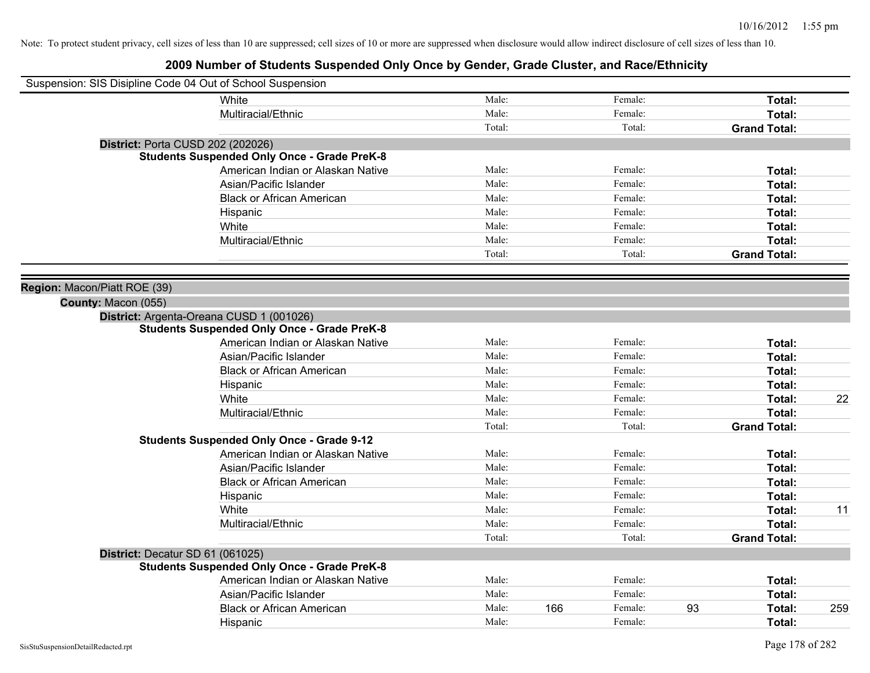| Suspension: SIS Disipline Code 04 Out of School Suspension |                                                    |        |     |         |    |                     |     |
|------------------------------------------------------------|----------------------------------------------------|--------|-----|---------|----|---------------------|-----|
|                                                            | White                                              | Male:  |     | Female: |    | Total:              |     |
|                                                            | Multiracial/Ethnic                                 | Male:  |     | Female: |    | Total:              |     |
|                                                            |                                                    | Total: |     | Total:  |    | <b>Grand Total:</b> |     |
| <b>District: Porta CUSD 202 (202026)</b>                   |                                                    |        |     |         |    |                     |     |
|                                                            | <b>Students Suspended Only Once - Grade PreK-8</b> |        |     |         |    |                     |     |
|                                                            | American Indian or Alaskan Native                  | Male:  |     | Female: |    | Total:              |     |
|                                                            | Asian/Pacific Islander                             | Male:  |     | Female: |    | Total:              |     |
|                                                            | <b>Black or African American</b>                   | Male:  |     | Female: |    | Total:              |     |
|                                                            | Hispanic                                           | Male:  |     | Female: |    | Total:              |     |
|                                                            | White                                              | Male:  |     | Female: |    | Total:              |     |
|                                                            | Multiracial/Ethnic                                 | Male:  |     | Female: |    | Total:              |     |
|                                                            |                                                    | Total: |     | Total:  |    | <b>Grand Total:</b> |     |
|                                                            |                                                    |        |     |         |    |                     |     |
| Region: Macon/Piatt ROE (39)                               |                                                    |        |     |         |    |                     |     |
| County: Macon (055)                                        |                                                    |        |     |         |    |                     |     |
| District: Argenta-Oreana CUSD 1 (001026)                   |                                                    |        |     |         |    |                     |     |
|                                                            | <b>Students Suspended Only Once - Grade PreK-8</b> |        |     |         |    |                     |     |
|                                                            | American Indian or Alaskan Native                  | Male:  |     | Female: |    | Total:              |     |
|                                                            | Asian/Pacific Islander                             | Male:  |     | Female: |    | Total:              |     |
|                                                            | <b>Black or African American</b>                   | Male:  |     | Female: |    | Total:              |     |
|                                                            | Hispanic                                           | Male:  |     | Female: |    | Total:              |     |
|                                                            | White                                              | Male:  |     | Female: |    | Total:              | 22  |
|                                                            | Multiracial/Ethnic                                 | Male:  |     | Female: |    | Total:              |     |
|                                                            |                                                    | Total: |     | Total:  |    | <b>Grand Total:</b> |     |
|                                                            | <b>Students Suspended Only Once - Grade 9-12</b>   |        |     |         |    |                     |     |
|                                                            | American Indian or Alaskan Native                  | Male:  |     | Female: |    | Total:              |     |
|                                                            | Asian/Pacific Islander                             | Male:  |     | Female: |    | Total:              |     |
|                                                            | <b>Black or African American</b>                   | Male:  |     | Female: |    | Total:              |     |
|                                                            | Hispanic                                           | Male:  |     | Female: |    | Total:              |     |
|                                                            | White                                              | Male:  |     | Female: |    | Total:              | 11  |
|                                                            | Multiracial/Ethnic                                 | Male:  |     | Female: |    | Total:              |     |
|                                                            |                                                    | Total: |     | Total:  |    | <b>Grand Total:</b> |     |
| District: Decatur SD 61 (061025)                           |                                                    |        |     |         |    |                     |     |
|                                                            | <b>Students Suspended Only Once - Grade PreK-8</b> |        |     |         |    |                     |     |
|                                                            | American Indian or Alaskan Native                  | Male:  |     | Female: |    | Total:              |     |
|                                                            | Asian/Pacific Islander                             | Male:  |     | Female: |    | <b>Total:</b>       |     |
|                                                            | <b>Black or African American</b>                   | Male:  | 166 | Female: | 93 | <b>Total:</b>       | 259 |
|                                                            | Hispanic                                           | Male:  |     | Female: |    | Total:              |     |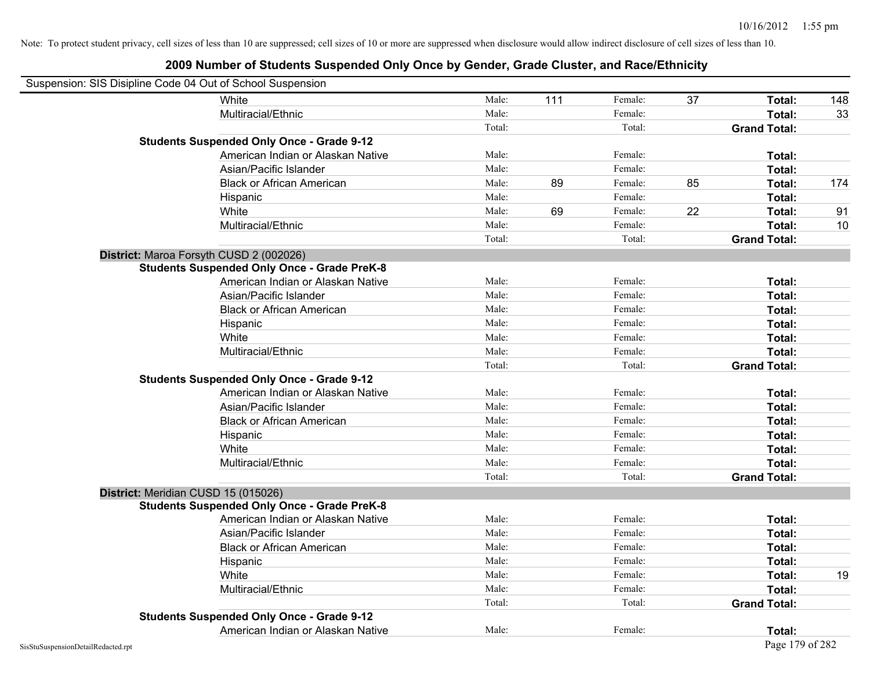| Suspension: SIS Disipline Code 04 Out of School Suspension |                                                    |        |     |         |    |                     |     |
|------------------------------------------------------------|----------------------------------------------------|--------|-----|---------|----|---------------------|-----|
|                                                            | <b>White</b>                                       | Male:  | 111 | Female: | 37 | Total:              | 148 |
|                                                            | Multiracial/Ethnic                                 | Male:  |     | Female: |    | Total:              | 33  |
|                                                            |                                                    | Total: |     | Total:  |    | <b>Grand Total:</b> |     |
|                                                            | <b>Students Suspended Only Once - Grade 9-12</b>   |        |     |         |    |                     |     |
|                                                            | American Indian or Alaskan Native                  | Male:  |     | Female: |    | Total:              |     |
|                                                            | Asian/Pacific Islander                             | Male:  |     | Female: |    | Total:              |     |
|                                                            | <b>Black or African American</b>                   | Male:  | 89  | Female: | 85 | Total:              | 174 |
|                                                            | Hispanic                                           | Male:  |     | Female: |    | Total:              |     |
|                                                            | White                                              | Male:  | 69  | Female: | 22 | Total:              | 91  |
|                                                            | Multiracial/Ethnic                                 | Male:  |     | Female: |    | Total:              | 10  |
|                                                            |                                                    | Total: |     | Total:  |    | <b>Grand Total:</b> |     |
| District: Maroa Forsyth CUSD 2 (002026)                    |                                                    |        |     |         |    |                     |     |
|                                                            | <b>Students Suspended Only Once - Grade PreK-8</b> |        |     |         |    |                     |     |
|                                                            | American Indian or Alaskan Native                  | Male:  |     | Female: |    | Total:              |     |
|                                                            | Asian/Pacific Islander                             | Male:  |     | Female: |    | Total:              |     |
|                                                            | <b>Black or African American</b>                   | Male:  |     | Female: |    | Total:              |     |
|                                                            | Hispanic                                           | Male:  |     | Female: |    | Total:              |     |
|                                                            | White                                              | Male:  |     | Female: |    | Total:              |     |
|                                                            | Multiracial/Ethnic                                 | Male:  |     | Female: |    | Total:              |     |
|                                                            |                                                    | Total: |     | Total:  |    | <b>Grand Total:</b> |     |
|                                                            | <b>Students Suspended Only Once - Grade 9-12</b>   |        |     |         |    |                     |     |
|                                                            | American Indian or Alaskan Native                  | Male:  |     | Female: |    | Total:              |     |
|                                                            | Asian/Pacific Islander                             | Male:  |     | Female: |    | Total:              |     |
|                                                            | <b>Black or African American</b>                   | Male:  |     | Female: |    | Total:              |     |
|                                                            | Hispanic                                           | Male:  |     | Female: |    | Total:              |     |
|                                                            | White                                              | Male:  |     | Female: |    | Total:              |     |
|                                                            | Multiracial/Ethnic                                 | Male:  |     | Female: |    | Total:              |     |
|                                                            |                                                    | Total: |     | Total:  |    | <b>Grand Total:</b> |     |
| District: Meridian CUSD 15 (015026)                        |                                                    |        |     |         |    |                     |     |
|                                                            | <b>Students Suspended Only Once - Grade PreK-8</b> |        |     |         |    |                     |     |
|                                                            | American Indian or Alaskan Native                  | Male:  |     | Female: |    | Total:              |     |
|                                                            | Asian/Pacific Islander                             | Male:  |     | Female: |    | Total:              |     |
|                                                            | <b>Black or African American</b>                   | Male:  |     | Female: |    | Total:              |     |
|                                                            | Hispanic                                           | Male:  |     | Female: |    | Total:              |     |
|                                                            | White                                              | Male:  |     | Female: |    | Total:              | 19  |
|                                                            | Multiracial/Ethnic                                 | Male:  |     | Female: |    | Total:              |     |
|                                                            |                                                    | Total: |     | Total:  |    | <b>Grand Total:</b> |     |
|                                                            | <b>Students Suspended Only Once - Grade 9-12</b>   |        |     |         |    |                     |     |
|                                                            | American Indian or Alaskan Native                  | Male:  |     | Female: |    | Total:              |     |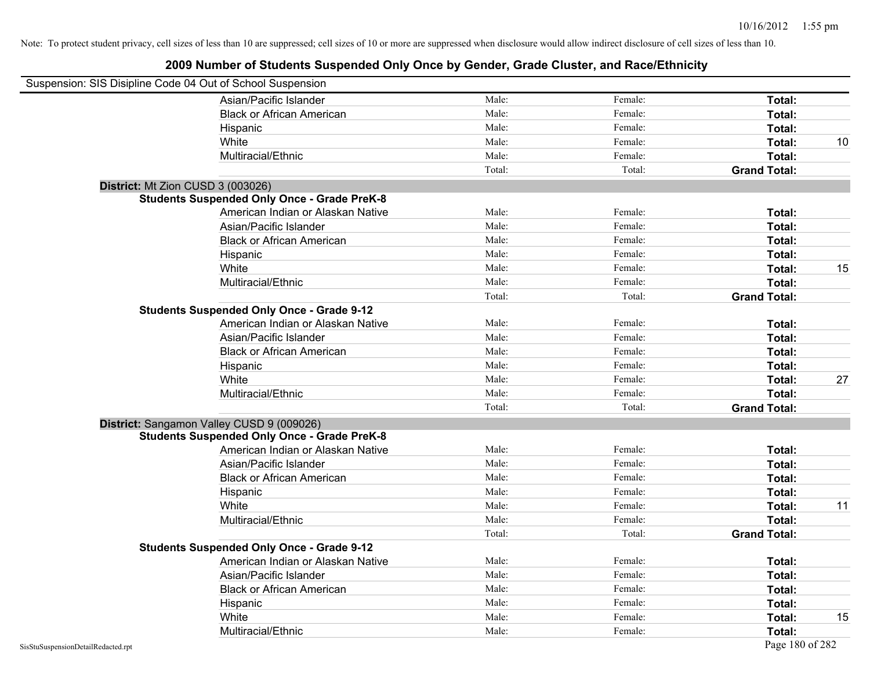| Suspension: SIS Disipline Code 04 Out of School Suspension |                                                    |        |         |                     |    |
|------------------------------------------------------------|----------------------------------------------------|--------|---------|---------------------|----|
|                                                            | Asian/Pacific Islander                             | Male:  | Female: | Total:              |    |
|                                                            | <b>Black or African American</b>                   | Male:  | Female: | Total:              |    |
|                                                            | Hispanic                                           | Male:  | Female: | Total:              |    |
|                                                            | White                                              | Male:  | Female: | Total:              | 10 |
|                                                            | Multiracial/Ethnic                                 | Male:  | Female: | Total:              |    |
|                                                            |                                                    | Total: | Total:  | <b>Grand Total:</b> |    |
| District: Mt Zion CUSD 3 (003026)                          |                                                    |        |         |                     |    |
|                                                            | <b>Students Suspended Only Once - Grade PreK-8</b> |        |         |                     |    |
|                                                            | American Indian or Alaskan Native                  | Male:  | Female: | Total:              |    |
|                                                            | Asian/Pacific Islander                             | Male:  | Female: | Total:              |    |
|                                                            | <b>Black or African American</b>                   | Male:  | Female: | Total:              |    |
|                                                            | Hispanic                                           | Male:  | Female: | Total:              |    |
|                                                            | White                                              | Male:  | Female: | Total:              | 15 |
|                                                            | Multiracial/Ethnic                                 | Male:  | Female: | Total:              |    |
|                                                            |                                                    | Total: | Total:  | <b>Grand Total:</b> |    |
|                                                            | <b>Students Suspended Only Once - Grade 9-12</b>   |        |         |                     |    |
|                                                            | American Indian or Alaskan Native                  | Male:  | Female: | Total:              |    |
|                                                            | Asian/Pacific Islander                             | Male:  | Female: | Total:              |    |
|                                                            | <b>Black or African American</b>                   | Male:  | Female: | Total:              |    |
|                                                            | Hispanic                                           | Male:  | Female: | Total:              |    |
|                                                            | White                                              | Male:  | Female: | Total:              | 27 |
|                                                            | Multiracial/Ethnic                                 | Male:  | Female: | Total:              |    |
|                                                            |                                                    | Total: | Total:  | <b>Grand Total:</b> |    |
|                                                            | District: Sangamon Valley CUSD 9 (009026)          |        |         |                     |    |
|                                                            | <b>Students Suspended Only Once - Grade PreK-8</b> |        |         |                     |    |
|                                                            | American Indian or Alaskan Native                  | Male:  | Female: | Total:              |    |
|                                                            | Asian/Pacific Islander                             | Male:  | Female: | Total:              |    |
|                                                            | <b>Black or African American</b>                   | Male:  | Female: | Total:              |    |
|                                                            | Hispanic                                           | Male:  | Female: | Total:              |    |
|                                                            | White                                              | Male:  | Female: | Total:              | 11 |
|                                                            | Multiracial/Ethnic                                 | Male:  | Female: | Total:              |    |
|                                                            |                                                    | Total: | Total:  | <b>Grand Total:</b> |    |
|                                                            | <b>Students Suspended Only Once - Grade 9-12</b>   |        |         |                     |    |
|                                                            | American Indian or Alaskan Native                  | Male:  | Female: | Total:              |    |
|                                                            | Asian/Pacific Islander                             | Male:  | Female: | Total:              |    |
|                                                            | <b>Black or African American</b>                   | Male:  | Female: | Total:              |    |
|                                                            | Hispanic                                           | Male:  | Female: | Total:              |    |
|                                                            | White                                              | Male:  | Female: | Total:              | 15 |
|                                                            | Multiracial/Ethnic                                 | Male:  | Female: | Total:              |    |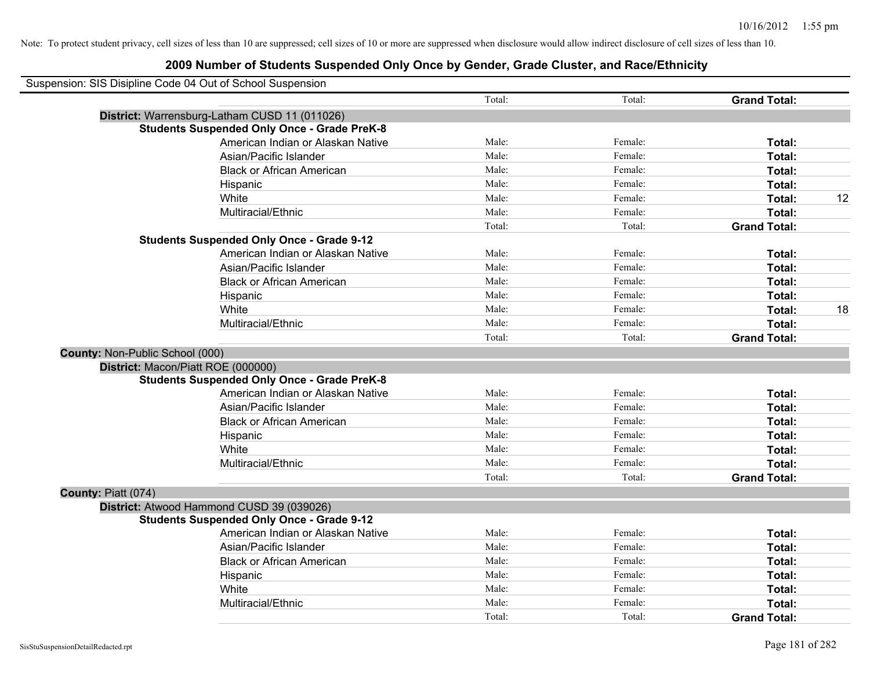| Suspension: SIS Disipline Code 04 Out of School Suspension |        |         |                     |    |
|------------------------------------------------------------|--------|---------|---------------------|----|
|                                                            | Total: | Total:  | <b>Grand Total:</b> |    |
| District: Warrensburg-Latham CUSD 11 (011026)              |        |         |                     |    |
| <b>Students Suspended Only Once - Grade PreK-8</b>         |        |         |                     |    |
| American Indian or Alaskan Native                          | Male:  | Female: | Total:              |    |
| Asian/Pacific Islander                                     | Male:  | Female: | Total:              |    |
| <b>Black or African American</b>                           | Male:  | Female: | Total:              |    |
| Hispanic                                                   | Male:  | Female: | Total:              |    |
| White                                                      | Male:  | Female: | Total:              | 12 |
| Multiracial/Ethnic                                         | Male:  | Female: | Total:              |    |
|                                                            | Total: | Total:  | <b>Grand Total:</b> |    |
| <b>Students Suspended Only Once - Grade 9-12</b>           |        |         |                     |    |
| American Indian or Alaskan Native                          | Male:  | Female: | Total:              |    |
| Asian/Pacific Islander                                     | Male:  | Female: | Total:              |    |
| <b>Black or African American</b>                           | Male:  | Female: | Total:              |    |
| Hispanic                                                   | Male:  | Female: | Total:              |    |
| White                                                      | Male:  | Female: | Total:              | 18 |
| Multiracial/Ethnic                                         | Male:  | Female: | Total:              |    |
|                                                            | Total: | Total:  | <b>Grand Total:</b> |    |
| County: Non-Public School (000)                            |        |         |                     |    |
| District: Macon/Piatt ROE (000000)                         |        |         |                     |    |
| <b>Students Suspended Only Once - Grade PreK-8</b>         |        |         |                     |    |
| American Indian or Alaskan Native                          | Male:  | Female: | Total:              |    |
| Asian/Pacific Islander                                     | Male:  | Female: | Total:              |    |
| <b>Black or African American</b>                           | Male:  | Female: | Total:              |    |
| Hispanic                                                   | Male:  | Female: | Total:              |    |
| White                                                      | Male:  | Female: | Total:              |    |
| Multiracial/Ethnic                                         | Male:  | Female: | Total:              |    |
|                                                            | Total: | Total:  | <b>Grand Total:</b> |    |
| County: Piatt (074)                                        |        |         |                     |    |
| District: Atwood Hammond CUSD 39 (039026)                  |        |         |                     |    |
| <b>Students Suspended Only Once - Grade 9-12</b>           |        |         |                     |    |
| American Indian or Alaskan Native                          | Male:  | Female: | Total:              |    |
| Asian/Pacific Islander                                     | Male:  | Female: | Total:              |    |
| <b>Black or African American</b>                           | Male:  | Female: | Total:              |    |
| Hispanic                                                   | Male:  | Female: | Total:              |    |
| White                                                      | Male:  | Female: | Total:              |    |
| Multiracial/Ethnic                                         | Male:  | Female: | Total:              |    |
|                                                            | Total: | Total:  | <b>Grand Total:</b> |    |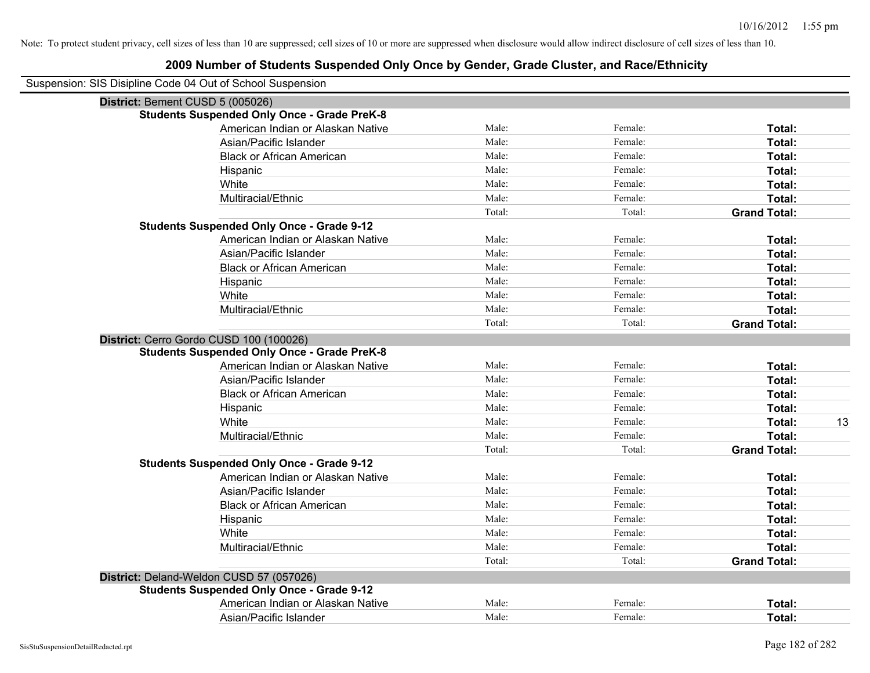| Suspension: SIS Disipline Code 04 Out of School Suspension |        |         |                     |
|------------------------------------------------------------|--------|---------|---------------------|
| District: Bement CUSD 5 (005026)                           |        |         |                     |
| <b>Students Suspended Only Once - Grade PreK-8</b>         |        |         |                     |
| American Indian or Alaskan Native                          | Male:  | Female: | Total:              |
| Asian/Pacific Islander                                     | Male:  | Female: | Total:              |
| <b>Black or African American</b>                           | Male:  | Female: | Total:              |
| Hispanic                                                   | Male:  | Female: | Total:              |
| White                                                      | Male:  | Female: | Total:              |
| Multiracial/Ethnic                                         | Male:  | Female: | Total:              |
|                                                            | Total: | Total:  | <b>Grand Total:</b> |
| <b>Students Suspended Only Once - Grade 9-12</b>           |        |         |                     |
| American Indian or Alaskan Native                          | Male:  | Female: | Total:              |
| Asian/Pacific Islander                                     | Male:  | Female: | Total:              |
| <b>Black or African American</b>                           | Male:  | Female: | Total:              |
| Hispanic                                                   | Male:  | Female: | Total:              |
| White                                                      | Male:  | Female: | Total:              |
| Multiracial/Ethnic                                         | Male:  | Female: | Total:              |
|                                                            | Total: | Total:  | <b>Grand Total:</b> |
| District: Cerro Gordo CUSD 100 (100026)                    |        |         |                     |
| <b>Students Suspended Only Once - Grade PreK-8</b>         |        |         |                     |
| American Indian or Alaskan Native                          | Male:  | Female: | Total:              |
| Asian/Pacific Islander                                     | Male:  | Female: | Total:              |
| <b>Black or African American</b>                           | Male:  | Female: | Total:              |
| Hispanic                                                   | Male:  | Female: | Total:              |
| White                                                      | Male:  | Female: | Total:<br>13        |
| Multiracial/Ethnic                                         | Male:  | Female: | Total:              |
|                                                            | Total: | Total:  | <b>Grand Total:</b> |
| <b>Students Suspended Only Once - Grade 9-12</b>           |        |         |                     |
| American Indian or Alaskan Native                          | Male:  | Female: | Total:              |
| Asian/Pacific Islander                                     | Male:  | Female: | Total:              |
| <b>Black or African American</b>                           | Male:  | Female: | Total:              |
| Hispanic                                                   | Male:  | Female: | Total:              |
| White                                                      | Male:  | Female: | Total:              |
| Multiracial/Ethnic                                         | Male:  | Female: | Total:              |
|                                                            | Total: | Total:  | <b>Grand Total:</b> |
| District: Deland-Weldon CUSD 57 (057026)                   |        |         |                     |
| <b>Students Suspended Only Once - Grade 9-12</b>           |        |         |                     |
| American Indian or Alaskan Native                          | Male:  | Female: | Total:              |
| Asian/Pacific Islander                                     | Male:  | Female: | Total:              |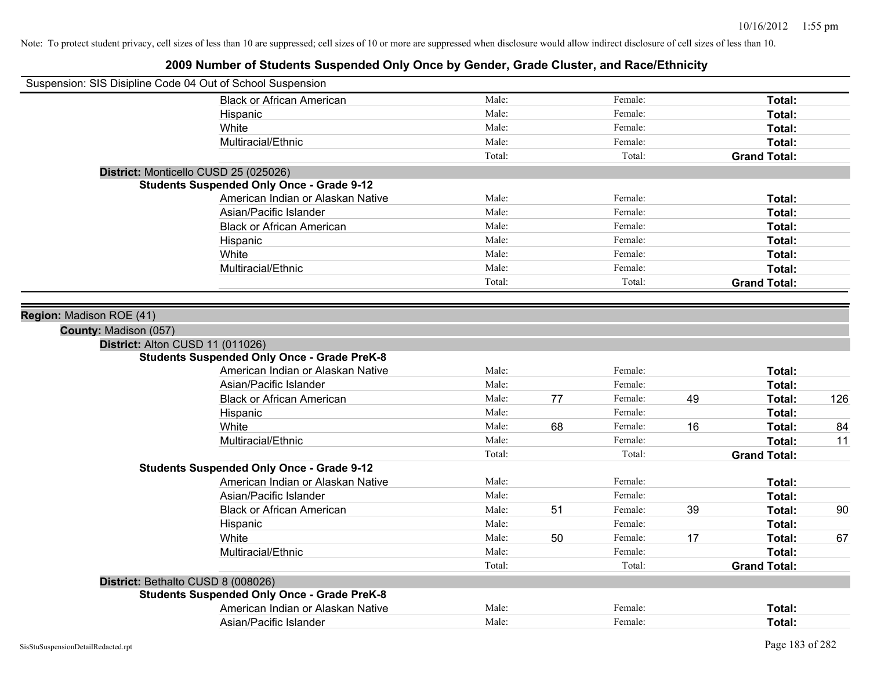| Suspension: SIS Disipline Code 04 Out of School Suspension |                                                    |        |    |         |    |                     |     |
|------------------------------------------------------------|----------------------------------------------------|--------|----|---------|----|---------------------|-----|
|                                                            | <b>Black or African American</b>                   | Male:  |    | Female: |    | Total:              |     |
|                                                            | Hispanic                                           | Male:  |    | Female: |    | Total:              |     |
|                                                            | White                                              | Male:  |    | Female: |    | Total:              |     |
|                                                            | Multiracial/Ethnic                                 | Male:  |    | Female: |    | Total:              |     |
|                                                            |                                                    | Total: |    | Total:  |    | <b>Grand Total:</b> |     |
| District: Monticello CUSD 25 (025026)                      |                                                    |        |    |         |    |                     |     |
|                                                            | <b>Students Suspended Only Once - Grade 9-12</b>   |        |    |         |    |                     |     |
|                                                            | American Indian or Alaskan Native                  | Male:  |    | Female: |    | Total:              |     |
|                                                            | Asian/Pacific Islander                             | Male:  |    | Female: |    | Total:              |     |
|                                                            | <b>Black or African American</b>                   | Male:  |    | Female: |    | Total:              |     |
|                                                            | Hispanic                                           | Male:  |    | Female: |    | Total:              |     |
|                                                            | White                                              | Male:  |    | Female: |    | Total:              |     |
|                                                            | Multiracial/Ethnic                                 | Male:  |    | Female: |    | Total:              |     |
|                                                            |                                                    | Total: |    | Total:  |    | <b>Grand Total:</b> |     |
|                                                            |                                                    |        |    |         |    |                     |     |
| Region: Madison ROE (41)                                   |                                                    |        |    |         |    |                     |     |
| County: Madison (057)                                      |                                                    |        |    |         |    |                     |     |
| District: Alton CUSD 11 (011026)                           |                                                    |        |    |         |    |                     |     |
|                                                            | <b>Students Suspended Only Once - Grade PreK-8</b> |        |    |         |    |                     |     |
|                                                            | American Indian or Alaskan Native                  | Male:  |    | Female: |    | Total:              |     |
|                                                            | Asian/Pacific Islander                             | Male:  |    | Female: |    | Total:              |     |
|                                                            | <b>Black or African American</b>                   | Male:  | 77 | Female: | 49 | Total:              | 126 |
|                                                            | Hispanic                                           | Male:  |    | Female: |    | Total:              |     |
|                                                            | White                                              | Male:  | 68 | Female: | 16 | Total:              | 84  |
|                                                            | Multiracial/Ethnic                                 | Male:  |    | Female: |    | Total:              | 11  |
|                                                            |                                                    | Total: |    | Total:  |    | <b>Grand Total:</b> |     |
|                                                            | <b>Students Suspended Only Once - Grade 9-12</b>   |        |    |         |    |                     |     |
|                                                            | American Indian or Alaskan Native                  | Male:  |    | Female: |    | Total:              |     |
|                                                            | Asian/Pacific Islander                             | Male:  |    | Female: |    | Total:              |     |
|                                                            | <b>Black or African American</b>                   | Male:  | 51 | Female: | 39 | Total:              | 90  |
|                                                            | Hispanic                                           | Male:  |    | Female: |    | Total:              |     |
|                                                            | White                                              | Male:  | 50 | Female: | 17 | Total:              | 67  |
|                                                            | Multiracial/Ethnic                                 | Male:  |    | Female: |    | Total:              |     |
|                                                            |                                                    | Total: |    | Total:  |    | <b>Grand Total:</b> |     |
| District: Bethalto CUSD 8 (008026)                         |                                                    |        |    |         |    |                     |     |
|                                                            | <b>Students Suspended Only Once - Grade PreK-8</b> |        |    |         |    |                     |     |
|                                                            | American Indian or Alaskan Native                  | Male:  |    | Female: |    | <b>Total:</b>       |     |
|                                                            | Asian/Pacific Islander                             | Male:  |    | Female: |    | Total:              |     |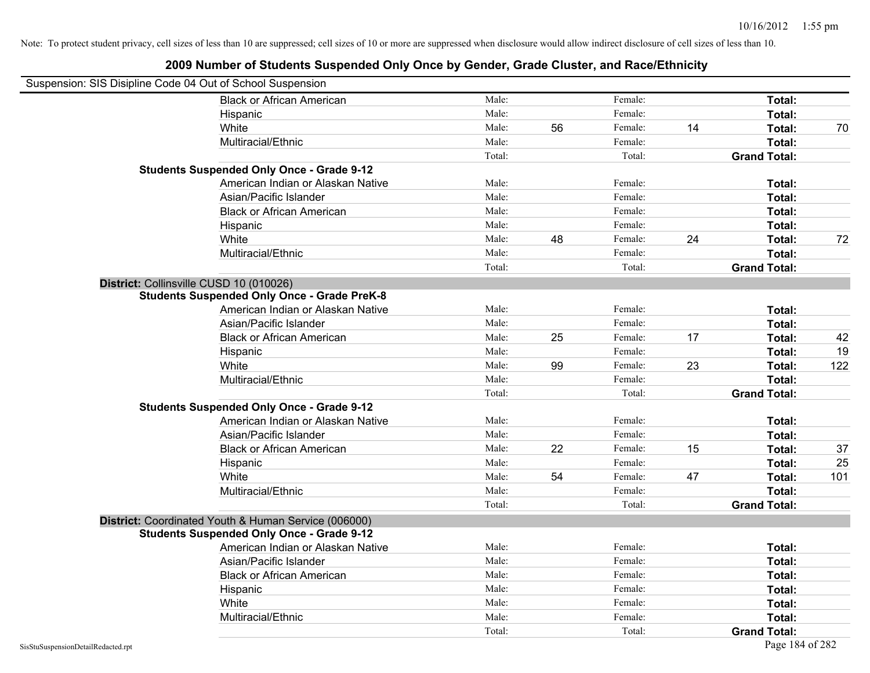| Suspension: SIS Disipline Code 04 Out of School Suspension |                                                      |        |    |         |    |                     |     |
|------------------------------------------------------------|------------------------------------------------------|--------|----|---------|----|---------------------|-----|
|                                                            | <b>Black or African American</b>                     | Male:  |    | Female: |    | Total:              |     |
|                                                            | Hispanic                                             | Male:  |    | Female: |    | Total:              |     |
|                                                            | White                                                | Male:  | 56 | Female: | 14 | Total:              | 70  |
|                                                            | Multiracial/Ethnic                                   | Male:  |    | Female: |    | Total:              |     |
|                                                            |                                                      | Total: |    | Total:  |    | <b>Grand Total:</b> |     |
|                                                            | <b>Students Suspended Only Once - Grade 9-12</b>     |        |    |         |    |                     |     |
|                                                            | American Indian or Alaskan Native                    | Male:  |    | Female: |    | Total:              |     |
|                                                            | Asian/Pacific Islander                               | Male:  |    | Female: |    | Total:              |     |
|                                                            | <b>Black or African American</b>                     | Male:  |    | Female: |    | Total:              |     |
|                                                            | Hispanic                                             | Male:  |    | Female: |    | Total:              |     |
|                                                            | White                                                | Male:  | 48 | Female: | 24 | Total:              | 72  |
|                                                            | Multiracial/Ethnic                                   | Male:  |    | Female: |    | Total:              |     |
|                                                            |                                                      | Total: |    | Total:  |    | <b>Grand Total:</b> |     |
|                                                            | District: Collinsville CUSD 10 (010026)              |        |    |         |    |                     |     |
|                                                            | <b>Students Suspended Only Once - Grade PreK-8</b>   |        |    |         |    |                     |     |
|                                                            | American Indian or Alaskan Native                    | Male:  |    | Female: |    | Total:              |     |
|                                                            | Asian/Pacific Islander                               | Male:  |    | Female: |    | Total:              |     |
|                                                            | <b>Black or African American</b>                     | Male:  | 25 | Female: | 17 | Total:              | 42  |
|                                                            | Hispanic                                             | Male:  |    | Female: |    | Total:              | 19  |
|                                                            | White                                                | Male:  | 99 | Female: | 23 | Total:              | 122 |
|                                                            | Multiracial/Ethnic                                   | Male:  |    | Female: |    | Total:              |     |
|                                                            |                                                      | Total: |    | Total:  |    | <b>Grand Total:</b> |     |
|                                                            | <b>Students Suspended Only Once - Grade 9-12</b>     |        |    |         |    |                     |     |
|                                                            | American Indian or Alaskan Native                    | Male:  |    | Female: |    | Total:              |     |
|                                                            | Asian/Pacific Islander                               | Male:  |    | Female: |    | Total:              |     |
|                                                            | <b>Black or African American</b>                     | Male:  | 22 | Female: | 15 | Total:              | 37  |
|                                                            | Hispanic                                             | Male:  |    | Female: |    | Total:              | 25  |
|                                                            | White                                                | Male:  | 54 | Female: | 47 | Total:              | 101 |
|                                                            | Multiracial/Ethnic                                   | Male:  |    | Female: |    | Total:              |     |
|                                                            |                                                      | Total: |    | Total:  |    | <b>Grand Total:</b> |     |
|                                                            | District: Coordinated Youth & Human Service (006000) |        |    |         |    |                     |     |
|                                                            | <b>Students Suspended Only Once - Grade 9-12</b>     |        |    |         |    |                     |     |
|                                                            | American Indian or Alaskan Native                    | Male:  |    | Female: |    | Total:              |     |
|                                                            | Asian/Pacific Islander                               | Male:  |    | Female: |    | Total:              |     |
|                                                            | <b>Black or African American</b>                     | Male:  |    | Female: |    | Total:              |     |
|                                                            | Hispanic                                             | Male:  |    | Female: |    | Total:              |     |
|                                                            | White                                                | Male:  |    | Female: |    | Total:              |     |
|                                                            | Multiracial/Ethnic                                   | Male:  |    | Female: |    | Total:              |     |
|                                                            |                                                      | Total: |    | Total:  |    | <b>Grand Total:</b> |     |
| SisStuSuspensionDetailRedacted.rpt                         |                                                      |        |    |         |    | Page 184 of 282     |     |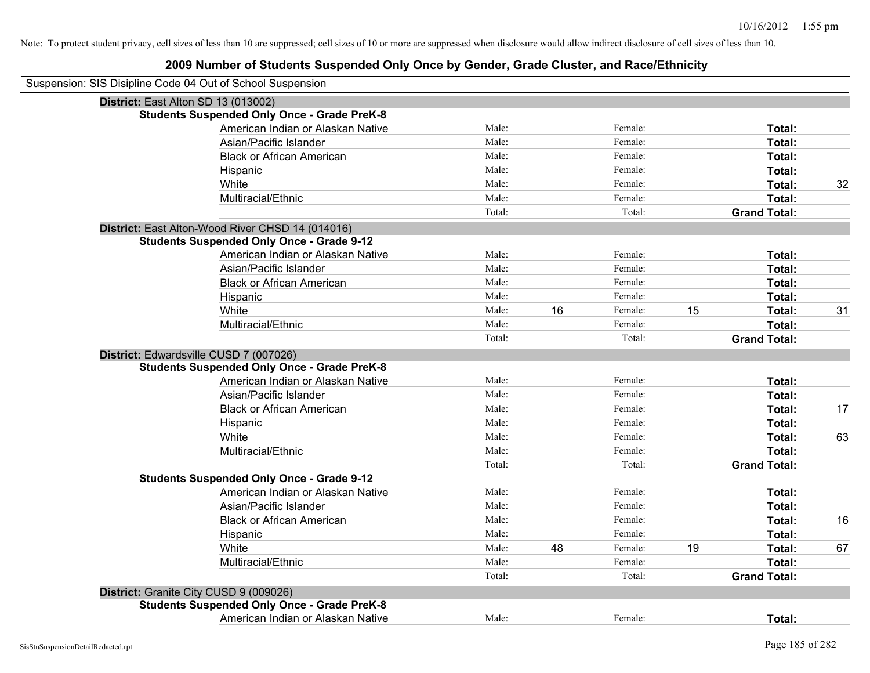| Suspension: SIS Disipline Code 04 Out of School Suspension |                                                    |        |    |         |    |                     |    |
|------------------------------------------------------------|----------------------------------------------------|--------|----|---------|----|---------------------|----|
| District: East Alton SD 13 (013002)                        |                                                    |        |    |         |    |                     |    |
|                                                            | <b>Students Suspended Only Once - Grade PreK-8</b> |        |    |         |    |                     |    |
|                                                            | American Indian or Alaskan Native                  | Male:  |    | Female: |    | Total:              |    |
|                                                            | Asian/Pacific Islander                             | Male:  |    | Female: |    | Total:              |    |
|                                                            | <b>Black or African American</b>                   | Male:  |    | Female: |    | Total:              |    |
|                                                            | Hispanic                                           | Male:  |    | Female: |    | Total:              |    |
|                                                            | White                                              | Male:  |    | Female: |    | Total:              | 32 |
|                                                            | Multiracial/Ethnic                                 | Male:  |    | Female: |    | Total:              |    |
|                                                            |                                                    | Total: |    | Total:  |    | <b>Grand Total:</b> |    |
|                                                            | District: East Alton-Wood River CHSD 14 (014016)   |        |    |         |    |                     |    |
|                                                            | <b>Students Suspended Only Once - Grade 9-12</b>   |        |    |         |    |                     |    |
|                                                            | American Indian or Alaskan Native                  | Male:  |    | Female: |    | Total:              |    |
|                                                            | Asian/Pacific Islander                             | Male:  |    | Female: |    | Total:              |    |
|                                                            | <b>Black or African American</b>                   | Male:  |    | Female: |    | Total:              |    |
|                                                            | Hispanic                                           | Male:  |    | Female: |    | Total:              |    |
|                                                            | White                                              | Male:  | 16 | Female: | 15 | Total:              | 31 |
|                                                            | Multiracial/Ethnic                                 | Male:  |    | Female: |    | Total:              |    |
|                                                            |                                                    | Total: |    | Total:  |    | <b>Grand Total:</b> |    |
|                                                            | District: Edwardsville CUSD 7 (007026)             |        |    |         |    |                     |    |
|                                                            | <b>Students Suspended Only Once - Grade PreK-8</b> |        |    |         |    |                     |    |
|                                                            | American Indian or Alaskan Native                  | Male:  |    | Female: |    | Total:              |    |
|                                                            | Asian/Pacific Islander                             | Male:  |    | Female: |    | Total:              |    |
|                                                            | <b>Black or African American</b>                   | Male:  |    | Female: |    | Total:              | 17 |
|                                                            | Hispanic                                           | Male:  |    | Female: |    | Total:              |    |
|                                                            | White                                              | Male:  |    | Female: |    | Total:              | 63 |
|                                                            | Multiracial/Ethnic                                 | Male:  |    | Female: |    | Total:              |    |
|                                                            |                                                    | Total: |    | Total:  |    | <b>Grand Total:</b> |    |
|                                                            | <b>Students Suspended Only Once - Grade 9-12</b>   |        |    |         |    |                     |    |
|                                                            | American Indian or Alaskan Native                  | Male:  |    | Female: |    | Total:              |    |
|                                                            | Asian/Pacific Islander                             | Male:  |    | Female: |    | Total:              |    |
|                                                            | <b>Black or African American</b>                   | Male:  |    | Female: |    | Total:              | 16 |
|                                                            | Hispanic                                           | Male:  |    | Female: |    | Total:              |    |
|                                                            | White                                              | Male:  | 48 | Female: | 19 | Total:              | 67 |
|                                                            | Multiracial/Ethnic                                 | Male:  |    | Female: |    | Total:              |    |
|                                                            |                                                    | Total: |    | Total:  |    | <b>Grand Total:</b> |    |
|                                                            | District: Granite City CUSD 9 (009026)             |        |    |         |    |                     |    |
|                                                            | <b>Students Suspended Only Once - Grade PreK-8</b> |        |    |         |    |                     |    |
|                                                            | American Indian or Alaskan Native                  | Male:  |    | Female: |    | Total:              |    |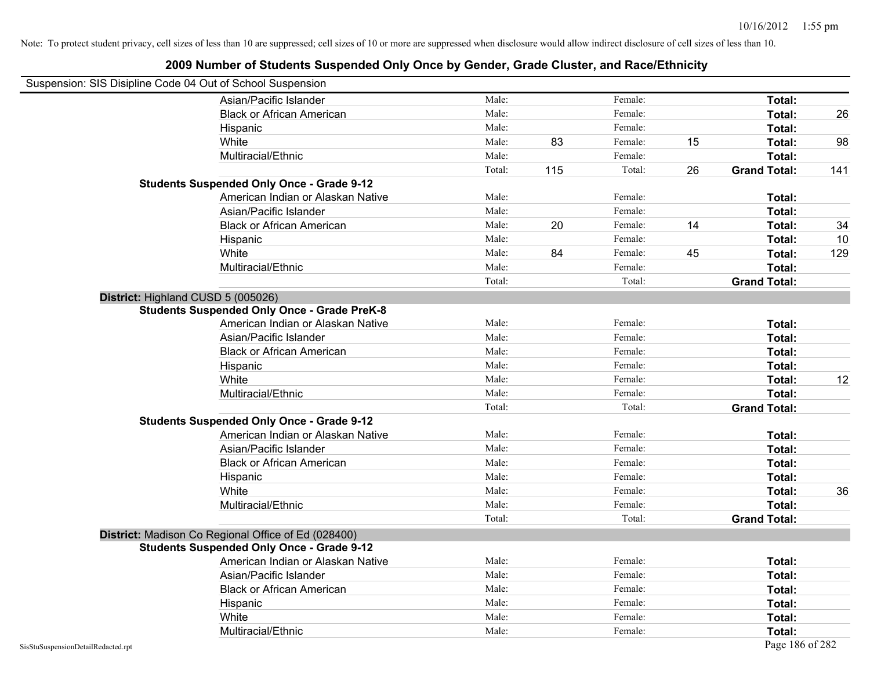| Suspension: SIS Disipline Code 04 Out of School Suspension |                                                     |        |     |         |    |                     |     |
|------------------------------------------------------------|-----------------------------------------------------|--------|-----|---------|----|---------------------|-----|
|                                                            | Asian/Pacific Islander                              | Male:  |     | Female: |    | Total:              |     |
|                                                            | <b>Black or African American</b>                    | Male:  |     | Female: |    | Total:              | 26  |
|                                                            | Hispanic                                            | Male:  |     | Female: |    | Total:              |     |
|                                                            | White                                               | Male:  | 83  | Female: | 15 | Total:              | 98  |
|                                                            | Multiracial/Ethnic                                  | Male:  |     | Female: |    | Total:              |     |
|                                                            |                                                     | Total: | 115 | Total:  | 26 | <b>Grand Total:</b> | 141 |
|                                                            | <b>Students Suspended Only Once - Grade 9-12</b>    |        |     |         |    |                     |     |
|                                                            | American Indian or Alaskan Native                   | Male:  |     | Female: |    | Total:              |     |
|                                                            | Asian/Pacific Islander                              | Male:  |     | Female: |    | Total:              |     |
|                                                            | <b>Black or African American</b>                    | Male:  | 20  | Female: | 14 | Total:              | 34  |
|                                                            | Hispanic                                            | Male:  |     | Female: |    | Total:              | 10  |
|                                                            | White                                               | Male:  | 84  | Female: | 45 | Total:              | 129 |
|                                                            | Multiracial/Ethnic                                  | Male:  |     | Female: |    | Total:              |     |
|                                                            |                                                     | Total: |     | Total:  |    | <b>Grand Total:</b> |     |
| District: Highland CUSD 5 (005026)                         |                                                     |        |     |         |    |                     |     |
|                                                            | <b>Students Suspended Only Once - Grade PreK-8</b>  |        |     |         |    |                     |     |
|                                                            | American Indian or Alaskan Native                   | Male:  |     | Female: |    | Total:              |     |
|                                                            | Asian/Pacific Islander                              | Male:  |     | Female: |    | Total:              |     |
|                                                            | <b>Black or African American</b>                    | Male:  |     | Female: |    | Total:              |     |
|                                                            | Hispanic                                            | Male:  |     | Female: |    | Total:              |     |
|                                                            | White                                               | Male:  |     | Female: |    | Total:              | 12  |
|                                                            | Multiracial/Ethnic                                  | Male:  |     | Female: |    | Total:              |     |
|                                                            |                                                     | Total: |     | Total:  |    | <b>Grand Total:</b> |     |
|                                                            | <b>Students Suspended Only Once - Grade 9-12</b>    |        |     |         |    |                     |     |
|                                                            | American Indian or Alaskan Native                   | Male:  |     | Female: |    | Total:              |     |
|                                                            | Asian/Pacific Islander                              | Male:  |     | Female: |    | Total:              |     |
|                                                            | <b>Black or African American</b>                    | Male:  |     | Female: |    | Total:              |     |
|                                                            | Hispanic                                            | Male:  |     | Female: |    | Total:              |     |
|                                                            | White                                               | Male:  |     | Female: |    | Total:              | 36  |
|                                                            | Multiracial/Ethnic                                  | Male:  |     | Female: |    | Total:              |     |
|                                                            |                                                     | Total: |     | Total:  |    | <b>Grand Total:</b> |     |
|                                                            | District: Madison Co Regional Office of Ed (028400) |        |     |         |    |                     |     |
|                                                            | <b>Students Suspended Only Once - Grade 9-12</b>    |        |     |         |    |                     |     |
|                                                            | American Indian or Alaskan Native                   | Male:  |     | Female: |    | Total:              |     |
|                                                            | Asian/Pacific Islander                              | Male:  |     | Female: |    | Total:              |     |
|                                                            | <b>Black or African American</b>                    | Male:  |     | Female: |    | Total:              |     |
|                                                            | Hispanic                                            | Male:  |     | Female: |    | Total:              |     |
|                                                            | White                                               | Male:  |     | Female: |    | Total:              |     |
|                                                            | Multiracial/Ethnic                                  | Male:  |     | Female: |    | Total:              |     |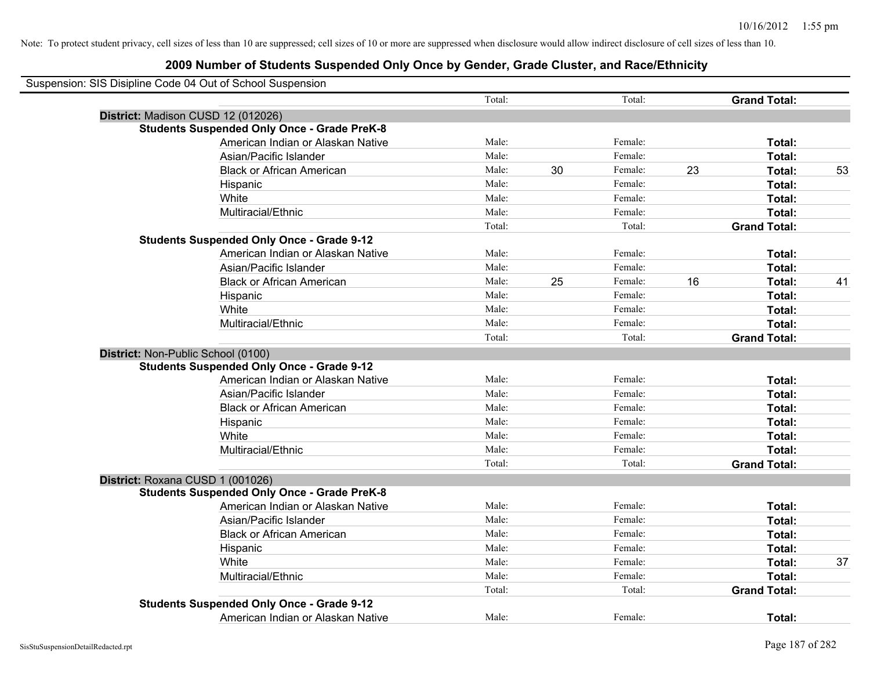| Suspension: SIS Disipline Code 04 Out of School Suspension |        |    |         |    |                     |    |
|------------------------------------------------------------|--------|----|---------|----|---------------------|----|
|                                                            | Total: |    | Total:  |    | <b>Grand Total:</b> |    |
| District: Madison CUSD 12 (012026)                         |        |    |         |    |                     |    |
| <b>Students Suspended Only Once - Grade PreK-8</b>         |        |    |         |    |                     |    |
| American Indian or Alaskan Native                          | Male:  |    | Female: |    | Total:              |    |
| Asian/Pacific Islander                                     | Male:  |    | Female: |    | Total:              |    |
| <b>Black or African American</b>                           | Male:  | 30 | Female: | 23 | Total:              | 53 |
| Hispanic                                                   | Male:  |    | Female: |    | Total:              |    |
| White                                                      | Male:  |    | Female: |    | Total:              |    |
| Multiracial/Ethnic                                         | Male:  |    | Female: |    | Total:              |    |
|                                                            | Total: |    | Total:  |    | <b>Grand Total:</b> |    |
| <b>Students Suspended Only Once - Grade 9-12</b>           |        |    |         |    |                     |    |
| American Indian or Alaskan Native                          | Male:  |    | Female: |    | Total:              |    |
| Asian/Pacific Islander                                     | Male:  |    | Female: |    | Total:              |    |
| <b>Black or African American</b>                           | Male:  | 25 | Female: | 16 | Total:              | 41 |
| Hispanic                                                   | Male:  |    | Female: |    | Total:              |    |
| White                                                      | Male:  |    | Female: |    | Total:              |    |
| Multiracial/Ethnic                                         | Male:  |    | Female: |    | Total:              |    |
|                                                            | Total: |    | Total:  |    | <b>Grand Total:</b> |    |
| District: Non-Public School (0100)                         |        |    |         |    |                     |    |
| <b>Students Suspended Only Once - Grade 9-12</b>           |        |    |         |    |                     |    |
| American Indian or Alaskan Native                          | Male:  |    | Female: |    | Total:              |    |
| Asian/Pacific Islander                                     | Male:  |    | Female: |    | Total:              |    |
| <b>Black or African American</b>                           | Male:  |    | Female: |    | Total:              |    |
| Hispanic                                                   | Male:  |    | Female: |    | Total:              |    |
| White                                                      | Male:  |    | Female: |    | Total:              |    |
| Multiracial/Ethnic                                         | Male:  |    | Female: |    | Total:              |    |
|                                                            | Total: |    | Total:  |    | <b>Grand Total:</b> |    |
| District: Roxana CUSD 1 (001026)                           |        |    |         |    |                     |    |
| <b>Students Suspended Only Once - Grade PreK-8</b>         |        |    |         |    |                     |    |
| American Indian or Alaskan Native                          | Male:  |    | Female: |    | Total:              |    |
| Asian/Pacific Islander                                     | Male:  |    | Female: |    | Total:              |    |
| <b>Black or African American</b>                           | Male:  |    | Female: |    | Total:              |    |
| Hispanic                                                   | Male:  |    | Female: |    | Total:              |    |
| White                                                      | Male:  |    | Female: |    | Total:              | 37 |
| Multiracial/Ethnic                                         | Male:  |    | Female: |    | Total:              |    |
|                                                            | Total: |    | Total:  |    | <b>Grand Total:</b> |    |
| <b>Students Suspended Only Once - Grade 9-12</b>           |        |    |         |    |                     |    |
| American Indian or Alaskan Native                          | Male:  |    | Female: |    | Total:              |    |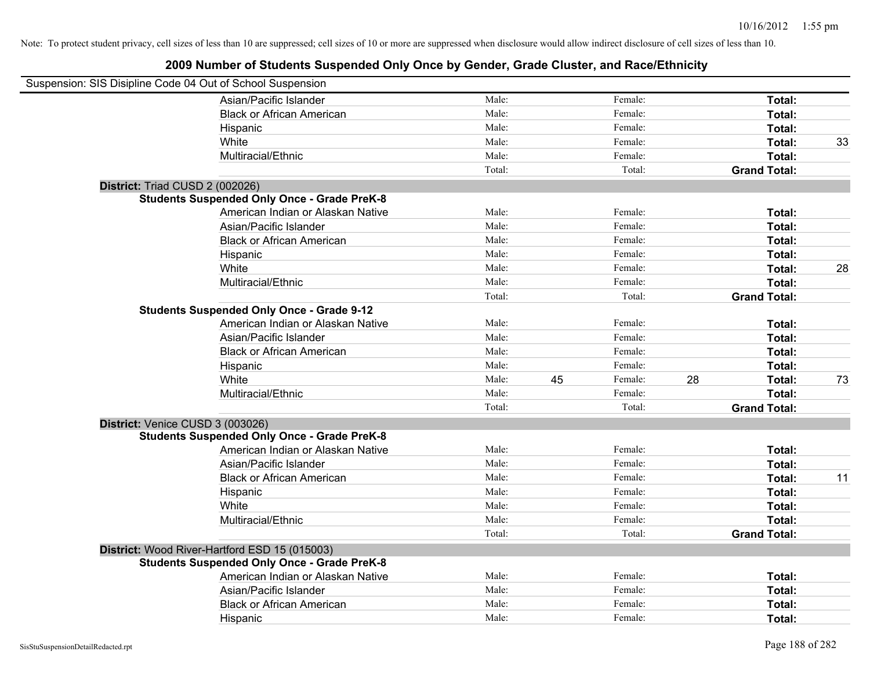| Suspension: SIS Disipline Code 04 Out of School Suspension |                                                    |        |    |         |    |                     |    |
|------------------------------------------------------------|----------------------------------------------------|--------|----|---------|----|---------------------|----|
|                                                            | Asian/Pacific Islander                             | Male:  |    | Female: |    | Total:              |    |
|                                                            | <b>Black or African American</b>                   | Male:  |    | Female: |    | Total:              |    |
|                                                            | Hispanic                                           | Male:  |    | Female: |    | Total:              |    |
|                                                            | White                                              | Male:  |    | Female: |    | Total:              | 33 |
|                                                            | Multiracial/Ethnic                                 | Male:  |    | Female: |    | Total:              |    |
|                                                            |                                                    | Total: |    | Total:  |    | <b>Grand Total:</b> |    |
| District: Triad CUSD 2 (002026)                            |                                                    |        |    |         |    |                     |    |
|                                                            | <b>Students Suspended Only Once - Grade PreK-8</b> |        |    |         |    |                     |    |
|                                                            | American Indian or Alaskan Native                  | Male:  |    | Female: |    | Total:              |    |
|                                                            | Asian/Pacific Islander                             | Male:  |    | Female: |    | Total:              |    |
|                                                            | <b>Black or African American</b>                   | Male:  |    | Female: |    | Total:              |    |
|                                                            | Hispanic                                           | Male:  |    | Female: |    | Total:              |    |
|                                                            | White                                              | Male:  |    | Female: |    | Total:              | 28 |
|                                                            | Multiracial/Ethnic                                 | Male:  |    | Female: |    | Total:              |    |
|                                                            |                                                    | Total: |    | Total:  |    | <b>Grand Total:</b> |    |
|                                                            | <b>Students Suspended Only Once - Grade 9-12</b>   |        |    |         |    |                     |    |
|                                                            | American Indian or Alaskan Native                  | Male:  |    | Female: |    | Total:              |    |
|                                                            | Asian/Pacific Islander                             | Male:  |    | Female: |    | Total:              |    |
|                                                            | <b>Black or African American</b>                   | Male:  |    | Female: |    | Total:              |    |
|                                                            | Hispanic                                           | Male:  |    | Female: |    | Total:              |    |
|                                                            | White                                              | Male:  | 45 | Female: | 28 | Total:              | 73 |
|                                                            | Multiracial/Ethnic                                 | Male:  |    | Female: |    | Total:              |    |
|                                                            |                                                    | Total: |    | Total:  |    | <b>Grand Total:</b> |    |
| District: Venice CUSD 3 (003026)                           |                                                    |        |    |         |    |                     |    |
|                                                            | <b>Students Suspended Only Once - Grade PreK-8</b> |        |    |         |    |                     |    |
|                                                            | American Indian or Alaskan Native                  | Male:  |    | Female: |    | Total:              |    |
|                                                            | Asian/Pacific Islander                             | Male:  |    | Female: |    | Total:              |    |
|                                                            | <b>Black or African American</b>                   | Male:  |    | Female: |    | Total:              | 11 |
|                                                            | Hispanic                                           | Male:  |    | Female: |    | Total:              |    |
|                                                            | White                                              | Male:  |    | Female: |    | Total:              |    |
|                                                            | Multiracial/Ethnic                                 | Male:  |    | Female: |    | Total:              |    |
|                                                            |                                                    | Total: |    | Total:  |    | <b>Grand Total:</b> |    |
|                                                            | District: Wood River-Hartford ESD 15 (015003)      |        |    |         |    |                     |    |
|                                                            | <b>Students Suspended Only Once - Grade PreK-8</b> |        |    |         |    |                     |    |
|                                                            | American Indian or Alaskan Native                  | Male:  |    | Female: |    | Total:              |    |
|                                                            | Asian/Pacific Islander                             | Male:  |    | Female: |    | Total:              |    |
|                                                            | <b>Black or African American</b>                   | Male:  |    | Female: |    | Total:              |    |
|                                                            | Hispanic                                           | Male:  |    | Female: |    | Total:              |    |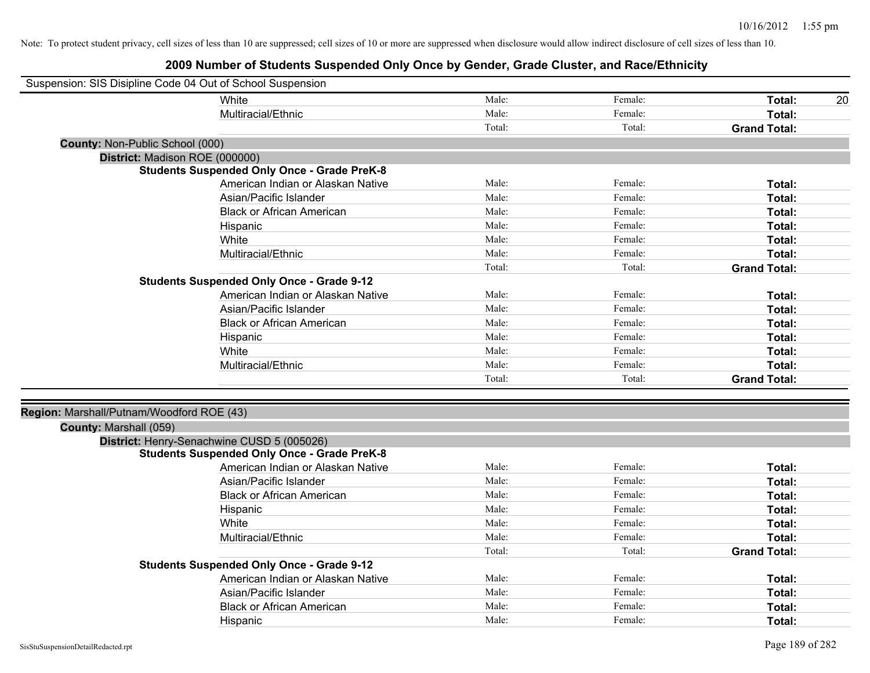| Suspension: SIS Disipline Code 04 Out of School Suspension |                                                    |        |         |                     |    |
|------------------------------------------------------------|----------------------------------------------------|--------|---------|---------------------|----|
|                                                            | White                                              | Male:  | Female: | Total:              | 20 |
|                                                            | Multiracial/Ethnic                                 | Male:  | Female: | Total:              |    |
|                                                            |                                                    | Total: | Total:  | <b>Grand Total:</b> |    |
| County: Non-Public School (000)                            |                                                    |        |         |                     |    |
| District: Madison ROE (000000)                             |                                                    |        |         |                     |    |
|                                                            | <b>Students Suspended Only Once - Grade PreK-8</b> |        |         |                     |    |
|                                                            | American Indian or Alaskan Native                  | Male:  | Female: | Total:              |    |
|                                                            | Asian/Pacific Islander                             | Male:  | Female: | Total:              |    |
|                                                            | <b>Black or African American</b>                   | Male:  | Female: | Total:              |    |
|                                                            | Hispanic                                           | Male:  | Female: | Total:              |    |
|                                                            | White                                              | Male:  | Female: | Total:              |    |
|                                                            | Multiracial/Ethnic                                 | Male:  | Female: | Total:              |    |
|                                                            |                                                    | Total: | Total:  | <b>Grand Total:</b> |    |
|                                                            | <b>Students Suspended Only Once - Grade 9-12</b>   |        |         |                     |    |
|                                                            | American Indian or Alaskan Native                  | Male:  | Female: | Total:              |    |
|                                                            | Asian/Pacific Islander                             | Male:  | Female: | Total:              |    |
|                                                            | <b>Black or African American</b>                   | Male:  | Female: | Total:              |    |
|                                                            | Hispanic                                           | Male:  | Female: | Total:              |    |
|                                                            | White                                              | Male:  | Female: | Total:              |    |
|                                                            | Multiracial/Ethnic                                 | Male:  | Female: | Total:              |    |
|                                                            |                                                    | Total: | Total:  | <b>Grand Total:</b> |    |
|                                                            |                                                    |        |         |                     |    |
| Region: Marshall/Putnam/Woodford ROE (43)                  |                                                    |        |         |                     |    |
| County: Marshall (059)                                     |                                                    |        |         |                     |    |
|                                                            | District: Henry-Senachwine CUSD 5 (005026)         |        |         |                     |    |
|                                                            | <b>Students Suspended Only Once - Grade PreK-8</b> |        |         |                     |    |
|                                                            | American Indian or Alaskan Native                  | Male:  | Female: | Total:              |    |
|                                                            | Asian/Pacific Islander                             | Male:  | Female: | Total:              |    |
|                                                            | <b>Black or African American</b>                   | Male:  | Female: | Total:              |    |
|                                                            | Hispanic                                           | Male:  | Female: | Total:              |    |
|                                                            | White                                              | Male:  | Female: | Total:              |    |
|                                                            | Multiracial/Ethnic                                 | Male:  | Female: | Total:              |    |
|                                                            |                                                    | Total: | Total:  | <b>Grand Total:</b> |    |
|                                                            | <b>Students Suspended Only Once - Grade 9-12</b>   |        |         |                     |    |
|                                                            | American Indian or Alaskan Native                  | Male:  | Female: | Total:              |    |
|                                                            | Asian/Pacific Islander                             | Male:  | Female: | Total:              |    |
|                                                            | <b>Black or African American</b>                   | Male:  | Female: | Total:              |    |
|                                                            | Hispanic                                           | Male:  | Female: | Total:              |    |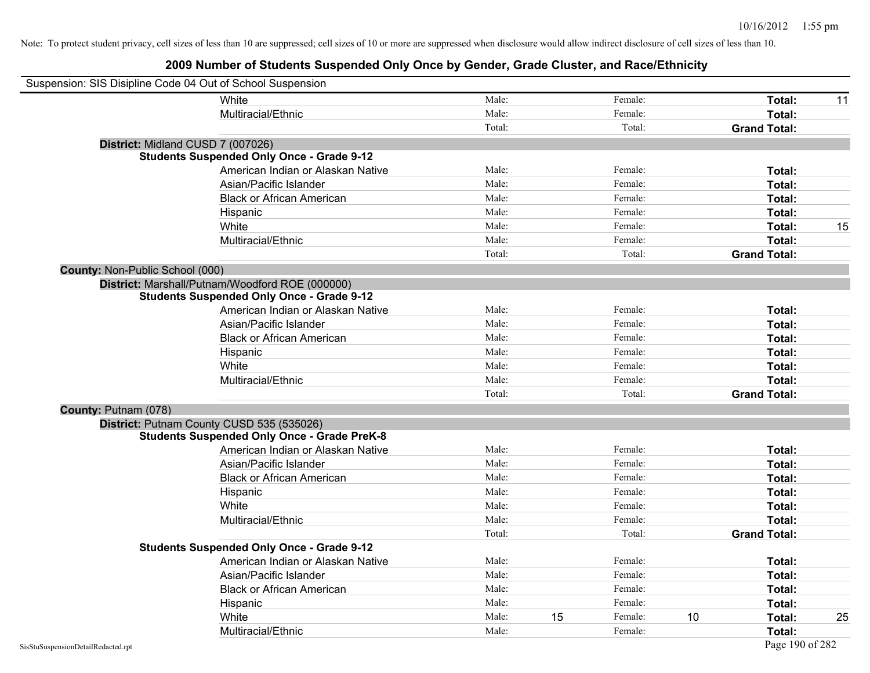| Suspension: SIS Disipline Code 04 Out of School Suspension |        |    |         |    |                     |    |
|------------------------------------------------------------|--------|----|---------|----|---------------------|----|
| White                                                      | Male:  |    | Female: |    | Total:              | 11 |
| Multiracial/Ethnic                                         | Male:  |    | Female: |    | Total:              |    |
|                                                            | Total: |    | Total:  |    | <b>Grand Total:</b> |    |
| District: Midland CUSD 7 (007026)                          |        |    |         |    |                     |    |
| <b>Students Suspended Only Once - Grade 9-12</b>           |        |    |         |    |                     |    |
| American Indian or Alaskan Native                          | Male:  |    | Female: |    | Total:              |    |
| Asian/Pacific Islander                                     | Male:  |    | Female: |    | Total:              |    |
| <b>Black or African American</b>                           | Male:  |    | Female: |    | Total:              |    |
| Hispanic                                                   | Male:  |    | Female: |    | Total:              |    |
| White                                                      | Male:  |    | Female: |    | Total:              | 15 |
| Multiracial/Ethnic                                         | Male:  |    | Female: |    | Total:              |    |
|                                                            | Total: |    | Total:  |    | <b>Grand Total:</b> |    |
| County: Non-Public School (000)                            |        |    |         |    |                     |    |
| District: Marshall/Putnam/Woodford ROE (000000)            |        |    |         |    |                     |    |
| <b>Students Suspended Only Once - Grade 9-12</b>           |        |    |         |    |                     |    |
| American Indian or Alaskan Native                          | Male:  |    | Female: |    | Total:              |    |
| Asian/Pacific Islander                                     | Male:  |    | Female: |    | Total:              |    |
| <b>Black or African American</b>                           | Male:  |    | Female: |    | Total:              |    |
| Hispanic                                                   | Male:  |    | Female: |    | Total:              |    |
| White                                                      | Male:  |    | Female: |    | Total:              |    |
| Multiracial/Ethnic                                         | Male:  |    | Female: |    | Total:              |    |
|                                                            | Total: |    | Total:  |    | <b>Grand Total:</b> |    |
| County: Putnam (078)                                       |        |    |         |    |                     |    |
| District: Putnam County CUSD 535 (535026)                  |        |    |         |    |                     |    |
| <b>Students Suspended Only Once - Grade PreK-8</b>         |        |    |         |    |                     |    |
| American Indian or Alaskan Native                          | Male:  |    | Female: |    | Total:              |    |
| Asian/Pacific Islander                                     | Male:  |    | Female: |    | Total:              |    |
| <b>Black or African American</b>                           | Male:  |    | Female: |    | Total:              |    |
| Hispanic                                                   | Male:  |    | Female: |    | Total:              |    |
| White                                                      | Male:  |    | Female: |    | Total:              |    |
| Multiracial/Ethnic                                         | Male:  |    | Female: |    | Total:              |    |
|                                                            | Total: |    | Total:  |    | <b>Grand Total:</b> |    |
| <b>Students Suspended Only Once - Grade 9-12</b>           |        |    |         |    |                     |    |
| American Indian or Alaskan Native                          | Male:  |    | Female: |    | Total:              |    |
| Asian/Pacific Islander                                     | Male:  |    | Female: |    | Total:              |    |
| <b>Black or African American</b>                           | Male:  |    | Female: |    | Total:              |    |
| Hispanic                                                   | Male:  |    | Female: |    | Total:              |    |
| White                                                      | Male:  | 15 | Female: | 10 | Total:              | 25 |
| Multiracial/Ethnic                                         | Male:  |    | Female: |    | Total:              |    |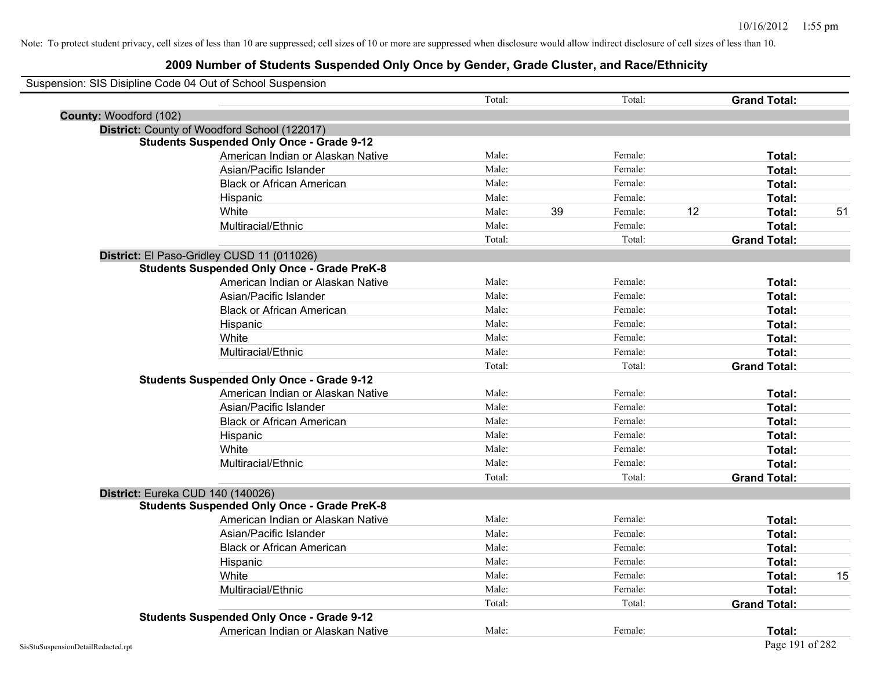|                        | Suspension: SIS Disipline Code 04 Out of School Suspension |        |    |         |    |                     |    |
|------------------------|------------------------------------------------------------|--------|----|---------|----|---------------------|----|
|                        |                                                            | Total: |    | Total:  |    | <b>Grand Total:</b> |    |
| County: Woodford (102) |                                                            |        |    |         |    |                     |    |
|                        | District: County of Woodford School (122017)               |        |    |         |    |                     |    |
|                        | <b>Students Suspended Only Once - Grade 9-12</b>           |        |    |         |    |                     |    |
|                        | American Indian or Alaskan Native                          | Male:  |    | Female: |    | Total:              |    |
|                        | Asian/Pacific Islander                                     | Male:  |    | Female: |    | Total:              |    |
|                        | <b>Black or African American</b>                           | Male:  |    | Female: |    | Total:              |    |
|                        | Hispanic                                                   | Male:  |    | Female: |    | Total:              |    |
|                        | White                                                      | Male:  | 39 | Female: | 12 | Total:              | 51 |
|                        | Multiracial/Ethnic                                         | Male:  |    | Female: |    | Total:              |    |
|                        |                                                            | Total: |    | Total:  |    | <b>Grand Total:</b> |    |
|                        | District: El Paso-Gridley CUSD 11 (011026)                 |        |    |         |    |                     |    |
|                        | <b>Students Suspended Only Once - Grade PreK-8</b>         |        |    |         |    |                     |    |
|                        | American Indian or Alaskan Native                          | Male:  |    | Female: |    | Total:              |    |
|                        | Asian/Pacific Islander                                     | Male:  |    | Female: |    | Total:              |    |
|                        | <b>Black or African American</b>                           | Male:  |    | Female: |    | Total:              |    |
|                        | Hispanic                                                   | Male:  |    | Female: |    | Total:              |    |
|                        | White                                                      | Male:  |    | Female: |    | Total:              |    |
|                        | Multiracial/Ethnic                                         | Male:  |    | Female: |    | Total:              |    |
|                        |                                                            | Total: |    | Total:  |    | <b>Grand Total:</b> |    |
|                        | <b>Students Suspended Only Once - Grade 9-12</b>           |        |    |         |    |                     |    |
|                        | American Indian or Alaskan Native                          | Male:  |    | Female: |    | Total:              |    |
|                        | Asian/Pacific Islander                                     | Male:  |    | Female: |    | Total:              |    |
|                        | <b>Black or African American</b>                           | Male:  |    | Female: |    | Total:              |    |
|                        | Hispanic                                                   | Male:  |    | Female: |    | Total:              |    |
|                        | White                                                      | Male:  |    | Female: |    | Total:              |    |
|                        | Multiracial/Ethnic                                         | Male:  |    | Female: |    | Total:              |    |
|                        |                                                            | Total: |    | Total:  |    | <b>Grand Total:</b> |    |
|                        | District: Eureka CUD 140 (140026)                          |        |    |         |    |                     |    |
|                        | <b>Students Suspended Only Once - Grade PreK-8</b>         |        |    |         |    |                     |    |
|                        | American Indian or Alaskan Native                          | Male:  |    | Female: |    | Total:              |    |
|                        | Asian/Pacific Islander                                     | Male:  |    | Female: |    | Total:              |    |
|                        | <b>Black or African American</b>                           | Male:  |    | Female: |    | Total:              |    |
|                        | Hispanic                                                   | Male:  |    | Female: |    | Total:              |    |
|                        | White                                                      | Male:  |    | Female: |    | Total:              | 15 |
|                        | Multiracial/Ethnic                                         | Male:  |    | Female: |    | Total:              |    |
|                        |                                                            | Total: |    | Total:  |    | <b>Grand Total:</b> |    |
|                        | <b>Students Suspended Only Once - Grade 9-12</b>           |        |    |         |    |                     |    |
|                        | American Indian or Alaskan Native                          | Male:  |    | Female: |    | Total:              |    |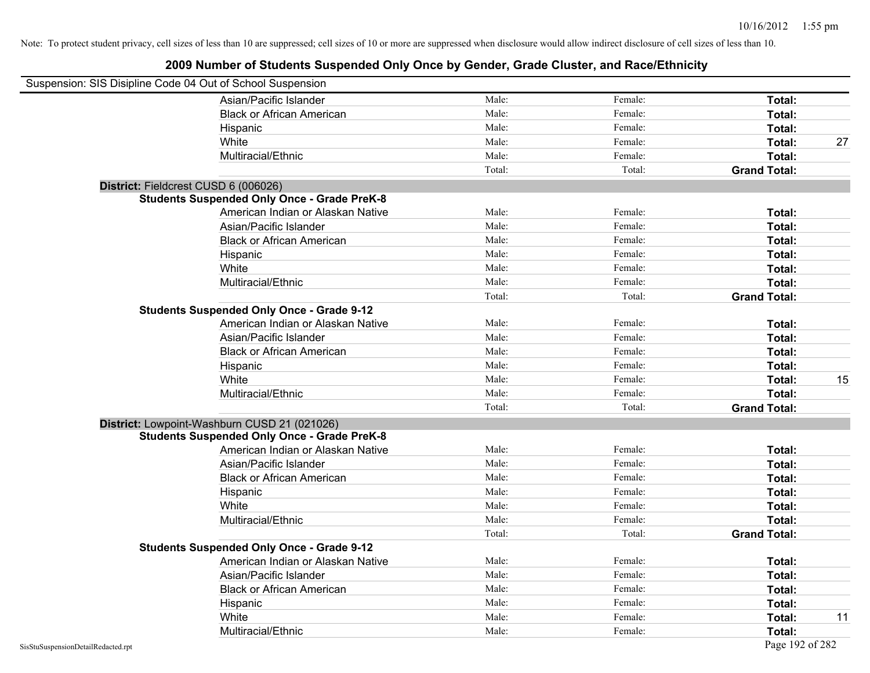| Suspension: SIS Disipline Code 04 Out of School Suspension |                                                    |        |         |                     |    |
|------------------------------------------------------------|----------------------------------------------------|--------|---------|---------------------|----|
|                                                            | Asian/Pacific Islander                             | Male:  | Female: | Total:              |    |
|                                                            | <b>Black or African American</b>                   | Male:  | Female: | Total:              |    |
|                                                            | Hispanic                                           | Male:  | Female: | Total:              |    |
|                                                            | White                                              | Male:  | Female: | Total:              | 27 |
|                                                            | Multiracial/Ethnic                                 | Male:  | Female: | Total:              |    |
|                                                            |                                                    | Total: | Total:  | <b>Grand Total:</b> |    |
| District: Fieldcrest CUSD 6 (006026)                       |                                                    |        |         |                     |    |
|                                                            | <b>Students Suspended Only Once - Grade PreK-8</b> |        |         |                     |    |
|                                                            | American Indian or Alaskan Native                  | Male:  | Female: | Total:              |    |
|                                                            | Asian/Pacific Islander                             | Male:  | Female: | Total:              |    |
|                                                            | <b>Black or African American</b>                   | Male:  | Female: | Total:              |    |
|                                                            | Hispanic                                           | Male:  | Female: | Total:              |    |
|                                                            | White                                              | Male:  | Female: | Total:              |    |
|                                                            | Multiracial/Ethnic                                 | Male:  | Female: | Total:              |    |
|                                                            |                                                    | Total: | Total:  | <b>Grand Total:</b> |    |
|                                                            | <b>Students Suspended Only Once - Grade 9-12</b>   |        |         |                     |    |
|                                                            | American Indian or Alaskan Native                  | Male:  | Female: | Total:              |    |
|                                                            | Asian/Pacific Islander                             | Male:  | Female: | Total:              |    |
|                                                            | <b>Black or African American</b>                   | Male:  | Female: | Total:              |    |
|                                                            | Hispanic                                           | Male:  | Female: | Total:              |    |
|                                                            | White                                              | Male:  | Female: | Total:              | 15 |
|                                                            | Multiracial/Ethnic                                 | Male:  | Female: | Total:              |    |
|                                                            |                                                    | Total: | Total:  | <b>Grand Total:</b> |    |
|                                                            | District: Lowpoint-Washburn CUSD 21 (021026)       |        |         |                     |    |
|                                                            | <b>Students Suspended Only Once - Grade PreK-8</b> |        |         |                     |    |
|                                                            | American Indian or Alaskan Native                  | Male:  | Female: | Total:              |    |
|                                                            | Asian/Pacific Islander                             | Male:  | Female: | Total:              |    |
|                                                            | <b>Black or African American</b>                   | Male:  | Female: | Total:              |    |
|                                                            | Hispanic                                           | Male:  | Female: | Total:              |    |
|                                                            | White                                              | Male:  | Female: | Total:              |    |
|                                                            | Multiracial/Ethnic                                 | Male:  | Female: | Total:              |    |
|                                                            |                                                    | Total: | Total:  | <b>Grand Total:</b> |    |
|                                                            | <b>Students Suspended Only Once - Grade 9-12</b>   |        |         |                     |    |
|                                                            | American Indian or Alaskan Native                  | Male:  | Female: | Total:              |    |
|                                                            | Asian/Pacific Islander                             | Male:  | Female: | Total:              |    |
|                                                            | <b>Black or African American</b>                   | Male:  | Female: | Total:              |    |
|                                                            | Hispanic                                           | Male:  | Female: | Total:              |    |
|                                                            | White                                              | Male:  | Female: | Total:              | 11 |
|                                                            | Multiracial/Ethnic                                 | Male:  | Female: | Total:              |    |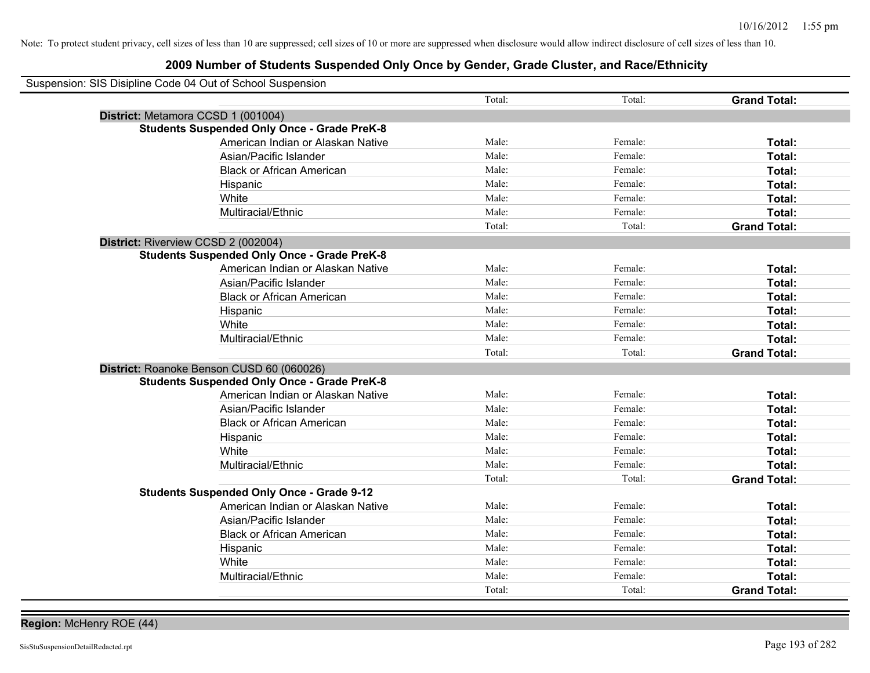| Suspension: SIS Disipline Code 04 Out of School Suspension |                                                    |        |         |                     |
|------------------------------------------------------------|----------------------------------------------------|--------|---------|---------------------|
|                                                            |                                                    | Total: | Total:  | <b>Grand Total:</b> |
| District: Metamora CCSD 1 (001004)                         |                                                    |        |         |                     |
|                                                            | <b>Students Suspended Only Once - Grade PreK-8</b> |        |         |                     |
|                                                            | American Indian or Alaskan Native                  | Male:  | Female: | Total:              |
|                                                            | Asian/Pacific Islander                             | Male:  | Female: | Total:              |
|                                                            | <b>Black or African American</b>                   | Male:  | Female: | Total:              |
|                                                            | Hispanic                                           | Male:  | Female: | Total:              |
|                                                            | White                                              | Male:  | Female: | Total:              |
|                                                            | Multiracial/Ethnic                                 | Male:  | Female: | Total:              |
|                                                            |                                                    | Total: | Total:  | <b>Grand Total:</b> |
| District: Riverview CCSD 2 (002004)                        |                                                    |        |         |                     |
|                                                            | <b>Students Suspended Only Once - Grade PreK-8</b> |        |         |                     |
|                                                            | American Indian or Alaskan Native                  | Male:  | Female: | Total:              |
|                                                            | Asian/Pacific Islander                             | Male:  | Female: | Total:              |
|                                                            | <b>Black or African American</b>                   | Male:  | Female: | Total:              |
|                                                            | Hispanic                                           | Male:  | Female: | Total:              |
|                                                            | White                                              | Male:  | Female: | Total:              |
|                                                            | Multiracial/Ethnic                                 | Male:  | Female: | Total:              |
|                                                            |                                                    | Total: | Total:  | <b>Grand Total:</b> |
| District: Roanoke Benson CUSD 60 (060026)                  |                                                    |        |         |                     |
|                                                            | <b>Students Suspended Only Once - Grade PreK-8</b> |        |         |                     |
|                                                            | American Indian or Alaskan Native                  | Male:  | Female: | Total:              |
|                                                            | Asian/Pacific Islander                             | Male:  | Female: | Total:              |
|                                                            | <b>Black or African American</b>                   | Male:  | Female: | Total:              |
|                                                            | Hispanic                                           | Male:  | Female: | Total:              |
|                                                            | White                                              | Male:  | Female: | Total:              |
|                                                            | Multiracial/Ethnic                                 | Male:  | Female: | Total:              |
|                                                            |                                                    | Total: | Total:  | <b>Grand Total:</b> |
|                                                            | <b>Students Suspended Only Once - Grade 9-12</b>   |        |         |                     |
|                                                            | American Indian or Alaskan Native                  | Male:  | Female: | Total:              |
|                                                            | Asian/Pacific Islander                             | Male:  | Female: | Total:              |
|                                                            | <b>Black or African American</b>                   | Male:  | Female: | Total:              |
|                                                            | Hispanic                                           | Male:  | Female: | Total:              |
|                                                            | White                                              | Male:  | Female: | Total:              |
|                                                            | Multiracial/Ethnic                                 | Male:  | Female: | Total:              |
|                                                            |                                                    | Total: | Total:  | <b>Grand Total:</b> |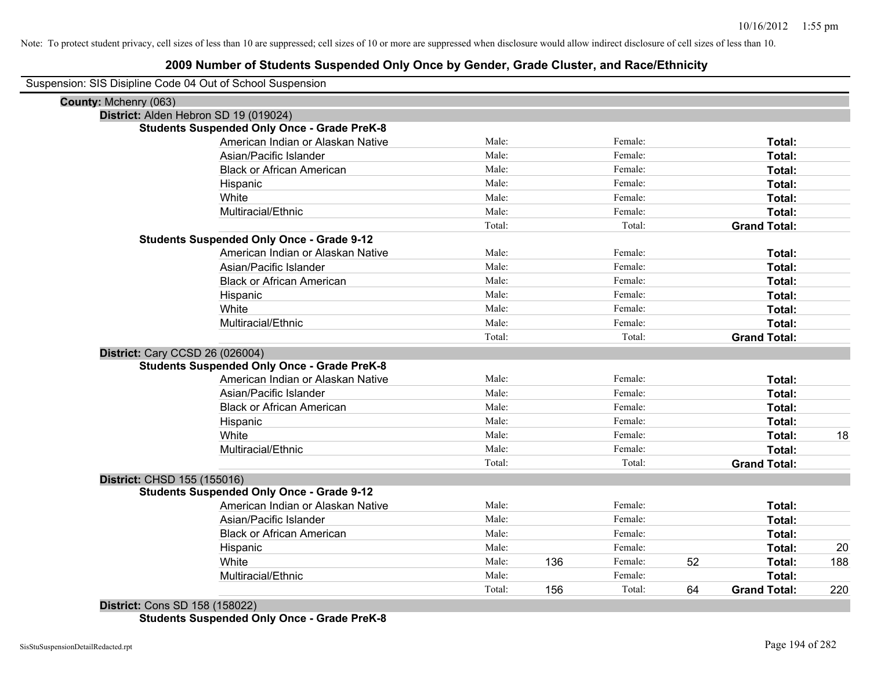| Suspension: SIS Disipline Code 04 Out of School Suspension |
|------------------------------------------------------------|
|------------------------------------------------------------|

| County: Mchenry (063)           |                                                    |        |     |         |    |                     |     |
|---------------------------------|----------------------------------------------------|--------|-----|---------|----|---------------------|-----|
|                                 | District: Alden Hebron SD 19 (019024)              |        |     |         |    |                     |     |
|                                 | <b>Students Suspended Only Once - Grade PreK-8</b> |        |     |         |    |                     |     |
|                                 | American Indian or Alaskan Native                  | Male:  |     | Female: |    | Total:              |     |
|                                 | Asian/Pacific Islander                             | Male:  |     | Female: |    | Total:              |     |
|                                 | <b>Black or African American</b>                   | Male:  |     | Female: |    | Total:              |     |
|                                 | Hispanic                                           | Male:  |     | Female: |    | Total:              |     |
|                                 | White                                              | Male:  |     | Female: |    | Total:              |     |
|                                 | Multiracial/Ethnic                                 | Male:  |     | Female: |    | Total:              |     |
|                                 |                                                    | Total: |     | Total:  |    | <b>Grand Total:</b> |     |
|                                 | <b>Students Suspended Only Once - Grade 9-12</b>   |        |     |         |    |                     |     |
|                                 | American Indian or Alaskan Native                  | Male:  |     | Female: |    | Total:              |     |
|                                 | Asian/Pacific Islander                             | Male:  |     | Female: |    | Total:              |     |
|                                 | <b>Black or African American</b>                   | Male:  |     | Female: |    | Total:              |     |
|                                 | Hispanic                                           | Male:  |     | Female: |    | Total:              |     |
|                                 | White                                              | Male:  |     | Female: |    | Total:              |     |
|                                 | Multiracial/Ethnic                                 | Male:  |     | Female: |    | Total:              |     |
|                                 |                                                    | Total: |     | Total:  |    | <b>Grand Total:</b> |     |
| District: Cary CCSD 26 (026004) |                                                    |        |     |         |    |                     |     |
|                                 | <b>Students Suspended Only Once - Grade PreK-8</b> |        |     |         |    |                     |     |
|                                 | American Indian or Alaskan Native                  | Male:  |     | Female: |    | Total:              |     |
|                                 | Asian/Pacific Islander                             | Male:  |     | Female: |    | Total:              |     |
|                                 | <b>Black or African American</b>                   | Male:  |     | Female: |    | Total:              |     |
|                                 | Hispanic                                           | Male:  |     | Female: |    | Total:              |     |
|                                 | White                                              | Male:  |     | Female: |    | Total:              | 18  |
|                                 | Multiracial/Ethnic                                 | Male:  |     | Female: |    | Total:              |     |
|                                 |                                                    | Total: |     | Total:  |    | <b>Grand Total:</b> |     |
| District: CHSD 155 (155016)     |                                                    |        |     |         |    |                     |     |
|                                 | <b>Students Suspended Only Once - Grade 9-12</b>   |        |     |         |    |                     |     |
|                                 | American Indian or Alaskan Native                  | Male:  |     | Female: |    | Total:              |     |
|                                 | Asian/Pacific Islander                             | Male:  |     | Female: |    | Total:              |     |
|                                 | <b>Black or African American</b>                   | Male:  |     | Female: |    | Total:              |     |
|                                 | Hispanic                                           | Male:  |     | Female: |    | Total:              | 20  |
|                                 | White                                              | Male:  | 136 | Female: | 52 | Total:              | 188 |
|                                 | Multiracial/Ethnic                                 | Male:  |     | Female: |    | Total:              |     |
|                                 |                                                    | Total: | 156 | Total:  | 64 | <b>Grand Total:</b> | 220 |
|                                 |                                                    |        |     |         |    |                     |     |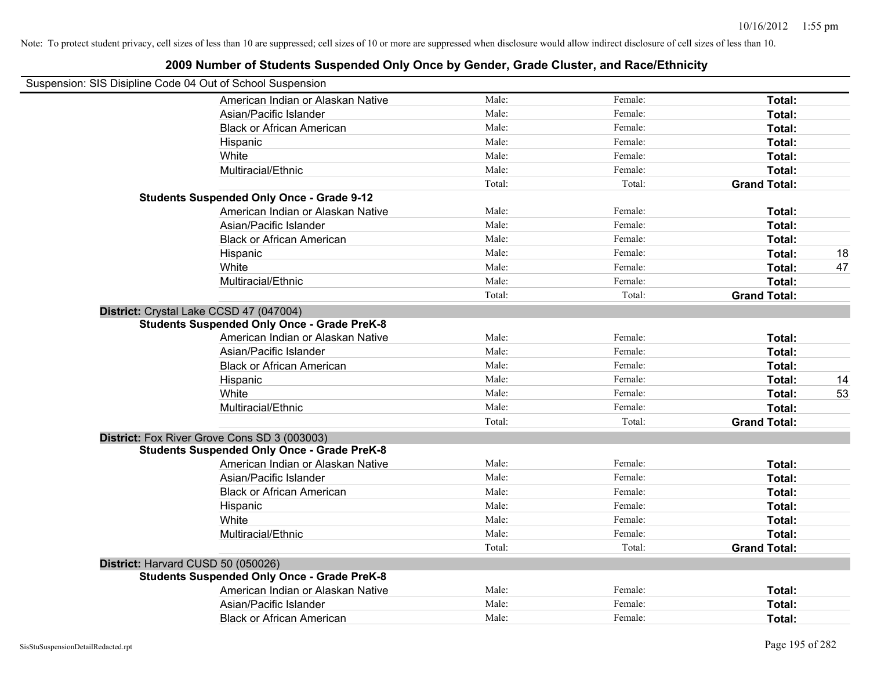| Suspension: SIS Disipline Code 04 Out of School Suspension | וטוווואטו טו טנשטטווט טשטוטט טוויט אין טטווטט אן טטוואטו, טועמט טואטנטו, אווא ושטטובנוווווטונ |                |         |                     |    |
|------------------------------------------------------------|-----------------------------------------------------------------------------------------------|----------------|---------|---------------------|----|
|                                                            | American Indian or Alaskan Native                                                             | Male:          | Female: | Total:              |    |
|                                                            | Asian/Pacific Islander                                                                        | Male:          | Female: | Total:              |    |
|                                                            | <b>Black or African American</b>                                                              | Male:          | Female: | Total:              |    |
|                                                            | Hispanic                                                                                      | Male:          | Female: | Total:              |    |
|                                                            | White                                                                                         | Male:          | Female: | Total:              |    |
|                                                            | Multiracial/Ethnic                                                                            | Male:          | Female: | Total:              |    |
|                                                            |                                                                                               | Total:         | Total:  | <b>Grand Total:</b> |    |
|                                                            | <b>Students Suspended Only Once - Grade 9-12</b>                                              |                |         |                     |    |
|                                                            | American Indian or Alaskan Native                                                             | Male:          | Female: | Total:              |    |
|                                                            | Asian/Pacific Islander                                                                        | Male:          | Female: | Total:              |    |
|                                                            | <b>Black or African American</b>                                                              | Male:          | Female: | Total:              |    |
|                                                            | Hispanic                                                                                      | Male:          | Female: | Total:              | 18 |
|                                                            | White                                                                                         | Male:          | Female: | Total:              | 47 |
|                                                            | Multiracial/Ethnic                                                                            | Male:          | Female: | Total:              |    |
|                                                            |                                                                                               | Total:         | Total:  | <b>Grand Total:</b> |    |
|                                                            | District: Crystal Lake CCSD 47 (047004)                                                       |                |         |                     |    |
|                                                            | <b>Students Suspended Only Once - Grade PreK-8</b>                                            |                |         |                     |    |
|                                                            | American Indian or Alaskan Native                                                             | Male:          | Female: | Total:              |    |
|                                                            | Asian/Pacific Islander                                                                        | Male:          | Female: | Total:              |    |
|                                                            | <b>Black or African American</b>                                                              | Male:          | Female: | Total:              |    |
|                                                            | Hispanic                                                                                      | Male:          | Female: | Total:              | 14 |
|                                                            | White                                                                                         | Male:          | Female: | Total:              | 53 |
|                                                            | Multiracial/Ethnic                                                                            | Male:          | Female: | Total:              |    |
|                                                            |                                                                                               | Total:         | Total:  | <b>Grand Total:</b> |    |
|                                                            | District: Fox River Grove Cons SD 3 (003003)                                                  |                |         |                     |    |
|                                                            | <b>Students Suspended Only Once - Grade PreK-8</b>                                            |                |         |                     |    |
|                                                            | American Indian or Alaskan Native                                                             | Male:          | Female: | Total:              |    |
|                                                            | Asian/Pacific Islander                                                                        | Male:          | Female: | Total:              |    |
|                                                            | <b>Black or African American</b>                                                              | Male:          | Female: | Total:              |    |
|                                                            | Hispanic                                                                                      | Male:          | Female: | Total:              |    |
|                                                            | White                                                                                         | Male:          | Female: | Total:              |    |
|                                                            | Multiracial/Ethnic                                                                            | Male:          | Female: | Total:              |    |
|                                                            |                                                                                               | Total:         | Total:  | <b>Grand Total:</b> |    |
|                                                            | District: Harvard CUSD 50 (050026)                                                            |                |         |                     |    |
|                                                            | <b>Students Suspended Only Once - Grade PreK-8</b>                                            |                |         |                     |    |
|                                                            | American Indian or Alaskan Native                                                             | Male:<br>Male: | Female: | Total:              |    |
|                                                            | Asian/Pacific Islander                                                                        |                | Female: | Total:              |    |
|                                                            | <b>Black or African American</b>                                                              | Male:          | Female: | Total:              |    |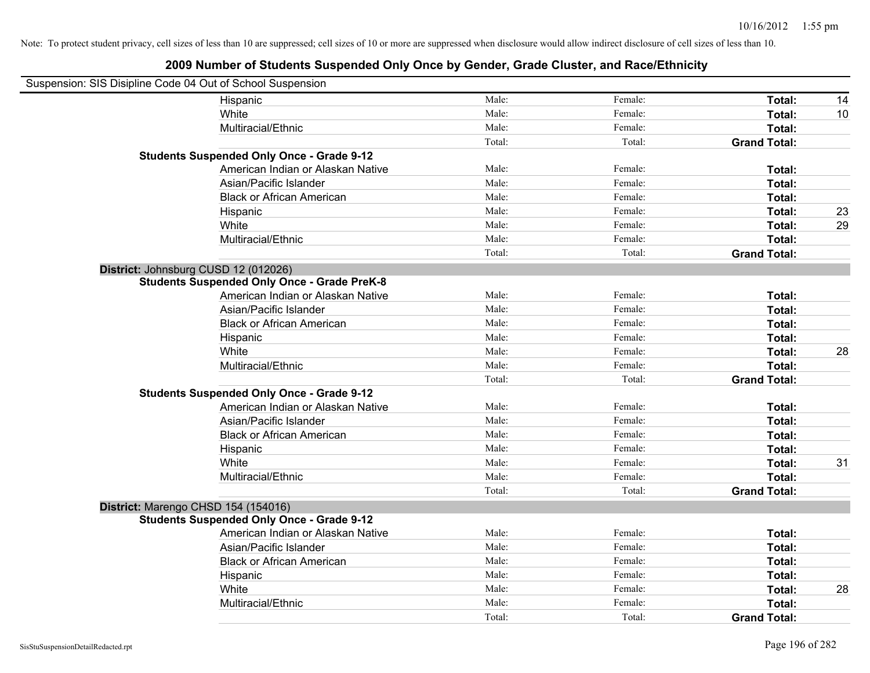| Suspension: SIS Disipline Code 04 Out of School Suspension |                                                    |        |         |                     |    |
|------------------------------------------------------------|----------------------------------------------------|--------|---------|---------------------|----|
|                                                            | Hispanic                                           | Male:  | Female: | Total:              | 14 |
|                                                            | White                                              | Male:  | Female: | Total:              | 10 |
|                                                            | Multiracial/Ethnic                                 | Male:  | Female: | Total:              |    |
|                                                            |                                                    | Total: | Total:  | <b>Grand Total:</b> |    |
|                                                            | <b>Students Suspended Only Once - Grade 9-12</b>   |        |         |                     |    |
|                                                            | American Indian or Alaskan Native                  | Male:  | Female: | Total:              |    |
|                                                            | Asian/Pacific Islander                             | Male:  | Female: | Total:              |    |
|                                                            | <b>Black or African American</b>                   | Male:  | Female: | Total:              |    |
|                                                            | Hispanic                                           | Male:  | Female: | Total:              | 23 |
|                                                            | White                                              | Male:  | Female: | Total:              | 29 |
|                                                            | Multiracial/Ethnic                                 | Male:  | Female: | Total:              |    |
|                                                            |                                                    | Total: | Total:  | <b>Grand Total:</b> |    |
| District: Johnsburg CUSD 12 (012026)                       |                                                    |        |         |                     |    |
|                                                            | <b>Students Suspended Only Once - Grade PreK-8</b> |        |         |                     |    |
|                                                            | American Indian or Alaskan Native                  | Male:  | Female: | Total:              |    |
|                                                            | Asian/Pacific Islander                             | Male:  | Female: | Total:              |    |
|                                                            | <b>Black or African American</b>                   | Male:  | Female: | Total:              |    |
|                                                            | Hispanic                                           | Male:  | Female: | Total:              |    |
|                                                            | White                                              | Male:  | Female: | Total:              | 28 |
|                                                            | Multiracial/Ethnic                                 | Male:  | Female: | Total:              |    |
|                                                            |                                                    | Total: | Total:  | <b>Grand Total:</b> |    |
|                                                            | <b>Students Suspended Only Once - Grade 9-12</b>   |        |         |                     |    |
|                                                            | American Indian or Alaskan Native                  | Male:  | Female: | Total:              |    |
|                                                            | Asian/Pacific Islander                             | Male:  | Female: | Total:              |    |
|                                                            | <b>Black or African American</b>                   | Male:  | Female: | Total:              |    |
|                                                            | Hispanic                                           | Male:  | Female: | Total:              |    |
|                                                            | White                                              | Male:  | Female: | Total:              | 31 |
|                                                            | Multiracial/Ethnic                                 | Male:  | Female: | Total:              |    |
|                                                            |                                                    | Total: | Total:  | <b>Grand Total:</b> |    |
| District: Marengo CHSD 154 (154016)                        |                                                    |        |         |                     |    |
|                                                            | <b>Students Suspended Only Once - Grade 9-12</b>   |        |         |                     |    |
|                                                            | American Indian or Alaskan Native                  | Male:  | Female: | Total:              |    |
|                                                            | Asian/Pacific Islander                             | Male:  | Female: | Total:              |    |
|                                                            | <b>Black or African American</b>                   | Male:  | Female: | Total:              |    |
|                                                            | Hispanic                                           | Male:  | Female: | Total:              |    |
|                                                            | White                                              | Male:  | Female: | Total:              | 28 |
|                                                            | Multiracial/Ethnic                                 | Male:  | Female: | Total:              |    |
|                                                            |                                                    | Total: | Total:  | <b>Grand Total:</b> |    |
|                                                            |                                                    |        |         |                     |    |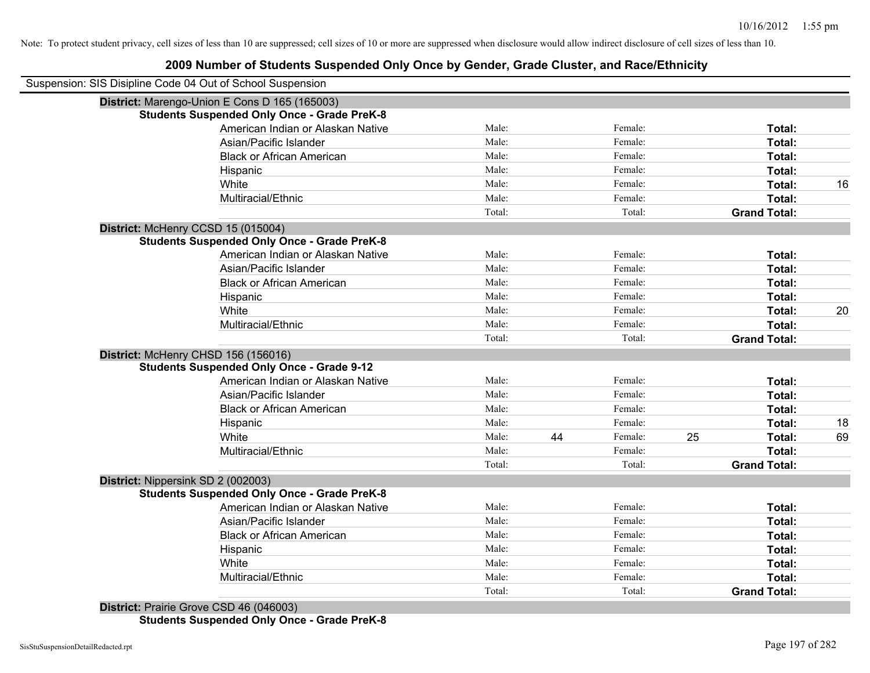# **2009 Number of Students Suspended Only Once by Gender, Grade Cluster, and Race/Ethnicity**

| District: Marengo-Union E Cons D 165 (165003)<br><b>Students Suspended Only Once - Grade PreK-8</b><br>American Indian or Alaskan Native<br>Asian/Pacific Islander | Male:<br>Male:<br>Male: |    |         |    |                     |    |
|--------------------------------------------------------------------------------------------------------------------------------------------------------------------|-------------------------|----|---------|----|---------------------|----|
|                                                                                                                                                                    |                         |    |         |    |                     |    |
|                                                                                                                                                                    |                         |    |         |    |                     |    |
|                                                                                                                                                                    |                         |    | Female: |    | Total:              |    |
|                                                                                                                                                                    |                         |    | Female: |    | Total:              |    |
| <b>Black or African American</b>                                                                                                                                   |                         |    | Female: |    | Total:              |    |
| Hispanic                                                                                                                                                           | Male:                   |    | Female: |    | Total:              |    |
| White                                                                                                                                                              | Male:                   |    | Female: |    | Total:              | 16 |
| Multiracial/Ethnic                                                                                                                                                 | Male:                   |    | Female: |    | Total:              |    |
|                                                                                                                                                                    | Total:                  |    | Total:  |    | <b>Grand Total:</b> |    |
| District: McHenry CCSD 15 (015004)                                                                                                                                 |                         |    |         |    |                     |    |
| <b>Students Suspended Only Once - Grade PreK-8</b>                                                                                                                 |                         |    |         |    |                     |    |
| American Indian or Alaskan Native                                                                                                                                  | Male:                   |    | Female: |    | Total:              |    |
| Asian/Pacific Islander                                                                                                                                             | Male:                   |    | Female: |    | Total:              |    |
| <b>Black or African American</b>                                                                                                                                   | Male:                   |    | Female: |    | Total:              |    |
| Hispanic                                                                                                                                                           | Male:                   |    | Female: |    | Total:              |    |
| White                                                                                                                                                              | Male:                   |    | Female: |    | Total:              | 20 |
| Multiracial/Ethnic                                                                                                                                                 | Male:                   |    | Female: |    | Total:              |    |
|                                                                                                                                                                    | Total:                  |    | Total:  |    | <b>Grand Total:</b> |    |
| District: McHenry CHSD 156 (156016)                                                                                                                                |                         |    |         |    |                     |    |
| <b>Students Suspended Only Once - Grade 9-12</b>                                                                                                                   |                         |    |         |    |                     |    |
| American Indian or Alaskan Native                                                                                                                                  | Male:                   |    | Female: |    | Total:              |    |
| Asian/Pacific Islander                                                                                                                                             | Male:                   |    | Female: |    | Total:              |    |
| <b>Black or African American</b>                                                                                                                                   | Male:                   |    | Female: |    | Total:              |    |
| Hispanic                                                                                                                                                           | Male:                   |    | Female: |    | Total:              | 18 |
| White                                                                                                                                                              | Male:                   | 44 | Female: | 25 | Total:              | 69 |
| Multiracial/Ethnic                                                                                                                                                 | Male:                   |    | Female: |    | Total:              |    |
|                                                                                                                                                                    | Total:                  |    | Total:  |    | <b>Grand Total:</b> |    |
| District: Nippersink SD 2 (002003)                                                                                                                                 |                         |    |         |    |                     |    |
| <b>Students Suspended Only Once - Grade PreK-8</b>                                                                                                                 |                         |    |         |    |                     |    |
| American Indian or Alaskan Native                                                                                                                                  | Male:                   |    | Female: |    | Total:              |    |
| Asian/Pacific Islander                                                                                                                                             | Male:                   |    | Female: |    | Total:              |    |
| <b>Black or African American</b>                                                                                                                                   | Male:                   |    | Female: |    | Total:              |    |
| Hispanic                                                                                                                                                           | Male:                   |    | Female: |    | Total:              |    |
| White                                                                                                                                                              | Male:                   |    | Female: |    | Total:              |    |
| Multiracial/Ethnic                                                                                                                                                 | Male:                   |    | Female: |    | Total:              |    |
|                                                                                                                                                                    | Total:                  |    | Total:  |    | <b>Grand Total:</b> |    |
| District: Prairie Grove CSD 46 (046003)                                                                                                                            |                         |    |         |    |                     |    |

**Students Suspended Only Once - Grade PreK-8**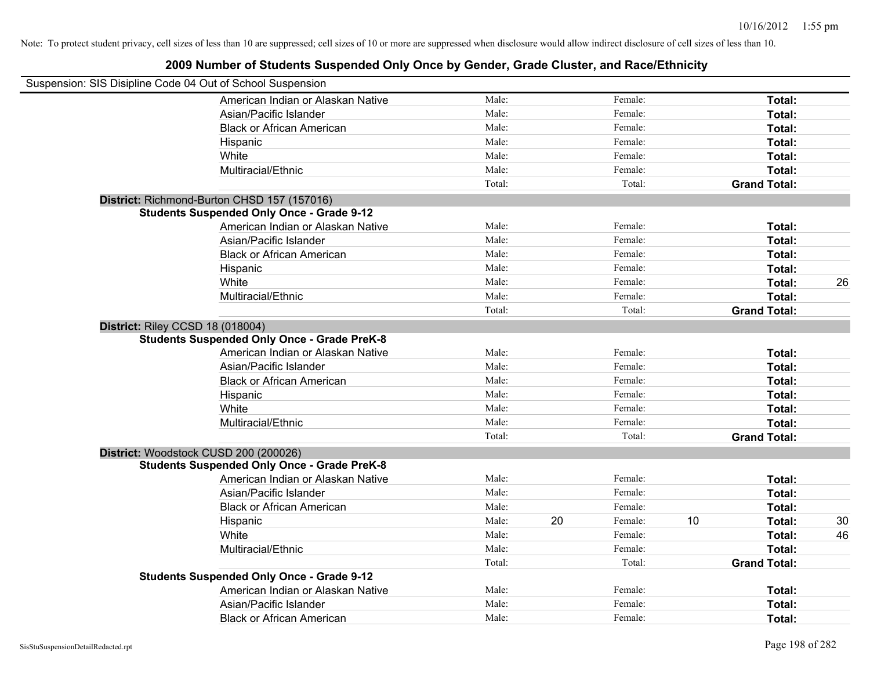| Suspension: SIS Disipline Code 04 Out of School Suspension |        |    |         |    |                     |    |
|------------------------------------------------------------|--------|----|---------|----|---------------------|----|
| American Indian or Alaskan Native                          | Male:  |    | Female: |    | Total:              |    |
| Asian/Pacific Islander                                     | Male:  |    | Female: |    | Total:              |    |
| <b>Black or African American</b>                           | Male:  |    | Female: |    | Total:              |    |
| Hispanic                                                   | Male:  |    | Female: |    | Total:              |    |
| White                                                      | Male:  |    | Female: |    | Total:              |    |
| Multiracial/Ethnic                                         | Male:  |    | Female: |    | Total:              |    |
|                                                            | Total: |    | Total:  |    | <b>Grand Total:</b> |    |
| District: Richmond-Burton CHSD 157 (157016)                |        |    |         |    |                     |    |
| <b>Students Suspended Only Once - Grade 9-12</b>           |        |    |         |    |                     |    |
| American Indian or Alaskan Native                          | Male:  |    | Female: |    | Total:              |    |
| Asian/Pacific Islander                                     | Male:  |    | Female: |    | Total:              |    |
| <b>Black or African American</b>                           | Male:  |    | Female: |    | Total:              |    |
| Hispanic                                                   | Male:  |    | Female: |    | Total:              |    |
| White                                                      | Male:  |    | Female: |    | Total:              | 26 |
| Multiracial/Ethnic                                         | Male:  |    | Female: |    | Total:              |    |
|                                                            | Total: |    | Total:  |    | <b>Grand Total:</b> |    |
| District: Riley CCSD 18 (018004)                           |        |    |         |    |                     |    |
| <b>Students Suspended Only Once - Grade PreK-8</b>         |        |    |         |    |                     |    |
| American Indian or Alaskan Native                          | Male:  |    | Female: |    | Total:              |    |
| Asian/Pacific Islander                                     | Male:  |    | Female: |    | Total:              |    |
| <b>Black or African American</b>                           | Male:  |    | Female: |    | Total:              |    |
| Hispanic                                                   | Male:  |    | Female: |    | Total:              |    |
| White                                                      | Male:  |    | Female: |    | Total:              |    |
| Multiracial/Ethnic                                         | Male:  |    | Female: |    | Total:              |    |
|                                                            | Total: |    | Total:  |    | <b>Grand Total:</b> |    |
| District: Woodstock CUSD 200 (200026)                      |        |    |         |    |                     |    |
| <b>Students Suspended Only Once - Grade PreK-8</b>         |        |    |         |    |                     |    |
| American Indian or Alaskan Native                          | Male:  |    | Female: |    | Total:              |    |
| Asian/Pacific Islander                                     | Male:  |    | Female: |    | Total:              |    |
| <b>Black or African American</b>                           | Male:  |    | Female: |    | Total:              |    |
| Hispanic                                                   | Male:  | 20 | Female: | 10 | Total:              | 30 |
| White                                                      | Male:  |    | Female: |    | Total:              | 46 |
| Multiracial/Ethnic                                         | Male:  |    | Female: |    | Total:              |    |
|                                                            | Total: |    | Total:  |    | <b>Grand Total:</b> |    |
| <b>Students Suspended Only Once - Grade 9-12</b>           |        |    |         |    |                     |    |
| American Indian or Alaskan Native                          | Male:  |    | Female: |    | Total:              |    |
| Asian/Pacific Islander                                     | Male:  |    | Female: |    | Total:              |    |
| <b>Black or African American</b>                           | Male:  |    | Female: |    | Total:              |    |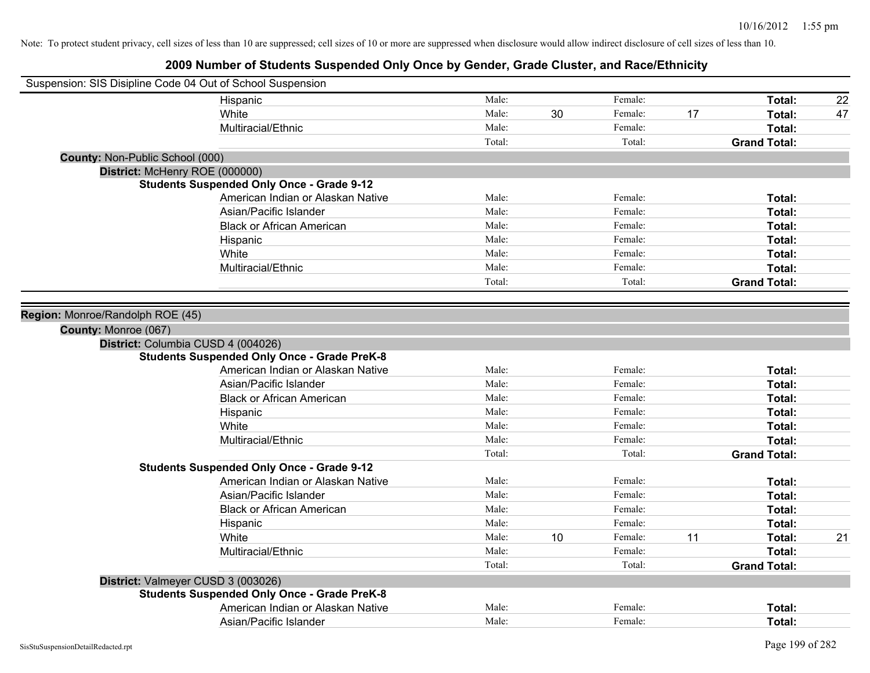| Suspension: SIS Disipline Code 04 Out of School Suspension |                                                    |        |    |         |    |                     |    |
|------------------------------------------------------------|----------------------------------------------------|--------|----|---------|----|---------------------|----|
|                                                            | Hispanic                                           | Male:  |    | Female: |    | Total:              | 22 |
|                                                            | White                                              | Male:  | 30 | Female: | 17 | Total:              | 47 |
|                                                            | Multiracial/Ethnic                                 | Male:  |    | Female: |    | Total:              |    |
|                                                            |                                                    | Total: |    | Total:  |    | <b>Grand Total:</b> |    |
| County: Non-Public School (000)                            |                                                    |        |    |         |    |                     |    |
| District: McHenry ROE (000000)                             |                                                    |        |    |         |    |                     |    |
|                                                            | <b>Students Suspended Only Once - Grade 9-12</b>   |        |    |         |    |                     |    |
|                                                            | American Indian or Alaskan Native                  | Male:  |    | Female: |    | Total:              |    |
|                                                            | Asian/Pacific Islander                             | Male:  |    | Female: |    | Total:              |    |
|                                                            | <b>Black or African American</b>                   | Male:  |    | Female: |    | Total:              |    |
|                                                            | Hispanic                                           | Male:  |    | Female: |    | Total:              |    |
|                                                            | White                                              | Male:  |    | Female: |    | Total:              |    |
|                                                            | Multiracial/Ethnic                                 | Male:  |    | Female: |    | Total:              |    |
|                                                            |                                                    | Total: |    | Total:  |    | <b>Grand Total:</b> |    |
|                                                            |                                                    |        |    |         |    |                     |    |
| Region: Monroe/Randolph ROE (45)                           |                                                    |        |    |         |    |                     |    |
| County: Monroe (067)                                       |                                                    |        |    |         |    |                     |    |
|                                                            | District: Columbia CUSD 4 (004026)                 |        |    |         |    |                     |    |
|                                                            | <b>Students Suspended Only Once - Grade PreK-8</b> |        |    |         |    |                     |    |
|                                                            | American Indian or Alaskan Native                  | Male:  |    | Female: |    | Total:              |    |
|                                                            | Asian/Pacific Islander                             | Male:  |    | Female: |    | Total:              |    |
|                                                            | <b>Black or African American</b>                   | Male:  |    | Female: |    | Total:              |    |
|                                                            | Hispanic                                           | Male:  |    | Female: |    | Total:              |    |
|                                                            | White                                              | Male:  |    | Female: |    | Total:              |    |
|                                                            | Multiracial/Ethnic                                 | Male:  |    | Female: |    | Total:              |    |
|                                                            |                                                    | Total: |    | Total:  |    | <b>Grand Total:</b> |    |
|                                                            | <b>Students Suspended Only Once - Grade 9-12</b>   |        |    |         |    |                     |    |
|                                                            | American Indian or Alaskan Native                  | Male:  |    | Female: |    | Total:              |    |
|                                                            | Asian/Pacific Islander                             | Male:  |    | Female: |    | Total:              |    |
|                                                            | <b>Black or African American</b>                   | Male:  |    | Female: |    | Total:              |    |
|                                                            | Hispanic                                           | Male:  |    | Female: |    | Total:              |    |
|                                                            | White                                              | Male:  | 10 | Female: | 11 | Total:              | 21 |
|                                                            | Multiracial/Ethnic                                 | Male:  |    | Female: |    | Total:              |    |
|                                                            |                                                    | Total: |    | Total:  |    | <b>Grand Total:</b> |    |
|                                                            | District: Valmeyer CUSD 3 (003026)                 |        |    |         |    |                     |    |
|                                                            | <b>Students Suspended Only Once - Grade PreK-8</b> |        |    |         |    |                     |    |
|                                                            | American Indian or Alaskan Native                  | Male:  |    | Female: |    | Total:              |    |
|                                                            | Asian/Pacific Islander                             | Male:  |    | Female: |    | Total:              |    |
|                                                            |                                                    |        |    |         |    |                     |    |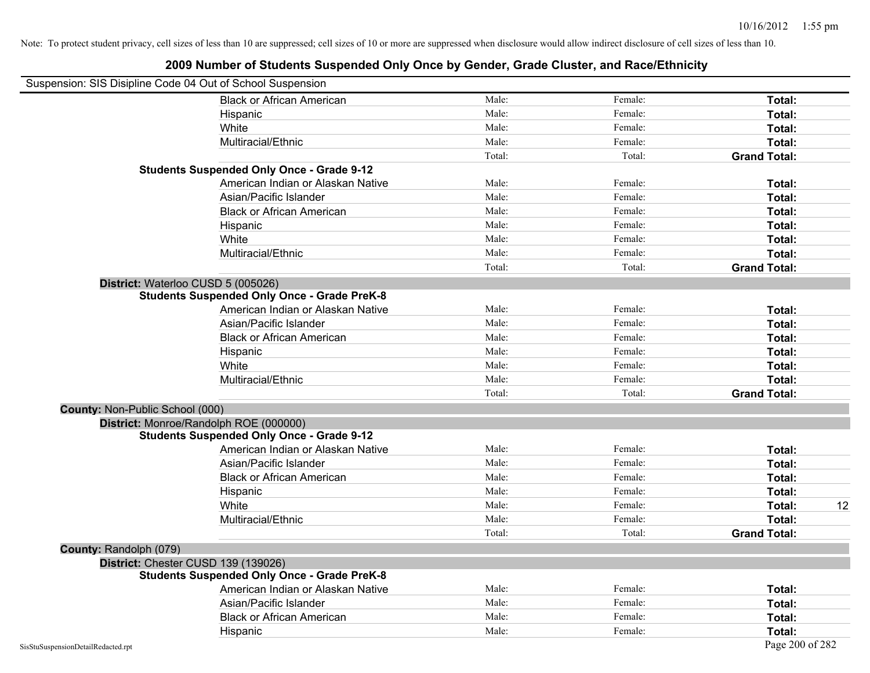| Suspension: SIS Disipline Code 04 Out of School Suspension |                                                    |                 |         |                     |
|------------------------------------------------------------|----------------------------------------------------|-----------------|---------|---------------------|
|                                                            |                                                    | Male:           | Female: |                     |
|                                                            | <b>Black or African American</b>                   | Male:           | Female: | Total:              |
|                                                            | Hispanic                                           | Male:           | Female: | Total:              |
|                                                            | White                                              |                 |         | Total:              |
|                                                            | Multiracial/Ethnic                                 | Male:<br>Total: | Female: | Total:              |
|                                                            | <b>Students Suspended Only Once - Grade 9-12</b>   |                 | Total:  | <b>Grand Total:</b> |
|                                                            | American Indian or Alaskan Native                  | Male:           | Female: | Total:              |
|                                                            | Asian/Pacific Islander                             | Male:           | Female: | Total:              |
|                                                            | <b>Black or African American</b>                   | Male:           | Female: |                     |
|                                                            |                                                    | Male:           |         | Total:              |
|                                                            | Hispanic                                           |                 | Female: | Total:              |
|                                                            | White                                              | Male:           | Female: | Total:              |
|                                                            | Multiracial/Ethnic                                 | Male:           | Female: | Total:              |
|                                                            |                                                    | Total:          | Total:  | <b>Grand Total:</b> |
| District: Waterloo CUSD 5 (005026)                         |                                                    |                 |         |                     |
|                                                            | <b>Students Suspended Only Once - Grade PreK-8</b> |                 |         |                     |
|                                                            | American Indian or Alaskan Native                  | Male:           | Female: | Total:              |
|                                                            | Asian/Pacific Islander                             | Male:           | Female: | Total:              |
|                                                            | <b>Black or African American</b>                   | Male:           | Female: | Total:              |
|                                                            | Hispanic                                           | Male:           | Female: | Total:              |
|                                                            | White                                              | Male:           | Female: | Total:              |
|                                                            | Multiracial/Ethnic                                 | Male:           | Female: | Total:              |
|                                                            |                                                    | Total:          | Total:  | <b>Grand Total:</b> |
| County: Non-Public School (000)                            |                                                    |                 |         |                     |
|                                                            | District: Monroe/Randolph ROE (000000)             |                 |         |                     |
|                                                            | <b>Students Suspended Only Once - Grade 9-12</b>   |                 |         |                     |
|                                                            | American Indian or Alaskan Native                  | Male:           | Female: | Total:              |
|                                                            | Asian/Pacific Islander                             | Male:           | Female: | Total:              |
|                                                            | <b>Black or African American</b>                   | Male:           | Female: | Total:              |
|                                                            | Hispanic                                           | Male:           | Female: | Total:              |
|                                                            | White                                              | Male:           | Female: | 12<br>Total:        |
|                                                            | Multiracial/Ethnic                                 | Male:           | Female: | Total:              |
|                                                            |                                                    | Total:          | Total:  | <b>Grand Total:</b> |
| County: Randolph (079)                                     |                                                    |                 |         |                     |
| District: Chester CUSD 139 (139026)                        |                                                    |                 |         |                     |
|                                                            | <b>Students Suspended Only Once - Grade PreK-8</b> |                 |         |                     |
|                                                            | American Indian or Alaskan Native                  | Male:           | Female: | Total:              |
|                                                            | Asian/Pacific Islander                             | Male:           | Female: | Total:              |
|                                                            | <b>Black or African American</b>                   | Male:           | Female: | Total:              |
|                                                            | Hispanic                                           | Male:           | Female: | Total:              |
| SisStuSuspensionDetailRedacted.rpt                         |                                                    |                 |         | Page 200 of 282     |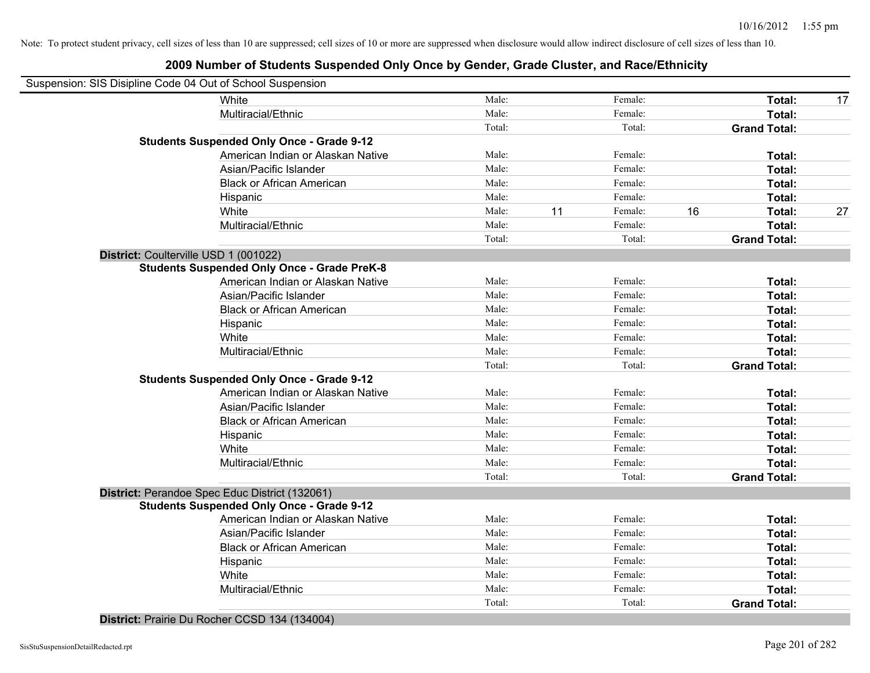#### **2009 Number of Students Suspended Only Once by Gender, Grade Cluster, and Race/Ethnicity**

|                                       | Suspension: SIS Disipline Code 04 Out of School Suspension |        |    |         |    |                     |    |
|---------------------------------------|------------------------------------------------------------|--------|----|---------|----|---------------------|----|
|                                       | White                                                      | Male:  |    | Female: |    | Total:              | 17 |
|                                       | Multiracial/Ethnic                                         | Male:  |    | Female: |    | Total:              |    |
|                                       |                                                            | Total: |    | Total:  |    | <b>Grand Total:</b> |    |
|                                       | <b>Students Suspended Only Once - Grade 9-12</b>           |        |    |         |    |                     |    |
|                                       | American Indian or Alaskan Native                          | Male:  |    | Female: |    | Total:              |    |
|                                       | Asian/Pacific Islander                                     | Male:  |    | Female: |    | Total:              |    |
|                                       | <b>Black or African American</b>                           | Male:  |    | Female: |    | Total:              |    |
|                                       | Hispanic                                                   | Male:  |    | Female: |    | Total:              |    |
|                                       | White                                                      | Male:  | 11 | Female: | 16 | Total:              | 27 |
|                                       | Multiracial/Ethnic                                         | Male:  |    | Female: |    | Total:              |    |
|                                       |                                                            | Total: |    | Total:  |    | <b>Grand Total:</b> |    |
| District: Coulterville USD 1 (001022) |                                                            |        |    |         |    |                     |    |
|                                       | <b>Students Suspended Only Once - Grade PreK-8</b>         |        |    |         |    |                     |    |
|                                       | American Indian or Alaskan Native                          | Male:  |    | Female: |    | Total:              |    |
|                                       | Asian/Pacific Islander                                     | Male:  |    | Female: |    | Total:              |    |
|                                       | <b>Black or African American</b>                           | Male:  |    | Female: |    | Total:              |    |
|                                       | Hispanic                                                   | Male:  |    | Female: |    | Total:              |    |
|                                       | White                                                      | Male:  |    | Female: |    | Total:              |    |
|                                       | Multiracial/Ethnic                                         | Male:  |    | Female: |    | Total:              |    |
|                                       |                                                            | Total: |    | Total:  |    | <b>Grand Total:</b> |    |
|                                       | <b>Students Suspended Only Once - Grade 9-12</b>           |        |    |         |    |                     |    |
|                                       | American Indian or Alaskan Native                          | Male:  |    | Female: |    | Total:              |    |
|                                       | Asian/Pacific Islander                                     | Male:  |    | Female: |    | Total:              |    |
|                                       | <b>Black or African American</b>                           | Male:  |    | Female: |    | Total:              |    |
|                                       | Hispanic                                                   | Male:  |    | Female: |    | Total:              |    |
|                                       | White                                                      | Male:  |    | Female: |    | Total:              |    |
|                                       | Multiracial/Ethnic                                         | Male:  |    | Female: |    | Total:              |    |
|                                       |                                                            | Total: |    | Total:  |    | <b>Grand Total:</b> |    |
|                                       | District: Perandoe Spec Educ District (132061)             |        |    |         |    |                     |    |
|                                       | <b>Students Suspended Only Once - Grade 9-12</b>           |        |    |         |    |                     |    |
|                                       | American Indian or Alaskan Native                          | Male:  |    | Female: |    | Total:              |    |
|                                       | Asian/Pacific Islander                                     | Male:  |    | Female: |    | Total:              |    |
|                                       | <b>Black or African American</b>                           | Male:  |    | Female: |    | Total:              |    |
|                                       | Hispanic                                                   | Male:  |    | Female: |    | Total:              |    |
|                                       | White                                                      | Male:  |    | Female: |    | Total:              |    |
|                                       | Multiracial/Ethnic                                         | Male:  |    | Female: |    | Total:              |    |
|                                       |                                                            | Total: |    | Total:  |    | <b>Grand Total:</b> |    |

**District:** Prairie Du Rocher CCSD 134 (134004)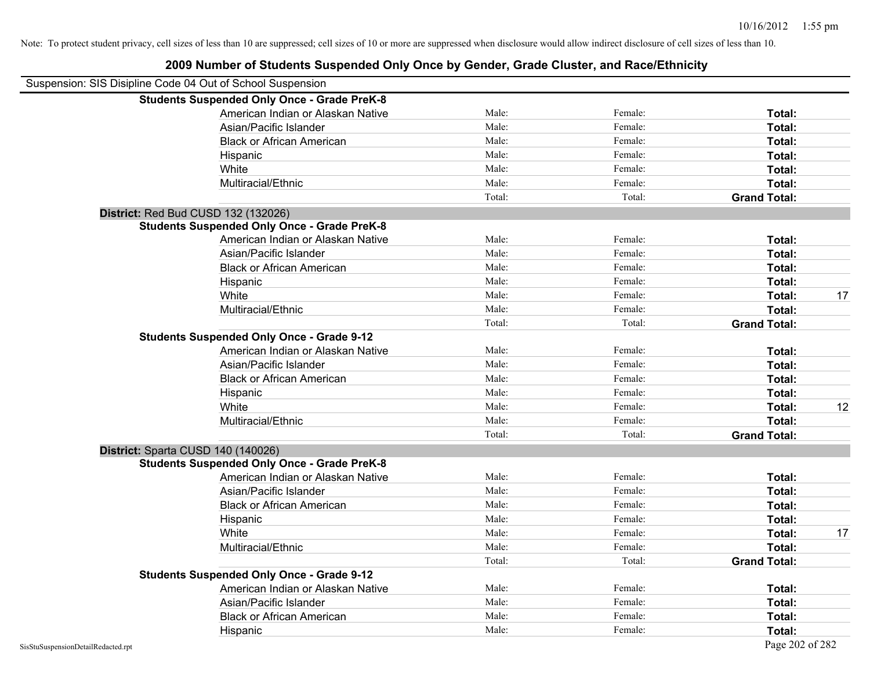| Suspension: SIS Disipline Code 04 Out of School Suspension |                                                    |        |         |                     |    |
|------------------------------------------------------------|----------------------------------------------------|--------|---------|---------------------|----|
|                                                            | <b>Students Suspended Only Once - Grade PreK-8</b> |        |         |                     |    |
|                                                            | American Indian or Alaskan Native                  | Male:  | Female: | Total:              |    |
|                                                            | Asian/Pacific Islander                             | Male:  | Female: | Total:              |    |
|                                                            | <b>Black or African American</b>                   | Male:  | Female: | Total:              |    |
|                                                            | Hispanic                                           | Male:  | Female: | Total:              |    |
|                                                            | White                                              | Male:  | Female: | Total:              |    |
|                                                            | Multiracial/Ethnic                                 | Male:  | Female: | Total:              |    |
|                                                            |                                                    | Total: | Total:  | <b>Grand Total:</b> |    |
| District: Red Bud CUSD 132 (132026)                        |                                                    |        |         |                     |    |
|                                                            | <b>Students Suspended Only Once - Grade PreK-8</b> |        |         |                     |    |
|                                                            | American Indian or Alaskan Native                  | Male:  | Female: | Total:              |    |
|                                                            | Asian/Pacific Islander                             | Male:  | Female: | Total:              |    |
|                                                            | <b>Black or African American</b>                   | Male:  | Female: | Total:              |    |
|                                                            | Hispanic                                           | Male:  | Female: | Total:              |    |
|                                                            | White                                              | Male:  | Female: | Total:              | 17 |
|                                                            | Multiracial/Ethnic                                 | Male:  | Female: | Total:              |    |
|                                                            |                                                    | Total: | Total:  | <b>Grand Total:</b> |    |
|                                                            | <b>Students Suspended Only Once - Grade 9-12</b>   |        |         |                     |    |
|                                                            | American Indian or Alaskan Native                  | Male:  | Female: | Total:              |    |
|                                                            | Asian/Pacific Islander                             | Male:  | Female: | Total:              |    |
|                                                            | <b>Black or African American</b>                   | Male:  | Female: | Total:              |    |
|                                                            | Hispanic                                           | Male:  | Female: | Total:              |    |
|                                                            | White                                              | Male:  | Female: | Total:              | 12 |
|                                                            | Multiracial/Ethnic                                 | Male:  | Female: | Total:              |    |
|                                                            |                                                    | Total: | Total:  | <b>Grand Total:</b> |    |
| District: Sparta CUSD 140 (140026)                         |                                                    |        |         |                     |    |
|                                                            | <b>Students Suspended Only Once - Grade PreK-8</b> |        |         |                     |    |
|                                                            | American Indian or Alaskan Native                  | Male:  | Female: | Total:              |    |
|                                                            | Asian/Pacific Islander                             | Male:  | Female: | Total:              |    |
|                                                            | <b>Black or African American</b>                   | Male:  | Female: | Total:              |    |
|                                                            | Hispanic                                           | Male:  | Female: | Total:              |    |
|                                                            | White                                              | Male:  | Female: | Total:              | 17 |
|                                                            | Multiracial/Ethnic                                 | Male:  | Female: | Total:              |    |
|                                                            |                                                    | Total: | Total:  | <b>Grand Total:</b> |    |
|                                                            | <b>Students Suspended Only Once - Grade 9-12</b>   |        |         |                     |    |
|                                                            | American Indian or Alaskan Native                  | Male:  | Female: | Total:              |    |
|                                                            | Asian/Pacific Islander                             | Male:  | Female: | Total:              |    |
|                                                            | <b>Black or African American</b>                   | Male:  | Female: | Total:              |    |
|                                                            | Hispanic                                           | Male:  | Female: | Total:              |    |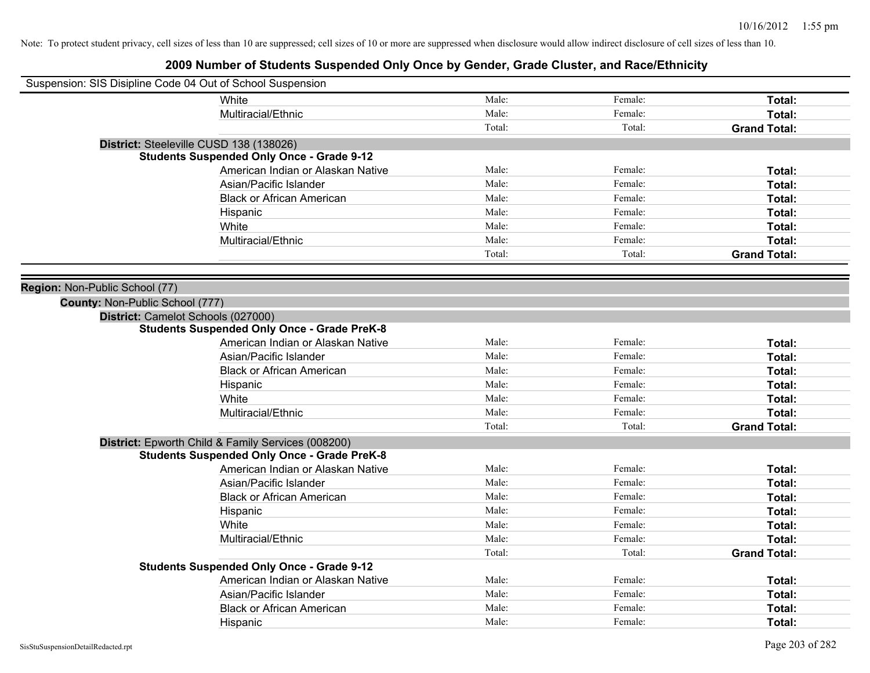| Suspension: SIS Disipline Code 04 Out of School Suspension |                                                    |        |         |                     |
|------------------------------------------------------------|----------------------------------------------------|--------|---------|---------------------|
|                                                            | White                                              | Male:  | Female: | Total:              |
|                                                            | Multiracial/Ethnic                                 | Male:  | Female: | Total:              |
|                                                            |                                                    | Total: | Total:  | <b>Grand Total:</b> |
| District: Steeleville CUSD 138 (138026)                    |                                                    |        |         |                     |
|                                                            | <b>Students Suspended Only Once - Grade 9-12</b>   |        |         |                     |
|                                                            | American Indian or Alaskan Native                  | Male:  | Female: | Total:              |
|                                                            | Asian/Pacific Islander                             | Male:  | Female: | Total:              |
|                                                            | <b>Black or African American</b>                   | Male:  | Female: | Total:              |
|                                                            | Hispanic                                           | Male:  | Female: | Total:              |
|                                                            | White                                              | Male:  | Female: | Total:              |
|                                                            | Multiracial/Ethnic                                 | Male:  | Female: | Total:              |
|                                                            |                                                    | Total: | Total:  | <b>Grand Total:</b> |
|                                                            |                                                    |        |         |                     |
| Region: Non-Public School (77)                             |                                                    |        |         |                     |
| County: Non-Public School (777)                            |                                                    |        |         |                     |
| District: Camelot Schools (027000)                         |                                                    |        |         |                     |
|                                                            | <b>Students Suspended Only Once - Grade PreK-8</b> |        |         |                     |
|                                                            | American Indian or Alaskan Native                  | Male:  | Female: | Total:              |
|                                                            | Asian/Pacific Islander                             | Male:  | Female: | Total:              |
|                                                            | <b>Black or African American</b>                   | Male:  | Female: | Total:              |
|                                                            | Hispanic                                           | Male:  | Female: | Total:              |
|                                                            | White                                              | Male:  | Female: | Total:              |
|                                                            | Multiracial/Ethnic                                 | Male:  | Female: | Total:              |
|                                                            |                                                    | Total: | Total:  | <b>Grand Total:</b> |
|                                                            | District: Epworth Child & Family Services (008200) |        |         |                     |
|                                                            | <b>Students Suspended Only Once - Grade PreK-8</b> |        |         |                     |
|                                                            | American Indian or Alaskan Native                  | Male:  | Female: | Total:              |
|                                                            | Asian/Pacific Islander                             | Male:  | Female: | Total:              |
|                                                            | <b>Black or African American</b>                   | Male:  | Female: | Total:              |
|                                                            | Hispanic                                           | Male:  | Female: | Total:              |
|                                                            | White                                              | Male:  | Female: | Total:              |
|                                                            | Multiracial/Ethnic                                 | Male:  | Female: | Total:              |
|                                                            |                                                    | Total: | Total:  | <b>Grand Total:</b> |
|                                                            | <b>Students Suspended Only Once - Grade 9-12</b>   |        |         |                     |
|                                                            | American Indian or Alaskan Native                  | Male:  | Female: | Total:              |
|                                                            | Asian/Pacific Islander                             | Male:  | Female: | Total:              |
|                                                            | <b>Black or African American</b>                   | Male:  | Female: | Total:              |
|                                                            | Hispanic                                           | Male:  | Female: | Total:              |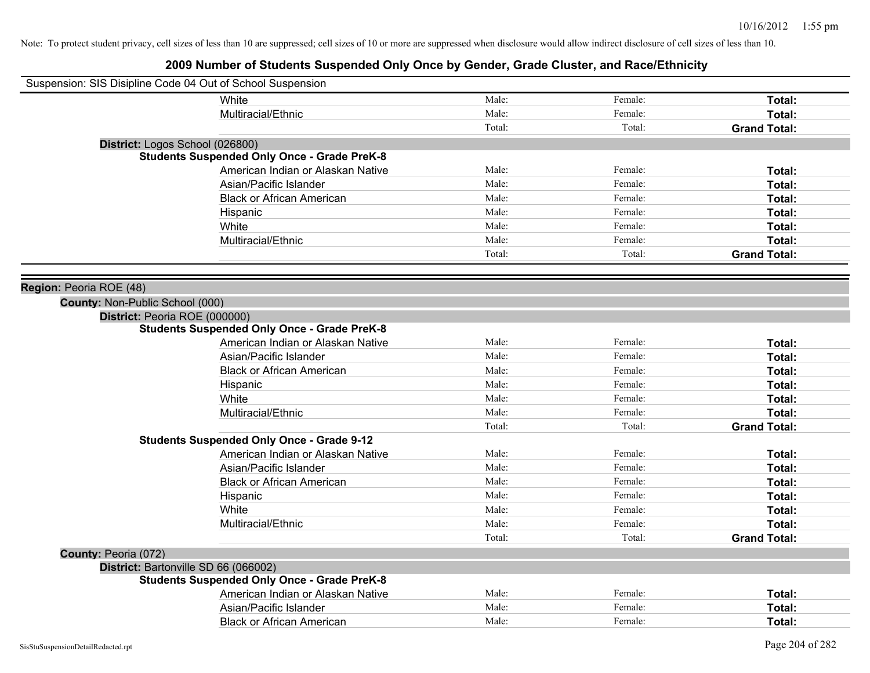| Suspension: SIS Disipline Code 04 Out of School Suspension |        |         |                     |
|------------------------------------------------------------|--------|---------|---------------------|
| <b>White</b>                                               | Male:  | Female: | Total:              |
| Multiracial/Ethnic                                         | Male:  | Female: | Total:              |
|                                                            | Total: | Total:  | <b>Grand Total:</b> |
| District: Logos School (026800)                            |        |         |                     |
| <b>Students Suspended Only Once - Grade PreK-8</b>         |        |         |                     |
| American Indian or Alaskan Native                          | Male:  | Female: | Total:              |
| Asian/Pacific Islander                                     | Male:  | Female: | Total:              |
| <b>Black or African American</b>                           | Male:  | Female: | Total:              |
| Hispanic                                                   | Male:  | Female: | Total:              |
| White                                                      | Male:  | Female: | Total:              |
| Multiracial/Ethnic                                         | Male:  | Female: | Total:              |
|                                                            | Total: | Total:  | <b>Grand Total:</b> |
|                                                            |        |         |                     |
| Region: Peoria ROE (48)                                    |        |         |                     |
| County: Non-Public School (000)                            |        |         |                     |
| District: Peoria ROE (000000)                              |        |         |                     |
| <b>Students Suspended Only Once - Grade PreK-8</b>         |        |         |                     |
| American Indian or Alaskan Native                          | Male:  | Female: | Total:              |
| Asian/Pacific Islander                                     | Male:  | Female: | Total:              |
| <b>Black or African American</b>                           | Male:  | Female: | Total:              |
| Hispanic                                                   | Male:  | Female: | Total:              |
| White                                                      | Male:  | Female: | Total:              |
| Multiracial/Ethnic                                         | Male:  | Female: | Total:              |
|                                                            | Total: | Total:  | <b>Grand Total:</b> |
| <b>Students Suspended Only Once - Grade 9-12</b>           |        |         |                     |
| American Indian or Alaskan Native                          | Male:  | Female: | Total:              |
| Asian/Pacific Islander                                     | Male:  | Female: | Total:              |
| <b>Black or African American</b>                           | Male:  | Female: | Total:              |
| Hispanic                                                   | Male:  | Female: | Total:              |
| White                                                      | Male:  | Female: | Total:              |
| Multiracial/Ethnic                                         | Male:  | Female: | Total:              |
|                                                            | Total: | Total:  | <b>Grand Total:</b> |
| County: Peoria (072)                                       |        |         |                     |
| District: Bartonville SD 66 (066002)                       |        |         |                     |
| <b>Students Suspended Only Once - Grade PreK-8</b>         |        |         |                     |
| American Indian or Alaskan Native                          | Male:  | Female: | Total:              |
| Asian/Pacific Islander                                     | Male:  | Female: | Total:              |
| <b>Black or African American</b>                           | Male:  | Female: | Total:              |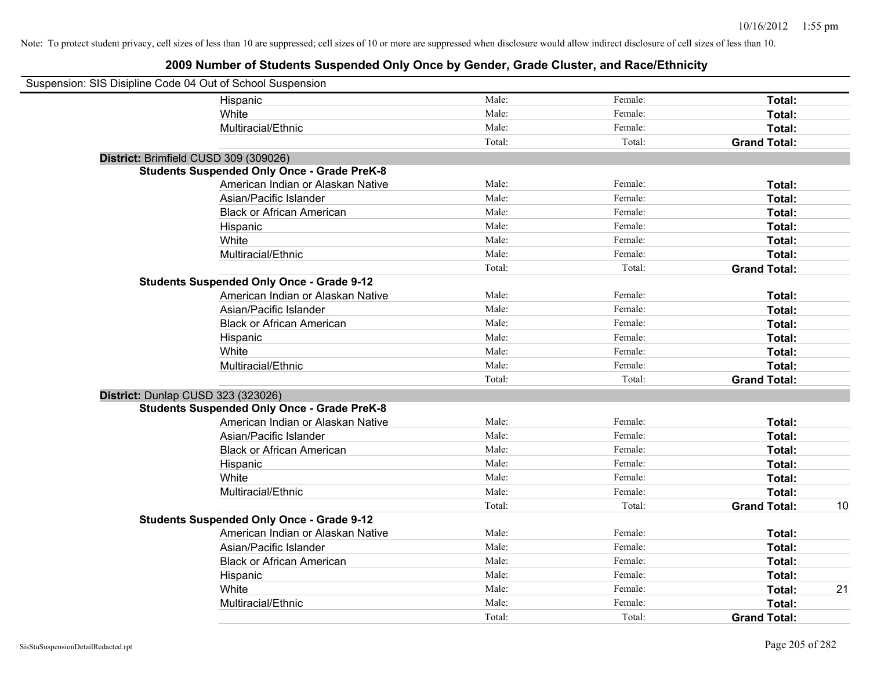| Suspension: SIS Disipline Code 04 Out of School Suspension |                                                    |        |         |                     |    |
|------------------------------------------------------------|----------------------------------------------------|--------|---------|---------------------|----|
|                                                            | Hispanic                                           | Male:  | Female: | Total:              |    |
|                                                            | White                                              | Male:  | Female: | Total:              |    |
|                                                            | Multiracial/Ethnic                                 | Male:  | Female: | Total:              |    |
|                                                            |                                                    | Total: | Total:  | <b>Grand Total:</b> |    |
| District: Brimfield CUSD 309 (309026)                      |                                                    |        |         |                     |    |
|                                                            | <b>Students Suspended Only Once - Grade PreK-8</b> |        |         |                     |    |
|                                                            | American Indian or Alaskan Native                  | Male:  | Female: | Total:              |    |
|                                                            | Asian/Pacific Islander                             | Male:  | Female: | Total:              |    |
|                                                            | <b>Black or African American</b>                   | Male:  | Female: | Total:              |    |
|                                                            | Hispanic                                           | Male:  | Female: | Total:              |    |
|                                                            | White                                              | Male:  | Female: | Total:              |    |
|                                                            | Multiracial/Ethnic                                 | Male:  | Female: | Total:              |    |
|                                                            |                                                    | Total: | Total:  | <b>Grand Total:</b> |    |
|                                                            | <b>Students Suspended Only Once - Grade 9-12</b>   |        |         |                     |    |
|                                                            | American Indian or Alaskan Native                  | Male:  | Female: | Total:              |    |
|                                                            | Asian/Pacific Islander                             | Male:  | Female: | Total:              |    |
|                                                            | <b>Black or African American</b>                   | Male:  | Female: | Total:              |    |
|                                                            | Hispanic                                           | Male:  | Female: | Total:              |    |
|                                                            | White                                              | Male:  | Female: | Total:              |    |
|                                                            | Multiracial/Ethnic                                 | Male:  | Female: | Total:              |    |
|                                                            |                                                    | Total: | Total:  | <b>Grand Total:</b> |    |
| District: Dunlap CUSD 323 (323026)                         |                                                    |        |         |                     |    |
|                                                            | <b>Students Suspended Only Once - Grade PreK-8</b> |        |         |                     |    |
|                                                            | American Indian or Alaskan Native                  | Male:  | Female: | Total:              |    |
|                                                            | Asian/Pacific Islander                             | Male:  | Female: | Total:              |    |
|                                                            | <b>Black or African American</b>                   | Male:  | Female: | Total:              |    |
|                                                            | Hispanic                                           | Male:  | Female: | Total:              |    |
|                                                            | White                                              | Male:  | Female: | Total:              |    |
|                                                            | Multiracial/Ethnic                                 | Male:  | Female: | <b>Total:</b>       |    |
|                                                            |                                                    | Total: | Total:  | <b>Grand Total:</b> | 10 |
|                                                            | <b>Students Suspended Only Once - Grade 9-12</b>   |        |         |                     |    |
|                                                            | American Indian or Alaskan Native                  | Male:  | Female: | Total:              |    |
|                                                            | Asian/Pacific Islander                             | Male:  | Female: | Total:              |    |
|                                                            | <b>Black or African American</b>                   | Male:  | Female: | Total:              |    |
|                                                            | Hispanic                                           | Male:  | Female: | Total:              |    |
|                                                            | White                                              | Male:  | Female: | Total:              | 21 |
|                                                            | Multiracial/Ethnic                                 | Male:  | Female: | Total:              |    |
|                                                            |                                                    | Total: | Total:  | <b>Grand Total:</b> |    |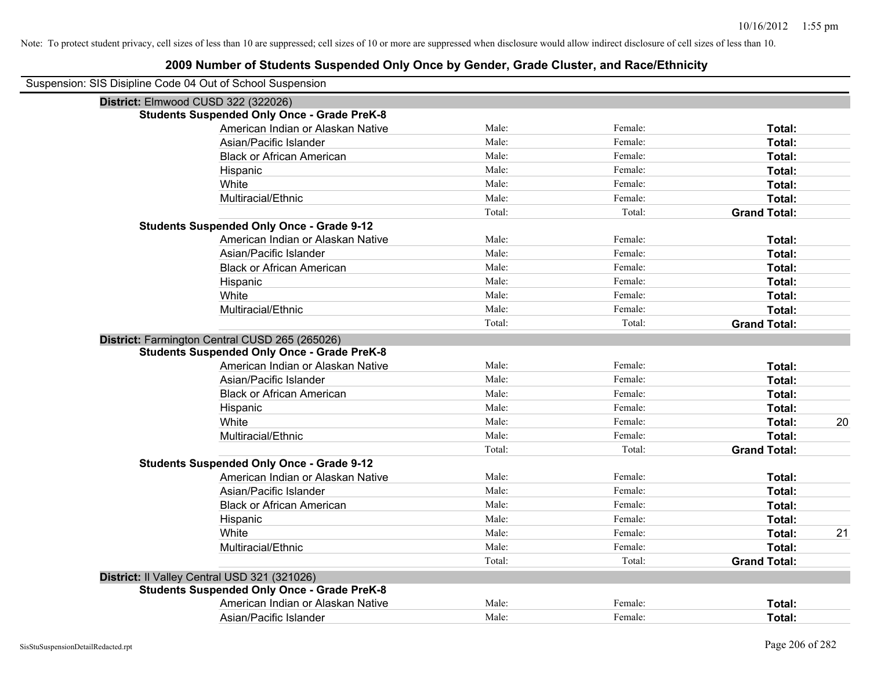| Suspension: SIS Disipline Code 04 Out of School Suspension |        |         |                     |    |
|------------------------------------------------------------|--------|---------|---------------------|----|
| District: Elmwood CUSD 322 (322026)                        |        |         |                     |    |
| <b>Students Suspended Only Once - Grade PreK-8</b>         |        |         |                     |    |
| American Indian or Alaskan Native                          | Male:  | Female: | Total:              |    |
| Asian/Pacific Islander                                     | Male:  | Female: | Total:              |    |
| <b>Black or African American</b>                           | Male:  | Female: | Total:              |    |
| Hispanic                                                   | Male:  | Female: | Total:              |    |
| White                                                      | Male:  | Female: | Total:              |    |
| Multiracial/Ethnic                                         | Male:  | Female: | Total:              |    |
|                                                            | Total: | Total:  | <b>Grand Total:</b> |    |
| <b>Students Suspended Only Once - Grade 9-12</b>           |        |         |                     |    |
| American Indian or Alaskan Native                          | Male:  | Female: | Total:              |    |
| Asian/Pacific Islander                                     | Male:  | Female: | Total:              |    |
| <b>Black or African American</b>                           | Male:  | Female: | Total:              |    |
| Hispanic                                                   | Male:  | Female: | Total:              |    |
| White                                                      | Male:  | Female: | Total:              |    |
| Multiracial/Ethnic                                         | Male:  | Female: | Total:              |    |
|                                                            | Total: | Total:  | <b>Grand Total:</b> |    |
| District: Farmington Central CUSD 265 (265026)             |        |         |                     |    |
| <b>Students Suspended Only Once - Grade PreK-8</b>         |        |         |                     |    |
| American Indian or Alaskan Native                          | Male:  | Female: | Total:              |    |
| Asian/Pacific Islander                                     | Male:  | Female: | Total:              |    |
| <b>Black or African American</b>                           | Male:  | Female: | Total:              |    |
| Hispanic                                                   | Male:  | Female: | Total:              |    |
| White                                                      | Male:  | Female: | Total:              | 20 |
| Multiracial/Ethnic                                         | Male:  | Female: | Total:              |    |
|                                                            | Total: | Total:  | <b>Grand Total:</b> |    |
| <b>Students Suspended Only Once - Grade 9-12</b>           |        |         |                     |    |
| American Indian or Alaskan Native                          | Male:  | Female: | Total:              |    |
| Asian/Pacific Islander                                     | Male:  | Female: | Total:              |    |
| <b>Black or African American</b>                           | Male:  | Female: | Total:              |    |
| Hispanic                                                   | Male:  | Female: | Total:              |    |
| White                                                      | Male:  | Female: | Total:              | 21 |
| Multiracial/Ethnic                                         | Male:  | Female: | Total:              |    |
|                                                            | Total: | Total:  | <b>Grand Total:</b> |    |
| District: Il Valley Central USD 321 (321026)               |        |         |                     |    |
| <b>Students Suspended Only Once - Grade PreK-8</b>         |        |         |                     |    |
| American Indian or Alaskan Native                          | Male:  | Female: | <b>Total:</b>       |    |
| Asian/Pacific Islander                                     | Male:  | Female: | Total:              |    |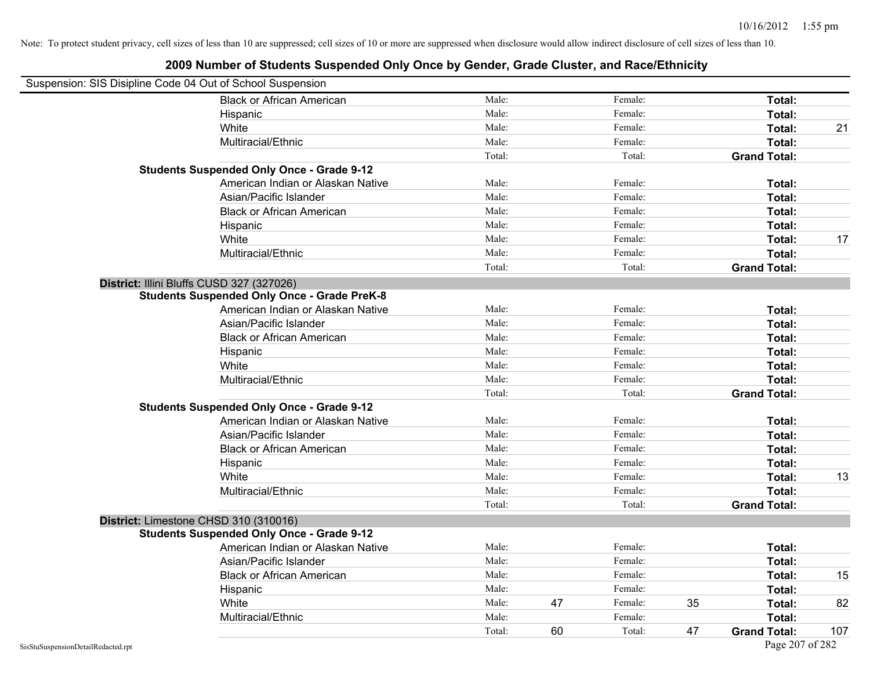| Suspension: SIS Disipline Code 04 Out of School Suspension |                                                    |        |    |         |    |                     |     |
|------------------------------------------------------------|----------------------------------------------------|--------|----|---------|----|---------------------|-----|
|                                                            | <b>Black or African American</b>                   | Male:  |    | Female: |    | Total:              |     |
|                                                            | Hispanic                                           | Male:  |    | Female: |    | Total:              |     |
|                                                            | White                                              | Male:  |    | Female: |    | Total:              | 21  |
|                                                            | Multiracial/Ethnic                                 | Male:  |    | Female: |    | Total:              |     |
|                                                            |                                                    | Total: |    | Total:  |    | <b>Grand Total:</b> |     |
|                                                            | <b>Students Suspended Only Once - Grade 9-12</b>   |        |    |         |    |                     |     |
|                                                            | American Indian or Alaskan Native                  | Male:  |    | Female: |    | Total:              |     |
|                                                            | Asian/Pacific Islander                             | Male:  |    | Female: |    | Total:              |     |
|                                                            | <b>Black or African American</b>                   | Male:  |    | Female: |    | Total:              |     |
|                                                            | Hispanic                                           | Male:  |    | Female: |    | Total:              |     |
|                                                            | White                                              | Male:  |    | Female: |    | Total:              | 17  |
|                                                            | Multiracial/Ethnic                                 | Male:  |    | Female: |    | Total:              |     |
|                                                            |                                                    | Total: |    | Total:  |    | <b>Grand Total:</b> |     |
| District: Illini Bluffs CUSD 327 (327026)                  |                                                    |        |    |         |    |                     |     |
|                                                            | <b>Students Suspended Only Once - Grade PreK-8</b> |        |    |         |    |                     |     |
|                                                            | American Indian or Alaskan Native                  | Male:  |    | Female: |    | Total:              |     |
|                                                            | Asian/Pacific Islander                             | Male:  |    | Female: |    | Total:              |     |
|                                                            | <b>Black or African American</b>                   | Male:  |    | Female: |    | Total:              |     |
|                                                            | Hispanic                                           | Male:  |    | Female: |    | Total:              |     |
|                                                            | White                                              | Male:  |    | Female: |    | Total:              |     |
|                                                            | Multiracial/Ethnic                                 | Male:  |    | Female: |    | Total:              |     |
|                                                            |                                                    | Total: |    | Total:  |    | <b>Grand Total:</b> |     |
|                                                            | <b>Students Suspended Only Once - Grade 9-12</b>   |        |    |         |    |                     |     |
|                                                            | American Indian or Alaskan Native                  | Male:  |    | Female: |    | Total:              |     |
|                                                            | Asian/Pacific Islander                             | Male:  |    | Female: |    | Total:              |     |
|                                                            | <b>Black or African American</b>                   | Male:  |    | Female: |    | Total:              |     |
|                                                            | Hispanic                                           | Male:  |    | Female: |    | Total:              |     |
|                                                            | White                                              | Male:  |    | Female: |    | Total:              | 13  |
|                                                            | Multiracial/Ethnic                                 | Male:  |    | Female: |    | Total:              |     |
|                                                            |                                                    | Total: |    | Total:  |    | <b>Grand Total:</b> |     |
| District: Limestone CHSD 310 (310016)                      |                                                    |        |    |         |    |                     |     |
|                                                            | <b>Students Suspended Only Once - Grade 9-12</b>   |        |    |         |    |                     |     |
|                                                            | American Indian or Alaskan Native                  | Male:  |    | Female: |    | Total:              |     |
|                                                            | Asian/Pacific Islander                             | Male:  |    | Female: |    | Total:              |     |
|                                                            | <b>Black or African American</b>                   | Male:  |    | Female: |    | Total:              | 15  |
|                                                            | Hispanic                                           | Male:  |    | Female: |    | Total:              |     |
|                                                            | White                                              | Male:  | 47 | Female: | 35 | Total:              | 82  |
|                                                            | Multiracial/Ethnic                                 | Male:  |    | Female: |    | Total:              |     |
|                                                            |                                                    | Total: | 60 | Total:  | 47 | <b>Grand Total:</b> | 107 |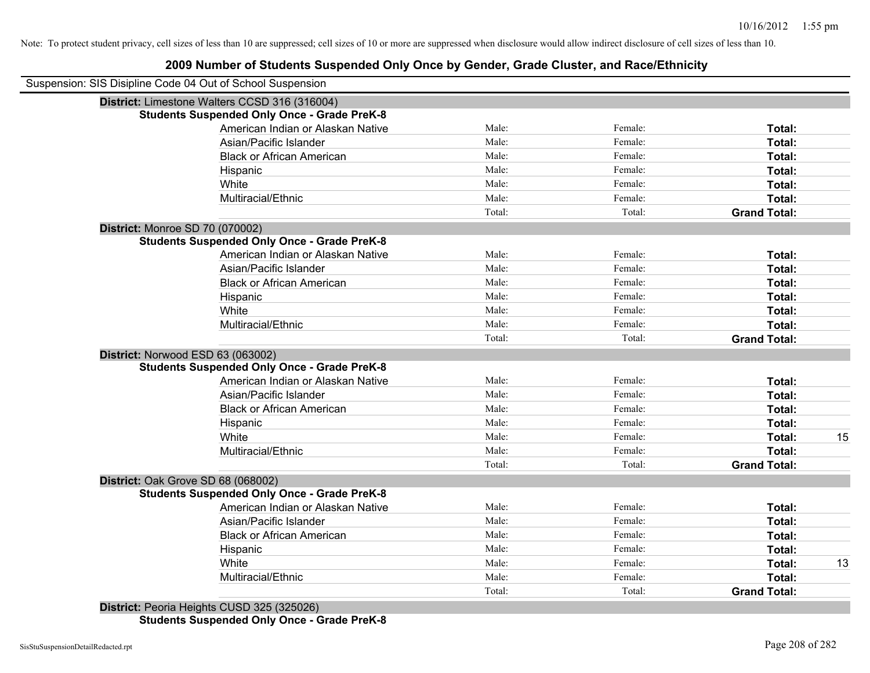#### **2009 Number of Students Suspended Only Once by Gender, Grade Cluster, and Race/Ethnicity**

| Suspension: SIS Disipline Code 04 Out of School Suspension |        |         |                     |    |
|------------------------------------------------------------|--------|---------|---------------------|----|
| District: Limestone Walters CCSD 316 (316004)              |        |         |                     |    |
| <b>Students Suspended Only Once - Grade PreK-8</b>         |        |         |                     |    |
| American Indian or Alaskan Native                          | Male:  | Female: | Total:              |    |
| Asian/Pacific Islander                                     | Male:  | Female: | Total:              |    |
| <b>Black or African American</b>                           | Male:  | Female: | Total:              |    |
| Hispanic                                                   | Male:  | Female: | Total:              |    |
| White                                                      | Male:  | Female: | Total:              |    |
| Multiracial/Ethnic                                         | Male:  | Female: | Total:              |    |
|                                                            | Total: | Total:  | <b>Grand Total:</b> |    |
| District: Monroe SD 70 (070002)                            |        |         |                     |    |
| <b>Students Suspended Only Once - Grade PreK-8</b>         |        |         |                     |    |
| American Indian or Alaskan Native                          | Male:  | Female: | Total:              |    |
| Asian/Pacific Islander                                     | Male:  | Female: | Total:              |    |
| <b>Black or African American</b>                           | Male:  | Female: | Total:              |    |
| Hispanic                                                   | Male:  | Female: | Total:              |    |
| White                                                      | Male:  | Female: | Total:              |    |
| Multiracial/Ethnic                                         | Male:  | Female: | Total:              |    |
|                                                            | Total: | Total:  | <b>Grand Total:</b> |    |
| District: Norwood ESD 63 (063002)                          |        |         |                     |    |
| <b>Students Suspended Only Once - Grade PreK-8</b>         |        |         |                     |    |
| American Indian or Alaskan Native                          | Male:  | Female: | Total:              |    |
| Asian/Pacific Islander                                     | Male:  | Female: | Total:              |    |
| <b>Black or African American</b>                           | Male:  | Female: | Total:              |    |
| Hispanic                                                   | Male:  | Female: | Total:              |    |
| White                                                      | Male:  | Female: | Total:              | 15 |
| Multiracial/Ethnic                                         | Male:  | Female: | Total:              |    |
|                                                            | Total: | Total:  | <b>Grand Total:</b> |    |
| District: Oak Grove SD 68 (068002)                         |        |         |                     |    |
| <b>Students Suspended Only Once - Grade PreK-8</b>         |        |         |                     |    |
| American Indian or Alaskan Native                          | Male:  | Female: | Total:              |    |
| Asian/Pacific Islander                                     | Male:  | Female: | Total:              |    |
| <b>Black or African American</b>                           | Male:  | Female: | Total:              |    |
| Hispanic                                                   | Male:  | Female: | Total:              |    |
| White                                                      | Male:  | Female: | Total:              | 13 |
| Multiracial/Ethnic                                         | Male:  | Female: | Total:              |    |
|                                                            | Total: | Total:  | <b>Grand Total:</b> |    |
| District: Peoria Heights CLISD 325 (325026)                |        |         |                     |    |

**District:** Peoria Heights CUSD 325 (325026) **Students Suspended Only Once - Grade PreK-8**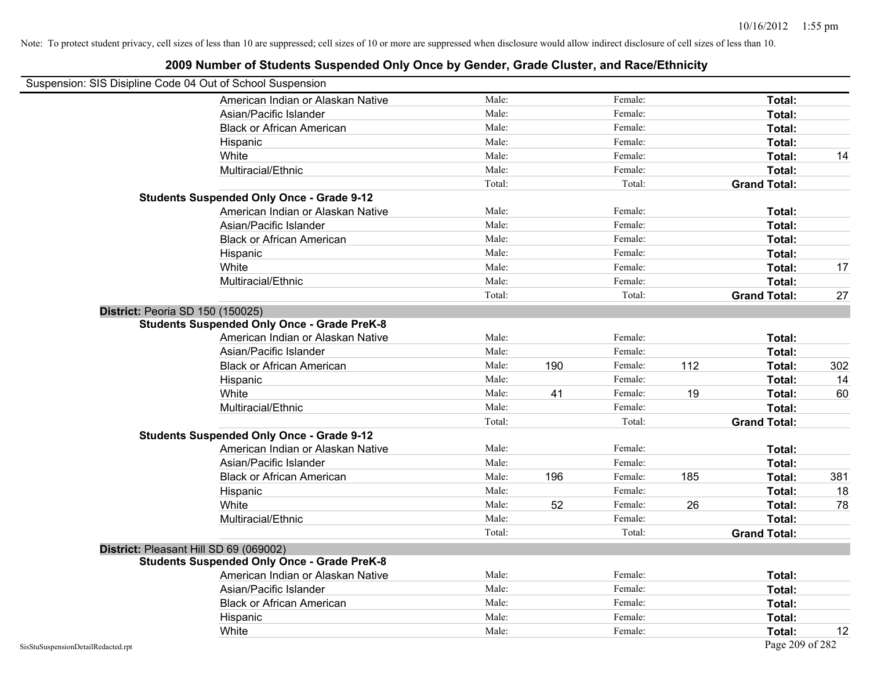### Suspension: SIS Disipline Code 04 Out of School Suspension American Indian or Alaskan Native **Male:** Male: Female: Female: **Total:** Total: Asian/Pacific Islander **Figure 1.1 Contained Asian** Male: Female: **Female: Total: Total: Total: Total: Total: Total: Total: Total: Total: Total: Total: Total: Total: Total: Total: Total: T** Black or African American **American** Male: Male: Female: **Female: Total: Total: Total: Female: Total: Total: Total: Total: Total: Total: Total: Total: Total: Total: Total: Total: Total:** Hispanic **Total:** Male: Female: **Total:** Female: **Total:** Total: **Total:** Female: **Total:** Total: **Total:** Total: **Total:** Total: **Total:** Total: **Total:** Total: **Total:** Total: **Total:** Total: **Total:** Total: **Total:** Tot White **Male:** Male: **Total: 14** Male: **Total: 14** Male: **Total: 14** Male: 14 Multiracial/Ethnic **Total:** Male: Female: **Total:** Female: **Total:** Female: **Total:** Female: **Total:** Female: **Total:** Female: **Total:** Female: **Total:** Female: **Total:** Female: **Total:** Female: **Total:** Female: **Total:** F Total: Total: Total: **Grand Total: Students Suspended Only Once - Grade 9-12** American Indian or Alaskan Native **Male:** Male: Female: Female: **Total:** Total: Asian/Pacific Islander **Figure 1.1 Contact Contact Contact Contact Contact Contact Contact Contact Total: Total:** Black or African American **Figure 1.1 and Total:** Male: Female: Female: **Total: Total:** Total: Hispanic **Total:** Male: Female: **Total:** Female: **Total:** Total: **Total:** Female: **Total:** Total: **Total:** Total: **Total:** Total: **Total:** Total: **Total:** Total: **Total:** Total: **Total:** Total: **Total:** Total: **Total:** Tot White **Male:** Male: **Total: 17** Male: **Total: 17** Male: **Total: 17** Male: 17 Multiracial/Ethnic **Total:** Male: Female: **Total:** Female: **Total:** Female: **Total:** Female: **Total:** Female: **Total:** Female: **Total:** Female: **Total:** Female: **Total:** Female: **Total:** Female: **Total:** Female: **Total:** F Total: Total: Total: Total: **Grand Total:** 27 **District:** Peoria SD 150 (150025) **Students Suspended Only Once - Grade PreK-8** American Indian or Alaskan Native **Male:** Male: Female: Female: **Total:** Total: Asian/Pacific Islander **Figure 1.1 Contained Asian/Pacific Islander Female:** Female: **Total: Total:** Total: Black or African American Male: 190 Female: 112 **Total:** 302 Hispanic Male: Female: **Total:** 14 White **Male:** 41 Female: 19 Total: 60 Multiracial/Ethnic **Total:** Male: Male: Female: **Total:** Female: **Total:** Total: Total: Total: **Grand Total: Students Suspended Only Once - Grade 9-12** American Indian or Alaskan Native **Male:** Male: Female: Female: **Total:** Total: Asian/Pacific Islander **Figure 1.1 Contained Asian/Pacific Islander Female:** Female: **Total: Total:** Total: Black or African American Male: 196 Female: 185 **Total:** 381 Hispanic Male: Female: **Total:** 18 White **Male:** 52 Female: 26 Total: 78 Total: 78 Multiracial/Ethnic **Total:** Male: Male: Female: **Total:** Total: Female: **Total:** Total: Total: Total: **Grand Total: District:** Pleasant Hill SD 69 (069002) **Students Suspended Only Once - Grade PreK-8** American Indian or Alaskan Native **Male:** Male: Female: Female: **Total:** Total: Asian/Pacific Islander **Figure 1.1 Contained Asian** Male: Female: **Female: Total: Total: Total: Total: Total: Total: Total: Total: Total: Total: Total: Total: Total: Total: Total: Total: T** Black or African American **Figure 1.1 and Total:** Male: Female: Female: **Total:** Total: Hispanic **Total:** Male: Female: **Total:** Female: **Total:** Total: **Total:** Female: **Total:** Total: **Total:** Total: **Total:** Total: **Total:** Total: **Total:** Total: **Total:** Total: **Total:** Total: **Total:** Total: **Total:** Tot White **Male:** Male: **Total: 12** Male: **Total: 12** Male: **Total: 12**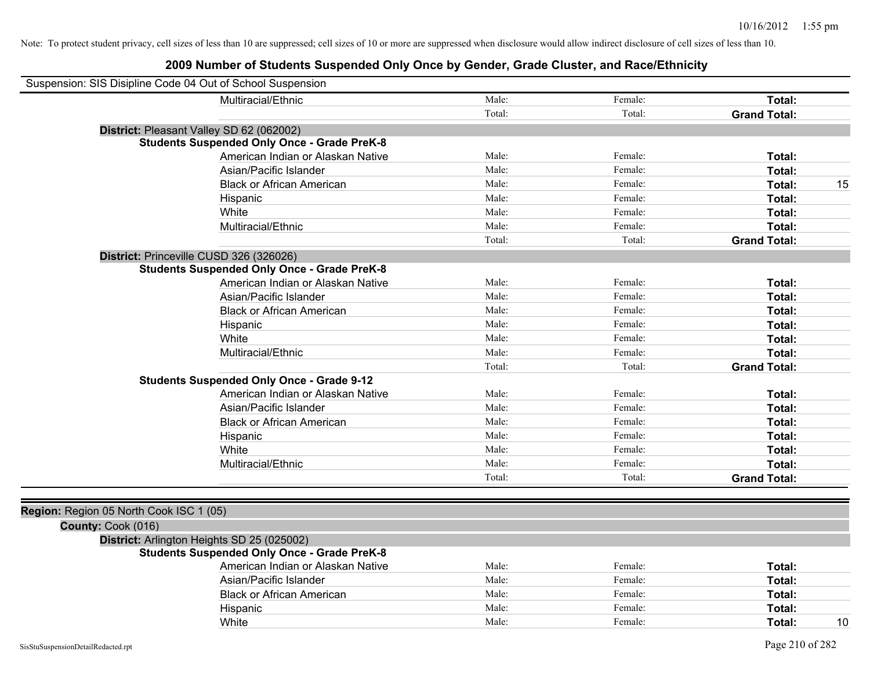| Suspension: SIS Disipline Code 04 Out of School Suspension |                                   |        |         |                     |    |
|------------------------------------------------------------|-----------------------------------|--------|---------|---------------------|----|
| Multiracial/Ethnic                                         |                                   | Male:  | Female: | Total:              |    |
|                                                            |                                   | Total: | Total:  | <b>Grand Total:</b> |    |
| District: Pleasant Valley SD 62 (062002)                   |                                   |        |         |                     |    |
| <b>Students Suspended Only Once - Grade PreK-8</b>         |                                   |        |         |                     |    |
|                                                            | American Indian or Alaskan Native | Male:  | Female: | Total:              |    |
| Asian/Pacific Islander                                     |                                   | Male:  | Female: | Total:              |    |
| <b>Black or African American</b>                           |                                   | Male:  | Female: | Total:              | 15 |
| Hispanic                                                   |                                   | Male:  | Female: | Total:              |    |
| White                                                      |                                   | Male:  | Female: | Total:              |    |
| Multiracial/Ethnic                                         |                                   | Male:  | Female: | Total:              |    |
|                                                            |                                   | Total: | Total:  | <b>Grand Total:</b> |    |
| District: Princeville CUSD 326 (326026)                    |                                   |        |         |                     |    |
| <b>Students Suspended Only Once - Grade PreK-8</b>         |                                   |        |         |                     |    |
|                                                            | American Indian or Alaskan Native | Male:  | Female: | Total:              |    |
| Asian/Pacific Islander                                     |                                   | Male:  | Female: | Total:              |    |
| <b>Black or African American</b>                           |                                   | Male:  | Female: | Total:              |    |
| Hispanic                                                   |                                   | Male:  | Female: | Total:              |    |
| White                                                      |                                   | Male:  | Female: | Total:              |    |
| Multiracial/Ethnic                                         |                                   | Male:  | Female: | Total:              |    |
|                                                            |                                   | Total: | Total:  | <b>Grand Total:</b> |    |
| <b>Students Suspended Only Once - Grade 9-12</b>           |                                   |        |         |                     |    |
|                                                            | American Indian or Alaskan Native | Male:  | Female: | Total:              |    |
| Asian/Pacific Islander                                     |                                   | Male:  | Female: | Total:              |    |
| <b>Black or African American</b>                           |                                   | Male:  | Female: | Total:              |    |
| Hispanic                                                   |                                   | Male:  | Female: | Total:              |    |
| White                                                      |                                   | Male:  | Female: | Total:              |    |
| Multiracial/Ethnic                                         |                                   | Male:  | Female: | Total:              |    |
|                                                            |                                   | Total: | Total:  | <b>Grand Total:</b> |    |
|                                                            |                                   |        |         |                     |    |
| Region: Region 05 North Cook ISC 1 (05)                    |                                   |        |         |                     |    |
| County: Cook (016)                                         |                                   |        |         |                     |    |
| District: Arlington Heights SD 25 (025002)                 |                                   |        |         |                     |    |
| <b>Students Suspended Only Once - Grade PreK-8</b>         |                                   |        |         |                     |    |
|                                                            | American Indian or Alaskan Native | Male:  | Female: | Total:              |    |
| Asian/Pacific Islander                                     |                                   | Male:  | Female: | Total:              |    |
| <b>Black or African American</b>                           |                                   | Male:  | Female: | Total:              |    |
| Hispanic                                                   |                                   | Male:  | Female: | Total:              |    |
| White                                                      |                                   | Male:  | Female: | Total:              | 10 |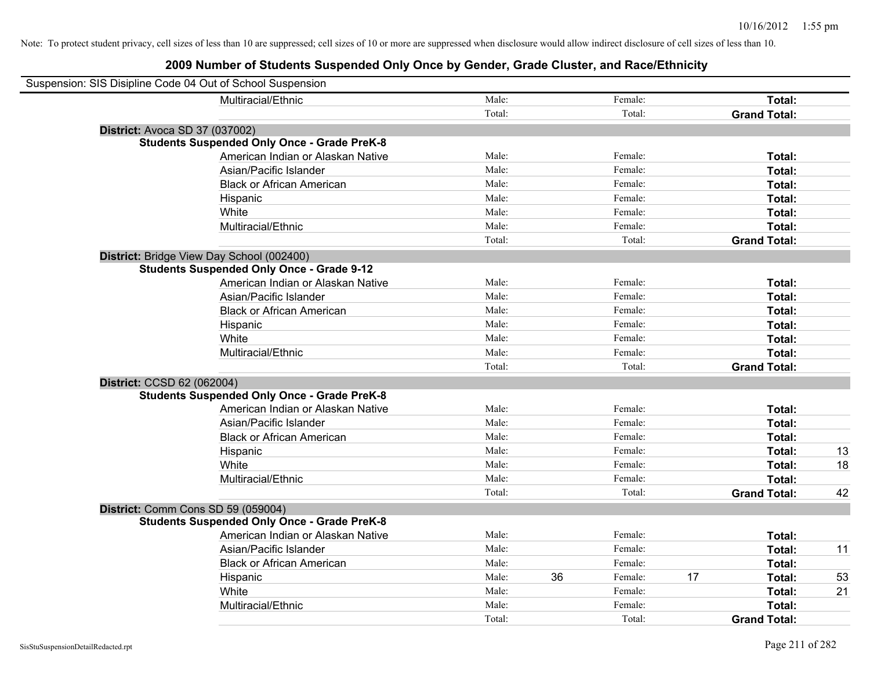| Suspension: SIS Disipline Code 04 Out of School Suspension |                                                    |        |    |         |    |                     |    |
|------------------------------------------------------------|----------------------------------------------------|--------|----|---------|----|---------------------|----|
|                                                            | Multiracial/Ethnic                                 | Male:  |    | Female: |    | Total:              |    |
|                                                            |                                                    | Total: |    | Total:  |    | <b>Grand Total:</b> |    |
| <b>District: Avoca SD 37 (037002)</b>                      |                                                    |        |    |         |    |                     |    |
|                                                            | <b>Students Suspended Only Once - Grade PreK-8</b> |        |    |         |    |                     |    |
|                                                            | American Indian or Alaskan Native                  | Male:  |    | Female: |    | Total:              |    |
|                                                            | Asian/Pacific Islander                             | Male:  |    | Female: |    | Total:              |    |
|                                                            | <b>Black or African American</b>                   | Male:  |    | Female: |    | Total:              |    |
|                                                            | Hispanic                                           | Male:  |    | Female: |    | Total:              |    |
|                                                            | White                                              | Male:  |    | Female: |    | Total:              |    |
|                                                            | Multiracial/Ethnic                                 | Male:  |    | Female: |    | Total:              |    |
|                                                            |                                                    | Total: |    | Total:  |    | <b>Grand Total:</b> |    |
| District: Bridge View Day School (002400)                  |                                                    |        |    |         |    |                     |    |
|                                                            | <b>Students Suspended Only Once - Grade 9-12</b>   |        |    |         |    |                     |    |
|                                                            | American Indian or Alaskan Native                  | Male:  |    | Female: |    | Total:              |    |
|                                                            | Asian/Pacific Islander                             | Male:  |    | Female: |    | Total:              |    |
|                                                            | <b>Black or African American</b>                   | Male:  |    | Female: |    | Total:              |    |
|                                                            | Hispanic                                           | Male:  |    | Female: |    | Total:              |    |
|                                                            | White                                              | Male:  |    | Female: |    | Total:              |    |
|                                                            | Multiracial/Ethnic                                 | Male:  |    | Female: |    | Total:              |    |
|                                                            |                                                    | Total: |    | Total:  |    | <b>Grand Total:</b> |    |
| District: CCSD 62 (062004)                                 |                                                    |        |    |         |    |                     |    |
|                                                            | <b>Students Suspended Only Once - Grade PreK-8</b> |        |    |         |    |                     |    |
|                                                            | American Indian or Alaskan Native                  | Male:  |    | Female: |    | Total:              |    |
|                                                            | Asian/Pacific Islander                             | Male:  |    | Female: |    | Total:              |    |
|                                                            | <b>Black or African American</b>                   | Male:  |    | Female: |    | Total:              |    |
|                                                            | Hispanic                                           | Male:  |    | Female: |    | Total:              | 13 |
|                                                            | White                                              | Male:  |    | Female: |    | Total:              | 18 |
|                                                            | Multiracial/Ethnic                                 | Male:  |    | Female: |    | Total:              |    |
|                                                            |                                                    | Total: |    | Total:  |    | <b>Grand Total:</b> | 42 |
| District: Comm Cons SD 59 (059004)                         |                                                    |        |    |         |    |                     |    |
|                                                            | <b>Students Suspended Only Once - Grade PreK-8</b> |        |    |         |    |                     |    |
|                                                            | American Indian or Alaskan Native                  | Male:  |    | Female: |    | Total:              |    |
|                                                            | Asian/Pacific Islander                             | Male:  |    | Female: |    | Total:              | 11 |
|                                                            | <b>Black or African American</b>                   | Male:  |    | Female: |    | Total:              |    |
|                                                            | Hispanic                                           | Male:  | 36 | Female: | 17 | Total:              | 53 |
|                                                            | White                                              | Male:  |    | Female: |    | Total:              | 21 |
|                                                            | Multiracial/Ethnic                                 | Male:  |    | Female: |    | Total:              |    |
|                                                            |                                                    | Total: |    | Total:  |    | <b>Grand Total:</b> |    |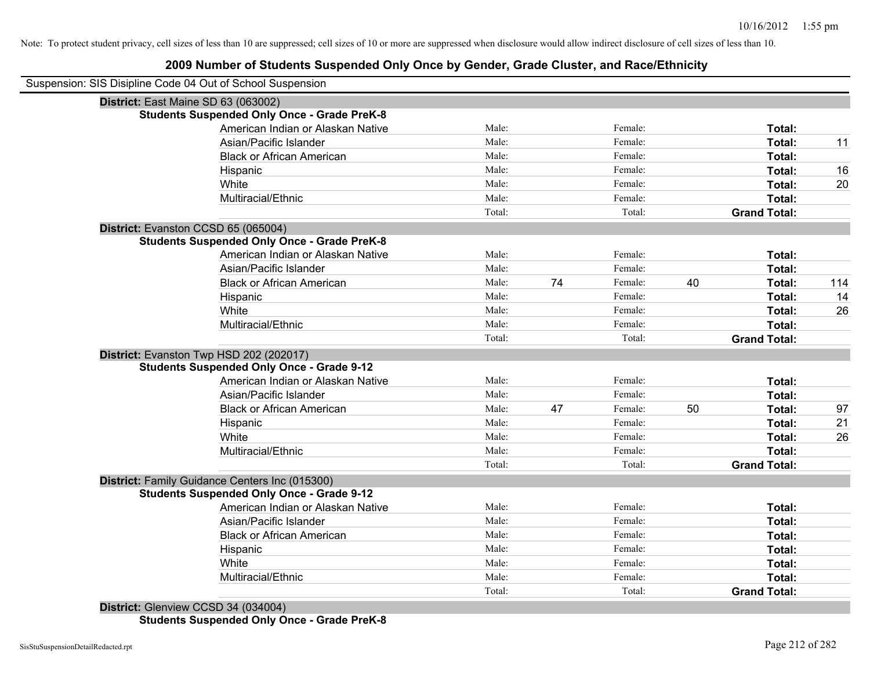#### **2009 Number of Students Suspended Only Once by Gender, Grade Cluster, and Race/Ethnicity**

| Suspension: SIS Disipline Code 04 Out of School Suspension |        |    |         |    |                     |     |
|------------------------------------------------------------|--------|----|---------|----|---------------------|-----|
| District: East Maine SD 63 (063002)                        |        |    |         |    |                     |     |
| <b>Students Suspended Only Once - Grade PreK-8</b>         |        |    |         |    |                     |     |
| American Indian or Alaskan Native                          | Male:  |    | Female: |    | Total:              |     |
| Asian/Pacific Islander                                     | Male:  |    | Female: |    | Total:              | 11  |
| <b>Black or African American</b>                           | Male:  |    | Female: |    | Total:              |     |
| Hispanic                                                   | Male:  |    | Female: |    | Total:              | 16  |
| White                                                      | Male:  |    | Female: |    | Total:              | 20  |
| Multiracial/Ethnic                                         | Male:  |    | Female: |    | Total:              |     |
|                                                            | Total: |    | Total:  |    | <b>Grand Total:</b> |     |
| District: Evanston CCSD 65 (065004)                        |        |    |         |    |                     |     |
| <b>Students Suspended Only Once - Grade PreK-8</b>         |        |    |         |    |                     |     |
| American Indian or Alaskan Native                          | Male:  |    | Female: |    | Total:              |     |
| Asian/Pacific Islander                                     | Male:  |    | Female: |    | Total:              |     |
| <b>Black or African American</b>                           | Male:  | 74 | Female: | 40 | Total:              | 114 |
| Hispanic                                                   | Male:  |    | Female: |    | Total:              | 14  |
| White                                                      | Male:  |    | Female: |    | Total:              | 26  |
| Multiracial/Ethnic                                         | Male:  |    | Female: |    | Total:              |     |
|                                                            | Total: |    | Total:  |    | <b>Grand Total:</b> |     |
| District: Evanston Twp HSD 202 (202017)                    |        |    |         |    |                     |     |
| <b>Students Suspended Only Once - Grade 9-12</b>           |        |    |         |    |                     |     |
| American Indian or Alaskan Native                          | Male:  |    | Female: |    | Total:              |     |
| Asian/Pacific Islander                                     | Male:  |    | Female: |    | Total:              |     |
| <b>Black or African American</b>                           | Male:  | 47 | Female: | 50 | Total:              | 97  |
| Hispanic                                                   | Male:  |    | Female: |    | Total:              | 21  |
| White                                                      | Male:  |    | Female: |    | Total:              | 26  |
| Multiracial/Ethnic                                         | Male:  |    | Female: |    | Total:              |     |
|                                                            | Total: |    | Total:  |    | <b>Grand Total:</b> |     |
| District: Family Guidance Centers Inc (015300)             |        |    |         |    |                     |     |
| <b>Students Suspended Only Once - Grade 9-12</b>           |        |    |         |    |                     |     |
| American Indian or Alaskan Native                          | Male:  |    | Female: |    | Total:              |     |
| Asian/Pacific Islander                                     | Male:  |    | Female: |    | Total:              |     |
| <b>Black or African American</b>                           | Male:  |    | Female: |    | Total:              |     |
| Hispanic                                                   | Male:  |    | Female: |    | Total:              |     |
| White                                                      | Male:  |    | Female: |    | Total:              |     |
| Multiracial/Ethnic                                         | Male:  |    | Female: |    | Total:              |     |
|                                                            | Total: |    | Total:  |    | <b>Grand Total:</b> |     |
| District: Glenview CCSD 34 (034004)                        |        |    |         |    |                     |     |

**Students Suspended Only Once - Grade PreK-8**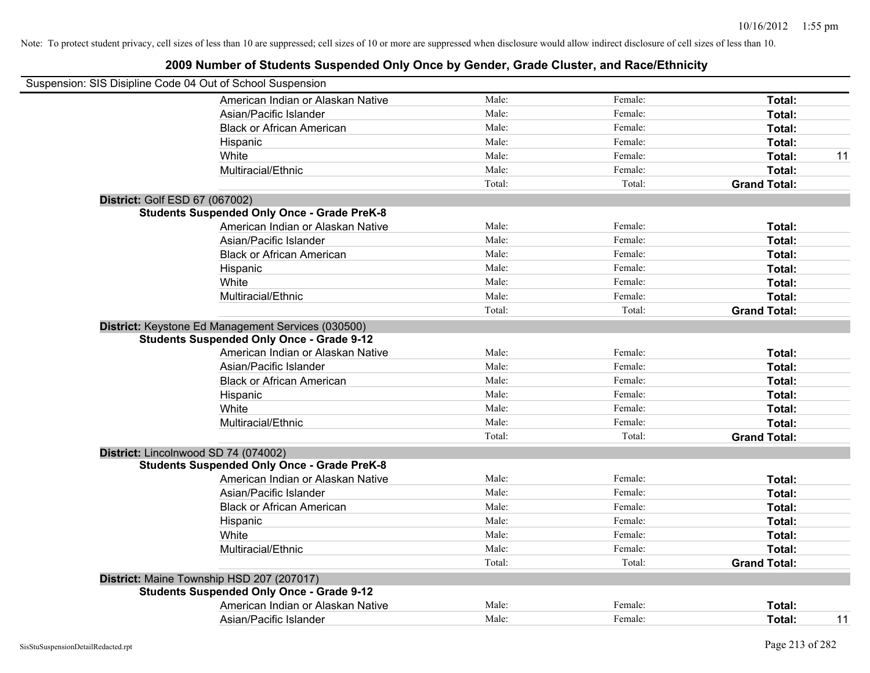| Suspension: SIS Disipline Code 04 Out of School Suspension                                             |                |         |                     |    |
|--------------------------------------------------------------------------------------------------------|----------------|---------|---------------------|----|
| American Indian or Alaskan Native                                                                      | Male:          | Female: | Total:              |    |
| Asian/Pacific Islander                                                                                 | Male:          | Female: | Total:              |    |
| <b>Black or African American</b>                                                                       | Male:          | Female: | Total:              |    |
| Hispanic                                                                                               | Male:          | Female: | Total:              |    |
| White                                                                                                  | Male:          | Female: | Total:              | 11 |
| Multiracial/Ethnic                                                                                     | Male:          | Female: | Total:              |    |
|                                                                                                        | Total:         | Total:  | <b>Grand Total:</b> |    |
| District: Golf ESD 67 (067002)                                                                         |                |         |                     |    |
| <b>Students Suspended Only Once - Grade PreK-8</b>                                                     |                |         |                     |    |
| American Indian or Alaskan Native                                                                      | Male:          | Female: | Total:              |    |
| Asian/Pacific Islander                                                                                 | Male:          | Female: | Total:              |    |
| <b>Black or African American</b>                                                                       | Male:          | Female: | Total:              |    |
| Hispanic                                                                                               | Male:          | Female: | Total:              |    |
| White                                                                                                  | Male:          | Female: | Total:              |    |
| Multiracial/Ethnic                                                                                     | Male:          | Female: | Total:              |    |
|                                                                                                        | Total:         | Total:  | <b>Grand Total:</b> |    |
| District: Keystone Ed Management Services (030500)<br><b>Students Suspended Only Once - Grade 9-12</b> |                |         |                     |    |
| American Indian or Alaskan Native                                                                      | Male:          | Female: | Total:              |    |
| Asian/Pacific Islander                                                                                 | Male:          | Female: | Total:              |    |
| <b>Black or African American</b>                                                                       | Male:          | Female: | Total:              |    |
| Hispanic                                                                                               | Male:<br>Male: | Female: | Total:              |    |
| White                                                                                                  |                | Female: | Total:              |    |
| Multiracial/Ethnic                                                                                     | Male:          | Female: | Total:              |    |
|                                                                                                        | Total:         | Total:  | <b>Grand Total:</b> |    |
| District: Lincolnwood SD 74 (074002)                                                                   |                |         |                     |    |
| <b>Students Suspended Only Once - Grade PreK-8</b><br>American Indian or Alaskan Native                | Male:          | Female: |                     |    |
| Asian/Pacific Islander                                                                                 | Male:          | Female: | Total:              |    |
| <b>Black or African American</b>                                                                       | Male:          | Female: | Total:<br>Total:    |    |
|                                                                                                        | Male:          | Female: | Total:              |    |
| Hispanic<br>White                                                                                      | Male:          | Female: | Total:              |    |
| Multiracial/Ethnic                                                                                     | Male:          | Female: | Total:              |    |
|                                                                                                        | Total:         | Total:  | <b>Grand Total:</b> |    |
|                                                                                                        |                |         |                     |    |
| District: Maine Township HSD 207 (207017)<br><b>Students Suspended Only Once - Grade 9-12</b>          |                |         |                     |    |
| American Indian or Alaskan Native                                                                      | Male:          | Female: | <b>Total:</b>       |    |
| Asian/Pacific Islander                                                                                 | Male:          | Female: | Total:              | 11 |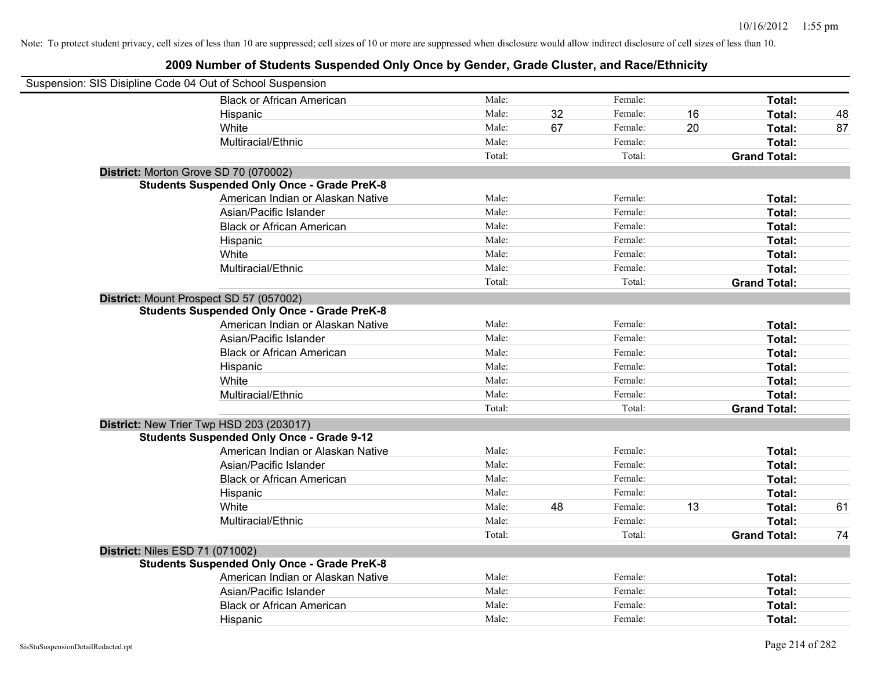| Suspension: SIS Disipline Code 04 Out of School Suspension |        |    |         |    |                     |    |
|------------------------------------------------------------|--------|----|---------|----|---------------------|----|
| <b>Black or African American</b>                           | Male:  |    | Female: |    | Total:              |    |
| Hispanic                                                   | Male:  | 32 | Female: | 16 | Total:              | 48 |
| White                                                      | Male:  | 67 | Female: | 20 | Total:              | 87 |
| Multiracial/Ethnic                                         | Male:  |    | Female: |    | Total:              |    |
|                                                            | Total: |    | Total:  |    | <b>Grand Total:</b> |    |
| District: Morton Grove SD 70 (070002)                      |        |    |         |    |                     |    |
| <b>Students Suspended Only Once - Grade PreK-8</b>         |        |    |         |    |                     |    |
| American Indian or Alaskan Native                          | Male:  |    | Female: |    | Total:              |    |
| Asian/Pacific Islander                                     | Male:  |    | Female: |    | Total:              |    |
| <b>Black or African American</b>                           | Male:  |    | Female: |    | Total:              |    |
| Hispanic                                                   | Male:  |    | Female: |    | Total:              |    |
| White                                                      | Male:  |    | Female: |    | Total:              |    |
| Multiracial/Ethnic                                         | Male:  |    | Female: |    | Total:              |    |
|                                                            | Total: |    | Total:  |    | <b>Grand Total:</b> |    |
| District: Mount Prospect SD 57 (057002)                    |        |    |         |    |                     |    |
| <b>Students Suspended Only Once - Grade PreK-8</b>         |        |    |         |    |                     |    |
| American Indian or Alaskan Native                          | Male:  |    | Female: |    | Total:              |    |
| Asian/Pacific Islander                                     | Male:  |    | Female: |    | Total:              |    |
| <b>Black or African American</b>                           | Male:  |    | Female: |    | Total:              |    |
| Hispanic                                                   | Male:  |    | Female: |    | Total:              |    |
| White                                                      | Male:  |    | Female: |    | Total:              |    |
| Multiracial/Ethnic                                         | Male:  |    | Female: |    | Total:              |    |
|                                                            | Total: |    | Total:  |    | <b>Grand Total:</b> |    |
| District: New Trier Twp HSD 203 (203017)                   |        |    |         |    |                     |    |
| <b>Students Suspended Only Once - Grade 9-12</b>           |        |    |         |    |                     |    |
| American Indian or Alaskan Native                          | Male:  |    | Female: |    | Total:              |    |
| Asian/Pacific Islander                                     | Male:  |    | Female: |    | Total:              |    |
| <b>Black or African American</b>                           | Male:  |    | Female: |    | Total:              |    |
| Hispanic                                                   | Male:  |    | Female: |    | Total:              |    |
| White                                                      | Male:  | 48 | Female: | 13 | Total:              | 61 |
| Multiracial/Ethnic                                         | Male:  |    | Female: |    | Total:              |    |
|                                                            | Total: |    | Total:  |    | <b>Grand Total:</b> | 74 |
| <b>District: Niles ESD 71 (071002)</b>                     |        |    |         |    |                     |    |
| <b>Students Suspended Only Once - Grade PreK-8</b>         |        |    |         |    |                     |    |
| American Indian or Alaskan Native                          | Male:  |    | Female: |    | Total:              |    |
| Asian/Pacific Islander                                     | Male:  |    | Female: |    | Total:              |    |
| <b>Black or African American</b>                           | Male:  |    | Female: |    | Total:              |    |
| Hispanic                                                   | Male:  |    | Female: |    | Total:              |    |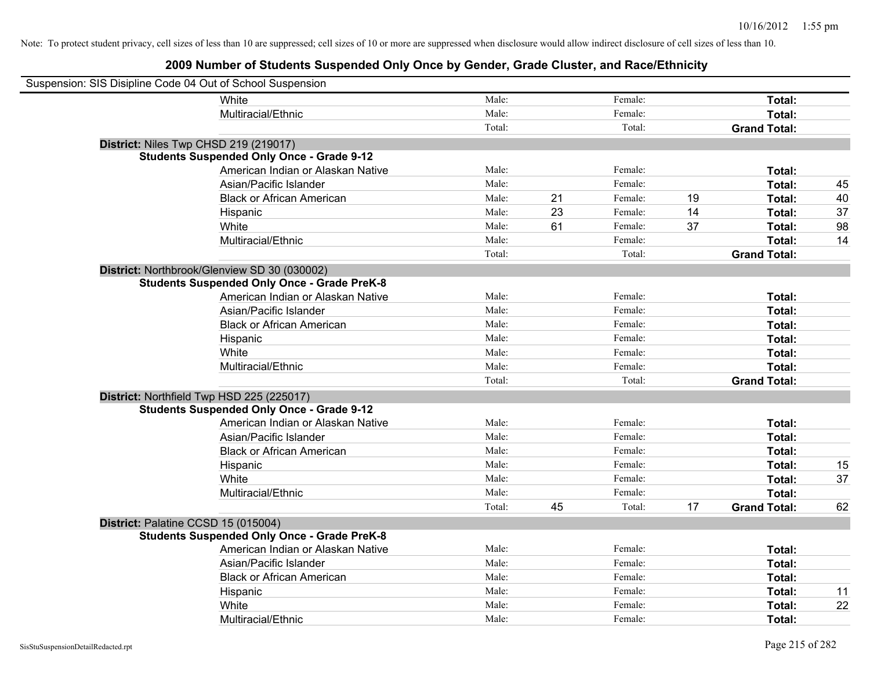| Suspension: SIS Disipline Code 04 Out of School Suspension |                                                    |        |    |         |    |                     |    |
|------------------------------------------------------------|----------------------------------------------------|--------|----|---------|----|---------------------|----|
|                                                            | White                                              | Male:  |    | Female: |    | Total:              |    |
|                                                            | Multiracial/Ethnic                                 | Male:  |    | Female: |    | Total:              |    |
|                                                            |                                                    | Total: |    | Total:  |    | <b>Grand Total:</b> |    |
|                                                            | District: Niles Twp CHSD 219 (219017)              |        |    |         |    |                     |    |
|                                                            | <b>Students Suspended Only Once - Grade 9-12</b>   |        |    |         |    |                     |    |
|                                                            | American Indian or Alaskan Native                  | Male:  |    | Female: |    | Total:              |    |
|                                                            | Asian/Pacific Islander                             | Male:  |    | Female: |    | Total:              | 45 |
|                                                            | <b>Black or African American</b>                   | Male:  | 21 | Female: | 19 | Total:              | 40 |
|                                                            | Hispanic                                           | Male:  | 23 | Female: | 14 | Total:              | 37 |
|                                                            | White                                              | Male:  | 61 | Female: | 37 | Total:              | 98 |
|                                                            | Multiracial/Ethnic                                 | Male:  |    | Female: |    | Total:              | 14 |
|                                                            |                                                    | Total: |    | Total:  |    | <b>Grand Total:</b> |    |
|                                                            | District: Northbrook/Glenview SD 30 (030002)       |        |    |         |    |                     |    |
|                                                            | <b>Students Suspended Only Once - Grade PreK-8</b> |        |    |         |    |                     |    |
|                                                            | American Indian or Alaskan Native                  | Male:  |    | Female: |    | Total:              |    |
|                                                            | Asian/Pacific Islander                             | Male:  |    | Female: |    | Total:              |    |
|                                                            | <b>Black or African American</b>                   | Male:  |    | Female: |    | Total:              |    |
|                                                            | Hispanic                                           | Male:  |    | Female: |    | Total:              |    |
|                                                            | White                                              | Male:  |    | Female: |    | Total:              |    |
|                                                            | Multiracial/Ethnic                                 | Male:  |    | Female: |    | Total:              |    |
|                                                            |                                                    | Total: |    | Total:  |    | <b>Grand Total:</b> |    |
|                                                            | District: Northfield Twp HSD 225 (225017)          |        |    |         |    |                     |    |
|                                                            | <b>Students Suspended Only Once - Grade 9-12</b>   |        |    |         |    |                     |    |
|                                                            | American Indian or Alaskan Native                  | Male:  |    | Female: |    | Total:              |    |
|                                                            | Asian/Pacific Islander                             | Male:  |    | Female: |    | Total:              |    |
|                                                            | <b>Black or African American</b>                   | Male:  |    | Female: |    | Total:              |    |
|                                                            | Hispanic                                           | Male:  |    | Female: |    | Total:              | 15 |
|                                                            | White                                              | Male:  |    | Female: |    | Total:              | 37 |
|                                                            | Multiracial/Ethnic                                 | Male:  |    | Female: |    | Total:              |    |
|                                                            |                                                    | Total: | 45 | Total:  | 17 | <b>Grand Total:</b> | 62 |
| District: Palatine CCSD 15 (015004)                        |                                                    |        |    |         |    |                     |    |
|                                                            | <b>Students Suspended Only Once - Grade PreK-8</b> |        |    |         |    |                     |    |
|                                                            | American Indian or Alaskan Native                  | Male:  |    | Female: |    | Total:              |    |
|                                                            | Asian/Pacific Islander                             | Male:  |    | Female: |    | Total:              |    |
|                                                            | <b>Black or African American</b>                   | Male:  |    | Female: |    | Total:              |    |
|                                                            | Hispanic                                           | Male:  |    | Female: |    | Total:              | 11 |
|                                                            | White                                              | Male:  |    | Female: |    | Total:              | 22 |
|                                                            | Multiracial/Ethnic                                 | Male:  |    | Female: |    | Total:              |    |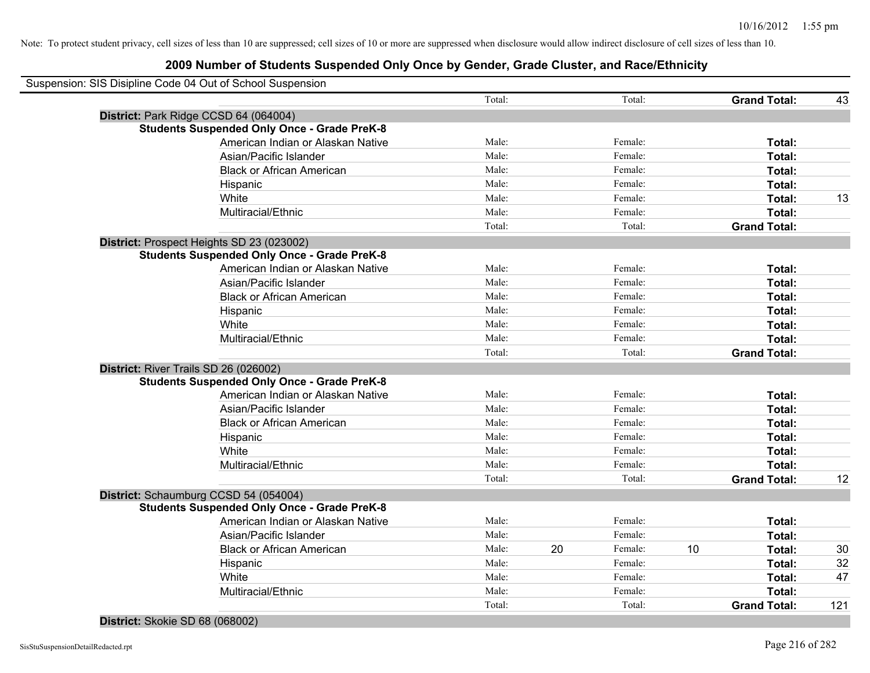| Total:<br>Total:<br>District: Park Ridge CCSD 64 (064004)<br><b>Students Suspended Only Once - Grade PreK-8</b><br>American Indian or Alaskan Native<br>Male:<br>Female:<br>Asian/Pacific Islander<br>Male:<br>Female:<br>Male:<br><b>Black or African American</b><br>Female:<br>Male:<br>Female:<br>Hispanic<br>Male:<br>White<br>Female:<br>Male:<br>Multiracial/Ethnic<br>Female:<br>Total:<br>Total:<br>District: Prospect Heights SD 23 (023002)<br><b>Students Suspended Only Once - Grade PreK-8</b><br>Male:<br>Female:<br>American Indian or Alaskan Native<br>Male:<br>Female:<br>Asian/Pacific Islander<br>Male:<br>Female:<br><b>Black or African American</b><br>Male:<br>Female:<br>Hispanic<br>White<br>Male:<br>Female:<br>Multiracial/Ethnic<br>Male:<br>Female:<br>Total:<br>Total:<br>District: River Trails SD 26 (026002)<br><b>Students Suspended Only Once - Grade PreK-8</b><br>American Indian or Alaskan Native<br>Male:<br>Female:<br>Male:<br>Female:<br>Asian/Pacific Islander<br>Male:<br>Female:<br><b>Black or African American</b><br>Male:<br>Female:<br>Hispanic<br>White<br>Male:<br>Female:<br>Multiracial/Ethnic<br>Male:<br>Female:<br>Total:<br>Total:<br>District: Schaumburg CCSD 54 (054004)<br><b>Students Suspended Only Once - Grade PreK-8</b><br>Male:<br>American Indian or Alaskan Native<br>Female:<br>Male:<br>Female:<br>Asian/Pacific Islander<br>20<br>Male:<br>Female:<br>10<br><b>Black or African American</b><br>Male:<br>Female:<br>Hispanic<br>Female: | Suspension: SIS Disipline Code 04 Out of School Suspension |       |                     |     |
|----------------------------------------------------------------------------------------------------------------------------------------------------------------------------------------------------------------------------------------------------------------------------------------------------------------------------------------------------------------------------------------------------------------------------------------------------------------------------------------------------------------------------------------------------------------------------------------------------------------------------------------------------------------------------------------------------------------------------------------------------------------------------------------------------------------------------------------------------------------------------------------------------------------------------------------------------------------------------------------------------------------------------------------------------------------------------------------------------------------------------------------------------------------------------------------------------------------------------------------------------------------------------------------------------------------------------------------------------------------------------------------------------------------------------------------------------------------------------------------------------------------------|------------------------------------------------------------|-------|---------------------|-----|
|                                                                                                                                                                                                                                                                                                                                                                                                                                                                                                                                                                                                                                                                                                                                                                                                                                                                                                                                                                                                                                                                                                                                                                                                                                                                                                                                                                                                                                                                                                                      |                                                            |       | <b>Grand Total:</b> | 43  |
|                                                                                                                                                                                                                                                                                                                                                                                                                                                                                                                                                                                                                                                                                                                                                                                                                                                                                                                                                                                                                                                                                                                                                                                                                                                                                                                                                                                                                                                                                                                      |                                                            |       |                     |     |
|                                                                                                                                                                                                                                                                                                                                                                                                                                                                                                                                                                                                                                                                                                                                                                                                                                                                                                                                                                                                                                                                                                                                                                                                                                                                                                                                                                                                                                                                                                                      |                                                            |       |                     |     |
|                                                                                                                                                                                                                                                                                                                                                                                                                                                                                                                                                                                                                                                                                                                                                                                                                                                                                                                                                                                                                                                                                                                                                                                                                                                                                                                                                                                                                                                                                                                      |                                                            |       | Total:              |     |
|                                                                                                                                                                                                                                                                                                                                                                                                                                                                                                                                                                                                                                                                                                                                                                                                                                                                                                                                                                                                                                                                                                                                                                                                                                                                                                                                                                                                                                                                                                                      |                                                            |       | Total:              |     |
|                                                                                                                                                                                                                                                                                                                                                                                                                                                                                                                                                                                                                                                                                                                                                                                                                                                                                                                                                                                                                                                                                                                                                                                                                                                                                                                                                                                                                                                                                                                      |                                                            |       | Total:              |     |
|                                                                                                                                                                                                                                                                                                                                                                                                                                                                                                                                                                                                                                                                                                                                                                                                                                                                                                                                                                                                                                                                                                                                                                                                                                                                                                                                                                                                                                                                                                                      |                                                            |       | Total:              |     |
|                                                                                                                                                                                                                                                                                                                                                                                                                                                                                                                                                                                                                                                                                                                                                                                                                                                                                                                                                                                                                                                                                                                                                                                                                                                                                                                                                                                                                                                                                                                      |                                                            |       | Total:              | 13  |
|                                                                                                                                                                                                                                                                                                                                                                                                                                                                                                                                                                                                                                                                                                                                                                                                                                                                                                                                                                                                                                                                                                                                                                                                                                                                                                                                                                                                                                                                                                                      |                                                            |       | Total:              |     |
|                                                                                                                                                                                                                                                                                                                                                                                                                                                                                                                                                                                                                                                                                                                                                                                                                                                                                                                                                                                                                                                                                                                                                                                                                                                                                                                                                                                                                                                                                                                      |                                                            |       | <b>Grand Total:</b> |     |
|                                                                                                                                                                                                                                                                                                                                                                                                                                                                                                                                                                                                                                                                                                                                                                                                                                                                                                                                                                                                                                                                                                                                                                                                                                                                                                                                                                                                                                                                                                                      |                                                            |       |                     |     |
|                                                                                                                                                                                                                                                                                                                                                                                                                                                                                                                                                                                                                                                                                                                                                                                                                                                                                                                                                                                                                                                                                                                                                                                                                                                                                                                                                                                                                                                                                                                      |                                                            |       |                     |     |
|                                                                                                                                                                                                                                                                                                                                                                                                                                                                                                                                                                                                                                                                                                                                                                                                                                                                                                                                                                                                                                                                                                                                                                                                                                                                                                                                                                                                                                                                                                                      |                                                            |       | Total:              |     |
|                                                                                                                                                                                                                                                                                                                                                                                                                                                                                                                                                                                                                                                                                                                                                                                                                                                                                                                                                                                                                                                                                                                                                                                                                                                                                                                                                                                                                                                                                                                      |                                                            |       | Total:              |     |
|                                                                                                                                                                                                                                                                                                                                                                                                                                                                                                                                                                                                                                                                                                                                                                                                                                                                                                                                                                                                                                                                                                                                                                                                                                                                                                                                                                                                                                                                                                                      |                                                            |       | Total:              |     |
|                                                                                                                                                                                                                                                                                                                                                                                                                                                                                                                                                                                                                                                                                                                                                                                                                                                                                                                                                                                                                                                                                                                                                                                                                                                                                                                                                                                                                                                                                                                      |                                                            |       | Total:              |     |
|                                                                                                                                                                                                                                                                                                                                                                                                                                                                                                                                                                                                                                                                                                                                                                                                                                                                                                                                                                                                                                                                                                                                                                                                                                                                                                                                                                                                                                                                                                                      |                                                            |       | Total:              |     |
|                                                                                                                                                                                                                                                                                                                                                                                                                                                                                                                                                                                                                                                                                                                                                                                                                                                                                                                                                                                                                                                                                                                                                                                                                                                                                                                                                                                                                                                                                                                      |                                                            |       | Total:              |     |
|                                                                                                                                                                                                                                                                                                                                                                                                                                                                                                                                                                                                                                                                                                                                                                                                                                                                                                                                                                                                                                                                                                                                                                                                                                                                                                                                                                                                                                                                                                                      |                                                            |       | <b>Grand Total:</b> |     |
|                                                                                                                                                                                                                                                                                                                                                                                                                                                                                                                                                                                                                                                                                                                                                                                                                                                                                                                                                                                                                                                                                                                                                                                                                                                                                                                                                                                                                                                                                                                      |                                                            |       |                     |     |
|                                                                                                                                                                                                                                                                                                                                                                                                                                                                                                                                                                                                                                                                                                                                                                                                                                                                                                                                                                                                                                                                                                                                                                                                                                                                                                                                                                                                                                                                                                                      |                                                            |       |                     |     |
|                                                                                                                                                                                                                                                                                                                                                                                                                                                                                                                                                                                                                                                                                                                                                                                                                                                                                                                                                                                                                                                                                                                                                                                                                                                                                                                                                                                                                                                                                                                      |                                                            |       | Total:              |     |
|                                                                                                                                                                                                                                                                                                                                                                                                                                                                                                                                                                                                                                                                                                                                                                                                                                                                                                                                                                                                                                                                                                                                                                                                                                                                                                                                                                                                                                                                                                                      |                                                            |       | Total:              |     |
|                                                                                                                                                                                                                                                                                                                                                                                                                                                                                                                                                                                                                                                                                                                                                                                                                                                                                                                                                                                                                                                                                                                                                                                                                                                                                                                                                                                                                                                                                                                      |                                                            |       | Total:              |     |
|                                                                                                                                                                                                                                                                                                                                                                                                                                                                                                                                                                                                                                                                                                                                                                                                                                                                                                                                                                                                                                                                                                                                                                                                                                                                                                                                                                                                                                                                                                                      |                                                            |       | Total:              |     |
|                                                                                                                                                                                                                                                                                                                                                                                                                                                                                                                                                                                                                                                                                                                                                                                                                                                                                                                                                                                                                                                                                                                                                                                                                                                                                                                                                                                                                                                                                                                      |                                                            |       | Total:              |     |
|                                                                                                                                                                                                                                                                                                                                                                                                                                                                                                                                                                                                                                                                                                                                                                                                                                                                                                                                                                                                                                                                                                                                                                                                                                                                                                                                                                                                                                                                                                                      |                                                            |       | Total:              |     |
|                                                                                                                                                                                                                                                                                                                                                                                                                                                                                                                                                                                                                                                                                                                                                                                                                                                                                                                                                                                                                                                                                                                                                                                                                                                                                                                                                                                                                                                                                                                      |                                                            |       | <b>Grand Total:</b> | 12  |
|                                                                                                                                                                                                                                                                                                                                                                                                                                                                                                                                                                                                                                                                                                                                                                                                                                                                                                                                                                                                                                                                                                                                                                                                                                                                                                                                                                                                                                                                                                                      |                                                            |       |                     |     |
|                                                                                                                                                                                                                                                                                                                                                                                                                                                                                                                                                                                                                                                                                                                                                                                                                                                                                                                                                                                                                                                                                                                                                                                                                                                                                                                                                                                                                                                                                                                      |                                                            |       |                     |     |
|                                                                                                                                                                                                                                                                                                                                                                                                                                                                                                                                                                                                                                                                                                                                                                                                                                                                                                                                                                                                                                                                                                                                                                                                                                                                                                                                                                                                                                                                                                                      |                                                            |       | Total:              |     |
|                                                                                                                                                                                                                                                                                                                                                                                                                                                                                                                                                                                                                                                                                                                                                                                                                                                                                                                                                                                                                                                                                                                                                                                                                                                                                                                                                                                                                                                                                                                      |                                                            |       | Total:              |     |
|                                                                                                                                                                                                                                                                                                                                                                                                                                                                                                                                                                                                                                                                                                                                                                                                                                                                                                                                                                                                                                                                                                                                                                                                                                                                                                                                                                                                                                                                                                                      |                                                            |       | Total:              | 30  |
|                                                                                                                                                                                                                                                                                                                                                                                                                                                                                                                                                                                                                                                                                                                                                                                                                                                                                                                                                                                                                                                                                                                                                                                                                                                                                                                                                                                                                                                                                                                      |                                                            |       | Total:              | 32  |
|                                                                                                                                                                                                                                                                                                                                                                                                                                                                                                                                                                                                                                                                                                                                                                                                                                                                                                                                                                                                                                                                                                                                                                                                                                                                                                                                                                                                                                                                                                                      | White                                                      | Male: | Total:              | 47  |
| Male:<br>Multiracial/Ethnic<br>Female:                                                                                                                                                                                                                                                                                                                                                                                                                                                                                                                                                                                                                                                                                                                                                                                                                                                                                                                                                                                                                                                                                                                                                                                                                                                                                                                                                                                                                                                                               |                                                            |       | Total:              |     |
| Total:<br>Total:                                                                                                                                                                                                                                                                                                                                                                                                                                                                                                                                                                                                                                                                                                                                                                                                                                                                                                                                                                                                                                                                                                                                                                                                                                                                                                                                                                                                                                                                                                     |                                                            |       | <b>Grand Total:</b> | 121 |

**District:** Skokie SD 68 (068002)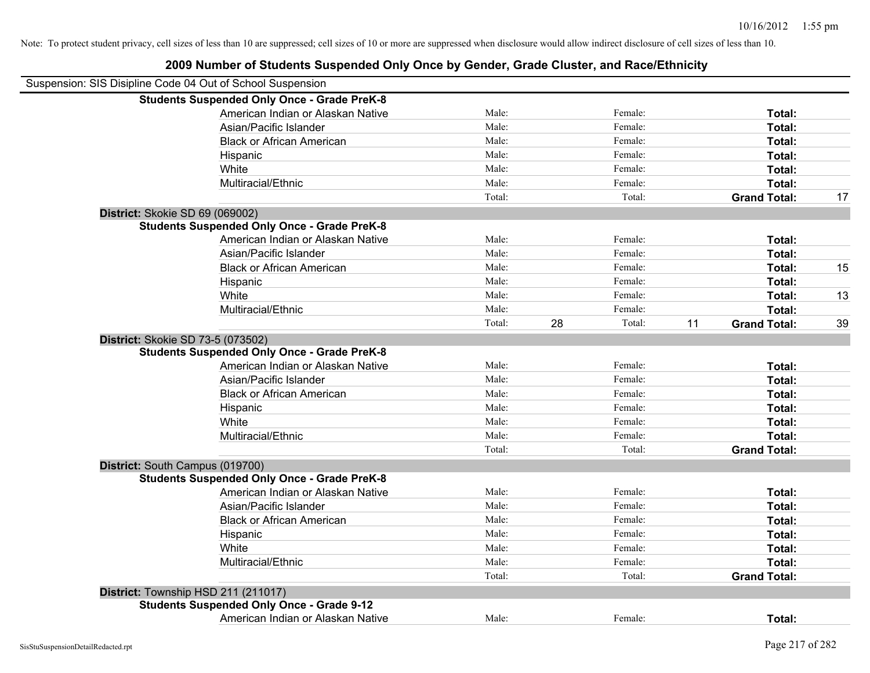| Suspension: SIS Disipline Code 04 Out of School Suspension |                                                    |        |    |         |    |                     |    |
|------------------------------------------------------------|----------------------------------------------------|--------|----|---------|----|---------------------|----|
|                                                            | <b>Students Suspended Only Once - Grade PreK-8</b> |        |    |         |    |                     |    |
|                                                            | American Indian or Alaskan Native                  | Male:  |    | Female: |    | Total:              |    |
|                                                            | Asian/Pacific Islander                             | Male:  |    | Female: |    | Total:              |    |
|                                                            | <b>Black or African American</b>                   | Male:  |    | Female: |    | Total:              |    |
|                                                            | Hispanic                                           | Male:  |    | Female: |    | Total:              |    |
|                                                            | White                                              | Male:  |    | Female: |    | Total:              |    |
|                                                            | Multiracial/Ethnic                                 | Male:  |    | Female: |    | Total:              |    |
|                                                            |                                                    | Total: |    | Total:  |    | <b>Grand Total:</b> | 17 |
| District: Skokie SD 69 (069002)                            |                                                    |        |    |         |    |                     |    |
|                                                            | <b>Students Suspended Only Once - Grade PreK-8</b> |        |    |         |    |                     |    |
|                                                            | American Indian or Alaskan Native                  | Male:  |    | Female: |    | Total:              |    |
|                                                            | Asian/Pacific Islander                             | Male:  |    | Female: |    | Total:              |    |
|                                                            | <b>Black or African American</b>                   | Male:  |    | Female: |    | Total:              | 15 |
|                                                            | Hispanic                                           | Male:  |    | Female: |    | Total:              |    |
|                                                            | White                                              | Male:  |    | Female: |    | Total:              | 13 |
|                                                            | Multiracial/Ethnic                                 | Male:  |    | Female: |    | Total:              |    |
|                                                            |                                                    | Total: | 28 | Total:  | 11 | <b>Grand Total:</b> | 39 |
| District: Skokie SD 73-5 (073502)                          |                                                    |        |    |         |    |                     |    |
|                                                            | <b>Students Suspended Only Once - Grade PreK-8</b> |        |    |         |    |                     |    |
|                                                            | American Indian or Alaskan Native                  | Male:  |    | Female: |    | Total:              |    |
|                                                            | Asian/Pacific Islander                             | Male:  |    | Female: |    | Total:              |    |
|                                                            | <b>Black or African American</b>                   | Male:  |    | Female: |    | Total:              |    |
|                                                            | Hispanic                                           | Male:  |    | Female: |    | Total:              |    |
|                                                            | White                                              | Male:  |    | Female: |    | Total:              |    |
|                                                            | Multiracial/Ethnic                                 | Male:  |    | Female: |    | Total:              |    |
|                                                            |                                                    | Total: |    | Total:  |    | <b>Grand Total:</b> |    |
| District: South Campus (019700)                            |                                                    |        |    |         |    |                     |    |
|                                                            | <b>Students Suspended Only Once - Grade PreK-8</b> |        |    |         |    |                     |    |
|                                                            | American Indian or Alaskan Native                  | Male:  |    | Female: |    | Total:              |    |
|                                                            | Asian/Pacific Islander                             | Male:  |    | Female: |    | Total:              |    |
|                                                            | <b>Black or African American</b>                   | Male:  |    | Female: |    | Total:              |    |
|                                                            | Hispanic                                           | Male:  |    | Female: |    | Total:              |    |
|                                                            | White                                              | Male:  |    | Female: |    | Total:              |    |
|                                                            | Multiracial/Ethnic                                 | Male:  |    | Female: |    | Total:              |    |
|                                                            |                                                    | Total: |    | Total:  |    | <b>Grand Total:</b> |    |
| District: Township HSD 211 (211017)                        |                                                    |        |    |         |    |                     |    |
|                                                            | <b>Students Suspended Only Once - Grade 9-12</b>   |        |    |         |    |                     |    |
|                                                            | American Indian or Alaskan Native                  | Male:  |    | Female: |    | Total:              |    |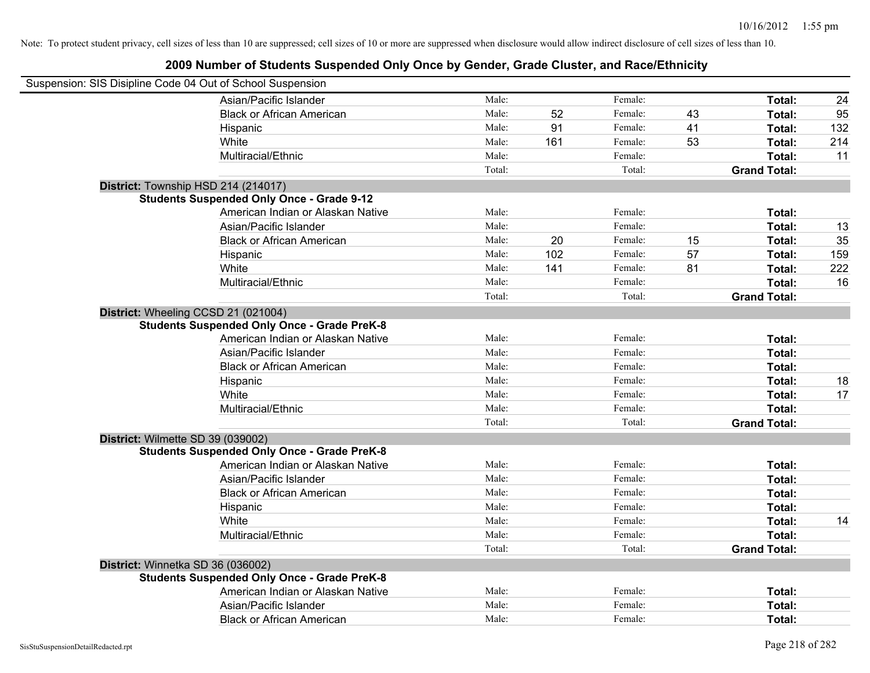| Suspension: SIS Disipline Code 04 Out of School Suspension |        |     |         |    |                     |     |
|------------------------------------------------------------|--------|-----|---------|----|---------------------|-----|
| Asian/Pacific Islander                                     | Male:  |     | Female: |    | Total:              | 24  |
| <b>Black or African American</b>                           | Male:  | 52  | Female: | 43 | Total:              | 95  |
| Hispanic                                                   | Male:  | 91  | Female: | 41 | Total:              | 132 |
| White                                                      | Male:  | 161 | Female: | 53 | Total:              | 214 |
| Multiracial/Ethnic                                         | Male:  |     | Female: |    | Total:              | 11  |
|                                                            | Total: |     | Total:  |    | <b>Grand Total:</b> |     |
| District: Township HSD 214 (214017)                        |        |     |         |    |                     |     |
| <b>Students Suspended Only Once - Grade 9-12</b>           |        |     |         |    |                     |     |
| American Indian or Alaskan Native                          | Male:  |     | Female: |    | Total:              |     |
| Asian/Pacific Islander                                     | Male:  |     | Female: |    | Total:              | 13  |
| <b>Black or African American</b>                           | Male:  | 20  | Female: | 15 | Total:              | 35  |
| Hispanic                                                   | Male:  | 102 | Female: | 57 | Total:              | 159 |
| White                                                      | Male:  | 141 | Female: | 81 | Total:              | 222 |
| Multiracial/Ethnic                                         | Male:  |     | Female: |    | Total:              | 16  |
|                                                            | Total: |     | Total:  |    | <b>Grand Total:</b> |     |
| District: Wheeling CCSD 21 (021004)                        |        |     |         |    |                     |     |
| <b>Students Suspended Only Once - Grade PreK-8</b>         |        |     |         |    |                     |     |
| American Indian or Alaskan Native                          | Male:  |     | Female: |    | Total:              |     |
| Asian/Pacific Islander                                     | Male:  |     | Female: |    | Total:              |     |
| <b>Black or African American</b>                           | Male:  |     | Female: |    | Total:              |     |
| Hispanic                                                   | Male:  |     | Female: |    | Total:              | 18  |
| White                                                      | Male:  |     | Female: |    | Total:              | 17  |
| Multiracial/Ethnic                                         | Male:  |     | Female: |    | Total:              |     |
|                                                            | Total: |     | Total:  |    | <b>Grand Total:</b> |     |
| District: Wilmette SD 39 (039002)                          |        |     |         |    |                     |     |
| <b>Students Suspended Only Once - Grade PreK-8</b>         |        |     |         |    |                     |     |
| American Indian or Alaskan Native                          | Male:  |     | Female: |    | Total:              |     |
| Asian/Pacific Islander                                     | Male:  |     | Female: |    | Total:              |     |
| <b>Black or African American</b>                           | Male:  |     | Female: |    | Total:              |     |
| Hispanic                                                   | Male:  |     | Female: |    | Total:              |     |
| White                                                      | Male:  |     | Female: |    | Total:              | 14  |
| Multiracial/Ethnic                                         | Male:  |     | Female: |    | Total:              |     |
|                                                            | Total: |     | Total:  |    | <b>Grand Total:</b> |     |
| District: Winnetka SD 36 (036002)                          |        |     |         |    |                     |     |
| <b>Students Suspended Only Once - Grade PreK-8</b>         |        |     |         |    |                     |     |
| American Indian or Alaskan Native                          | Male:  |     | Female: |    | Total:              |     |
| Asian/Pacific Islander                                     | Male:  |     | Female: |    | Total:              |     |
| <b>Black or African American</b>                           | Male:  |     | Female: |    | Total:              |     |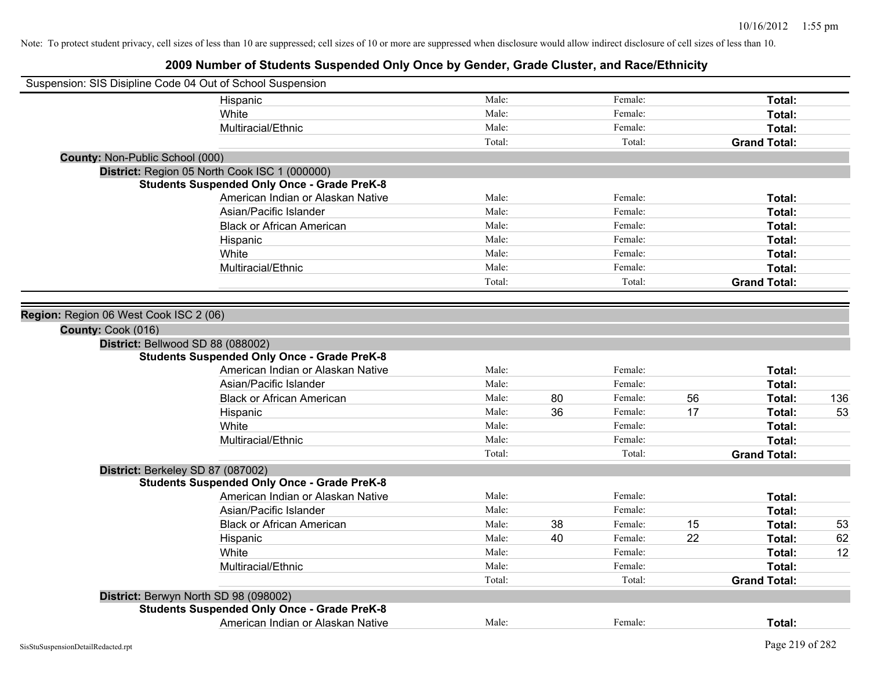| Suspension: SIS Disipline Code 04 Out of School Suspension |                                                    |        |    |         |    |                     |     |
|------------------------------------------------------------|----------------------------------------------------|--------|----|---------|----|---------------------|-----|
|                                                            | Hispanic                                           | Male:  |    | Female: |    | Total:              |     |
|                                                            | White                                              | Male:  |    | Female: |    | Total:              |     |
|                                                            | Multiracial/Ethnic                                 | Male:  |    | Female: |    | Total:              |     |
|                                                            |                                                    | Total: |    | Total:  |    | <b>Grand Total:</b> |     |
| <b>County: Non-Public School (000)</b>                     |                                                    |        |    |         |    |                     |     |
|                                                            | District: Region 05 North Cook ISC 1 (000000)      |        |    |         |    |                     |     |
|                                                            | <b>Students Suspended Only Once - Grade PreK-8</b> |        |    |         |    |                     |     |
|                                                            | American Indian or Alaskan Native                  | Male:  |    | Female: |    | Total:              |     |
|                                                            | Asian/Pacific Islander                             | Male:  |    | Female: |    | Total:              |     |
|                                                            | <b>Black or African American</b>                   | Male:  |    | Female: |    | Total:              |     |
|                                                            | Hispanic                                           | Male:  |    | Female: |    | Total:              |     |
|                                                            | White                                              | Male:  |    | Female: |    | Total:              |     |
|                                                            | Multiracial/Ethnic                                 | Male:  |    | Female: |    | Total:              |     |
|                                                            |                                                    | Total: |    | Total:  |    | <b>Grand Total:</b> |     |
|                                                            |                                                    |        |    |         |    |                     |     |
| Region: Region 06 West Cook ISC 2 (06)                     |                                                    |        |    |         |    |                     |     |
| County: Cook (016)                                         |                                                    |        |    |         |    |                     |     |
| District: Bellwood SD 88 (088002)                          |                                                    |        |    |         |    |                     |     |
|                                                            | <b>Students Suspended Only Once - Grade PreK-8</b> |        |    |         |    |                     |     |
|                                                            | American Indian or Alaskan Native                  | Male:  |    | Female: |    | Total:              |     |
|                                                            | Asian/Pacific Islander                             | Male:  |    | Female: |    | Total:              |     |
|                                                            | <b>Black or African American</b>                   | Male:  | 80 | Female: | 56 | Total:              | 136 |
|                                                            | Hispanic                                           | Male:  | 36 | Female: | 17 | Total:              | 53  |
|                                                            | White                                              | Male:  |    | Female: |    | Total:              |     |
|                                                            | Multiracial/Ethnic                                 | Male:  |    | Female: |    | Total:              |     |
|                                                            |                                                    | Total: |    | Total:  |    | <b>Grand Total:</b> |     |
| District: Berkeley SD 87 (087002)                          |                                                    |        |    |         |    |                     |     |
|                                                            | <b>Students Suspended Only Once - Grade PreK-8</b> |        |    |         |    |                     |     |
|                                                            | American Indian or Alaskan Native                  | Male:  |    | Female: |    | Total:              |     |
|                                                            | Asian/Pacific Islander                             | Male:  |    | Female: |    | Total:              |     |
|                                                            | <b>Black or African American</b>                   | Male:  | 38 | Female: | 15 | Total:              | 53  |
|                                                            | Hispanic                                           | Male:  | 40 | Female: | 22 | Total:              | 62  |
|                                                            | White                                              | Male:  |    | Female: |    | Total:              | 12  |
|                                                            | Multiracial/Ethnic                                 | Male:  |    | Female: |    | Total:              |     |
|                                                            |                                                    | Total: |    | Total:  |    | <b>Grand Total:</b> |     |
| District: Berwyn North SD 98 (098002)                      |                                                    |        |    |         |    |                     |     |
|                                                            | <b>Students Suspended Only Once - Grade PreK-8</b> |        |    |         |    |                     |     |
|                                                            | American Indian or Alaskan Native                  | Male:  |    | Female: |    | Total:              |     |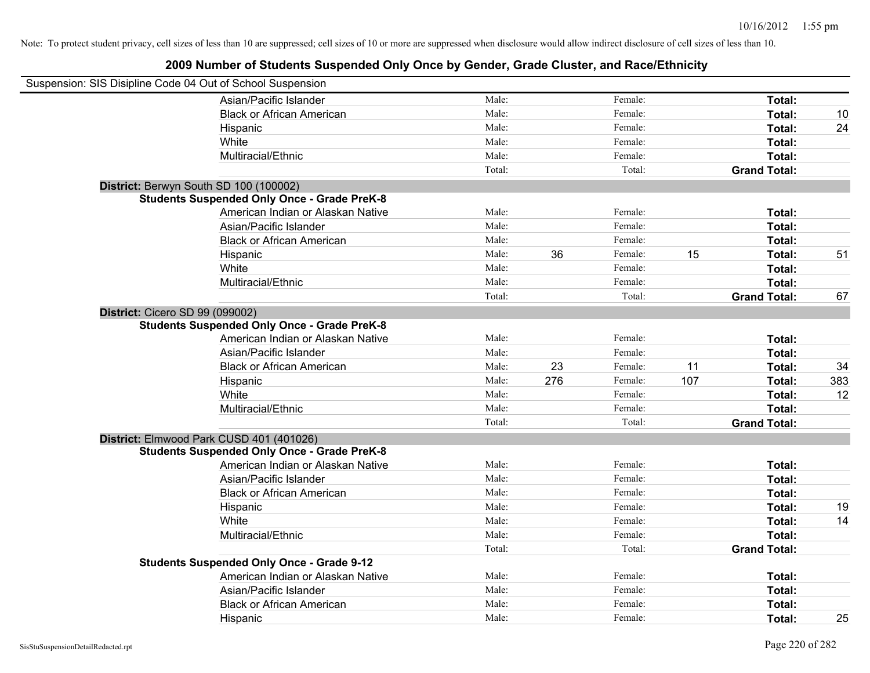| Suspension: SIS Disipline Code 04 Out of School Suspension |                                                    |        |     |         |     |                     |     |
|------------------------------------------------------------|----------------------------------------------------|--------|-----|---------|-----|---------------------|-----|
|                                                            | Asian/Pacific Islander                             | Male:  |     | Female: |     | Total:              |     |
|                                                            | <b>Black or African American</b>                   | Male:  |     | Female: |     | Total:              | 10  |
|                                                            | Hispanic                                           | Male:  |     | Female: |     | Total:              | 24  |
|                                                            | White                                              | Male:  |     | Female: |     | Total:              |     |
|                                                            | Multiracial/Ethnic                                 | Male:  |     | Female: |     | Total:              |     |
|                                                            |                                                    | Total: |     | Total:  |     | <b>Grand Total:</b> |     |
| District: Berwyn South SD 100 (100002)                     |                                                    |        |     |         |     |                     |     |
|                                                            | <b>Students Suspended Only Once - Grade PreK-8</b> |        |     |         |     |                     |     |
|                                                            | American Indian or Alaskan Native                  | Male:  |     | Female: |     | Total:              |     |
|                                                            | Asian/Pacific Islander                             | Male:  |     | Female: |     | Total:              |     |
|                                                            | <b>Black or African American</b>                   | Male:  |     | Female: |     | Total:              |     |
|                                                            | Hispanic                                           | Male:  | 36  | Female: | 15  | Total:              | 51  |
|                                                            | White                                              | Male:  |     | Female: |     | Total:              |     |
|                                                            | Multiracial/Ethnic                                 | Male:  |     | Female: |     | Total:              |     |
|                                                            |                                                    | Total: |     | Total:  |     | <b>Grand Total:</b> | 67  |
| District: Cicero SD 99 (099002)                            |                                                    |        |     |         |     |                     |     |
|                                                            | <b>Students Suspended Only Once - Grade PreK-8</b> |        |     |         |     |                     |     |
|                                                            | American Indian or Alaskan Native                  | Male:  |     | Female: |     | Total:              |     |
|                                                            | Asian/Pacific Islander                             | Male:  |     | Female: |     | Total:              |     |
|                                                            | <b>Black or African American</b>                   | Male:  | 23  | Female: | 11  | Total:              | 34  |
|                                                            | Hispanic                                           | Male:  | 276 | Female: | 107 | Total:              | 383 |
|                                                            | White                                              | Male:  |     | Female: |     | Total:              | 12  |
|                                                            | Multiracial/Ethnic                                 | Male:  |     | Female: |     | Total:              |     |
|                                                            |                                                    | Total: |     | Total:  |     | <b>Grand Total:</b> |     |
|                                                            | District: Elmwood Park CUSD 401 (401026)           |        |     |         |     |                     |     |
|                                                            | <b>Students Suspended Only Once - Grade PreK-8</b> |        |     |         |     |                     |     |
|                                                            | American Indian or Alaskan Native                  | Male:  |     | Female: |     | Total:              |     |
|                                                            | Asian/Pacific Islander                             | Male:  |     | Female: |     | Total:              |     |
|                                                            | <b>Black or African American</b>                   | Male:  |     | Female: |     | Total:              |     |
|                                                            | Hispanic                                           | Male:  |     | Female: |     | Total:              | 19  |
|                                                            | White                                              | Male:  |     | Female: |     | Total:              | 14  |
|                                                            | Multiracial/Ethnic                                 | Male:  |     | Female: |     | Total:              |     |
|                                                            |                                                    | Total: |     | Total:  |     | <b>Grand Total:</b> |     |
|                                                            | <b>Students Suspended Only Once - Grade 9-12</b>   |        |     |         |     |                     |     |
|                                                            | American Indian or Alaskan Native                  | Male:  |     | Female: |     | Total:              |     |
|                                                            | Asian/Pacific Islander                             | Male:  |     | Female: |     | Total:              |     |
|                                                            | <b>Black or African American</b>                   | Male:  |     | Female: |     | <b>Total:</b>       |     |
|                                                            | Hispanic                                           | Male:  |     | Female: |     | Total:              | 25  |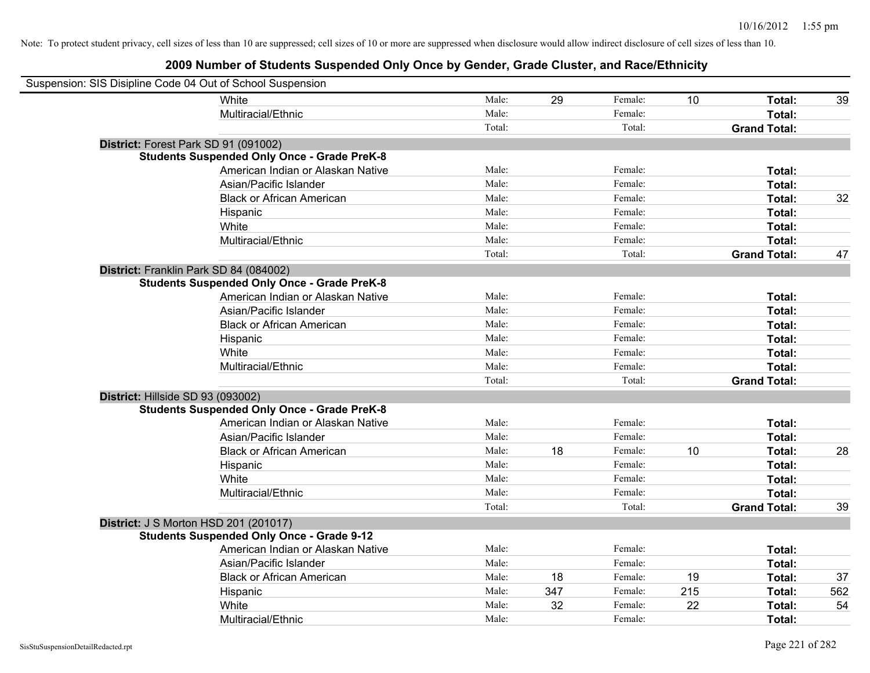| Suspension: SIS Disipline Code 04 Out of School Suspension |                                                    |        |     |         |     |                     |     |
|------------------------------------------------------------|----------------------------------------------------|--------|-----|---------|-----|---------------------|-----|
|                                                            | White                                              | Male:  | 29  | Female: | 10  | Total:              | 39  |
|                                                            | Multiracial/Ethnic                                 | Male:  |     | Female: |     | <b>Total:</b>       |     |
|                                                            |                                                    | Total: |     | Total:  |     | <b>Grand Total:</b> |     |
| District: Forest Park SD 91 (091002)                       |                                                    |        |     |         |     |                     |     |
|                                                            | <b>Students Suspended Only Once - Grade PreK-8</b> |        |     |         |     |                     |     |
|                                                            | American Indian or Alaskan Native                  | Male:  |     | Female: |     | Total:              |     |
|                                                            | Asian/Pacific Islander                             | Male:  |     | Female: |     | Total:              |     |
|                                                            | <b>Black or African American</b>                   | Male:  |     | Female: |     | Total:              | 32  |
|                                                            | Hispanic                                           | Male:  |     | Female: |     | Total:              |     |
|                                                            | White                                              | Male:  |     | Female: |     | Total:              |     |
|                                                            | Multiracial/Ethnic                                 | Male:  |     | Female: |     | Total:              |     |
|                                                            |                                                    | Total: |     | Total:  |     | <b>Grand Total:</b> | 47  |
| District: Franklin Park SD 84 (084002)                     |                                                    |        |     |         |     |                     |     |
|                                                            | <b>Students Suspended Only Once - Grade PreK-8</b> |        |     |         |     |                     |     |
|                                                            | American Indian or Alaskan Native                  | Male:  |     | Female: |     | Total:              |     |
|                                                            | Asian/Pacific Islander                             | Male:  |     | Female: |     | Total:              |     |
|                                                            | <b>Black or African American</b>                   | Male:  |     | Female: |     | Total:              |     |
|                                                            | Hispanic                                           | Male:  |     | Female: |     | Total:              |     |
|                                                            | White                                              | Male:  |     | Female: |     | Total:              |     |
|                                                            | Multiracial/Ethnic                                 | Male:  |     | Female: |     | Total:              |     |
|                                                            |                                                    | Total: |     | Total:  |     | <b>Grand Total:</b> |     |
| District: Hillside SD 93 (093002)                          |                                                    |        |     |         |     |                     |     |
|                                                            | <b>Students Suspended Only Once - Grade PreK-8</b> |        |     |         |     |                     |     |
|                                                            | American Indian or Alaskan Native                  | Male:  |     | Female: |     | Total:              |     |
|                                                            | Asian/Pacific Islander                             | Male:  |     | Female: |     | Total:              |     |
|                                                            | <b>Black or African American</b>                   | Male:  | 18  | Female: | 10  | Total:              | 28  |
|                                                            | Hispanic                                           | Male:  |     | Female: |     | Total:              |     |
|                                                            | White                                              | Male:  |     | Female: |     | Total:              |     |
|                                                            | Multiracial/Ethnic                                 | Male:  |     | Female: |     | Total:              |     |
|                                                            |                                                    | Total: |     | Total:  |     | <b>Grand Total:</b> | 39  |
| <b>District: J S Morton HSD 201 (201017)</b>               |                                                    |        |     |         |     |                     |     |
|                                                            | <b>Students Suspended Only Once - Grade 9-12</b>   |        |     |         |     |                     |     |
|                                                            | American Indian or Alaskan Native                  | Male:  |     | Female: |     | Total:              |     |
|                                                            | Asian/Pacific Islander                             | Male:  |     | Female: |     | Total:              |     |
|                                                            | <b>Black or African American</b>                   | Male:  | 18  | Female: | 19  | Total:              | 37  |
|                                                            | Hispanic                                           | Male:  | 347 | Female: | 215 | Total:              | 562 |
|                                                            | White                                              | Male:  | 32  | Female: | 22  | Total:              | 54  |
|                                                            | Multiracial/Ethnic                                 | Male:  |     | Female: |     | Total:              |     |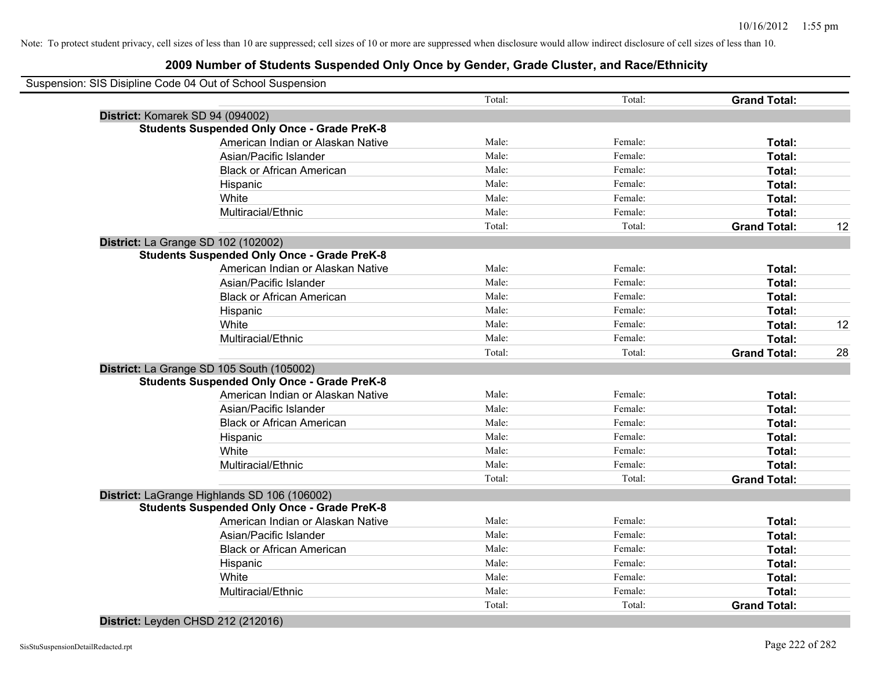### **2009 Number of Students Suspended Only Once by Gender, Grade Cluster, and Race/Ethnicity**

| Suspension: SIS Disipline Code 04 Out of School Suspension |        |         |                     |    |
|------------------------------------------------------------|--------|---------|---------------------|----|
|                                                            | Total: | Total:  | <b>Grand Total:</b> |    |
| District: Komarek SD 94 (094002)                           |        |         |                     |    |
| <b>Students Suspended Only Once - Grade PreK-8</b>         |        |         |                     |    |
| American Indian or Alaskan Native                          | Male:  | Female: | Total:              |    |
| Asian/Pacific Islander                                     | Male:  | Female: | Total:              |    |
| <b>Black or African American</b>                           | Male:  | Female: | Total:              |    |
| Hispanic                                                   | Male:  | Female: | Total:              |    |
| White                                                      | Male:  | Female: | Total:              |    |
| Multiracial/Ethnic                                         | Male:  | Female: | Total:              |    |
|                                                            | Total: | Total:  | <b>Grand Total:</b> | 12 |
| District: La Grange SD 102 (102002)                        |        |         |                     |    |
| <b>Students Suspended Only Once - Grade PreK-8</b>         |        |         |                     |    |
| American Indian or Alaskan Native                          | Male:  | Female: | Total:              |    |
| Asian/Pacific Islander                                     | Male:  | Female: | Total:              |    |
| <b>Black or African American</b>                           | Male:  | Female: | Total:              |    |
| Hispanic                                                   | Male:  | Female: | Total:              |    |
| White                                                      | Male:  | Female: | Total:              | 12 |
| Multiracial/Ethnic                                         | Male:  | Female: | Total:              |    |
|                                                            | Total: | Total:  | <b>Grand Total:</b> | 28 |
| District: La Grange SD 105 South (105002)                  |        |         |                     |    |
| <b>Students Suspended Only Once - Grade PreK-8</b>         |        |         |                     |    |
| American Indian or Alaskan Native                          | Male:  | Female: | Total:              |    |
| Asian/Pacific Islander                                     | Male:  | Female: | Total:              |    |
| <b>Black or African American</b>                           | Male:  | Female: | Total:              |    |
| Hispanic                                                   | Male:  | Female: | Total:              |    |
| White                                                      | Male:  | Female: | Total:              |    |
| Multiracial/Ethnic                                         | Male:  | Female: | Total:              |    |
|                                                            | Total: | Total:  | <b>Grand Total:</b> |    |
| District: LaGrange Highlands SD 106 (106002)               |        |         |                     |    |
| <b>Students Suspended Only Once - Grade PreK-8</b>         |        |         |                     |    |
| American Indian or Alaskan Native                          | Male:  | Female: | Total:              |    |
| Asian/Pacific Islander                                     | Male:  | Female: | Total:              |    |
| <b>Black or African American</b>                           | Male:  | Female: | Total:              |    |
| Hispanic                                                   | Male:  | Female: | Total:              |    |
| White                                                      | Male:  | Female: | Total:              |    |
| Multiracial/Ethnic                                         | Male:  | Female: | Total:              |    |
|                                                            | Total: | Total:  | <b>Grand Total:</b> |    |
|                                                            |        |         |                     |    |

#### **District:** Leyden CHSD 212 (212016)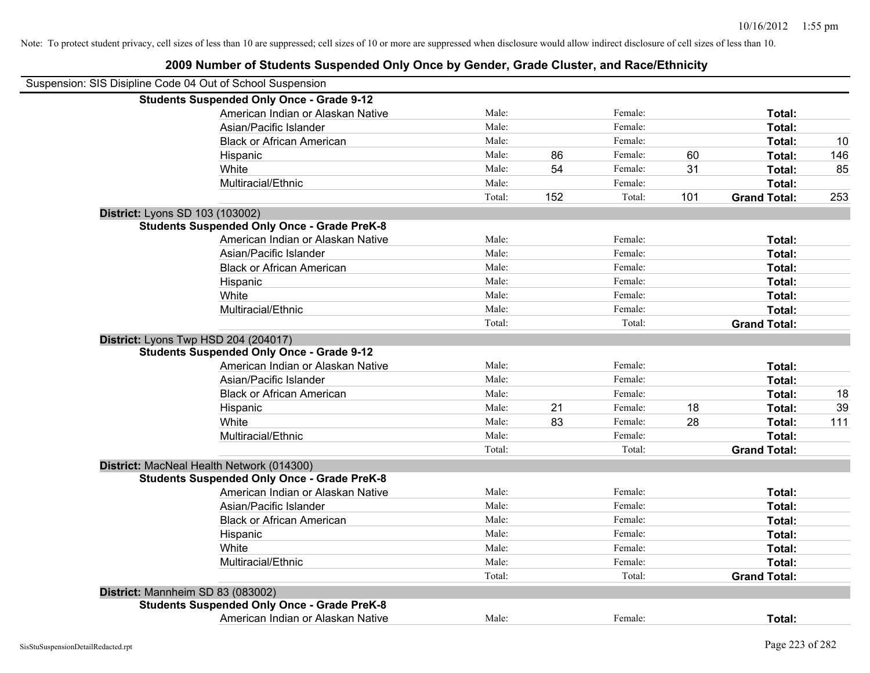| Suspension: SIS Disipline Code 04 Out of School Suspension |        |     |         |     |                     |     |
|------------------------------------------------------------|--------|-----|---------|-----|---------------------|-----|
| <b>Students Suspended Only Once - Grade 9-12</b>           |        |     |         |     |                     |     |
| American Indian or Alaskan Native                          | Male:  |     | Female: |     | Total:              |     |
| Asian/Pacific Islander                                     | Male:  |     | Female: |     | Total:              |     |
| <b>Black or African American</b>                           | Male:  |     | Female: |     | Total:              | 10  |
| Hispanic                                                   | Male:  | 86  | Female: | 60  | Total:              | 146 |
| White                                                      | Male:  | 54  | Female: | 31  | Total:              | 85  |
| Multiracial/Ethnic                                         | Male:  |     | Female: |     | Total:              |     |
|                                                            | Total: | 152 | Total:  | 101 | <b>Grand Total:</b> | 253 |
| District: Lyons SD 103 (103002)                            |        |     |         |     |                     |     |
| <b>Students Suspended Only Once - Grade PreK-8</b>         |        |     |         |     |                     |     |
| American Indian or Alaskan Native                          | Male:  |     | Female: |     | Total:              |     |
| Asian/Pacific Islander                                     | Male:  |     | Female: |     | Total:              |     |
| <b>Black or African American</b>                           | Male:  |     | Female: |     | Total:              |     |
| Hispanic                                                   | Male:  |     | Female: |     | Total:              |     |
| White                                                      | Male:  |     | Female: |     | Total:              |     |
| Multiracial/Ethnic                                         | Male:  |     | Female: |     | Total:              |     |
|                                                            | Total: |     | Total:  |     | <b>Grand Total:</b> |     |
| District: Lyons Twp HSD 204 (204017)                       |        |     |         |     |                     |     |
| <b>Students Suspended Only Once - Grade 9-12</b>           |        |     |         |     |                     |     |
| American Indian or Alaskan Native                          | Male:  |     | Female: |     | Total:              |     |
| Asian/Pacific Islander                                     | Male:  |     | Female: |     | Total:              |     |
| <b>Black or African American</b>                           | Male:  |     | Female: |     | Total:              | 18  |
| Hispanic                                                   | Male:  | 21  | Female: | 18  | Total:              | 39  |
| White                                                      | Male:  | 83  | Female: | 28  | Total:              | 111 |
| Multiracial/Ethnic                                         | Male:  |     | Female: |     | Total:              |     |
|                                                            | Total: |     | Total:  |     | <b>Grand Total:</b> |     |
| District: MacNeal Health Network (014300)                  |        |     |         |     |                     |     |
| <b>Students Suspended Only Once - Grade PreK-8</b>         |        |     |         |     |                     |     |
| American Indian or Alaskan Native                          | Male:  |     | Female: |     | Total:              |     |
| Asian/Pacific Islander                                     | Male:  |     | Female: |     | Total:              |     |
| <b>Black or African American</b>                           | Male:  |     | Female: |     | Total:              |     |
| Hispanic                                                   | Male:  |     | Female: |     | Total:              |     |
| White                                                      | Male:  |     | Female: |     | Total:              |     |
| Multiracial/Ethnic                                         | Male:  |     | Female: |     | Total:              |     |
|                                                            | Total: |     | Total:  |     | <b>Grand Total:</b> |     |
| District: Mannheim SD 83 (083002)                          |        |     |         |     |                     |     |
| <b>Students Suspended Only Once - Grade PreK-8</b>         |        |     |         |     |                     |     |
| American Indian or Alaskan Native                          | Male:  |     | Female: |     | Total:              |     |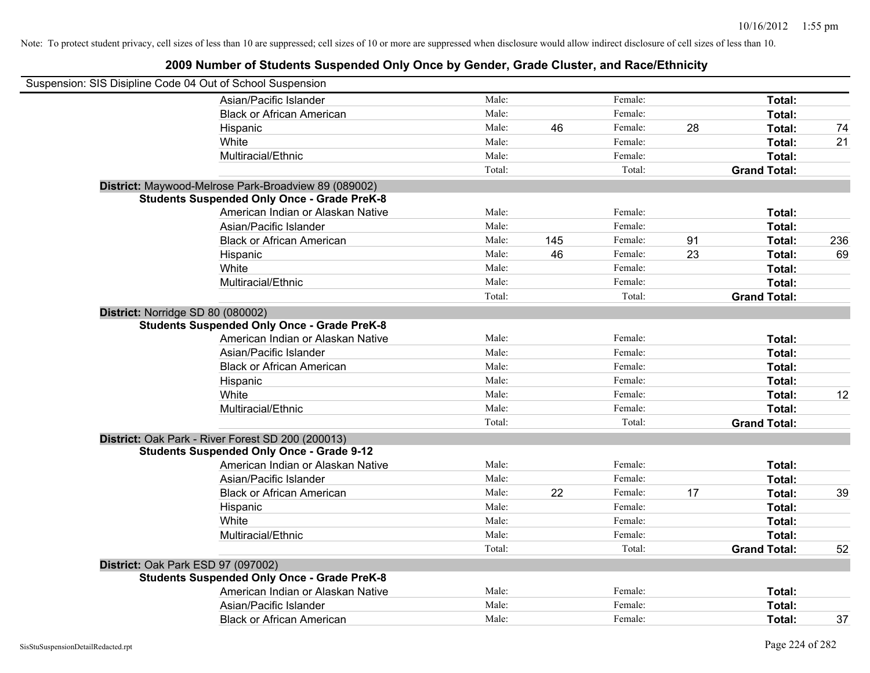| Suspension: SIS Disipline Code 04 Out of School Suspension |        |     |         |    |                     |     |
|------------------------------------------------------------|--------|-----|---------|----|---------------------|-----|
| Asian/Pacific Islander                                     | Male:  |     | Female: |    | Total:              |     |
| <b>Black or African American</b>                           | Male:  |     | Female: |    | Total:              |     |
| Hispanic                                                   | Male:  | 46  | Female: | 28 | Total:              | 74  |
| White                                                      | Male:  |     | Female: |    | Total:              | 21  |
| Multiracial/Ethnic                                         | Male:  |     | Female: |    | Total:              |     |
|                                                            | Total: |     | Total:  |    | <b>Grand Total:</b> |     |
| District: Maywood-Melrose Park-Broadview 89 (089002)       |        |     |         |    |                     |     |
| <b>Students Suspended Only Once - Grade PreK-8</b>         |        |     |         |    |                     |     |
| American Indian or Alaskan Native                          | Male:  |     | Female: |    | Total:              |     |
| Asian/Pacific Islander                                     | Male:  |     | Female: |    | Total:              |     |
| <b>Black or African American</b>                           | Male:  | 145 | Female: | 91 | Total:              | 236 |
| Hispanic                                                   | Male:  | 46  | Female: | 23 | Total:              | 69  |
| White                                                      | Male:  |     | Female: |    | Total:              |     |
| Multiracial/Ethnic                                         | Male:  |     | Female: |    | Total:              |     |
|                                                            | Total: |     | Total:  |    | <b>Grand Total:</b> |     |
| District: Norridge SD 80 (080002)                          |        |     |         |    |                     |     |
| <b>Students Suspended Only Once - Grade PreK-8</b>         |        |     |         |    |                     |     |
| American Indian or Alaskan Native                          | Male:  |     | Female: |    | Total:              |     |
| Asian/Pacific Islander                                     | Male:  |     | Female: |    | Total:              |     |
| <b>Black or African American</b>                           | Male:  |     | Female: |    | Total:              |     |
| Hispanic                                                   | Male:  |     | Female: |    | Total:              |     |
| White                                                      | Male:  |     | Female: |    | Total:              | 12  |
| Multiracial/Ethnic                                         | Male:  |     | Female: |    | Total:              |     |
|                                                            | Total: |     | Total:  |    | <b>Grand Total:</b> |     |
| District: Oak Park - River Forest SD 200 (200013)          |        |     |         |    |                     |     |
| <b>Students Suspended Only Once - Grade 9-12</b>           |        |     |         |    |                     |     |
| American Indian or Alaskan Native                          | Male:  |     | Female: |    | Total:              |     |
| Asian/Pacific Islander                                     | Male:  |     | Female: |    | Total:              |     |
| <b>Black or African American</b>                           | Male:  | 22  | Female: | 17 | Total:              | 39  |
| Hispanic                                                   | Male:  |     | Female: |    | Total:              |     |
| White                                                      | Male:  |     | Female: |    | Total:              |     |
| Multiracial/Ethnic                                         | Male:  |     | Female: |    | Total:              |     |
|                                                            | Total: |     | Total:  |    | <b>Grand Total:</b> | 52  |
| District: Oak Park ESD 97 (097002)                         |        |     |         |    |                     |     |
| <b>Students Suspended Only Once - Grade PreK-8</b>         |        |     |         |    |                     |     |
| American Indian or Alaskan Native                          | Male:  |     | Female: |    | Total:              |     |
| Asian/Pacific Islander                                     | Male:  |     | Female: |    | Total:              |     |
| <b>Black or African American</b>                           | Male:  |     | Female: |    | Total:              | 37  |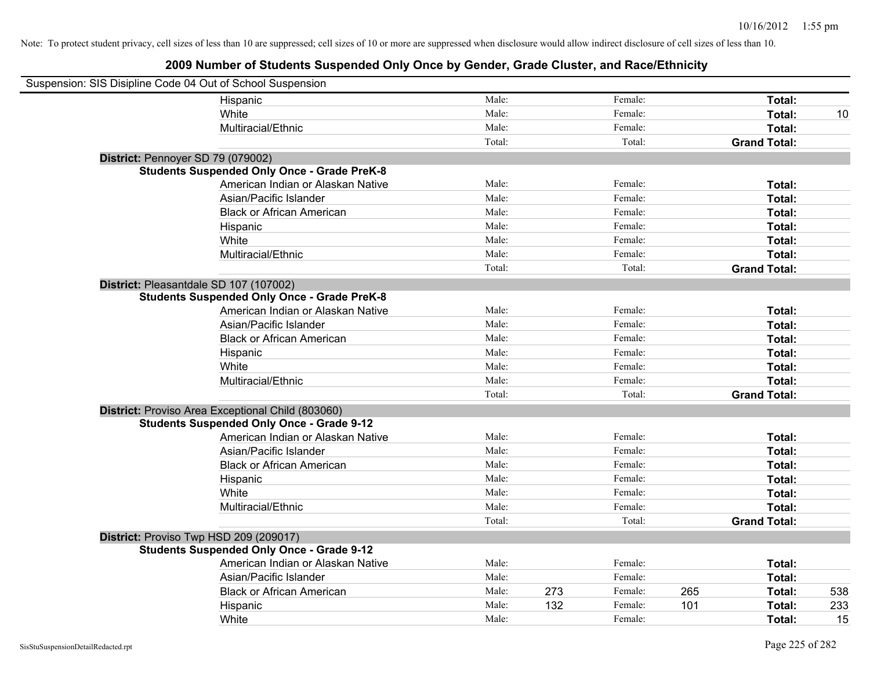| Suspension: SIS Disipline Code 04 Out of School Suspension |                                                    |        |     |         |     |                     |     |
|------------------------------------------------------------|----------------------------------------------------|--------|-----|---------|-----|---------------------|-----|
|                                                            | Hispanic                                           | Male:  |     | Female: |     | Total:              |     |
|                                                            | White                                              | Male:  |     | Female: |     | Total:              | 10  |
|                                                            | Multiracial/Ethnic                                 | Male:  |     | Female: |     | Total:              |     |
|                                                            |                                                    | Total: |     | Total:  |     | <b>Grand Total:</b> |     |
| District: Pennoyer SD 79 (079002)                          |                                                    |        |     |         |     |                     |     |
|                                                            | <b>Students Suspended Only Once - Grade PreK-8</b> |        |     |         |     |                     |     |
|                                                            | American Indian or Alaskan Native                  | Male:  |     | Female: |     | Total:              |     |
|                                                            | Asian/Pacific Islander                             | Male:  |     | Female: |     | Total:              |     |
|                                                            | <b>Black or African American</b>                   | Male:  |     | Female: |     | Total:              |     |
|                                                            | Hispanic                                           | Male:  |     | Female: |     | Total:              |     |
|                                                            | White                                              | Male:  |     | Female: |     | Total:              |     |
|                                                            | Multiracial/Ethnic                                 | Male:  |     | Female: |     | Total:              |     |
|                                                            |                                                    | Total: |     | Total:  |     | <b>Grand Total:</b> |     |
| District: Pleasantdale SD 107 (107002)                     |                                                    |        |     |         |     |                     |     |
|                                                            | <b>Students Suspended Only Once - Grade PreK-8</b> |        |     |         |     |                     |     |
|                                                            | American Indian or Alaskan Native                  | Male:  |     | Female: |     | Total:              |     |
|                                                            | Asian/Pacific Islander                             | Male:  |     | Female: |     | Total:              |     |
|                                                            | <b>Black or African American</b>                   | Male:  |     | Female: |     | Total:              |     |
|                                                            | Hispanic                                           | Male:  |     | Female: |     | Total:              |     |
|                                                            | White                                              | Male:  |     | Female: |     | Total:              |     |
|                                                            | Multiracial/Ethnic                                 | Male:  |     | Female: |     | Total:              |     |
|                                                            |                                                    | Total: |     | Total:  |     | <b>Grand Total:</b> |     |
|                                                            | District: Proviso Area Exceptional Child (803060)  |        |     |         |     |                     |     |
|                                                            | <b>Students Suspended Only Once - Grade 9-12</b>   |        |     |         |     |                     |     |
|                                                            | American Indian or Alaskan Native                  | Male:  |     | Female: |     | Total:              |     |
|                                                            | Asian/Pacific Islander                             | Male:  |     | Female: |     | Total:              |     |
|                                                            | <b>Black or African American</b>                   | Male:  |     | Female: |     | Total:              |     |
|                                                            | Hispanic                                           | Male:  |     | Female: |     | Total:              |     |
|                                                            | White                                              | Male:  |     | Female: |     | Total:              |     |
|                                                            | Multiracial/Ethnic                                 | Male:  |     | Female: |     | Total:              |     |
|                                                            |                                                    | Total: |     | Total:  |     | <b>Grand Total:</b> |     |
| District: Proviso Twp HSD 209 (209017)                     |                                                    |        |     |         |     |                     |     |
|                                                            | <b>Students Suspended Only Once - Grade 9-12</b>   |        |     |         |     |                     |     |
|                                                            | American Indian or Alaskan Native                  | Male:  |     | Female: |     | Total:              |     |
|                                                            | Asian/Pacific Islander                             | Male:  |     | Female: |     | Total:              |     |
|                                                            | <b>Black or African American</b>                   | Male:  | 273 | Female: | 265 | Total:              | 538 |
|                                                            | Hispanic                                           | Male:  | 132 | Female: | 101 | Total:              | 233 |
|                                                            | White                                              | Male:  |     | Female: |     | Total:              | 15  |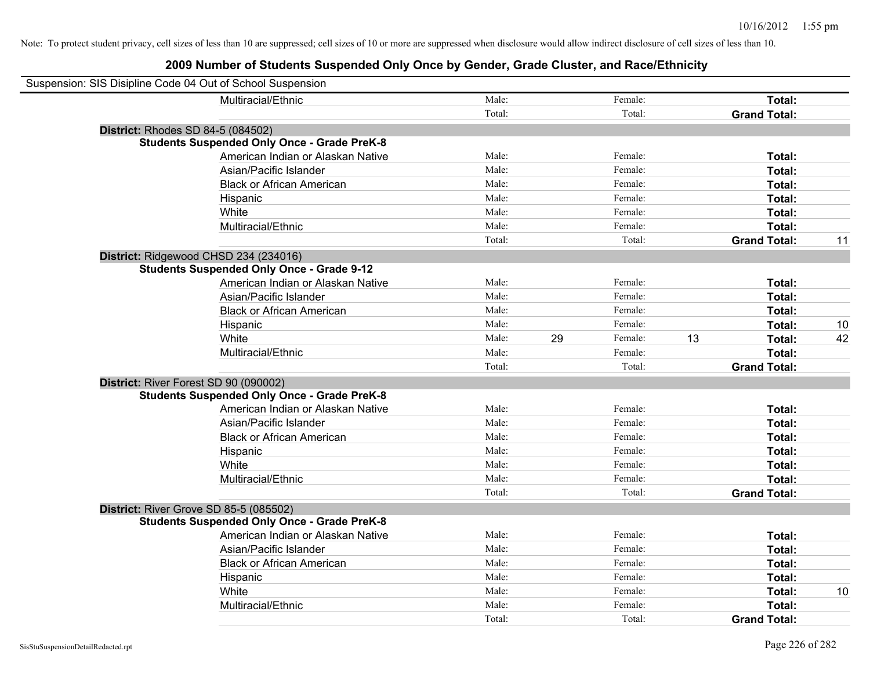| Suspension: SIS Disipline Code 04 Out of School Suspension |                                                    |        |               |    |                     |    |
|------------------------------------------------------------|----------------------------------------------------|--------|---------------|----|---------------------|----|
|                                                            | Multiracial/Ethnic                                 | Male:  | Female:       |    | Total:              |    |
|                                                            |                                                    | Total: | Total:        |    | <b>Grand Total:</b> |    |
| <b>District: Rhodes SD 84-5 (084502)</b>                   |                                                    |        |               |    |                     |    |
|                                                            | <b>Students Suspended Only Once - Grade PreK-8</b> |        |               |    |                     |    |
|                                                            | American Indian or Alaskan Native                  | Male:  | Female:       |    | Total:              |    |
|                                                            | Asian/Pacific Islander                             | Male:  | Female:       |    | Total:              |    |
|                                                            | <b>Black or African American</b>                   | Male:  | Female:       |    | Total:              |    |
|                                                            | Hispanic                                           | Male:  | Female:       |    | Total:              |    |
|                                                            | White                                              | Male:  | Female:       |    | Total:              |    |
|                                                            | Multiracial/Ethnic                                 | Male:  | Female:       |    | Total:              |    |
|                                                            |                                                    | Total: | Total:        |    | <b>Grand Total:</b> | 11 |
| District: Ridgewood CHSD 234 (234016)                      |                                                    |        |               |    |                     |    |
|                                                            | <b>Students Suspended Only Once - Grade 9-12</b>   |        |               |    |                     |    |
|                                                            | American Indian or Alaskan Native                  | Male:  | Female:       |    | Total:              |    |
|                                                            | Asian/Pacific Islander                             | Male:  | Female:       |    | Total:              |    |
|                                                            | <b>Black or African American</b>                   | Male:  | Female:       |    | Total:              |    |
|                                                            | Hispanic                                           | Male:  | Female:       |    | Total:              | 10 |
|                                                            | White                                              | Male:  | 29<br>Female: | 13 | Total:              | 42 |
|                                                            | Multiracial/Ethnic                                 | Male:  | Female:       |    | Total:              |    |
|                                                            |                                                    | Total: | Total:        |    | <b>Grand Total:</b> |    |
| District: River Forest SD 90 (090002)                      |                                                    |        |               |    |                     |    |
|                                                            | <b>Students Suspended Only Once - Grade PreK-8</b> |        |               |    |                     |    |
|                                                            | American Indian or Alaskan Native                  | Male:  | Female:       |    | Total:              |    |
|                                                            | Asian/Pacific Islander                             | Male:  | Female:       |    | Total:              |    |
|                                                            | <b>Black or African American</b>                   | Male:  | Female:       |    | Total:              |    |
|                                                            | Hispanic                                           | Male:  | Female:       |    | Total:              |    |
|                                                            | White                                              | Male:  | Female:       |    | Total:              |    |
|                                                            | Multiracial/Ethnic                                 | Male:  | Female:       |    | Total:              |    |
|                                                            |                                                    | Total: | Total:        |    | <b>Grand Total:</b> |    |
| District: River Grove SD 85-5 (085502)                     |                                                    |        |               |    |                     |    |
|                                                            | <b>Students Suspended Only Once - Grade PreK-8</b> |        |               |    |                     |    |
|                                                            | American Indian or Alaskan Native                  | Male:  | Female:       |    | Total:              |    |
|                                                            | Asian/Pacific Islander                             | Male:  | Female:       |    | Total:              |    |
|                                                            | <b>Black or African American</b>                   | Male:  | Female:       |    | Total:              |    |
|                                                            | Hispanic                                           | Male:  | Female:       |    | Total:              |    |
|                                                            | White                                              | Male:  | Female:       |    | Total:              | 10 |
|                                                            | Multiracial/Ethnic                                 | Male:  | Female:       |    | Total:              |    |
|                                                            |                                                    | Total: | Total:        |    | <b>Grand Total:</b> |    |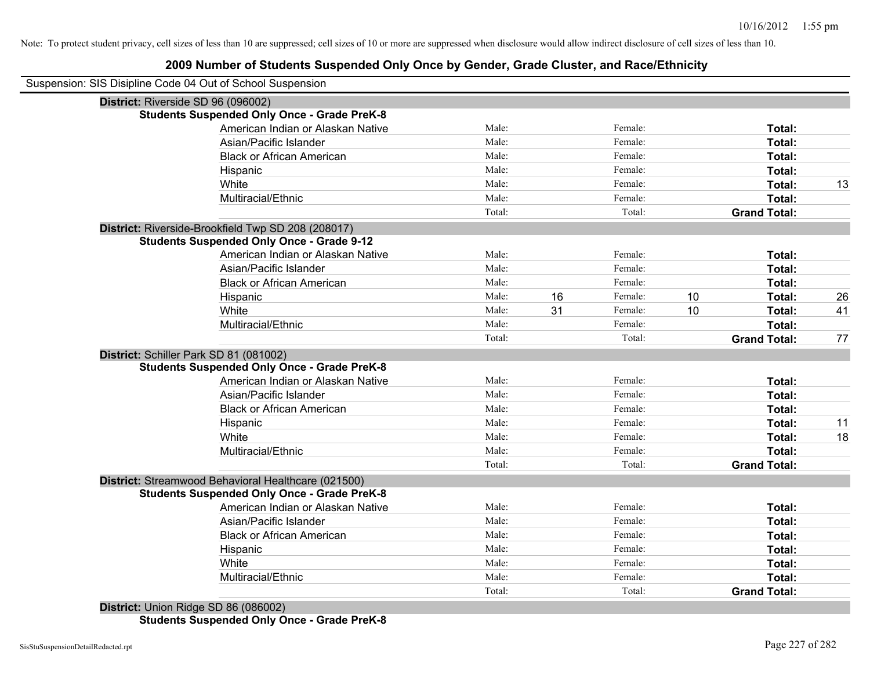### **2009 Number of Students Suspended Only Once by Gender, Grade Cluster, and Race/Ethnicity**

| Suspension: SIS Disipline Code 04 Out of School Suspension |        |    |         |    |                     |    |
|------------------------------------------------------------|--------|----|---------|----|---------------------|----|
| District: Riverside SD 96 (096002)                         |        |    |         |    |                     |    |
| <b>Students Suspended Only Once - Grade PreK-8</b>         |        |    |         |    |                     |    |
| American Indian or Alaskan Native                          | Male:  |    | Female: |    | Total:              |    |
| Asian/Pacific Islander                                     | Male:  |    | Female: |    | Total:              |    |
| <b>Black or African American</b>                           | Male:  |    | Female: |    | Total:              |    |
| Hispanic                                                   | Male:  |    | Female: |    | Total:              |    |
| White                                                      | Male:  |    | Female: |    | Total:              | 13 |
| Multiracial/Ethnic                                         | Male:  |    | Female: |    | Total:              |    |
|                                                            | Total: |    | Total:  |    | <b>Grand Total:</b> |    |
| District: Riverside-Brookfield Twp SD 208 (208017)         |        |    |         |    |                     |    |
| <b>Students Suspended Only Once - Grade 9-12</b>           |        |    |         |    |                     |    |
| American Indian or Alaskan Native                          | Male:  |    | Female: |    | Total:              |    |
| Asian/Pacific Islander                                     | Male:  |    | Female: |    | Total:              |    |
| <b>Black or African American</b>                           | Male:  |    | Female: |    | Total:              |    |
| Hispanic                                                   | Male:  | 16 | Female: | 10 | Total:              | 26 |
| White                                                      | Male:  | 31 | Female: | 10 | Total:              | 41 |
| Multiracial/Ethnic                                         | Male:  |    | Female: |    | Total:              |    |
|                                                            | Total: |    | Total:  |    | <b>Grand Total:</b> | 77 |
| District: Schiller Park SD 81 (081002)                     |        |    |         |    |                     |    |
| <b>Students Suspended Only Once - Grade PreK-8</b>         |        |    |         |    |                     |    |
| American Indian or Alaskan Native                          | Male:  |    | Female: |    | Total:              |    |
| Asian/Pacific Islander                                     | Male:  |    | Female: |    | Total:              |    |
| <b>Black or African American</b>                           | Male:  |    | Female: |    | Total:              |    |
| Hispanic                                                   | Male:  |    | Female: |    | Total:              | 11 |
| White                                                      | Male:  |    | Female: |    | Total:              | 18 |
| Multiracial/Ethnic                                         | Male:  |    | Female: |    | Total:              |    |
|                                                            | Total: |    | Total:  |    | <b>Grand Total:</b> |    |
| District: Streamwood Behavioral Healthcare (021500)        |        |    |         |    |                     |    |
| <b>Students Suspended Only Once - Grade PreK-8</b>         |        |    |         |    |                     |    |
| American Indian or Alaskan Native                          | Male:  |    | Female: |    | Total:              |    |
| Asian/Pacific Islander                                     | Male:  |    | Female: |    | Total:              |    |
| <b>Black or African American</b>                           | Male:  |    | Female: |    | Total:              |    |
| Hispanic                                                   | Male:  |    | Female: |    | Total:              |    |
| White                                                      | Male:  |    | Female: |    | Total:              |    |
| Multiracial/Ethnic                                         | Male:  |    | Female: |    | Total:              |    |
|                                                            | Total: |    | Total:  |    | <b>Grand Total:</b> |    |
| District: Union Ridge SD 86 (086002)                       |        |    |         |    |                     |    |
|                                                            |        |    |         |    |                     |    |

**Students Suspended Only Once - Grade PreK-8**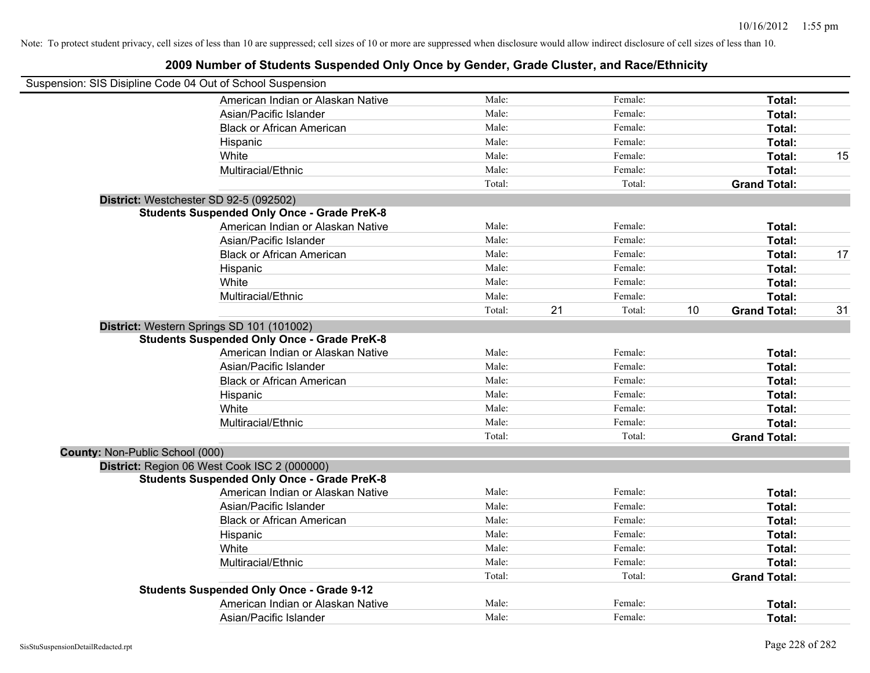|                                        | Suspension: SIS Disipline Code 04 Out of School Suspension |        |              |                           |    |
|----------------------------------------|------------------------------------------------------------|--------|--------------|---------------------------|----|
|                                        | American Indian or Alaskan Native                          | Male:  | Female:      | Total:                    |    |
|                                        | Asian/Pacific Islander                                     | Male:  | Female:      | Total:                    |    |
|                                        | <b>Black or African American</b>                           | Male:  | Female:      | Total:                    |    |
|                                        | Hispanic                                                   | Male:  | Female:      | Total:                    |    |
|                                        | White                                                      | Male:  | Female:      | Total:                    | 15 |
|                                        | Multiracial/Ethnic                                         | Male:  | Female:      | Total:                    |    |
|                                        |                                                            | Total: | Total:       | <b>Grand Total:</b>       |    |
|                                        | District: Westchester SD 92-5 (092502)                     |        |              |                           |    |
|                                        | <b>Students Suspended Only Once - Grade PreK-8</b>         |        |              |                           |    |
|                                        | American Indian or Alaskan Native                          | Male:  | Female:      | Total:                    |    |
|                                        | Asian/Pacific Islander                                     | Male:  | Female:      | Total:                    |    |
|                                        | <b>Black or African American</b>                           | Male:  | Female:      | Total:                    | 17 |
|                                        | Hispanic                                                   | Male:  | Female:      | Total:                    |    |
|                                        | White                                                      | Male:  | Female:      | Total:                    |    |
|                                        | Multiracial/Ethnic                                         | Male:  | Female:      | Total:                    |    |
|                                        |                                                            | Total: | 21<br>Total: | 10<br><b>Grand Total:</b> | 31 |
|                                        | District: Western Springs SD 101 (101002)                  |        |              |                           |    |
|                                        | <b>Students Suspended Only Once - Grade PreK-8</b>         |        |              |                           |    |
|                                        | American Indian or Alaskan Native                          | Male:  | Female:      | Total:                    |    |
|                                        | Asian/Pacific Islander                                     | Male:  | Female:      | Total:                    |    |
|                                        | <b>Black or African American</b>                           | Male:  | Female:      | Total:                    |    |
|                                        | Hispanic                                                   | Male:  | Female:      | Total:                    |    |
|                                        | White                                                      | Male:  | Female:      | Total:                    |    |
|                                        | Multiracial/Ethnic                                         | Male:  | Female:      | Total:                    |    |
|                                        |                                                            | Total: | Total:       | <b>Grand Total:</b>       |    |
| <b>County: Non-Public School (000)</b> |                                                            |        |              |                           |    |
|                                        | District: Region 06 West Cook ISC 2 (000000)               |        |              |                           |    |
|                                        | <b>Students Suspended Only Once - Grade PreK-8</b>         |        |              |                           |    |
|                                        | American Indian or Alaskan Native                          | Male:  | Female:      | Total:                    |    |
|                                        | Asian/Pacific Islander                                     | Male:  | Female:      | Total:                    |    |
|                                        | <b>Black or African American</b>                           | Male:  | Female:      | Total:                    |    |
|                                        | Hispanic                                                   | Male:  | Female:      | Total:                    |    |
|                                        | White                                                      | Male:  | Female:      | Total:                    |    |
|                                        | Multiracial/Ethnic                                         | Male:  | Female:      | Total:                    |    |
|                                        |                                                            | Total: | Total:       | <b>Grand Total:</b>       |    |
|                                        | <b>Students Suspended Only Once - Grade 9-12</b>           |        |              |                           |    |
|                                        | American Indian or Alaskan Native                          | Male:  | Female:      | Total:                    |    |
|                                        | Asian/Pacific Islander                                     | Male:  | Female:      | Total:                    |    |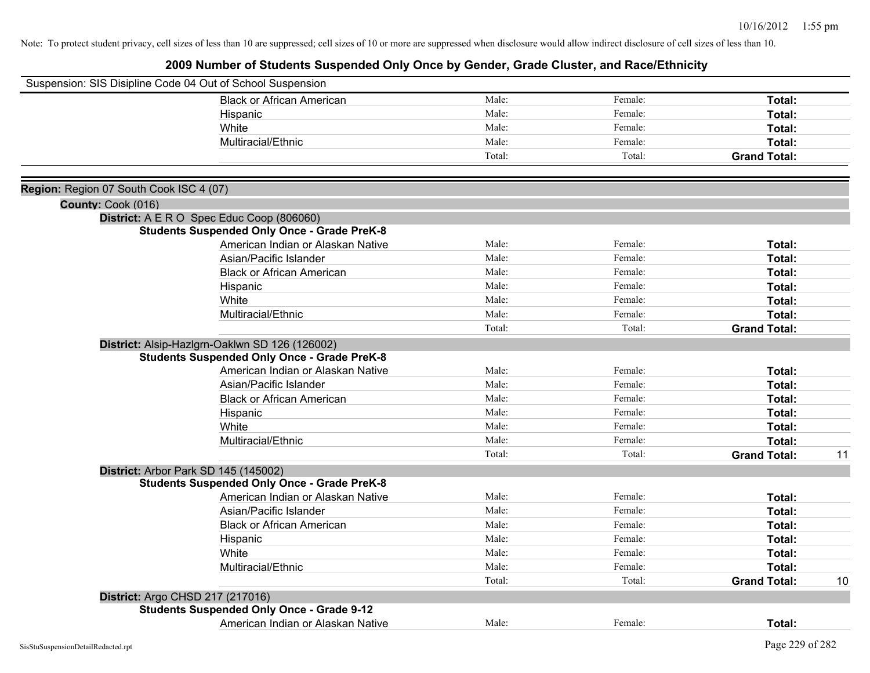|                                         | Suspension: SIS Disipline Code 04 Out of School Suspension |        |         |                     |    |
|-----------------------------------------|------------------------------------------------------------|--------|---------|---------------------|----|
|                                         | <b>Black or African American</b>                           | Male:  | Female: | Total:              |    |
|                                         | Hispanic                                                   | Male:  | Female: | Total:              |    |
|                                         | White                                                      | Male:  | Female: | Total:              |    |
|                                         | Multiracial/Ethnic                                         | Male:  | Female: | Total:              |    |
|                                         |                                                            | Total: | Total:  | <b>Grand Total:</b> |    |
| Region: Region 07 South Cook ISC 4 (07) |                                                            |        |         |                     |    |
| County: Cook (016)                      |                                                            |        |         |                     |    |
|                                         | District: A E R O Spec Educ Coop (806060)                  |        |         |                     |    |
|                                         | <b>Students Suspended Only Once - Grade PreK-8</b>         |        |         |                     |    |
|                                         | American Indian or Alaskan Native                          | Male:  | Female: | Total:              |    |
|                                         | Asian/Pacific Islander                                     | Male:  | Female: | Total:              |    |
|                                         | <b>Black or African American</b>                           | Male:  | Female: | Total:              |    |
|                                         | Hispanic                                                   | Male:  | Female: | Total:              |    |
|                                         | White                                                      | Male:  | Female: | Total:              |    |
|                                         | Multiracial/Ethnic                                         | Male:  | Female: | Total:              |    |
|                                         |                                                            | Total: | Total:  | <b>Grand Total:</b> |    |
|                                         | District: Alsip-Hazlgrn-Oaklwn SD 126 (126002)             |        |         |                     |    |
|                                         | <b>Students Suspended Only Once - Grade PreK-8</b>         |        |         |                     |    |
|                                         | American Indian or Alaskan Native                          | Male:  | Female: | Total:              |    |
|                                         | Asian/Pacific Islander                                     | Male:  | Female: | Total:              |    |
|                                         | <b>Black or African American</b>                           | Male:  | Female: | Total:              |    |
|                                         | Hispanic                                                   | Male:  | Female: | Total:              |    |
|                                         | White                                                      | Male:  | Female: | Total:              |    |
|                                         | Multiracial/Ethnic                                         | Male:  | Female: | Total:              |    |
|                                         |                                                            | Total: | Total:  | <b>Grand Total:</b> | 11 |
|                                         | District: Arbor Park SD 145 (145002)                       |        |         |                     |    |
|                                         | <b>Students Suspended Only Once - Grade PreK-8</b>         |        |         |                     |    |
|                                         | American Indian or Alaskan Native                          | Male:  | Female: | Total:              |    |
|                                         | Asian/Pacific Islander                                     | Male:  | Female: | Total:              |    |
|                                         | <b>Black or African American</b>                           | Male:  | Female: | Total:              |    |
|                                         | Hispanic                                                   | Male:  | Female: | Total:              |    |
|                                         | White                                                      | Male:  | Female: | Total:              |    |
|                                         | Multiracial/Ethnic                                         | Male:  | Female: | Total:              |    |
|                                         |                                                            | Total: | Total:  | <b>Grand Total:</b> | 10 |
|                                         | District: Argo CHSD 217 (217016)                           |        |         |                     |    |
|                                         | <b>Students Suspended Only Once - Grade 9-12</b>           |        |         |                     |    |
|                                         | American Indian or Alaskan Native                          | Male:  | Female: | <b>Total:</b>       |    |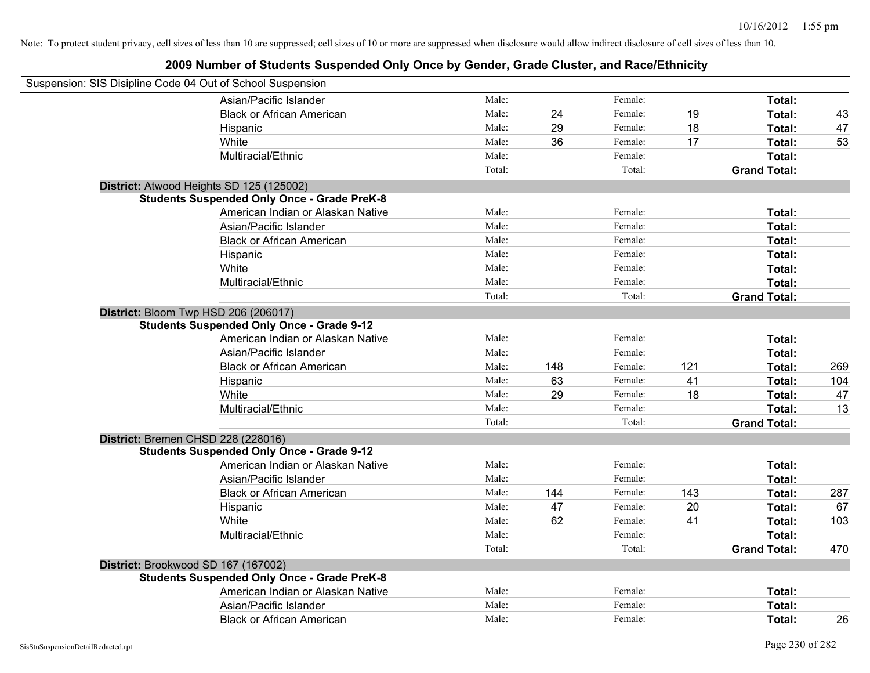| Suspension: SIS Disipline Code 04 Out of School Suspension |        |     |         |     |                     |     |
|------------------------------------------------------------|--------|-----|---------|-----|---------------------|-----|
| Asian/Pacific Islander                                     | Male:  |     | Female: |     | Total:              |     |
| <b>Black or African American</b>                           | Male:  | 24  | Female: | 19  | Total:              | 43  |
| Hispanic                                                   | Male:  | 29  | Female: | 18  | Total:              | 47  |
| White                                                      | Male:  | 36  | Female: | 17  | Total:              | 53  |
| Multiracial/Ethnic                                         | Male:  |     | Female: |     | Total:              |     |
|                                                            | Total: |     | Total:  |     | <b>Grand Total:</b> |     |
| District: Atwood Heights SD 125 (125002)                   |        |     |         |     |                     |     |
| <b>Students Suspended Only Once - Grade PreK-8</b>         |        |     |         |     |                     |     |
| American Indian or Alaskan Native                          | Male:  |     | Female: |     | Total:              |     |
| Asian/Pacific Islander                                     | Male:  |     | Female: |     | Total:              |     |
| <b>Black or African American</b>                           | Male:  |     | Female: |     | Total:              |     |
| Hispanic                                                   | Male:  |     | Female: |     | Total:              |     |
| White                                                      | Male:  |     | Female: |     | Total:              |     |
| Multiracial/Ethnic                                         | Male:  |     | Female: |     | Total:              |     |
|                                                            | Total: |     | Total:  |     | <b>Grand Total:</b> |     |
| District: Bloom Twp HSD 206 (206017)                       |        |     |         |     |                     |     |
| <b>Students Suspended Only Once - Grade 9-12</b>           |        |     |         |     |                     |     |
| American Indian or Alaskan Native                          | Male:  |     | Female: |     | Total:              |     |
| Asian/Pacific Islander                                     | Male:  |     | Female: |     | Total:              |     |
| <b>Black or African American</b>                           | Male:  | 148 | Female: | 121 | Total:              | 269 |
| Hispanic                                                   | Male:  | 63  | Female: | 41  | Total:              | 104 |
| White                                                      | Male:  | 29  | Female: | 18  | Total:              | 47  |
| Multiracial/Ethnic                                         | Male:  |     | Female: |     | Total:              | 13  |
|                                                            | Total: |     | Total:  |     | <b>Grand Total:</b> |     |
| District: Bremen CHSD 228 (228016)                         |        |     |         |     |                     |     |
| <b>Students Suspended Only Once - Grade 9-12</b>           |        |     |         |     |                     |     |
| American Indian or Alaskan Native                          | Male:  |     | Female: |     | Total:              |     |
| Asian/Pacific Islander                                     | Male:  |     | Female: |     | Total:              |     |
| <b>Black or African American</b>                           | Male:  | 144 | Female: | 143 | Total:              | 287 |
| Hispanic                                                   | Male:  | 47  | Female: | 20  | Total:              | 67  |
| White                                                      | Male:  | 62  | Female: | 41  | Total:              | 103 |
| Multiracial/Ethnic                                         | Male:  |     | Female: |     | Total:              |     |
|                                                            | Total: |     | Total:  |     | <b>Grand Total:</b> | 470 |
| District: Brookwood SD 167 (167002)                        |        |     |         |     |                     |     |
| <b>Students Suspended Only Once - Grade PreK-8</b>         |        |     |         |     |                     |     |
| American Indian or Alaskan Native                          | Male:  |     | Female: |     | Total:              |     |
| Asian/Pacific Islander                                     | Male:  |     | Female: |     | Total:              |     |
| <b>Black or African American</b>                           | Male:  |     | Female: |     | Total:              | 26  |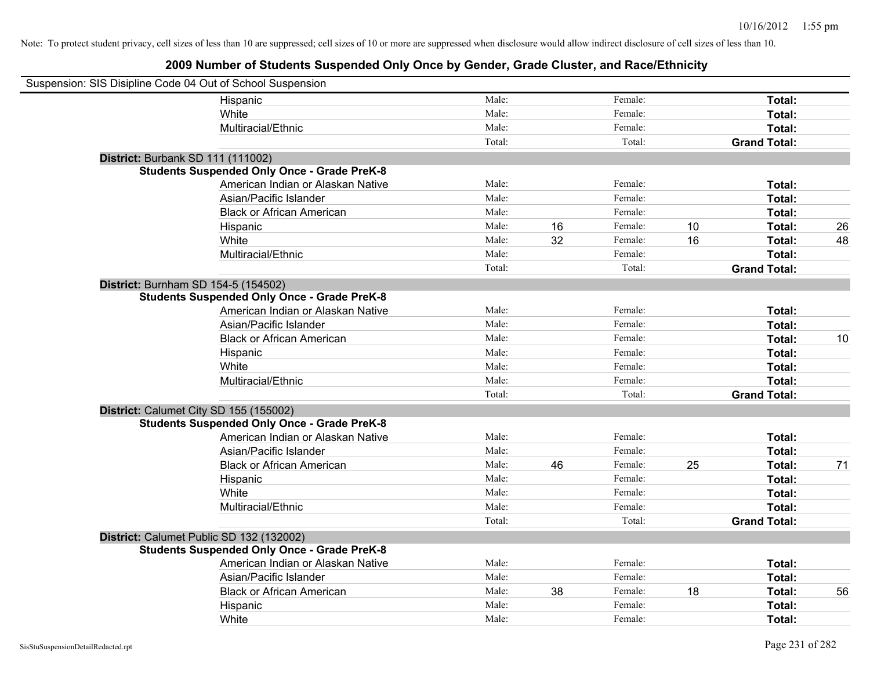| Suspension: SIS Disipline Code 04 Out of School Suspension |                                                    |        |    |         |    |                     |    |
|------------------------------------------------------------|----------------------------------------------------|--------|----|---------|----|---------------------|----|
|                                                            | Hispanic                                           | Male:  |    | Female: |    | Total:              |    |
|                                                            | White                                              | Male:  |    | Female: |    | Total:              |    |
|                                                            | Multiracial/Ethnic                                 | Male:  |    | Female: |    | Total:              |    |
|                                                            |                                                    | Total: |    | Total:  |    | <b>Grand Total:</b> |    |
| District: Burbank SD 111 (111002)                          |                                                    |        |    |         |    |                     |    |
|                                                            | <b>Students Suspended Only Once - Grade PreK-8</b> |        |    |         |    |                     |    |
|                                                            | American Indian or Alaskan Native                  | Male:  |    | Female: |    | Total:              |    |
|                                                            | Asian/Pacific Islander                             | Male:  |    | Female: |    | Total:              |    |
|                                                            | <b>Black or African American</b>                   | Male:  |    | Female: |    | Total:              |    |
|                                                            | Hispanic                                           | Male:  | 16 | Female: | 10 | Total:              | 26 |
|                                                            | White                                              | Male:  | 32 | Female: | 16 | Total:              | 48 |
|                                                            | Multiracial/Ethnic                                 | Male:  |    | Female: |    | Total:              |    |
|                                                            |                                                    | Total: |    | Total:  |    | <b>Grand Total:</b> |    |
| District: Burnham SD 154-5 (154502)                        |                                                    |        |    |         |    |                     |    |
|                                                            | <b>Students Suspended Only Once - Grade PreK-8</b> |        |    |         |    |                     |    |
|                                                            | American Indian or Alaskan Native                  | Male:  |    | Female: |    | Total:              |    |
|                                                            | Asian/Pacific Islander                             | Male:  |    | Female: |    | Total:              |    |
|                                                            | <b>Black or African American</b>                   | Male:  |    | Female: |    | Total:              | 10 |
|                                                            | Hispanic                                           | Male:  |    | Female: |    | Total:              |    |
|                                                            | White                                              | Male:  |    | Female: |    | Total:              |    |
|                                                            | Multiracial/Ethnic                                 | Male:  |    | Female: |    | Total:              |    |
|                                                            |                                                    | Total: |    | Total:  |    | <b>Grand Total:</b> |    |
| District: Calumet City SD 155 (155002)                     |                                                    |        |    |         |    |                     |    |
|                                                            | <b>Students Suspended Only Once - Grade PreK-8</b> |        |    |         |    |                     |    |
|                                                            | American Indian or Alaskan Native                  | Male:  |    | Female: |    | Total:              |    |
|                                                            | Asian/Pacific Islander                             | Male:  |    | Female: |    | Total:              |    |
|                                                            | <b>Black or African American</b>                   | Male:  | 46 | Female: | 25 | Total:              | 71 |
|                                                            | Hispanic                                           | Male:  |    | Female: |    | Total:              |    |
|                                                            | White                                              | Male:  |    | Female: |    | Total:              |    |
|                                                            | Multiracial/Ethnic                                 | Male:  |    | Female: |    | Total:              |    |
|                                                            |                                                    | Total: |    | Total:  |    | <b>Grand Total:</b> |    |
| District: Calumet Public SD 132 (132002)                   |                                                    |        |    |         |    |                     |    |
|                                                            | <b>Students Suspended Only Once - Grade PreK-8</b> |        |    |         |    |                     |    |
|                                                            | American Indian or Alaskan Native                  | Male:  |    | Female: |    | Total:              |    |
|                                                            | Asian/Pacific Islander                             | Male:  |    | Female: |    | Total:              |    |
|                                                            | <b>Black or African American</b>                   | Male:  | 38 | Female: | 18 | Total:              | 56 |
|                                                            | Hispanic                                           | Male:  |    | Female: |    | Total:              |    |
|                                                            | White                                              | Male:  |    | Female: |    | Total:              |    |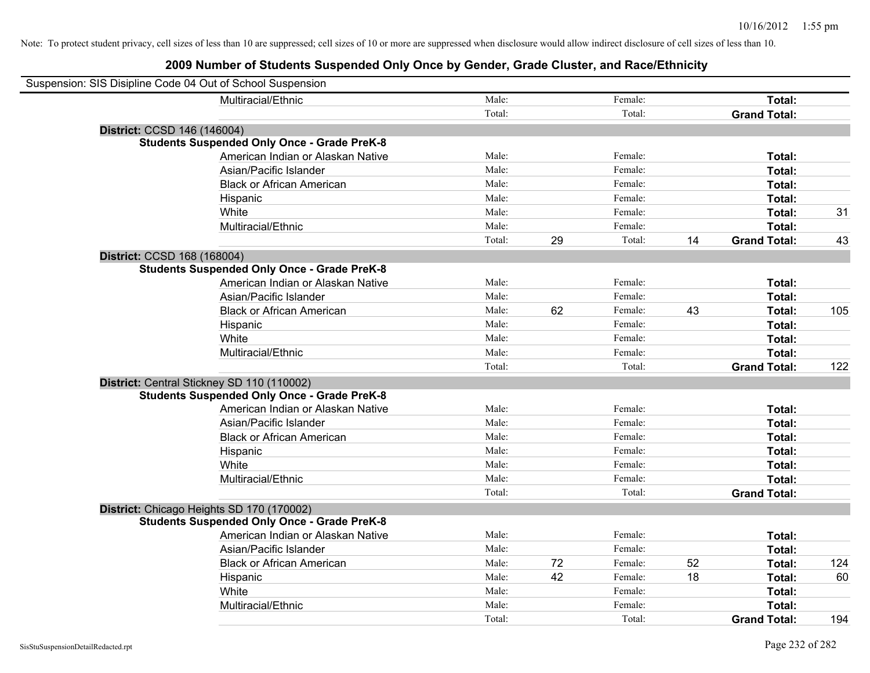| Suspension: SIS Disipline Code 04 Out of School Suspension |                                                    |        |    |         |    |                     |     |
|------------------------------------------------------------|----------------------------------------------------|--------|----|---------|----|---------------------|-----|
|                                                            | Multiracial/Ethnic                                 | Male:  |    | Female: |    | Total:              |     |
|                                                            |                                                    | Total: |    | Total:  |    | <b>Grand Total:</b> |     |
| District: CCSD 146 (146004)                                |                                                    |        |    |         |    |                     |     |
|                                                            | <b>Students Suspended Only Once - Grade PreK-8</b> |        |    |         |    |                     |     |
|                                                            | American Indian or Alaskan Native                  | Male:  |    | Female: |    | Total:              |     |
|                                                            | Asian/Pacific Islander                             | Male:  |    | Female: |    | Total:              |     |
|                                                            | <b>Black or African American</b>                   | Male:  |    | Female: |    | Total:              |     |
|                                                            | Hispanic                                           | Male:  |    | Female: |    | Total:              |     |
|                                                            | White                                              | Male:  |    | Female: |    | Total:              | 31  |
|                                                            | Multiracial/Ethnic                                 | Male:  |    | Female: |    | Total:              |     |
|                                                            |                                                    | Total: | 29 | Total:  | 14 | <b>Grand Total:</b> | 43  |
| District: CCSD 168 (168004)                                |                                                    |        |    |         |    |                     |     |
|                                                            | <b>Students Suspended Only Once - Grade PreK-8</b> |        |    |         |    |                     |     |
|                                                            | American Indian or Alaskan Native                  | Male:  |    | Female: |    | Total:              |     |
|                                                            | Asian/Pacific Islander                             | Male:  |    | Female: |    | Total:              |     |
|                                                            | <b>Black or African American</b>                   | Male:  | 62 | Female: | 43 | Total:              | 105 |
|                                                            | Hispanic                                           | Male:  |    | Female: |    | Total:              |     |
|                                                            | White                                              | Male:  |    | Female: |    | Total:              |     |
|                                                            | Multiracial/Ethnic                                 | Male:  |    | Female: |    | Total:              |     |
|                                                            |                                                    | Total: |    | Total:  |    | <b>Grand Total:</b> | 122 |
| District: Central Stickney SD 110 (110002)                 |                                                    |        |    |         |    |                     |     |
|                                                            | <b>Students Suspended Only Once - Grade PreK-8</b> |        |    |         |    |                     |     |
|                                                            | American Indian or Alaskan Native                  | Male:  |    | Female: |    | Total:              |     |
|                                                            | Asian/Pacific Islander                             | Male:  |    | Female: |    | Total:              |     |
|                                                            | <b>Black or African American</b>                   | Male:  |    | Female: |    | Total:              |     |
|                                                            | Hispanic                                           | Male:  |    | Female: |    | Total:              |     |
|                                                            | White                                              | Male:  |    | Female: |    | Total:              |     |
|                                                            | Multiracial/Ethnic                                 | Male:  |    | Female: |    | Total:              |     |
|                                                            |                                                    | Total: |    | Total:  |    | <b>Grand Total:</b> |     |
| District: Chicago Heights SD 170 (170002)                  |                                                    |        |    |         |    |                     |     |
|                                                            | <b>Students Suspended Only Once - Grade PreK-8</b> |        |    |         |    |                     |     |
|                                                            | American Indian or Alaskan Native                  | Male:  |    | Female: |    | Total:              |     |
|                                                            | Asian/Pacific Islander                             | Male:  |    | Female: |    | Total:              |     |
|                                                            | <b>Black or African American</b>                   | Male:  | 72 | Female: | 52 | Total:              | 124 |
|                                                            | Hispanic                                           | Male:  | 42 | Female: | 18 | Total:              | 60  |
|                                                            | White                                              | Male:  |    | Female: |    | Total:              |     |
|                                                            | Multiracial/Ethnic                                 | Male:  |    | Female: |    | Total:              |     |
|                                                            |                                                    | Total: |    | Total:  |    | <b>Grand Total:</b> | 194 |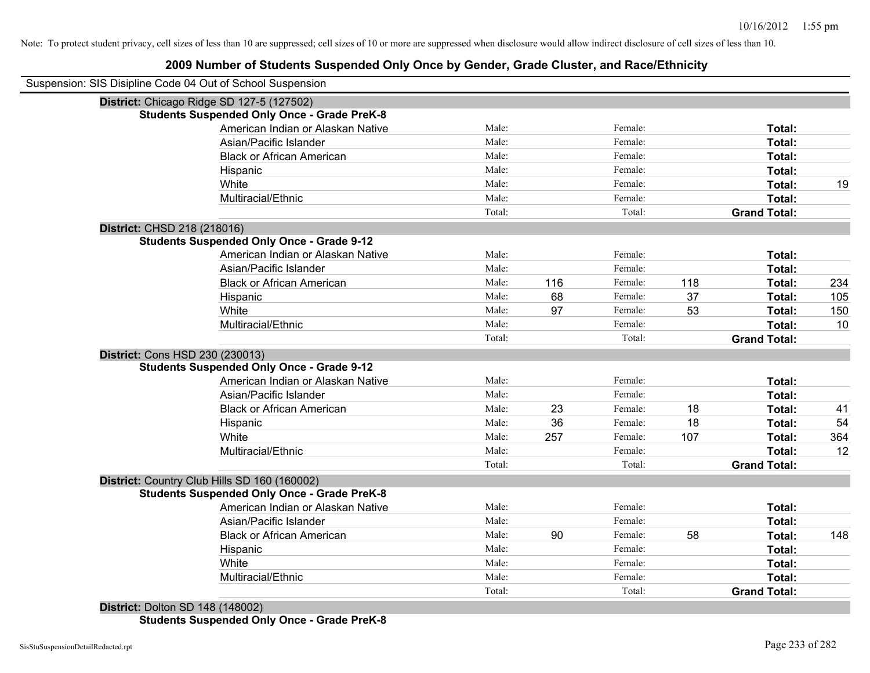### **2009 Number of Students Suspended Only Once by Gender, Grade Cluster, and Race/Ethnicity**

| Suspension: SIS Disipline Code 04 Out of School Suspension |        |     |         |     |                     |     |
|------------------------------------------------------------|--------|-----|---------|-----|---------------------|-----|
| District: Chicago Ridge SD 127-5 (127502)                  |        |     |         |     |                     |     |
| <b>Students Suspended Only Once - Grade PreK-8</b>         |        |     |         |     |                     |     |
| American Indian or Alaskan Native                          | Male:  |     | Female: |     | Total:              |     |
| Asian/Pacific Islander                                     | Male:  |     | Female: |     | Total:              |     |
| <b>Black or African American</b>                           | Male:  |     | Female: |     | Total:              |     |
| Hispanic                                                   | Male:  |     | Female: |     | Total:              |     |
| White                                                      | Male:  |     | Female: |     | Total:              | 19  |
| Multiracial/Ethnic                                         | Male:  |     | Female: |     | Total:              |     |
|                                                            | Total: |     | Total:  |     | <b>Grand Total:</b> |     |
| District: CHSD 218 (218016)                                |        |     |         |     |                     |     |
| <b>Students Suspended Only Once - Grade 9-12</b>           |        |     |         |     |                     |     |
| American Indian or Alaskan Native                          | Male:  |     | Female: |     | Total:              |     |
| Asian/Pacific Islander                                     | Male:  |     | Female: |     | Total:              |     |
| <b>Black or African American</b>                           | Male:  | 116 | Female: | 118 | Total:              | 234 |
| Hispanic                                                   | Male:  | 68  | Female: | 37  | Total:              | 105 |
| White                                                      | Male:  | 97  | Female: | 53  | Total:              | 150 |
| Multiracial/Ethnic                                         | Male:  |     | Female: |     | Total:              | 10  |
|                                                            | Total: |     | Total:  |     | <b>Grand Total:</b> |     |
| District: Cons HSD 230 (230013)                            |        |     |         |     |                     |     |
| <b>Students Suspended Only Once - Grade 9-12</b>           |        |     |         |     |                     |     |
| American Indian or Alaskan Native                          | Male:  |     | Female: |     | Total:              |     |
| Asian/Pacific Islander                                     | Male:  |     | Female: |     | Total:              |     |
| <b>Black or African American</b>                           | Male:  | 23  | Female: | 18  | Total:              | 41  |
| Hispanic                                                   | Male:  | 36  | Female: | 18  | Total:              | 54  |
| White                                                      | Male:  | 257 | Female: | 107 | <b>Total:</b>       | 364 |
| Multiracial/Ethnic                                         | Male:  |     | Female: |     | Total:              | 12  |
|                                                            | Total: |     | Total:  |     | <b>Grand Total:</b> |     |
| District: Country Club Hills SD 160 (160002)               |        |     |         |     |                     |     |
| <b>Students Suspended Only Once - Grade PreK-8</b>         |        |     |         |     |                     |     |
| American Indian or Alaskan Native                          | Male:  |     | Female: |     | Total:              |     |
| Asian/Pacific Islander                                     | Male:  |     | Female: |     | Total:              |     |
| <b>Black or African American</b>                           | Male:  | 90  | Female: | 58  | Total:              | 148 |
| Hispanic                                                   | Male:  |     | Female: |     | Total:              |     |
| White                                                      | Male:  |     | Female: |     | Total:              |     |
| Multiracial/Ethnic                                         | Male:  |     | Female: |     | Total:              |     |
|                                                            | Total: |     | Total:  |     | <b>Grand Total:</b> |     |

**District:** Dolton SD 148 (148002) **Students Suspended Only Once - Grade PreK-8**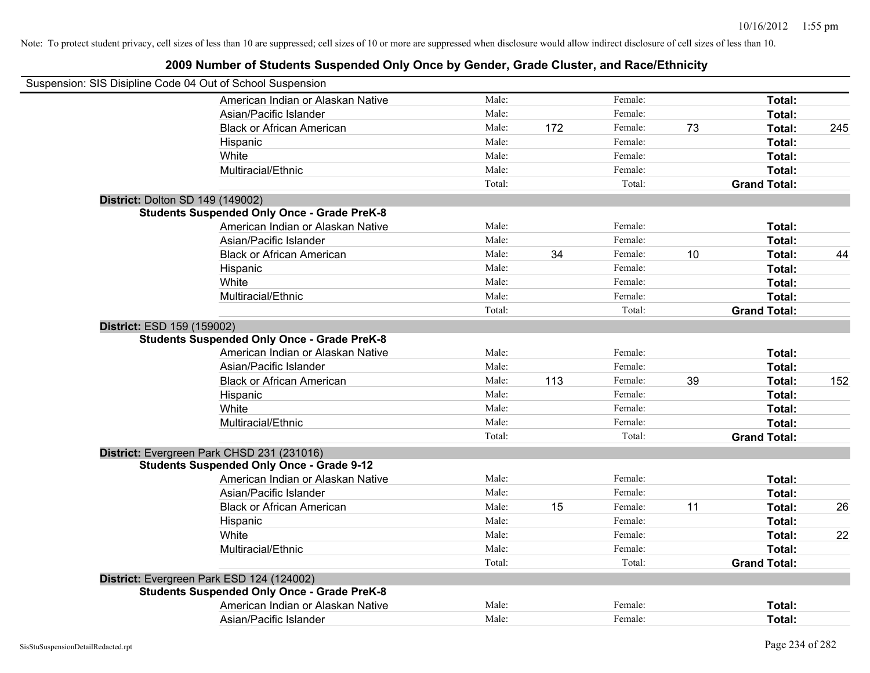| Suspension: SIS Disipline Code 04 Out of School Suspension                                      |        |     |         |    |                     |     |
|-------------------------------------------------------------------------------------------------|--------|-----|---------|----|---------------------|-----|
| American Indian or Alaskan Native                                                               | Male:  |     | Female: |    | Total:              |     |
| Asian/Pacific Islander                                                                          | Male:  |     | Female: |    | Total:              |     |
| <b>Black or African American</b>                                                                | Male:  | 172 | Female: | 73 | Total:              | 245 |
| Hispanic                                                                                        | Male:  |     | Female: |    | Total:              |     |
| White                                                                                           | Male:  |     | Female: |    | Total:              |     |
| Multiracial/Ethnic                                                                              | Male:  |     | Female: |    | Total:              |     |
|                                                                                                 | Total: |     | Total:  |    | <b>Grand Total:</b> |     |
| <b>District: Dolton SD 149 (149002)</b>                                                         |        |     |         |    |                     |     |
| <b>Students Suspended Only Once - Grade PreK-8</b>                                              |        |     |         |    |                     |     |
| American Indian or Alaskan Native                                                               | Male:  |     | Female: |    | Total:              |     |
| Asian/Pacific Islander                                                                          | Male:  |     | Female: |    | Total:              |     |
| <b>Black or African American</b>                                                                | Male:  | 34  | Female: | 10 | Total:              | 44  |
| Hispanic                                                                                        | Male:  |     | Female: |    | Total:              |     |
| White                                                                                           | Male:  |     | Female: |    | Total:              |     |
| Multiracial/Ethnic                                                                              | Male:  |     | Female: |    | Total:              |     |
|                                                                                                 | Total: |     | Total:  |    | <b>Grand Total:</b> |     |
| District: ESD 159 (159002)<br><b>Students Suspended Only Once - Grade PreK-8</b>                |        |     |         |    |                     |     |
| American Indian or Alaskan Native                                                               | Male:  |     | Female: |    | Total:              |     |
| Asian/Pacific Islander                                                                          | Male:  |     | Female: |    | Total:              |     |
| <b>Black or African American</b>                                                                | Male:  | 113 | Female: | 39 | Total:              | 152 |
| Hispanic                                                                                        | Male:  |     | Female: |    | Total:              |     |
| White                                                                                           | Male:  |     | Female: |    | Total:              |     |
| Multiracial/Ethnic                                                                              | Male:  |     | Female: |    | Total:              |     |
|                                                                                                 | Total: |     | Total:  |    | <b>Grand Total:</b> |     |
| District: Evergreen Park CHSD 231 (231016)                                                      |        |     |         |    |                     |     |
| <b>Students Suspended Only Once - Grade 9-12</b><br>American Indian or Alaskan Native           | Male:  |     | Female: |    | Total:              |     |
| Asian/Pacific Islander                                                                          | Male:  |     | Female: |    | Total:              |     |
| <b>Black or African American</b>                                                                | Male:  | 15  | Female: | 11 | Total:              | 26  |
|                                                                                                 | Male:  |     | Female: |    | Total:              |     |
| Hispanic<br>White                                                                               | Male:  |     | Female: |    |                     | 22  |
| Multiracial/Ethnic                                                                              | Male:  |     | Female: |    | Total:<br>Total:    |     |
|                                                                                                 | Total: |     | Total:  |    | <b>Grand Total:</b> |     |
|                                                                                                 |        |     |         |    |                     |     |
| District: Evergreen Park ESD 124 (124002)<br><b>Students Suspended Only Once - Grade PreK-8</b> |        |     |         |    |                     |     |
| American Indian or Alaskan Native                                                               | Male:  |     | Female: |    | Total:              |     |
| Asian/Pacific Islander                                                                          | Male:  |     | Female: |    | Total:              |     |
|                                                                                                 |        |     |         |    |                     |     |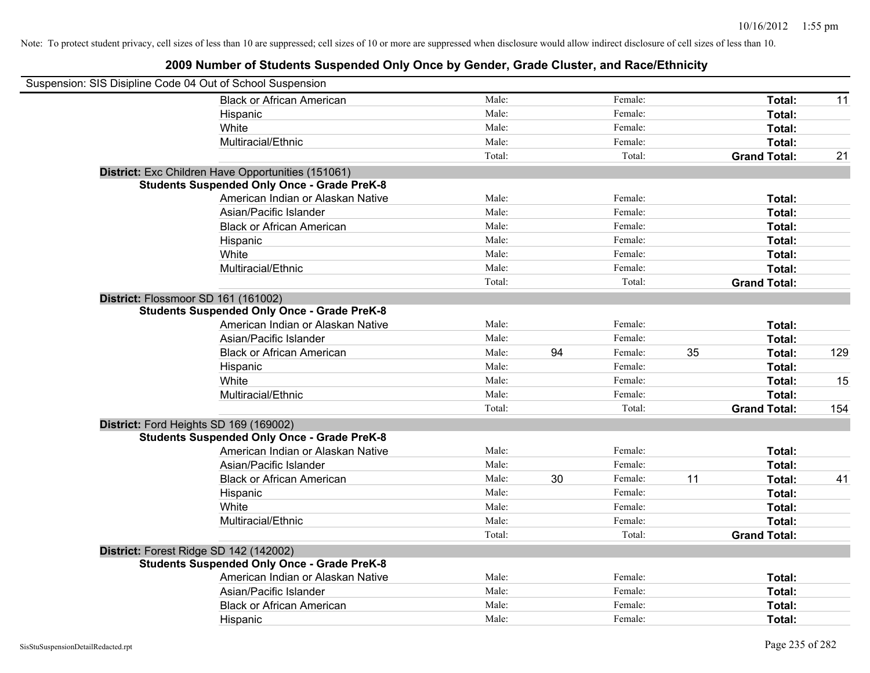| Suspension: SIS Disipline Code 04 Out of School Suspension |        |    |         |    |                     |     |
|------------------------------------------------------------|--------|----|---------|----|---------------------|-----|
| <b>Black or African American</b>                           | Male:  |    | Female: |    | Total:              | 11  |
| Hispanic                                                   | Male:  |    | Female: |    | Total:              |     |
| White                                                      | Male:  |    | Female: |    | Total:              |     |
| Multiracial/Ethnic                                         | Male:  |    | Female: |    | Total:              |     |
|                                                            | Total: |    | Total:  |    | <b>Grand Total:</b> | 21  |
| District: Exc Children Have Opportunities (151061)         |        |    |         |    |                     |     |
| <b>Students Suspended Only Once - Grade PreK-8</b>         |        |    |         |    |                     |     |
| American Indian or Alaskan Native                          | Male:  |    | Female: |    | Total:              |     |
| Asian/Pacific Islander                                     | Male:  |    | Female: |    | Total:              |     |
| <b>Black or African American</b>                           | Male:  |    | Female: |    | Total:              |     |
| Hispanic                                                   | Male:  |    | Female: |    | Total:              |     |
| White                                                      | Male:  |    | Female: |    | Total:              |     |
| Multiracial/Ethnic                                         | Male:  |    | Female: |    | Total:              |     |
|                                                            | Total: |    | Total:  |    | <b>Grand Total:</b> |     |
| District: Flossmoor SD 161 (161002)                        |        |    |         |    |                     |     |
| <b>Students Suspended Only Once - Grade PreK-8</b>         |        |    |         |    |                     |     |
| American Indian or Alaskan Native                          | Male:  |    | Female: |    | Total:              |     |
| Asian/Pacific Islander                                     | Male:  |    | Female: |    | Total:              |     |
| <b>Black or African American</b>                           | Male:  | 94 | Female: | 35 | Total:              | 129 |
| Hispanic                                                   | Male:  |    | Female: |    | Total:              |     |
| White                                                      | Male:  |    | Female: |    | Total:              | 15  |
| Multiracial/Ethnic                                         | Male:  |    | Female: |    | Total:              |     |
|                                                            | Total: |    | Total:  |    | <b>Grand Total:</b> | 154 |
| District: Ford Heights SD 169 (169002)                     |        |    |         |    |                     |     |
| <b>Students Suspended Only Once - Grade PreK-8</b>         |        |    |         |    |                     |     |
| American Indian or Alaskan Native                          | Male:  |    | Female: |    | Total:              |     |
| Asian/Pacific Islander                                     | Male:  |    | Female: |    | Total:              |     |
| <b>Black or African American</b>                           | Male:  | 30 | Female: | 11 | Total:              | 41  |
| Hispanic                                                   | Male:  |    | Female: |    | Total:              |     |
| White                                                      | Male:  |    | Female: |    | Total:              |     |
| Multiracial/Ethnic                                         | Male:  |    | Female: |    | Total:              |     |
|                                                            | Total: |    | Total:  |    | <b>Grand Total:</b> |     |
| District: Forest Ridge SD 142 (142002)                     |        |    |         |    |                     |     |
| <b>Students Suspended Only Once - Grade PreK-8</b>         |        |    |         |    |                     |     |
| American Indian or Alaskan Native                          | Male:  |    | Female: |    | Total:              |     |
| Asian/Pacific Islander                                     | Male:  |    | Female: |    | Total:              |     |
| <b>Black or African American</b>                           | Male:  |    | Female: |    | Total:              |     |
| Hispanic                                                   | Male:  |    | Female: |    | Total:              |     |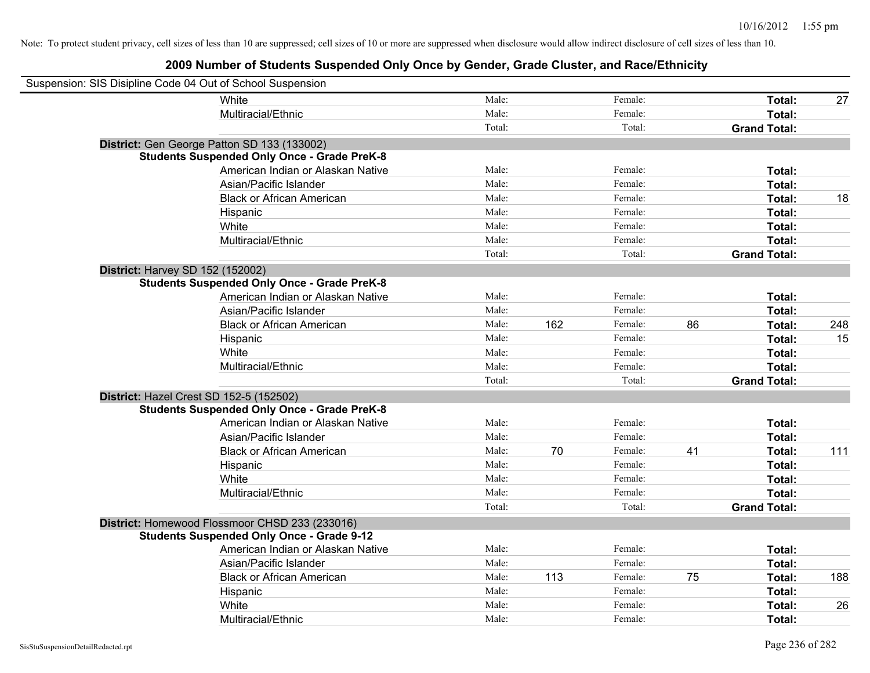| Suspension: SIS Disipline Code 04 Out of School Suspension |                                                    |        |     |         |    |                     |     |
|------------------------------------------------------------|----------------------------------------------------|--------|-----|---------|----|---------------------|-----|
|                                                            | White                                              | Male:  |     | Female: |    | Total:              | 27  |
|                                                            | Multiracial/Ethnic                                 | Male:  |     | Female: |    | Total:              |     |
|                                                            |                                                    | Total: |     | Total:  |    | <b>Grand Total:</b> |     |
|                                                            | District: Gen George Patton SD 133 (133002)        |        |     |         |    |                     |     |
|                                                            | <b>Students Suspended Only Once - Grade PreK-8</b> |        |     |         |    |                     |     |
|                                                            | American Indian or Alaskan Native                  | Male:  |     | Female: |    | Total:              |     |
|                                                            | Asian/Pacific Islander                             | Male:  |     | Female: |    | Total:              |     |
|                                                            | <b>Black or African American</b>                   | Male:  |     | Female: |    | Total:              | 18  |
|                                                            | Hispanic                                           | Male:  |     | Female: |    | Total:              |     |
|                                                            | White                                              | Male:  |     | Female: |    | Total:              |     |
|                                                            | Multiracial/Ethnic                                 | Male:  |     | Female: |    | Total:              |     |
|                                                            |                                                    | Total: |     | Total:  |    | <b>Grand Total:</b> |     |
| <b>District: Harvey SD 152 (152002)</b>                    |                                                    |        |     |         |    |                     |     |
|                                                            | <b>Students Suspended Only Once - Grade PreK-8</b> |        |     |         |    |                     |     |
|                                                            | American Indian or Alaskan Native                  | Male:  |     | Female: |    | Total:              |     |
|                                                            | Asian/Pacific Islander                             | Male:  |     | Female: |    | Total:              |     |
|                                                            | <b>Black or African American</b>                   | Male:  | 162 | Female: | 86 | Total:              | 248 |
|                                                            | Hispanic                                           | Male:  |     | Female: |    | Total:              | 15  |
|                                                            | White                                              | Male:  |     | Female: |    | Total:              |     |
|                                                            | Multiracial/Ethnic                                 | Male:  |     | Female: |    | Total:              |     |
|                                                            |                                                    | Total: |     | Total:  |    | <b>Grand Total:</b> |     |
| District: Hazel Crest SD 152-5 (152502)                    |                                                    |        |     |         |    |                     |     |
|                                                            | <b>Students Suspended Only Once - Grade PreK-8</b> |        |     |         |    |                     |     |
|                                                            | American Indian or Alaskan Native                  | Male:  |     | Female: |    | Total:              |     |
|                                                            | Asian/Pacific Islander                             | Male:  |     | Female: |    | Total:              |     |
|                                                            | <b>Black or African American</b>                   | Male:  | 70  | Female: | 41 | Total:              | 111 |
|                                                            | Hispanic                                           | Male:  |     | Female: |    | Total:              |     |
|                                                            | White                                              | Male:  |     | Female: |    | Total:              |     |
|                                                            | Multiracial/Ethnic                                 | Male:  |     | Female: |    | Total:              |     |
|                                                            |                                                    | Total: |     | Total:  |    | <b>Grand Total:</b> |     |
|                                                            | District: Homewood Flossmoor CHSD 233 (233016)     |        |     |         |    |                     |     |
|                                                            | <b>Students Suspended Only Once - Grade 9-12</b>   |        |     |         |    |                     |     |
|                                                            | American Indian or Alaskan Native                  | Male:  |     | Female: |    | Total:              |     |
|                                                            | Asian/Pacific Islander                             | Male:  |     | Female: |    | Total:              |     |
|                                                            | <b>Black or African American</b>                   | Male:  | 113 | Female: | 75 | Total:              | 188 |
|                                                            | Hispanic                                           | Male:  |     | Female: |    | Total:              |     |
|                                                            | White                                              | Male:  |     | Female: |    | Total:              | 26  |
|                                                            | Multiracial/Ethnic                                 | Male:  |     | Female: |    | Total:              |     |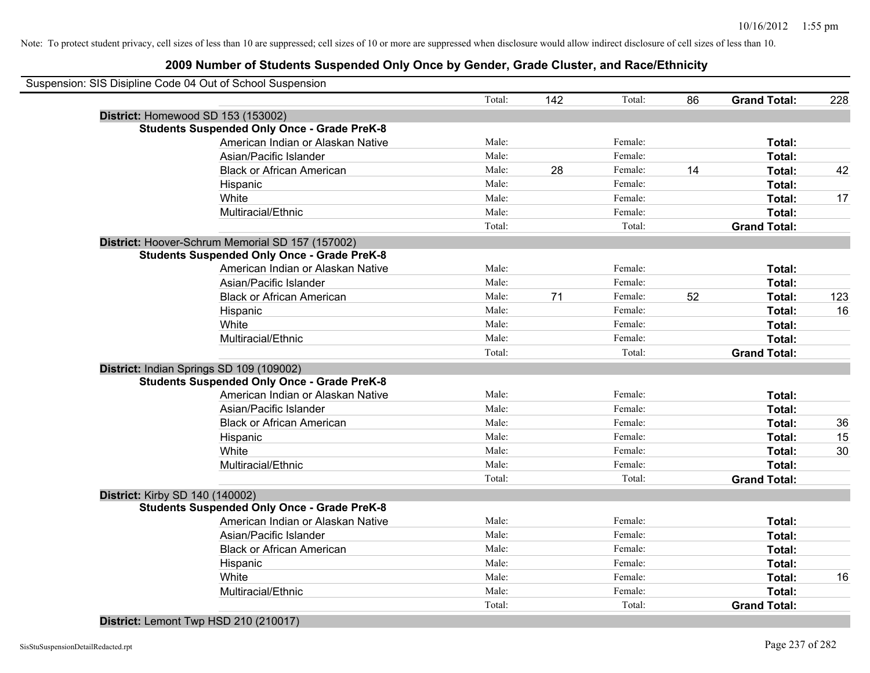### **2009 Number of Students Suspended Only Once by Gender, Grade Cluster, and Race/Ethnicity**

|                                        | Suspension: SIS Disipline Code 04 Out of School Suspension |        |     |         |    |                     |     |
|----------------------------------------|------------------------------------------------------------|--------|-----|---------|----|---------------------|-----|
|                                        |                                                            | Total: | 142 | Total:  | 86 | <b>Grand Total:</b> | 228 |
|                                        | District: Homewood SD 153 (153002)                         |        |     |         |    |                     |     |
|                                        | <b>Students Suspended Only Once - Grade PreK-8</b>         |        |     |         |    |                     |     |
|                                        | American Indian or Alaskan Native                          | Male:  |     | Female: |    | Total:              |     |
|                                        | Asian/Pacific Islander                                     | Male:  |     | Female: |    | Total:              |     |
|                                        | <b>Black or African American</b>                           | Male:  | 28  | Female: | 14 | Total:              | 42  |
|                                        | Hispanic                                                   | Male:  |     | Female: |    | Total:              |     |
|                                        | White                                                      | Male:  |     | Female: |    | Total:              | 17  |
|                                        | Multiracial/Ethnic                                         | Male:  |     | Female: |    | Total:              |     |
|                                        |                                                            | Total: |     | Total:  |    | <b>Grand Total:</b> |     |
|                                        | District: Hoover-Schrum Memorial SD 157 (157002)           |        |     |         |    |                     |     |
|                                        | <b>Students Suspended Only Once - Grade PreK-8</b>         |        |     |         |    |                     |     |
|                                        | American Indian or Alaskan Native                          | Male:  |     | Female: |    | Total:              |     |
|                                        | Asian/Pacific Islander                                     | Male:  |     | Female: |    | Total:              |     |
|                                        | <b>Black or African American</b>                           | Male:  | 71  | Female: | 52 | Total:              | 123 |
|                                        | Hispanic                                                   | Male:  |     | Female: |    | Total:              | 16  |
|                                        | White                                                      | Male:  |     | Female: |    | Total:              |     |
|                                        | Multiracial/Ethnic                                         | Male:  |     | Female: |    | Total:              |     |
|                                        |                                                            | Total: |     | Total:  |    | <b>Grand Total:</b> |     |
|                                        | District: Indian Springs SD 109 (109002)                   |        |     |         |    |                     |     |
|                                        | <b>Students Suspended Only Once - Grade PreK-8</b>         |        |     |         |    |                     |     |
|                                        | American Indian or Alaskan Native                          | Male:  |     | Female: |    | Total:              |     |
|                                        | Asian/Pacific Islander                                     | Male:  |     | Female: |    | Total:              |     |
|                                        | <b>Black or African American</b>                           | Male:  |     | Female: |    | Total:              | 36  |
|                                        | Hispanic                                                   | Male:  |     | Female: |    | Total:              | 15  |
|                                        | White                                                      | Male:  |     | Female: |    | Total:              | 30  |
|                                        | Multiracial/Ethnic                                         | Male:  |     | Female: |    | Total:              |     |
|                                        |                                                            | Total: |     | Total:  |    | <b>Grand Total:</b> |     |
| <b>District: Kirby SD 140 (140002)</b> |                                                            |        |     |         |    |                     |     |
|                                        | <b>Students Suspended Only Once - Grade PreK-8</b>         |        |     |         |    |                     |     |
|                                        | American Indian or Alaskan Native                          | Male:  |     | Female: |    | Total:              |     |
|                                        | Asian/Pacific Islander                                     | Male:  |     | Female: |    | Total:              |     |
|                                        | <b>Black or African American</b>                           | Male:  |     | Female: |    | Total:              |     |
|                                        | Hispanic                                                   | Male:  |     | Female: |    | Total:              |     |
|                                        | White                                                      | Male:  |     | Female: |    | Total:              | 16  |
|                                        | Multiracial/Ethnic                                         | Male:  |     | Female: |    | Total:              |     |
|                                        |                                                            | Total: |     | Total:  |    | <b>Grand Total:</b> |     |
|                                        |                                                            |        |     |         |    |                     |     |

#### **District:** Lemont Twp HSD 210 (210017)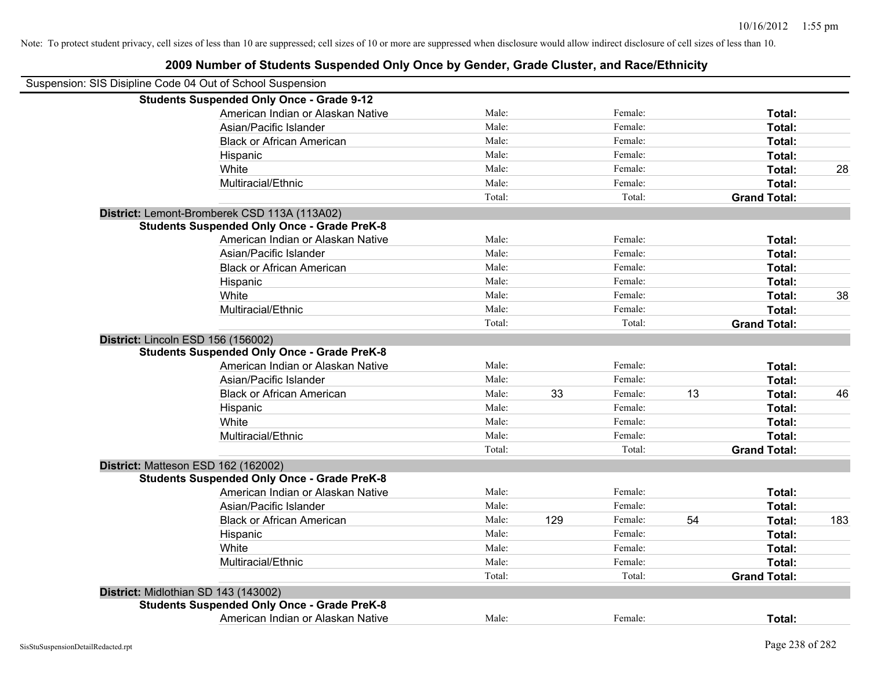| 2009 Number of Students Suspended Only Once by Gender, Grade Cluster, and Race/Ethnicity |        |     |         |    |                     |     |
|------------------------------------------------------------------------------------------|--------|-----|---------|----|---------------------|-----|
| Suspension: SIS Disipline Code 04 Out of School Suspension                               |        |     |         |    |                     |     |
| <b>Students Suspended Only Once - Grade 9-12</b>                                         |        |     |         |    |                     |     |
| American Indian or Alaskan Native                                                        | Male:  |     | Female: |    | Total:              |     |
| Asian/Pacific Islander                                                                   | Male:  |     | Female: |    | Total:              |     |
| <b>Black or African American</b>                                                         | Male:  |     | Female: |    | Total:              |     |
| Hispanic                                                                                 | Male:  |     | Female: |    | Total:              |     |
| White                                                                                    | Male:  |     | Female: |    | Total:              | 28  |
| Multiracial/Ethnic                                                                       | Male:  |     | Female: |    | Total:              |     |
|                                                                                          | Total: |     | Total:  |    | <b>Grand Total:</b> |     |
| District: Lemont-Bromberek CSD 113A (113A02)                                             |        |     |         |    |                     |     |
| <b>Students Suspended Only Once - Grade PreK-8</b>                                       |        |     |         |    |                     |     |
| American Indian or Alaskan Native                                                        | Male:  |     | Female: |    | Total:              |     |
| Asian/Pacific Islander                                                                   | Male:  |     | Female: |    | Total:              |     |
| <b>Black or African American</b>                                                         | Male:  |     | Female: |    | Total:              |     |
| Hispanic                                                                                 | Male:  |     | Female: |    | Total:              |     |
| White                                                                                    | Male:  |     | Female: |    | Total:              | 38  |
| Multiracial/Ethnic                                                                       | Male:  |     | Female: |    | Total:              |     |
|                                                                                          | Total: |     | Total:  |    | <b>Grand Total:</b> |     |
| District: Lincoln ESD 156 (156002)                                                       |        |     |         |    |                     |     |
| <b>Students Suspended Only Once - Grade PreK-8</b>                                       |        |     |         |    |                     |     |
| American Indian or Alaskan Native                                                        | Male:  |     | Female: |    | Total:              |     |
| Asian/Pacific Islander                                                                   | Male:  |     | Female: |    | Total:              |     |
| <b>Black or African American</b>                                                         | Male:  | 33  | Female: | 13 | Total:              | 46  |
| Hispanic                                                                                 | Male:  |     | Female: |    | Total:              |     |
| White                                                                                    | Male:  |     | Female: |    | Total:              |     |
| Multiracial/Ethnic                                                                       | Male:  |     | Female: |    | Total:              |     |
|                                                                                          | Total: |     | Total:  |    | <b>Grand Total:</b> |     |
| District: Matteson ESD 162 (162002)                                                      |        |     |         |    |                     |     |
| <b>Students Suspended Only Once - Grade PreK-8</b>                                       |        |     |         |    |                     |     |
| American Indian or Alaskan Native                                                        | Male:  |     | Female: |    | Total:              |     |
| Asian/Pacific Islander                                                                   | Male:  |     | Female: |    | Total:              |     |
| <b>Black or African American</b>                                                         | Male:  | 129 | Female: | 54 | Total:              | 183 |
| Hispanic                                                                                 | Male:  |     | Female: |    | Total:              |     |
| White                                                                                    | Male:  |     | Female: |    | Total:              |     |
| Multiracial/Ethnic                                                                       | Male:  |     | Female: |    | Total:              |     |
|                                                                                          | Total: |     | Total:  |    | <b>Grand Total:</b> |     |
| District: Midlothian SD 143 (143002)                                                     |        |     |         |    |                     |     |
| <b>Students Suspended Only Once - Grade PreK-8</b>                                       |        |     |         |    |                     |     |
| American Indian or Alaskan Native                                                        | Male:  |     | Female: |    | Total:              |     |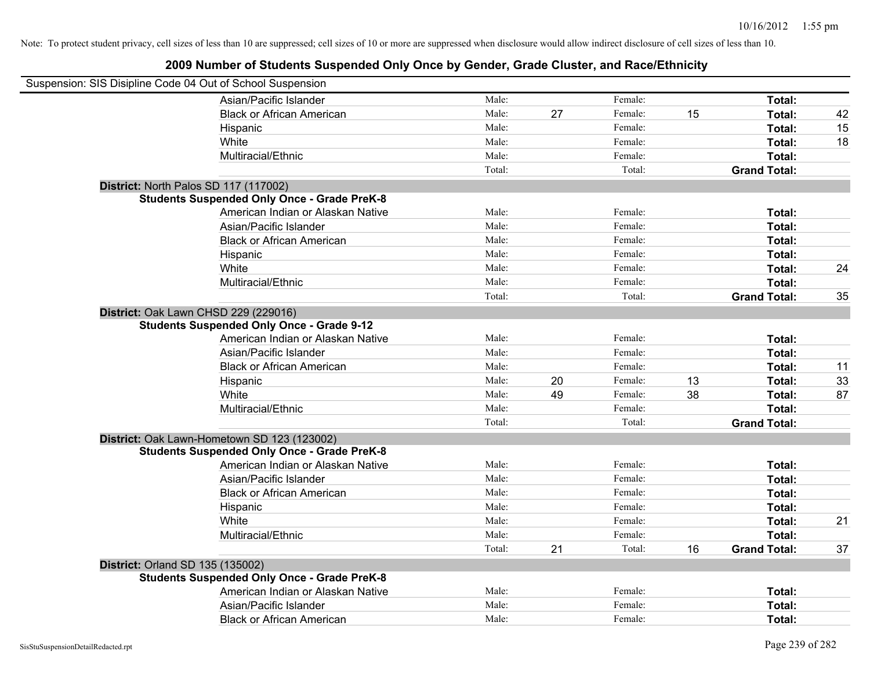| Suspension: SIS Disipline Code 04 Out of School Suspension |                                                    |        |    |         |    |                     |    |
|------------------------------------------------------------|----------------------------------------------------|--------|----|---------|----|---------------------|----|
|                                                            | Asian/Pacific Islander                             | Male:  |    | Female: |    | Total:              |    |
|                                                            | <b>Black or African American</b>                   | Male:  | 27 | Female: | 15 | Total:              | 42 |
|                                                            | Hispanic                                           | Male:  |    | Female: |    | Total:              | 15 |
|                                                            | White                                              | Male:  |    | Female: |    | Total:              | 18 |
|                                                            | Multiracial/Ethnic                                 | Male:  |    | Female: |    | Total:              |    |
|                                                            |                                                    | Total: |    | Total:  |    | <b>Grand Total:</b> |    |
| District: North Palos SD 117 (117002)                      |                                                    |        |    |         |    |                     |    |
|                                                            | <b>Students Suspended Only Once - Grade PreK-8</b> |        |    |         |    |                     |    |
|                                                            | American Indian or Alaskan Native                  | Male:  |    | Female: |    | Total:              |    |
|                                                            | Asian/Pacific Islander                             | Male:  |    | Female: |    | Total:              |    |
|                                                            | <b>Black or African American</b>                   | Male:  |    | Female: |    | Total:              |    |
|                                                            | Hispanic                                           | Male:  |    | Female: |    | Total:              |    |
|                                                            | White                                              | Male:  |    | Female: |    | Total:              | 24 |
|                                                            | Multiracial/Ethnic                                 | Male:  |    | Female: |    | Total:              |    |
|                                                            |                                                    | Total: |    | Total:  |    | <b>Grand Total:</b> | 35 |
| District: Oak Lawn CHSD 229 (229016)                       |                                                    |        |    |         |    |                     |    |
|                                                            | <b>Students Suspended Only Once - Grade 9-12</b>   |        |    |         |    |                     |    |
|                                                            | American Indian or Alaskan Native                  | Male:  |    | Female: |    | Total:              |    |
|                                                            | Asian/Pacific Islander                             | Male:  |    | Female: |    | Total:              |    |
|                                                            | <b>Black or African American</b>                   | Male:  |    | Female: |    | Total:              | 11 |
|                                                            | Hispanic                                           | Male:  | 20 | Female: | 13 | Total:              | 33 |
|                                                            | White                                              | Male:  | 49 | Female: | 38 | <b>Total:</b>       | 87 |
|                                                            | Multiracial/Ethnic                                 | Male:  |    | Female: |    | Total:              |    |
|                                                            |                                                    | Total: |    | Total:  |    | <b>Grand Total:</b> |    |
|                                                            | District: Oak Lawn-Hometown SD 123 (123002)        |        |    |         |    |                     |    |
|                                                            | <b>Students Suspended Only Once - Grade PreK-8</b> |        |    |         |    |                     |    |
|                                                            | American Indian or Alaskan Native                  | Male:  |    | Female: |    | Total:              |    |
|                                                            | Asian/Pacific Islander                             | Male:  |    | Female: |    | Total:              |    |
|                                                            | <b>Black or African American</b>                   | Male:  |    | Female: |    | Total:              |    |
|                                                            | Hispanic                                           | Male:  |    | Female: |    | Total:              |    |
|                                                            | White                                              | Male:  |    | Female: |    | Total:              | 21 |
|                                                            | Multiracial/Ethnic                                 | Male:  |    | Female: |    | Total:              |    |
|                                                            |                                                    | Total: | 21 | Total:  | 16 | <b>Grand Total:</b> | 37 |
| <b>District: Orland SD 135 (135002)</b>                    |                                                    |        |    |         |    |                     |    |
|                                                            | <b>Students Suspended Only Once - Grade PreK-8</b> |        |    |         |    |                     |    |
|                                                            | American Indian or Alaskan Native                  | Male:  |    | Female: |    | Total:              |    |
|                                                            | Asian/Pacific Islander                             | Male:  |    | Female: |    | Total:              |    |
|                                                            | <b>Black or African American</b>                   | Male:  |    | Female: |    | Total:              |    |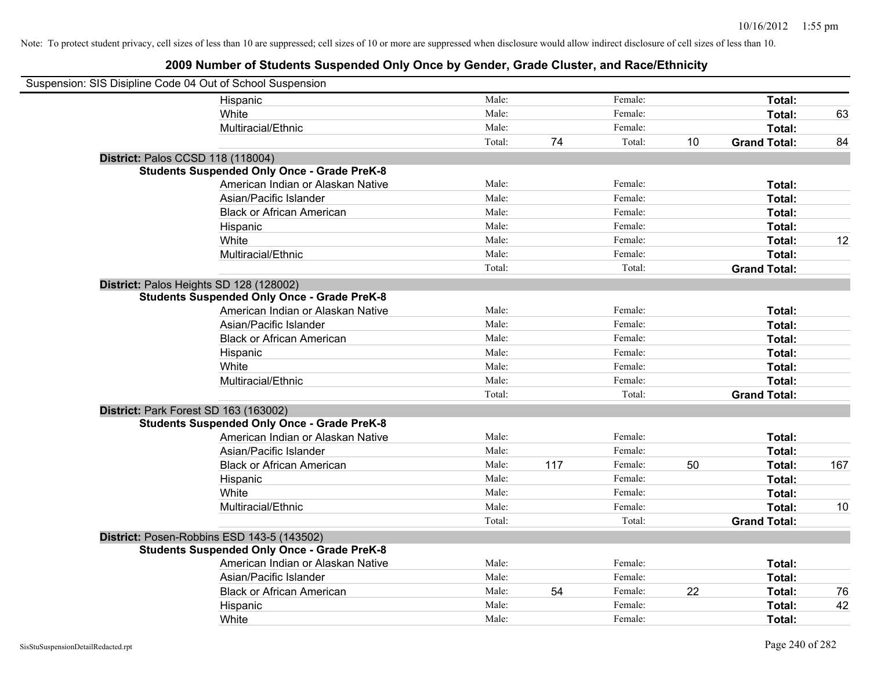| Suspension: SIS Disipline Code 04 Out of School Suspension |                                                    |        |     |         |    |                     |     |
|------------------------------------------------------------|----------------------------------------------------|--------|-----|---------|----|---------------------|-----|
|                                                            | Hispanic                                           | Male:  |     | Female: |    | Total:              |     |
|                                                            | White                                              | Male:  |     | Female: |    | Total:              | 63  |
|                                                            | Multiracial/Ethnic                                 | Male:  |     | Female: |    | Total:              |     |
|                                                            |                                                    | Total: | 74  | Total:  | 10 | <b>Grand Total:</b> | 84  |
| District: Palos CCSD 118 (118004)                          |                                                    |        |     |         |    |                     |     |
|                                                            | <b>Students Suspended Only Once - Grade PreK-8</b> |        |     |         |    |                     |     |
|                                                            | American Indian or Alaskan Native                  | Male:  |     | Female: |    | Total:              |     |
|                                                            | Asian/Pacific Islander                             | Male:  |     | Female: |    | Total:              |     |
|                                                            | <b>Black or African American</b>                   | Male:  |     | Female: |    | Total:              |     |
|                                                            | Hispanic                                           | Male:  |     | Female: |    | Total:              |     |
|                                                            | White                                              | Male:  |     | Female: |    | Total:              | 12  |
|                                                            | Multiracial/Ethnic                                 | Male:  |     | Female: |    | Total:              |     |
|                                                            |                                                    | Total: |     | Total:  |    | <b>Grand Total:</b> |     |
| District: Palos Heights SD 128 (128002)                    |                                                    |        |     |         |    |                     |     |
|                                                            | <b>Students Suspended Only Once - Grade PreK-8</b> |        |     |         |    |                     |     |
|                                                            | American Indian or Alaskan Native                  | Male:  |     | Female: |    | Total:              |     |
|                                                            | Asian/Pacific Islander                             | Male:  |     | Female: |    | Total:              |     |
|                                                            | <b>Black or African American</b>                   | Male:  |     | Female: |    | Total:              |     |
|                                                            | Hispanic                                           | Male:  |     | Female: |    | Total:              |     |
|                                                            | White                                              | Male:  |     | Female: |    | Total:              |     |
|                                                            | Multiracial/Ethnic                                 | Male:  |     | Female: |    | Total:              |     |
|                                                            |                                                    | Total: |     | Total:  |    | <b>Grand Total:</b> |     |
| District: Park Forest SD 163 (163002)                      |                                                    |        |     |         |    |                     |     |
|                                                            | <b>Students Suspended Only Once - Grade PreK-8</b> |        |     |         |    |                     |     |
|                                                            | American Indian or Alaskan Native                  | Male:  |     | Female: |    | Total:              |     |
|                                                            | Asian/Pacific Islander                             | Male:  |     | Female: |    | Total:              |     |
|                                                            | <b>Black or African American</b>                   | Male:  | 117 | Female: | 50 | Total:              | 167 |
|                                                            | Hispanic                                           | Male:  |     | Female: |    | Total:              |     |
|                                                            | White                                              | Male:  |     | Female: |    | Total:              |     |
|                                                            | Multiracial/Ethnic                                 | Male:  |     | Female: |    | Total:              | 10  |
|                                                            |                                                    | Total: |     | Total:  |    | <b>Grand Total:</b> |     |
|                                                            | District: Posen-Robbins ESD 143-5 (143502)         |        |     |         |    |                     |     |
|                                                            | <b>Students Suspended Only Once - Grade PreK-8</b> |        |     |         |    |                     |     |
|                                                            | American Indian or Alaskan Native                  | Male:  |     | Female: |    | Total:              |     |
|                                                            | Asian/Pacific Islander                             | Male:  |     | Female: |    | Total:              |     |
|                                                            | <b>Black or African American</b>                   | Male:  | 54  | Female: | 22 | Total:              | 76  |
|                                                            | Hispanic                                           | Male:  |     | Female: |    | Total:              | 42  |
|                                                            | White                                              | Male:  |     | Female: |    | Total:              |     |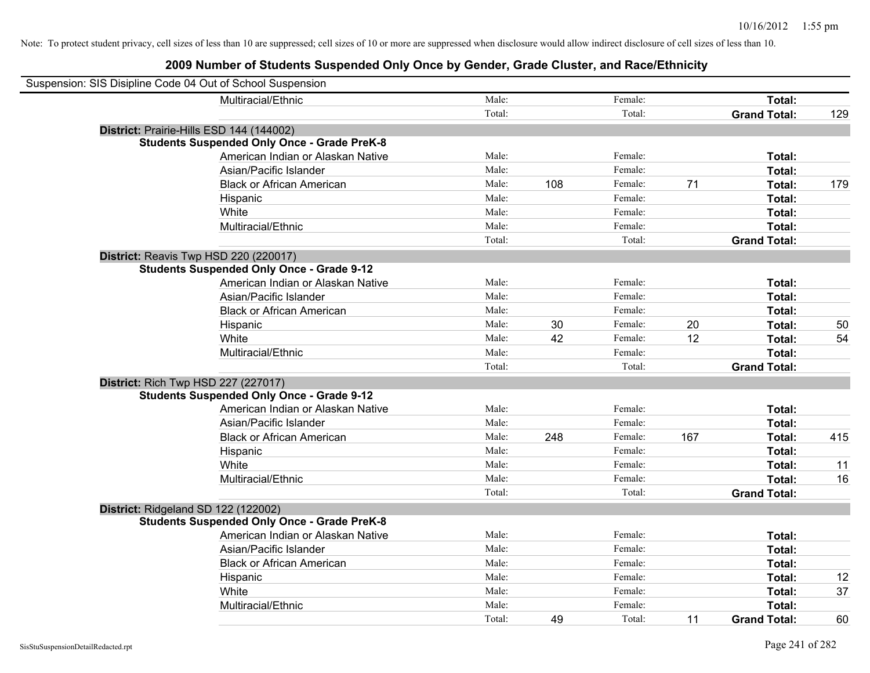| Suspension: SIS Disipline Code 04 Out of School Suspension |                                                    |        |     |         |     |                     |     |
|------------------------------------------------------------|----------------------------------------------------|--------|-----|---------|-----|---------------------|-----|
|                                                            | Multiracial/Ethnic                                 | Male:  |     | Female: |     | Total:              |     |
|                                                            |                                                    | Total: |     | Total:  |     | <b>Grand Total:</b> | 129 |
| District: Prairie-Hills ESD 144 (144002)                   |                                                    |        |     |         |     |                     |     |
|                                                            | <b>Students Suspended Only Once - Grade PreK-8</b> |        |     |         |     |                     |     |
|                                                            | American Indian or Alaskan Native                  | Male:  |     | Female: |     | Total:              |     |
|                                                            | Asian/Pacific Islander                             | Male:  |     | Female: |     | Total:              |     |
|                                                            | <b>Black or African American</b>                   | Male:  | 108 | Female: | 71  | Total:              | 179 |
|                                                            | Hispanic                                           | Male:  |     | Female: |     | Total:              |     |
|                                                            | White                                              | Male:  |     | Female: |     | Total:              |     |
|                                                            | Multiracial/Ethnic                                 | Male:  |     | Female: |     | Total:              |     |
|                                                            |                                                    | Total: |     | Total:  |     | <b>Grand Total:</b> |     |
| District: Reavis Twp HSD 220 (220017)                      |                                                    |        |     |         |     |                     |     |
|                                                            | <b>Students Suspended Only Once - Grade 9-12</b>   |        |     |         |     |                     |     |
|                                                            | American Indian or Alaskan Native                  | Male:  |     | Female: |     | Total:              |     |
|                                                            | Asian/Pacific Islander                             | Male:  |     | Female: |     | Total:              |     |
|                                                            | <b>Black or African American</b>                   | Male:  |     | Female: |     | Total:              |     |
|                                                            | Hispanic                                           | Male:  | 30  | Female: | 20  | Total:              | 50  |
|                                                            | White                                              | Male:  | 42  | Female: | 12  | Total:              | 54  |
|                                                            | Multiracial/Ethnic                                 | Male:  |     | Female: |     | Total:              |     |
|                                                            |                                                    | Total: |     | Total:  |     | <b>Grand Total:</b> |     |
| <b>District: Rich Twp HSD 227 (227017)</b>                 |                                                    |        |     |         |     |                     |     |
|                                                            | <b>Students Suspended Only Once - Grade 9-12</b>   |        |     |         |     |                     |     |
|                                                            | American Indian or Alaskan Native                  | Male:  |     | Female: |     | Total:              |     |
|                                                            | Asian/Pacific Islander                             | Male:  |     | Female: |     | Total:              |     |
|                                                            | <b>Black or African American</b>                   | Male:  | 248 | Female: | 167 | Total:              | 415 |
|                                                            | Hispanic                                           | Male:  |     | Female: |     | Total:              |     |
|                                                            | White                                              | Male:  |     | Female: |     | Total:              | 11  |
|                                                            | Multiracial/Ethnic                                 | Male:  |     | Female: |     | Total:              | 16  |
|                                                            |                                                    | Total: |     | Total:  |     | <b>Grand Total:</b> |     |
| District: Ridgeland SD 122 (122002)                        |                                                    |        |     |         |     |                     |     |
|                                                            | <b>Students Suspended Only Once - Grade PreK-8</b> |        |     |         |     |                     |     |
|                                                            | American Indian or Alaskan Native                  | Male:  |     | Female: |     | Total:              |     |
|                                                            | Asian/Pacific Islander                             | Male:  |     | Female: |     | Total:              |     |
|                                                            | <b>Black or African American</b>                   | Male:  |     | Female: |     | Total:              |     |
|                                                            | Hispanic                                           | Male:  |     | Female: |     | Total:              | 12  |
|                                                            | White                                              | Male:  |     | Female: |     | Total:              | 37  |
|                                                            | Multiracial/Ethnic                                 | Male:  |     | Female: |     | Total:              |     |
|                                                            |                                                    | Total: | 49  | Total:  | 11  | <b>Grand Total:</b> | 60  |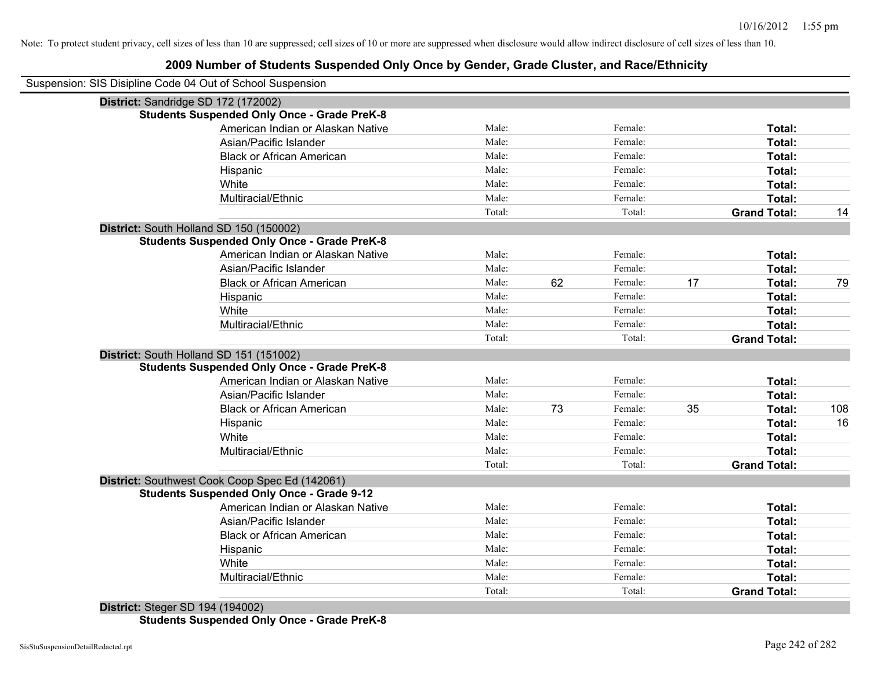#### **2009 Number of Students Suspended Only Once by Gender, Grade Cluster, and Race/Ethnicity**

| Suspension: SIS Disipline Code 04 Out of School Suspension |                                   |        |    |         |    |                     |     |
|------------------------------------------------------------|-----------------------------------|--------|----|---------|----|---------------------|-----|
| District: Sandridge SD 172 (172002)                        |                                   |        |    |         |    |                     |     |
| <b>Students Suspended Only Once - Grade PreK-8</b>         |                                   |        |    |         |    |                     |     |
|                                                            | American Indian or Alaskan Native | Male:  |    | Female: |    | Total:              |     |
| Asian/Pacific Islander                                     |                                   | Male:  |    | Female: |    | Total:              |     |
| <b>Black or African American</b>                           |                                   | Male:  |    | Female: |    | Total:              |     |
| Hispanic                                                   |                                   | Male:  |    | Female: |    | Total:              |     |
| White                                                      |                                   | Male:  |    | Female: |    | Total:              |     |
| Multiracial/Ethnic                                         |                                   | Male:  |    | Female: |    | Total:              |     |
|                                                            |                                   | Total: |    | Total:  |    | <b>Grand Total:</b> | 14  |
| District: South Holland SD 150 (150002)                    |                                   |        |    |         |    |                     |     |
| <b>Students Suspended Only Once - Grade PreK-8</b>         |                                   |        |    |         |    |                     |     |
|                                                            | American Indian or Alaskan Native | Male:  |    | Female: |    | Total:              |     |
| Asian/Pacific Islander                                     |                                   | Male:  |    | Female: |    | Total:              |     |
| <b>Black or African American</b>                           |                                   | Male:  | 62 | Female: | 17 | Total:              | 79  |
| Hispanic                                                   |                                   | Male:  |    | Female: |    | Total:              |     |
| White                                                      |                                   | Male:  |    | Female: |    | Total:              |     |
| Multiracial/Ethnic                                         |                                   | Male:  |    | Female: |    | Total:              |     |
|                                                            |                                   | Total: |    | Total:  |    | <b>Grand Total:</b> |     |
| District: South Holland SD 151 (151002)                    |                                   |        |    |         |    |                     |     |
| <b>Students Suspended Only Once - Grade PreK-8</b>         |                                   |        |    |         |    |                     |     |
|                                                            | American Indian or Alaskan Native | Male:  |    | Female: |    | Total:              |     |
| Asian/Pacific Islander                                     |                                   | Male:  |    | Female: |    | Total:              |     |
| <b>Black or African American</b>                           |                                   | Male:  | 73 | Female: | 35 | Total:              | 108 |
| Hispanic                                                   |                                   | Male:  |    | Female: |    | Total:              | 16  |
| White                                                      |                                   | Male:  |    | Female: |    | Total:              |     |
| Multiracial/Ethnic                                         |                                   | Male:  |    | Female: |    | Total:              |     |
|                                                            |                                   | Total: |    | Total:  |    | <b>Grand Total:</b> |     |
| District: Southwest Cook Coop Spec Ed (142061)             |                                   |        |    |         |    |                     |     |
| <b>Students Suspended Only Once - Grade 9-12</b>           |                                   |        |    |         |    |                     |     |
|                                                            | American Indian or Alaskan Native | Male:  |    | Female: |    | Total:              |     |
| Asian/Pacific Islander                                     |                                   | Male:  |    | Female: |    | Total:              |     |
| <b>Black or African American</b>                           |                                   | Male:  |    | Female: |    | Total:              |     |
| Hispanic                                                   |                                   | Male:  |    | Female: |    | Total:              |     |
| White                                                      |                                   | Male:  |    | Female: |    | Total:              |     |
| Multiracial/Ethnic                                         |                                   | Male:  |    | Female: |    | Total:              |     |
|                                                            |                                   | Total: |    | Total:  |    | <b>Grand Total:</b> |     |

**District:** Steger SD 194 (194002) **Students Suspended Only Once - Grade PreK-8**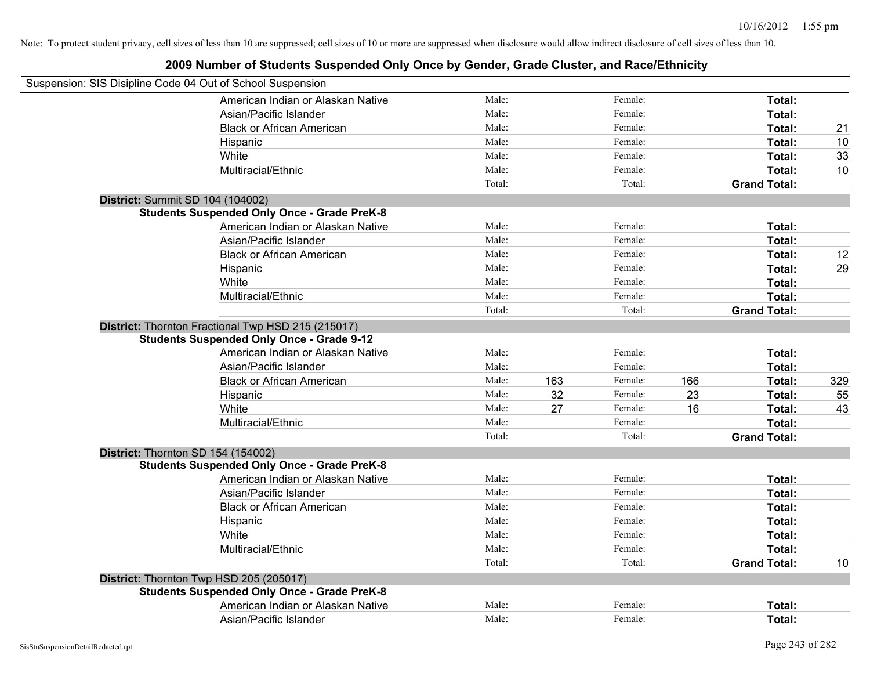| Suspension: SIS Disipline Code 04 Out of School Suspension |                                                                                                        |        |     |         |     |                     |     |
|------------------------------------------------------------|--------------------------------------------------------------------------------------------------------|--------|-----|---------|-----|---------------------|-----|
|                                                            | American Indian or Alaskan Native                                                                      | Male:  |     | Female: |     | Total:              |     |
|                                                            | Asian/Pacific Islander                                                                                 | Male:  |     | Female: |     | Total:              |     |
|                                                            | <b>Black or African American</b>                                                                       | Male:  |     | Female: |     | Total:              | 21  |
|                                                            | Hispanic                                                                                               | Male:  |     | Female: |     | Total:              | 10  |
|                                                            | White                                                                                                  | Male:  |     | Female: |     | Total:              | 33  |
|                                                            | Multiracial/Ethnic                                                                                     | Male:  |     | Female: |     | Total:              | 10  |
|                                                            |                                                                                                        | Total: |     | Total:  |     | <b>Grand Total:</b> |     |
|                                                            | District: Summit SD 104 (104002)                                                                       |        |     |         |     |                     |     |
|                                                            | <b>Students Suspended Only Once - Grade PreK-8</b>                                                     |        |     |         |     |                     |     |
|                                                            | American Indian or Alaskan Native                                                                      | Male:  |     | Female: |     | Total:              |     |
|                                                            | Asian/Pacific Islander                                                                                 | Male:  |     | Female: |     | Total:              |     |
|                                                            | <b>Black or African American</b>                                                                       | Male:  |     | Female: |     | Total:              | 12  |
|                                                            | Hispanic                                                                                               | Male:  |     | Female: |     | Total:              | 29  |
|                                                            | White                                                                                                  | Male:  |     | Female: |     | Total:              |     |
|                                                            | Multiracial/Ethnic                                                                                     | Male:  |     | Female: |     | Total:              |     |
|                                                            |                                                                                                        | Total: |     | Total:  |     | <b>Grand Total:</b> |     |
|                                                            | District: Thornton Fractional Twp HSD 215 (215017)<br><b>Students Suspended Only Once - Grade 9-12</b> |        |     |         |     |                     |     |
|                                                            | American Indian or Alaskan Native                                                                      | Male:  |     | Female: |     | Total:              |     |
|                                                            | Asian/Pacific Islander                                                                                 | Male:  |     | Female: |     | Total:              |     |
|                                                            | <b>Black or African American</b>                                                                       | Male:  | 163 | Female: | 166 | Total:              | 329 |
|                                                            | Hispanic                                                                                               | Male:  | 32  | Female: | 23  | Total:              | 55  |
|                                                            | White                                                                                                  | Male:  | 27  | Female: | 16  | Total:              | 43  |
|                                                            | Multiracial/Ethnic                                                                                     | Male:  |     | Female: |     | Total:              |     |
|                                                            |                                                                                                        | Total: |     | Total:  |     | <b>Grand Total:</b> |     |
|                                                            | District: Thornton SD 154 (154002)<br><b>Students Suspended Only Once - Grade PreK-8</b>               |        |     |         |     |                     |     |
|                                                            | American Indian or Alaskan Native                                                                      | Male:  |     | Female: |     | Total:              |     |
|                                                            | Asian/Pacific Islander                                                                                 | Male:  |     | Female: |     | Total:              |     |
|                                                            | <b>Black or African American</b>                                                                       | Male:  |     | Female: |     | Total:              |     |
|                                                            | Hispanic                                                                                               | Male:  |     | Female: |     | Total:              |     |
|                                                            | White                                                                                                  | Male:  |     | Female: |     | Total:              |     |
|                                                            | Multiracial/Ethnic                                                                                     | Male:  |     | Female: |     | Total:              |     |
|                                                            |                                                                                                        | Total: |     | Total:  |     | <b>Grand Total:</b> | 10  |
|                                                            |                                                                                                        |        |     |         |     |                     |     |
|                                                            | District: Thornton Twp HSD 205 (205017)<br><b>Students Suspended Only Once - Grade PreK-8</b>          |        |     |         |     |                     |     |
|                                                            | American Indian or Alaskan Native                                                                      | Male:  |     | Female: |     | <b>Total:</b>       |     |
|                                                            | Asian/Pacific Islander                                                                                 | Male:  |     | Female: |     | Total:              |     |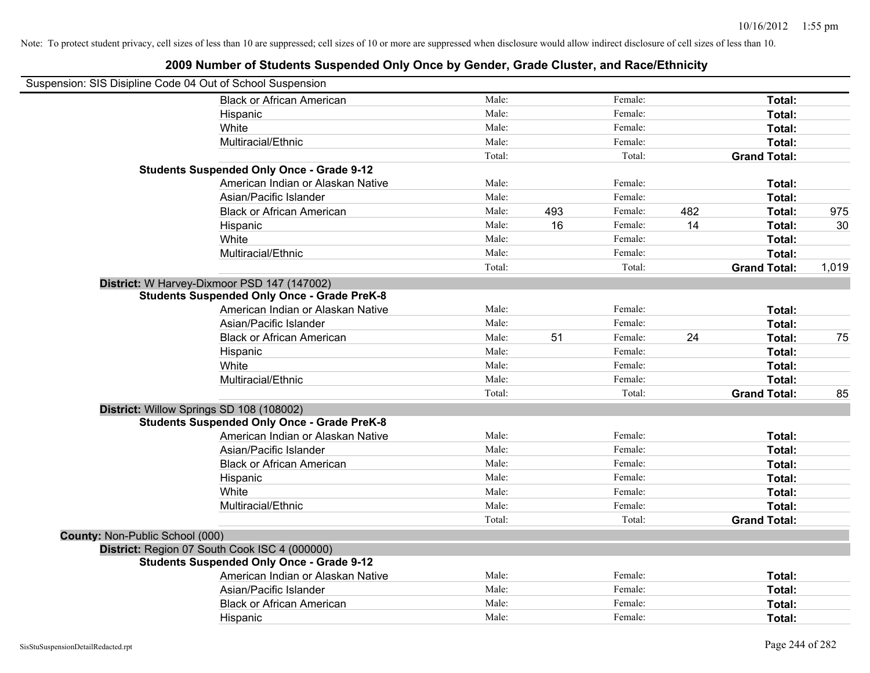|                                 | Suspension: SIS Disipline Code 04 Out of School Suspension |        |     |         |     |                     |       |
|---------------------------------|------------------------------------------------------------|--------|-----|---------|-----|---------------------|-------|
|                                 | <b>Black or African American</b>                           | Male:  |     | Female: |     | Total:              |       |
|                                 | Hispanic                                                   | Male:  |     | Female: |     | Total:              |       |
|                                 | White                                                      | Male:  |     | Female: |     | Total:              |       |
|                                 | Multiracial/Ethnic                                         | Male:  |     | Female: |     | Total:              |       |
|                                 |                                                            | Total: |     | Total:  |     | <b>Grand Total:</b> |       |
|                                 | <b>Students Suspended Only Once - Grade 9-12</b>           |        |     |         |     |                     |       |
|                                 | American Indian or Alaskan Native                          | Male:  |     | Female: |     | Total:              |       |
|                                 | Asian/Pacific Islander                                     | Male:  |     | Female: |     | Total:              |       |
|                                 | <b>Black or African American</b>                           | Male:  | 493 | Female: | 482 | Total:              | 975   |
|                                 | Hispanic                                                   | Male:  | 16  | Female: | 14  | Total:              | 30    |
|                                 | White                                                      | Male:  |     | Female: |     | Total:              |       |
|                                 | Multiracial/Ethnic                                         | Male:  |     | Female: |     | Total:              |       |
|                                 |                                                            | Total: |     | Total:  |     | <b>Grand Total:</b> | 1,019 |
|                                 | District: W Harvey-Dixmoor PSD 147 (147002)                |        |     |         |     |                     |       |
|                                 | <b>Students Suspended Only Once - Grade PreK-8</b>         |        |     |         |     |                     |       |
|                                 | American Indian or Alaskan Native                          | Male:  |     | Female: |     | Total:              |       |
|                                 | Asian/Pacific Islander                                     | Male:  |     | Female: |     | Total:              |       |
|                                 | <b>Black or African American</b>                           | Male:  | 51  | Female: | 24  | Total:              | 75    |
|                                 | Hispanic                                                   | Male:  |     | Female: |     | Total:              |       |
|                                 | White                                                      | Male:  |     | Female: |     | Total:              |       |
|                                 | Multiracial/Ethnic                                         | Male:  |     | Female: |     | Total:              |       |
|                                 |                                                            | Total: |     | Total:  |     | <b>Grand Total:</b> | 85    |
|                                 | District: Willow Springs SD 108 (108002)                   |        |     |         |     |                     |       |
|                                 | <b>Students Suspended Only Once - Grade PreK-8</b>         |        |     |         |     |                     |       |
|                                 | American Indian or Alaskan Native                          | Male:  |     | Female: |     | Total:              |       |
|                                 | Asian/Pacific Islander                                     | Male:  |     | Female: |     | Total:              |       |
|                                 | <b>Black or African American</b>                           | Male:  |     | Female: |     | Total:              |       |
|                                 | Hispanic                                                   | Male:  |     | Female: |     | Total:              |       |
|                                 | White                                                      | Male:  |     | Female: |     | Total:              |       |
|                                 | Multiracial/Ethnic                                         | Male:  |     | Female: |     | Total:              |       |
|                                 |                                                            | Total: |     | Total:  |     | <b>Grand Total:</b> |       |
| County: Non-Public School (000) |                                                            |        |     |         |     |                     |       |
|                                 | District: Region 07 South Cook ISC 4 (000000)              |        |     |         |     |                     |       |
|                                 | <b>Students Suspended Only Once - Grade 9-12</b>           |        |     |         |     |                     |       |
|                                 | American Indian or Alaskan Native                          | Male:  |     | Female: |     | Total:              |       |
|                                 | Asian/Pacific Islander                                     | Male:  |     | Female: |     | Total:              |       |
|                                 | <b>Black or African American</b>                           | Male:  |     | Female: |     | Total:              |       |
|                                 | Hispanic                                                   | Male:  |     | Female: |     | Total:              |       |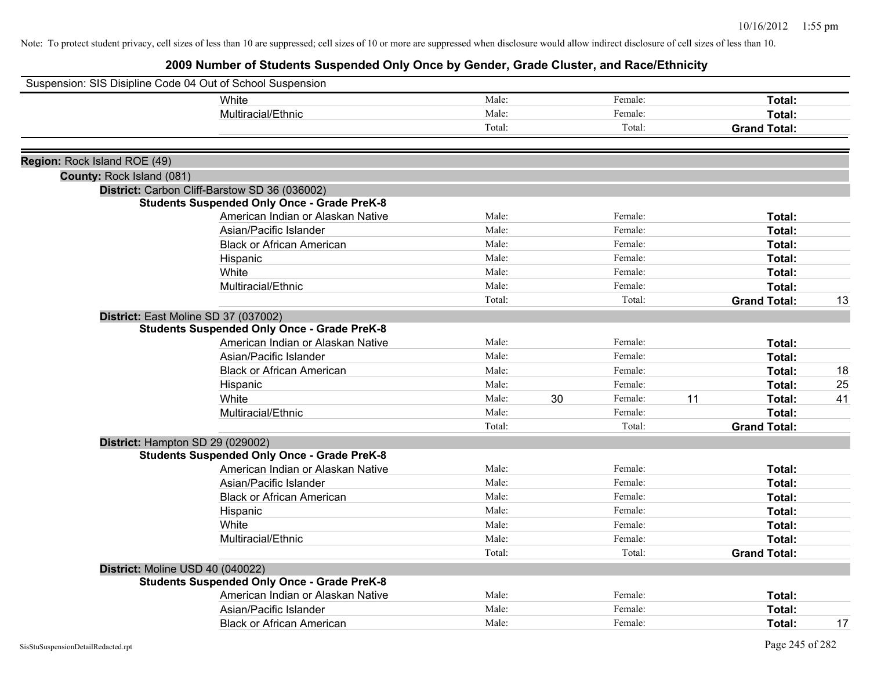|                              | Suspension: SIS Disipline Code 04 Out of School Suspension |        |    |         |    |                     |    |
|------------------------------|------------------------------------------------------------|--------|----|---------|----|---------------------|----|
|                              | White                                                      | Male:  |    | Female: |    | Total:              |    |
|                              | Multiracial/Ethnic                                         | Male:  |    | Female: |    | Total:              |    |
|                              |                                                            | Total: |    | Total:  |    | <b>Grand Total:</b> |    |
| Region: Rock Island ROE (49) |                                                            |        |    |         |    |                     |    |
| County: Rock Island (081)    |                                                            |        |    |         |    |                     |    |
|                              | District: Carbon Cliff-Barstow SD 36 (036002)              |        |    |         |    |                     |    |
|                              | <b>Students Suspended Only Once - Grade PreK-8</b>         |        |    |         |    |                     |    |
|                              | American Indian or Alaskan Native                          | Male:  |    | Female: |    | Total:              |    |
|                              | Asian/Pacific Islander                                     | Male:  |    | Female: |    | Total:              |    |
|                              | <b>Black or African American</b>                           | Male:  |    | Female: |    | Total:              |    |
|                              | Hispanic                                                   | Male:  |    | Female: |    | Total:              |    |
|                              | White                                                      | Male:  |    | Female: |    | Total:              |    |
|                              | Multiracial/Ethnic                                         | Male:  |    | Female: |    | Total:              |    |
|                              |                                                            | Total: |    | Total:  |    | <b>Grand Total:</b> | 13 |
|                              | District: East Moline SD 37 (037002)                       |        |    |         |    |                     |    |
|                              | <b>Students Suspended Only Once - Grade PreK-8</b>         |        |    |         |    |                     |    |
|                              | American Indian or Alaskan Native                          | Male:  |    | Female: |    | Total:              |    |
|                              | Asian/Pacific Islander                                     | Male:  |    | Female: |    | Total:              |    |
|                              | <b>Black or African American</b>                           | Male:  |    | Female: |    | Total:              | 18 |
|                              | Hispanic                                                   | Male:  |    | Female: |    | Total:              | 25 |
|                              | White                                                      | Male:  | 30 | Female: | 11 | Total:              | 41 |
|                              | Multiracial/Ethnic                                         | Male:  |    | Female: |    | Total:              |    |
|                              |                                                            | Total: |    | Total:  |    | <b>Grand Total:</b> |    |
|                              | District: Hampton SD 29 (029002)                           |        |    |         |    |                     |    |
|                              | <b>Students Suspended Only Once - Grade PreK-8</b>         |        |    |         |    |                     |    |
|                              | American Indian or Alaskan Native                          | Male:  |    | Female: |    | Total:              |    |
|                              | Asian/Pacific Islander                                     | Male:  |    | Female: |    | Total:              |    |
|                              | <b>Black or African American</b>                           | Male:  |    | Female: |    | Total:              |    |
|                              | Hispanic                                                   | Male:  |    | Female: |    | Total:              |    |
|                              | White                                                      | Male:  |    | Female: |    | Total:              |    |
|                              | Multiracial/Ethnic                                         | Male:  |    | Female: |    | Total:              |    |
|                              |                                                            | Total: |    | Total:  |    | <b>Grand Total:</b> |    |
|                              | District: Moline USD 40 (040022)                           |        |    |         |    |                     |    |
|                              | <b>Students Suspended Only Once - Grade PreK-8</b>         |        |    |         |    |                     |    |
|                              | American Indian or Alaskan Native                          | Male:  |    | Female: |    | Total:              |    |
|                              | Asian/Pacific Islander                                     | Male:  |    | Female: |    | Total:              |    |
|                              | <b>Black or African American</b>                           | Male:  |    | Female: |    | Total:              | 17 |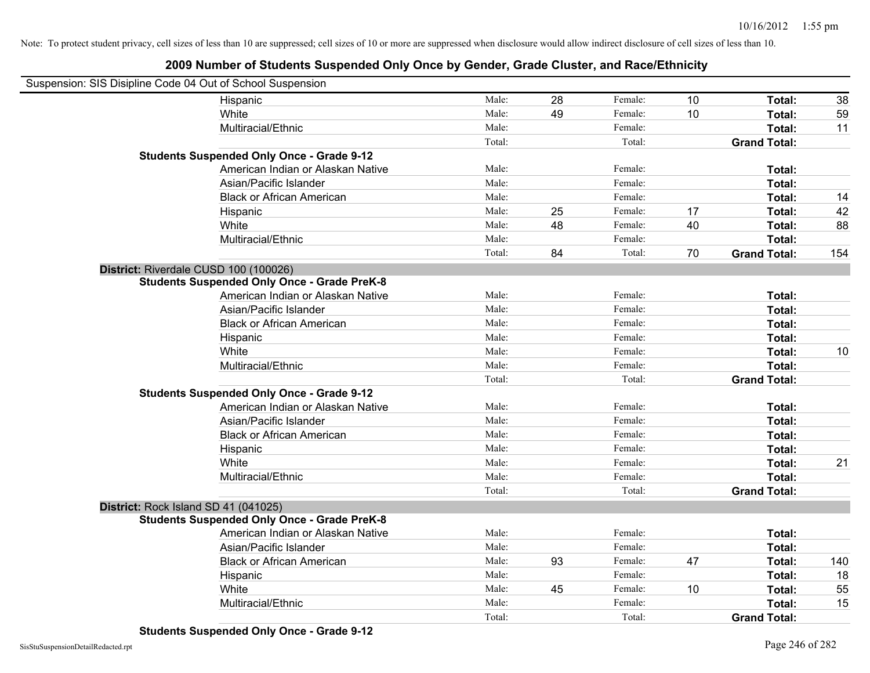| Suspension: SIS Disipline Code 04 Out of School Suspension |        |    |         |    |                     |     |
|------------------------------------------------------------|--------|----|---------|----|---------------------|-----|
| Hispanic                                                   | Male:  | 28 | Female: | 10 | Total:              | 38  |
| White                                                      | Male:  | 49 | Female: | 10 | Total:              | 59  |
| Multiracial/Ethnic                                         | Male:  |    | Female: |    | Total:              | 11  |
|                                                            | Total: |    | Total:  |    | <b>Grand Total:</b> |     |
| <b>Students Suspended Only Once - Grade 9-12</b>           |        |    |         |    |                     |     |
| American Indian or Alaskan Native                          | Male:  |    | Female: |    | Total:              |     |
| Asian/Pacific Islander                                     | Male:  |    | Female: |    | Total:              |     |
| <b>Black or African American</b>                           | Male:  |    | Female: |    | Total:              | 14  |
| Hispanic                                                   | Male:  | 25 | Female: | 17 | Total:              | 42  |
| White                                                      | Male:  | 48 | Female: | 40 | Total:              | 88  |
| Multiracial/Ethnic                                         | Male:  |    | Female: |    | Total:              |     |
|                                                            | Total: | 84 | Total:  | 70 | <b>Grand Total:</b> | 154 |
| District: Riverdale CUSD 100 (100026)                      |        |    |         |    |                     |     |
| <b>Students Suspended Only Once - Grade PreK-8</b>         |        |    |         |    |                     |     |
| American Indian or Alaskan Native                          | Male:  |    | Female: |    | Total:              |     |
| Asian/Pacific Islander                                     | Male:  |    | Female: |    | Total:              |     |
| <b>Black or African American</b>                           | Male:  |    | Female: |    | Total:              |     |
| Hispanic                                                   | Male:  |    | Female: |    | Total:              |     |
| White                                                      | Male:  |    | Female: |    | Total:              | 10  |
| Multiracial/Ethnic                                         | Male:  |    | Female: |    | Total:              |     |
|                                                            | Total: |    | Total:  |    | <b>Grand Total:</b> |     |
| <b>Students Suspended Only Once - Grade 9-12</b>           |        |    |         |    |                     |     |
| American Indian or Alaskan Native                          | Male:  |    | Female: |    | Total:              |     |
| Asian/Pacific Islander                                     | Male:  |    | Female: |    | Total:              |     |
| <b>Black or African American</b>                           | Male:  |    | Female: |    | Total:              |     |
| Hispanic                                                   | Male:  |    | Female: |    | Total:              |     |
| White                                                      | Male:  |    | Female: |    | Total:              | 21  |
| Multiracial/Ethnic                                         | Male:  |    | Female: |    | Total:              |     |
|                                                            | Total: |    | Total:  |    | <b>Grand Total:</b> |     |
| District: Rock Island SD 41 (041025)                       |        |    |         |    |                     |     |
| <b>Students Suspended Only Once - Grade PreK-8</b>         |        |    |         |    |                     |     |
| American Indian or Alaskan Native                          | Male:  |    | Female: |    | Total:              |     |
| Asian/Pacific Islander                                     | Male:  |    | Female: |    | Total:              |     |
| <b>Black or African American</b>                           | Male:  | 93 | Female: | 47 | Total:              | 140 |
| Hispanic                                                   | Male:  |    | Female: |    | Total:              | 18  |
| White                                                      | Male:  | 45 | Female: | 10 | Total:              | 55  |
| Multiracial/Ethnic                                         | Male:  |    | Female: |    | Total:              | 15  |
|                                                            | Total: |    | Total:  |    | <b>Grand Total:</b> |     |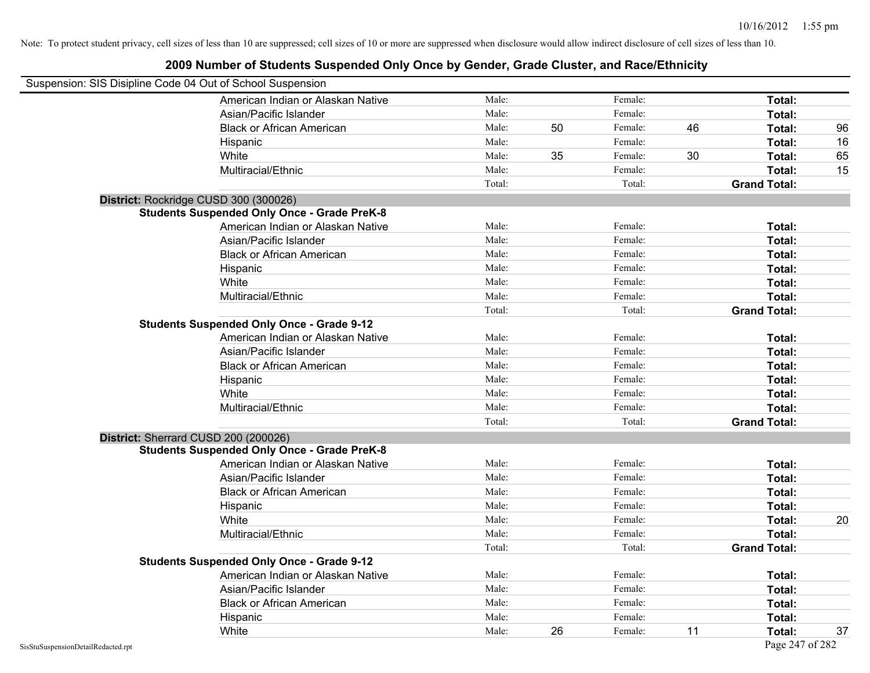| Suspension: SIS Disipline Code 04 Out of School Suspension |                                                    |        |    |         |    |                     |    |
|------------------------------------------------------------|----------------------------------------------------|--------|----|---------|----|---------------------|----|
|                                                            | American Indian or Alaskan Native                  | Male:  |    | Female: |    | Total:              |    |
|                                                            | Asian/Pacific Islander                             | Male:  |    | Female: |    | Total:              |    |
|                                                            | <b>Black or African American</b>                   | Male:  | 50 | Female: | 46 | Total:              | 96 |
|                                                            | Hispanic                                           | Male:  |    | Female: |    | Total:              | 16 |
|                                                            | White                                              | Male:  | 35 | Female: | 30 | Total:              | 65 |
|                                                            | Multiracial/Ethnic                                 | Male:  |    | Female: |    | Total:              | 15 |
|                                                            |                                                    | Total: |    | Total:  |    | <b>Grand Total:</b> |    |
|                                                            | District: Rockridge CUSD 300 (300026)              |        |    |         |    |                     |    |
|                                                            | <b>Students Suspended Only Once - Grade PreK-8</b> |        |    |         |    |                     |    |
|                                                            | American Indian or Alaskan Native                  | Male:  |    | Female: |    | Total:              |    |
|                                                            | Asian/Pacific Islander                             | Male:  |    | Female: |    | Total:              |    |
|                                                            | <b>Black or African American</b>                   | Male:  |    | Female: |    | Total:              |    |
|                                                            | Hispanic                                           | Male:  |    | Female: |    | Total:              |    |
|                                                            | White                                              | Male:  |    | Female: |    | Total:              |    |
|                                                            | Multiracial/Ethnic                                 | Male:  |    | Female: |    | Total:              |    |
|                                                            |                                                    | Total: |    | Total:  |    | <b>Grand Total:</b> |    |
|                                                            | <b>Students Suspended Only Once - Grade 9-12</b>   |        |    |         |    |                     |    |
|                                                            | American Indian or Alaskan Native                  | Male:  |    | Female: |    | Total:              |    |
|                                                            | Asian/Pacific Islander                             | Male:  |    | Female: |    | Total:              |    |
|                                                            | <b>Black or African American</b>                   | Male:  |    | Female: |    | Total:              |    |
|                                                            | Hispanic                                           | Male:  |    | Female: |    | Total:              |    |
|                                                            | White                                              | Male:  |    | Female: |    | Total:              |    |
|                                                            | Multiracial/Ethnic                                 | Male:  |    | Female: |    | Total:              |    |
|                                                            |                                                    | Total: |    | Total:  |    | <b>Grand Total:</b> |    |
|                                                            | District: Sherrard CUSD 200 (200026)               |        |    |         |    |                     |    |
|                                                            | <b>Students Suspended Only Once - Grade PreK-8</b> |        |    |         |    |                     |    |
|                                                            | American Indian or Alaskan Native                  | Male:  |    | Female: |    | Total:              |    |
|                                                            | Asian/Pacific Islander                             | Male:  |    | Female: |    | Total:              |    |
|                                                            | <b>Black or African American</b>                   | Male:  |    | Female: |    | Total:              |    |
|                                                            | Hispanic                                           | Male:  |    | Female: |    | Total:              |    |
|                                                            | White                                              | Male:  |    | Female: |    | Total:              | 20 |
|                                                            | Multiracial/Ethnic                                 | Male:  |    | Female: |    | Total:              |    |
|                                                            |                                                    | Total: |    | Total:  |    | <b>Grand Total:</b> |    |
|                                                            | <b>Students Suspended Only Once - Grade 9-12</b>   |        |    |         |    |                     |    |
|                                                            | American Indian or Alaskan Native                  | Male:  |    | Female: |    | Total:              |    |
|                                                            | Asian/Pacific Islander                             | Male:  |    | Female: |    | Total:              |    |
|                                                            | <b>Black or African American</b>                   | Male:  |    | Female: |    | Total:              |    |
|                                                            | Hispanic                                           | Male:  |    | Female: |    | Total:              |    |
|                                                            | White                                              | Male:  | 26 | Female: | 11 | Total:              | 37 |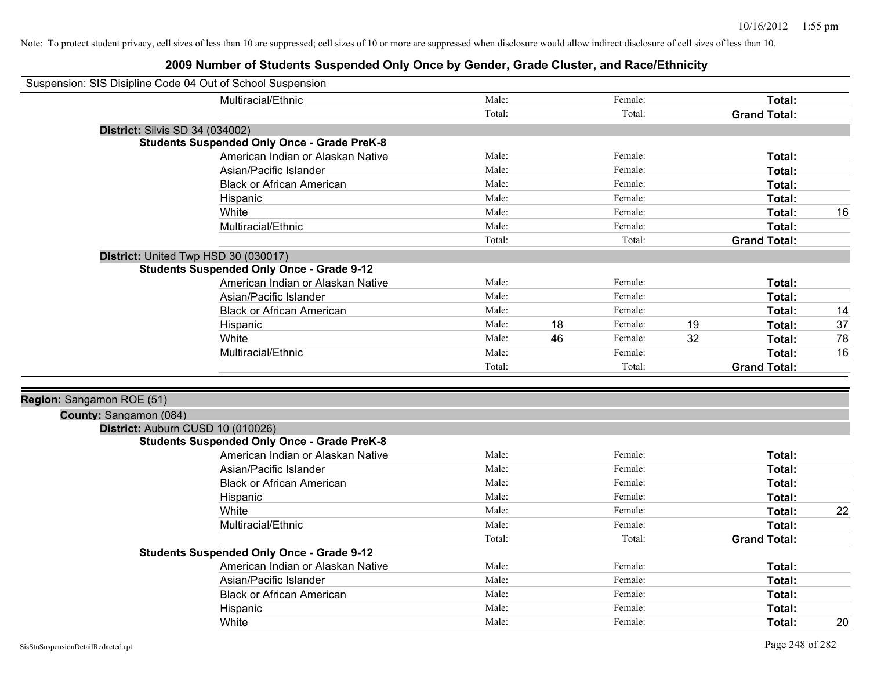| Suspension: SIS Disipline Code 04 Out of School Suspension |                                                    |        |    |         |    |                     |    |
|------------------------------------------------------------|----------------------------------------------------|--------|----|---------|----|---------------------|----|
|                                                            | Multiracial/Ethnic                                 | Male:  |    | Female: |    | Total:              |    |
|                                                            |                                                    | Total: |    | Total:  |    | <b>Grand Total:</b> |    |
| <b>District: Silvis SD 34 (034002)</b>                     |                                                    |        |    |         |    |                     |    |
|                                                            | <b>Students Suspended Only Once - Grade PreK-8</b> |        |    |         |    |                     |    |
|                                                            | American Indian or Alaskan Native                  | Male:  |    | Female: |    | Total:              |    |
|                                                            | Asian/Pacific Islander                             | Male:  |    | Female: |    | Total:              |    |
|                                                            | <b>Black or African American</b>                   | Male:  |    | Female: |    | Total:              |    |
|                                                            | Hispanic                                           | Male:  |    | Female: |    | Total:              |    |
|                                                            | White                                              | Male:  |    | Female: |    | Total:              | 16 |
|                                                            | Multiracial/Ethnic                                 | Male:  |    | Female: |    | Total:              |    |
|                                                            |                                                    | Total: |    | Total:  |    | <b>Grand Total:</b> |    |
|                                                            | District: United Twp HSD 30 (030017)               |        |    |         |    |                     |    |
|                                                            | <b>Students Suspended Only Once - Grade 9-12</b>   |        |    |         |    |                     |    |
|                                                            | American Indian or Alaskan Native                  | Male:  |    | Female: |    | Total:              |    |
|                                                            | Asian/Pacific Islander                             | Male:  |    | Female: |    | Total:              |    |
|                                                            | <b>Black or African American</b>                   | Male:  |    | Female: |    | Total:              | 14 |
|                                                            | Hispanic                                           | Male:  | 18 | Female: | 19 | Total:              | 37 |
|                                                            | White                                              | Male:  | 46 | Female: | 32 | Total:              | 78 |
|                                                            | Multiracial/Ethnic                                 | Male:  |    | Female: |    | Total:              | 16 |
|                                                            |                                                    | Total: |    | Total:  |    | <b>Grand Total:</b> |    |
|                                                            |                                                    |        |    |         |    |                     |    |
| Region: Sangamon ROE (51)                                  |                                                    |        |    |         |    |                     |    |
| County: Sangamon (084)                                     |                                                    |        |    |         |    |                     |    |
|                                                            | District: Auburn CUSD 10 (010026)                  |        |    |         |    |                     |    |
|                                                            | <b>Students Suspended Only Once - Grade PreK-8</b> |        |    |         |    |                     |    |
|                                                            | American Indian or Alaskan Native                  | Male:  |    | Female: |    | Total:              |    |
|                                                            | Asian/Pacific Islander                             | Male:  |    | Female: |    | Total:              |    |
|                                                            | <b>Black or African American</b>                   | Male:  |    | Female: |    | Total:              |    |
|                                                            | Hispanic                                           | Male:  |    | Female: |    | Total:              |    |
|                                                            | White                                              | Male:  |    | Female: |    | Total:              | 22 |
|                                                            | Multiracial/Ethnic                                 | Male:  |    | Female: |    | Total:              |    |
|                                                            |                                                    | Total: |    | Total:  |    | <b>Grand Total:</b> |    |
|                                                            | <b>Students Suspended Only Once - Grade 9-12</b>   |        |    |         |    |                     |    |
|                                                            | American Indian or Alaskan Native                  | Male:  |    | Female: |    | Total:              |    |
|                                                            | Asian/Pacific Islander                             | Male:  |    | Female: |    | Total:              |    |
|                                                            | <b>Black or African American</b>                   | Male:  |    | Female: |    | Total:              |    |
|                                                            | Hispanic                                           | Male:  |    | Female: |    | Total:              |    |
|                                                            | White                                              | Male:  |    | Female: |    | Total:              | 20 |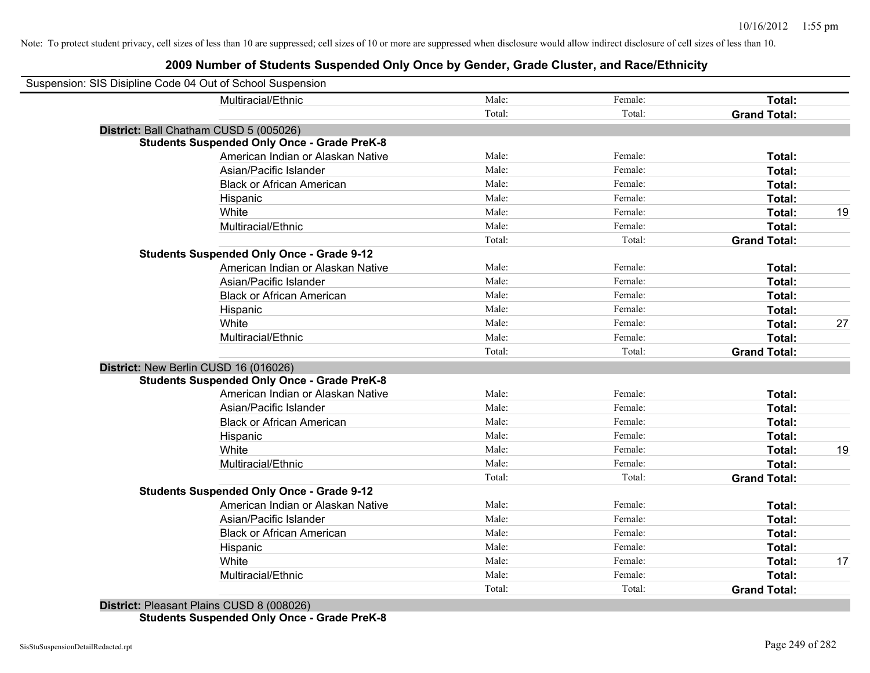| Suspension: SIS Disipline Code 04 Out of School Suspension |        |         |                     |    |
|------------------------------------------------------------|--------|---------|---------------------|----|
| Multiracial/Ethnic                                         | Male:  | Female: | Total:              |    |
|                                                            | Total: | Total:  | <b>Grand Total:</b> |    |
| District: Ball Chatham CUSD 5 (005026)                     |        |         |                     |    |
| <b>Students Suspended Only Once - Grade PreK-8</b>         |        |         |                     |    |
| American Indian or Alaskan Native                          | Male:  | Female: | Total:              |    |
| Asian/Pacific Islander                                     | Male:  | Female: | Total:              |    |
| <b>Black or African American</b>                           | Male:  | Female: | Total:              |    |
| Hispanic                                                   | Male:  | Female: | Total:              |    |
| White                                                      | Male:  | Female: | Total:              | 19 |
| Multiracial/Ethnic                                         | Male:  | Female: | Total:              |    |
|                                                            | Total: | Total:  | <b>Grand Total:</b> |    |
| <b>Students Suspended Only Once - Grade 9-12</b>           |        |         |                     |    |
| American Indian or Alaskan Native                          | Male:  | Female: | Total:              |    |
| Asian/Pacific Islander                                     | Male:  | Female: | Total:              |    |
| <b>Black or African American</b>                           | Male:  | Female: | Total:              |    |
| Hispanic                                                   | Male:  | Female: | Total:              |    |
| White                                                      | Male:  | Female: | Total:              | 27 |
| Multiracial/Ethnic                                         | Male:  | Female: | Total:              |    |
|                                                            | Total: | Total:  | <b>Grand Total:</b> |    |
| District: New Berlin CUSD 16 (016026)                      |        |         |                     |    |
| <b>Students Suspended Only Once - Grade PreK-8</b>         |        |         |                     |    |
| American Indian or Alaskan Native                          | Male:  | Female: | Total:              |    |
| Asian/Pacific Islander                                     | Male:  | Female: | Total:              |    |
| <b>Black or African American</b>                           | Male:  | Female: | Total:              |    |
| Hispanic                                                   | Male:  | Female: | Total:              |    |
| White                                                      | Male:  | Female: | Total:              | 19 |
| Multiracial/Ethnic                                         | Male:  | Female: | Total:              |    |
|                                                            | Total: | Total:  | <b>Grand Total:</b> |    |
| <b>Students Suspended Only Once - Grade 9-12</b>           |        |         |                     |    |
| American Indian or Alaskan Native                          | Male:  | Female: | Total:              |    |
| Asian/Pacific Islander                                     | Male:  | Female: | Total:              |    |
| <b>Black or African American</b>                           | Male:  | Female: | Total:              |    |
| Hispanic                                                   | Male:  | Female: | Total:              |    |
| White                                                      | Male:  | Female: | Total:              | 17 |
| Multiracial/Ethnic                                         | Male:  | Female: | Total:              |    |
|                                                            | Total: | Total:  | <b>Grand Total:</b> |    |
|                                                            |        |         |                     |    |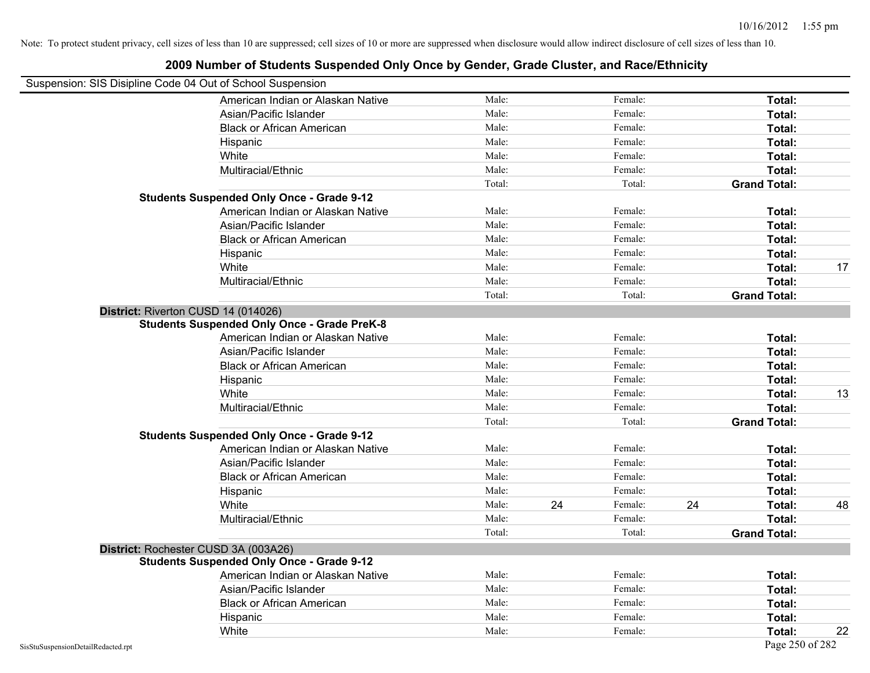## Suspension: SIS Disipline Code 04 Out of School Suspension American Indian or Alaskan Native **Male:** Male: Female: Female: **Total:** Total: Asian/Pacific Islander **Figure 1.1 Contained Asian** Male: Female: Female: **Total:** Total: Black or African American **American** Male: Male: Female: **Female: Total: Total: Total: Female: Total: Total: Total: Total: Total: Total: Total: Total: Total: Total: Total: Total: Total:** Hispanic **Total:** Male: Female: **Total:** Female: **Total:** Total: White **Total:** Male: Female: **Total:** Female: **Total:** Total: Multiracial/Ethnic **Total:** Male: Female: **Total:** Female: **Total:** Female: **Total:** Female: **Total:** Female: **Total:** Female: **Total:** Female: **Total:** Female: **Total:** Female: **Total:** Female: **Total:** Female: **Total:** F Total: Total: Total: **Grand Total: Students Suspended Only Once - Grade 9-12** American Indian or Alaskan Native **Male:** Male: Female: Female: **Total:** Total: Asian/Pacific Islander **Figure 1.1 Contact Contact Contact Contact Contact Contact Contact Contact Total: Total:** Black or African American **Figure 1.1 and Total:** Male: Female: Female: **Total:** Total: Hispanic **Total:** Male: Female: **Total:** Female: **Total:** Total: White **Male:** Male: **Total: 17** Male: **Total: 17** Male: **Total: 17** Male: 17 Multiracial/Ethnic **Total:** Male: Female: **Total:** Female: **Total:** Female: **Total:** Female: **Total:** Female: **Total:** Female: **Total:** Female: **Total:** Female: **Total:** Female: **Total:** Female: **Total:** Female: **Total:** F Total: Total: **Grand Total: District:** Riverton CUSD 14 (014026) **Students Suspended Only Once - Grade PreK-8** American Indian or Alaskan Native **Male:** Male: Female: Female: **Total:** Total: Asian/Pacific Islander **Figure 1.1 Contact 1.1 Contact 1.1 Contact 1.1 Contact 1.1 Contact 1.1 Contact 1.1 Contact 1.1 Contact 1.1 Contact 1.1 Contact 1.1 Contact 1.1 Contact 1.1 Contact 1.1 Contact 1.1 Contact 1.1 Contact** Black or African American **American** Male: Male: Female: **Female: Total: Total: Total: Female: Total: Total: Total: Total: Total: Total: Total: Total: Total: Total: Total: Total: Total:** Hispanic **Total:** Male: Female: **Total:** Female: **Total:** Total: White **Male:** Male: **Total: 13** Male: **Total: 13** Multiracial/Ethnic **Total:** Male: Male: Female: **Total:** Female: **Total:** Total: Total: Total: **Grand Total: Students Suspended Only Once - Grade 9-12** American Indian or Alaskan Native **Male:** Male: Female: Female: **Total:** Total: Asian/Pacific Islander **Figure 1.1 Contained Asian/Pacific Islander Female:** Female: **Total:** Total: Black or African American **Figure 1.1 and Total:** Male: Female: Female: **Total: Total:** Total: Hispanic **Total:** Male: Female: **Total:** Female: **Total:** Total: White **Male:** 24 Female: 24 Total: 48 Multiracial/Ethnic **Total:** Male: Female: **Total:** Female: **Total:** Female: **Total:** Total: Total: Total: **Grand Total: District:** Rochester CUSD 3A (003A26) **Students Suspended Only Once - Grade 9-12** American Indian or Alaskan Native **Male:** Male: Female: Female: **Total:** Total: Asian/Pacific Islander **Figure 1.1 Contained Asian** Male: Female: **Female: Total: Total: Total: Total: Total: Total: Total: Total: Total: Total: Total: Total: Total: Total: Total: Total: T** Black or African American **Figure 1.1 and Total:** Male: Female: Female: **Total:** Total: Hispanic **Total:** Male: Female: **Total:** Female: **Total:** Total: **Total:** Female: **Total:** Total: **Total:** Total: **Total:** Total: **Total:** Total: **Total:** Total: **Total:** Total: **Total:** Total: **Total:** Total: **Total:** Tot White **Male:** Male: **Total: 22** Male: **Total: 22** Male: **Total: 22** Male: **Total:** 22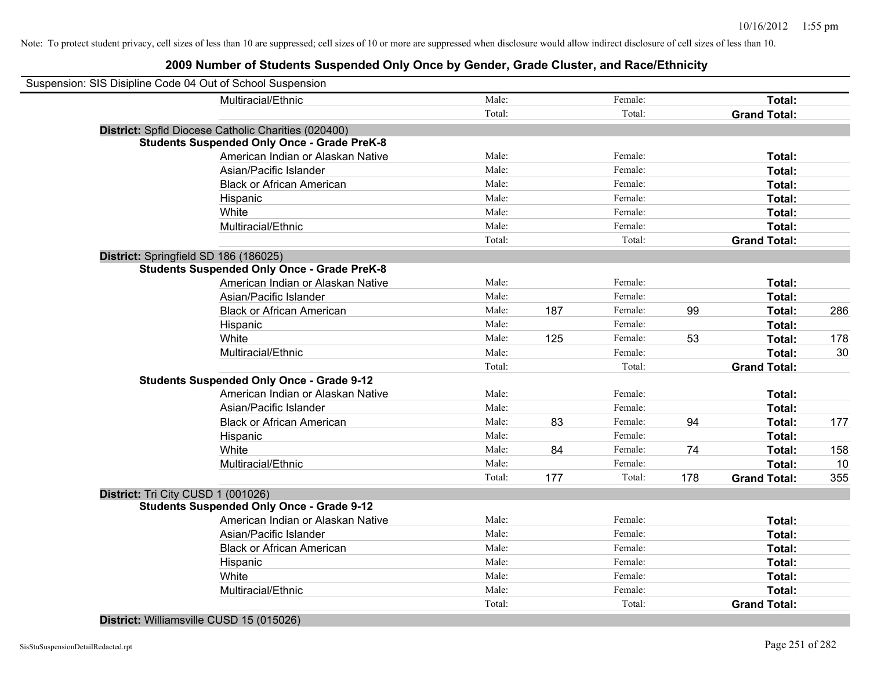### **2009 Number of Students Suspended Only Once by Gender, Grade Cluster, and Race/Ethnicity**

| Suspension: SIS Disipline Code 04 Out of School Suspension |                                                     |        |     |         |     |                     |     |
|------------------------------------------------------------|-----------------------------------------------------|--------|-----|---------|-----|---------------------|-----|
|                                                            | Multiracial/Ethnic                                  | Male:  |     | Female: |     | Total:              |     |
|                                                            |                                                     | Total: |     | Total:  |     | <b>Grand Total:</b> |     |
|                                                            | District: Spfld Diocese Catholic Charities (020400) |        |     |         |     |                     |     |
|                                                            | <b>Students Suspended Only Once - Grade PreK-8</b>  |        |     |         |     |                     |     |
|                                                            | American Indian or Alaskan Native                   | Male:  |     | Female: |     | Total:              |     |
|                                                            | Asian/Pacific Islander                              | Male:  |     | Female: |     | Total:              |     |
|                                                            | <b>Black or African American</b>                    | Male:  |     | Female: |     | Total:              |     |
|                                                            | Hispanic                                            | Male:  |     | Female: |     | Total:              |     |
|                                                            | White                                               | Male:  |     | Female: |     | Total:              |     |
|                                                            | Multiracial/Ethnic                                  | Male:  |     | Female: |     | Total:              |     |
|                                                            |                                                     | Total: |     | Total:  |     | <b>Grand Total:</b> |     |
| District: Springfield SD 186 (186025)                      |                                                     |        |     |         |     |                     |     |
|                                                            | <b>Students Suspended Only Once - Grade PreK-8</b>  |        |     |         |     |                     |     |
|                                                            | American Indian or Alaskan Native                   | Male:  |     | Female: |     | Total:              |     |
|                                                            | Asian/Pacific Islander                              | Male:  |     | Female: |     | Total:              |     |
|                                                            | <b>Black or African American</b>                    | Male:  | 187 | Female: | 99  | Total:              | 286 |
|                                                            | Hispanic                                            | Male:  |     | Female: |     | Total:              |     |
|                                                            | White                                               | Male:  | 125 | Female: | 53  | Total:              | 178 |
|                                                            | Multiracial/Ethnic                                  | Male:  |     | Female: |     | Total:              | 30  |
|                                                            |                                                     | Total: |     | Total:  |     | <b>Grand Total:</b> |     |
|                                                            | <b>Students Suspended Only Once - Grade 9-12</b>    |        |     |         |     |                     |     |
|                                                            | American Indian or Alaskan Native                   | Male:  |     | Female: |     | Total:              |     |
|                                                            | Asian/Pacific Islander                              | Male:  |     | Female: |     | Total:              |     |
|                                                            | <b>Black or African American</b>                    | Male:  | 83  | Female: | 94  | Total:              | 177 |
|                                                            | Hispanic                                            | Male:  |     | Female: |     | Total:              |     |
|                                                            | White                                               | Male:  | 84  | Female: | 74  | Total:              | 158 |
|                                                            | Multiracial/Ethnic                                  | Male:  |     | Female: |     | Total:              | 10  |
|                                                            |                                                     | Total: | 177 | Total:  | 178 | <b>Grand Total:</b> | 355 |
| District: Tri City CUSD 1 (001026)                         |                                                     |        |     |         |     |                     |     |
|                                                            | <b>Students Suspended Only Once - Grade 9-12</b>    |        |     |         |     |                     |     |
|                                                            | American Indian or Alaskan Native                   | Male:  |     | Female: |     | Total:              |     |
|                                                            | Asian/Pacific Islander                              | Male:  |     | Female: |     | Total:              |     |
|                                                            | <b>Black or African American</b>                    | Male:  |     | Female: |     | Total:              |     |
|                                                            | Hispanic                                            | Male:  |     | Female: |     | Total:              |     |
|                                                            | White                                               | Male:  |     | Female: |     | Total:              |     |
|                                                            | Multiracial/Ethnic                                  | Male:  |     | Female: |     | Total:              |     |
|                                                            |                                                     | Total: |     | Total:  |     | <b>Grand Total:</b> |     |

**District:** Williamsville CUSD 15 (015026)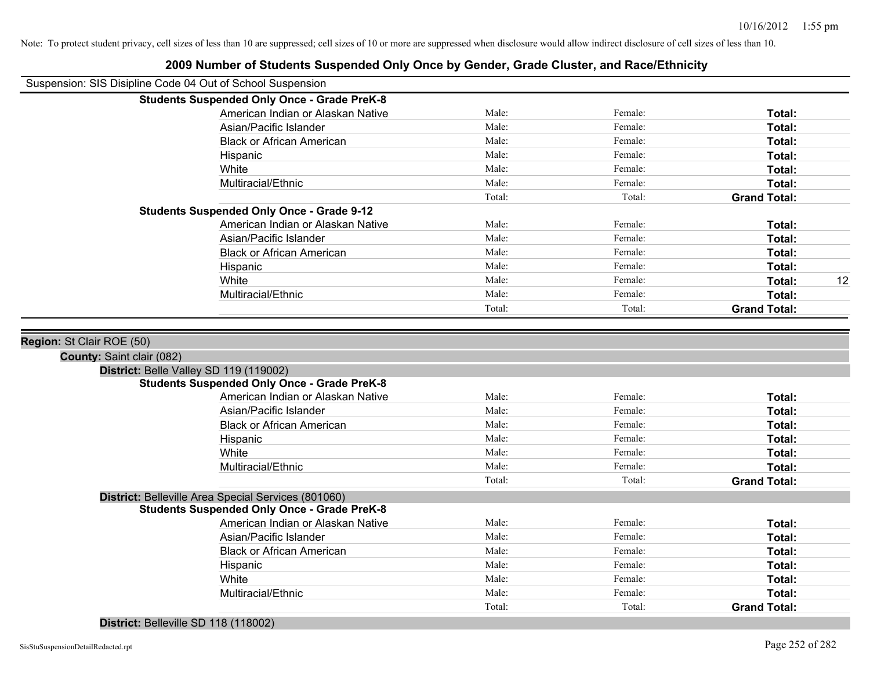| Suspension: SIS Disipline Code 04 Out of School Suspension |                                                     |        |         |                     |    |
|------------------------------------------------------------|-----------------------------------------------------|--------|---------|---------------------|----|
|                                                            | <b>Students Suspended Only Once - Grade PreK-8</b>  |        |         |                     |    |
|                                                            | American Indian or Alaskan Native                   | Male:  | Female: | Total:              |    |
|                                                            | Asian/Pacific Islander                              | Male:  | Female: | Total:              |    |
|                                                            | <b>Black or African American</b>                    | Male:  | Female: | Total:              |    |
|                                                            | Hispanic                                            | Male:  | Female: | Total:              |    |
|                                                            | White                                               | Male:  | Female: | Total:              |    |
|                                                            | Multiracial/Ethnic                                  | Male:  | Female: | Total:              |    |
|                                                            |                                                     | Total: | Total:  | <b>Grand Total:</b> |    |
|                                                            | <b>Students Suspended Only Once - Grade 9-12</b>    |        |         |                     |    |
|                                                            | American Indian or Alaskan Native                   | Male:  | Female: | Total:              |    |
|                                                            | Asian/Pacific Islander                              | Male:  | Female: | Total:              |    |
|                                                            | <b>Black or African American</b>                    | Male:  | Female: | Total:              |    |
|                                                            | Hispanic                                            | Male:  | Female: | Total:              |    |
|                                                            | White                                               | Male:  | Female: | Total:              | 12 |
|                                                            | Multiracial/Ethnic                                  | Male:  | Female: | Total:              |    |
|                                                            |                                                     | Total: | Total:  | <b>Grand Total:</b> |    |
| District: Belle Valley SD 119 (119002)                     |                                                     |        |         |                     |    |
|                                                            | <b>Students Suspended Only Once - Grade PreK-8</b>  |        |         |                     |    |
|                                                            | American Indian or Alaskan Native                   | Male:  | Female: | Total:              |    |
|                                                            | Asian/Pacific Islander                              | Male:  | Female: | Total:              |    |
|                                                            | <b>Black or African American</b>                    | Male:  | Female: | Total:              |    |
|                                                            | Hispanic                                            | Male:  | Female: | Total:              |    |
|                                                            | White                                               | Male:  | Female: | Total:              |    |
|                                                            | Multiracial/Ethnic                                  | Male:  | Female: | Total:              |    |
|                                                            |                                                     | Total: | Total:  | <b>Grand Total:</b> |    |
|                                                            | District: Belleville Area Special Services (801060) |        |         |                     |    |
|                                                            | <b>Students Suspended Only Once - Grade PreK-8</b>  |        |         |                     |    |
|                                                            | American Indian or Alaskan Native                   | Male:  | Female: | Total:              |    |
|                                                            | Asian/Pacific Islander                              | Male:  | Female: | Total:              |    |
|                                                            | <b>Black or African American</b>                    | Male:  | Female: | Total:              |    |
|                                                            | Hispanic                                            | Male:  | Female: | Total:              |    |
|                                                            | White                                               | Male:  | Female: | Total:              |    |
|                                                            | Multiracial/Ethnic                                  | Male:  | Female: | Total:              |    |
|                                                            |                                                     | Total: | Total:  | <b>Grand Total:</b> |    |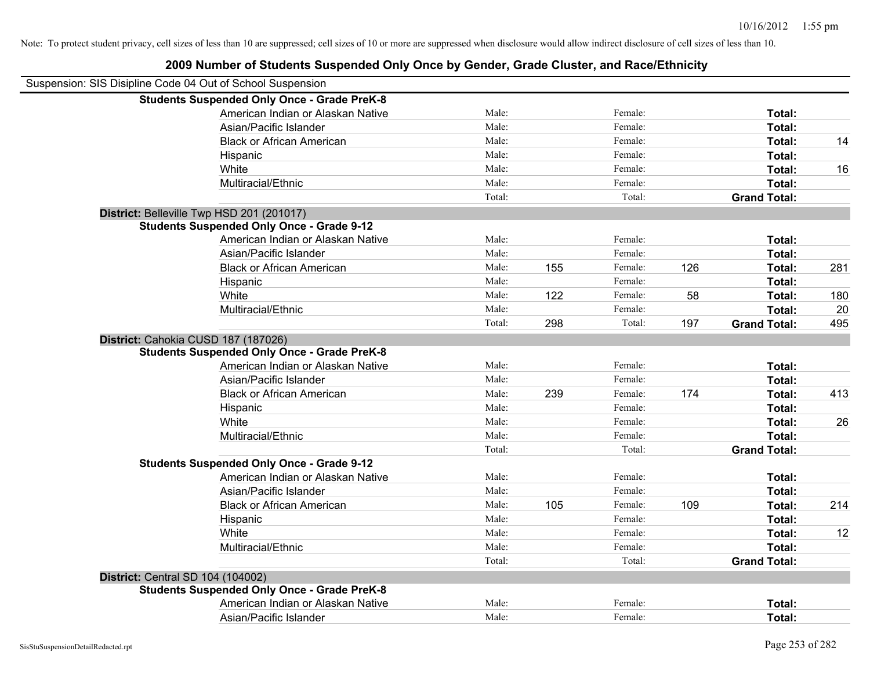| Suspension: SIS Disipline Code 04 Out of School Suspension |                                                    |        |     |         |     |                     |     |
|------------------------------------------------------------|----------------------------------------------------|--------|-----|---------|-----|---------------------|-----|
|                                                            | <b>Students Suspended Only Once - Grade PreK-8</b> |        |     |         |     |                     |     |
|                                                            | American Indian or Alaskan Native                  | Male:  |     | Female: |     | Total:              |     |
|                                                            | Asian/Pacific Islander                             | Male:  |     | Female: |     | Total:              |     |
|                                                            | <b>Black or African American</b>                   | Male:  |     | Female: |     | Total:              | 14  |
|                                                            | Hispanic                                           | Male:  |     | Female: |     | Total:              |     |
|                                                            | White                                              | Male:  |     | Female: |     | Total:              | 16  |
|                                                            | Multiracial/Ethnic                                 | Male:  |     | Female: |     | Total:              |     |
|                                                            |                                                    | Total: |     | Total:  |     | <b>Grand Total:</b> |     |
|                                                            | District: Belleville Twp HSD 201 (201017)          |        |     |         |     |                     |     |
|                                                            | <b>Students Suspended Only Once - Grade 9-12</b>   |        |     |         |     |                     |     |
|                                                            | American Indian or Alaskan Native                  | Male:  |     | Female: |     | Total:              |     |
|                                                            | Asian/Pacific Islander                             | Male:  |     | Female: |     | Total:              |     |
|                                                            | <b>Black or African American</b>                   | Male:  | 155 | Female: | 126 | Total:              | 281 |
|                                                            | Hispanic                                           | Male:  |     | Female: |     | Total:              |     |
|                                                            | White                                              | Male:  | 122 | Female: | 58  | Total:              | 180 |
|                                                            | Multiracial/Ethnic                                 | Male:  |     | Female: |     | Total:              | 20  |
|                                                            |                                                    | Total: | 298 | Total:  | 197 | <b>Grand Total:</b> | 495 |
| District: Cahokia CUSD 187 (187026)                        |                                                    |        |     |         |     |                     |     |
|                                                            | <b>Students Suspended Only Once - Grade PreK-8</b> |        |     |         |     |                     |     |
|                                                            | American Indian or Alaskan Native                  | Male:  |     | Female: |     | Total:              |     |
|                                                            | Asian/Pacific Islander                             | Male:  |     | Female: |     | Total:              |     |
|                                                            | <b>Black or African American</b>                   | Male:  | 239 | Female: | 174 | Total:              | 413 |
|                                                            | Hispanic                                           | Male:  |     | Female: |     | Total:              |     |
|                                                            | White                                              | Male:  |     | Female: |     | Total:              | 26  |
|                                                            | Multiracial/Ethnic                                 | Male:  |     | Female: |     | Total:              |     |
|                                                            |                                                    | Total: |     | Total:  |     | <b>Grand Total:</b> |     |
|                                                            | <b>Students Suspended Only Once - Grade 9-12</b>   |        |     |         |     |                     |     |
|                                                            | American Indian or Alaskan Native                  | Male:  |     | Female: |     | Total:              |     |
|                                                            | Asian/Pacific Islander                             | Male:  |     | Female: |     | Total:              |     |
|                                                            | <b>Black or African American</b>                   | Male:  | 105 | Female: | 109 | Total:              | 214 |
|                                                            | Hispanic                                           | Male:  |     | Female: |     | Total:              |     |
|                                                            | White                                              | Male:  |     | Female: |     | Total:              | 12  |
|                                                            | Multiracial/Ethnic                                 | Male:  |     | Female: |     | Total:              |     |
|                                                            |                                                    | Total: |     | Total:  |     | <b>Grand Total:</b> |     |
| <b>District: Central SD 104 (104002)</b>                   |                                                    |        |     |         |     |                     |     |
|                                                            | <b>Students Suspended Only Once - Grade PreK-8</b> |        |     |         |     |                     |     |
|                                                            | American Indian or Alaskan Native                  | Male:  |     | Female: |     | <b>Total:</b>       |     |
|                                                            | Asian/Pacific Islander                             | Male:  |     | Female: |     | Total:              |     |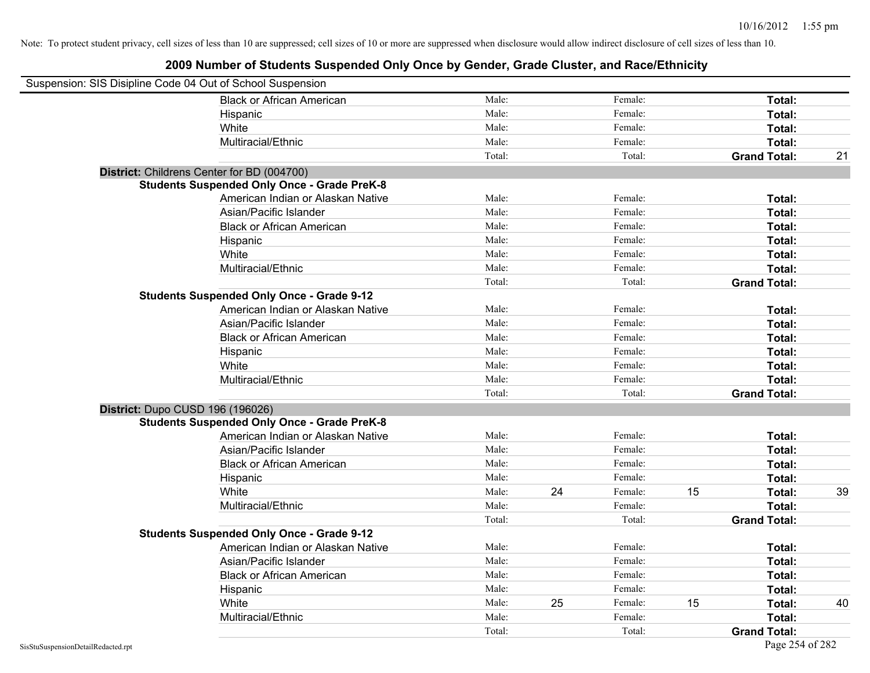| Suspension: SIS Disipline Code 04 Out of School Suspension |                                                    |        |    |         |    |                     |    |
|------------------------------------------------------------|----------------------------------------------------|--------|----|---------|----|---------------------|----|
|                                                            | <b>Black or African American</b>                   | Male:  |    | Female: |    | Total:              |    |
|                                                            | Hispanic                                           | Male:  |    | Female: |    | Total:              |    |
|                                                            | White                                              | Male:  |    | Female: |    | Total:              |    |
|                                                            | Multiracial/Ethnic                                 | Male:  |    | Female: |    | Total:              |    |
|                                                            |                                                    | Total: |    | Total:  |    | <b>Grand Total:</b> | 21 |
| District: Childrens Center for BD (004700)                 |                                                    |        |    |         |    |                     |    |
|                                                            | <b>Students Suspended Only Once - Grade PreK-8</b> |        |    |         |    |                     |    |
|                                                            | American Indian or Alaskan Native                  | Male:  |    | Female: |    | Total:              |    |
|                                                            | Asian/Pacific Islander                             | Male:  |    | Female: |    | Total:              |    |
|                                                            | <b>Black or African American</b>                   | Male:  |    | Female: |    | Total:              |    |
|                                                            | Hispanic                                           | Male:  |    | Female: |    | Total:              |    |
|                                                            | White                                              | Male:  |    | Female: |    | Total:              |    |
|                                                            | Multiracial/Ethnic                                 | Male:  |    | Female: |    | Total:              |    |
|                                                            |                                                    | Total: |    | Total:  |    | <b>Grand Total:</b> |    |
|                                                            | <b>Students Suspended Only Once - Grade 9-12</b>   |        |    |         |    |                     |    |
|                                                            | American Indian or Alaskan Native                  | Male:  |    | Female: |    | Total:              |    |
|                                                            | Asian/Pacific Islander                             | Male:  |    | Female: |    | Total:              |    |
|                                                            | <b>Black or African American</b>                   | Male:  |    | Female: |    | Total:              |    |
|                                                            | Hispanic                                           | Male:  |    | Female: |    | Total:              |    |
|                                                            | White                                              | Male:  |    | Female: |    | Total:              |    |
|                                                            | Multiracial/Ethnic                                 | Male:  |    | Female: |    | Total:              |    |
|                                                            |                                                    | Total: |    | Total:  |    | <b>Grand Total:</b> |    |
| District: Dupo CUSD 196 (196026)                           |                                                    |        |    |         |    |                     |    |
|                                                            | <b>Students Suspended Only Once - Grade PreK-8</b> |        |    |         |    |                     |    |
|                                                            | American Indian or Alaskan Native                  | Male:  |    | Female: |    | Total:              |    |
|                                                            | Asian/Pacific Islander                             | Male:  |    | Female: |    | Total:              |    |
|                                                            | <b>Black or African American</b>                   | Male:  |    | Female: |    | Total:              |    |
|                                                            | Hispanic                                           | Male:  |    | Female: |    | Total:              |    |
|                                                            | White                                              | Male:  | 24 | Female: | 15 | Total:              | 39 |
|                                                            | Multiracial/Ethnic                                 | Male:  |    | Female: |    | Total:              |    |
|                                                            |                                                    | Total: |    | Total:  |    | <b>Grand Total:</b> |    |
|                                                            | <b>Students Suspended Only Once - Grade 9-12</b>   |        |    |         |    |                     |    |
|                                                            | American Indian or Alaskan Native                  | Male:  |    | Female: |    | Total:              |    |
|                                                            | Asian/Pacific Islander                             | Male:  |    | Female: |    | Total:              |    |
|                                                            | <b>Black or African American</b>                   | Male:  |    | Female: |    | Total:              |    |
|                                                            | Hispanic                                           | Male:  |    | Female: |    | Total:              |    |
|                                                            | White                                              | Male:  | 25 | Female: | 15 | Total:              | 40 |
|                                                            | Multiracial/Ethnic                                 | Male:  |    | Female: |    | Total:              |    |
|                                                            |                                                    | Total: |    | Total:  |    | <b>Grand Total:</b> |    |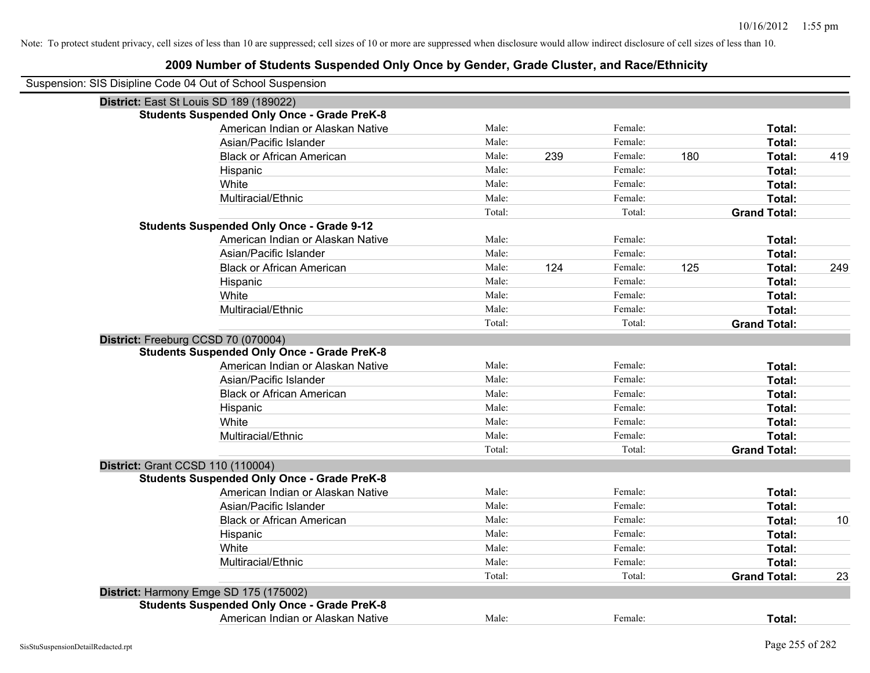| Suspension: SIS Disipline Code 04 Out of School Suspension |                                                    |        |     |         |     |                     |     |
|------------------------------------------------------------|----------------------------------------------------|--------|-----|---------|-----|---------------------|-----|
| District: East St Louis SD 189 (189022)                    |                                                    |        |     |         |     |                     |     |
|                                                            | <b>Students Suspended Only Once - Grade PreK-8</b> |        |     |         |     |                     |     |
|                                                            | American Indian or Alaskan Native                  | Male:  |     | Female: |     | Total:              |     |
|                                                            | Asian/Pacific Islander                             | Male:  |     | Female: |     | Total:              |     |
|                                                            | <b>Black or African American</b>                   | Male:  | 239 | Female: | 180 | Total:              | 419 |
|                                                            | Hispanic                                           | Male:  |     | Female: |     | Total:              |     |
|                                                            | White                                              | Male:  |     | Female: |     | Total:              |     |
|                                                            | Multiracial/Ethnic                                 | Male:  |     | Female: |     | Total:              |     |
|                                                            |                                                    | Total: |     | Total:  |     | <b>Grand Total:</b> |     |
|                                                            | <b>Students Suspended Only Once - Grade 9-12</b>   |        |     |         |     |                     |     |
|                                                            | American Indian or Alaskan Native                  | Male:  |     | Female: |     | Total:              |     |
|                                                            | Asian/Pacific Islander                             | Male:  |     | Female: |     | Total:              |     |
|                                                            | <b>Black or African American</b>                   | Male:  | 124 | Female: | 125 | Total:              | 249 |
|                                                            | Hispanic                                           | Male:  |     | Female: |     | Total:              |     |
|                                                            | White                                              | Male:  |     | Female: |     | Total:              |     |
|                                                            | Multiracial/Ethnic                                 | Male:  |     | Female: |     | Total:              |     |
|                                                            |                                                    | Total: |     | Total:  |     | <b>Grand Total:</b> |     |
| District: Freeburg CCSD 70 (070004)                        |                                                    |        |     |         |     |                     |     |
|                                                            | <b>Students Suspended Only Once - Grade PreK-8</b> |        |     |         |     |                     |     |
|                                                            | American Indian or Alaskan Native                  | Male:  |     | Female: |     | Total:              |     |
|                                                            | Asian/Pacific Islander                             | Male:  |     | Female: |     | Total:              |     |
|                                                            | <b>Black or African American</b>                   | Male:  |     | Female: |     | Total:              |     |
|                                                            | Hispanic                                           | Male:  |     | Female: |     | Total:              |     |
|                                                            | White                                              | Male:  |     | Female: |     | Total:              |     |
|                                                            | Multiracial/Ethnic                                 | Male:  |     | Female: |     | Total:              |     |
|                                                            |                                                    | Total: |     | Total:  |     | <b>Grand Total:</b> |     |
| <b>District: Grant CCSD 110 (110004)</b>                   |                                                    |        |     |         |     |                     |     |
|                                                            | <b>Students Suspended Only Once - Grade PreK-8</b> |        |     |         |     |                     |     |
|                                                            | American Indian or Alaskan Native                  | Male:  |     | Female: |     | Total:              |     |
|                                                            | Asian/Pacific Islander                             | Male:  |     | Female: |     | Total:              |     |
|                                                            | <b>Black or African American</b>                   | Male:  |     | Female: |     | Total:              | 10  |
|                                                            | Hispanic                                           | Male:  |     | Female: |     | Total:              |     |
|                                                            | White                                              | Male:  |     | Female: |     | Total:              |     |
|                                                            | Multiracial/Ethnic                                 | Male:  |     | Female: |     | Total:              |     |
|                                                            |                                                    | Total: |     | Total:  |     | <b>Grand Total:</b> | 23  |
| District: Harmony Emge SD 175 (175002)                     |                                                    |        |     |         |     |                     |     |
|                                                            | <b>Students Suspended Only Once - Grade PreK-8</b> |        |     |         |     |                     |     |
|                                                            | American Indian or Alaskan Native                  | Male:  |     | Female: |     | Total:              |     |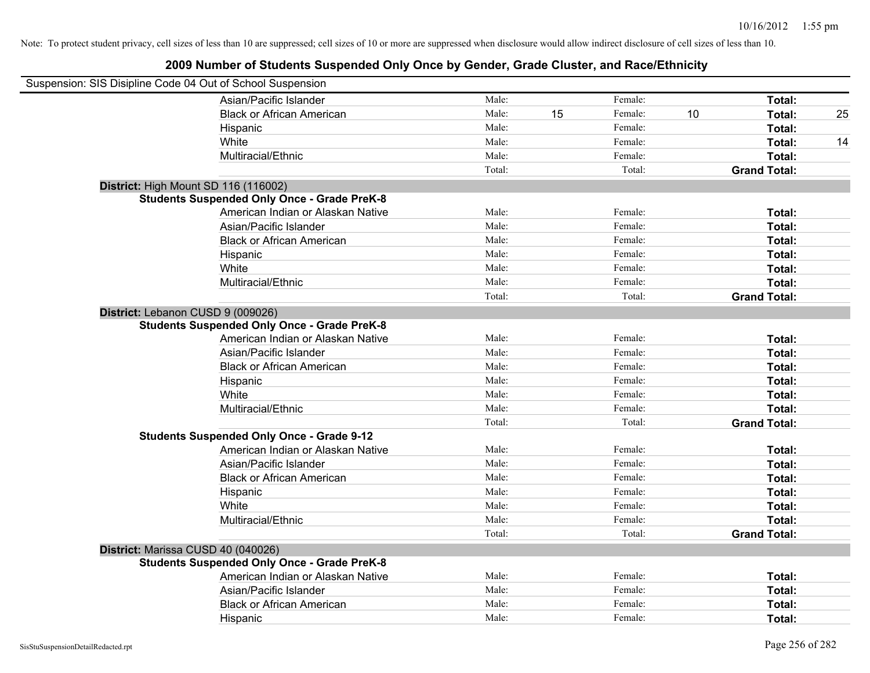| Suspension: SIS Disipline Code 04 Out of School Suspension |                                                    |        |    |         |    |                     |    |
|------------------------------------------------------------|----------------------------------------------------|--------|----|---------|----|---------------------|----|
|                                                            | Asian/Pacific Islander                             | Male:  |    | Female: |    | Total:              |    |
|                                                            | <b>Black or African American</b>                   | Male:  | 15 | Female: | 10 | Total:              | 25 |
|                                                            | Hispanic                                           | Male:  |    | Female: |    | Total:              |    |
|                                                            | White                                              | Male:  |    | Female: |    | Total:              | 14 |
|                                                            | Multiracial/Ethnic                                 | Male:  |    | Female: |    | Total:              |    |
|                                                            |                                                    | Total: |    | Total:  |    | <b>Grand Total:</b> |    |
| District: High Mount SD 116 (116002)                       |                                                    |        |    |         |    |                     |    |
|                                                            | <b>Students Suspended Only Once - Grade PreK-8</b> |        |    |         |    |                     |    |
|                                                            | American Indian or Alaskan Native                  | Male:  |    | Female: |    | Total:              |    |
|                                                            | Asian/Pacific Islander                             | Male:  |    | Female: |    | Total:              |    |
|                                                            | <b>Black or African American</b>                   | Male:  |    | Female: |    | Total:              |    |
|                                                            | Hispanic                                           | Male:  |    | Female: |    | Total:              |    |
|                                                            | White                                              | Male:  |    | Female: |    | Total:              |    |
|                                                            | Multiracial/Ethnic                                 | Male:  |    | Female: |    | Total:              |    |
|                                                            |                                                    | Total: |    | Total:  |    | <b>Grand Total:</b> |    |
| District: Lebanon CUSD 9 (009026)                          |                                                    |        |    |         |    |                     |    |
|                                                            | <b>Students Suspended Only Once - Grade PreK-8</b> |        |    |         |    |                     |    |
|                                                            | American Indian or Alaskan Native                  | Male:  |    | Female: |    | Total:              |    |
|                                                            | Asian/Pacific Islander                             | Male:  |    | Female: |    | Total:              |    |
|                                                            | <b>Black or African American</b>                   | Male:  |    | Female: |    | Total:              |    |
|                                                            | Hispanic                                           | Male:  |    | Female: |    | Total:              |    |
|                                                            | White                                              | Male:  |    | Female: |    | Total:              |    |
|                                                            | Multiracial/Ethnic                                 | Male:  |    | Female: |    | Total:              |    |
|                                                            |                                                    | Total: |    | Total:  |    | <b>Grand Total:</b> |    |
|                                                            | <b>Students Suspended Only Once - Grade 9-12</b>   |        |    |         |    |                     |    |
|                                                            | American Indian or Alaskan Native                  | Male:  |    | Female: |    | Total:              |    |
|                                                            | Asian/Pacific Islander                             | Male:  |    | Female: |    | Total:              |    |
|                                                            | <b>Black or African American</b>                   | Male:  |    | Female: |    | Total:              |    |
|                                                            | Hispanic                                           | Male:  |    | Female: |    | Total:              |    |
|                                                            | White                                              | Male:  |    | Female: |    | Total:              |    |
|                                                            | Multiracial/Ethnic                                 | Male:  |    | Female: |    | Total:              |    |
|                                                            |                                                    | Total: |    | Total:  |    | <b>Grand Total:</b> |    |
| District: Marissa CUSD 40 (040026)                         |                                                    |        |    |         |    |                     |    |
|                                                            | <b>Students Suspended Only Once - Grade PreK-8</b> |        |    |         |    |                     |    |
|                                                            | American Indian or Alaskan Native                  | Male:  |    | Female: |    | Total:              |    |
|                                                            | Asian/Pacific Islander                             | Male:  |    | Female: |    | Total:              |    |
|                                                            | <b>Black or African American</b>                   | Male:  |    | Female: |    | Total:              |    |
|                                                            | Hispanic                                           | Male:  |    | Female: |    | Total:              |    |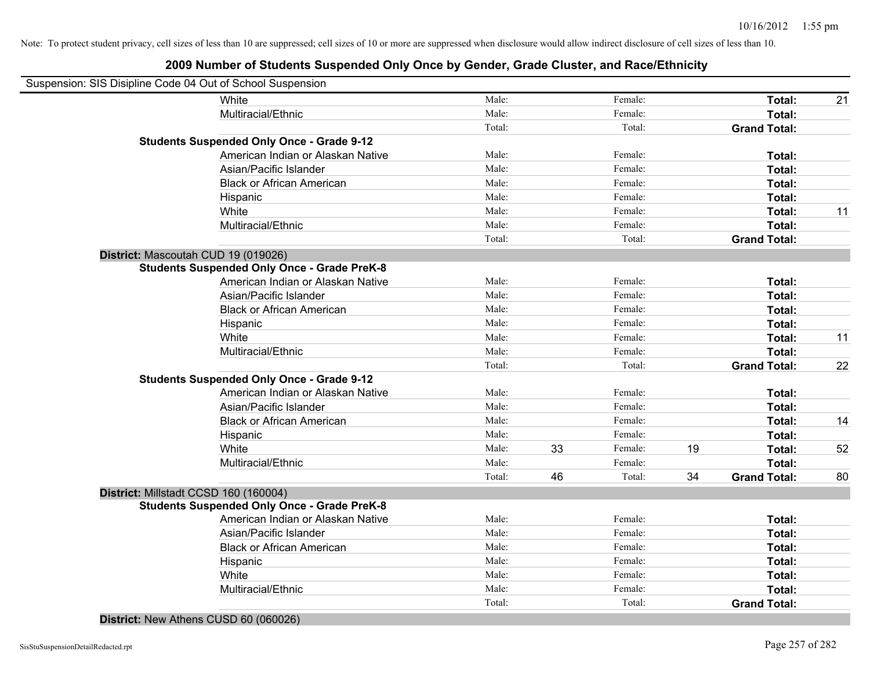| Suspension: SIS Disipline Code 04 Out of School Suspension |                                                    |        |    |         |    |                     |    |
|------------------------------------------------------------|----------------------------------------------------|--------|----|---------|----|---------------------|----|
|                                                            | White                                              | Male:  |    | Female: |    | Total:              | 21 |
|                                                            | Multiracial/Ethnic                                 | Male:  |    | Female: |    | Total:              |    |
|                                                            |                                                    | Total: |    | Total:  |    | <b>Grand Total:</b> |    |
|                                                            | <b>Students Suspended Only Once - Grade 9-12</b>   |        |    |         |    |                     |    |
|                                                            | American Indian or Alaskan Native                  | Male:  |    | Female: |    | Total:              |    |
|                                                            | Asian/Pacific Islander                             | Male:  |    | Female: |    | Total:              |    |
|                                                            | <b>Black or African American</b>                   | Male:  |    | Female: |    | Total:              |    |
|                                                            | Hispanic                                           | Male:  |    | Female: |    | Total:              |    |
|                                                            | White                                              | Male:  |    | Female: |    | Total:              | 11 |
|                                                            | Multiracial/Ethnic                                 | Male:  |    | Female: |    | Total:              |    |
|                                                            |                                                    | Total: |    | Total:  |    | <b>Grand Total:</b> |    |
|                                                            | District: Mascoutah CUD 19 (019026)                |        |    |         |    |                     |    |
|                                                            | <b>Students Suspended Only Once - Grade PreK-8</b> |        |    |         |    |                     |    |
|                                                            | American Indian or Alaskan Native                  | Male:  |    | Female: |    | Total:              |    |
|                                                            | Asian/Pacific Islander                             | Male:  |    | Female: |    | Total:              |    |
|                                                            | <b>Black or African American</b>                   | Male:  |    | Female: |    | Total:              |    |
|                                                            | Hispanic                                           | Male:  |    | Female: |    | Total:              |    |
|                                                            | White                                              | Male:  |    | Female: |    | Total:              | 11 |
|                                                            | Multiracial/Ethnic                                 | Male:  |    | Female: |    | Total:              |    |
|                                                            |                                                    | Total: |    | Total:  |    | <b>Grand Total:</b> | 22 |
|                                                            | <b>Students Suspended Only Once - Grade 9-12</b>   |        |    |         |    |                     |    |
|                                                            | American Indian or Alaskan Native                  | Male:  |    | Female: |    | Total:              |    |
|                                                            | Asian/Pacific Islander                             | Male:  |    | Female: |    | Total:              |    |
|                                                            | <b>Black or African American</b>                   | Male:  |    | Female: |    | Total:              | 14 |
|                                                            | Hispanic                                           | Male:  |    | Female: |    | Total:              |    |
|                                                            | White                                              | Male:  | 33 | Female: | 19 | Total:              | 52 |
|                                                            | Multiracial/Ethnic                                 | Male:  |    | Female: |    | Total:              |    |
|                                                            |                                                    | Total: | 46 | Total:  | 34 | <b>Grand Total:</b> | 80 |
|                                                            | District: Millstadt CCSD 160 (160004)              |        |    |         |    |                     |    |
|                                                            | <b>Students Suspended Only Once - Grade PreK-8</b> |        |    |         |    |                     |    |
|                                                            | American Indian or Alaskan Native                  | Male:  |    | Female: |    | Total:              |    |
|                                                            | Asian/Pacific Islander                             | Male:  |    | Female: |    | Total:              |    |
|                                                            | <b>Black or African American</b>                   | Male:  |    | Female: |    | Total:              |    |
|                                                            | Hispanic                                           | Male:  |    | Female: |    | Total:              |    |
|                                                            | White                                              | Male:  |    | Female: |    | Total:              |    |
|                                                            | Multiracial/Ethnic                                 | Male:  |    | Female: |    | Total:              |    |
|                                                            |                                                    | Total: |    | Total:  |    | <b>Grand Total:</b> |    |
|                                                            | District: New Athens CUSD 60 (060026)              |        |    |         |    |                     |    |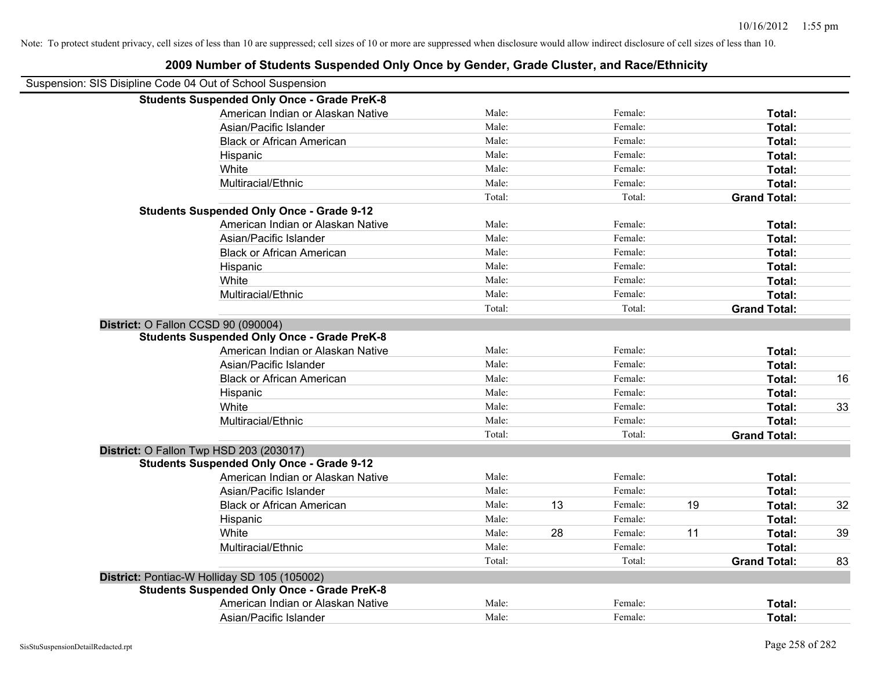| Suspension: SIS Disipline Code 04 Out of School Suspension |        |    |         |    |                     |    |
|------------------------------------------------------------|--------|----|---------|----|---------------------|----|
| <b>Students Suspended Only Once - Grade PreK-8</b>         |        |    |         |    |                     |    |
| American Indian or Alaskan Native                          | Male:  |    | Female: |    | Total:              |    |
| Asian/Pacific Islander                                     | Male:  |    | Female: |    | Total:              |    |
| <b>Black or African American</b>                           | Male:  |    | Female: |    | Total:              |    |
| Hispanic                                                   | Male:  |    | Female: |    | Total:              |    |
| White                                                      | Male:  |    | Female: |    | Total:              |    |
| Multiracial/Ethnic                                         | Male:  |    | Female: |    | Total:              |    |
|                                                            | Total: |    | Total:  |    | <b>Grand Total:</b> |    |
| <b>Students Suspended Only Once - Grade 9-12</b>           |        |    |         |    |                     |    |
| American Indian or Alaskan Native                          | Male:  |    | Female: |    | Total:              |    |
| Asian/Pacific Islander                                     | Male:  |    | Female: |    | Total:              |    |
| <b>Black or African American</b>                           | Male:  |    | Female: |    | Total:              |    |
| Hispanic                                                   | Male:  |    | Female: |    | Total:              |    |
| White                                                      | Male:  |    | Female: |    | Total:              |    |
| Multiracial/Ethnic                                         | Male:  |    | Female: |    | Total:              |    |
|                                                            | Total: |    | Total:  |    | <b>Grand Total:</b> |    |
| District: O Fallon CCSD 90 (090004)                        |        |    |         |    |                     |    |
| <b>Students Suspended Only Once - Grade PreK-8</b>         |        |    |         |    |                     |    |
| American Indian or Alaskan Native                          | Male:  |    | Female: |    | Total:              |    |
| Asian/Pacific Islander                                     | Male:  |    | Female: |    | Total:              |    |
| <b>Black or African American</b>                           | Male:  |    | Female: |    | Total:              | 16 |
| Hispanic                                                   | Male:  |    | Female: |    | Total:              |    |
| White                                                      | Male:  |    | Female: |    | Total:              | 33 |
| Multiracial/Ethnic                                         | Male:  |    | Female: |    | Total:              |    |
|                                                            | Total: |    | Total:  |    | <b>Grand Total:</b> |    |
| District: O Fallon Twp HSD 203 (203017)                    |        |    |         |    |                     |    |
| <b>Students Suspended Only Once - Grade 9-12</b>           |        |    |         |    |                     |    |
| American Indian or Alaskan Native                          | Male:  |    | Female: |    | Total:              |    |
| Asian/Pacific Islander                                     | Male:  |    | Female: |    | Total:              |    |
| <b>Black or African American</b>                           | Male:  | 13 | Female: | 19 | Total:              | 32 |
| Hispanic                                                   | Male:  |    | Female: |    | Total:              |    |
| White                                                      | Male:  | 28 | Female: | 11 | Total:              | 39 |
| Multiracial/Ethnic                                         | Male:  |    | Female: |    | Total:              |    |
|                                                            | Total: |    | Total:  |    | <b>Grand Total:</b> | 83 |
| District: Pontiac-W Holliday SD 105 (105002)               |        |    |         |    |                     |    |
| <b>Students Suspended Only Once - Grade PreK-8</b>         |        |    |         |    |                     |    |
| American Indian or Alaskan Native                          | Male:  |    | Female: |    | Total:              |    |
| Asian/Pacific Islander                                     | Male:  |    | Female: |    | Total:              |    |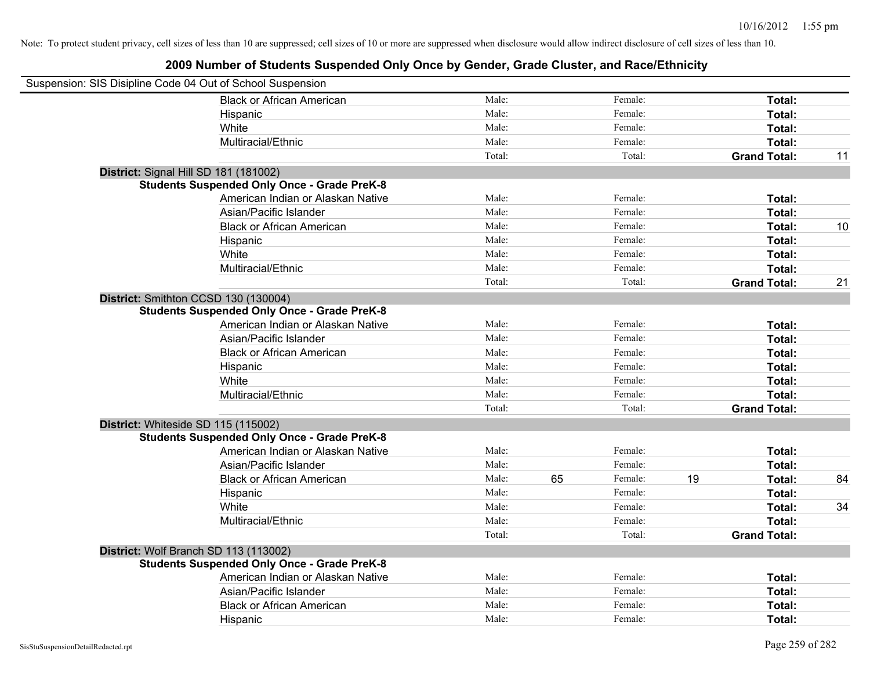| Suspension: SIS Disipline Code 04 Out of School Suspension |        |    |         |    |                     |    |
|------------------------------------------------------------|--------|----|---------|----|---------------------|----|
| <b>Black or African American</b>                           | Male:  |    | Female: |    | Total:              |    |
| Hispanic                                                   | Male:  |    | Female: |    | Total:              |    |
| White                                                      | Male:  |    | Female: |    | Total:              |    |
| Multiracial/Ethnic                                         | Male:  |    | Female: |    | Total:              |    |
|                                                            | Total: |    | Total:  |    | <b>Grand Total:</b> | 11 |
| District: Signal Hill SD 181 (181002)                      |        |    |         |    |                     |    |
| <b>Students Suspended Only Once - Grade PreK-8</b>         |        |    |         |    |                     |    |
| American Indian or Alaskan Native                          | Male:  |    | Female: |    | Total:              |    |
| Asian/Pacific Islander                                     | Male:  |    | Female: |    | Total:              |    |
| <b>Black or African American</b>                           | Male:  |    | Female: |    | Total:              | 10 |
| Hispanic                                                   | Male:  |    | Female: |    | Total:              |    |
| White                                                      | Male:  |    | Female: |    | Total:              |    |
| Multiracial/Ethnic                                         | Male:  |    | Female: |    | Total:              |    |
|                                                            | Total: |    | Total:  |    | <b>Grand Total:</b> | 21 |
| District: Smithton CCSD 130 (130004)                       |        |    |         |    |                     |    |
| <b>Students Suspended Only Once - Grade PreK-8</b>         |        |    |         |    |                     |    |
| American Indian or Alaskan Native                          | Male:  |    | Female: |    | Total:              |    |
| Asian/Pacific Islander                                     | Male:  |    | Female: |    | Total:              |    |
| <b>Black or African American</b>                           | Male:  |    | Female: |    | Total:              |    |
| Hispanic                                                   | Male:  |    | Female: |    | Total:              |    |
| White                                                      | Male:  |    | Female: |    | Total:              |    |
| Multiracial/Ethnic                                         | Male:  |    | Female: |    | Total:              |    |
|                                                            | Total: |    | Total:  |    | <b>Grand Total:</b> |    |
| District: Whiteside SD 115 (115002)                        |        |    |         |    |                     |    |
| <b>Students Suspended Only Once - Grade PreK-8</b>         |        |    |         |    |                     |    |
| American Indian or Alaskan Native                          | Male:  |    | Female: |    | Total:              |    |
| Asian/Pacific Islander                                     | Male:  |    | Female: |    | Total:              |    |
| <b>Black or African American</b>                           | Male:  | 65 | Female: | 19 | Total:              | 84 |
| Hispanic                                                   | Male:  |    | Female: |    | Total:              |    |
| White                                                      | Male:  |    | Female: |    | Total:              | 34 |
| Multiracial/Ethnic                                         | Male:  |    | Female: |    | Total:              |    |
|                                                            | Total: |    | Total:  |    | <b>Grand Total:</b> |    |
| District: Wolf Branch SD 113 (113002)                      |        |    |         |    |                     |    |
| <b>Students Suspended Only Once - Grade PreK-8</b>         |        |    |         |    |                     |    |
| American Indian or Alaskan Native                          | Male:  |    | Female: |    | Total:              |    |
| Asian/Pacific Islander                                     | Male:  |    | Female: |    | Total:              |    |
| <b>Black or African American</b>                           | Male:  |    | Female: |    | Total:              |    |
| Hispanic                                                   | Male:  |    | Female: |    | Total:              |    |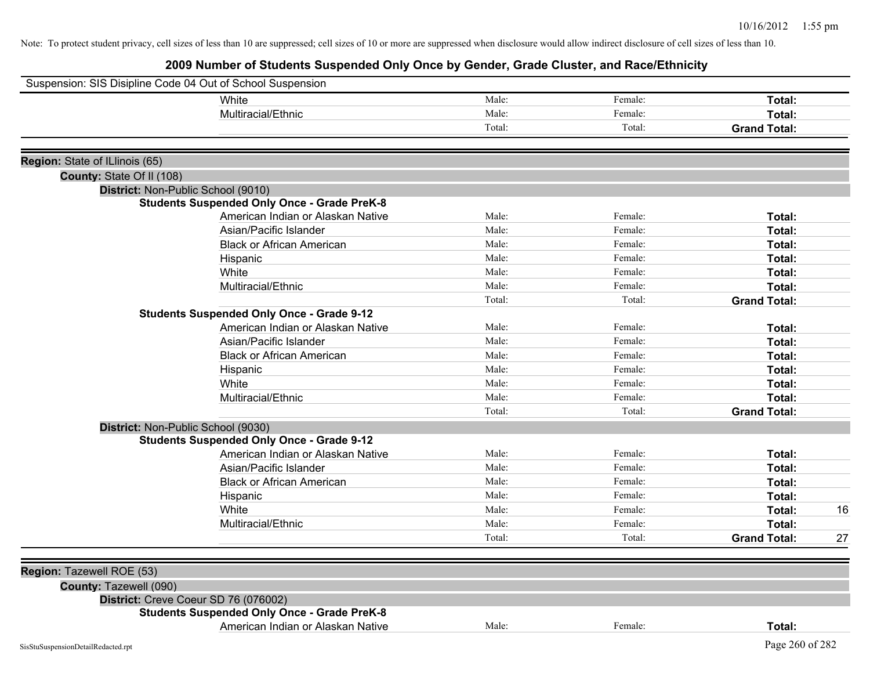| Suspension: SIS Disipline Code 04 Out of School Suspension |                                                    |        |         |                     |    |
|------------------------------------------------------------|----------------------------------------------------|--------|---------|---------------------|----|
|                                                            | White                                              | Male:  | Female: | Total:              |    |
|                                                            | Multiracial/Ethnic                                 | Male:  | Female: | Total:              |    |
|                                                            |                                                    | Total: | Total:  | <b>Grand Total:</b> |    |
| Region: State of ILlinois (65)                             |                                                    |        |         |                     |    |
| County: State Of II (108)                                  |                                                    |        |         |                     |    |
| District: Non-Public School (9010)                         |                                                    |        |         |                     |    |
|                                                            | <b>Students Suspended Only Once - Grade PreK-8</b> |        |         |                     |    |
|                                                            | American Indian or Alaskan Native                  | Male:  | Female: | Total:              |    |
|                                                            | Asian/Pacific Islander                             | Male:  | Female: | Total:              |    |
|                                                            | <b>Black or African American</b>                   | Male:  | Female: | Total:              |    |
|                                                            | Hispanic                                           | Male:  | Female: | Total:              |    |
|                                                            | White                                              | Male:  | Female: | Total:              |    |
|                                                            | Multiracial/Ethnic                                 | Male:  | Female: | Total:              |    |
|                                                            |                                                    | Total: | Total:  | <b>Grand Total:</b> |    |
|                                                            | <b>Students Suspended Only Once - Grade 9-12</b>   |        |         |                     |    |
|                                                            | American Indian or Alaskan Native                  | Male:  | Female: | Total:              |    |
|                                                            | Asian/Pacific Islander                             | Male:  | Female: | Total:              |    |
|                                                            | <b>Black or African American</b>                   | Male:  | Female: | Total:              |    |
|                                                            | Hispanic                                           | Male:  | Female: | Total:              |    |
|                                                            | White                                              | Male:  | Female: | Total:              |    |
|                                                            | Multiracial/Ethnic                                 | Male:  | Female: | Total:              |    |
|                                                            |                                                    | Total: | Total:  | <b>Grand Total:</b> |    |
| District: Non-Public School (9030)                         |                                                    |        |         |                     |    |
|                                                            | <b>Students Suspended Only Once - Grade 9-12</b>   |        |         |                     |    |
|                                                            | American Indian or Alaskan Native                  | Male:  | Female: | Total:              |    |
|                                                            | Asian/Pacific Islander                             | Male:  | Female: | Total:              |    |
|                                                            | <b>Black or African American</b>                   | Male:  | Female: | Total:              |    |
|                                                            | Hispanic                                           | Male:  | Female: | Total:              |    |
|                                                            | White                                              | Male:  | Female: | Total:              | 16 |
|                                                            | Multiracial/Ethnic                                 | Male:  | Female: | Total:              |    |
|                                                            |                                                    | Total: | Total:  | <b>Grand Total:</b> | 27 |
|                                                            |                                                    |        |         |                     |    |
| Region: Tazewell ROE (53)<br>County: Tazewell (090)        |                                                    |        |         |                     |    |
| District: Creve Coeur SD 76 (076002)                       |                                                    |        |         |                     |    |
|                                                            | <b>Students Suspended Only Once - Grade PreK-8</b> |        |         |                     |    |
|                                                            | American Indian or Alaskan Native                  | Male:  | Female: | Total:              |    |
| SisStuSuspensionDetailRedacted.rpt                         |                                                    |        |         | Page 260 of 282     |    |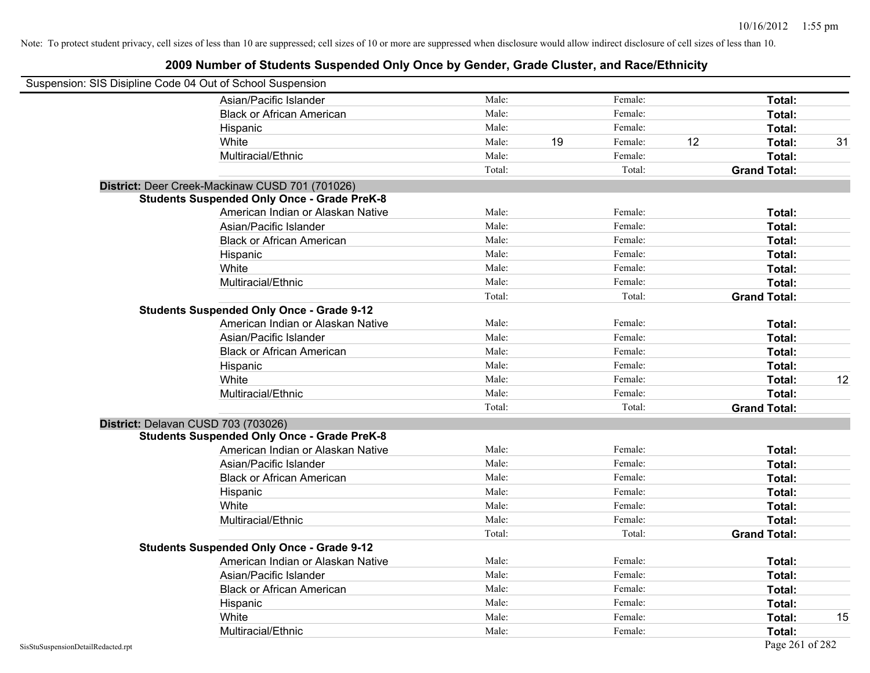| Suspension: SIS Disipline Code 04 Out of School Suspension |                                                    |        |    |         |    |                     |    |
|------------------------------------------------------------|----------------------------------------------------|--------|----|---------|----|---------------------|----|
|                                                            | Asian/Pacific Islander                             | Male:  |    | Female: |    | Total:              |    |
|                                                            | <b>Black or African American</b>                   | Male:  |    | Female: |    | Total:              |    |
|                                                            | Hispanic                                           | Male:  |    | Female: |    | Total:              |    |
|                                                            | White                                              | Male:  | 19 | Female: | 12 | Total:              | 31 |
|                                                            | Multiracial/Ethnic                                 | Male:  |    | Female: |    | Total:              |    |
|                                                            |                                                    | Total: |    | Total:  |    | <b>Grand Total:</b> |    |
|                                                            | District: Deer Creek-Mackinaw CUSD 701 (701026)    |        |    |         |    |                     |    |
|                                                            | <b>Students Suspended Only Once - Grade PreK-8</b> |        |    |         |    |                     |    |
|                                                            | American Indian or Alaskan Native                  | Male:  |    | Female: |    | Total:              |    |
|                                                            | Asian/Pacific Islander                             | Male:  |    | Female: |    | Total:              |    |
|                                                            | <b>Black or African American</b>                   | Male:  |    | Female: |    | Total:              |    |
|                                                            | Hispanic                                           | Male:  |    | Female: |    | Total:              |    |
|                                                            | White                                              | Male:  |    | Female: |    | Total:              |    |
|                                                            | Multiracial/Ethnic                                 | Male:  |    | Female: |    | Total:              |    |
|                                                            |                                                    | Total: |    | Total:  |    | <b>Grand Total:</b> |    |
|                                                            | <b>Students Suspended Only Once - Grade 9-12</b>   |        |    |         |    |                     |    |
|                                                            | American Indian or Alaskan Native                  | Male:  |    | Female: |    | Total:              |    |
|                                                            | Asian/Pacific Islander                             | Male:  |    | Female: |    | Total:              |    |
|                                                            | <b>Black or African American</b>                   | Male:  |    | Female: |    | Total:              |    |
|                                                            | Hispanic                                           | Male:  |    | Female: |    | Total:              |    |
|                                                            | White                                              | Male:  |    | Female: |    | Total:              | 12 |
|                                                            | Multiracial/Ethnic                                 | Male:  |    | Female: |    | Total:              |    |
|                                                            |                                                    | Total: |    | Total:  |    | <b>Grand Total:</b> |    |
| District: Delavan CUSD 703 (703026)                        |                                                    |        |    |         |    |                     |    |
|                                                            | <b>Students Suspended Only Once - Grade PreK-8</b> |        |    |         |    |                     |    |
|                                                            | American Indian or Alaskan Native                  | Male:  |    | Female: |    | Total:              |    |
|                                                            | Asian/Pacific Islander                             | Male:  |    | Female: |    | Total:              |    |
|                                                            | <b>Black or African American</b>                   | Male:  |    | Female: |    | Total:              |    |
|                                                            | Hispanic                                           | Male:  |    | Female: |    | Total:              |    |
|                                                            | White                                              | Male:  |    | Female: |    | Total:              |    |
|                                                            | Multiracial/Ethnic                                 | Male:  |    | Female: |    | Total:              |    |
|                                                            |                                                    | Total: |    | Total:  |    | <b>Grand Total:</b> |    |
|                                                            | <b>Students Suspended Only Once - Grade 9-12</b>   |        |    |         |    |                     |    |
|                                                            | American Indian or Alaskan Native                  | Male:  |    | Female: |    | Total:              |    |
|                                                            | Asian/Pacific Islander                             | Male:  |    | Female: |    | Total:              |    |
|                                                            | <b>Black or African American</b>                   | Male:  |    | Female: |    | Total:              |    |
|                                                            | Hispanic                                           | Male:  |    | Female: |    | Total:              |    |
|                                                            | White                                              | Male:  |    | Female: |    | Total:              | 15 |
|                                                            | Multiracial/Ethnic                                 | Male:  |    | Female: |    | Total:              |    |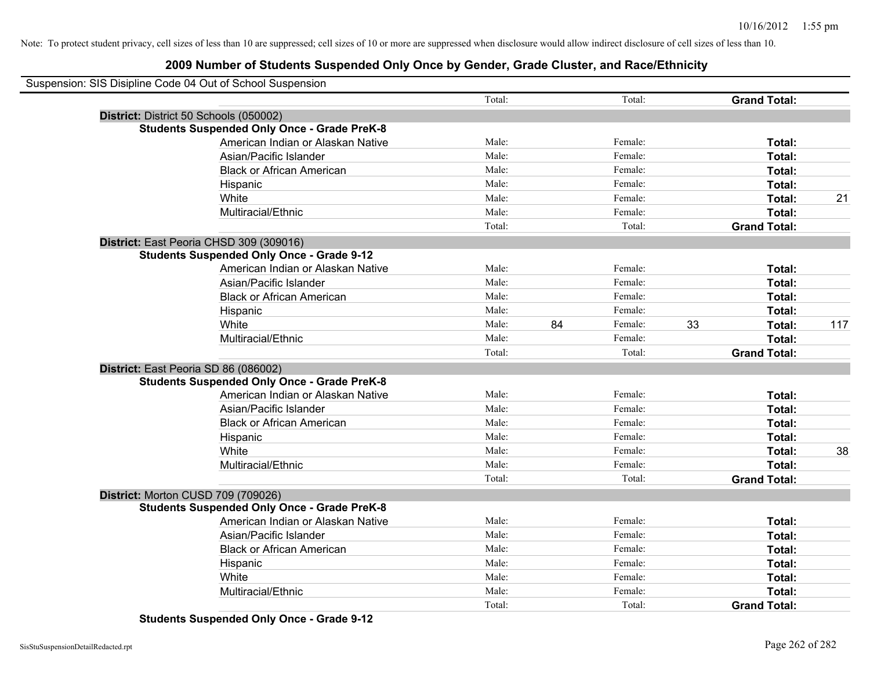## **2009 Number of Students Suspended Only Once by Gender, Grade Cluster, and Race/Ethnicity**

| Suspension: SIS Disipline Code 04 Out of School Suspension |        |    |         |    |                     |     |
|------------------------------------------------------------|--------|----|---------|----|---------------------|-----|
|                                                            | Total: |    | Total:  |    | <b>Grand Total:</b> |     |
| District: District 50 Schools (050002)                     |        |    |         |    |                     |     |
| <b>Students Suspended Only Once - Grade PreK-8</b>         |        |    |         |    |                     |     |
| American Indian or Alaskan Native                          | Male:  |    | Female: |    | Total:              |     |
| Asian/Pacific Islander                                     | Male:  |    | Female: |    | Total:              |     |
| <b>Black or African American</b>                           | Male:  |    | Female: |    | Total:              |     |
| Hispanic                                                   | Male:  |    | Female: |    | Total:              |     |
| White                                                      | Male:  |    | Female: |    | Total:              | 21  |
| Multiracial/Ethnic                                         | Male:  |    | Female: |    | Total:              |     |
|                                                            | Total: |    | Total:  |    | <b>Grand Total:</b> |     |
| District: East Peoria CHSD 309 (309016)                    |        |    |         |    |                     |     |
| <b>Students Suspended Only Once - Grade 9-12</b>           |        |    |         |    |                     |     |
| American Indian or Alaskan Native                          | Male:  |    | Female: |    | Total:              |     |
| Asian/Pacific Islander                                     | Male:  |    | Female: |    | Total:              |     |
| <b>Black or African American</b>                           | Male:  |    | Female: |    | Total:              |     |
| Hispanic                                                   | Male:  |    | Female: |    | Total:              |     |
| White                                                      | Male:  | 84 | Female: | 33 | Total:              | 117 |
| Multiracial/Ethnic                                         | Male:  |    | Female: |    | Total:              |     |
|                                                            | Total: |    | Total:  |    | <b>Grand Total:</b> |     |
| District: East Peoria SD 86 (086002)                       |        |    |         |    |                     |     |
| <b>Students Suspended Only Once - Grade PreK-8</b>         |        |    |         |    |                     |     |
| American Indian or Alaskan Native                          | Male:  |    | Female: |    | Total:              |     |
| Asian/Pacific Islander                                     | Male:  |    | Female: |    | Total:              |     |
| <b>Black or African American</b>                           | Male:  |    | Female: |    | Total:              |     |
| Hispanic                                                   | Male:  |    | Female: |    | Total:              |     |
| White                                                      | Male:  |    | Female: |    | Total:              | 38  |
| Multiracial/Ethnic                                         | Male:  |    | Female: |    | Total:              |     |
|                                                            | Total: |    | Total:  |    | <b>Grand Total:</b> |     |
| District: Morton CUSD 709 (709026)                         |        |    |         |    |                     |     |
| <b>Students Suspended Only Once - Grade PreK-8</b>         |        |    |         |    |                     |     |
| American Indian or Alaskan Native                          | Male:  |    | Female: |    | Total:              |     |
| Asian/Pacific Islander                                     | Male:  |    | Female: |    | Total:              |     |
| <b>Black or African American</b>                           | Male:  |    | Female: |    | Total:              |     |
| Hispanic                                                   | Male:  |    | Female: |    | Total:              |     |
| White                                                      | Male:  |    | Female: |    | Total:              |     |
| Multiracial/Ethnic                                         | Male:  |    | Female: |    | Total:              |     |
|                                                            | Total: |    | Total:  |    | <b>Grand Total:</b> |     |

**Students Suspended Only Once - Grade 9-12**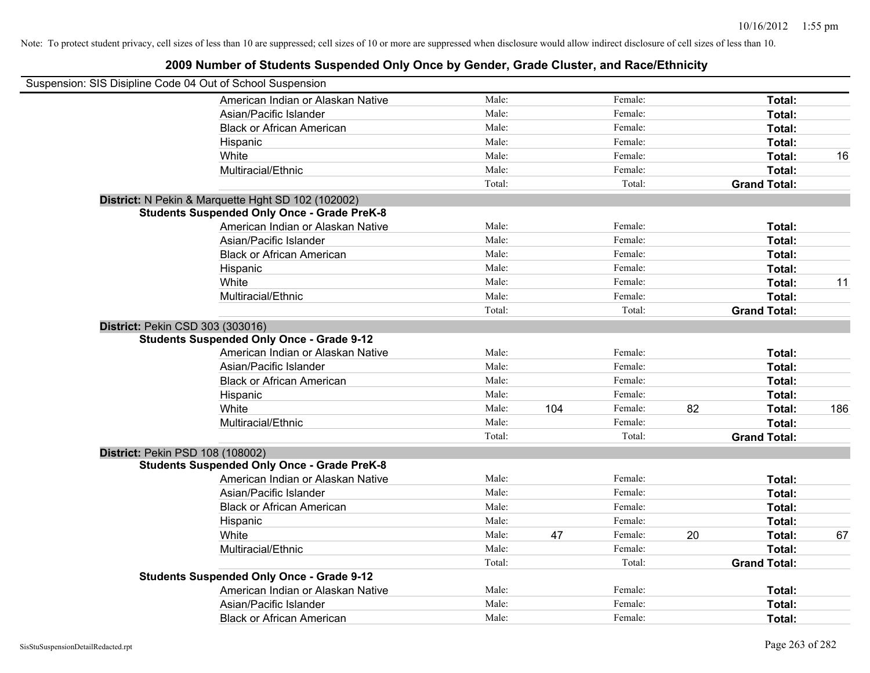| Suspension: SIS Disipline Code 04 Out of School Suspension |                                                    |        |     |         |    |                     |     |
|------------------------------------------------------------|----------------------------------------------------|--------|-----|---------|----|---------------------|-----|
|                                                            | American Indian or Alaskan Native                  | Male:  |     | Female: |    | Total:              |     |
|                                                            | Asian/Pacific Islander                             | Male:  |     | Female: |    | Total:              |     |
|                                                            | <b>Black or African American</b>                   | Male:  |     | Female: |    | Total:              |     |
|                                                            | Hispanic                                           | Male:  |     | Female: |    | Total:              |     |
|                                                            | White                                              | Male:  |     | Female: |    | Total:              | 16  |
|                                                            | Multiracial/Ethnic                                 | Male:  |     | Female: |    | Total:              |     |
|                                                            |                                                    | Total: |     | Total:  |    | <b>Grand Total:</b> |     |
|                                                            | District: N Pekin & Marquette Hght SD 102 (102002) |        |     |         |    |                     |     |
|                                                            | <b>Students Suspended Only Once - Grade PreK-8</b> |        |     |         |    |                     |     |
|                                                            | American Indian or Alaskan Native                  | Male:  |     | Female: |    | Total:              |     |
|                                                            | Asian/Pacific Islander                             | Male:  |     | Female: |    | Total:              |     |
|                                                            | <b>Black or African American</b>                   | Male:  |     | Female: |    | Total:              |     |
|                                                            | Hispanic                                           | Male:  |     | Female: |    | Total:              |     |
|                                                            | White                                              | Male:  |     | Female: |    | Total:              | 11  |
|                                                            | Multiracial/Ethnic                                 | Male:  |     | Female: |    | Total:              |     |
|                                                            |                                                    | Total: |     | Total:  |    | <b>Grand Total:</b> |     |
| District: Pekin CSD 303 (303016)                           |                                                    |        |     |         |    |                     |     |
|                                                            | <b>Students Suspended Only Once - Grade 9-12</b>   |        |     |         |    |                     |     |
|                                                            | American Indian or Alaskan Native                  | Male:  |     | Female: |    | Total:              |     |
|                                                            | Asian/Pacific Islander                             | Male:  |     | Female: |    | Total:              |     |
|                                                            | <b>Black or African American</b>                   | Male:  |     | Female: |    | Total:              |     |
|                                                            | Hispanic                                           | Male:  |     | Female: |    | Total:              |     |
|                                                            | White                                              | Male:  | 104 | Female: | 82 | Total:              | 186 |
|                                                            | Multiracial/Ethnic                                 | Male:  |     | Female: |    | Total:              |     |
|                                                            |                                                    | Total: |     | Total:  |    | <b>Grand Total:</b> |     |
| District: Pekin PSD 108 (108002)                           |                                                    |        |     |         |    |                     |     |
|                                                            | <b>Students Suspended Only Once - Grade PreK-8</b> |        |     |         |    |                     |     |
|                                                            | American Indian or Alaskan Native                  | Male:  |     | Female: |    | Total:              |     |
|                                                            | Asian/Pacific Islander                             | Male:  |     | Female: |    | Total:              |     |
|                                                            | <b>Black or African American</b>                   | Male:  |     | Female: |    | Total:              |     |
|                                                            | Hispanic                                           | Male:  |     | Female: |    | Total:              |     |
|                                                            | White                                              | Male:  | 47  | Female: | 20 | Total:              | 67  |
|                                                            | Multiracial/Ethnic                                 | Male:  |     | Female: |    | Total:              |     |
|                                                            |                                                    | Total: |     | Total:  |    | <b>Grand Total:</b> |     |
|                                                            | <b>Students Suspended Only Once - Grade 9-12</b>   |        |     |         |    |                     |     |
|                                                            | American Indian or Alaskan Native                  | Male:  |     | Female: |    | Total:              |     |
|                                                            | Asian/Pacific Islander                             | Male:  |     | Female: |    | Total:              |     |
|                                                            | <b>Black or African American</b>                   | Male:  |     | Female: |    | Total:              |     |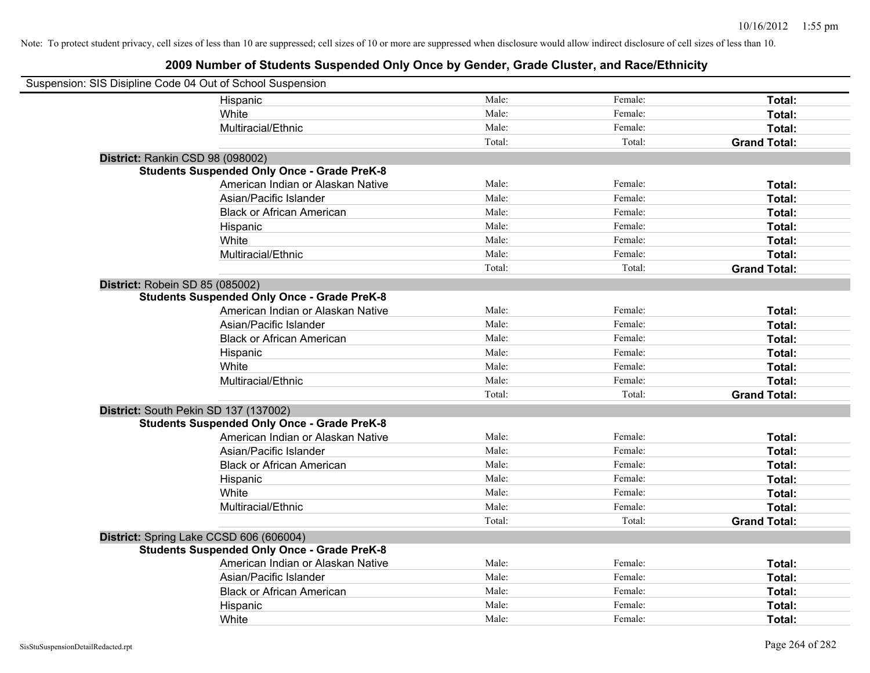| Suspension: SIS Disipline Code 04 Out of School Suspension |                                                    |        |         |                     |  |  |  |
|------------------------------------------------------------|----------------------------------------------------|--------|---------|---------------------|--|--|--|
|                                                            | Hispanic                                           | Male:  | Female: | Total:              |  |  |  |
|                                                            | White                                              | Male:  | Female: | Total:              |  |  |  |
|                                                            | Multiracial/Ethnic                                 | Male:  | Female: | Total:              |  |  |  |
|                                                            |                                                    | Total: | Total:  | <b>Grand Total:</b> |  |  |  |
| District: Rankin CSD 98 (098002)                           |                                                    |        |         |                     |  |  |  |
|                                                            | <b>Students Suspended Only Once - Grade PreK-8</b> |        |         |                     |  |  |  |
|                                                            | American Indian or Alaskan Native                  | Male:  | Female: | Total:              |  |  |  |
|                                                            | Asian/Pacific Islander                             | Male:  | Female: | Total:              |  |  |  |
|                                                            | <b>Black or African American</b>                   | Male:  | Female: | Total:              |  |  |  |
|                                                            | Hispanic                                           | Male:  | Female: | Total:              |  |  |  |
|                                                            | White                                              | Male:  | Female: | Total:              |  |  |  |
|                                                            | Multiracial/Ethnic                                 | Male:  | Female: | Total:              |  |  |  |
|                                                            |                                                    | Total: | Total:  | <b>Grand Total:</b> |  |  |  |
| District: Robein SD 85 (085002)                            |                                                    |        |         |                     |  |  |  |
|                                                            | <b>Students Suspended Only Once - Grade PreK-8</b> |        |         |                     |  |  |  |
|                                                            | American Indian or Alaskan Native                  | Male:  | Female: | Total:              |  |  |  |
|                                                            | Asian/Pacific Islander                             | Male:  | Female: | Total:              |  |  |  |
|                                                            | <b>Black or African American</b>                   | Male:  | Female: | Total:              |  |  |  |
|                                                            | Hispanic                                           | Male:  | Female: | Total:              |  |  |  |
|                                                            | White                                              | Male:  | Female: | Total:              |  |  |  |
|                                                            | Multiracial/Ethnic                                 | Male:  | Female: | Total:              |  |  |  |
|                                                            |                                                    | Total: | Total:  | <b>Grand Total:</b> |  |  |  |
| District: South Pekin SD 137 (137002)                      |                                                    |        |         |                     |  |  |  |
|                                                            | <b>Students Suspended Only Once - Grade PreK-8</b> |        |         |                     |  |  |  |
|                                                            | American Indian or Alaskan Native                  | Male:  | Female: | Total:              |  |  |  |
|                                                            | Asian/Pacific Islander                             | Male:  | Female: | Total:              |  |  |  |
|                                                            | <b>Black or African American</b>                   | Male:  | Female: | Total:              |  |  |  |
|                                                            | Hispanic                                           | Male:  | Female: | Total:              |  |  |  |
|                                                            | White                                              | Male:  | Female: | Total:              |  |  |  |
|                                                            | Multiracial/Ethnic                                 | Male:  | Female: | Total:              |  |  |  |
|                                                            |                                                    | Total: | Total:  | <b>Grand Total:</b> |  |  |  |
| District: Spring Lake CCSD 606 (606004)                    |                                                    |        |         |                     |  |  |  |
|                                                            | <b>Students Suspended Only Once - Grade PreK-8</b> |        |         |                     |  |  |  |
|                                                            | American Indian or Alaskan Native                  | Male:  | Female: | Total:              |  |  |  |
|                                                            | Asian/Pacific Islander                             | Male:  | Female: | Total:              |  |  |  |
|                                                            | <b>Black or African American</b>                   | Male:  | Female: | Total:              |  |  |  |
|                                                            | Hispanic                                           | Male:  | Female: | Total:              |  |  |  |
|                                                            | White                                              | Male:  | Female: | Total:              |  |  |  |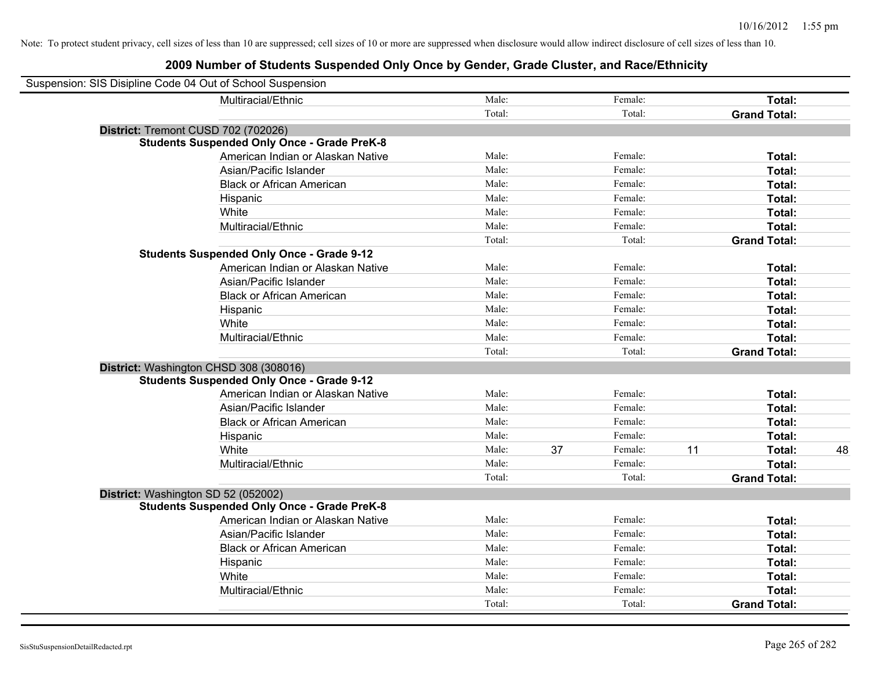| Suspension: SIS Disipline Code 04 Out of School Suspension |                                                    |        |    |         |    |                     |    |
|------------------------------------------------------------|----------------------------------------------------|--------|----|---------|----|---------------------|----|
|                                                            | Multiracial/Ethnic                                 | Male:  |    | Female: |    | Total:              |    |
|                                                            |                                                    | Total: |    | Total:  |    | <b>Grand Total:</b> |    |
| District: Tremont CUSD 702 (702026)                        |                                                    |        |    |         |    |                     |    |
|                                                            | <b>Students Suspended Only Once - Grade PreK-8</b> |        |    |         |    |                     |    |
|                                                            | American Indian or Alaskan Native                  | Male:  |    | Female: |    | Total:              |    |
|                                                            | Asian/Pacific Islander                             | Male:  |    | Female: |    | Total:              |    |
|                                                            | <b>Black or African American</b>                   | Male:  |    | Female: |    | Total:              |    |
|                                                            | Hispanic                                           | Male:  |    | Female: |    | Total:              |    |
|                                                            | White                                              | Male:  |    | Female: |    | Total:              |    |
|                                                            | Multiracial/Ethnic                                 | Male:  |    | Female: |    | Total:              |    |
|                                                            |                                                    | Total: |    | Total:  |    | <b>Grand Total:</b> |    |
|                                                            | <b>Students Suspended Only Once - Grade 9-12</b>   |        |    |         |    |                     |    |
|                                                            | American Indian or Alaskan Native                  | Male:  |    | Female: |    | Total:              |    |
|                                                            | Asian/Pacific Islander                             | Male:  |    | Female: |    | Total:              |    |
|                                                            | <b>Black or African American</b>                   | Male:  |    | Female: |    | Total:              |    |
|                                                            | Hispanic                                           | Male:  |    | Female: |    | Total:              |    |
|                                                            | White                                              | Male:  |    | Female: |    | Total:              |    |
|                                                            | Multiracial/Ethnic                                 | Male:  |    | Female: |    | Total:              |    |
|                                                            |                                                    | Total: |    | Total:  |    | <b>Grand Total:</b> |    |
| District: Washington CHSD 308 (308016)                     |                                                    |        |    |         |    |                     |    |
|                                                            | <b>Students Suspended Only Once - Grade 9-12</b>   |        |    |         |    |                     |    |
|                                                            | American Indian or Alaskan Native                  | Male:  |    | Female: |    | Total:              |    |
|                                                            | Asian/Pacific Islander                             | Male:  |    | Female: |    | Total:              |    |
|                                                            | <b>Black or African American</b>                   | Male:  |    | Female: |    | Total:              |    |
|                                                            | Hispanic                                           | Male:  |    | Female: |    | Total:              |    |
|                                                            | White                                              | Male:  | 37 | Female: | 11 | Total:              | 48 |
|                                                            | Multiracial/Ethnic                                 | Male:  |    | Female: |    | Total:              |    |
|                                                            |                                                    | Total: |    | Total:  |    | <b>Grand Total:</b> |    |
| District: Washington SD 52 (052002)                        |                                                    |        |    |         |    |                     |    |
|                                                            | <b>Students Suspended Only Once - Grade PreK-8</b> |        |    |         |    |                     |    |
|                                                            | American Indian or Alaskan Native                  | Male:  |    | Female: |    | <b>Total:</b>       |    |
|                                                            | Asian/Pacific Islander                             | Male:  |    | Female: |    | Total:              |    |
|                                                            | <b>Black or African American</b>                   | Male:  |    | Female: |    | Total:              |    |
|                                                            | Hispanic                                           | Male:  |    | Female: |    | Total:              |    |
|                                                            | White                                              | Male:  |    | Female: |    | Total:              |    |
|                                                            | Multiracial/Ethnic                                 | Male:  |    | Female: |    | Total:              |    |
|                                                            |                                                    | Total: |    | Total:  |    | <b>Grand Total:</b> |    |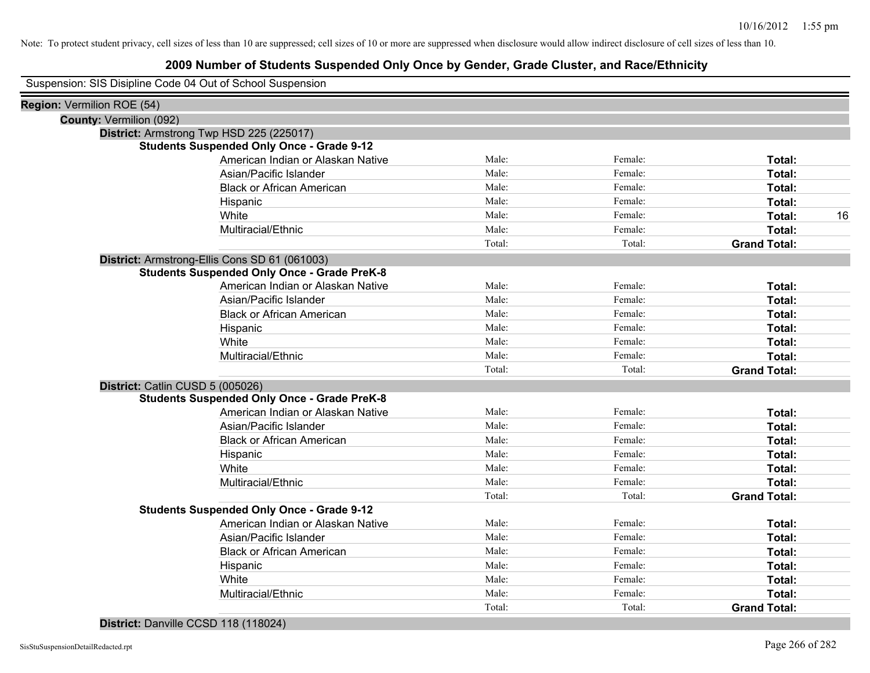## **2009 Number of Students Suspended Only Once by Gender, Grade Cluster, and Race/Ethnicity**

Suspension: SIS Disipline Code 04 Out of School Suspension

|                                | Cappension. Old Disipline Coac of Oat of Concor Cappension |        |         |                     |
|--------------------------------|------------------------------------------------------------|--------|---------|---------------------|
| Region: Vermilion ROE (54)     |                                                            |        |         |                     |
| <b>County: Vermilion (092)</b> |                                                            |        |         |                     |
|                                | District: Armstrong Twp HSD 225 (225017)                   |        |         |                     |
|                                | <b>Students Suspended Only Once - Grade 9-12</b>           |        |         |                     |
|                                | American Indian or Alaskan Native                          | Male:  | Female: | Total:              |
|                                | Asian/Pacific Islander                                     | Male:  | Female: | Total:              |
|                                | <b>Black or African American</b>                           | Male:  | Female: | <b>Total:</b>       |
|                                | Hispanic                                                   | Male:  | Female: | <b>Total:</b>       |
|                                | White                                                      | Male:  | Female: | Total:<br>16        |
|                                | Multiracial/Ethnic                                         | Male:  | Female: | Total:              |
|                                |                                                            | Total: | Total:  | <b>Grand Total:</b> |
|                                | District: Armstrong-Ellis Cons SD 61 (061003)              |        |         |                     |
|                                | <b>Students Suspended Only Once - Grade PreK-8</b>         |        |         |                     |
|                                | American Indian or Alaskan Native                          | Male:  | Female: | Total:              |
|                                | Asian/Pacific Islander                                     | Male:  | Female: | Total:              |
|                                | <b>Black or African American</b>                           | Male:  | Female: | Total:              |
|                                | Hispanic                                                   | Male:  | Female: | Total:              |
|                                | White                                                      | Male:  | Female: | Total:              |
|                                | Multiracial/Ethnic                                         | Male:  | Female: | Total:              |
|                                |                                                            | Total: | Total:  | <b>Grand Total:</b> |
|                                | District: Catlin CUSD 5 (005026)                           |        |         |                     |
|                                | <b>Students Suspended Only Once - Grade PreK-8</b>         |        |         |                     |
|                                | American Indian or Alaskan Native                          | Male:  | Female: | Total:              |
|                                | Asian/Pacific Islander                                     | Male:  | Female: | Total:              |
|                                | <b>Black or African American</b>                           | Male:  | Female: | Total:              |
|                                | Hispanic                                                   | Male:  | Female: | Total:              |
|                                | White                                                      | Male:  | Female: | Total:              |
|                                | Multiracial/Ethnic                                         | Male:  | Female: | Total:              |
|                                |                                                            | Total: | Total:  | <b>Grand Total:</b> |
|                                | <b>Students Suspended Only Once - Grade 9-12</b>           |        |         |                     |
|                                | American Indian or Alaskan Native                          | Male:  | Female: | Total:              |
|                                | Asian/Pacific Islander                                     | Male:  | Female: | Total:              |
|                                | <b>Black or African American</b>                           | Male:  | Female: | <b>Total:</b>       |
|                                | Hispanic                                                   | Male:  | Female: | Total:              |
|                                | White                                                      | Male:  | Female: | Total:              |
|                                | Multiracial/Ethnic                                         | Male:  | Female: | Total:              |
|                                |                                                            | Total: | Total:  | <b>Grand Total:</b> |
|                                |                                                            |        |         |                     |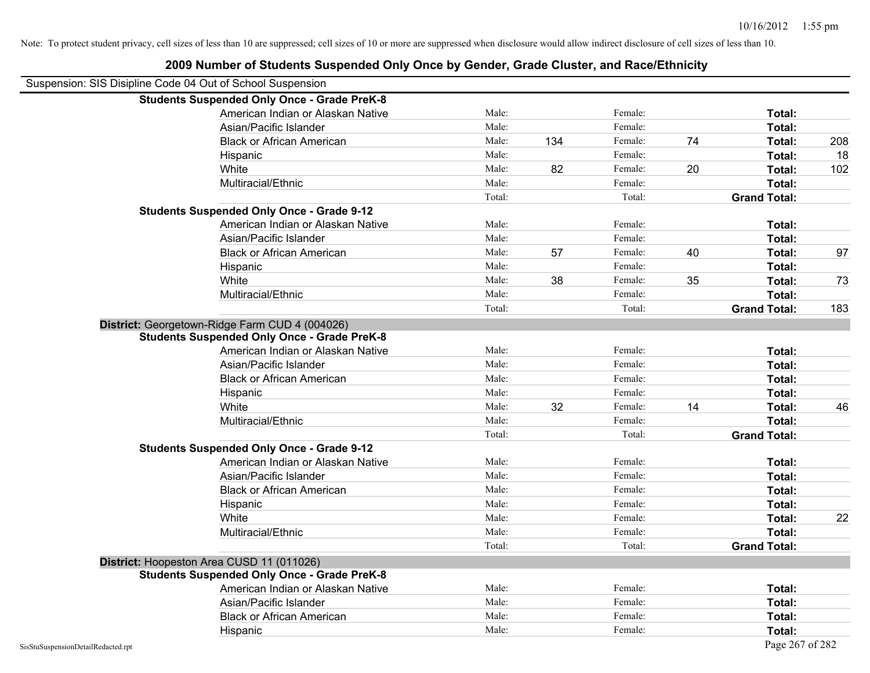|                                    | Suspension: SIS Disipline Code 04 Out of School Suspension<br><b>Students Suspended Only Once - Grade PreK-8</b> |        |     |         |    |                     |     |
|------------------------------------|------------------------------------------------------------------------------------------------------------------|--------|-----|---------|----|---------------------|-----|
|                                    | American Indian or Alaskan Native                                                                                | Male:  |     | Female: |    | Total:              |     |
|                                    | Asian/Pacific Islander                                                                                           | Male:  |     | Female: |    | Total:              |     |
|                                    | <b>Black or African American</b>                                                                                 | Male:  | 134 | Female: | 74 | Total:              | 208 |
|                                    | Hispanic                                                                                                         | Male:  |     | Female: |    | Total:              | 18  |
|                                    | White                                                                                                            | Male:  | 82  | Female: | 20 | Total:              | 102 |
|                                    | Multiracial/Ethnic                                                                                               | Male:  |     | Female: |    | Total:              |     |
|                                    |                                                                                                                  | Total: |     | Total:  |    | <b>Grand Total:</b> |     |
|                                    | <b>Students Suspended Only Once - Grade 9-12</b>                                                                 |        |     |         |    |                     |     |
|                                    | American Indian or Alaskan Native                                                                                | Male:  |     | Female: |    | Total:              |     |
|                                    | Asian/Pacific Islander                                                                                           | Male:  |     | Female: |    | Total:              |     |
|                                    | <b>Black or African American</b>                                                                                 | Male:  | 57  | Female: | 40 | Total:              | 97  |
|                                    | Hispanic                                                                                                         | Male:  |     | Female: |    | Total:              |     |
|                                    | White                                                                                                            | Male:  | 38  | Female: | 35 | Total:              | 73  |
|                                    | Multiracial/Ethnic                                                                                               | Male:  |     | Female: |    | Total:              |     |
|                                    |                                                                                                                  | Total: |     | Total:  |    | <b>Grand Total:</b> | 183 |
|                                    | District: Georgetown-Ridge Farm CUD 4 (004026)                                                                   |        |     |         |    |                     |     |
|                                    | <b>Students Suspended Only Once - Grade PreK-8</b>                                                               |        |     |         |    |                     |     |
|                                    | American Indian or Alaskan Native                                                                                | Male:  |     | Female: |    | Total:              |     |
|                                    | Asian/Pacific Islander                                                                                           | Male:  |     | Female: |    | Total:              |     |
|                                    | <b>Black or African American</b>                                                                                 | Male:  |     | Female: |    | Total:              |     |
|                                    | Hispanic                                                                                                         | Male:  |     | Female: |    | Total:              |     |
|                                    | White                                                                                                            | Male:  | 32  | Female: | 14 | Total:              | 46  |
|                                    | Multiracial/Ethnic                                                                                               | Male:  |     | Female: |    | Total:              |     |
|                                    |                                                                                                                  | Total: |     | Total:  |    | <b>Grand Total:</b> |     |
|                                    | <b>Students Suspended Only Once - Grade 9-12</b>                                                                 |        |     |         |    |                     |     |
|                                    | American Indian or Alaskan Native                                                                                | Male:  |     | Female: |    | Total:              |     |
|                                    | Asian/Pacific Islander                                                                                           | Male:  |     | Female: |    | Total:              |     |
|                                    | <b>Black or African American</b>                                                                                 | Male:  |     | Female: |    | Total:              |     |
|                                    | Hispanic                                                                                                         | Male:  |     | Female: |    | Total:              |     |
|                                    | White                                                                                                            | Male:  |     | Female: |    | Total:              | 22  |
|                                    | Multiracial/Ethnic                                                                                               | Male:  |     | Female: |    | Total:              |     |
|                                    |                                                                                                                  | Total: |     | Total:  |    | <b>Grand Total:</b> |     |
|                                    | District: Hoopeston Area CUSD 11 (011026)                                                                        |        |     |         |    |                     |     |
|                                    | <b>Students Suspended Only Once - Grade PreK-8</b>                                                               |        |     |         |    |                     |     |
|                                    | American Indian or Alaskan Native                                                                                | Male:  |     | Female: |    | Total:              |     |
|                                    | Asian/Pacific Islander                                                                                           | Male:  |     | Female: |    | Total:              |     |
|                                    | <b>Black or African American</b>                                                                                 | Male:  |     | Female: |    | Total:              |     |
|                                    | Hispanic                                                                                                         | Male:  |     | Female: |    | Total:              |     |
| SisStuSuspensionDetailRedacted.rpt |                                                                                                                  |        |     |         |    | Page 267 of 282     |     |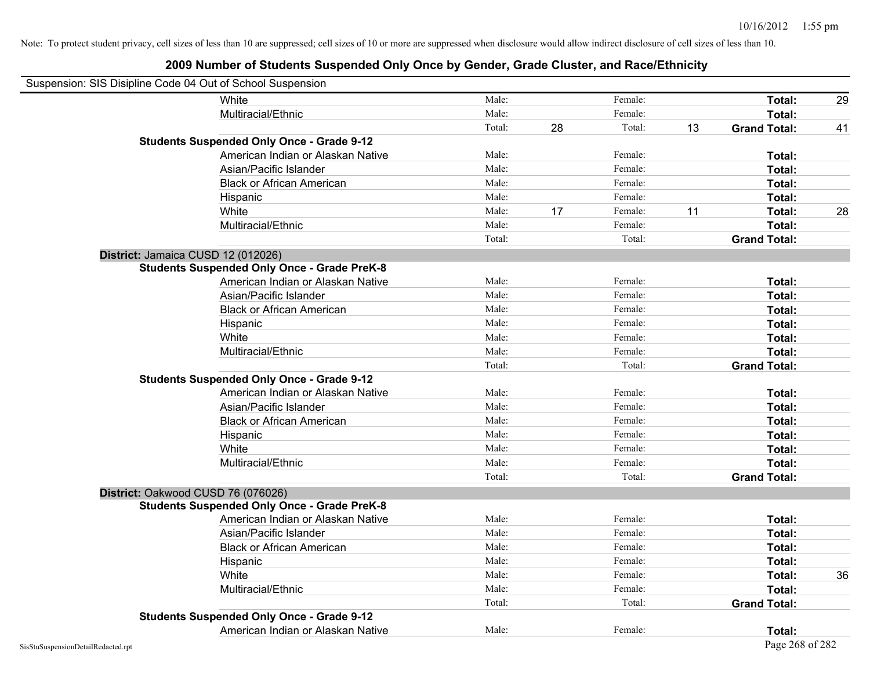| Suspension: SIS Disipline Code 04 Out of School Suspension |                                                    |        |    |         |    |                     |    |
|------------------------------------------------------------|----------------------------------------------------|--------|----|---------|----|---------------------|----|
|                                                            | White                                              | Male:  |    | Female: |    | Total:              | 29 |
|                                                            | Multiracial/Ethnic                                 | Male:  |    | Female: |    | Total:              |    |
|                                                            |                                                    | Total: | 28 | Total:  | 13 | <b>Grand Total:</b> | 41 |
|                                                            | <b>Students Suspended Only Once - Grade 9-12</b>   |        |    |         |    |                     |    |
|                                                            | American Indian or Alaskan Native                  | Male:  |    | Female: |    | Total:              |    |
|                                                            | Asian/Pacific Islander                             | Male:  |    | Female: |    | Total:              |    |
|                                                            | <b>Black or African American</b>                   | Male:  |    | Female: |    | Total:              |    |
|                                                            | Hispanic                                           | Male:  |    | Female: |    | Total:              |    |
|                                                            | White                                              | Male:  | 17 | Female: | 11 | Total:              | 28 |
|                                                            | Multiracial/Ethnic                                 | Male:  |    | Female: |    | Total:              |    |
|                                                            |                                                    | Total: |    | Total:  |    | <b>Grand Total:</b> |    |
| District: Jamaica CUSD 12 (012026)                         |                                                    |        |    |         |    |                     |    |
|                                                            | <b>Students Suspended Only Once - Grade PreK-8</b> |        |    |         |    |                     |    |
|                                                            | American Indian or Alaskan Native                  | Male:  |    | Female: |    | Total:              |    |
|                                                            | Asian/Pacific Islander                             | Male:  |    | Female: |    | Total:              |    |
|                                                            | <b>Black or African American</b>                   | Male:  |    | Female: |    | Total:              |    |
|                                                            | Hispanic                                           | Male:  |    | Female: |    | Total:              |    |
|                                                            | White                                              | Male:  |    | Female: |    | Total:              |    |
|                                                            | Multiracial/Ethnic                                 | Male:  |    | Female: |    | Total:              |    |
|                                                            |                                                    | Total: |    | Total:  |    | <b>Grand Total:</b> |    |
|                                                            | <b>Students Suspended Only Once - Grade 9-12</b>   |        |    |         |    |                     |    |
|                                                            | American Indian or Alaskan Native                  | Male:  |    | Female: |    | Total:              |    |
|                                                            | Asian/Pacific Islander                             | Male:  |    | Female: |    | Total:              |    |
|                                                            | <b>Black or African American</b>                   | Male:  |    | Female: |    | Total:              |    |
|                                                            | Hispanic                                           | Male:  |    | Female: |    | Total:              |    |
|                                                            | White                                              | Male:  |    | Female: |    | Total:              |    |
|                                                            | Multiracial/Ethnic                                 | Male:  |    | Female: |    | Total:              |    |
|                                                            |                                                    | Total: |    | Total:  |    | <b>Grand Total:</b> |    |
| District: Oakwood CUSD 76 (076026)                         |                                                    |        |    |         |    |                     |    |
|                                                            | <b>Students Suspended Only Once - Grade PreK-8</b> |        |    |         |    |                     |    |
|                                                            | American Indian or Alaskan Native                  | Male:  |    | Female: |    | Total:              |    |
|                                                            | Asian/Pacific Islander                             | Male:  |    | Female: |    | Total:              |    |
|                                                            | <b>Black or African American</b>                   | Male:  |    | Female: |    | Total:              |    |
|                                                            | Hispanic                                           | Male:  |    | Female: |    | Total:              |    |
|                                                            | White                                              | Male:  |    | Female: |    | Total:              | 36 |
|                                                            | Multiracial/Ethnic                                 | Male:  |    | Female: |    | Total:              |    |
|                                                            |                                                    | Total: |    | Total:  |    | <b>Grand Total:</b> |    |
|                                                            | <b>Students Suspended Only Once - Grade 9-12</b>   |        |    |         |    |                     |    |
|                                                            | American Indian or Alaskan Native                  | Male:  |    | Female: |    | Total:              |    |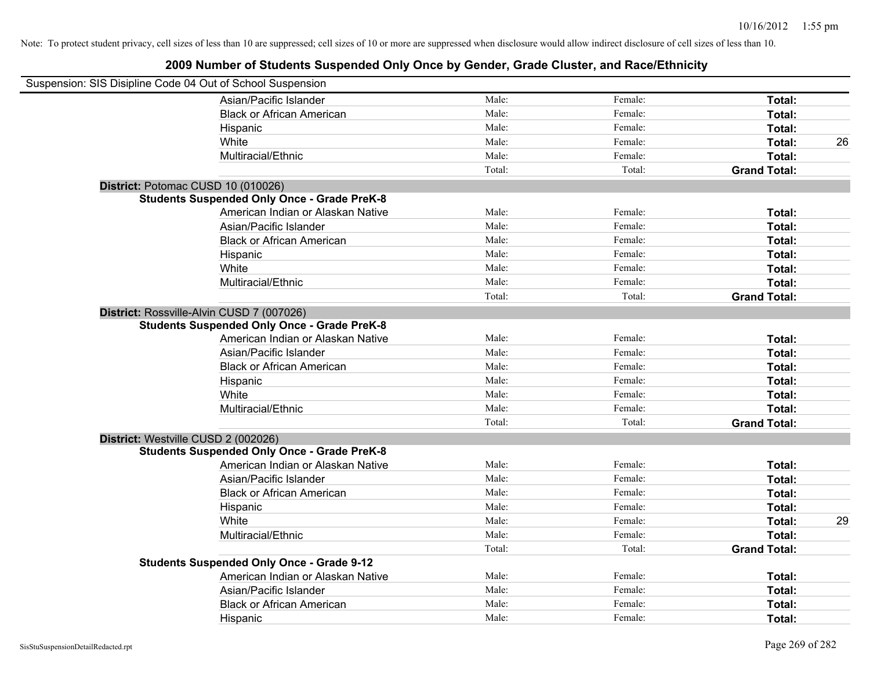| Suspension: SIS Disipline Code 04 Out of School Suspension |                                                    |        |         |                     |    |
|------------------------------------------------------------|----------------------------------------------------|--------|---------|---------------------|----|
|                                                            | Asian/Pacific Islander                             | Male:  | Female: | Total:              |    |
|                                                            | <b>Black or African American</b>                   | Male:  | Female: | Total:              |    |
|                                                            | Hispanic                                           | Male:  | Female: | Total:              |    |
|                                                            | White                                              | Male:  | Female: | Total:              | 26 |
|                                                            | Multiracial/Ethnic                                 | Male:  | Female: | Total:              |    |
|                                                            |                                                    | Total: | Total:  | <b>Grand Total:</b> |    |
| District: Potomac CUSD 10 (010026)                         |                                                    |        |         |                     |    |
|                                                            | <b>Students Suspended Only Once - Grade PreK-8</b> |        |         |                     |    |
|                                                            | American Indian or Alaskan Native                  | Male:  | Female: | Total:              |    |
|                                                            | Asian/Pacific Islander                             | Male:  | Female: | Total:              |    |
|                                                            | <b>Black or African American</b>                   | Male:  | Female: | Total:              |    |
|                                                            | Hispanic                                           | Male:  | Female: | Total:              |    |
|                                                            | White                                              | Male:  | Female: | Total:              |    |
|                                                            | Multiracial/Ethnic                                 | Male:  | Female: | Total:              |    |
|                                                            |                                                    | Total: | Total:  | <b>Grand Total:</b> |    |
| District: Rossville-Alvin CUSD 7 (007026)                  |                                                    |        |         |                     |    |
|                                                            | <b>Students Suspended Only Once - Grade PreK-8</b> |        |         |                     |    |
|                                                            | American Indian or Alaskan Native                  | Male:  | Female: | Total:              |    |
|                                                            | Asian/Pacific Islander                             | Male:  | Female: | Total:              |    |
|                                                            | <b>Black or African American</b>                   | Male:  | Female: | Total:              |    |
|                                                            | Hispanic                                           | Male:  | Female: | Total:              |    |
|                                                            | White                                              | Male:  | Female: | Total:              |    |
|                                                            | Multiracial/Ethnic                                 | Male:  | Female: | Total:              |    |
|                                                            |                                                    | Total: | Total:  | <b>Grand Total:</b> |    |
| District: Westville CUSD 2 (002026)                        |                                                    |        |         |                     |    |
|                                                            | <b>Students Suspended Only Once - Grade PreK-8</b> |        |         |                     |    |
|                                                            | American Indian or Alaskan Native                  | Male:  | Female: | Total:              |    |
|                                                            | Asian/Pacific Islander                             | Male:  | Female: | Total:              |    |
|                                                            | <b>Black or African American</b>                   | Male:  | Female: | Total:              |    |
|                                                            | Hispanic                                           | Male:  | Female: | Total:              |    |
|                                                            | White                                              | Male:  | Female: | Total:              | 29 |
|                                                            | Multiracial/Ethnic                                 | Male:  | Female: | Total:              |    |
|                                                            |                                                    | Total: | Total:  | <b>Grand Total:</b> |    |
|                                                            | <b>Students Suspended Only Once - Grade 9-12</b>   |        |         |                     |    |
|                                                            | American Indian or Alaskan Native                  | Male:  | Female: | Total:              |    |
|                                                            | Asian/Pacific Islander                             | Male:  | Female: | Total:              |    |
|                                                            | <b>Black or African American</b>                   | Male:  | Female: | Total:              |    |
|                                                            | Hispanic                                           | Male:  | Female: | Total:              |    |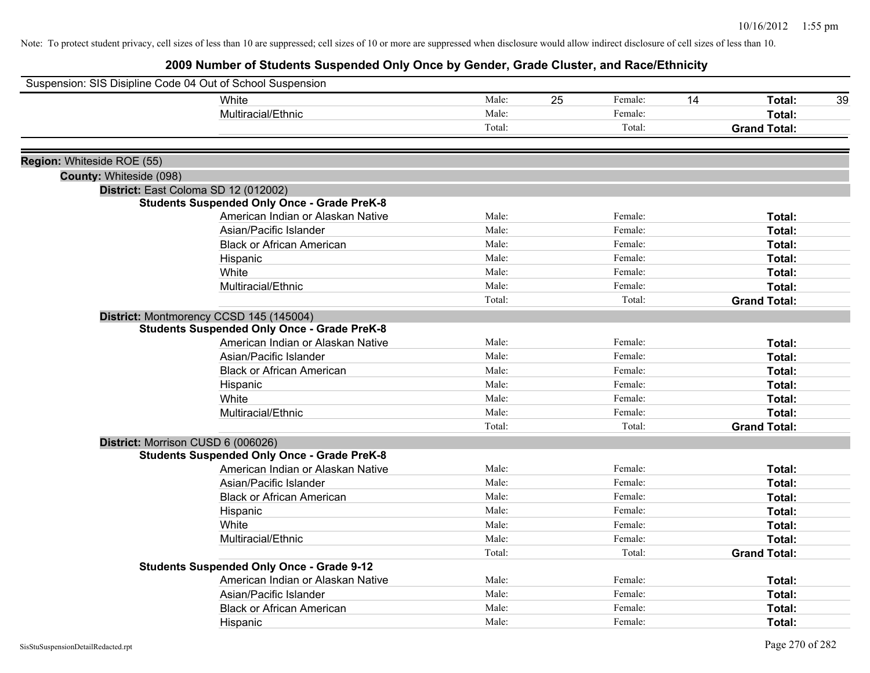|                            | Suspension: SIS Disipline Code 04 Out of School Suspension |        |    |         |    |                     |    |
|----------------------------|------------------------------------------------------------|--------|----|---------|----|---------------------|----|
|                            | White                                                      | Male:  | 25 | Female: | 14 | Total:              | 39 |
|                            | Multiracial/Ethnic                                         | Male:  |    | Female: |    | Total:              |    |
|                            |                                                            | Total: |    | Total:  |    | <b>Grand Total:</b> |    |
| Region: Whiteside ROE (55) |                                                            |        |    |         |    |                     |    |
| County: Whiteside (098)    |                                                            |        |    |         |    |                     |    |
|                            | District: East Coloma SD 12 (012002)                       |        |    |         |    |                     |    |
|                            | <b>Students Suspended Only Once - Grade PreK-8</b>         |        |    |         |    |                     |    |
|                            | American Indian or Alaskan Native                          | Male:  |    | Female: |    | Total:              |    |
|                            | Asian/Pacific Islander                                     | Male:  |    | Female: |    | Total:              |    |
|                            | <b>Black or African American</b>                           | Male:  |    | Female: |    | Total:              |    |
|                            | Hispanic                                                   | Male:  |    | Female: |    | Total:              |    |
|                            | White                                                      | Male:  |    | Female: |    | Total:              |    |
|                            | Multiracial/Ethnic                                         | Male:  |    | Female: |    | Total:              |    |
|                            |                                                            | Total: |    | Total:  |    | <b>Grand Total:</b> |    |
|                            | District: Montmorency CCSD 145 (145004)                    |        |    |         |    |                     |    |
|                            | <b>Students Suspended Only Once - Grade PreK-8</b>         |        |    |         |    |                     |    |
|                            | American Indian or Alaskan Native                          | Male:  |    | Female: |    | Total:              |    |
|                            | Asian/Pacific Islander                                     | Male:  |    | Female: |    | Total:              |    |
|                            | <b>Black or African American</b>                           | Male:  |    | Female: |    | Total:              |    |
|                            | Hispanic                                                   | Male:  |    | Female: |    | Total:              |    |
|                            | White                                                      | Male:  |    | Female: |    | Total:              |    |
|                            | Multiracial/Ethnic                                         | Male:  |    | Female: |    | Total:              |    |
|                            |                                                            | Total: |    | Total:  |    | <b>Grand Total:</b> |    |
|                            | District: Morrison CUSD 6 (006026)                         |        |    |         |    |                     |    |
|                            | <b>Students Suspended Only Once - Grade PreK-8</b>         |        |    |         |    |                     |    |
|                            | American Indian or Alaskan Native                          | Male:  |    | Female: |    | Total:              |    |
|                            | Asian/Pacific Islander                                     | Male:  |    | Female: |    | Total:              |    |
|                            | <b>Black or African American</b>                           | Male:  |    | Female: |    | Total:              |    |
|                            | Hispanic                                                   | Male:  |    | Female: |    | Total:              |    |
|                            | White                                                      | Male:  |    | Female: |    | Total:              |    |
|                            | Multiracial/Ethnic                                         | Male:  |    | Female: |    | Total:              |    |
|                            |                                                            | Total: |    | Total:  |    | <b>Grand Total:</b> |    |
|                            | <b>Students Suspended Only Once - Grade 9-12</b>           |        |    |         |    |                     |    |
|                            | American Indian or Alaskan Native                          | Male:  |    | Female: |    | Total:              |    |
|                            | Asian/Pacific Islander                                     | Male:  |    | Female: |    | Total:              |    |
|                            | <b>Black or African American</b>                           | Male:  |    | Female: |    | Total:              |    |
|                            | Hispanic                                                   | Male:  |    | Female: |    | Total:              |    |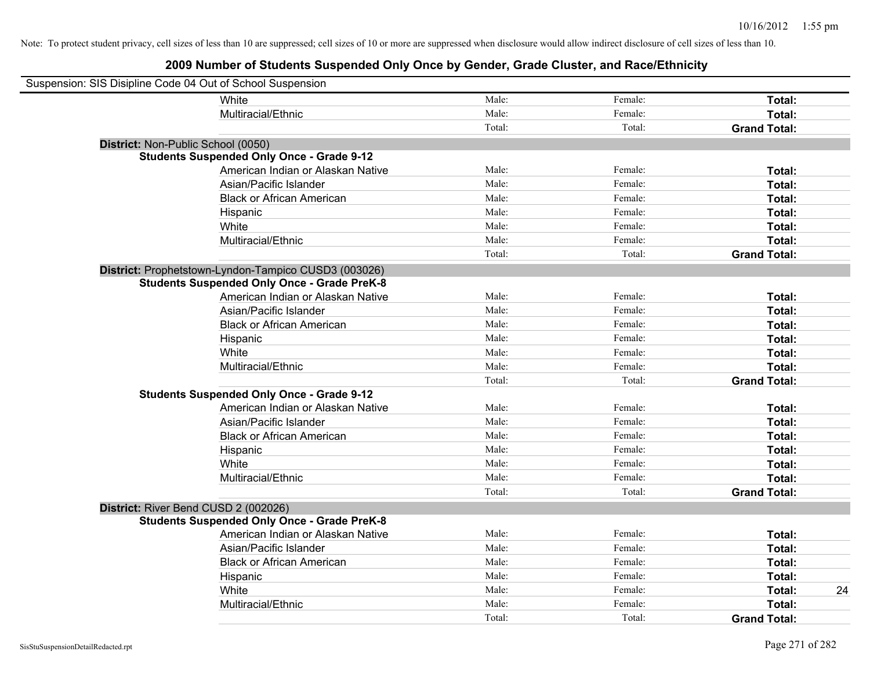| Suspension: SIS Disipline Code 04 Out of School Suspension |                                                      |        |         |                     |    |
|------------------------------------------------------------|------------------------------------------------------|--------|---------|---------------------|----|
|                                                            | White                                                | Male:  | Female: | Total:              |    |
|                                                            | Multiracial/Ethnic                                   | Male:  | Female: | Total:              |    |
|                                                            |                                                      | Total: | Total:  | <b>Grand Total:</b> |    |
| District: Non-Public School (0050)                         |                                                      |        |         |                     |    |
|                                                            | <b>Students Suspended Only Once - Grade 9-12</b>     |        |         |                     |    |
|                                                            | American Indian or Alaskan Native                    | Male:  | Female: | Total:              |    |
|                                                            | Asian/Pacific Islander                               | Male:  | Female: | Total:              |    |
|                                                            | <b>Black or African American</b>                     | Male:  | Female: | Total:              |    |
|                                                            | Hispanic                                             | Male:  | Female: | Total:              |    |
|                                                            | White                                                | Male:  | Female: | Total:              |    |
|                                                            | Multiracial/Ethnic                                   | Male:  | Female: | Total:              |    |
|                                                            |                                                      | Total: | Total:  | <b>Grand Total:</b> |    |
|                                                            | District: Prophetstown-Lyndon-Tampico CUSD3 (003026) |        |         |                     |    |
|                                                            | <b>Students Suspended Only Once - Grade PreK-8</b>   |        |         |                     |    |
|                                                            | American Indian or Alaskan Native                    | Male:  | Female: | Total:              |    |
|                                                            | Asian/Pacific Islander                               | Male:  | Female: | Total:              |    |
|                                                            | <b>Black or African American</b>                     | Male:  | Female: | Total:              |    |
|                                                            | Hispanic                                             | Male:  | Female: | Total:              |    |
|                                                            | White                                                | Male:  | Female: | Total:              |    |
|                                                            | Multiracial/Ethnic                                   | Male:  | Female: | Total:              |    |
|                                                            |                                                      | Total: | Total:  | <b>Grand Total:</b> |    |
|                                                            | <b>Students Suspended Only Once - Grade 9-12</b>     |        |         |                     |    |
|                                                            | American Indian or Alaskan Native                    | Male:  | Female: | Total:              |    |
|                                                            | Asian/Pacific Islander                               | Male:  | Female: | Total:              |    |
|                                                            | <b>Black or African American</b>                     | Male:  | Female: | Total:              |    |
|                                                            | Hispanic                                             | Male:  | Female: | Total:              |    |
|                                                            | White                                                | Male:  | Female: | Total:              |    |
|                                                            | Multiracial/Ethnic                                   | Male:  | Female: | Total:              |    |
|                                                            |                                                      | Total: | Total:  | <b>Grand Total:</b> |    |
| District: River Bend CUSD 2 (002026)                       |                                                      |        |         |                     |    |
|                                                            | <b>Students Suspended Only Once - Grade PreK-8</b>   |        |         |                     |    |
|                                                            | American Indian or Alaskan Native                    | Male:  | Female: | Total:              |    |
|                                                            | Asian/Pacific Islander                               | Male:  | Female: | Total:              |    |
|                                                            | <b>Black or African American</b>                     | Male:  | Female: | Total:              |    |
|                                                            | Hispanic                                             | Male:  | Female: | Total:              |    |
|                                                            | White                                                | Male:  | Female: | Total:              | 24 |
|                                                            | Multiracial/Ethnic                                   | Male:  | Female: | Total:              |    |
|                                                            |                                                      | Total: | Total:  | <b>Grand Total:</b> |    |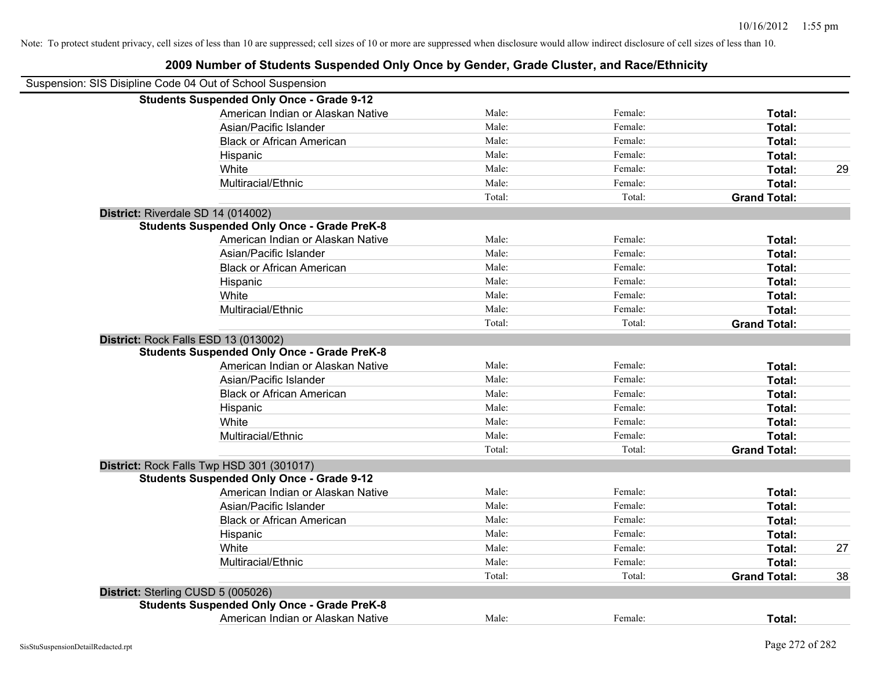|  |  | 2009 Number of Students Suspended Only Once by Gender, Grade Cluster, and Race/Ethnicity |  |
|--|--|------------------------------------------------------------------------------------------|--|
|  |  |                                                                                          |  |

| Suspension: SIS Disipline Code 04 Out of School Suspension                                 |        |         |                     |    |
|--------------------------------------------------------------------------------------------|--------|---------|---------------------|----|
| <b>Students Suspended Only Once - Grade 9-12</b>                                           |        |         |                     |    |
| American Indian or Alaskan Native                                                          | Male:  | Female: | Total:              |    |
| Asian/Pacific Islander                                                                     | Male:  | Female: | Total:              |    |
| <b>Black or African American</b>                                                           | Male:  | Female: | Total:              |    |
| Hispanic                                                                                   | Male:  | Female: | Total:              |    |
| White                                                                                      | Male:  | Female: | Total:              | 29 |
| Multiracial/Ethnic                                                                         | Male:  | Female: | Total:              |    |
|                                                                                            | Total: | Total:  | <b>Grand Total:</b> |    |
| District: Riverdale SD 14 (014002)                                                         |        |         |                     |    |
| <b>Students Suspended Only Once - Grade PreK-8</b>                                         |        |         |                     |    |
| American Indian or Alaskan Native                                                          | Male:  | Female: | Total:              |    |
| Asian/Pacific Islander                                                                     | Male:  | Female: | Total:              |    |
| <b>Black or African American</b>                                                           | Male:  | Female: | Total:              |    |
| Hispanic                                                                                   | Male:  | Female: | Total:              |    |
| White                                                                                      | Male:  | Female: | Total:              |    |
| Multiracial/Ethnic                                                                         | Male:  | Female: | Total:              |    |
|                                                                                            | Total: | Total:  | <b>Grand Total:</b> |    |
| District: Rock Falls ESD 13 (013002)<br><b>Students Suspended Only Once - Grade PreK-8</b> |        |         |                     |    |
| American Indian or Alaskan Native                                                          | Male:  | Female: | Total:              |    |
| Asian/Pacific Islander                                                                     | Male:  | Female: | Total:              |    |
| <b>Black or African American</b>                                                           | Male:  | Female: | Total:              |    |
| Hispanic                                                                                   | Male:  | Female: | Total:              |    |
| White                                                                                      | Male:  | Female: | Total:              |    |
| Multiracial/Ethnic                                                                         | Male:  | Female: | Total:              |    |
|                                                                                            | Total: | Total:  | <b>Grand Total:</b> |    |
| District: Rock Falls Twp HSD 301 (301017)                                                  |        |         |                     |    |
| <b>Students Suspended Only Once - Grade 9-12</b>                                           |        |         |                     |    |
| American Indian or Alaskan Native                                                          | Male:  | Female: | Total:              |    |
| Asian/Pacific Islander                                                                     | Male:  | Female: | Total:              |    |
| <b>Black or African American</b>                                                           | Male:  | Female: | Total:              |    |
| Hispanic                                                                                   | Male:  | Female: | Total:              |    |
| White                                                                                      | Male:  | Female: | Total:              | 27 |
| Multiracial/Ethnic                                                                         | Male:  | Female: | Total:              |    |
|                                                                                            | Total: | Total:  | <b>Grand Total:</b> | 38 |
| District: Sterling CUSD 5 (005026)                                                         |        |         |                     |    |
| <b>Students Suspended Only Once - Grade PreK-8</b>                                         |        |         |                     |    |
| American Indian or Alaskan Native                                                          | Male:  | Female: | Total:              |    |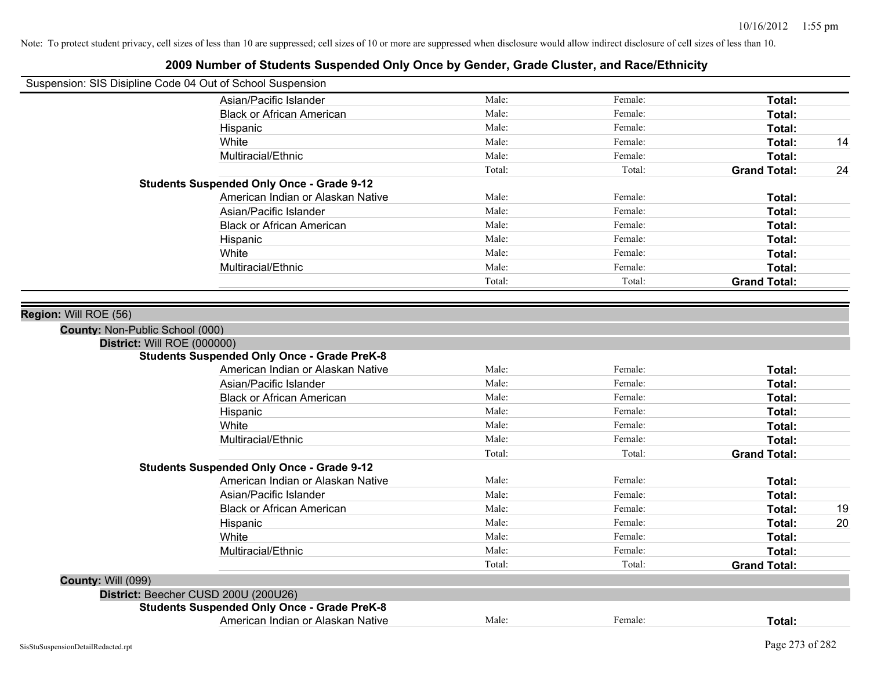|                                                          | Suspension: SIS Disipline Code 04 Out of School Suspension |        |         |                     |    |
|----------------------------------------------------------|------------------------------------------------------------|--------|---------|---------------------|----|
|                                                          | Asian/Pacific Islander                                     | Male:  | Female: | Total:              |    |
|                                                          | <b>Black or African American</b>                           | Male:  | Female: | Total:              |    |
|                                                          | Hispanic                                                   | Male:  | Female: | Total:              |    |
|                                                          | White                                                      | Male:  | Female: | Total:              | 14 |
|                                                          | Multiracial/Ethnic                                         | Male:  | Female: | Total:              |    |
|                                                          |                                                            | Total: | Total:  | <b>Grand Total:</b> | 24 |
|                                                          | <b>Students Suspended Only Once - Grade 9-12</b>           |        |         |                     |    |
|                                                          | American Indian or Alaskan Native                          | Male:  | Female: | Total:              |    |
|                                                          | Asian/Pacific Islander                                     | Male:  | Female: | Total:              |    |
|                                                          | <b>Black or African American</b>                           | Male:  | Female: | Total:              |    |
|                                                          | Hispanic                                                   | Male:  | Female: | Total:              |    |
|                                                          | White                                                      | Male:  | Female: | Total:              |    |
|                                                          | Multiracial/Ethnic                                         | Male:  | Female: | Total:              |    |
|                                                          |                                                            | Total: | Total:  | <b>Grand Total:</b> |    |
| Region: Will ROE (56)<br>County: Non-Public School (000) | District: Will ROE (000000)                                |        |         |                     |    |
|                                                          | <b>Students Suspended Only Once - Grade PreK-8</b>         |        |         |                     |    |
|                                                          | American Indian or Alaskan Native                          | Male:  | Female: | Total:              |    |
|                                                          | Asian/Pacific Islander                                     | Male:  | Female: | Total:              |    |
|                                                          | <b>Black or African American</b>                           | Male:  | Female: | Total:              |    |
|                                                          | Hispanic                                                   | Male:  | Female: | Total:              |    |
|                                                          | White                                                      | Male:  | Female: | Total:              |    |
|                                                          | Multiracial/Ethnic                                         | Male:  | Female: | Total:              |    |
|                                                          |                                                            | Total: | Total:  | <b>Grand Total:</b> |    |
|                                                          | <b>Students Suspended Only Once - Grade 9-12</b>           |        |         |                     |    |
|                                                          | American Indian or Alaskan Native                          | Male:  | Female: | Total:              |    |
|                                                          | Asian/Pacific Islander                                     | Male:  | Female: | Total:              |    |
|                                                          | <b>Black or African American</b>                           | Male:  | Female: | Total:              | 19 |
|                                                          | Hispanic                                                   | Male:  | Female: | Total:              | 20 |
|                                                          | White                                                      | Male:  | Female: | Total:              |    |
|                                                          | Multiracial/Ethnic                                         | Male:  | Female: | Total:              |    |
|                                                          |                                                            | Total: | Total:  | <b>Grand Total:</b> |    |
| <b>County: Will (099)</b>                                |                                                            |        |         |                     |    |
|                                                          | District: Beecher CUSD 200U (200U26)                       |        |         |                     |    |
|                                                          | <b>Students Suspended Only Once - Grade PreK-8</b>         |        |         |                     |    |
|                                                          | American Indian or Alaskan Native                          | Male:  | Female: | Total:              |    |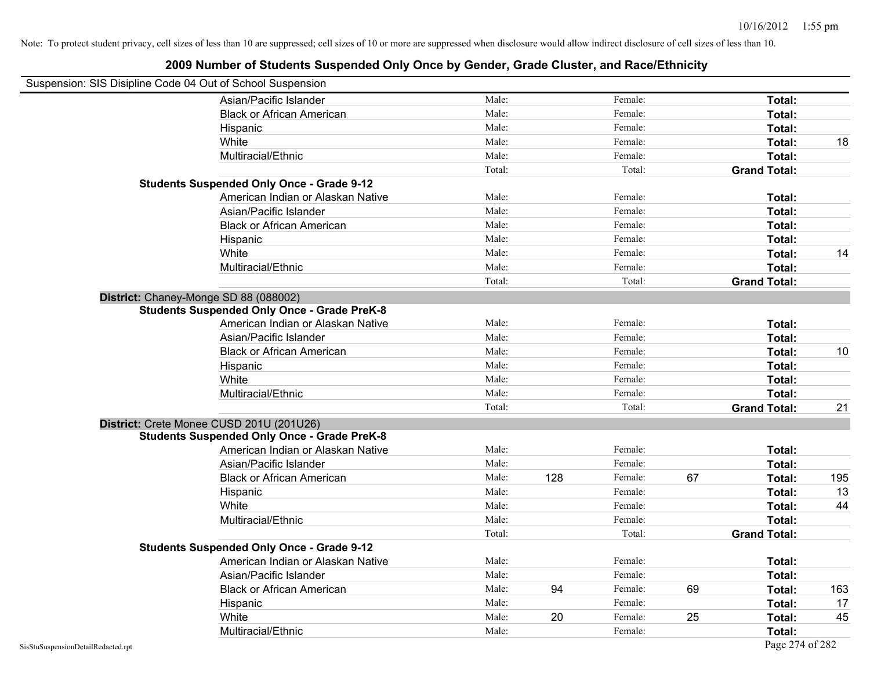| Suspension: SIS Disipline Code 04 Out of School Suspension |                                                    |        |     |         |    |                     |     |
|------------------------------------------------------------|----------------------------------------------------|--------|-----|---------|----|---------------------|-----|
|                                                            | Asian/Pacific Islander                             | Male:  |     | Female: |    | Total:              |     |
|                                                            | <b>Black or African American</b>                   | Male:  |     | Female: |    | Total:              |     |
|                                                            | Hispanic                                           | Male:  |     | Female: |    | Total:              |     |
|                                                            | White                                              | Male:  |     | Female: |    | Total:              | 18  |
|                                                            | Multiracial/Ethnic                                 | Male:  |     | Female: |    | Total:              |     |
|                                                            |                                                    | Total: |     | Total:  |    | <b>Grand Total:</b> |     |
|                                                            | <b>Students Suspended Only Once - Grade 9-12</b>   |        |     |         |    |                     |     |
|                                                            | American Indian or Alaskan Native                  | Male:  |     | Female: |    | Total:              |     |
|                                                            | Asian/Pacific Islander                             | Male:  |     | Female: |    | Total:              |     |
|                                                            | <b>Black or African American</b>                   | Male:  |     | Female: |    | Total:              |     |
|                                                            | Hispanic                                           | Male:  |     | Female: |    | Total:              |     |
|                                                            | White                                              | Male:  |     | Female: |    | Total:              | 14  |
|                                                            | Multiracial/Ethnic                                 | Male:  |     | Female: |    | Total:              |     |
|                                                            |                                                    | Total: |     | Total:  |    | <b>Grand Total:</b> |     |
|                                                            | District: Chaney-Monge SD 88 (088002)              |        |     |         |    |                     |     |
|                                                            | <b>Students Suspended Only Once - Grade PreK-8</b> |        |     |         |    |                     |     |
|                                                            | American Indian or Alaskan Native                  | Male:  |     | Female: |    | Total:              |     |
|                                                            | Asian/Pacific Islander                             | Male:  |     | Female: |    | Total:              |     |
|                                                            | <b>Black or African American</b>                   | Male:  |     | Female: |    | Total:              | 10  |
|                                                            | Hispanic                                           | Male:  |     | Female: |    | Total:              |     |
|                                                            | White                                              | Male:  |     | Female: |    | Total:              |     |
|                                                            | Multiracial/Ethnic                                 | Male:  |     | Female: |    | Total:              |     |
|                                                            |                                                    | Total: |     | Total:  |    | <b>Grand Total:</b> | 21  |
|                                                            | District: Crete Monee CUSD 201U (201U26)           |        |     |         |    |                     |     |
|                                                            | <b>Students Suspended Only Once - Grade PreK-8</b> |        |     |         |    |                     |     |
|                                                            | American Indian or Alaskan Native                  | Male:  |     | Female: |    | Total:              |     |
|                                                            | Asian/Pacific Islander                             | Male:  |     | Female: |    | Total:              |     |
|                                                            | <b>Black or African American</b>                   | Male:  | 128 | Female: | 67 | Total:              | 195 |
|                                                            | Hispanic                                           | Male:  |     | Female: |    | Total:              | 13  |
|                                                            | White                                              | Male:  |     | Female: |    | Total:              | 44  |
|                                                            | Multiracial/Ethnic                                 | Male:  |     | Female: |    | Total:              |     |
|                                                            |                                                    | Total: |     | Total:  |    | <b>Grand Total:</b> |     |
|                                                            | <b>Students Suspended Only Once - Grade 9-12</b>   |        |     |         |    |                     |     |
|                                                            | American Indian or Alaskan Native                  | Male:  |     | Female: |    | Total:              |     |
|                                                            | Asian/Pacific Islander                             | Male:  |     | Female: |    | Total:              |     |
|                                                            | <b>Black or African American</b>                   | Male:  | 94  | Female: | 69 | Total:              | 163 |
|                                                            | Hispanic                                           | Male:  |     | Female: |    | Total:              | 17  |
|                                                            | White                                              | Male:  | 20  | Female: | 25 | Total:              | 45  |
|                                                            | Multiracial/Ethnic                                 | Male:  |     | Female: |    | Total:              |     |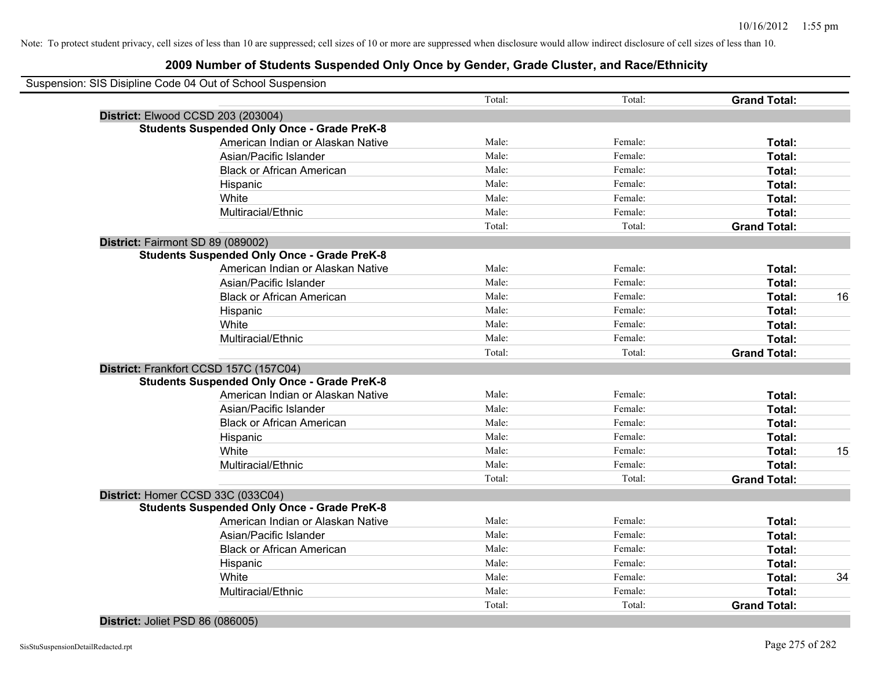## **2009 Number of Students Suspended Only Once by Gender, Grade Cluster, and Race/Ethnicity**

| Suspension: SIS Disipline Code 04 Out of School Suspension |        |         |                     |    |
|------------------------------------------------------------|--------|---------|---------------------|----|
|                                                            | Total: | Total:  | <b>Grand Total:</b> |    |
| District: Elwood CCSD 203 (203004)                         |        |         |                     |    |
| <b>Students Suspended Only Once - Grade PreK-8</b>         |        |         |                     |    |
| American Indian or Alaskan Native                          | Male:  | Female: | Total:              |    |
| Asian/Pacific Islander                                     | Male:  | Female: | Total:              |    |
| <b>Black or African American</b>                           | Male:  | Female: | Total:              |    |
| Hispanic                                                   | Male:  | Female: | Total:              |    |
| White                                                      | Male:  | Female: | Total:              |    |
| Multiracial/Ethnic                                         | Male:  | Female: | Total:              |    |
|                                                            | Total: | Total:  | <b>Grand Total:</b> |    |
| District: Fairmont SD 89 (089002)                          |        |         |                     |    |
| <b>Students Suspended Only Once - Grade PreK-8</b>         |        |         |                     |    |
| American Indian or Alaskan Native                          | Male:  | Female: | Total:              |    |
| Asian/Pacific Islander                                     | Male:  | Female: | Total:              |    |
| <b>Black or African American</b>                           | Male:  | Female: | Total:              | 16 |
| Hispanic                                                   | Male:  | Female: | Total:              |    |
| White                                                      | Male:  | Female: | Total:              |    |
| Multiracial/Ethnic                                         | Male:  | Female: | Total:              |    |
|                                                            | Total: | Total:  | <b>Grand Total:</b> |    |
| District: Frankfort CCSD 157C (157C04)                     |        |         |                     |    |
| <b>Students Suspended Only Once - Grade PreK-8</b>         |        |         |                     |    |
| American Indian or Alaskan Native                          | Male:  | Female: | Total:              |    |
| Asian/Pacific Islander                                     | Male:  | Female: | Total:              |    |
| <b>Black or African American</b>                           | Male:  | Female: | Total:              |    |
| Hispanic                                                   | Male:  | Female: | Total:              |    |
| White                                                      | Male:  | Female: | Total:              | 15 |
| Multiracial/Ethnic                                         | Male:  | Female: | Total:              |    |
|                                                            | Total: | Total:  | <b>Grand Total:</b> |    |
| District: Homer CCSD 33C (033C04)                          |        |         |                     |    |
| <b>Students Suspended Only Once - Grade PreK-8</b>         |        |         |                     |    |
| American Indian or Alaskan Native                          | Male:  | Female: | Total:              |    |
| Asian/Pacific Islander                                     | Male:  | Female: | Total:              |    |
| <b>Black or African American</b>                           | Male:  | Female: | Total:              |    |
| Hispanic                                                   | Male:  | Female: | Total:              |    |
| White                                                      | Male:  | Female: | Total:              | 34 |
| Multiracial/Ethnic                                         | Male:  | Female: | Total:              |    |
|                                                            | Total: | Total:  | <b>Grand Total:</b> |    |

# **District:** Joliet PSD 86 (086005)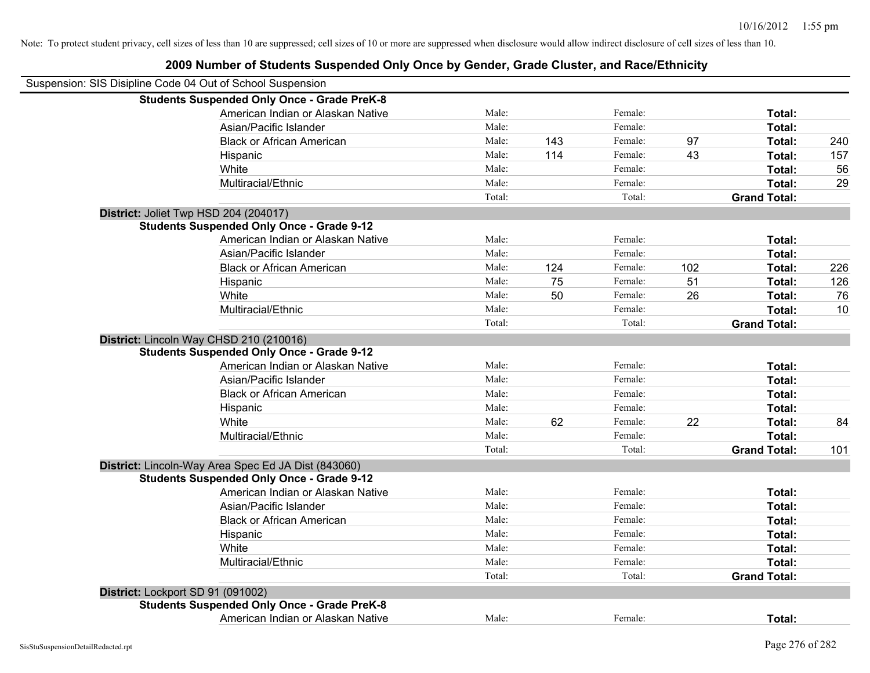| Suspension: SIS Disipline Code 04 Out of School Suspension |                                                     |        |     |         |     |                     |     |
|------------------------------------------------------------|-----------------------------------------------------|--------|-----|---------|-----|---------------------|-----|
|                                                            | <b>Students Suspended Only Once - Grade PreK-8</b>  |        |     |         |     |                     |     |
|                                                            | American Indian or Alaskan Native                   | Male:  |     | Female: |     | Total:              |     |
|                                                            | Asian/Pacific Islander                              | Male:  |     | Female: |     | Total:              |     |
|                                                            | <b>Black or African American</b>                    | Male:  | 143 | Female: | 97  | Total:              | 240 |
|                                                            | Hispanic                                            | Male:  | 114 | Female: | 43  | Total:              | 157 |
|                                                            | White                                               | Male:  |     | Female: |     | Total:              | 56  |
|                                                            | Multiracial/Ethnic                                  | Male:  |     | Female: |     | Total:              | 29  |
|                                                            |                                                     | Total: |     | Total:  |     | <b>Grand Total:</b> |     |
| District: Joliet Twp HSD 204 (204017)                      |                                                     |        |     |         |     |                     |     |
|                                                            | <b>Students Suspended Only Once - Grade 9-12</b>    |        |     |         |     |                     |     |
|                                                            | American Indian or Alaskan Native                   | Male:  |     | Female: |     | Total:              |     |
|                                                            | Asian/Pacific Islander                              | Male:  |     | Female: |     | Total:              |     |
|                                                            | <b>Black or African American</b>                    | Male:  | 124 | Female: | 102 | Total:              | 226 |
|                                                            | Hispanic                                            | Male:  | 75  | Female: | 51  | Total:              | 126 |
|                                                            | White                                               | Male:  | 50  | Female: | 26  | Total:              | 76  |
|                                                            | Multiracial/Ethnic                                  | Male:  |     | Female: |     | Total:              | 10  |
|                                                            |                                                     | Total: |     | Total:  |     | <b>Grand Total:</b> |     |
|                                                            | District: Lincoln Way CHSD 210 (210016)             |        |     |         |     |                     |     |
|                                                            | <b>Students Suspended Only Once - Grade 9-12</b>    |        |     |         |     |                     |     |
|                                                            | American Indian or Alaskan Native                   | Male:  |     | Female: |     | Total:              |     |
|                                                            | Asian/Pacific Islander                              | Male:  |     | Female: |     | Total:              |     |
|                                                            | <b>Black or African American</b>                    | Male:  |     | Female: |     | Total:              |     |
|                                                            | Hispanic                                            | Male:  |     | Female: |     | Total:              |     |
|                                                            | White                                               | Male:  | 62  | Female: | 22  | Total:              | 84  |
|                                                            | Multiracial/Ethnic                                  | Male:  |     | Female: |     | Total:              |     |
|                                                            |                                                     | Total: |     | Total:  |     | <b>Grand Total:</b> | 101 |
|                                                            | District: Lincoln-Way Area Spec Ed JA Dist (843060) |        |     |         |     |                     |     |
|                                                            | <b>Students Suspended Only Once - Grade 9-12</b>    |        |     |         |     |                     |     |
|                                                            | American Indian or Alaskan Native                   | Male:  |     | Female: |     | Total:              |     |
|                                                            | Asian/Pacific Islander                              | Male:  |     | Female: |     | Total:              |     |
|                                                            | <b>Black or African American</b>                    | Male:  |     | Female: |     | Total:              |     |
|                                                            | Hispanic                                            | Male:  |     | Female: |     | Total:              |     |
|                                                            | White                                               | Male:  |     | Female: |     | Total:              |     |
|                                                            | Multiracial/Ethnic                                  | Male:  |     | Female: |     | Total:              |     |
|                                                            |                                                     | Total: |     | Total:  |     | <b>Grand Total:</b> |     |
| District: Lockport SD 91 (091002)                          |                                                     |        |     |         |     |                     |     |
|                                                            | <b>Students Suspended Only Once - Grade PreK-8</b>  |        |     |         |     |                     |     |
|                                                            | American Indian or Alaskan Native                   | Male:  |     | Female: |     | Total:              |     |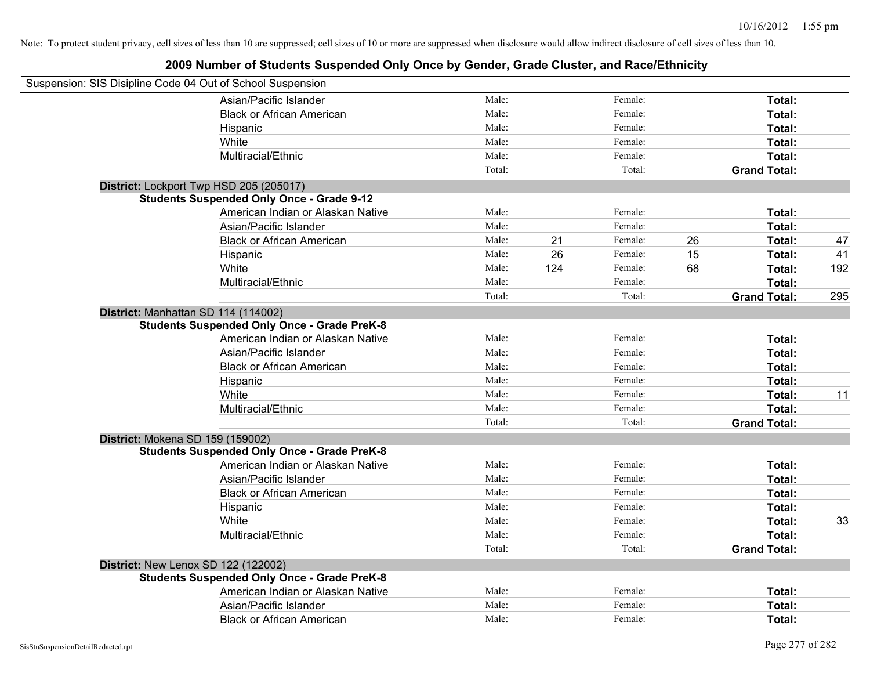| Suspension: SIS Disipline Code 04 Out of School Suspension |        |     |         |    |                     |     |
|------------------------------------------------------------|--------|-----|---------|----|---------------------|-----|
| Asian/Pacific Islander                                     | Male:  |     | Female: |    | Total:              |     |
| <b>Black or African American</b>                           | Male:  |     | Female: |    | Total:              |     |
| Hispanic                                                   | Male:  |     | Female: |    | Total:              |     |
| White                                                      | Male:  |     | Female: |    | Total:              |     |
| Multiracial/Ethnic                                         | Male:  |     | Female: |    | Total:              |     |
|                                                            | Total: |     | Total:  |    | <b>Grand Total:</b> |     |
| District: Lockport Twp HSD 205 (205017)                    |        |     |         |    |                     |     |
| <b>Students Suspended Only Once - Grade 9-12</b>           |        |     |         |    |                     |     |
| American Indian or Alaskan Native                          | Male:  |     | Female: |    | Total:              |     |
| Asian/Pacific Islander                                     | Male:  |     | Female: |    | Total:              |     |
| <b>Black or African American</b>                           | Male:  | 21  | Female: | 26 | Total:              | 47  |
| Hispanic                                                   | Male:  | 26  | Female: | 15 | Total:              | 41  |
| White                                                      | Male:  | 124 | Female: | 68 | Total:              | 192 |
| Multiracial/Ethnic                                         | Male:  |     | Female: |    | Total:              |     |
|                                                            | Total: |     | Total:  |    | <b>Grand Total:</b> | 295 |
| District: Manhattan SD 114 (114002)                        |        |     |         |    |                     |     |
| <b>Students Suspended Only Once - Grade PreK-8</b>         |        |     |         |    |                     |     |
| American Indian or Alaskan Native                          | Male:  |     | Female: |    | Total:              |     |
| Asian/Pacific Islander                                     | Male:  |     | Female: |    | Total:              |     |
| <b>Black or African American</b>                           | Male:  |     | Female: |    | Total:              |     |
| Hispanic                                                   | Male:  |     | Female: |    | Total:              |     |
| White                                                      | Male:  |     | Female: |    | Total:              | 11  |
| Multiracial/Ethnic                                         | Male:  |     | Female: |    | Total:              |     |
|                                                            | Total: |     | Total:  |    | <b>Grand Total:</b> |     |
| District: Mokena SD 159 (159002)                           |        |     |         |    |                     |     |
| <b>Students Suspended Only Once - Grade PreK-8</b>         |        |     |         |    |                     |     |
| American Indian or Alaskan Native                          | Male:  |     | Female: |    | Total:              |     |
| Asian/Pacific Islander                                     | Male:  |     | Female: |    | Total:              |     |
| <b>Black or African American</b>                           | Male:  |     | Female: |    | Total:              |     |
| Hispanic                                                   | Male:  |     | Female: |    | Total:              |     |
| White                                                      | Male:  |     | Female: |    | Total:              | 33  |
| Multiracial/Ethnic                                         | Male:  |     | Female: |    | Total:              |     |
|                                                            | Total: |     | Total:  |    | <b>Grand Total:</b> |     |
| District: New Lenox SD 122 (122002)                        |        |     |         |    |                     |     |
| <b>Students Suspended Only Once - Grade PreK-8</b>         |        |     |         |    |                     |     |
| American Indian or Alaskan Native                          | Male:  |     | Female: |    | Total:              |     |
| Asian/Pacific Islander                                     | Male:  |     | Female: |    | Total:              |     |
| <b>Black or African American</b>                           | Male:  |     | Female: |    | Total:              |     |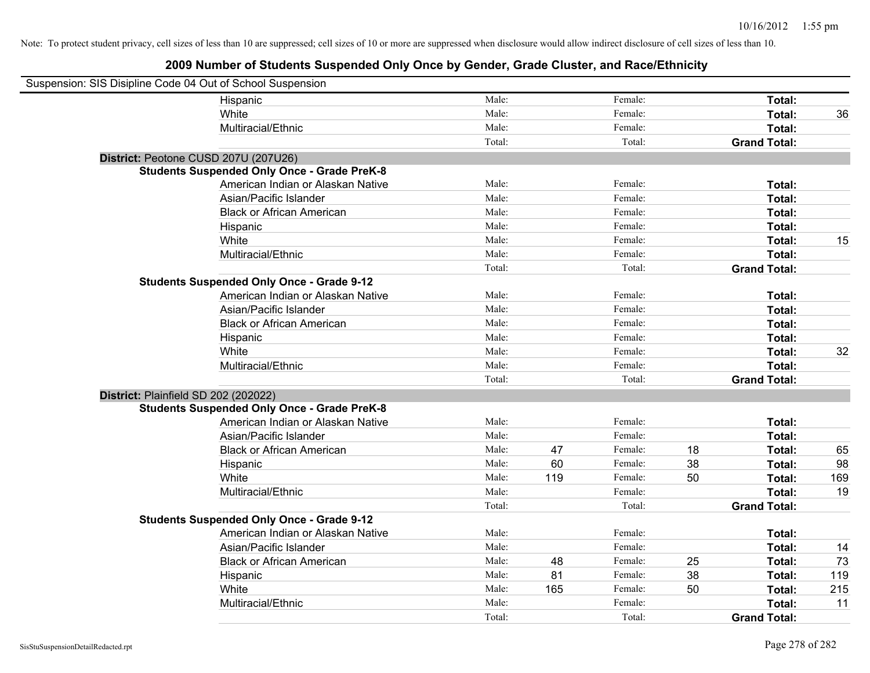| Suspension: SIS Disipline Code 04 Out of School Suspension |                                                    |        |     |         |    |                     |     |
|------------------------------------------------------------|----------------------------------------------------|--------|-----|---------|----|---------------------|-----|
|                                                            | Hispanic                                           | Male:  |     | Female: |    | Total:              |     |
|                                                            | White                                              | Male:  |     | Female: |    | Total:              | 36  |
|                                                            | Multiracial/Ethnic                                 | Male:  |     | Female: |    | Total:              |     |
|                                                            |                                                    | Total: |     | Total:  |    | <b>Grand Total:</b> |     |
| District: Peotone CUSD 207U (207U26)                       |                                                    |        |     |         |    |                     |     |
|                                                            | <b>Students Suspended Only Once - Grade PreK-8</b> |        |     |         |    |                     |     |
|                                                            | American Indian or Alaskan Native                  | Male:  |     | Female: |    | Total:              |     |
|                                                            | Asian/Pacific Islander                             | Male:  |     | Female: |    | Total:              |     |
|                                                            | <b>Black or African American</b>                   | Male:  |     | Female: |    | Total:              |     |
|                                                            | Hispanic                                           | Male:  |     | Female: |    | Total:              |     |
|                                                            | White                                              | Male:  |     | Female: |    | Total:              | 15  |
|                                                            | Multiracial/Ethnic                                 | Male:  |     | Female: |    | Total:              |     |
|                                                            |                                                    | Total: |     | Total:  |    | <b>Grand Total:</b> |     |
|                                                            | <b>Students Suspended Only Once - Grade 9-12</b>   |        |     |         |    |                     |     |
|                                                            | American Indian or Alaskan Native                  | Male:  |     | Female: |    | Total:              |     |
|                                                            | Asian/Pacific Islander                             | Male:  |     | Female: |    | Total:              |     |
|                                                            | <b>Black or African American</b>                   | Male:  |     | Female: |    | Total:              |     |
|                                                            | Hispanic                                           | Male:  |     | Female: |    | Total:              |     |
|                                                            | White                                              | Male:  |     | Female: |    | Total:              | 32  |
|                                                            | Multiracial/Ethnic                                 | Male:  |     | Female: |    | Total:              |     |
|                                                            |                                                    | Total: |     | Total:  |    | <b>Grand Total:</b> |     |
| District: Plainfield SD 202 (202022)                       |                                                    |        |     |         |    |                     |     |
|                                                            | <b>Students Suspended Only Once - Grade PreK-8</b> |        |     |         |    |                     |     |
|                                                            | American Indian or Alaskan Native                  | Male:  |     | Female: |    | Total:              |     |
|                                                            | Asian/Pacific Islander                             | Male:  |     | Female: |    | Total:              |     |
|                                                            | <b>Black or African American</b>                   | Male:  | 47  | Female: | 18 | Total:              | 65  |
|                                                            | Hispanic                                           | Male:  | 60  | Female: | 38 | Total:              | 98  |
|                                                            | White                                              | Male:  | 119 | Female: | 50 | Total:              | 169 |
|                                                            | Multiracial/Ethnic                                 | Male:  |     | Female: |    | Total:              | 19  |
|                                                            |                                                    | Total: |     | Total:  |    | <b>Grand Total:</b> |     |
|                                                            | <b>Students Suspended Only Once - Grade 9-12</b>   |        |     |         |    |                     |     |
|                                                            | American Indian or Alaskan Native                  | Male:  |     | Female: |    | Total:              |     |
|                                                            | Asian/Pacific Islander                             | Male:  |     | Female: |    | Total:              | 14  |
|                                                            | <b>Black or African American</b>                   | Male:  | 48  | Female: | 25 | Total:              | 73  |
|                                                            | Hispanic                                           | Male:  | 81  | Female: | 38 | Total:              | 119 |
|                                                            | White                                              | Male:  | 165 | Female: | 50 | Total:              | 215 |
|                                                            | Multiracial/Ethnic                                 | Male:  |     | Female: |    | Total:              | 11  |
|                                                            |                                                    | Total: |     | Total:  |    | <b>Grand Total:</b> |     |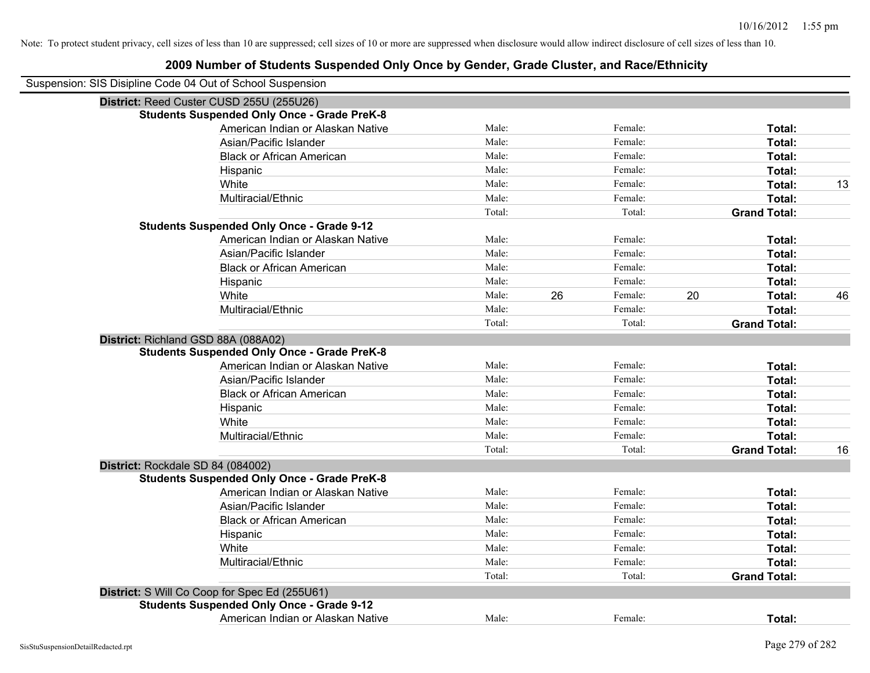| Suspension: SIS Disipline Code 04 Out of School Suspension |                                                    |        |               |                     |    |
|------------------------------------------------------------|----------------------------------------------------|--------|---------------|---------------------|----|
|                                                            | District: Reed Custer CUSD 255U (255U26)           |        |               |                     |    |
|                                                            | <b>Students Suspended Only Once - Grade PreK-8</b> |        |               |                     |    |
|                                                            | American Indian or Alaskan Native                  | Male:  | Female:       | Total:              |    |
|                                                            | Asian/Pacific Islander                             | Male:  | Female:       | Total:              |    |
|                                                            | <b>Black or African American</b>                   | Male:  | Female:       | Total:              |    |
|                                                            | Hispanic                                           | Male:  | Female:       | Total:              |    |
|                                                            | White                                              | Male:  | Female:       | Total:              | 13 |
|                                                            | Multiracial/Ethnic                                 | Male:  | Female:       | Total:              |    |
|                                                            |                                                    | Total: | Total:        | <b>Grand Total:</b> |    |
|                                                            | <b>Students Suspended Only Once - Grade 9-12</b>   |        |               |                     |    |
|                                                            | American Indian or Alaskan Native                  | Male:  | Female:       | Total:              |    |
|                                                            | Asian/Pacific Islander                             | Male:  | Female:       | Total:              |    |
|                                                            | <b>Black or African American</b>                   | Male:  | Female:       | Total:              |    |
|                                                            | Hispanic                                           | Male:  | Female:       | Total:              |    |
|                                                            | White                                              | Male:  | 26<br>Female: | 20<br>Total:        | 46 |
|                                                            | Multiracial/Ethnic                                 | Male:  | Female:       | Total:              |    |
|                                                            |                                                    | Total: | Total:        | <b>Grand Total:</b> |    |
| District: Richland GSD 88A (088A02)                        |                                                    |        |               |                     |    |
|                                                            | <b>Students Suspended Only Once - Grade PreK-8</b> |        |               |                     |    |
|                                                            | American Indian or Alaskan Native                  | Male:  | Female:       | Total:              |    |
|                                                            | Asian/Pacific Islander                             | Male:  | Female:       | Total:              |    |
|                                                            | <b>Black or African American</b>                   | Male:  | Female:       | Total:              |    |
|                                                            | Hispanic                                           | Male:  | Female:       | Total:              |    |
|                                                            | White                                              | Male:  | Female:       | Total:              |    |
|                                                            | Multiracial/Ethnic                                 | Male:  | Female:       | Total:              |    |
|                                                            |                                                    | Total: | Total:        | <b>Grand Total:</b> | 16 |
| District: Rockdale SD 84 (084002)                          |                                                    |        |               |                     |    |
|                                                            | <b>Students Suspended Only Once - Grade PreK-8</b> |        |               |                     |    |
|                                                            | American Indian or Alaskan Native                  | Male:  | Female:       | Total:              |    |
|                                                            | Asian/Pacific Islander                             | Male:  | Female:       | Total:              |    |
|                                                            | <b>Black or African American</b>                   | Male:  | Female:       | Total:              |    |
|                                                            | Hispanic                                           | Male:  | Female:       | Total:              |    |
|                                                            | White                                              | Male:  | Female:       | Total:              |    |
|                                                            | Multiracial/Ethnic                                 | Male:  | Female:       | Total:              |    |
|                                                            |                                                    | Total: | Total:        | <b>Grand Total:</b> |    |
|                                                            | District: S Will Co Coop for Spec Ed (255U61)      |        |               |                     |    |
|                                                            | <b>Students Suspended Only Once - Grade 9-12</b>   |        |               |                     |    |
|                                                            | American Indian or Alaskan Native                  | Male:  | Female:       | Total:              |    |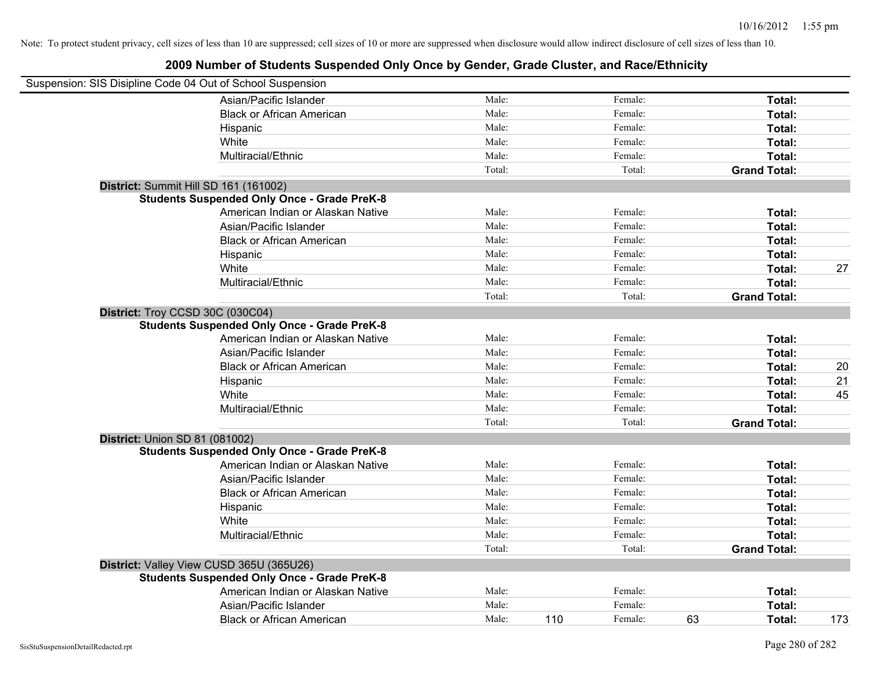| Suspension: SIS Disipline Code 04 Out of School Suspension |                                                    |        |                |                     |     |
|------------------------------------------------------------|----------------------------------------------------|--------|----------------|---------------------|-----|
|                                                            | Asian/Pacific Islander                             | Male:  | Female:        | Total:              |     |
|                                                            | <b>Black or African American</b>                   | Male:  | Female:        | Total:              |     |
|                                                            | Hispanic                                           | Male:  | Female:        | Total:              |     |
|                                                            | White                                              | Male:  | Female:        | Total:              |     |
|                                                            | Multiracial/Ethnic                                 | Male:  | Female:        | Total:              |     |
|                                                            |                                                    | Total: | Total:         | <b>Grand Total:</b> |     |
|                                                            | District: Summit Hill SD 161 (161002)              |        |                |                     |     |
|                                                            | <b>Students Suspended Only Once - Grade PreK-8</b> |        |                |                     |     |
|                                                            | American Indian or Alaskan Native                  | Male:  | Female:        | Total:              |     |
|                                                            | Asian/Pacific Islander                             | Male:  | Female:        | Total:              |     |
|                                                            | <b>Black or African American</b>                   | Male:  | Female:        | Total:              |     |
|                                                            | Hispanic                                           | Male:  | Female:        | Total:              |     |
|                                                            | White                                              | Male:  | Female:        | Total:              | 27  |
|                                                            | Multiracial/Ethnic                                 | Male:  | Female:        | Total:              |     |
|                                                            |                                                    | Total: | Total:         | <b>Grand Total:</b> |     |
|                                                            | District: Troy CCSD 30C (030C04)                   |        |                |                     |     |
|                                                            | <b>Students Suspended Only Once - Grade PreK-8</b> |        |                |                     |     |
|                                                            | American Indian or Alaskan Native                  | Male:  | Female:        | Total:              |     |
|                                                            | Asian/Pacific Islander                             | Male:  | Female:        | Total:              |     |
|                                                            | <b>Black or African American</b>                   | Male:  | Female:        | Total:              | 20  |
|                                                            | Hispanic                                           | Male:  | Female:        | Total:              | 21  |
|                                                            | White                                              | Male:  | Female:        | Total:              | 45  |
|                                                            | Multiracial/Ethnic                                 | Male:  | Female:        | Total:              |     |
|                                                            |                                                    | Total: | Total:         | <b>Grand Total:</b> |     |
| <b>District: Union SD 81 (081002)</b>                      |                                                    |        |                |                     |     |
|                                                            | <b>Students Suspended Only Once - Grade PreK-8</b> |        |                |                     |     |
|                                                            | American Indian or Alaskan Native                  | Male:  | Female:        | Total:              |     |
|                                                            | Asian/Pacific Islander                             | Male:  | Female:        | Total:              |     |
|                                                            | <b>Black or African American</b>                   | Male:  | Female:        | Total:              |     |
|                                                            | Hispanic                                           | Male:  | Female:        | Total:              |     |
|                                                            | White                                              | Male:  | Female:        | Total:              |     |
|                                                            | Multiracial/Ethnic                                 | Male:  | Female:        | Total:              |     |
|                                                            |                                                    | Total: | Total:         | <b>Grand Total:</b> |     |
|                                                            | District: Valley View CUSD 365U (365U26)           |        |                |                     |     |
|                                                            | <b>Students Suspended Only Once - Grade PreK-8</b> |        |                |                     |     |
|                                                            | American Indian or Alaskan Native                  | Male:  | Female:        | Total:              |     |
|                                                            | Asian/Pacific Islander                             | Male:  | Female:        | Total:              |     |
|                                                            | <b>Black or African American</b>                   | Male:  | 110<br>Female: | 63<br>Total:        | 173 |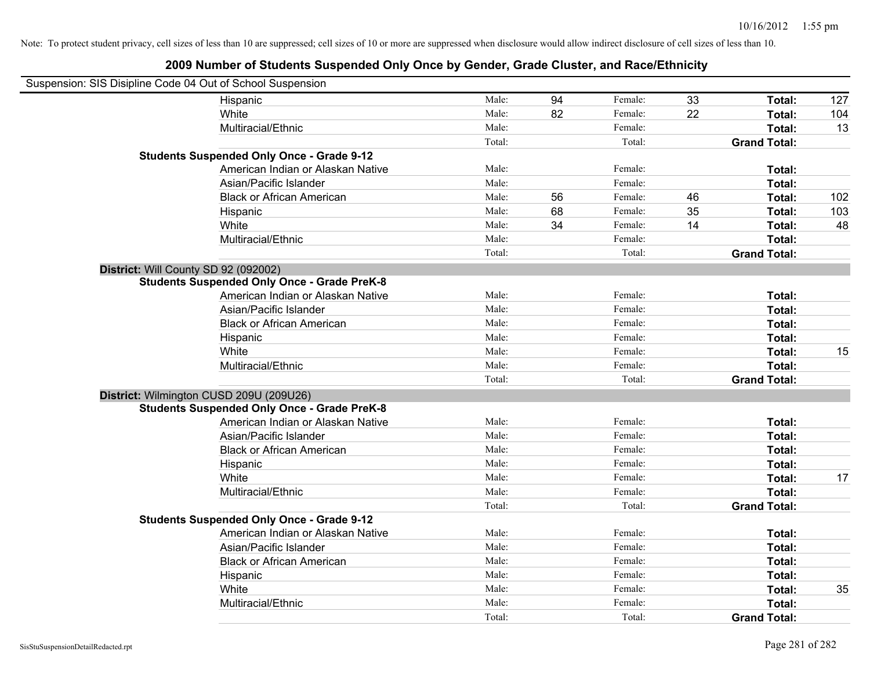| Suspension: SIS Disipline Code 04 Out of School Suspension |        |    |         |    |                     |     |
|------------------------------------------------------------|--------|----|---------|----|---------------------|-----|
| Hispanic                                                   | Male:  | 94 | Female: | 33 | Total:              | 127 |
| White                                                      | Male:  | 82 | Female: | 22 | Total:              | 104 |
| Multiracial/Ethnic                                         | Male:  |    | Female: |    | Total:              | 13  |
|                                                            | Total: |    | Total:  |    | <b>Grand Total:</b> |     |
| <b>Students Suspended Only Once - Grade 9-12</b>           |        |    |         |    |                     |     |
| American Indian or Alaskan Native                          | Male:  |    | Female: |    | Total:              |     |
| Asian/Pacific Islander                                     | Male:  |    | Female: |    | Total:              |     |
| <b>Black or African American</b>                           | Male:  | 56 | Female: | 46 | Total:              | 102 |
| Hispanic                                                   | Male:  | 68 | Female: | 35 | Total:              | 103 |
| White                                                      | Male:  | 34 | Female: | 14 | Total:              | 48  |
| Multiracial/Ethnic                                         | Male:  |    | Female: |    | Total:              |     |
|                                                            | Total: |    | Total:  |    | <b>Grand Total:</b> |     |
| District: Will County SD 92 (092002)                       |        |    |         |    |                     |     |
| <b>Students Suspended Only Once - Grade PreK-8</b>         |        |    |         |    |                     |     |
| American Indian or Alaskan Native                          | Male:  |    | Female: |    | Total:              |     |
| Asian/Pacific Islander                                     | Male:  |    | Female: |    | Total:              |     |
| <b>Black or African American</b>                           | Male:  |    | Female: |    | Total:              |     |
| Hispanic                                                   | Male:  |    | Female: |    | Total:              |     |
| White                                                      | Male:  |    | Female: |    | Total:              | 15  |
| Multiracial/Ethnic                                         | Male:  |    | Female: |    | Total:              |     |
|                                                            | Total: |    | Total:  |    | <b>Grand Total:</b> |     |
| District: Wilmington CUSD 209U (209U26)                    |        |    |         |    |                     |     |
| <b>Students Suspended Only Once - Grade PreK-8</b>         |        |    |         |    |                     |     |
| American Indian or Alaskan Native                          | Male:  |    | Female: |    | Total:              |     |
| Asian/Pacific Islander                                     | Male:  |    | Female: |    | Total:              |     |
| <b>Black or African American</b>                           | Male:  |    | Female: |    | Total:              |     |
| Hispanic                                                   | Male:  |    | Female: |    | Total:              |     |
| White                                                      | Male:  |    | Female: |    | Total:              | 17  |
| Multiracial/Ethnic                                         | Male:  |    | Female: |    | Total:              |     |
|                                                            | Total: |    | Total:  |    | <b>Grand Total:</b> |     |
| <b>Students Suspended Only Once - Grade 9-12</b>           |        |    |         |    |                     |     |
| American Indian or Alaskan Native                          | Male:  |    | Female: |    | Total:              |     |
| Asian/Pacific Islander                                     | Male:  |    | Female: |    | Total:              |     |
| <b>Black or African American</b>                           | Male:  |    | Female: |    | Total:              |     |
| Hispanic                                                   | Male:  |    | Female: |    | Total:              |     |
| White                                                      | Male:  |    | Female: |    | Total:              | 35  |
| Multiracial/Ethnic                                         | Male:  |    | Female: |    | Total:              |     |
|                                                            | Total: |    | Total:  |    | <b>Grand Total:</b> |     |